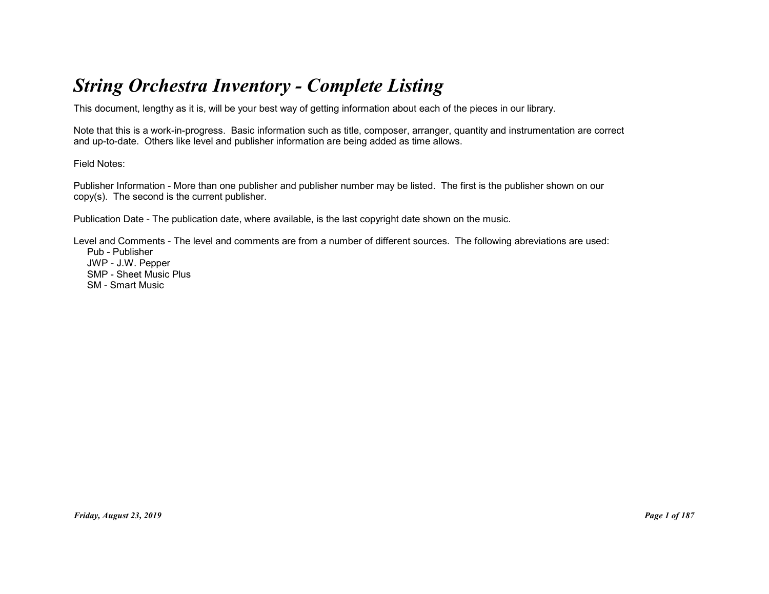# String Orchestra Inventory - Complete Listing

This document, lengthy as it is, will be your best way of getting information about each of the pieces in our library.

Note that this is a work-in-progress. Basic information such as title, composer, arranger, quantity and instrumentation are correct and up-to-date. Others like level and publisher information are being added as time allows.

Field Notes:

Publisher Information - More than one publisher and publisher number may be listed. The first is the publisher shown on our copy(s). The second is the current publisher.

Publication Date - The publication date, where available, is the last copyright date shown on the music.

Level and Comments - The level and comments are from a number of different sources. The following abreviations are used: Pub - Publisher JWP - J.W. Pepper SMP - Sheet Music Plus SM - Smart Music -Star - Star Hussic Plus<br>SM - Smael Music Plus<br>SM - Smael Music<br>Priday, August 23, 2019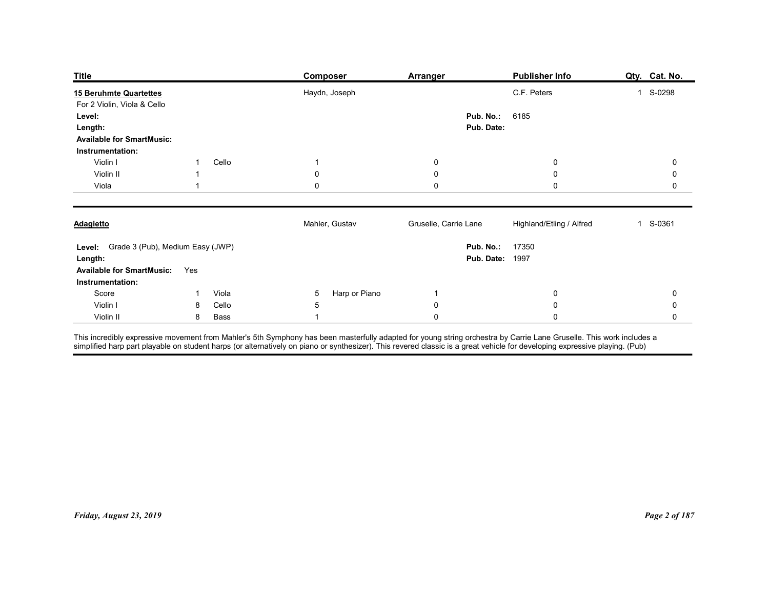| <b>Title</b>                                                                                               |                       | <b>Composer</b>                                                                                                                                                                                                                                   | <b>Arranger</b>                           | Publisher Info                  | Qty. Cat. No. |
|------------------------------------------------------------------------------------------------------------|-----------------------|---------------------------------------------------------------------------------------------------------------------------------------------------------------------------------------------------------------------------------------------------|-------------------------------------------|---------------------------------|---------------|
| 15 Beruhmte Quartettes<br>For 2 Violin, Viola & Cello<br>Level:                                            |                       | Haydn, Joseph                                                                                                                                                                                                                                     | Pub. No.:                                 | C.F. Peters<br>6185             | 1 S-0298      |
| Length:<br><b>Available for SmartMusic:</b><br>Instrumentation:                                            |                       |                                                                                                                                                                                                                                                   | Pub. Date:                                |                                 |               |
| Violin I                                                                                                   | Cello<br>-1           | 1                                                                                                                                                                                                                                                 | $\mathbf 0$                               | 0                               | 0             |
| Violin II<br>Viola                                                                                         | -1                    | 0<br>0                                                                                                                                                                                                                                            | 0<br>0                                    | $\boldsymbol{0}$<br>$\mathbf 0$ | 0<br>0        |
| <b>Adagietto</b>                                                                                           |                       | Mahler, Gustav                                                                                                                                                                                                                                    | Gruselle, Carrie Lane                     | Highland/Etling / Alfred        | 1 S-0361      |
| Level: Grade 3 (Pub), Medium Easy (JWP)<br>Length:<br><b>Available for SmartMusic:</b><br>Instrumentation: | Yes                   |                                                                                                                                                                                                                                                   | Pub. No.: 17350<br><b>Pub. Date: 1997</b> |                                 |               |
| Score                                                                                                      | Viola<br>$\mathbf{1}$ | Harp or Piano<br>$5\phantom{.0}$                                                                                                                                                                                                                  | $\mathbf{1}$                              | $\overline{0}$                  | $\mathbf 0$   |
| Violin I                                                                                                   | Cello<br>8            | 5                                                                                                                                                                                                                                                 | $\pmb{0}$                                 | $\pmb{0}$                       | $\mathbf 0$   |
| Violin II                                                                                                  | Bass<br>8             | $\mathbf{1}$<br>This incredibly expressive movement from Mahler's 5th Symphony has been masterfully adapted for young string orchestra by Carrie Lane Gruselle. This work includes a<br>simplified harp part playable on student harps (or altern | $\pmb{0}$                                 | $\mathsf{O}\xspace$             | $\mathbf 0$   |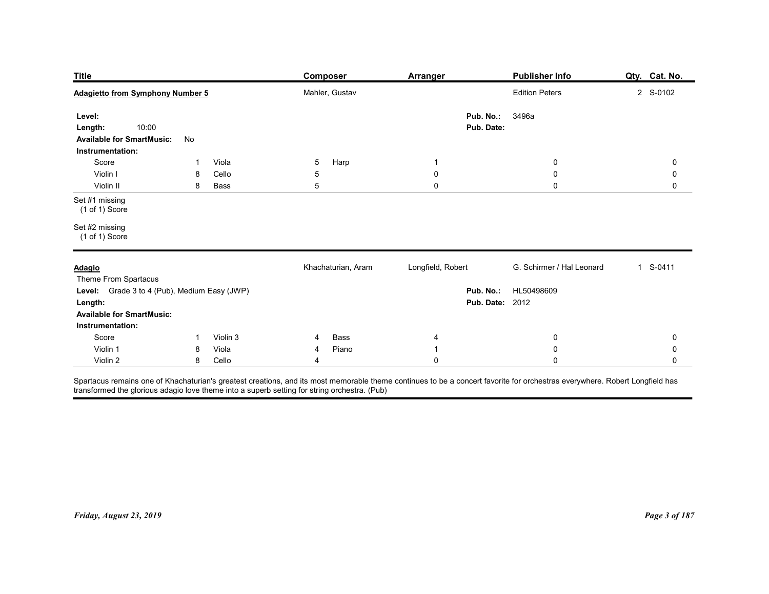| <b>Title</b>                                                                                                    | Composer               | <b>Arranger</b>                    | <b>Publisher Info</b>                          | Qty. Cat. No.                   |
|-----------------------------------------------------------------------------------------------------------------|------------------------|------------------------------------|------------------------------------------------|---------------------------------|
| <b>Adagietto from Symphony Number 5</b>                                                                         | Mahler, Gustav         |                                    | <b>Edition Peters</b>                          | 2 S-0102                        |
| Level:<br>10:00<br>Length:<br><b>Available for SmartMusic:</b><br>No                                            |                        | Pub. No.:<br>Pub. Date:            | 3496a                                          |                                 |
| Instrumentation:<br>Score<br>Viola<br>-1<br>Violin I<br>Cello<br>8<br>Violin II<br>8<br>Bass                    | Harp<br>5<br>5<br>5    | $\overline{1}$<br>0<br>$\mathbf 0$ | $\boldsymbol{0}$<br>$\mathbf 0$<br>$\mathbf 0$ | $\mathbf 0$<br>0<br>$\mathbf 0$ |
| Set #1 missing<br>$(1 of 1)$ Score                                                                              |                        |                                    |                                                |                                 |
| Set #2 missing<br>$(1 of 1)$ Score                                                                              |                        |                                    |                                                |                                 |
| <b>Adagio</b><br>Theme From Spartacus                                                                           | Khachaturian, Aram     | Longfield, Robert                  | G. Schirmer / Hal Leonard                      | 1 S-0411                        |
| Level: Grade 3 to 4 (Pub), Medium Easy (JWP)<br>Length:<br><b>Available for SmartMusic:</b><br>Instrumentation: |                        | <b>Pub. Date: 2012</b>             | Pub. No.: HL50498609                           |                                 |
| Score<br>Violin 3<br>$\overline{1}$                                                                             | Bass<br>$\overline{4}$ | 4                                  | $\overline{0}$                                 | 0                               |
| Violin 1<br>Viola<br>8                                                                                          | Piano<br>4             | -1                                 | $\boldsymbol{0}$<br>$\mathbf 0$                | 0<br>$\mathbf 0$                |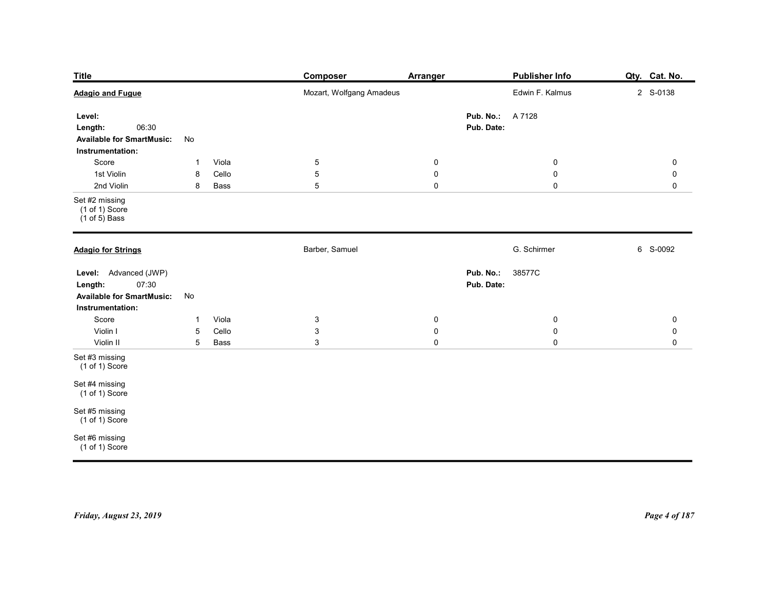| <b>Title</b><br><b>Adagio and Fugue</b>                                                           |                                                  | <b>Composer</b><br>Mozart, Wolfgang Amadeus    | <b>Arranger</b>                         | <b>Publisher Info</b><br>Edwin F. Kalmus   | Qty. Cat. No.<br>2 S-0138                         |
|---------------------------------------------------------------------------------------------------|--------------------------------------------------|------------------------------------------------|-----------------------------------------|--------------------------------------------|---------------------------------------------------|
| Level:<br>06:30<br>Length:<br><b>Available for SmartMusic:</b><br>Instrumentation:                | No                                               |                                                |                                         | <b>Pub. No.: A 7128</b><br>Pub. Date:      |                                                   |
| Score<br>1st Violin<br>2nd Violin                                                                 | Viola<br>$\mathbf{1}$<br>Cello<br>8<br>8<br>Bass | $\overline{5}$<br>$\sqrt{5}$<br>$\overline{5}$ | $\mathbf 0$<br>$\pmb{0}$<br>$\mathbf 0$ | $\overline{0}$<br>$\pmb{0}$<br>$\mathbf 0$ | $\mathbf 0$<br>$\mathsf{O}\xspace$<br>$\mathbf 0$ |
| Set #2 missing<br>$(1 \text{ of } 1)$ Score<br>(1 of 5) Bass                                      |                                                  |                                                |                                         |                                            |                                                   |
| <b>Adagio for Strings</b>                                                                         |                                                  | Barber, Samuel                                 |                                         | G. Schirmer                                | 6 S-0092                                          |
| Level: Advanced (JWP)<br>07:30<br>Length:<br><b>Available for SmartMusic:</b><br>Instrumentation: | $\operatorname{\mathsf{No}}$                     |                                                |                                         | Pub. No.:<br>38577C<br>Pub. Date:          |                                                   |
| Score<br>Violin I                                                                                 | Viola<br>$\mathbf{1}$<br>Cello<br>$\overline{5}$ | $\mathbf{3}$<br>$\mathbf{3}$                   | $\mathbf 0$<br>$\mathbf 0$              | $\mathbf 0$<br>$\mathbf 0$                 | $\mathbf 0$<br>$\mathbf 0$                        |
| Violin II                                                                                         | $5\phantom{.0}$<br>Bass                          | $\mathbf{3}$                                   | $\mathbf 0$                             | $\mathbf 0$                                | $\mathsf{O}\xspace$                               |
| Set #3 missing<br>$(1 of 1)$ Score                                                                |                                                  |                                                |                                         |                                            |                                                   |
| Set #4 missing<br>(1 of 1) Score                                                                  |                                                  |                                                |                                         |                                            |                                                   |
| Set #5 missing<br>(1 of 1) Score                                                                  |                                                  |                                                |                                         |                                            |                                                   |
| Set #6 missing<br>(1 of 1) Score                                                                  |                                                  |                                                |                                         |                                            |                                                   |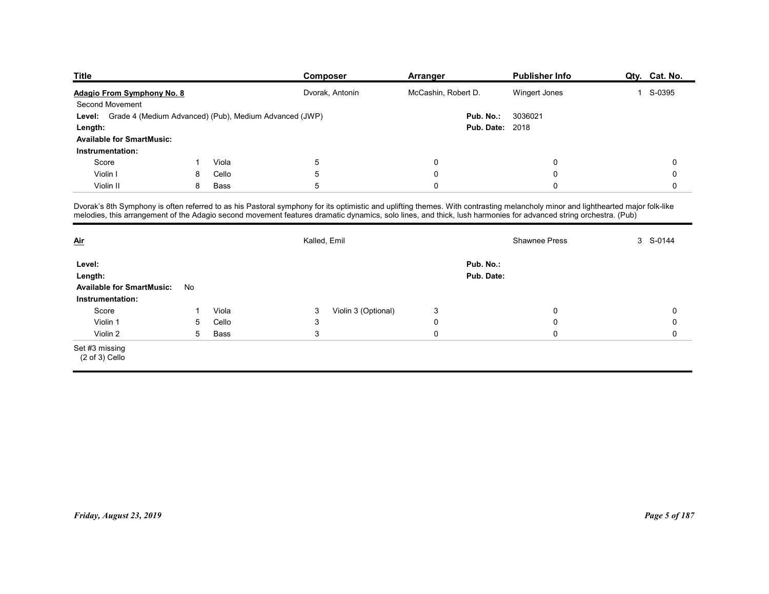| <b>Title</b>                                                  |    |       | Composer        | Arranger                                                                                                                                                                                                                                                                                                                                           | <b>Publisher Info</b> | Qty. Cat. No. |
|---------------------------------------------------------------|----|-------|-----------------|----------------------------------------------------------------------------------------------------------------------------------------------------------------------------------------------------------------------------------------------------------------------------------------------------------------------------------------------------|-----------------------|---------------|
| Adagio From Symphony No. 8                                    |    |       | Dvorak, Antonin | McCashin, Robert D.                                                                                                                                                                                                                                                                                                                                | Wingert Jones         | 1 S-0395      |
| Second Movement                                               |    |       |                 |                                                                                                                                                                                                                                                                                                                                                    |                       |               |
| Level: Grade 4 (Medium Advanced) (Pub), Medium Advanced (JWP) |    |       |                 | Pub. No.:                                                                                                                                                                                                                                                                                                                                          | 3036021               |               |
| Length:                                                       |    |       |                 | <b>Pub. Date: 2018</b>                                                                                                                                                                                                                                                                                                                             |                       |               |
| <b>Available for SmartMusic:</b>                              |    |       |                 |                                                                                                                                                                                                                                                                                                                                                    |                       |               |
|                                                               |    |       |                 |                                                                                                                                                                                                                                                                                                                                                    |                       |               |
| Instrumentation:                                              |    |       |                 |                                                                                                                                                                                                                                                                                                                                                    | $\mathbf 0$           | 0             |
| Score                                                         | -1 | Viola | $\,$ 5 $\,$     | $\mathbf 0$                                                                                                                                                                                                                                                                                                                                        |                       |               |
| Violin I                                                      | 8  | Cello | 5               | $\mathbf 0$                                                                                                                                                                                                                                                                                                                                        | $\mathbf 0$           | 0             |
| Violin II                                                     | 8  | Bass  | 5               | $\mathbf 0$                                                                                                                                                                                                                                                                                                                                        | $\mathbf{0}$          | 0             |
|                                                               |    |       |                 |                                                                                                                                                                                                                                                                                                                                                    |                       |               |
|                                                               |    |       |                 | Dvorak's 8th Symphony is often referred to as his Pastoral symphony for its optimistic and uplifting themes. With contrasting melancholy minor and lighthearted major folk-like<br>melodies, this arrangement of the Adagio second movement features dramatic dynamics, solo lines, and thick, lush harmonies for advanced string orchestra. (Pub) |                       |               |
|                                                               |    |       |                 |                                                                                                                                                                                                                                                                                                                                                    |                       |               |
|                                                               |    |       | Kalled, Emil    |                                                                                                                                                                                                                                                                                                                                                    | <b>Shawnee Press</b>  | 3 S-0144      |
| <u>Air</u>                                                    |    |       |                 |                                                                                                                                                                                                                                                                                                                                                    |                       |               |
| Level:                                                        |    |       |                 | Pub. No.:                                                                                                                                                                                                                                                                                                                                          |                       |               |
| Length:<br>Available for SmartMusic: No                       |    |       |                 | Pub. Date:                                                                                                                                                                                                                                                                                                                                         |                       |               |

| <b>Title</b>                                                                                                                                                                                                                                                                                                                                       |              |       |                           | Composer            | <b>Arranger</b>     |                         | <b>Publisher Info</b> | Qty. Cat. No. |
|----------------------------------------------------------------------------------------------------------------------------------------------------------------------------------------------------------------------------------------------------------------------------------------------------------------------------------------------------|--------------|-------|---------------------------|---------------------|---------------------|-------------------------|-----------------------|---------------|
| Adagio From Symphony No. 8                                                                                                                                                                                                                                                                                                                         |              |       |                           | Dvorak, Antonin     | McCashin, Robert D. |                         | Wingert Jones         | 1 S-0395      |
| Second Movement                                                                                                                                                                                                                                                                                                                                    |              |       |                           |                     |                     |                         |                       |               |
| Level: Grade 4 (Medium Advanced) (Pub), Medium Advanced (JWP)                                                                                                                                                                                                                                                                                      |              |       |                           |                     |                     | Pub. No.:               | 3036021               |               |
| Length:                                                                                                                                                                                                                                                                                                                                            |              |       |                           |                     |                     | <b>Pub. Date: 2018</b>  |                       |               |
| <b>Available for SmartMusic:</b>                                                                                                                                                                                                                                                                                                                   |              |       |                           |                     |                     |                         |                       |               |
| Instrumentation:                                                                                                                                                                                                                                                                                                                                   |              |       |                           |                     |                     |                         |                       |               |
| Score                                                                                                                                                                                                                                                                                                                                              | $\mathbf{1}$ | Viola | $\overline{5}$            |                     | 0                   |                         | $\mathbf 0$           | 0             |
| Violin I                                                                                                                                                                                                                                                                                                                                           | 8            | Cello | $\,$ 5 $\,$               |                     | 0                   |                         | $\mathbf 0$           | 0             |
| Violin II                                                                                                                                                                                                                                                                                                                                          | 8            | Bass  | $\overline{5}$            |                     | $\mathbf 0$         |                         | $\mathbf{0}$          | $\mathbf 0$   |
| Dvorak's 8th Symphony is often referred to as his Pastoral symphony for its optimistic and uplifting themes. With contrasting melancholy minor and lighthearted major folk-like<br>melodies, this arrangement of the Adagio second movement features dramatic dynamics, solo lines, and thick, lush harmonies for advanced string orchestra. (Pub) |              |       |                           |                     |                     |                         |                       |               |
| $\underline{\mathop{\mathrm{Air}}}$                                                                                                                                                                                                                                                                                                                |              |       | Kalled, Emil              |                     |                     |                         | Shawnee Press         | 3 S-0144      |
| Level:<br>Length:                                                                                                                                                                                                                                                                                                                                  |              |       |                           |                     |                     | Pub. No.:<br>Pub. Date: |                       |               |
| <b>Available for SmartMusic:</b><br>Instrumentation:                                                                                                                                                                                                                                                                                               | No           |       |                           |                     |                     |                         |                       |               |
| Score                                                                                                                                                                                                                                                                                                                                              | $\mathbf{1}$ | Viola | 3                         | Violin 3 (Optional) | $\mathbf{3}$        |                         | 0                     | $\mathbf 0$   |
| Violin 1                                                                                                                                                                                                                                                                                                                                           | 5            | Cello | $\ensuremath{\mathsf{3}}$ |                     | $\pmb{0}$           |                         | 0                     | $\mathbf 0$   |
| Violin 2                                                                                                                                                                                                                                                                                                                                           | 5            | Bass  | $\mathbf{3}$              |                     | $\mathsf 0$         |                         | $\mathbf 0$           | $\mathbf 0$   |
| Set #3 missing<br>$(2 \text{ of } 3)$ Cello                                                                                                                                                                                                                                                                                                        |              |       |                           |                     |                     |                         |                       |               |
|                                                                                                                                                                                                                                                                                                                                                    |              |       |                           |                     |                     |                         |                       |               |
| Friday, August 23, 2019                                                                                                                                                                                                                                                                                                                            |              |       |                           |                     |                     |                         |                       | Page 5 of 187 |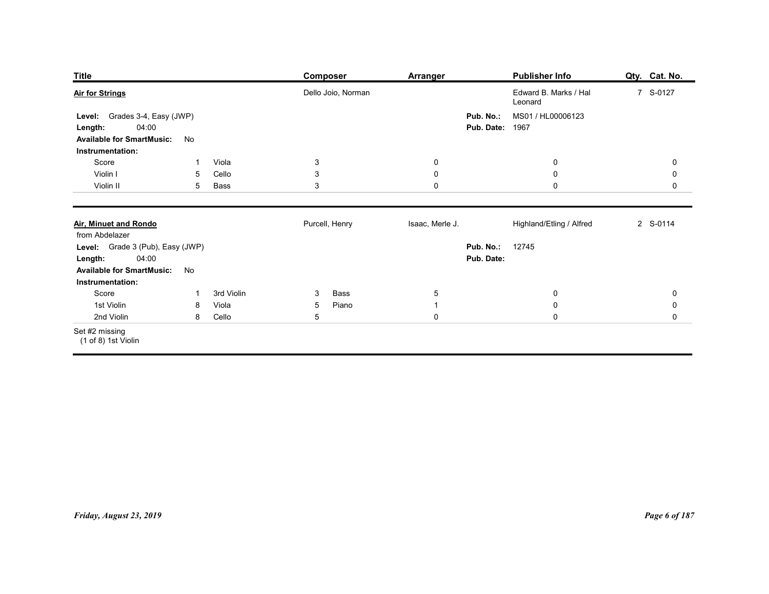| <b>Title</b>                                                                                                     |                            | <b>Composer</b>                        | <b>Arranger</b>               | <b>Publisher Info</b>                                  | Qty. Cat. No.          |
|------------------------------------------------------------------------------------------------------------------|----------------------------|----------------------------------------|-------------------------------|--------------------------------------------------------|------------------------|
| <b>Air for Strings</b>                                                                                           |                            | Dello Joio, Norman                     |                               | Edward B. Marks / Hal                                  | 7 S-0127               |
| Level: Grades 3-4, Easy (JWP)<br>04:00<br>Length:<br><b>Available for SmartMusic:</b>                            | No                         |                                        | Pub. No.:                     | Leonard<br>MS01 / HL00006123<br><b>Pub. Date: 1967</b> |                        |
| Instrumentation:                                                                                                 |                            |                                        |                               |                                                        |                        |
| Score<br>Violin I                                                                                                | Viola<br>-1<br>Cello<br>5  | $\mathbf{3}$<br>$\mathsf 3$            | $\overline{0}$<br>$\mathsf 0$ | $\bf{0}$<br>$\mathbf 0$                                | 0<br>$\pmb{0}$         |
| Violin II                                                                                                        | 5<br>Bass                  | $\ensuremath{\mathsf{3}}$              | $\mathbf 0$                   | $\mathbf 0$                                            | $\mathsf{O}$           |
| Air, Minuet and Rondo<br>from Abdelazer                                                                          |                            | Purcell, Henry                         | Isaac, Merle J.               | Highland/Etling / Alfred                               | 2 S-0114               |
| Level: Grade 3 (Pub), Easy (JWP)<br><b>Length:</b> 04:00<br><b>Available for SmartMusic:</b><br>Instrumentation: | No                         |                                        | Pub. Date:                    | Pub. No.: 12745                                        |                        |
| Score                                                                                                            | 3rd Violin<br>$\mathbf{1}$ | Bass<br>$\mathbf{3}$                   | $\overline{5}$                | $\mathbf 0$                                            | $\pmb{0}$              |
| 1st Violin<br>2nd Violin                                                                                         | Viola<br>8<br>Cello<br>8   | Piano<br>$5\phantom{.0}$<br>$\sqrt{5}$ | $\mathbf{1}$<br>$\pmb{0}$     | $\pmb{0}$<br>$\pmb{0}$                                 | $\pmb{0}$<br>$\pmb{0}$ |
| Set #2 missing<br>(1 of 8) 1st Violin                                                                            |                            |                                        |                               |                                                        |                        |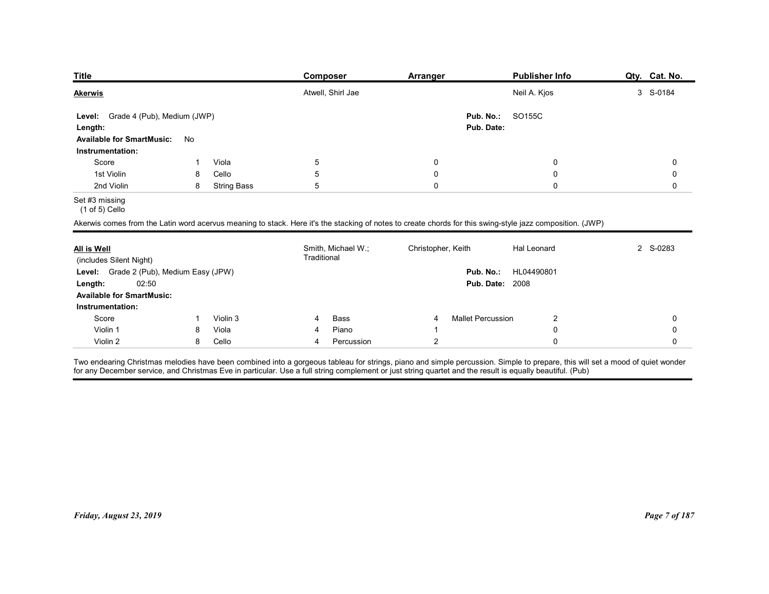| <b>Title</b>                                  |                              | Composer                                                                                                                                                  | Arranger               | <b>Publisher Info</b>                                     | Qty. Cat. No. |  |  |
|-----------------------------------------------|------------------------------|-----------------------------------------------------------------------------------------------------------------------------------------------------------|------------------------|-----------------------------------------------------------|---------------|--|--|
| <b>Akerwis</b>                                |                              | Atwell, Shirl Jae                                                                                                                                         |                        | Neil A. Kjos                                              | 3 S-0184      |  |  |
|                                               |                              |                                                                                                                                                           |                        |                                                           |               |  |  |
| Level:                                        | Grade 4 (Pub), Medium (JWP)  |                                                                                                                                                           |                        | Pub. No.:<br>SO155C                                       |               |  |  |
| Length:                                       |                              |                                                                                                                                                           |                        | Pub. Date:                                                |               |  |  |
| <b>Available for SmartMusic:</b>              | No                           |                                                                                                                                                           |                        |                                                           |               |  |  |
| Instrumentation:                              |                              |                                                                                                                                                           |                        |                                                           |               |  |  |
| Score<br>1st Violin                           | Viola<br>1<br>Cello<br>8     | 5<br>5                                                                                                                                                    | 0<br>0                 | 0<br>0                                                    | 0<br>0        |  |  |
| 2nd Violin                                    | 8<br><b>String Bass</b>      | 5                                                                                                                                                         | $\mathbf 0$            | $\mathbf 0$                                               | 0             |  |  |
| Set #3 missing<br>(1 of 5) Cello              |                              |                                                                                                                                                           |                        |                                                           |               |  |  |
|                                               |                              | Akerwis comes from the Latin word acervus meaning to stack. Here it's the stacking of notes to create chords for this swing-style jazz composition. (JWP) |                        |                                                           |               |  |  |
|                                               |                              | Smith, Michael W.;                                                                                                                                        | Christopher, Keith     | Hal Leonard                                               | 2 S-0283      |  |  |
|                                               |                              | Traditional                                                                                                                                               |                        |                                                           |               |  |  |
| <b>All is Well</b><br>(includes Silent Night) |                              |                                                                                                                                                           |                        | Pub. No.: HL04490801                                      |               |  |  |
| Level: Grade 2 (Pub), Medium Easy (JPW)       |                              |                                                                                                                                                           | <b>Pub. Date: 2008</b> |                                                           |               |  |  |
| 02:50<br>Length:                              |                              |                                                                                                                                                           |                        |                                                           |               |  |  |
| <b>Available for SmartMusic:</b>              |                              |                                                                                                                                                           |                        |                                                           |               |  |  |
| Instrumentation:                              |                              |                                                                                                                                                           |                        |                                                           |               |  |  |
| Score<br>Violin 1                             | Violin 3<br>-1<br>Viola<br>8 | Bass<br>4<br>Piano<br>4                                                                                                                                   | 4                      | <b>Mallet Percussion</b><br>$\overline{2}$<br>$\mathbf 0$ | 0<br>0        |  |  |

| <b>Akerwis</b>                                                                                                                                                                                                                                                                                                                             |    |                    |                 | Atwell, Shirl Jae  |                    |                          | Neil A. Kjos |                     | 3 S-0184      |
|--------------------------------------------------------------------------------------------------------------------------------------------------------------------------------------------------------------------------------------------------------------------------------------------------------------------------------------------|----|--------------------|-----------------|--------------------|--------------------|--------------------------|--------------|---------------------|---------------|
| Level: Grade 4 (Pub), Medium (JWP)<br>Length:                                                                                                                                                                                                                                                                                              |    |                    |                 |                    |                    | Pub. No.:<br>Pub. Date:  | SO155C       |                     |               |
| <b>Available for SmartMusic:</b> No                                                                                                                                                                                                                                                                                                        |    |                    |                 |                    |                    |                          |              |                     |               |
| Instrumentation:                                                                                                                                                                                                                                                                                                                           |    |                    |                 |                    |                    |                          |              |                     |               |
| Score                                                                                                                                                                                                                                                                                                                                      | -1 | Viola              | $5\phantom{.0}$ |                    | $\mathbf 0$        |                          |              | $\mathbf 0$         | $\mathbf 0$   |
| 1st Violin                                                                                                                                                                                                                                                                                                                                 | 8  | Cello              | 5               |                    | $\pmb{0}$          |                          |              | $\mathbf 0$         | $\mathbf 0$   |
| 2nd Violin                                                                                                                                                                                                                                                                                                                                 | 8  | <b>String Bass</b> | 5               |                    | $\mathsf 0$        |                          |              | $\mathsf{O}\xspace$ | $\mathsf 0$   |
| Set #3 missing<br>$(1 of 5)$ Cello                                                                                                                                                                                                                                                                                                         |    |                    |                 |                    |                    |                          |              |                     |               |
| Akerwis comes from the Latin word acervus meaning to stack. Here it's the stacking of notes to create chords for this swing-style jazz composition. (JWP)                                                                                                                                                                                  |    |                    |                 |                    |                    |                          |              |                     |               |
| All is Well<br>(includes Silent Night)                                                                                                                                                                                                                                                                                                     |    |                    | Traditional     | Smith, Michael W.; | Christopher, Keith |                          | Hal Leonard  |                     | 2 S-0283      |
| Level: Grade 2 (Pub), Medium Easy (JPW)                                                                                                                                                                                                                                                                                                    |    |                    |                 |                    |                    | Pub. No.:                | HL04490801   |                     |               |
| 02:50<br>Length:                                                                                                                                                                                                                                                                                                                           |    |                    |                 |                    |                    | <b>Pub. Date: 2008</b>   |              |                     |               |
| <b>Available for SmartMusic:</b>                                                                                                                                                                                                                                                                                                           |    |                    |                 |                    |                    |                          |              |                     |               |
| Instrumentation:                                                                                                                                                                                                                                                                                                                           |    |                    |                 |                    |                    |                          |              |                     |               |
| Score                                                                                                                                                                                                                                                                                                                                      | -1 | Violin 3           | 4               | Bass               | 4                  | <b>Mallet Percussion</b> |              | $\overline{2}$      | $\pmb{0}$     |
| Violin 1                                                                                                                                                                                                                                                                                                                                   | 8  | Viola              | 4               | Piano              | $\overline{1}$     |                          |              | $\mathbf 0$         | $\pmb{0}$     |
| Violin 2                                                                                                                                                                                                                                                                                                                                   | 8  | Cello              | 4               | Percussion         | $\overline{2}$     |                          |              | $\mathsf{O}$        | $\mathbf 0$   |
| Two endearing Christmas melodies have been combined into a gorgeous tableau for strings, piano and simple percussion. Simple to prepare, this will set a mood of quiet wonder<br>for any December service, and Christmas Eve in particular. Use a full string complement or just string quartet and the result is equally beautiful. (Pub) |    |                    |                 |                    |                    |                          |              |                     |               |
|                                                                                                                                                                                                                                                                                                                                            |    |                    |                 |                    |                    |                          |              |                     |               |
|                                                                                                                                                                                                                                                                                                                                            |    |                    |                 |                    |                    |                          |              |                     |               |
|                                                                                                                                                                                                                                                                                                                                            |    |                    |                 |                    |                    |                          |              |                     |               |
| Friday, August 23, 2019                                                                                                                                                                                                                                                                                                                    |    |                    |                 |                    |                    |                          |              |                     | Page 7 of 187 |
|                                                                                                                                                                                                                                                                                                                                            |    |                    |                 |                    |                    |                          |              |                     |               |
|                                                                                                                                                                                                                                                                                                                                            |    |                    |                 |                    |                    |                          |              |                     |               |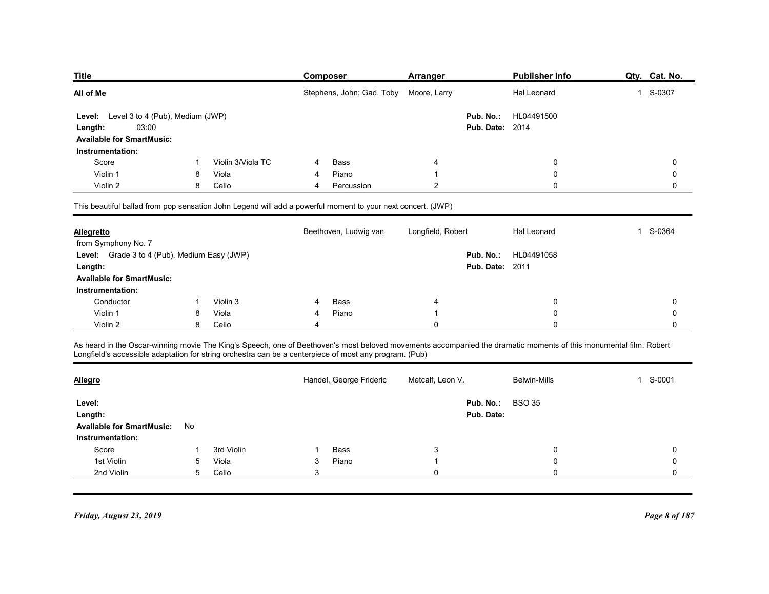| <b>Title</b>                                 |        |                   | <b>Composer</b>                                                                                                                                                   | Arranger               | <b>Publisher Info</b> | Qty. Cat. No. |
|----------------------------------------------|--------|-------------------|-------------------------------------------------------------------------------------------------------------------------------------------------------------------|------------------------|-----------------------|---------------|
| All of Me                                    |        |                   | Stephens, John; Gad, Toby                                                                                                                                         | Moore, Larry           | Hal Leonard           | 1 S-0307      |
| Level: Level 3 to 4 (Pub), Medium (JWP)      |        |                   |                                                                                                                                                                   | Pub. No.:              | HL04491500            |               |
| 03:00<br>Length:                             |        |                   |                                                                                                                                                                   | <b>Pub. Date: 2014</b> |                       |               |
| <b>Available for SmartMusic:</b>             |        |                   |                                                                                                                                                                   |                        |                       |               |
| Instrumentation:                             |        |                   |                                                                                                                                                                   |                        |                       |               |
| Score                                        |        | Violin 3/Viola TC | Bass                                                                                                                                                              | 4                      | 0                     | 0             |
| Violin 1<br>Violin 2                         | 8      | Viola             | Piano<br>4<br>4                                                                                                                                                   | -1                     | 0<br>0                | 0             |
|                                              | 8      | Cello             | Percussion                                                                                                                                                        | $\overline{2}$         |                       | 0             |
|                                              |        |                   | This beautiful ballad from pop sensation John Legend will add a powerful moment to your next concert. (JWP)                                                       |                        |                       |               |
| <b>Allegretto</b>                            |        |                   | Beethoven, Ludwig van                                                                                                                                             | Longfield, Robert      | Hal Leonard           | 1 S-0364      |
| from Symphony No. 7                          |        |                   |                                                                                                                                                                   |                        |                       |               |
| Level: Grade 3 to 4 (Pub), Medium Easy (JWP) |        |                   |                                                                                                                                                                   | Pub. No.:              | HL04491058            |               |
| Length:                                      |        |                   |                                                                                                                                                                   | <b>Pub. Date: 2011</b> |                       |               |
| <b>Available for SmartMusic:</b>             |        |                   |                                                                                                                                                                   |                        |                       |               |
| Instrumentation:                             |        |                   |                                                                                                                                                                   |                        |                       |               |
| Conductor                                    |        | Violin 3          | Bass                                                                                                                                                              |                        | 0                     | 0             |
| Violin 1<br>Violin 2                         | 8<br>8 | Viola<br>Cello    | Piano                                                                                                                                                             | $\mathbf 0$            | 0<br>$\mathbf 0$      | 0<br>0        |
|                                              |        |                   |                                                                                                                                                                   |                        |                       |               |
|                                              |        |                   | As heard in the Oscar-winning movie The King's Speech, one of Beethoven's most beloved movements accompanied the dramatic moments of this monumental film. Robert |                        |                       |               |
|                                              |        |                   | Longfield's accessible adaptation for string orchestra can be a centerpiece of most any program. (Pub)                                                            |                        |                       |               |
|                                              |        |                   |                                                                                                                                                                   |                        |                       |               |
| <b>Allegro</b>                               |        |                   | Handel, George Frideric                                                                                                                                           | Metcalf, Leon V.       | Belwin-Mills          | 1 S-0001      |

| Length:                          | 03:00                                        |                                                                                                             |   |                         | <b>Pub. Date: 2014</b>                                                                                                                                            |                     |          |
|----------------------------------|----------------------------------------------|-------------------------------------------------------------------------------------------------------------|---|-------------------------|-------------------------------------------------------------------------------------------------------------------------------------------------------------------|---------------------|----------|
| <b>Available for SmartMusic:</b> |                                              |                                                                                                             |   |                         |                                                                                                                                                                   |                     |          |
| Instrumentation:                 |                                              |                                                                                                             |   |                         |                                                                                                                                                                   |                     |          |
| Score                            |                                              | Violin 3/Viola TC                                                                                           | 4 | <b>Bass</b>             |                                                                                                                                                                   | 0                   | 0        |
| Violin 1                         | 8                                            | Viola                                                                                                       |   | Piano                   |                                                                                                                                                                   | 0                   | 0        |
| Violin 2                         | 8                                            | Cello                                                                                                       | 4 | Percussion              | 2                                                                                                                                                                 | 0                   | $\Omega$ |
|                                  |                                              | This beautiful ballad from pop sensation John Legend will add a powerful moment to your next concert. (JWP) |   |                         |                                                                                                                                                                   |                     |          |
| <b>Allegretto</b>                |                                              |                                                                                                             |   | Beethoven, Ludwig van   | Longfield, Robert                                                                                                                                                 | Hal Leonard         | S-0364   |
| from Symphony No. 7              |                                              |                                                                                                             |   |                         |                                                                                                                                                                   |                     |          |
|                                  | Level: Grade 3 to 4 (Pub), Medium Easy (JWP) |                                                                                                             |   |                         | Pub. No.:                                                                                                                                                         | HL04491058          |          |
| Length:                          |                                              |                                                                                                             |   |                         | <b>Pub. Date: 2011</b>                                                                                                                                            |                     |          |
| <b>Available for SmartMusic:</b> |                                              |                                                                                                             |   |                         |                                                                                                                                                                   |                     |          |
| Instrumentation:                 |                                              |                                                                                                             |   |                         |                                                                                                                                                                   |                     |          |
| Conductor                        |                                              | Violin 3                                                                                                    |   | <b>Bass</b>             |                                                                                                                                                                   | 0                   | 0        |
| Violin 1                         | 8                                            | Viola                                                                                                       | 4 | Piano                   |                                                                                                                                                                   | 0                   | $\Omega$ |
| Violin 2                         | 8                                            | Cello                                                                                                       | 4 |                         | $\Omega$                                                                                                                                                          | 0                   | $\Omega$ |
|                                  |                                              | Longfield's accessible adaptation for string orchestra can be a centerpiece of most any program. (Pub)      |   |                         | As heard in the Oscar-winning movie The King's Speech, one of Beethoven's most beloved movements accompanied the dramatic moments of this monumental film. Robert |                     |          |
| <b>Allegro</b>                   |                                              |                                                                                                             |   | Handel, George Frideric | Metcalf, Leon V.                                                                                                                                                  | <b>Belwin-Mills</b> | S-0001   |
| Level:                           |                                              |                                                                                                             |   |                         | Pub. No.:                                                                                                                                                         | <b>BSO 35</b>       |          |
| Length:                          |                                              |                                                                                                             |   |                         | Pub. Date:                                                                                                                                                        |                     |          |
| <b>Available for SmartMusic:</b> | No                                           |                                                                                                             |   |                         |                                                                                                                                                                   |                     |          |
| Instrumentation:                 |                                              |                                                                                                             |   |                         |                                                                                                                                                                   |                     |          |

| <b>Allegretto</b>                            |    |                |   | Beethoven, Ludwig van   | Longfield, Robert | Hal Leonard                | 1 S-0364                 |
|----------------------------------------------|----|----------------|---|-------------------------|-------------------|----------------------------|--------------------------|
| from Symphony No. 7                          |    |                |   |                         |                   |                            |                          |
| Level: Grade 3 to 4 (Pub), Medium Easy (JWP) |    |                |   |                         |                   | Pub. No.:<br>HL04491058    |                          |
| Length:                                      |    |                |   |                         |                   | <b>Pub. Date: 2011</b>     |                          |
| <b>Available for SmartMusic:</b>             |    |                |   |                         |                   |                            |                          |
| Instrumentation:                             |    |                |   |                         |                   |                            |                          |
| Conductor                                    |    | Violin 3       |   | Bass                    | 4                 | $\mathbf 0$                | $\mathbf 0$              |
| Violin 1                                     | 8  | Viola          |   | Piano                   |                   | $\mathbf 0$                | $\mathbf 0$              |
| Violin 2                                     | 8  | Cello          |   |                         | $\mathbf 0$       | $\mathbf 0$                | $\mathbf 0$              |
|                                              |    |                |   | Handel, George Frideric | Metcalf, Leon V.  | <b>Belwin-Mills</b>        | S-0001<br>$\overline{1}$ |
| <b>Allegro</b>                               |    |                |   |                         |                   |                            |                          |
| Level:                                       |    |                |   |                         |                   | <b>BSO 35</b><br>Pub. No.: |                          |
| Length:                                      |    |                |   |                         |                   | Pub. Date:                 |                          |
| <b>Available for SmartMusic:</b>             | No |                |   |                         |                   |                            |                          |
| Instrumentation:                             |    |                |   |                         |                   |                            |                          |
| Score                                        |    | 3rd Violin     |   | Bass                    | 3                 | $\mathbf 0$                | 0                        |
| 1st Violin                                   | 5  | Viola<br>Cello | 3 | Piano                   | -1                | $\mathbf 0$                | 0                        |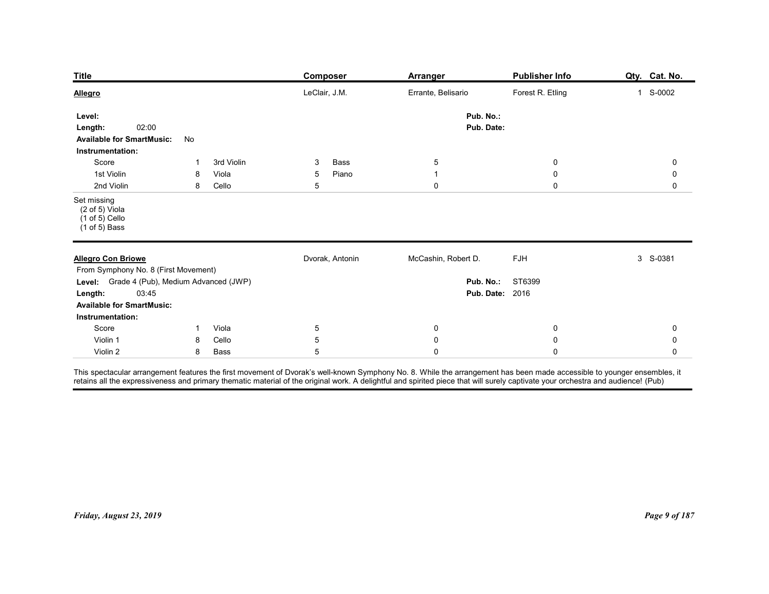| <b>Title</b>                                                                                                            |              |                     | <b>Composer</b>         | <b>Arranger</b>              | Publisher Info                                    | Qty. Cat. No.       |
|-------------------------------------------------------------------------------------------------------------------------|--------------|---------------------|-------------------------|------------------------------|---------------------------------------------------|---------------------|
| <b>Allegro</b>                                                                                                          |              |                     | LeClair, J.M.           | Errante, Belisario           | Forest R. Etling                                  | 1 S-0002            |
| Level:                                                                                                                  |              |                     |                         | Pub. No.:                    |                                                   |                     |
| 02:00<br>Length:<br><b>Available for SmartMusic:</b><br>Instrumentation:                                                | No           |                     |                         | Pub. Date:                   |                                                   |                     |
| Score<br>1st Violin                                                                                                     | 8            | 3rd Violin<br>Viola | Bass<br>3<br>Piano<br>5 | $\sqrt{5}$<br>$\overline{1}$ | $\mathbf 0$<br>$\mathbf 0$                        | $\mathbf 0$<br>0    |
| 2nd Violin                                                                                                              | 8            | Cello               | $5\,$                   | $\mathbf 0$                  | $\mathbf 0$                                       | 0                   |
| Set missing<br>$(2 \text{ of } 5)$ Viola<br>$(1 of 5)$ Cello<br>$(1 of 5)$ Bass                                         |              |                     |                         |                              |                                                   |                     |
| <b>Allegro Con Briowe</b><br>From Symphony No. 8 (First Movement)                                                       |              |                     | Dvorak, Antonin         | McCashin, Robert D.          | FJH                                               | 3 S-0381            |
| Level: Grade 4 (Pub), Medium Advanced (JWP)<br>03:45<br>Length:<br><b>Available for SmartMusic:</b><br>Instrumentation: |              |                     |                         |                              | <b>Pub. No.: ST6399</b><br><b>Pub. Date: 2016</b> |                     |
| Score                                                                                                                   | $\mathbf{1}$ | Viola               | $5\phantom{.0}$         | $\overline{0}$               | $\mathbf 0$                                       | 0                   |
| Violin 1                                                                                                                |              | Cello               | $\sqrt{5}$              | $\pmb{0}$                    | $\pmb{0}$                                         | $\mathsf{O}\xspace$ |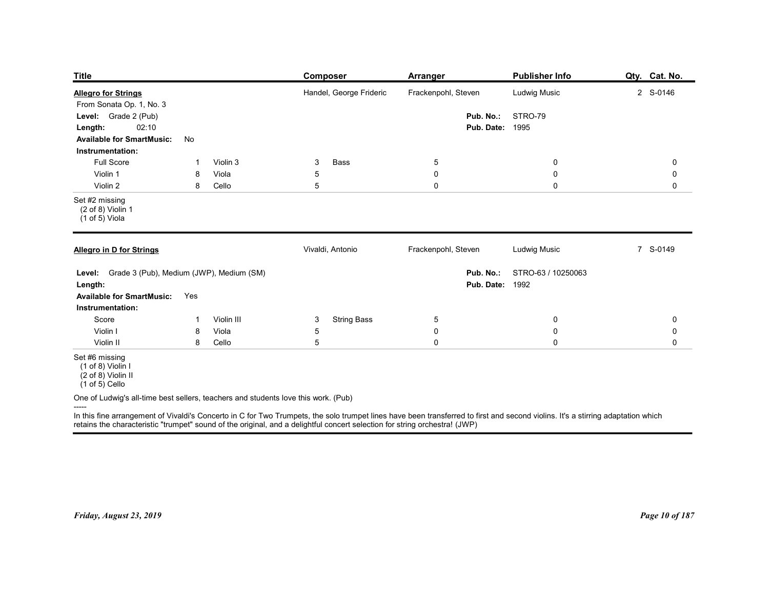| <b>Title</b>                                                                             |                          | Composer                                                                                                                                                                         | Arranger                  | <b>Publisher Info</b>                        | Qty. Cat. No.              |
|------------------------------------------------------------------------------------------|--------------------------|----------------------------------------------------------------------------------------------------------------------------------------------------------------------------------|---------------------------|----------------------------------------------|----------------------------|
| <b>Allegro for Strings</b><br>From Sonata Op. 1, No. 3                                   |                          | Handel, George Frideric                                                                                                                                                          | Frackenpohl, Steven       | Ludwig Music                                 | 2 S-0146                   |
| Grade 2 (Pub)<br>Level:<br>02:10<br>Length:<br><b>Available for SmartMusic:</b>          | No                       |                                                                                                                                                                                  | Pub. No.:<br>Pub. Date:   | STRO-79<br>1995                              |                            |
| Instrumentation:<br><b>Full Score</b>                                                    | Violin 3<br>-1           | Bass<br>3                                                                                                                                                                        | $\overline{5}$            | $\overline{0}$                               | 0                          |
| Violin 1<br>Violin 2                                                                     | Viola<br>8<br>8<br>Cello | 5<br>5                                                                                                                                                                           | $\pmb{0}$<br>$\mathsf{O}$ | $\boldsymbol{0}$<br>$\mathbf 0$              | 0<br>0                     |
| Set #2 missing<br>(2 of 8) Violin 1<br>(1 of 5) Viola                                    |                          |                                                                                                                                                                                  |                           |                                              |                            |
| Allegro in D for Strings                                                                 |                          | Vivaldi, Antonio                                                                                                                                                                 | Frackenpohl, Steven       | Ludwig Music                                 | 7 S-0149                   |
| Level: Grade 3 (Pub), Medium (JWP), Medium (SM)<br>Length:                               |                          |                                                                                                                                                                                  | Pub. No.:                 | STRO-63 / 10250063<br><b>Pub. Date: 1992</b> |                            |
| <b>Available for SmartMusic:</b><br>Instrumentation:                                     | Yes                      |                                                                                                                                                                                  |                           |                                              |                            |
| Score                                                                                    | Violin III<br>-1         | <b>String Bass</b><br>3                                                                                                                                                          | $5\phantom{.0}$           | $\bf{0}$                                     | 0                          |
| Violin I<br>Violin II                                                                    | Viola<br>8<br>8<br>Cello | 5<br>$5\phantom{.0}$                                                                                                                                                             | $\pmb{0}$<br>$\mathbf 0$  | $\mathbf 0$<br>$\mathbf 0$                   | $\mathbf 0$<br>$\mathbf 0$ |
| Set #6 missing<br>(1 of 8) Violin I<br>$(2 \text{ of } 8)$ Violin II<br>$(1 of 5)$ Cello |                          |                                                                                                                                                                                  |                           |                                              |                            |
|                                                                                          |                          | One of Ludwig's all-time best sellers, teachers and students love this work. (Pub)                                                                                               |                           |                                              |                            |
| -----                                                                                    |                          | In this fine arrangement of Vivaldi's Concerto in C for Two Trumpets, the solo trumpet lines have been transferred to first and second violins. It's a stirring adaptation which |                           |                                              |                            |
|                                                                                          |                          | retains the characteristic "trumpet" sound of the original, and a delightful concert selection for string orchestra! (JWP)                                                       |                           |                                              |                            |
|                                                                                          |                          |                                                                                                                                                                                  |                           |                                              |                            |
|                                                                                          |                          |                                                                                                                                                                                  |                           |                                              |                            |
|                                                                                          |                          |                                                                                                                                                                                  |                           |                                              |                            |
|                                                                                          |                          |                                                                                                                                                                                  |                           |                                              |                            |
|                                                                                          |                          |                                                                                                                                                                                  |                           |                                              |                            |
| Friday, August 23, 2019                                                                  |                          |                                                                                                                                                                                  |                           |                                              | Page 10 of 187             |
|                                                                                          |                          |                                                                                                                                                                                  |                           |                                              |                            |
|                                                                                          |                          |                                                                                                                                                                                  |                           |                                              |                            |
|                                                                                          |                          |                                                                                                                                                                                  |                           |                                              |                            |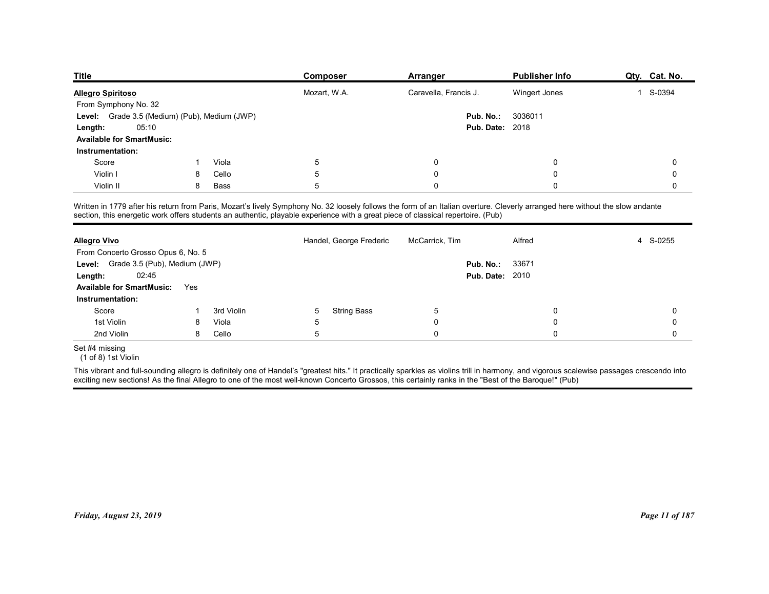| Publisher Info<br>Qty. Cat. No.<br><b>Composer</b><br>Arranger<br>Mozart, W.A.<br>Caravella, Francis J.<br>S-0394<br>Wingert Jones<br>$\overline{1}$<br>Grade 3.5 (Medium) (Pub), Medium (JWP)<br>Pub. No.:<br>3036011<br>05:10<br><b>Pub. Date: 2018</b><br>Viola<br>Score<br>5<br>$\Omega$<br>0<br>0<br>Violin I<br>Cello<br>5<br>$\mathbf 0$<br>$\Omega$<br>0<br>8<br>5<br>Violin II<br>8<br>Bass<br>$\Omega$<br>0<br>0<br>Handel, George Frederic<br>S-0255<br>McCarrick, Tim<br>Alfred<br>4<br>Pub. No.:<br>33671<br>02:45<br><b>Pub. Date: 2010</b><br>Yes<br><b>String Bass</b><br>Score<br>3rd Violin<br>5<br>5<br>0<br>0<br>-1<br>1st Violin<br>Viola<br>0<br>0<br>8<br>5<br>$\sqrt{5}$<br>$\mathbf 0$<br>2nd Violin<br>Cello<br>0<br>0<br>8<br>(1 of 8) 1st Violin |                     |  |  |  |
|------------------------------------------------------------------------------------------------------------------------------------------------------------------------------------------------------------------------------------------------------------------------------------------------------------------------------------------------------------------------------------------------------------------------------------------------------------------------------------------------------------------------------------------------------------------------------------------------------------------------------------------------------------------------------------------------------------------------------------------------------------------------------|---------------------|--|--|--|
| From Symphony No. 32<br>Level:<br>Length:<br><b>Available for SmartMusic:</b><br>Instrumentation:<br>From Concerto Grosso Opus 6, No. 5<br>Level: Grade 3.5 (Pub), Medium (JWP)<br>Length:<br><b>Available for SmartMusic:</b>                                                                                                                                                                                                                                                                                                                                                                                                                                                                                                                                               |                     |  |  |  |
|                                                                                                                                                                                                                                                                                                                                                                                                                                                                                                                                                                                                                                                                                                                                                                              |                     |  |  |  |
|                                                                                                                                                                                                                                                                                                                                                                                                                                                                                                                                                                                                                                                                                                                                                                              |                     |  |  |  |
| Instrumentation:                                                                                                                                                                                                                                                                                                                                                                                                                                                                                                                                                                                                                                                                                                                                                             |                     |  |  |  |
| <b>Title</b><br><b>Allegro Spiritoso</b><br>Written in 1779 after his return from Paris, Mozart's lively Symphony No. 32 loosely follows the form of an Italian overture. Cleverly arranged here without the slow andante<br>section, this energetic work offers students an authentic, playable experience with a great piece of classical repertoire. (Pub)<br>Set #4 missing                                                                                                                                                                                                                                                                                                                                                                                              |                     |  |  |  |
|                                                                                                                                                                                                                                                                                                                                                                                                                                                                                                                                                                                                                                                                                                                                                                              |                     |  |  |  |
|                                                                                                                                                                                                                                                                                                                                                                                                                                                                                                                                                                                                                                                                                                                                                                              |                     |  |  |  |
|                                                                                                                                                                                                                                                                                                                                                                                                                                                                                                                                                                                                                                                                                                                                                                              |                     |  |  |  |
|                                                                                                                                                                                                                                                                                                                                                                                                                                                                                                                                                                                                                                                                                                                                                                              |                     |  |  |  |
|                                                                                                                                                                                                                                                                                                                                                                                                                                                                                                                                                                                                                                                                                                                                                                              |                     |  |  |  |
|                                                                                                                                                                                                                                                                                                                                                                                                                                                                                                                                                                                                                                                                                                                                                                              |                     |  |  |  |
|                                                                                                                                                                                                                                                                                                                                                                                                                                                                                                                                                                                                                                                                                                                                                                              |                     |  |  |  |
|                                                                                                                                                                                                                                                                                                                                                                                                                                                                                                                                                                                                                                                                                                                                                                              |                     |  |  |  |
|                                                                                                                                                                                                                                                                                                                                                                                                                                                                                                                                                                                                                                                                                                                                                                              |                     |  |  |  |
|                                                                                                                                                                                                                                                                                                                                                                                                                                                                                                                                                                                                                                                                                                                                                                              |                     |  |  |  |
|                                                                                                                                                                                                                                                                                                                                                                                                                                                                                                                                                                                                                                                                                                                                                                              |                     |  |  |  |
|                                                                                                                                                                                                                                                                                                                                                                                                                                                                                                                                                                                                                                                                                                                                                                              |                     |  |  |  |
|                                                                                                                                                                                                                                                                                                                                                                                                                                                                                                                                                                                                                                                                                                                                                                              |                     |  |  |  |
|                                                                                                                                                                                                                                                                                                                                                                                                                                                                                                                                                                                                                                                                                                                                                                              |                     |  |  |  |
|                                                                                                                                                                                                                                                                                                                                                                                                                                                                                                                                                                                                                                                                                                                                                                              |                     |  |  |  |
|                                                                                                                                                                                                                                                                                                                                                                                                                                                                                                                                                                                                                                                                                                                                                                              |                     |  |  |  |
|                                                                                                                                                                                                                                                                                                                                                                                                                                                                                                                                                                                                                                                                                                                                                                              |                     |  |  |  |
|                                                                                                                                                                                                                                                                                                                                                                                                                                                                                                                                                                                                                                                                                                                                                                              |                     |  |  |  |
|                                                                                                                                                                                                                                                                                                                                                                                                                                                                                                                                                                                                                                                                                                                                                                              |                     |  |  |  |
|                                                                                                                                                                                                                                                                                                                                                                                                                                                                                                                                                                                                                                                                                                                                                                              |                     |  |  |  |
|                                                                                                                                                                                                                                                                                                                                                                                                                                                                                                                                                                                                                                                                                                                                                                              |                     |  |  |  |
|                                                                                                                                                                                                                                                                                                                                                                                                                                                                                                                                                                                                                                                                                                                                                                              |                     |  |  |  |
|                                                                                                                                                                                                                                                                                                                                                                                                                                                                                                                                                                                                                                                                                                                                                                              |                     |  |  |  |
|                                                                                                                                                                                                                                                                                                                                                                                                                                                                                                                                                                                                                                                                                                                                                                              | <b>Allegro Vivo</b> |  |  |  |
|                                                                                                                                                                                                                                                                                                                                                                                                                                                                                                                                                                                                                                                                                                                                                                              |                     |  |  |  |
|                                                                                                                                                                                                                                                                                                                                                                                                                                                                                                                                                                                                                                                                                                                                                                              |                     |  |  |  |
|                                                                                                                                                                                                                                                                                                                                                                                                                                                                                                                                                                                                                                                                                                                                                                              |                     |  |  |  |
|                                                                                                                                                                                                                                                                                                                                                                                                                                                                                                                                                                                                                                                                                                                                                                              |                     |  |  |  |
|                                                                                                                                                                                                                                                                                                                                                                                                                                                                                                                                                                                                                                                                                                                                                                              |                     |  |  |  |
|                                                                                                                                                                                                                                                                                                                                                                                                                                                                                                                                                                                                                                                                                                                                                                              |                     |  |  |  |
|                                                                                                                                                                                                                                                                                                                                                                                                                                                                                                                                                                                                                                                                                                                                                                              |                     |  |  |  |

| <b>Allegro Vivo</b>                                                                                                                                                                                                                                                                                                                               |     |            |                | Handel, George Frederic | McCarrick, Tim |                        | Alfred |             | 4 S-0255       |
|---------------------------------------------------------------------------------------------------------------------------------------------------------------------------------------------------------------------------------------------------------------------------------------------------------------------------------------------------|-----|------------|----------------|-------------------------|----------------|------------------------|--------|-------------|----------------|
| From Concerto Grosso Opus 6, No. 5                                                                                                                                                                                                                                                                                                                |     |            |                |                         |                |                        |        |             |                |
| Level: Grade 3.5 (Pub), Medium (JWP)                                                                                                                                                                                                                                                                                                              |     |            |                |                         |                | Pub. No.:              | 33671  |             |                |
| 02:45<br>Length:                                                                                                                                                                                                                                                                                                                                  |     |            |                |                         |                | <b>Pub. Date: 2010</b> |        |             |                |
| <b>Available for SmartMusic:</b>                                                                                                                                                                                                                                                                                                                  | Yes |            |                |                         |                |                        |        |             |                |
| Instrumentation:                                                                                                                                                                                                                                                                                                                                  |     |            |                |                         |                |                        |        |             |                |
| Score                                                                                                                                                                                                                                                                                                                                             |     | 3rd Violin | 5              | <b>String Bass</b>      | 5              |                        |        | $\mathbf 0$ | $\mathbf 0$    |
| 1st Violin                                                                                                                                                                                                                                                                                                                                        | 8   | Viola      | 5              |                         | 0              |                        |        | 0           | 0              |
| 2nd Violin                                                                                                                                                                                                                                                                                                                                        | 8   | Cello      | $\overline{5}$ |                         | $\mathbf{0}$   |                        |        | $\Omega$    | $\mathbf 0$    |
| Set #4 missing<br>(1 of 8) 1st Violin                                                                                                                                                                                                                                                                                                             |     |            |                |                         |                |                        |        |             |                |
| This vibrant and full-sounding allegro is definitely one of Handel's "greatest hits." It practically sparkles as violins trill in harmony, and vigorous scalewise passages crescendo into<br>exciting new sections! As the final Allegro to one of the most well-known Concerto Grossos, this certainly ranks in the "Best of the Baroque!" (Pub) |     |            |                |                         |                |                        |        |             |                |
|                                                                                                                                                                                                                                                                                                                                                   |     |            |                |                         |                |                        |        |             |                |
| Friday, August 23, 2019                                                                                                                                                                                                                                                                                                                           |     |            |                |                         |                |                        |        |             | Page 11 of 187 |
|                                                                                                                                                                                                                                                                                                                                                   |     |            |                |                         |                |                        |        |             |                |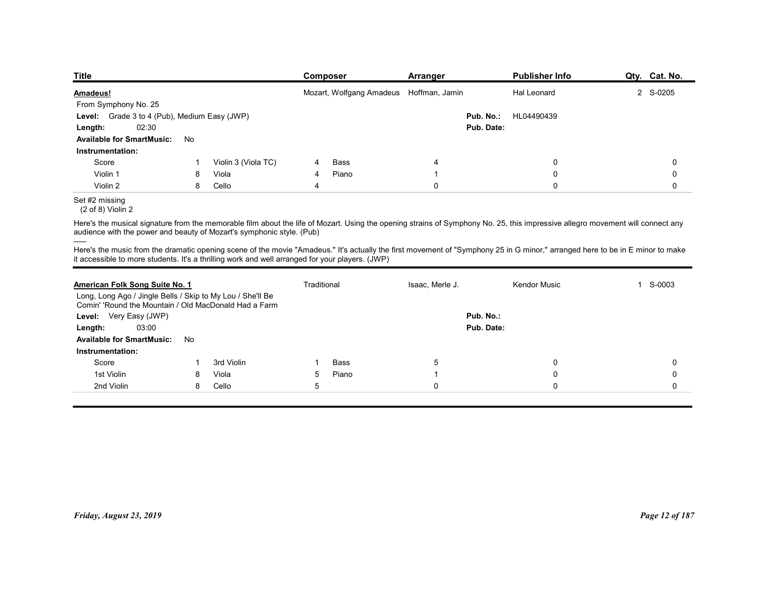| <b>Title</b>                                                                                                                                                                                                                                                                     |        |                     |             | Composer                                | Arranger          |                         | <b>Publisher Info</b> | Qty. Cat. No. |
|----------------------------------------------------------------------------------------------------------------------------------------------------------------------------------------------------------------------------------------------------------------------------------|--------|---------------------|-------------|-----------------------------------------|-------------------|-------------------------|-----------------------|---------------|
| <b>Amadeus!</b>                                                                                                                                                                                                                                                                  |        |                     |             | Mozart, Wolfgang Amadeus Hoffman, Jamin |                   |                         | <b>Hal Leonard</b>    | 2 S-0205      |
| From Symphony No. 25                                                                                                                                                                                                                                                             |        |                     |             |                                         |                   |                         |                       |               |
| Level: Grade 3 to 4 (Pub), Medium Easy (JWP)<br>02:30<br>Length:                                                                                                                                                                                                                 |        |                     |             |                                         |                   | Pub. No.:<br>Pub. Date: | HL04490439            |               |
| <b>Available for SmartMusic:</b>                                                                                                                                                                                                                                                 | No     |                     |             |                                         |                   |                         |                       |               |
| Instrumentation:                                                                                                                                                                                                                                                                 |        |                     |             |                                         |                   |                         |                       |               |
| Score                                                                                                                                                                                                                                                                            |        | Violin 3 (Viola TC) |             | Bass                                    | 4                 |                         | 0                     | 0             |
| Violin 1<br>Violin 2                                                                                                                                                                                                                                                             | 8<br>8 | Viola<br>Cello      | 4<br>4      | Piano                                   | -1<br>$\mathbf 0$ |                         | 0<br>$\mathbf 0$      | 0<br>0        |
|                                                                                                                                                                                                                                                                                  |        |                     |             |                                         |                   |                         |                       |               |
| Set #2 missing                                                                                                                                                                                                                                                                   |        |                     |             |                                         |                   |                         |                       |               |
| (2 of 8) Violin 2<br>Here's the musical signature from the memorable film about the life of Mozart. Using the opening strains of Symphony No. 25, this impressive allegro movement will connect any<br>audience with the power and beauty of Mozart's symphonic style. (Pub)     |        |                     |             |                                         |                   |                         |                       |               |
| Here's the music from the dramatic opening scene of the movie "Amadeus." It's actually the first movement of "Symphony 25 in G minor," arranged here to be in E minor to make<br>it accessible to more students. It's a thrilling work and well arranged for your players. (JWP) |        |                     |             |                                         |                   |                         |                       |               |
|                                                                                                                                                                                                                                                                                  |        |                     | Traditional |                                         | Isaac, Merle J.   |                         | Kendor Music          | 1 S-0003      |
| American Folk Song Suite No. 1<br>Long, Long Ago / Jingle Bells / Skip to My Lou / She'll Be                                                                                                                                                                                     |        |                     |             |                                         |                   |                         |                       |               |
| Comin' 'Round the Mountain / Old MacDonald Had a Farm                                                                                                                                                                                                                            |        |                     |             |                                         |                   |                         |                       |               |
| Level: Very Easy (JWP)<br>03:00<br>Length:                                                                                                                                                                                                                                       |        |                     |             |                                         |                   | Pub. No.:<br>Pub. Date: |                       |               |

## Set #2 missing

| Level: Grade 3 to 4 (Pub), Medium Easy (JWP)<br>02:30                                                               |    |                     |                          |               |                     | Pub. No.: HL04490439<br>Pub. Date:                                                                                                                                             |                |
|---------------------------------------------------------------------------------------------------------------------|----|---------------------|--------------------------|---------------|---------------------|--------------------------------------------------------------------------------------------------------------------------------------------------------------------------------|----------------|
| Length:<br><b>Available for SmartMusic:</b><br>Instrumentation:                                                     | No |                     |                          |               |                     |                                                                                                                                                                                |                |
| Score                                                                                                               | 1  | Violin 3 (Viola TC) | 4                        | <b>Bass</b>   | 4                   | 0                                                                                                                                                                              | 0              |
| Violin 1                                                                                                            | 8  | Viola               | 4                        | Piano         | -1                  | 0                                                                                                                                                                              | $\mathbf 0$    |
| Violin 2                                                                                                            | 8  | Cello               | $\overline{\mathcal{A}}$ |               | $\mathbf 0$         | 0                                                                                                                                                                              | 0              |
| Set #2 missing<br>$(2 of 8)$ Violin 2                                                                               |    |                     |                          |               |                     |                                                                                                                                                                                |                |
| audience with the power and beauty of Mozart's symphonic style. (Pub)                                               |    |                     |                          |               |                     | Here's the musical signature from the memorable film about the life of Mozart. Using the opening strains of Symphony No. 25, this impressive allegro movement will connect any |                |
| it accessible to more students. It's a thrilling work and well arranged for your players. (JWP)                     |    |                     |                          |               |                     | Here's the music from the dramatic opening scene of the movie "Amadeus." It's actually the first movement of "Symphony 25 in G minor," arranged here to be in E minor to make  |                |
| American Folk Song Suite No. 1                                                                                      |    |                     |                          | Traditional   | Isaac, Merle J.     | Kendor Music                                                                                                                                                                   | 1 S-0003       |
| Long, Long Ago / Jingle Bells / Skip to My Lou / She'll Be<br>Comin' 'Round the Mountain / Old MacDonald Had a Farm |    |                     |                          |               |                     |                                                                                                                                                                                |                |
| Level: Very Easy (JWP)                                                                                              |    |                     |                          |               | Pub. No.:           |                                                                                                                                                                                |                |
| 03:00<br>Length:                                                                                                    |    |                     |                          |               |                     | Pub. Date:                                                                                                                                                                     |                |
| <b>Available for SmartMusic:</b>                                                                                    | No |                     |                          |               |                     |                                                                                                                                                                                |                |
| Instrumentation:                                                                                                    |    |                     |                          |               |                     |                                                                                                                                                                                |                |
| Score<br>1st Violin                                                                                                 | 8  | 3rd Violin<br>Viola | 5                        | Bass<br>Piano | 5<br>$\overline{1}$ | 0<br>0                                                                                                                                                                         | 0<br>0         |
| 2nd Violin                                                                                                          | 8  | Cello               | 5                        |               | $\mathbf 0$         | 0                                                                                                                                                                              | 0              |
|                                                                                                                     |    |                     |                          |               |                     |                                                                                                                                                                                |                |
|                                                                                                                     |    |                     |                          |               |                     |                                                                                                                                                                                |                |
|                                                                                                                     |    |                     |                          |               |                     |                                                                                                                                                                                |                |
|                                                                                                                     |    |                     |                          |               |                     |                                                                                                                                                                                |                |
| Friday, August 23, 2019                                                                                             |    |                     |                          |               |                     |                                                                                                                                                                                | Page 12 of 187 |
|                                                                                                                     |    |                     |                          |               |                     |                                                                                                                                                                                |                |
|                                                                                                                     |    |                     |                          |               |                     |                                                                                                                                                                                |                |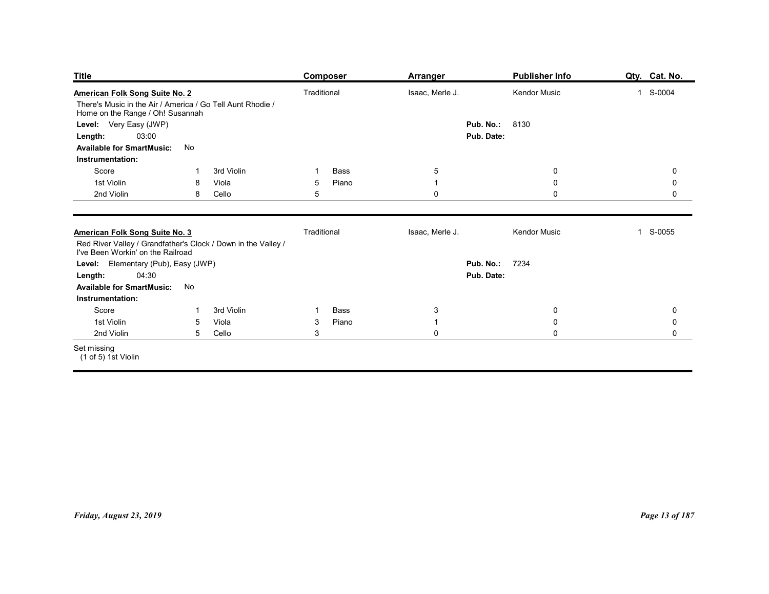| <b>Title</b>                                                                                       |                            | <b>Composer</b>          | <b>Arranger</b>             | <b>Publisher Info</b>    | Qty. Cat. No.            |
|----------------------------------------------------------------------------------------------------|----------------------------|--------------------------|-----------------------------|--------------------------|--------------------------|
| American Folk Song Suite No. 2                                                                     |                            | Traditional              | Isaac, Merle J.             | Kendor Music             | 1 S-0004                 |
| There's Music in the Air / America / Go Tell Aunt Rhodie /<br>Home on the Range / Oh! Susannah     |                            |                          |                             |                          |                          |
| Level: Very Easy (JWP)<br>03:00<br>Length:                                                         |                            |                          | Pub. No.:                   | 8130<br>Pub. Date:       |                          |
| <b>Available for SmartMusic:</b>                                                                   | No                         |                          |                             |                          |                          |
| Instrumentation:<br>Score                                                                          | -1                         | Bass                     |                             |                          |                          |
| 1st Violin                                                                                         | 3rd Violin<br>Viola<br>8   | Piano<br>$5\overline{)}$ | $\sqrt{5}$<br>$\mathbf{1}$  | $\pmb{0}$<br>$\pmb{0}$   | $\pmb{0}$<br>$\mathbf 0$ |
| 2nd Violin                                                                                         | Cello<br>8                 | 5                        | $\mathbf 0$                 | $\mathsf{O}\xspace$      | $\mathbf 0$              |
| American Folk Song Suite No. 3                                                                     |                            | Traditional              | Isaac, Merle J.             | Kendor Music             | 1 S-0055                 |
| Red River Valley / Grandfather's Clock / Down in the Valley /<br>I've Been Workin' on the Railroad |                            |                          |                             |                          |                          |
| Level: Elementary (Pub), Easy (JWP)                                                                |                            |                          |                             | <b>Pub. No.: 7234</b>    |                          |
| Length:<br>04:30<br><b>Available for SmartMusic:</b>                                               | No                         |                          |                             | Pub. Date:               |                          |
| Instrumentation:                                                                                   |                            |                          |                             |                          |                          |
| Score                                                                                              | 3rd Violin<br>$\mathbf{1}$ | Bass<br>$\mathbf 1$      | $\mathbf{3}$                | $\mathbf 0$              | $\mathbf 0$              |
| 1st Violin                                                                                         | Viola<br>$5\phantom{.0}$   | Piano<br>$\mathbf{3}$    | $\mathbf{1}$<br>$\mathbf 0$ | $\pmb{0}$<br>$\mathsf 0$ | $\pmb{0}$                |
| 2nd Violin<br>Set missing                                                                          | 5 Cello                    | $\mathbf{3}$             |                             |                          | $\mathsf{O}\xspace$      |
| (1 of 5) 1st Violin                                                                                |                            |                          |                             |                          |                          |
|                                                                                                    |                            |                          |                             |                          |                          |
|                                                                                                    |                            |                          |                             |                          |                          |
|                                                                                                    |                            |                          |                             |                          |                          |
|                                                                                                    |                            |                          |                             |                          |                          |
|                                                                                                    |                            |                          |                             |                          |                          |
|                                                                                                    |                            |                          |                             |                          |                          |
|                                                                                                    |                            |                          |                             |                          |                          |
|                                                                                                    |                            |                          |                             |                          |                          |
|                                                                                                    |                            |                          |                             |                          |                          |
| Friday, August 23, 2019                                                                            |                            |                          |                             |                          |                          |
|                                                                                                    |                            |                          |                             |                          | Page 13 of 187           |
|                                                                                                    |                            |                          |                             |                          |                          |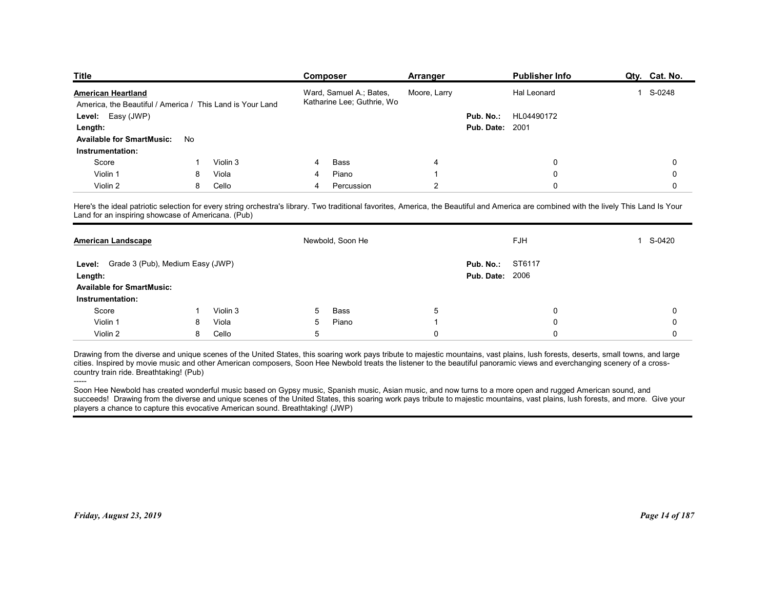| <b>Title</b>                                       |                                                           | Composer                                                                                                                                                                                | <b>Arranger</b> |                        | <b>Publisher Info</b> |   | Qty. Cat. No. |
|----------------------------------------------------|-----------------------------------------------------------|-----------------------------------------------------------------------------------------------------------------------------------------------------------------------------------------|-----------------|------------------------|-----------------------|---|---------------|
| <b>American Heartland</b>                          |                                                           | Ward, Samuel A.; Bates,                                                                                                                                                                 | Moore, Larry    |                        | Hal Leonard           |   | 1 S-0248      |
|                                                    | America, the Beautiful / America / This Land is Your Land | Katharine Lee; Guthrie, Wo                                                                                                                                                              |                 |                        |                       |   |               |
| Level: Easy (JWP)                                  |                                                           |                                                                                                                                                                                         |                 | Pub. No.:              | HL04490172            |   |               |
| Length:                                            |                                                           |                                                                                                                                                                                         |                 | <b>Pub. Date: 2001</b> |                       |   |               |
| <b>Available for SmartMusic:</b>                   | No                                                        |                                                                                                                                                                                         |                 |                        |                       |   |               |
| Instrumentation:<br>Score                          | Violin 3                                                  | Bass                                                                                                                                                                                    | 4               |                        |                       |   |               |
|                                                    |                                                           |                                                                                                                                                                                         |                 |                        | 0                     |   | 0             |
|                                                    |                                                           |                                                                                                                                                                                         |                 |                        |                       |   |               |
| Violin 1                                           | Viola<br>8                                                | Piano                                                                                                                                                                                   |                 |                        | 0                     |   | 0             |
| Violin 2                                           | 8<br>Cello                                                | Percussion<br>4                                                                                                                                                                         | $\overline{2}$  |                        | 0                     |   | 0             |
| Land for an inspiring showcase of Americana. (Pub) |                                                           | Here's the ideal patriotic selection for every string orchestra's library. Two traditional favorites, America, the Beautiful and America are combined with the lively This Land Is Your |                 |                        |                       |   |               |
| <b>American Landscape</b>                          |                                                           | Newbold, Soon He                                                                                                                                                                        |                 |                        | ${\sf FJH}$           | 1 | S-0420        |
|                                                    |                                                           |                                                                                                                                                                                         |                 |                        |                       |   |               |
| Level: Grade 3 (Pub), Medium Easy (JWP)            |                                                           |                                                                                                                                                                                         |                 | Pub. No.: ST6117       |                       |   |               |
| Length:                                            |                                                           |                                                                                                                                                                                         |                 | <b>Pub. Date: 2006</b> |                       |   |               |
| <b>Available for SmartMusic:</b>                   |                                                           |                                                                                                                                                                                         |                 |                        |                       |   |               |
| Instrumentation:                                   | 1                                                         |                                                                                                                                                                                         |                 |                        |                       |   |               |
| Score<br>Violin 1                                  | Violin 3<br>Viola<br>8                                    | Bass<br>5<br>Piano<br>5                                                                                                                                                                 | $\sqrt{5}$      |                        | 0<br>$\Omega$         |   | 0<br>0        |

| <b>American Heartland</b>                                                                                                                                                                                                                                                                                                                                                                                                                                                                                                                                                                                                                                                                                                                                                                                                                   |    |          |   | Ward, Samuel A.; Bates,<br>Katharine Lee; Guthrie, Wo | Moore, Larry   |                                     | Hal Leonard  | 1 S-0248    |
|---------------------------------------------------------------------------------------------------------------------------------------------------------------------------------------------------------------------------------------------------------------------------------------------------------------------------------------------------------------------------------------------------------------------------------------------------------------------------------------------------------------------------------------------------------------------------------------------------------------------------------------------------------------------------------------------------------------------------------------------------------------------------------------------------------------------------------------------|----|----------|---|-------------------------------------------------------|----------------|-------------------------------------|--------------|-------------|
| America, the Beautiful / America / This Land is Your Land                                                                                                                                                                                                                                                                                                                                                                                                                                                                                                                                                                                                                                                                                                                                                                                   |    |          |   |                                                       |                |                                     |              |             |
| Level: Easy (JWP)                                                                                                                                                                                                                                                                                                                                                                                                                                                                                                                                                                                                                                                                                                                                                                                                                           |    |          |   |                                                       |                | Pub. No.:<br><b>Pub. Date: 2001</b> | HL04490172   |             |
| Length:<br><b>Available for SmartMusic:</b>                                                                                                                                                                                                                                                                                                                                                                                                                                                                                                                                                                                                                                                                                                                                                                                                 | No |          |   |                                                       |                |                                     |              |             |
| Instrumentation:                                                                                                                                                                                                                                                                                                                                                                                                                                                                                                                                                                                                                                                                                                                                                                                                                            |    |          |   |                                                       |                |                                     |              |             |
| Score                                                                                                                                                                                                                                                                                                                                                                                                                                                                                                                                                                                                                                                                                                                                                                                                                                       |    | Violin 3 | 4 | <b>Bass</b>                                           | $\overline{4}$ |                                     | 0            | $\mathbf 0$ |
| Violin 1                                                                                                                                                                                                                                                                                                                                                                                                                                                                                                                                                                                                                                                                                                                                                                                                                                    | 8  | Viola    | 4 | Piano                                                 |                |                                     | $\mathbf{0}$ | 0           |
| Violin 2                                                                                                                                                                                                                                                                                                                                                                                                                                                                                                                                                                                                                                                                                                                                                                                                                                    | 8  | Cello    | 4 | Percussion                                            | $\overline{2}$ |                                     | $\Omega$     | $\Omega$    |
|                                                                                                                                                                                                                                                                                                                                                                                                                                                                                                                                                                                                                                                                                                                                                                                                                                             |    |          |   |                                                       |                |                                     |              |             |
| Here's the ideal patriotic selection for every string orchestra's library. Two traditional favorites, America, the Beautiful and America are combined with the lively This Land Is Your<br>Land for an inspiring showcase of Americana. (Pub)                                                                                                                                                                                                                                                                                                                                                                                                                                                                                                                                                                                               |    |          |   |                                                       |                |                                     |              |             |
| <u> American Landscape</u>                                                                                                                                                                                                                                                                                                                                                                                                                                                                                                                                                                                                                                                                                                                                                                                                                  |    |          |   | Newbold, Soon He                                      |                |                                     | FJH          | 1 S-0420    |
| Level: Grade 3 (Pub), Medium Easy (JWP)                                                                                                                                                                                                                                                                                                                                                                                                                                                                                                                                                                                                                                                                                                                                                                                                     |    |          |   |                                                       |                | Pub. No.:                           | ST6117       |             |
| Length:                                                                                                                                                                                                                                                                                                                                                                                                                                                                                                                                                                                                                                                                                                                                                                                                                                     |    |          |   |                                                       |                | <b>Pub. Date: 2006</b>              |              |             |
| <b>Available for SmartMusic:</b>                                                                                                                                                                                                                                                                                                                                                                                                                                                                                                                                                                                                                                                                                                                                                                                                            |    |          |   |                                                       |                |                                     |              |             |
| Instrumentation:                                                                                                                                                                                                                                                                                                                                                                                                                                                                                                                                                                                                                                                                                                                                                                                                                            |    |          |   |                                                       |                |                                     |              |             |
| Score                                                                                                                                                                                                                                                                                                                                                                                                                                                                                                                                                                                                                                                                                                                                                                                                                                       | -1 | Violin 3 | 5 | Bass                                                  | 5              |                                     | 0            | 0           |
| Violin 1                                                                                                                                                                                                                                                                                                                                                                                                                                                                                                                                                                                                                                                                                                                                                                                                                                    | 8  | Viola    | 5 | Piano                                                 | $\overline{1}$ |                                     | $\mathbf 0$  | $\Omega$    |
| Violin 2                                                                                                                                                                                                                                                                                                                                                                                                                                                                                                                                                                                                                                                                                                                                                                                                                                    | 8  | Cello    | 5 |                                                       | $\mathbf 0$    |                                     | $\mathbf 0$  | $\mathbf 0$ |
| Drawing from the diverse and unique scenes of the United States, this soaring work pays tribute to majestic mountains, vast plains, lush forests, deserts, small towns, and large<br>cities. Inspired by movie music and other American composers, Soon Hee Newbold treats the listener to the beautiful panoramic views and everchanging scenery of a cross-<br>country train ride. Breathtaking! (Pub)<br>Soon Hee Newbold has created wonderful music based on Gypsy music, Spanish music, Asian music, and now turns to a more open and rugged American sound, and<br>succeeds! Drawing from the diverse and unique scenes of the United States, this soaring work pays tribute to majestic mountains, vast plains, lush forests, and more. Give your<br>players a chance to capture this evocative American sound. Breathtaking! (JWP) |    |          |   |                                                       |                |                                     |              |             |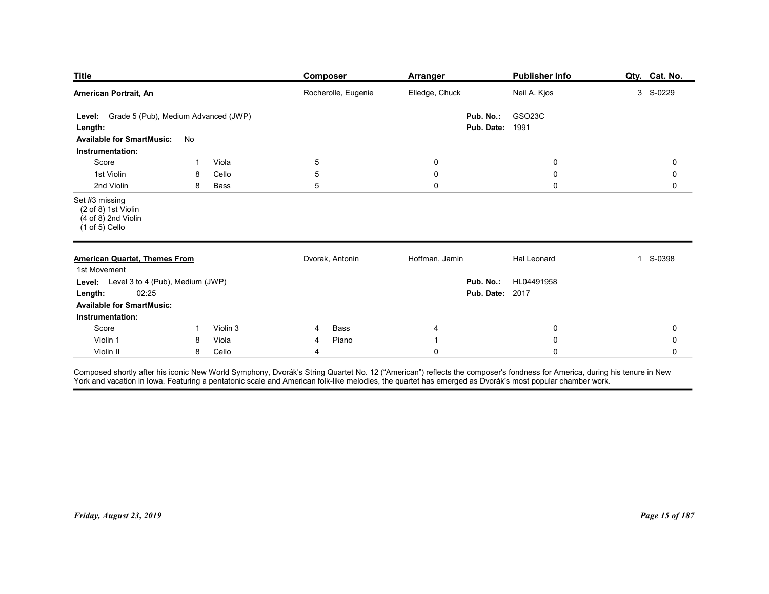| <b>Title</b>                                                                                                        |                          | <b>Composer</b>     | <b>Arranger</b>         | <b>Publisher Info</b>                          | Qty. Cat. No. |
|---------------------------------------------------------------------------------------------------------------------|--------------------------|---------------------|-------------------------|------------------------------------------------|---------------|
| <b>American Portrait, An</b>                                                                                        |                          | Rocherolle, Eugenie | Elledge, Chuck          | Neil A. Kjos                                   | 3 S-0229      |
| Level: Grade 5 (Pub), Medium Advanced (JWP)<br>Length:<br><b>Available for SmartMusic:</b>                          | No                       |                     | Pub. No.:<br>Pub. Date: | GSO23C<br>1991                                 |               |
| Instrumentation:<br>Score                                                                                           | Viola<br>-1              | 5                   | 0                       | 0                                              | 0             |
| 1st Violin                                                                                                          | Cello<br>8               | 5                   | $\boldsymbol{0}$        | 0                                              | 0             |
| 2nd Violin<br>Set #3 missing<br>(2 of 8) 1st Violin<br>$(4 \text{ of } 8)$ 2nd Violin<br>$(1 of 5)$ Cello           | 8<br>Bass                | 5                   | $\mathbf 0$             | $\mathbf 0$                                    | 0             |
| <b>American Quartet, Themes From</b><br>1st Movement                                                                |                          | Dvorak, Antonin     | Hoffman, Jamin          | Hal Leonard                                    | 1 S-0398      |
| Level: Level 3 to 4 (Pub), Medium (JWP)<br>02:25<br>Length:<br><b>Available for SmartMusic:</b><br>Instrumentation: |                          |                     |                         | Pub. No.: HL04491958<br><b>Pub. Date: 2017</b> |               |
| Score                                                                                                               | Violin 3<br>$\mathbf{1}$ | Bass<br>4           | 4                       | $\bf{0}$                                       | 0             |
| Violin 1                                                                                                            | Viola<br>8               | Piano<br>4<br>4     | -1<br>$\mathbf 0$       | $\mathbf 0$<br>$\mathbf 0$                     | 0<br>0        |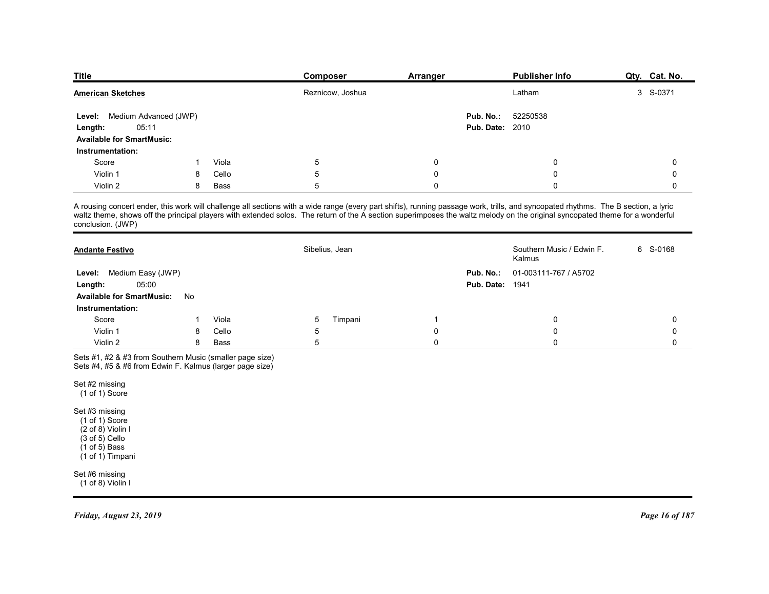| <b>Title</b>                                 |        |               | Composer         | Arranger         | <b>Publisher Info</b>                                                                                                                                                                                                                                                                                                                                              | Qty. Cat. No.    |
|----------------------------------------------|--------|---------------|------------------|------------------|--------------------------------------------------------------------------------------------------------------------------------------------------------------------------------------------------------------------------------------------------------------------------------------------------------------------------------------------------------------------|------------------|
| <b>American Sketches</b>                     |        |               | Reznicow, Joshua |                  | Latham                                                                                                                                                                                                                                                                                                                                                             | 3 S-0371         |
| Level: Medium Advanced (JWP)                 |        |               |                  |                  | Pub. No.:<br>52250538                                                                                                                                                                                                                                                                                                                                              |                  |
| 05:11<br>Length:                             |        |               |                  |                  | <b>Pub. Date: 2010</b>                                                                                                                                                                                                                                                                                                                                             |                  |
| <b>Available for SmartMusic:</b>             |        |               |                  |                  |                                                                                                                                                                                                                                                                                                                                                                    |                  |
| Instrumentation:                             |        |               |                  |                  |                                                                                                                                                                                                                                                                                                                                                                    |                  |
| Score                                        |        | Viola         | 5                | 0                | 0                                                                                                                                                                                                                                                                                                                                                                  | 0                |
| Violin 1                                     | 8      | Cello         | 5                | 0                | 0                                                                                                                                                                                                                                                                                                                                                                  | 0                |
| Violin 2                                     | 8      | Bass          | 5                | 0                | 0                                                                                                                                                                                                                                                                                                                                                                  | 0                |
|                                              |        |               |                  |                  |                                                                                                                                                                                                                                                                                                                                                                    |                  |
| conclusion. (JWP)                            |        |               |                  |                  | A rousing concert ender, this work will challenge all sections with a wide range (every part shifts), running passage work, trills, and syncopated rhythms. The B section, a lyric<br>waltz theme, shows off the principal players with extended solos. The return of the A section superimposes the waltz melody on the original syncopated theme for a wonderful |                  |
| <b>Andante Festivo</b>                       |        |               | Sibelius, Jean   |                  | Southern Music / Edwin F.<br>Kalmus                                                                                                                                                                                                                                                                                                                                | 6 S-0168         |
|                                              |        |               |                  |                  | 01-003111-767 / A5702<br>Pub. No.:                                                                                                                                                                                                                                                                                                                                 |                  |
| Level: Medium Easy (JWP)<br>05:00<br>Length: |        |               |                  |                  | <b>Pub. Date: 1941</b>                                                                                                                                                                                                                                                                                                                                             |                  |
| Available for SmartMusic: No                 |        |               |                  |                  |                                                                                                                                                                                                                                                                                                                                                                    |                  |
| Instrumentation:                             |        |               |                  |                  |                                                                                                                                                                                                                                                                                                                                                                    |                  |
| Score                                        |        | Viola         | Timpani<br>5     | -1               | 0                                                                                                                                                                                                                                                                                                                                                                  | 0                |
| Violin 1<br>Violin 2                         | 8<br>8 | Cello<br>Bass | 5<br>$\sqrt{5}$  | 0<br>$\mathbf 0$ | 0<br>$\mathbf 0$                                                                                                                                                                                                                                                                                                                                                   | 0<br>$\mathbf 0$ |

|                                                                                                                                                            |              |             | Reznicow, Joshua                                                                                                                                                                                                                                                                                                                                                   |                |                                     | Latham                              | 3 S-0371    |
|------------------------------------------------------------------------------------------------------------------------------------------------------------|--------------|-------------|--------------------------------------------------------------------------------------------------------------------------------------------------------------------------------------------------------------------------------------------------------------------------------------------------------------------------------------------------------------------|----------------|-------------------------------------|-------------------------------------|-------------|
| Medium Advanced (JWP)<br>Level:<br>05:11<br>Length:<br><b>Available for SmartMusic:</b>                                                                    |              |             |                                                                                                                                                                                                                                                                                                                                                                    |                | Pub. No.:<br><b>Pub. Date: 2010</b> | 52250538                            |             |
| Instrumentation:                                                                                                                                           |              |             |                                                                                                                                                                                                                                                                                                                                                                    |                |                                     |                                     |             |
| Score                                                                                                                                                      | $\mathbf{1}$ | Viola       | 5                                                                                                                                                                                                                                                                                                                                                                  | $\overline{0}$ |                                     | $\mathbf 0$                         | 0           |
| Violin 1                                                                                                                                                   | 8            | Cello       | $\sqrt{5}$                                                                                                                                                                                                                                                                                                                                                         | $\mathbf 0$    |                                     | $\mathbf 0$                         | 0           |
| Violin 2                                                                                                                                                   | 8            | <b>Bass</b> | $5\phantom{.0}$                                                                                                                                                                                                                                                                                                                                                    | $\pmb{0}$      |                                     | $\mathbf 0$                         | $\mathbf 0$ |
| conclusion. (JWP)                                                                                                                                          |              |             | A rousing concert ender, this work will challenge all sections with a wide range (every part shifts), running passage work, trills, and syncopated rhythms. The B section, a lyric<br>waltz theme, shows off the principal players with extended solos. The return of the A section superimposes the waltz melody on the original syncopated theme for a wonderful |                |                                     |                                     |             |
| <b>Andante Festivo</b>                                                                                                                                     |              |             | Sibelius, Jean                                                                                                                                                                                                                                                                                                                                                     |                |                                     | Southern Music / Edwin F.<br>Kalmus | 6 S-0168    |
| Medium Easy (JWP)<br>Level:                                                                                                                                |              |             |                                                                                                                                                                                                                                                                                                                                                                    |                | Pub. No.:                           | 01-003111-767 / A5702               |             |
| 05:00<br>Length:                                                                                                                                           |              |             |                                                                                                                                                                                                                                                                                                                                                                    |                | <b>Pub. Date: 1941</b>              |                                     |             |
| <b>Available for SmartMusic:</b>                                                                                                                           | No           |             |                                                                                                                                                                                                                                                                                                                                                                    |                |                                     |                                     |             |
| Instrumentation:                                                                                                                                           |              |             |                                                                                                                                                                                                                                                                                                                                                                    |                |                                     |                                     |             |
| Score                                                                                                                                                      | -1           | Viola       | $\overline{5}$<br>Timpani                                                                                                                                                                                                                                                                                                                                          | $\overline{1}$ |                                     | $\mathbf 0$                         | $\mathbf 0$ |
| Violin 1                                                                                                                                                   | 8            | Cello       | $\sqrt{5}$                                                                                                                                                                                                                                                                                                                                                         | $\pmb{0}$      |                                     | $\mathbf 0$                         | $\mathbf 0$ |
| Violin 2                                                                                                                                                   | 8            | Bass        | $5\phantom{.0}$                                                                                                                                                                                                                                                                                                                                                    | $\pmb{0}$      |                                     | $\mathbf 0$                         | 0           |
| Sets #1, #2 & #3 from Southern Music (smaller page size)<br>Sets #4, #5 & #6 from Edwin F. Kalmus (larger page size)                                       |              |             |                                                                                                                                                                                                                                                                                                                                                                    |                |                                     |                                     |             |
| Set #2 missing<br>$(1 of 1)$ Score                                                                                                                         |              |             |                                                                                                                                                                                                                                                                                                                                                                    |                |                                     |                                     |             |
| Set #3 missing<br>$(1 of 1)$ Score<br>$(2 \text{ of } 8)$ Violin I<br>$(3 \text{ of } 5)$ Cello<br>$(1 \text{ of } 5)$ Bass<br>$(1 \text{ of } 1)$ Timpani |              |             |                                                                                                                                                                                                                                                                                                                                                                    |                |                                     |                                     |             |
| Set #6 missing<br>(1 of 8) Violin I                                                                                                                        |              |             |                                                                                                                                                                                                                                                                                                                                                                    |                |                                     |                                     |             |
|                                                                                                                                                            |              |             |                                                                                                                                                                                                                                                                                                                                                                    |                |                                     |                                     |             |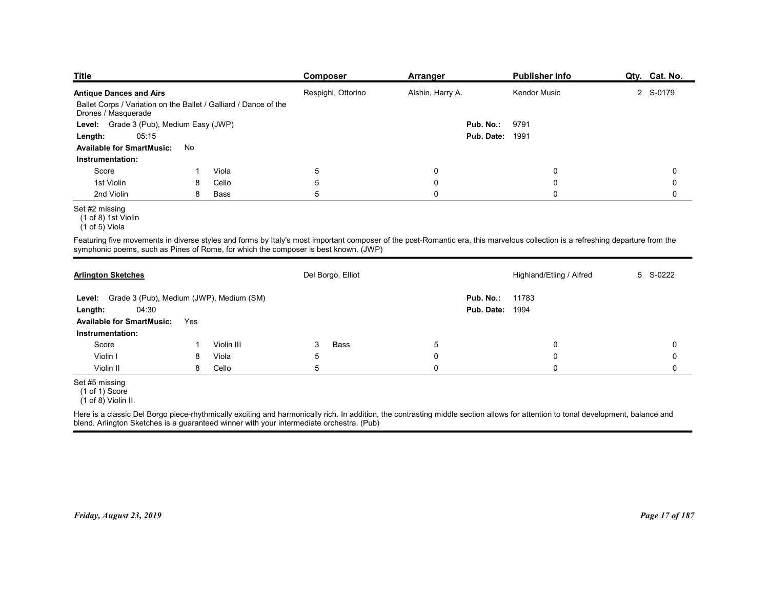| <b>Title</b>                                                                                                              |     |            | <b>Composer</b>                                                                                                                                                                                                                                                       | <b>Arranger</b>  | <b>Publisher Info</b>                        | Qty. Cat. No. |
|---------------------------------------------------------------------------------------------------------------------------|-----|------------|-----------------------------------------------------------------------------------------------------------------------------------------------------------------------------------------------------------------------------------------------------------------------|------------------|----------------------------------------------|---------------|
| <b>Antique Dances and Airs</b><br>Ballet Corps / Variation on the Ballet / Galliard / Dance of the<br>Drones / Masquerade |     |            | Respighi, Ottorino                                                                                                                                                                                                                                                    | Alshin, Harry A. | <b>Kendor Music</b>                          | 2 S-0179      |
| Grade 3 (Pub), Medium Easy (JWP)<br>Level:                                                                                |     |            |                                                                                                                                                                                                                                                                       |                  | 9791<br>Pub. No.:                            |               |
| 05:15<br>Length:                                                                                                          |     |            |                                                                                                                                                                                                                                                                       |                  | <b>Pub. Date: 1991</b>                       |               |
| <b>Available for SmartMusic:</b><br>Instrumentation:                                                                      | No  |            |                                                                                                                                                                                                                                                                       |                  |                                              |               |
| Score                                                                                                                     |     | Viola      | $\,$ 5 $\,$                                                                                                                                                                                                                                                           | 0                | 0                                            | 0             |
| 1st Violin                                                                                                                | 8   | Cello      | $\,$ 5 $\,$                                                                                                                                                                                                                                                           | $\boldsymbol{0}$ | 0                                            | 0             |
| 2nd Violin                                                                                                                | 8   | Bass       | 5                                                                                                                                                                                                                                                                     | $\mathsf 0$      | $\mathbf 0$                                  | $\mathbf 0$   |
| Set #2 missing<br>(1 of 8) 1st Violin<br>(1 of 5) Viola                                                                   |     |            |                                                                                                                                                                                                                                                                       |                  |                                              |               |
|                                                                                                                           |     |            | Featuring five movements in diverse styles and forms by Italy's most important composer of the post-Romantic era, this marvelous collection is a refreshing departure from the<br>symphonic poems, such as Pines of Rome, for which the composer is best known. (JWP) |                  |                                              |               |
| <b>Arlington Sketches</b>                                                                                                 |     |            | Del Borgo, Elliot                                                                                                                                                                                                                                                     |                  | Highland/Etling / Alfred                     | 5 S-0222      |
| Level: Grade 3 (Pub), Medium (JWP), Medium (SM)<br>04:30<br>Length:                                                       |     |            |                                                                                                                                                                                                                                                                       |                  | 11783<br>Pub. No.:<br><b>Pub. Date: 1994</b> |               |
| <b>Available for SmartMusic:</b><br>Instrumentation:                                                                      | Yes |            |                                                                                                                                                                                                                                                                       |                  |                                              |               |
| Score                                                                                                                     |     | Violin III | 3<br>Bass                                                                                                                                                                                                                                                             | $\overline{5}$   | $\mathbf 0$                                  | $\mathbf 0$   |
| Violin I                                                                                                                  | 8   | Viola      | $5\phantom{.0}$                                                                                                                                                                                                                                                       | $\pmb{0}$        | 0                                            | $\mathbf 0$   |
| Violin II                                                                                                                 | 8   | Cello      | $5\phantom{.0}$                                                                                                                                                                                                                                                       | $\mathbf 0$      | $\mathbf 0$                                  | $\mathbf 0$   |
|                                                                                                                           |     |            |                                                                                                                                                                                                                                                                       |                  |                                              |               |

| Ballet Corps / Variation on the Ballet / Galliard / Dance of the                                                                                                                                                                                                              |     |            |             | Respighi, Ottorino | Alshin, Harry A. |                        | Kendor Music             | 2 S-0179    |
|-------------------------------------------------------------------------------------------------------------------------------------------------------------------------------------------------------------------------------------------------------------------------------|-----|------------|-------------|--------------------|------------------|------------------------|--------------------------|-------------|
| Drones / Masquerade                                                                                                                                                                                                                                                           |     |            |             |                    |                  |                        |                          |             |
| Level: Grade 3 (Pub), Medium Easy (JWP)                                                                                                                                                                                                                                       |     |            |             |                    |                  | Pub. No.:              | 9791                     |             |
| 05:15<br>Length:                                                                                                                                                                                                                                                              |     |            |             |                    |                  | <b>Pub. Date: 1991</b> |                          |             |
| <b>Available for SmartMusic:</b><br>No                                                                                                                                                                                                                                        |     |            |             |                    |                  |                        |                          |             |
| Instrumentation:                                                                                                                                                                                                                                                              |     |            |             |                    |                  |                        |                          |             |
| Score                                                                                                                                                                                                                                                                         | -1  | Viola      | 5           |                    | $\boldsymbol{0}$ |                        | $\mathbf 0$              | $\mathbf 0$ |
| 1st Violin                                                                                                                                                                                                                                                                    | 8   | Cello      | $\sqrt{5}$  |                    | $\pmb{0}$        |                        | 0                        | 0           |
| 2nd Violin                                                                                                                                                                                                                                                                    | 8   | Bass       | 5           |                    | $\pmb{0}$        |                        | $\mathbf 0$              | $\mathbf 0$ |
| Set #2 missing<br>$(1 of 8)$ 1st Violin<br>$(1 of 5)$ Viola                                                                                                                                                                                                                   |     |            |             |                    |                  |                        |                          |             |
| Featuring five movements in diverse styles and forms by Italy's most important composer of the post-Romantic era, this marvelous collection is a refreshing departure from the<br>symphonic poems, such as Pines of Rome, for which the composer is best known. (JWP)         |     |            |             |                    |                  |                        |                          |             |
| <b>Arlington Sketches</b>                                                                                                                                                                                                                                                     |     |            |             | Del Borgo, Elliot  |                  |                        | Highland/Etling / Alfred | 5 S-0222    |
| Level: Grade 3 (Pub), Medium (JWP), Medium (SM)                                                                                                                                                                                                                               |     |            |             |                    |                  | Pub. No.:              | 11783                    |             |
| 04:30<br>Length:                                                                                                                                                                                                                                                              |     |            |             |                    |                  | <b>Pub. Date: 1994</b> |                          |             |
| <b>Available for SmartMusic:</b>                                                                                                                                                                                                                                              | Yes |            |             |                    |                  |                        |                          |             |
| Instrumentation:                                                                                                                                                                                                                                                              |     |            |             |                    |                  |                        |                          |             |
| Score                                                                                                                                                                                                                                                                         | -1  | Violin III | 3           | Bass               | $\sqrt{5}$       |                        | 0                        | 0           |
| Violin I                                                                                                                                                                                                                                                                      | 8   | Viola      | $\,$ 5 $\,$ |                    | $\pmb{0}$        |                        | $\mathbf 0$              | 0           |
| Violin II                                                                                                                                                                                                                                                                     | 8   | Cello      | $\mathbf 5$ |                    | $\pmb{0}$        |                        | $\mathsf 0$              | 0           |
| Set #5 missing<br>(1 of 1) Score<br>$(1 of 8)$ Violin II.                                                                                                                                                                                                                     |     |            |             |                    |                  |                        |                          |             |
| Here is a classic Del Borgo piece-rhythmically exciting and harmonically rich. In addition, the contrasting middle section allows for attention to tonal development, balance and<br>blend. Arlington Sketches is a guaranteed winner with your intermediate orchestra. (Pub) |     |            |             |                    |                  |                        |                          |             |

 $(1 \text{ of } 8)$  1st Violin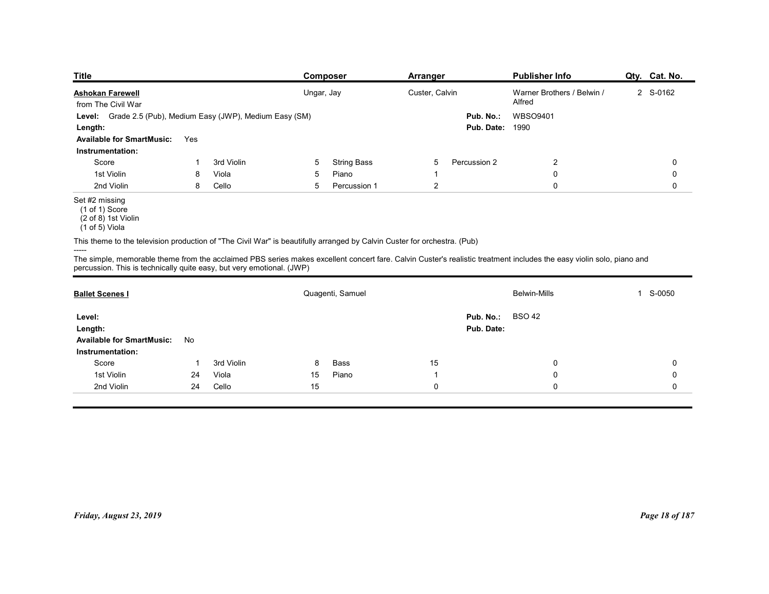| <b>Title</b>                                                                                                             |     |            |   | <b>Composer</b>    | <b>Arranger</b> |                        | <b>Publisher Info</b>                                                                                                                                                | Qty. Cat. No. |
|--------------------------------------------------------------------------------------------------------------------------|-----|------------|---|--------------------|-----------------|------------------------|----------------------------------------------------------------------------------------------------------------------------------------------------------------------|---------------|
| <b>Ashokan Farewell</b>                                                                                                  |     |            |   | Ungar, Jay         | Custer, Calvin  |                        | Warner Brothers / Belwin /                                                                                                                                           | 2 S-0162      |
| from The Civil War                                                                                                       |     |            |   |                    |                 |                        | Alfred                                                                                                                                                               |               |
| Level: Grade 2.5 (Pub), Medium Easy (JWP), Medium Easy (SM)                                                              |     |            |   |                    |                 | Pub. No.:              | WBSO9401                                                                                                                                                             |               |
| Length:                                                                                                                  |     |            |   |                    |                 | <b>Pub. Date: 1990</b> |                                                                                                                                                                      |               |
| <b>Available for SmartMusic:</b><br>Instrumentation:                                                                     | Yes |            |   |                    |                 |                        |                                                                                                                                                                      |               |
| Score                                                                                                                    |     | 3rd Violin | 5 | <b>String Bass</b> | 5               | Percussion 2           | $\overline{c}$                                                                                                                                                       | 0             |
| 1st Violin                                                                                                               | 8   | Viola      | 5 | Piano              | -1              |                        | 0                                                                                                                                                                    | 0             |
| 2nd Violin                                                                                                               | 8   | Cello      | 5 | Percussion 1       | $\overline{c}$  |                        | $\mathbf 0$                                                                                                                                                          | 0             |
| Set #2 missing<br>$(1 of 1)$ Score<br>(2 of 8) 1st Violin<br>(1 of 5) Viola                                              |     |            |   |                    |                 |                        |                                                                                                                                                                      |               |
| This theme to the television production of "The Civil War" is beautifully arranged by Calvin Custer for orchestra. (Pub) |     |            |   |                    |                 |                        |                                                                                                                                                                      |               |
| -----                                                                                                                    |     |            |   |                    |                 |                        |                                                                                                                                                                      |               |
| percussion. This is technically quite easy, but very emotional. (JWP)                                                    |     |            |   |                    |                 |                        | The simple, memorable theme from the acclaimed PBS series makes excellent concert fare. Calvin Custer's realistic treatment includes the easy violin solo, piano and |               |
|                                                                                                                          |     |            |   |                    |                 |                        |                                                                                                                                                                      |               |
| <b>Ballet Scenes I</b>                                                                                                   |     |            |   | Quagenti, Samuel   |                 |                        | Belwin-Mills                                                                                                                                                         | 1 S-0050      |
| Level:                                                                                                                   |     |            |   |                    |                 | Pub. No.:              | <b>BSO 42</b>                                                                                                                                                        |               |
|                                                                                                                          |     |            |   |                    |                 | Pub. Date:             |                                                                                                                                                                      |               |
| Length:                                                                                                                  |     |            |   |                    |                 |                        |                                                                                                                                                                      |               |
| Available for SmartMusic: No                                                                                             |     |            |   |                    |                 |                        |                                                                                                                                                                      |               |

|                                                                                                                                                                                                                                                        |     | Level: Grade 2.5 (Pub), Medium Easy (JWP), Medium Easy (SM) |        |                    |                | <b>Pub. Date: 1990</b> | Pub. No.: WBSO9401      |                |
|--------------------------------------------------------------------------------------------------------------------------------------------------------------------------------------------------------------------------------------------------------|-----|-------------------------------------------------------------|--------|--------------------|----------------|------------------------|-------------------------|----------------|
| Length:<br><b>Available for SmartMusic:</b><br>Instrumentation:                                                                                                                                                                                        | Yes |                                                             |        |                    |                |                        |                         |                |
| Score                                                                                                                                                                                                                                                  | -1  | 3rd Violin                                                  | 5      | <b>String Bass</b> | 5              | Percussion 2           | $\overline{\mathbf{c}}$ | 0              |
| 1st Violin                                                                                                                                                                                                                                             | 8   | Viola                                                       | 5      | Piano              | -1             |                        | $\mathbf 0$             | $\mathbf 0$    |
| 2nd Violin                                                                                                                                                                                                                                             | 8   | Cello                                                       | 5      | Percussion 1       | $\overline{2}$ |                        | 0                       | 0              |
| Set #2 missing<br>$(1 of 1)$ Score<br>(2 of 8) 1st Violin<br>(1 of 5) Viola                                                                                                                                                                            |     |                                                             |        |                    |                |                        |                         |                |
| This theme to the television production of "The Civil War" is beautifully arranged by Calvin Custer for orchestra. (Pub)                                                                                                                               |     |                                                             |        |                    |                |                        |                         |                |
| -----<br>The simple, memorable theme from the acclaimed PBS series makes excellent concert fare. Calvin Custer's realistic treatment includes the easy violin solo, piano and<br>percussion. This is technically quite easy, but very emotional. (JWP) |     |                                                             |        |                    |                |                        |                         |                |
| <b>Ballet Scenes I</b>                                                                                                                                                                                                                                 |     |                                                             |        | Quagenti, Samuel   |                |                        | <b>Belwin-Mills</b>     | 1 S-0050       |
| Level:                                                                                                                                                                                                                                                 |     |                                                             |        |                    |                | Pub. No.:              | <b>BSO 42</b>           |                |
| Length:                                                                                                                                                                                                                                                |     |                                                             |        |                    |                | Pub. Date:             |                         |                |
| <b>Available for SmartMusic:</b>                                                                                                                                                                                                                       | No  |                                                             |        |                    |                |                        |                         |                |
| Instrumentation:                                                                                                                                                                                                                                       |     |                                                             |        |                    |                |                        |                         |                |
| Score                                                                                                                                                                                                                                                  | -1  | 3rd Violin                                                  | 8      | Bass               | $15$           |                        | 0                       | 0              |
| 1st Violin                                                                                                                                                                                                                                             | 24  | Viola                                                       | 15     | Piano              | $\overline{1}$ |                        | 0                       | 0              |
| 2nd Violin                                                                                                                                                                                                                                             | 24  | Cello                                                       | $15\,$ |                    | $\pmb{0}$      |                        | 0                       | $\mathbf 0$    |
|                                                                                                                                                                                                                                                        |     |                                                             |        |                    |                |                        |                         |                |
|                                                                                                                                                                                                                                                        |     |                                                             |        |                    |                |                        |                         | Page 18 of 187 |

 <sup>(1</sup> of 5) Viola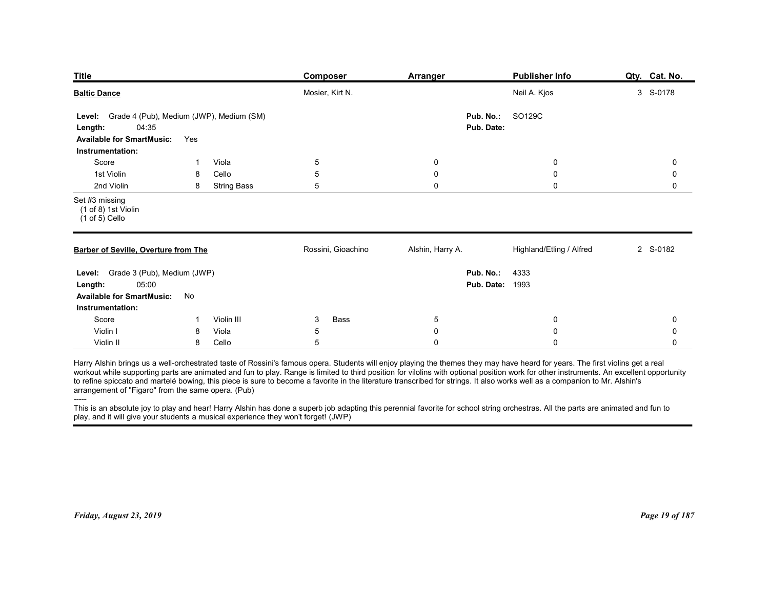| <b>Publisher Info</b><br>Composer<br>Arranger<br>Mosier, Kirt N.<br>Neil A. Kjos<br>3 S-0178<br>Grade 4 (Pub), Medium (JWP), Medium (SM)<br>Pub. No.:<br>SO129C<br>Level:<br>04:35<br>Pub. Date:<br>Length:<br><b>Available for SmartMusic:</b><br>Yes<br>Instrumentation:<br>Viola<br>5<br>Score<br>0<br>0<br>0<br>-1<br>5<br>1st Violin<br>Cello<br>8<br>0<br>0<br>0<br>2nd Violin<br>5<br>0<br>$\mathbf 0$<br>8<br><b>String Bass</b><br>0<br>$(1 of 8)$ 1st Violin<br>$(1 of 5)$ Cello<br>Rossini, Gioachino<br>Highland/Etling / Alfred<br>Alshin, Harry A.<br>2 S-0182<br>Level: Grade 3 (Pub), Medium (JWP)<br>Pub. No.:<br>4333<br><b>Pub. Date: 1993</b><br>05:00<br>Length:<br>Available for SmartMusic: No<br>Instrumentation:<br>Score<br>Violin III<br>Bass<br>3<br>$5\phantom{.0}$<br>0<br>0<br>$\overline{1}$<br>Violin I<br>$\mathbf 0$<br>Viola<br>5<br>$\mathbf 0$<br>8<br>0<br>Violin II<br>Cello<br>$\overline{5}$<br>$\mathbf 0$<br>8<br>$\mathbf 0$<br>0<br>----- | Qty. Cat. No.                                                                                                                                                                                                                                                                  |  |  |  |  |
|-----------------------------------------------------------------------------------------------------------------------------------------------------------------------------------------------------------------------------------------------------------------------------------------------------------------------------------------------------------------------------------------------------------------------------------------------------------------------------------------------------------------------------------------------------------------------------------------------------------------------------------------------------------------------------------------------------------------------------------------------------------------------------------------------------------------------------------------------------------------------------------------------------------------------------------------------------------------------------------------|--------------------------------------------------------------------------------------------------------------------------------------------------------------------------------------------------------------------------------------------------------------------------------|--|--|--|--|
| <b>Barber of Seville, Overture from The</b>                                                                                                                                                                                                                                                                                                                                                                                                                                                                                                                                                                                                                                                                                                                                                                                                                                                                                                                                             |                                                                                                                                                                                                                                                                                |  |  |  |  |
|                                                                                                                                                                                                                                                                                                                                                                                                                                                                                                                                                                                                                                                                                                                                                                                                                                                                                                                                                                                         |                                                                                                                                                                                                                                                                                |  |  |  |  |
|                                                                                                                                                                                                                                                                                                                                                                                                                                                                                                                                                                                                                                                                                                                                                                                                                                                                                                                                                                                         |                                                                                                                                                                                                                                                                                |  |  |  |  |
| <b>Baltic Dance</b><br>Set #3 missing<br>Harry Alshin brings us a well-orchestrated taste of Rossini's famous opera. Students will enjoy playing the themes they may have heard for years. The first violins get a real<br>to refine spiccato and martelé bowing, this piece is sure to become a favorite in the literature transcribed for strings. It also works well as a companion to Mr. Alshin's<br>arrangement of "Figaro" from the same opera. (Pub)<br>This is an absolute joy to play and hear! Harry Alshin has done a superb job adapting this perennial favorite for school string orchestras. All the parts are animated and fun to                                                                                                                                                                                                                                                                                                                                       | workout while supporting parts are animated and fun to play. Range is limited to third position for vilolins with optional position work for other instruments. An excellent opportunity<br>play, and it will give your students a musical experience they won't forget! (JWP) |  |  |  |  |
| <b>Title</b>                                                                                                                                                                                                                                                                                                                                                                                                                                                                                                                                                                                                                                                                                                                                                                                                                                                                                                                                                                            |                                                                                                                                                                                                                                                                                |  |  |  |  |
|                                                                                                                                                                                                                                                                                                                                                                                                                                                                                                                                                                                                                                                                                                                                                                                                                                                                                                                                                                                         |                                                                                                                                                                                                                                                                                |  |  |  |  |
|                                                                                                                                                                                                                                                                                                                                                                                                                                                                                                                                                                                                                                                                                                                                                                                                                                                                                                                                                                                         |                                                                                                                                                                                                                                                                                |  |  |  |  |
|                                                                                                                                                                                                                                                                                                                                                                                                                                                                                                                                                                                                                                                                                                                                                                                                                                                                                                                                                                                         |                                                                                                                                                                                                                                                                                |  |  |  |  |
|                                                                                                                                                                                                                                                                                                                                                                                                                                                                                                                                                                                                                                                                                                                                                                                                                                                                                                                                                                                         |                                                                                                                                                                                                                                                                                |  |  |  |  |
|                                                                                                                                                                                                                                                                                                                                                                                                                                                                                                                                                                                                                                                                                                                                                                                                                                                                                                                                                                                         |                                                                                                                                                                                                                                                                                |  |  |  |  |
|                                                                                                                                                                                                                                                                                                                                                                                                                                                                                                                                                                                                                                                                                                                                                                                                                                                                                                                                                                                         |                                                                                                                                                                                                                                                                                |  |  |  |  |
|                                                                                                                                                                                                                                                                                                                                                                                                                                                                                                                                                                                                                                                                                                                                                                                                                                                                                                                                                                                         |                                                                                                                                                                                                                                                                                |  |  |  |  |
|                                                                                                                                                                                                                                                                                                                                                                                                                                                                                                                                                                                                                                                                                                                                                                                                                                                                                                                                                                                         |                                                                                                                                                                                                                                                                                |  |  |  |  |
|                                                                                                                                                                                                                                                                                                                                                                                                                                                                                                                                                                                                                                                                                                                                                                                                                                                                                                                                                                                         |                                                                                                                                                                                                                                                                                |  |  |  |  |
|                                                                                                                                                                                                                                                                                                                                                                                                                                                                                                                                                                                                                                                                                                                                                                                                                                                                                                                                                                                         |                                                                                                                                                                                                                                                                                |  |  |  |  |
|                                                                                                                                                                                                                                                                                                                                                                                                                                                                                                                                                                                                                                                                                                                                                                                                                                                                                                                                                                                         |                                                                                                                                                                                                                                                                                |  |  |  |  |
|                                                                                                                                                                                                                                                                                                                                                                                                                                                                                                                                                                                                                                                                                                                                                                                                                                                                                                                                                                                         |                                                                                                                                                                                                                                                                                |  |  |  |  |
|                                                                                                                                                                                                                                                                                                                                                                                                                                                                                                                                                                                                                                                                                                                                                                                                                                                                                                                                                                                         |                                                                                                                                                                                                                                                                                |  |  |  |  |
|                                                                                                                                                                                                                                                                                                                                                                                                                                                                                                                                                                                                                                                                                                                                                                                                                                                                                                                                                                                         |                                                                                                                                                                                                                                                                                |  |  |  |  |
|                                                                                                                                                                                                                                                                                                                                                                                                                                                                                                                                                                                                                                                                                                                                                                                                                                                                                                                                                                                         |                                                                                                                                                                                                                                                                                |  |  |  |  |
|                                                                                                                                                                                                                                                                                                                                                                                                                                                                                                                                                                                                                                                                                                                                                                                                                                                                                                                                                                                         |                                                                                                                                                                                                                                                                                |  |  |  |  |
|                                                                                                                                                                                                                                                                                                                                                                                                                                                                                                                                                                                                                                                                                                                                                                                                                                                                                                                                                                                         |                                                                                                                                                                                                                                                                                |  |  |  |  |
|                                                                                                                                                                                                                                                                                                                                                                                                                                                                                                                                                                                                                                                                                                                                                                                                                                                                                                                                                                                         |                                                                                                                                                                                                                                                                                |  |  |  |  |
|                                                                                                                                                                                                                                                                                                                                                                                                                                                                                                                                                                                                                                                                                                                                                                                                                                                                                                                                                                                         |                                                                                                                                                                                                                                                                                |  |  |  |  |
|                                                                                                                                                                                                                                                                                                                                                                                                                                                                                                                                                                                                                                                                                                                                                                                                                                                                                                                                                                                         |                                                                                                                                                                                                                                                                                |  |  |  |  |
|                                                                                                                                                                                                                                                                                                                                                                                                                                                                                                                                                                                                                                                                                                                                                                                                                                                                                                                                                                                         |                                                                                                                                                                                                                                                                                |  |  |  |  |
|                                                                                                                                                                                                                                                                                                                                                                                                                                                                                                                                                                                                                                                                                                                                                                                                                                                                                                                                                                                         |                                                                                                                                                                                                                                                                                |  |  |  |  |
|                                                                                                                                                                                                                                                                                                                                                                                                                                                                                                                                                                                                                                                                                                                                                                                                                                                                                                                                                                                         |                                                                                                                                                                                                                                                                                |  |  |  |  |
|                                                                                                                                                                                                                                                                                                                                                                                                                                                                                                                                                                                                                                                                                                                                                                                                                                                                                                                                                                                         |                                                                                                                                                                                                                                                                                |  |  |  |  |
|                                                                                                                                                                                                                                                                                                                                                                                                                                                                                                                                                                                                                                                                                                                                                                                                                                                                                                                                                                                         |                                                                                                                                                                                                                                                                                |  |  |  |  |
|                                                                                                                                                                                                                                                                                                                                                                                                                                                                                                                                                                                                                                                                                                                                                                                                                                                                                                                                                                                         |                                                                                                                                                                                                                                                                                |  |  |  |  |
|                                                                                                                                                                                                                                                                                                                                                                                                                                                                                                                                                                                                                                                                                                                                                                                                                                                                                                                                                                                         |                                                                                                                                                                                                                                                                                |  |  |  |  |
| Friday, August 23, 2019                                                                                                                                                                                                                                                                                                                                                                                                                                                                                                                                                                                                                                                                                                                                                                                                                                                                                                                                                                 | Page 19 of 187                                                                                                                                                                                                                                                                 |  |  |  |  |
|                                                                                                                                                                                                                                                                                                                                                                                                                                                                                                                                                                                                                                                                                                                                                                                                                                                                                                                                                                                         |                                                                                                                                                                                                                                                                                |  |  |  |  |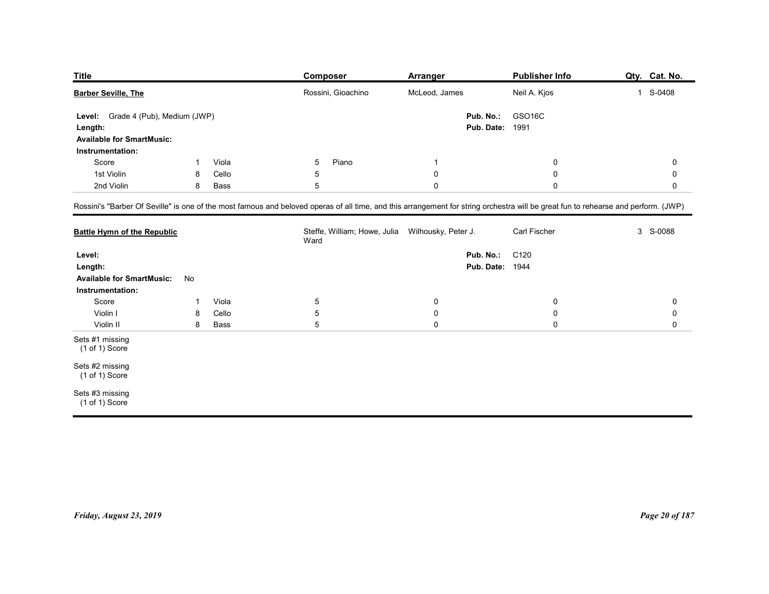| Title                              |                             |       | Composer                                                                                                                                                                           | Arranger      | <b>Publisher Info</b>  | Qty. Cat. No. |
|------------------------------------|-----------------------------|-------|------------------------------------------------------------------------------------------------------------------------------------------------------------------------------------|---------------|------------------------|---------------|
| <b>Barber Seville, The</b>         |                             |       | Rossini, Gioachino                                                                                                                                                                 | McLeod, James | Neil A. Kjos           | 1 S-0408      |
| Level:                             | Grade 4 (Pub), Medium (JWP) |       |                                                                                                                                                                                    | Pub. No.:     | GSO16C                 |               |
| Length:                            |                             |       |                                                                                                                                                                                    |               | <b>Pub. Date: 1991</b> |               |
|                                    |                             |       |                                                                                                                                                                                    |               |                        |               |
| <b>Available for SmartMusic:</b>   |                             |       |                                                                                                                                                                                    |               |                        |               |
| Instrumentation:<br>Score          | -1                          | Viola | 5<br>Piano                                                                                                                                                                         | -1            | $\mathbf 0$            | 0             |
| 1st Violin                         | 8                           | Cello | 5                                                                                                                                                                                  | $\mathbf 0$   | $\mathbf 0$            | $\mathbf 0$   |
| 2nd Violin                         | 8                           | Bass  | $5\phantom{.0}$                                                                                                                                                                    | $\mathbf 0$   | $\mathbf 0$            | 0             |
|                                    |                             |       |                                                                                                                                                                                    |               |                        |               |
|                                    |                             |       | Rossini's "Barber Of Seville" is one of the most famous and beloved operas of all time, and this arrangement for string orchestra will be great fun to rehearse and perform. (JWP) |               |                        |               |
| <b>Battle Hymn of the Republic</b> |                             |       | Steffe, William; Howe, Julia Wilhousky, Peter J.<br>Ward                                                                                                                           |               | Carl Fischer           | 3 S-0088      |
| Level:                             |                             |       |                                                                                                                                                                                    | Pub. No.:     | C120                   |               |
| Length:                            |                             |       |                                                                                                                                                                                    |               | <b>Pub. Date: 1944</b> |               |
| <b>Available for SmartMusic:</b>   | No                          |       |                                                                                                                                                                                    |               |                        |               |

| <b>Title</b>                                                                                             |              |       | <b>Composer</b>                                                                                                                                                                    | <b>Arranger</b> |                                     | <b>Publisher Info</b> | Qty. Cat. No.  |
|----------------------------------------------------------------------------------------------------------|--------------|-------|------------------------------------------------------------------------------------------------------------------------------------------------------------------------------------|-----------------|-------------------------------------|-----------------------|----------------|
| <b>Barber Seville, The</b>                                                                               |              |       | Rossini, Gioachino                                                                                                                                                                 | McLeod, James   |                                     | Neil A. Kjos          | 1 S-0408       |
| Grade 4 (Pub), Medium (JWP)<br>Level:<br>Length:<br><b>Available for SmartMusic:</b><br>Instrumentation: |              |       |                                                                                                                                                                                    |                 | Pub. No.:<br><b>Pub. Date: 1991</b> | GSO16C                |                |
| Score                                                                                                    | $\mathbf{1}$ | Viola | Piano<br>5                                                                                                                                                                         | -1              |                                     | 0                     | $\mathbf 0$    |
| 1st Violin                                                                                               | 8            | Cello | $\mathbf 5$                                                                                                                                                                        | $\pmb{0}$       |                                     | 0                     | 0              |
| 2nd Violin                                                                                               | 8            | Bass  | $\sqrt{5}$                                                                                                                                                                         | $\pmb{0}$       |                                     | $\mathbf 0$           | $\mathbf 0$    |
|                                                                                                          |              |       | Rossini's "Barber Of Seville" is one of the most famous and beloved operas of all time, and this arrangement for string orchestra will be great fun to rehearse and perform. (JWP) |                 |                                     |                       |                |
| <b>Battle Hymn of the Republic</b>                                                                       |              |       | Steffe, William; Howe, Julia Wilhousky, Peter J.<br>Ward                                                                                                                           |                 |                                     | Carl Fischer          | 3 S-0088       |
| Level:<br>Length:                                                                                        |              |       |                                                                                                                                                                                    |                 | Pub. No.:<br><b>Pub. Date: 1944</b> | C120                  |                |
| <b>Available for SmartMusic:</b><br>Instrumentation:                                                     | No           |       |                                                                                                                                                                                    |                 |                                     |                       |                |
| Score                                                                                                    | -1           | Viola | $\overline{5}$                                                                                                                                                                     | $\mathbf 0$     |                                     | 0                     | 0              |
| Violin I                                                                                                 | 8            | Cello | $\mathbf 5$                                                                                                                                                                        | $\mathbf 0$     |                                     | 0                     | 0              |
| Violin II                                                                                                | 8            | Bass  | $\sqrt{5}$                                                                                                                                                                         | $\mathbf 0$     |                                     | $\mathbf 0$           | 0              |
| Sets #1 missing<br>$(1 of 1)$ Score                                                                      |              |       |                                                                                                                                                                                    |                 |                                     |                       |                |
| Sets #2 missing<br>$(1 of 1)$ Score                                                                      |              |       |                                                                                                                                                                                    |                 |                                     |                       |                |
| Sets #3 missing<br>(1 of 1) Score                                                                        |              |       |                                                                                                                                                                                    |                 |                                     |                       |                |
| Friday, August 23, 2019                                                                                  |              |       |                                                                                                                                                                                    |                 |                                     |                       | Page 20 of 187 |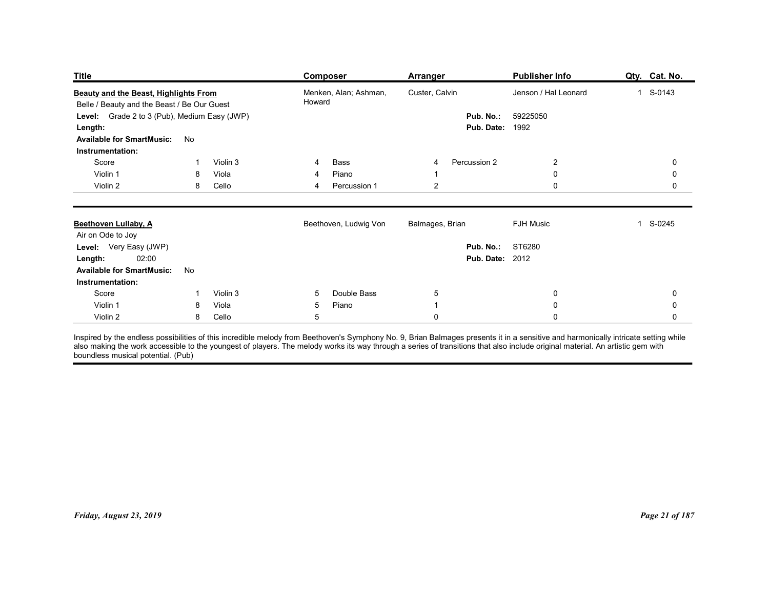| <b>Title</b>                                                                                           |                          | <b>Composer</b>                                                                                                                                                                                                                   | <b>Arranger</b>                                   | Publisher Info             | Qty. Cat. No.            |
|--------------------------------------------------------------------------------------------------------|--------------------------|-----------------------------------------------------------------------------------------------------------------------------------------------------------------------------------------------------------------------------------|---------------------------------------------------|----------------------------|--------------------------|
| <b>Beauty and the Beast, Highlights From</b>                                                           |                          | Menken, Alan; Ashman,<br>Howard                                                                                                                                                                                                   | Custer, Calvin                                    | Jenson / Hal Leonard       | 1 S-0143                 |
| Belle / Beauty and the Beast / Be Our Guest<br>Level: Grade 2 to 3 (Pub), Medium Easy (JWP)<br>Length: |                          |                                                                                                                                                                                                                                   | Pub. No.:<br><b>Pub. Date: 1992</b>               | 59225050                   |                          |
| <b>Available for SmartMusic:</b>                                                                       | No                       |                                                                                                                                                                                                                                   |                                                   |                            |                          |
| Instrumentation:<br>Score                                                                              | Violin 3<br>1            | Bass<br>4                                                                                                                                                                                                                         | Percussion 2<br>4                                 | $\overline{2}$             | 0                        |
| Violin 1<br>Violin 2                                                                                   | Viola<br>8               | Piano<br>4                                                                                                                                                                                                                        | $\overline{1}$                                    | $\mathbf 0$<br>$\mathbf 0$ | 0                        |
|                                                                                                        | 8<br>Cello               | Percussion 1<br>4                                                                                                                                                                                                                 | $\overline{2}$                                    |                            | 0                        |
| <b>Beethoven Lullaby, A</b><br>Air on Ode to Joy                                                       |                          | Beethoven, Ludwig Von                                                                                                                                                                                                             | Balmages, Brian                                   | <b>FJH Music</b>           | 1 S-0245                 |
| Level: Very Easy (JWP)<br><b>Length:</b> 02:00                                                         |                          |                                                                                                                                                                                                                                   | <b>Pub. No.: ST6280</b><br><b>Pub. Date: 2012</b> |                            |                          |
| <b>Available for SmartMusic:</b><br>Instrumentation:                                                   | No                       |                                                                                                                                                                                                                                   |                                                   |                            |                          |
| Score                                                                                                  | Violin 3<br>$\mathbf{1}$ | Double Bass<br>$5\overline{)}$                                                                                                                                                                                                    | $\overline{5}$                                    | $\mathbf 0$                | 0                        |
| Violin 1<br>Violin 2                                                                                   | Viola<br>8<br>Cello<br>8 | Piano<br>$5\phantom{.0}$<br>$5\phantom{.0}$                                                                                                                                                                                       | $\mathbf{1}$<br>$\pmb{0}$                         | $\pmb{0}$<br>$\mathbf 0$   | $\pmb{0}$<br>$\mathbf 0$ |
| boundless musical potential. (Pub)                                                                     |                          | Inspired by the endless possibilities of this incredible melody from Beethoven's Symphony No. 9, Brian Balmages presents it in a sensitive and harmonically intricate setting while<br>also making the work accessible to the you |                                                   |                            |                          |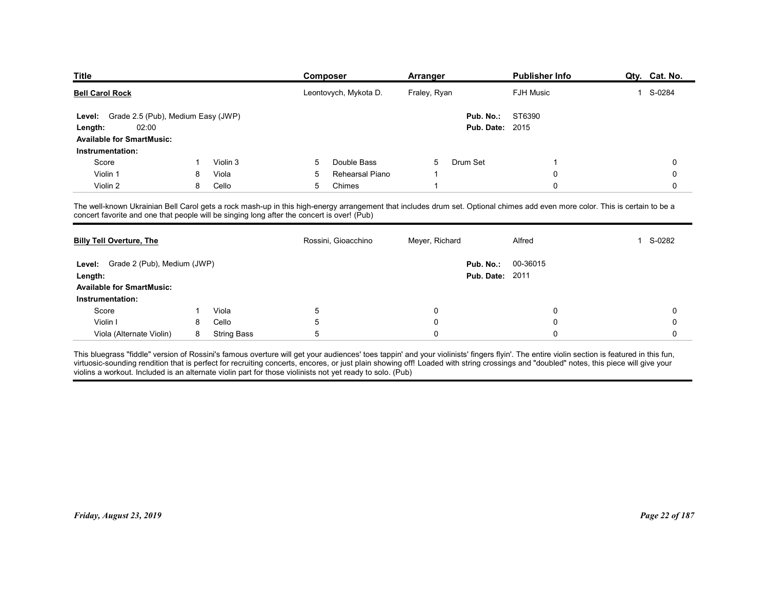| <b>Title</b>                                                                               |    |                        | Composer                                                                                                                                                                     | Arranger       | <b>Publisher Info</b>  | Qty. Cat. No.            |
|--------------------------------------------------------------------------------------------|----|------------------------|------------------------------------------------------------------------------------------------------------------------------------------------------------------------------|----------------|------------------------|--------------------------|
| <b>Bell Carol Rock</b>                                                                     |    |                        | Leontovych, Mykota D.                                                                                                                                                        | Fraley, Ryan   | <b>FJH Music</b>       | S-0284<br>$\overline{1}$ |
| Grade 2.5 (Pub), Medium Easy (JWP)<br>Level:                                               |    |                        |                                                                                                                                                                              | Pub. No.:      | ST6390                 |                          |
| 02:00<br>Length:                                                                           |    |                        |                                                                                                                                                                              |                | <b>Pub. Date: 2015</b> |                          |
| <b>Available for SmartMusic:</b>                                                           |    |                        |                                                                                                                                                                              |                |                        |                          |
| Instrumentation:                                                                           |    |                        |                                                                                                                                                                              |                |                        |                          |
| Score                                                                                      |    | Violin 3               | Double Bass<br>5                                                                                                                                                             | Drum Set<br>5  |                        | 0                        |
| Violin 1                                                                                   | 8  | Viola                  | Rehearsal Piano<br>5                                                                                                                                                         |                | $\Omega$               | 0                        |
| Violin 2                                                                                   | 8  | Cello                  | 5<br>Chimes                                                                                                                                                                  |                | $\mathbf 0$            | 0                        |
| concert favorite and one that people will be singing long after the concert is over! (Pub) |    |                        | The well-known Ukrainian Bell Carol gets a rock mash-up in this high-energy arrangement that includes drum set. Optional chimes add even more color. This is certain to be a |                |                        |                          |
| <b>Billy Tell Overture, The</b>                                                            |    |                        | Rossini, Gioacchino                                                                                                                                                          | Meyer, Richard | Alfred                 | S-0282<br>1              |
| Level: Grade 2 (Pub), Medium (JWP)                                                         |    |                        |                                                                                                                                                                              | Pub. No.:      | 00-36015               |                          |
| Length:                                                                                    |    |                        |                                                                                                                                                                              |                | <b>Pub. Date: 2011</b> |                          |
|                                                                                            |    |                        |                                                                                                                                                                              |                |                        |                          |
| <b>Available for SmartMusic:</b>                                                           |    |                        |                                                                                                                                                                              |                |                        |                          |
| Instrumentation:                                                                           |    | Viola                  | $\sqrt{5}$                                                                                                                                                                   | 0              | 0                      | 0                        |
| Score                                                                                      | -1 |                        | 5                                                                                                                                                                            | 0              |                        | 0                        |
| Violin I                                                                                   | 8  | Cello<br>8 String Bass |                                                                                                                                                                              | $\mathbf 0$    | $\Omega$               | 0                        |

| <b>Billy Tell Overture, The</b>                      |   |                    | Rossini, Gioacchino | Meyer, Richard | Alfred                                       | S-0282         |
|------------------------------------------------------|---|--------------------|---------------------|----------------|----------------------------------------------|----------------|
| Level: Grade 2 (Pub), Medium (JWP)<br>Length:        |   |                    |                     |                | Pub. No.: 00-36015<br><b>Pub. Date: 2011</b> |                |
| <b>Available for SmartMusic:</b><br>Instrumentation: |   |                    |                     |                |                                              |                |
| Score                                                |   | Viola              | 5                   | 0              | 0                                            | $\Omega$       |
| Violin I                                             | 8 | Cello              | 5                   | $\mathbf 0$    | $\mathbf 0$                                  |                |
| Viola (Alternate Violin)                             | 8 | <b>String Bass</b> | 5                   | $\Omega$       | $\Omega$                                     | $\Omega$       |
|                                                      |   |                    |                     |                |                                              |                |
|                                                      |   |                    |                     |                |                                              |                |
|                                                      |   |                    |                     |                |                                              |                |
|                                                      |   |                    |                     |                |                                              |                |
|                                                      |   |                    |                     |                |                                              |                |
| Friday, August 23, 2019                              |   |                    |                     |                |                                              | Page 22 of 187 |
|                                                      |   |                    |                     |                |                                              |                |
|                                                      |   |                    |                     |                |                                              |                |
|                                                      |   |                    |                     |                |                                              |                |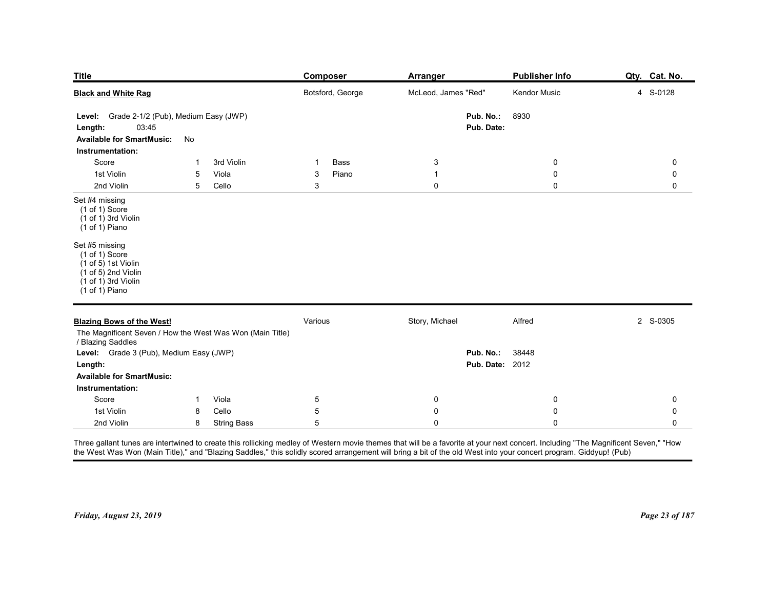| <b>Title</b><br><b>Black and White Rag</b>                                                                                                                            |                                              | <b>Composer</b><br>Botsford, George | <b>Arranger</b><br>McLeod, James "Red"        | Publisher Info<br>Kendor Music  | Qty. Cat. No.<br>4 S-0128 |
|-----------------------------------------------------------------------------------------------------------------------------------------------------------------------|----------------------------------------------|-------------------------------------|-----------------------------------------------|---------------------------------|---------------------------|
| Level: Grade 2-1/2 (Pub), Medium Easy (JWP)<br>03:45<br>Length:<br><b>Available for SmartMusic:</b>                                                                   | No                                           |                                     | Pub. No.:<br>Pub. Date:                       | 8930                            |                           |
| Instrumentation:                                                                                                                                                      |                                              |                                     |                                               |                                 |                           |
| Score<br>1st Violin<br>2nd Violin                                                                                                                                     | 3rd Violin<br>-1<br>5<br>Viola<br>5<br>Cello | Bass<br>-1<br>Piano<br>3<br>3       | $\mathbf{3}$<br>$\overline{1}$<br>$\mathbf 0$ | 0<br>$\mathbf 0$<br>$\mathbf 0$ | 0<br>0<br>0               |
| Set #4 missing<br>$(1 of 1)$ Score<br>(1 of 1) 3rd Violin<br>$(1 of 1)$ Piano                                                                                         |                                              |                                     |                                               |                                 |                           |
| Set #5 missing<br>$(1 \text{ of } 1)$ Score<br>$(1 of 5)$ 1st Violin<br>$(1 \text{ of } 5)$ 2nd Violin<br>$(1 \text{ of } 1)$ 3rd Violin<br>$(1 \text{ of } 1)$ Piano |                                              |                                     |                                               |                                 |                           |
| <b>Blazing Bows of the West!</b><br>The Magnificent Seven / How the West Was Won (Main Title)<br>/ Blazing Saddles                                                    |                                              | Various                             | Story, Michael                                | Alfred                          | 2 S-0305                  |
| Level: Grade 3 (Pub), Medium Easy (JWP)<br>Length:<br><b>Available for SmartMusic:</b>                                                                                |                                              |                                     | Pub. No.:                                     | 38448<br><b>Pub. Date: 2012</b> |                           |
| Instrumentation:<br>Score                                                                                                                                             | Viola<br>$\mathbf{1}$                        | $\overline{5}$                      | $\bf{0}$                                      | 0                               | 0                         |
| 1st Violin                                                                                                                                                            | Cello<br>8                                   | $5\phantom{.0}$                     | $\mathsf{O}\xspace$                           | $\mathbf 0$                     | 0                         |

|            | There are been the completed through this collection and also of Martine and the man the trainible at fractional and concern the ballistics of the March 1986 and Corresponding the Corresponding the Corresponding the Corres |  |  |
|------------|--------------------------------------------------------------------------------------------------------------------------------------------------------------------------------------------------------------------------------|--|--|
| 2nd Violin | String Bass                                                                                                                                                                                                                    |  |  |
| 1st Violin | Cello                                                                                                                                                                                                                          |  |  |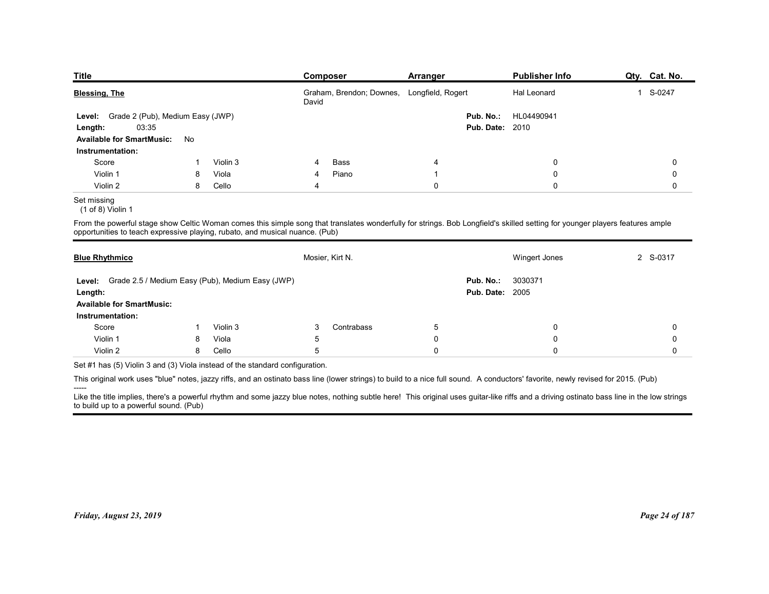| <b>Publisher Info</b><br>Qty. Cat. No.<br>Composer<br>Arranger<br>Graham, Brendon; Downes, Longfield, Rogert<br>1 S-0247<br>Hal Leonard<br>David<br>Grade 2 (Pub), Medium Easy (JWP)<br>Pub. No.:<br>HL04490941<br>Level:<br>03:35<br><b>Pub. Date: 2010</b><br>No<br>Instrumentation:<br>Score<br>Violin 3<br>Bass<br>0<br>0<br>4<br>Violin 1<br>Viola<br>Piano<br>0<br>0<br>8<br>-1<br>4<br>Violin 2<br>$\mathbf 0$<br>$\mathbf 0$<br>8<br>Cello<br>0<br>4<br>$(1$ of 8) Violin 1<br>Mosier, Kirt N.<br>2 S-0317<br>Wingert Jones<br>3030371<br>Pub. No.:<br><b>Pub. Date: 2005</b><br>Score<br>Violin 3<br>Contrabass<br>$\sqrt{5}$<br>3<br>0<br>0<br>1<br>Violin 1<br>Viola<br>$\mathbf 0$<br>8<br>0<br>0<br>5<br>Violin 2<br>Cello<br>$\mathbf 0$<br>8<br>5<br>$\mathbf 0$<br>0 |                                                                              |  |  |  |
|--------------------------------------------------------------------------------------------------------------------------------------------------------------------------------------------------------------------------------------------------------------------------------------------------------------------------------------------------------------------------------------------------------------------------------------------------------------------------------------------------------------------------------------------------------------------------------------------------------------------------------------------------------------------------------------------------------------------------------------------------------------------------------------|------------------------------------------------------------------------------|--|--|--|
| Length:<br><b>Available for SmartMusic:</b><br>Level: Grade 2.5 / Medium Easy (Pub), Medium Easy (JWP)<br>Length:<br><b>Available for SmartMusic:</b><br>Instrumentation:                                                                                                                                                                                                                                                                                                                                                                                                                                                                                                                                                                                                            |                                                                              |  |  |  |
| <b>Blessing, The</b><br>From the powerful stage show Celtic Woman comes this simple song that translates wonderfully for strings. Bob Longfield's skilled setting for younger players features ample                                                                                                                                                                                                                                                                                                                                                                                                                                                                                                                                                                                 |                                                                              |  |  |  |
|                                                                                                                                                                                                                                                                                                                                                                                                                                                                                                                                                                                                                                                                                                                                                                                      |                                                                              |  |  |  |
| <b>Title</b><br>Set missing<br>opportunities to teach expressive playing, rubato, and musical nuance. (Pub)<br><b>Blue Rhythmico</b>                                                                                                                                                                                                                                                                                                                                                                                                                                                                                                                                                                                                                                                 |                                                                              |  |  |  |
|                                                                                                                                                                                                                                                                                                                                                                                                                                                                                                                                                                                                                                                                                                                                                                                      |                                                                              |  |  |  |
|                                                                                                                                                                                                                                                                                                                                                                                                                                                                                                                                                                                                                                                                                                                                                                                      |                                                                              |  |  |  |
|                                                                                                                                                                                                                                                                                                                                                                                                                                                                                                                                                                                                                                                                                                                                                                                      |                                                                              |  |  |  |
|                                                                                                                                                                                                                                                                                                                                                                                                                                                                                                                                                                                                                                                                                                                                                                                      |                                                                              |  |  |  |
|                                                                                                                                                                                                                                                                                                                                                                                                                                                                                                                                                                                                                                                                                                                                                                                      |                                                                              |  |  |  |
|                                                                                                                                                                                                                                                                                                                                                                                                                                                                                                                                                                                                                                                                                                                                                                                      |                                                                              |  |  |  |
|                                                                                                                                                                                                                                                                                                                                                                                                                                                                                                                                                                                                                                                                                                                                                                                      |                                                                              |  |  |  |
|                                                                                                                                                                                                                                                                                                                                                                                                                                                                                                                                                                                                                                                                                                                                                                                      |                                                                              |  |  |  |
|                                                                                                                                                                                                                                                                                                                                                                                                                                                                                                                                                                                                                                                                                                                                                                                      |                                                                              |  |  |  |
|                                                                                                                                                                                                                                                                                                                                                                                                                                                                                                                                                                                                                                                                                                                                                                                      |                                                                              |  |  |  |
|                                                                                                                                                                                                                                                                                                                                                                                                                                                                                                                                                                                                                                                                                                                                                                                      |                                                                              |  |  |  |
|                                                                                                                                                                                                                                                                                                                                                                                                                                                                                                                                                                                                                                                                                                                                                                                      |                                                                              |  |  |  |
|                                                                                                                                                                                                                                                                                                                                                                                                                                                                                                                                                                                                                                                                                                                                                                                      |                                                                              |  |  |  |
|                                                                                                                                                                                                                                                                                                                                                                                                                                                                                                                                                                                                                                                                                                                                                                                      |                                                                              |  |  |  |
|                                                                                                                                                                                                                                                                                                                                                                                                                                                                                                                                                                                                                                                                                                                                                                                      |                                                                              |  |  |  |
|                                                                                                                                                                                                                                                                                                                                                                                                                                                                                                                                                                                                                                                                                                                                                                                      |                                                                              |  |  |  |
|                                                                                                                                                                                                                                                                                                                                                                                                                                                                                                                                                                                                                                                                                                                                                                                      |                                                                              |  |  |  |
|                                                                                                                                                                                                                                                                                                                                                                                                                                                                                                                                                                                                                                                                                                                                                                                      |                                                                              |  |  |  |
|                                                                                                                                                                                                                                                                                                                                                                                                                                                                                                                                                                                                                                                                                                                                                                                      |                                                                              |  |  |  |
|                                                                                                                                                                                                                                                                                                                                                                                                                                                                                                                                                                                                                                                                                                                                                                                      |                                                                              |  |  |  |
|                                                                                                                                                                                                                                                                                                                                                                                                                                                                                                                                                                                                                                                                                                                                                                                      |                                                                              |  |  |  |
|                                                                                                                                                                                                                                                                                                                                                                                                                                                                                                                                                                                                                                                                                                                                                                                      |                                                                              |  |  |  |
|                                                                                                                                                                                                                                                                                                                                                                                                                                                                                                                                                                                                                                                                                                                                                                                      |                                                                              |  |  |  |
|                                                                                                                                                                                                                                                                                                                                                                                                                                                                                                                                                                                                                                                                                                                                                                                      |                                                                              |  |  |  |
|                                                                                                                                                                                                                                                                                                                                                                                                                                                                                                                                                                                                                                                                                                                                                                                      |                                                                              |  |  |  |
| This original work uses "blue" notes, jazzy riffs, and an ostinato bass line (lower strings) to build to a nice full sound. A conductors' favorite, newly revised for 2015. (Pub)                                                                                                                                                                                                                                                                                                                                                                                                                                                                                                                                                                                                    | Set #1 has (5) Violin 3 and (3) Viola instead of the standard configuration. |  |  |  |

#### Set missing

|                                                                                                                               | David                                                                                                                                                                                      | Graham, Brendon; Downes, Longfield, Rogert | Hal Leonard   | 1 S-0247    |
|-------------------------------------------------------------------------------------------------------------------------------|--------------------------------------------------------------------------------------------------------------------------------------------------------------------------------------------|--------------------------------------------|---------------|-------------|
| Grade 2 (Pub), Medium Easy (JWP)<br>Level:<br>03:35<br>Length:<br><b>Available for SmartMusic:</b><br>No                      |                                                                                                                                                                                            | Pub. No.:<br><b>Pub. Date: 2010</b>        | HL04490941    |             |
| Instrumentation:                                                                                                              |                                                                                                                                                                                            |                                            |               |             |
| Score<br>Violin 3<br>-1                                                                                                       | Bass<br>4                                                                                                                                                                                  | 4                                          | 0             | 0           |
| Violin 1<br>8<br>Viola                                                                                                        | Piano<br>4                                                                                                                                                                                 | $\overline{1}$                             | $\mathbf 0$   | 0           |
| Violin 2<br>8<br>Cello                                                                                                        | $\overline{4}$                                                                                                                                                                             | $\mathbf 0$                                | $\mathbf 0$   | 0           |
| Set missing<br>$(1$ of 8) Violin 1                                                                                            |                                                                                                                                                                                            |                                            |               |             |
| opportunities to teach expressive playing, rubato, and musical nuance. (Pub)                                                  | From the powerful stage show Celtic Woman comes this simple song that translates wonderfully for strings. Bob Longfield's skilled setting for younger players features ample               |                                            |               |             |
| <b>Blue Rhythmico</b>                                                                                                         | Mosier, Kirt N.                                                                                                                                                                            |                                            | Wingert Jones | 2 S-0317    |
| Grade 2.5 / Medium Easy (Pub), Medium Easy (JWP)<br>Level:<br>Length:<br><b>Available for SmartMusic:</b><br>Instrumentation: |                                                                                                                                                                                            | Pub. No.:<br><b>Pub. Date: 2005</b>        | 3030371       |             |
| Score<br>Violin 3<br>-1                                                                                                       | Contrabass<br>3                                                                                                                                                                            | $\overline{5}$                             | 0             | 0           |
| Violin 1<br>Viola<br>8                                                                                                        | 5                                                                                                                                                                                          | $\pmb{0}$                                  | $\mathbf 0$   | 0           |
| Cello<br>Violin 2<br>8                                                                                                        | $\sqrt{5}$                                                                                                                                                                                 | $\pmb{0}$                                  | $\mathbf 0$   | $\mathbf 0$ |
| Set #1 has (5) Violin 3 and (3) Viola instead of the standard configuration.                                                  |                                                                                                                                                                                            |                                            |               |             |
|                                                                                                                               | This original work uses "blue" notes, jazzy riffs, and an ostinato bass line (lower strings) to build to a nice full sound. A conductors' favorite, newly revised for 2015. (Pub)          |                                            |               |             |
| to build up to a powerful sound. (Pub)                                                                                        | Like the title implies, there's a powerful rhythm and some jazzy blue notes, nothing subtle here! This original uses guitar-like riffs and a driving ostinato bass line in the low strings |                                            |               |             |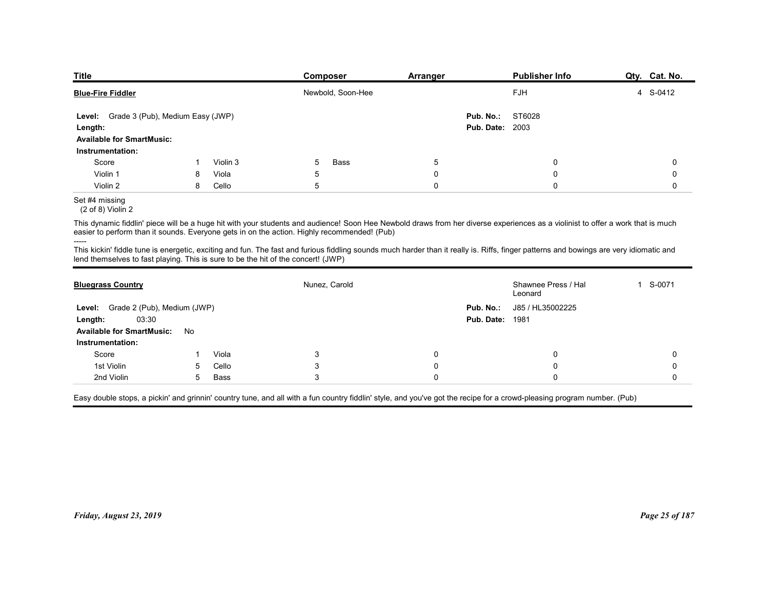| <b>Title</b>                                                                      |    |          | Composer                                                                                                                                                                                                                                                                       | <b>Arranger</b> |                        | <b>Publisher Info</b>          | Qty. Cat. No. |
|-----------------------------------------------------------------------------------|----|----------|--------------------------------------------------------------------------------------------------------------------------------------------------------------------------------------------------------------------------------------------------------------------------------|-----------------|------------------------|--------------------------------|---------------|
| <b>Blue-Fire Fiddler</b>                                                          |    |          | Newbold, Soon-Hee                                                                                                                                                                                                                                                              |                 |                        | FJH                            | 4 S-0412      |
| Level: Grade 3 (Pub), Medium Easy (JWP)                                           |    |          |                                                                                                                                                                                                                                                                                |                 | Pub. No.:              | ST6028                         |               |
| Length:                                                                           |    |          |                                                                                                                                                                                                                                                                                |                 | <b>Pub. Date: 2003</b> |                                |               |
| <b>Available for SmartMusic:</b><br>Instrumentation:                              |    |          |                                                                                                                                                                                                                                                                                |                 |                        |                                |               |
| Score                                                                             | -1 | Violin 3 | 5<br>Bass                                                                                                                                                                                                                                                                      | $5\phantom{.0}$ |                        | 0                              | 0             |
| Violin 1                                                                          | 8  | Viola    | 5                                                                                                                                                                                                                                                                              | 0               |                        | 0                              | 0             |
| Violin 2                                                                          | 8  | Cello    | 5                                                                                                                                                                                                                                                                              | $\mathbf 0$     |                        | $\mathbf 0$                    | 0             |
| Set #4 missing<br>$(2 of 8)$ Violin 2                                             |    |          |                                                                                                                                                                                                                                                                                |                 |                        |                                |               |
|                                                                                   |    |          | This dynamic fiddlin' piece will be a huge hit with your students and audience! Soon Hee Newbold draws from her diverse experiences as a violinist to offer a work that is much<br>easier to perform than it sounds. Everyone gets in on the action. Highly recommended! (Pub) |                 |                        |                                |               |
| lend themselves to fast playing. This is sure to be the hit of the concert! (JWP) |    |          | This kickin' fiddle tune is energetic, exciting and fun. The fast and furious fiddling sounds much harder than it really is. Riffs, finger patterns and bowings are very idiomatic and                                                                                         |                 |                        |                                |               |
| <b>Bluegrass Country</b>                                                          |    |          | Nunez, Carold                                                                                                                                                                                                                                                                  |                 |                        | Shawnee Press / Hal<br>Leonard | 1 S-0071      |
|                                                                                   |    |          |                                                                                                                                                                                                                                                                                |                 | Pub. No.:              | J85 / HL35002225               |               |
| Level: Grade 2 (Pub), Medium (JWP)                                                |    |          |                                                                                                                                                                                                                                                                                |                 |                        |                                |               |
| 03:30<br>Length:<br>Available for SmartMusic: No                                  |    |          |                                                                                                                                                                                                                                                                                |                 | <b>Pub. Date: 1981</b> |                                |               |

## Set #4 missing

|                                                                                   |                 | Level: Grade 3 (Pub), Medium Easy (JWP) |                                                                                             |             | Pub. No.:<br>ST6028                                                                                                                                                                    |             |
|-----------------------------------------------------------------------------------|-----------------|-----------------------------------------|---------------------------------------------------------------------------------------------|-------------|----------------------------------------------------------------------------------------------------------------------------------------------------------------------------------------|-------------|
| Length:                                                                           |                 |                                         |                                                                                             |             | <b>Pub. Date: 2003</b>                                                                                                                                                                 |             |
| <b>Available for SmartMusic:</b><br>Instrumentation:                              |                 |                                         |                                                                                             |             |                                                                                                                                                                                        |             |
| Score                                                                             | -1              | Violin 3                                | 5<br>Bass                                                                                   | 5           | 0                                                                                                                                                                                      | 0           |
| Violin 1                                                                          | 8               | Viola                                   | 5                                                                                           | $\pmb{0}$   | $\mathbf 0$                                                                                                                                                                            | 0           |
| Violin 2                                                                          | 8               | Cello                                   | 5                                                                                           | $\mathbf 0$ | 0                                                                                                                                                                                      | $\mathbf 0$ |
| Set #4 missing<br>$(2 of 8)$ Violin 2                                             |                 |                                         |                                                                                             |             |                                                                                                                                                                                        |             |
|                                                                                   |                 |                                         | easier to perform than it sounds. Everyone gets in on the action. Highly recommended! (Pub) |             | This dynamic fiddlin' piece will be a huge hit with your students and audience! Soon Hee Newbold draws from her diverse experiences as a violinist to offer a work that is much        |             |
| lend themselves to fast playing. This is sure to be the hit of the concert! (JWP) |                 |                                         |                                                                                             |             | This kickin' fiddle tune is energetic, exciting and fun. The fast and furious fiddling sounds much harder than it really is. Riffs, finger patterns and bowings are very idiomatic and |             |
| <b>Bluegrass Country</b>                                                          |                 |                                         | Nunez, Carold                                                                               |             | Shawnee Press / Hal<br>Leonard                                                                                                                                                         | 1 S-0071    |
| Level: Grade 2 (Pub), Medium (JWP)                                                |                 |                                         |                                                                                             |             | Pub. No.:<br>J85 / HL35002225                                                                                                                                                          |             |
| 03:30<br>Length:                                                                  |                 |                                         |                                                                                             |             | <b>Pub. Date: 1981</b>                                                                                                                                                                 |             |
| <b>Available for SmartMusic:</b>                                                  | No              |                                         |                                                                                             |             |                                                                                                                                                                                        |             |
| Instrumentation:                                                                  |                 |                                         |                                                                                             |             |                                                                                                                                                                                        |             |
| Score                                                                             | -1              | Viola                                   | 3                                                                                           | $\mathbf 0$ | $\mathbf 0$                                                                                                                                                                            | 0           |
| 1st Violin                                                                        | 5               | Cello                                   | $\mathbf{3}$                                                                                | $\mathbf 0$ | 0                                                                                                                                                                                      | 0           |
| 2nd Violin                                                                        | $5\overline{)}$ | Bass                                    | 3                                                                                           | $\mathbf 0$ | $\mathbf 0$                                                                                                                                                                            | $\mathbf 0$ |
|                                                                                   |                 |                                         |                                                                                             |             | Easy double stops, a pickin' and grinnin' country tune, and all with a fun country fiddlin' style, and you've got the recipe for a crowd-pleasing program number. (Pub)                |             |
|                                                                                   |                 |                                         |                                                                                             |             |                                                                                                                                                                                        |             |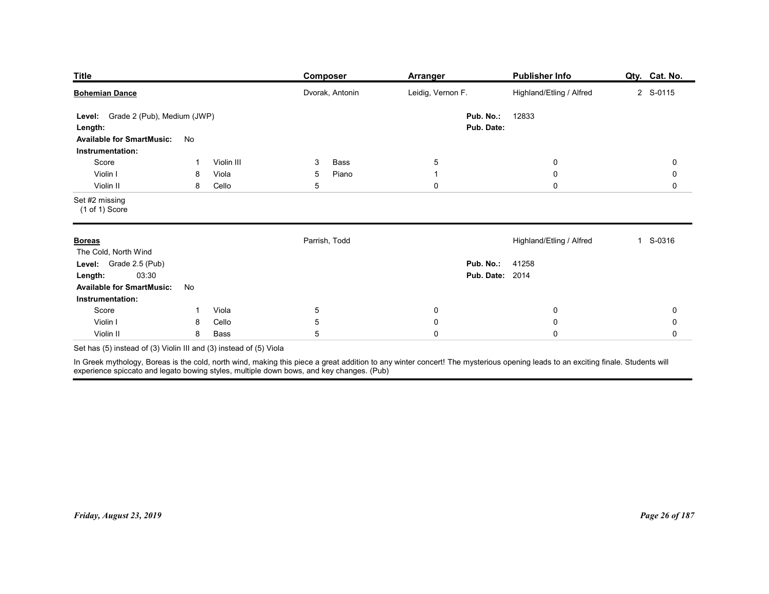| Publisher Info<br>Qty. Cat. No.<br><b>Composer</b><br><b>Arranger</b><br>Leidig, Vernon F.<br>Highland/Etling / Alfred<br>Dvorak, Antonin<br>2 S-0115<br>12833<br>Pub. No.:<br>Pub. Date:<br>No<br>Violin III<br>Score<br>Bass<br>$\overline{5}$<br>$\mathbf 0$<br>0<br>3<br>-1<br>Violin I<br>Viola<br>5<br>Piano<br>$\mathbf 0$<br>0<br>8<br>$\overline{1}$<br>Violin II<br>5<br>$\mathsf{O}\xspace$<br>$\mathbf 0$<br>8<br>Cello<br>$\mathsf{O}$<br>$(1 of 1)$ Score |
|-------------------------------------------------------------------------------------------------------------------------------------------------------------------------------------------------------------------------------------------------------------------------------------------------------------------------------------------------------------------------------------------------------------------------------------------------------------------------|
| <b>Title</b><br><b>Bohemian Dance</b><br>Level: Grade 2 (Pub), Medium (JWP)<br>Length:<br><b>Available for SmartMusic:</b><br>Instrumentation:<br>Set #2 missing                                                                                                                                                                                                                                                                                                        |
|                                                                                                                                                                                                                                                                                                                                                                                                                                                                         |
|                                                                                                                                                                                                                                                                                                                                                                                                                                                                         |
|                                                                                                                                                                                                                                                                                                                                                                                                                                                                         |
|                                                                                                                                                                                                                                                                                                                                                                                                                                                                         |
|                                                                                                                                                                                                                                                                                                                                                                                                                                                                         |
|                                                                                                                                                                                                                                                                                                                                                                                                                                                                         |
| Parrish, Todd<br>Highland/Etling / Alfred<br>S-0316<br>$\mathbf{1}$<br><b>Boreas</b>                                                                                                                                                                                                                                                                                                                                                                                    |
| The Cold, North Wind<br>Level: Grade 2.5 (Pub)<br><b>Pub. No.: 41258</b><br><b>Pub. Date: 2014</b><br>03:30<br>Length:                                                                                                                                                                                                                                                                                                                                                  |
| <b>Available for SmartMusic:</b><br>No<br>Instrumentation:                                                                                                                                                                                                                                                                                                                                                                                                              |
| Score<br>Viola<br>$5\phantom{.0}$<br>$\pmb{0}$<br>$\mathbf 0$<br>$\pmb{0}$<br>$\mathbf{1}$                                                                                                                                                                                                                                                                                                                                                                              |
| $\,$ 5 $\,$<br>Violin I<br>Cello<br>$\pmb{0}$<br>$\pmb{0}$<br>$\pmb{0}$<br>8<br>5 <sup>5</sup><br>$\pmb{0}$<br>$\mathsf 0$<br>Violin II<br>8<br>Bass                                                                                                                                                                                                                                                                                                                    |
| $\mathbf 0$<br>Set has (5) instead of (3) Violin III and (3) instead of (5) Viola                                                                                                                                                                                                                                                                                                                                                                                       |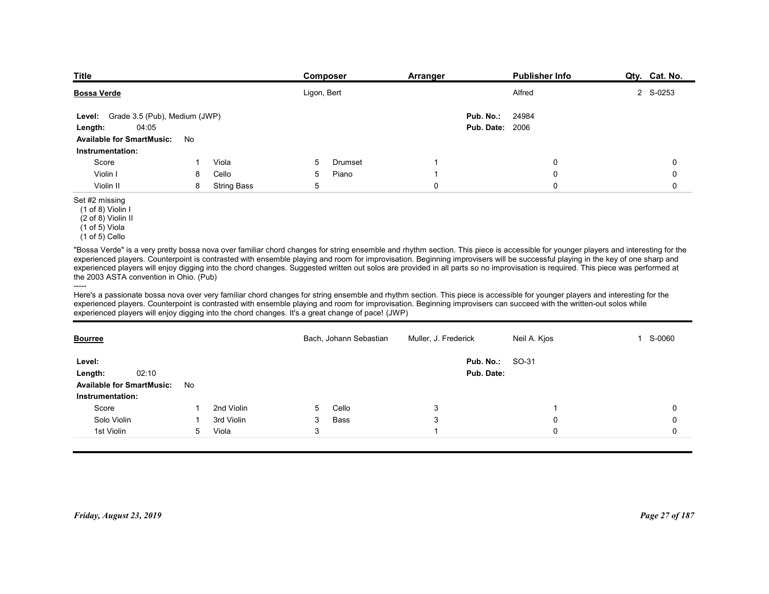| <b>Title</b>                                                                                      |    |                    | Composer    |                        | Arranger             | <b>Publisher Info</b>                                                                                                                                                                                                                                                                                                                                                                                                                                                                                                                                     | Qty. Cat. No. |
|---------------------------------------------------------------------------------------------------|----|--------------------|-------------|------------------------|----------------------|-----------------------------------------------------------------------------------------------------------------------------------------------------------------------------------------------------------------------------------------------------------------------------------------------------------------------------------------------------------------------------------------------------------------------------------------------------------------------------------------------------------------------------------------------------------|---------------|
| <b>Bossa Verde</b>                                                                                |    |                    | Ligon, Bert |                        |                      | Alfred                                                                                                                                                                                                                                                                                                                                                                                                                                                                                                                                                    | 2 S-0253      |
|                                                                                                   |    |                    |             |                        | Pub. No.:            | 24984                                                                                                                                                                                                                                                                                                                                                                                                                                                                                                                                                     |               |
| Grade 3.5 (Pub), Medium (JWP)<br>Level:<br>04:05<br>Length:                                       |    |                    |             |                        |                      | <b>Pub. Date: 2006</b>                                                                                                                                                                                                                                                                                                                                                                                                                                                                                                                                    |               |
| <b>Available for SmartMusic:</b>                                                                  | No |                    |             |                        |                      |                                                                                                                                                                                                                                                                                                                                                                                                                                                                                                                                                           |               |
| Instrumentation:                                                                                  |    |                    |             |                        |                      |                                                                                                                                                                                                                                                                                                                                                                                                                                                                                                                                                           |               |
| Score<br>Violin I                                                                                 | 8  | Viola<br>Cello     | 5<br>5      | Drumset<br>Piano       | -1                   | 0<br>0                                                                                                                                                                                                                                                                                                                                                                                                                                                                                                                                                    | 0<br>0        |
| Violin II                                                                                         | 8  | <b>String Bass</b> | 5           |                        | $\mathbf 0$          | $\mathbf 0$                                                                                                                                                                                                                                                                                                                                                                                                                                                                                                                                               | 0             |
| Set #2 missing<br>(1 of 8) Violin I<br>(2 of 8) Violin II<br>(1 of 5) Viola<br>$(1 of 5)$ Cello   |    |                    |             |                        |                      |                                                                                                                                                                                                                                                                                                                                                                                                                                                                                                                                                           |               |
| the 2003 ASTA convention in Ohio. (Pub)                                                           |    |                    |             |                        |                      | "Bossa Verde" is a very pretty bossa nova over familiar chord changes for string ensemble and rhythm section. This piece is accessible for younger players and interesting for the<br>experienced players. Counterpoint is contrasted with ensemble playing and room for improvisation. Beginning improvisers will be successful playing in the key of one sharp and<br>experienced players will enjoy digging into the chord changes. Suggested written out solos are provided in all parts so no improvisation is required. This piece was performed at |               |
| experienced players will enjoy digging into the chord changes. It's a great change of pace! (JWP) |    |                    |             |                        |                      | Here's a passionate bossa nova over very familiar chord changes for string ensemble and rhythm section. This piece is accessible for younger players and interesting for the<br>experienced players. Counterpoint is contrasted with ensemble playing and room for improvisation. Beginning improvisers can succeed with the written-out solos while                                                                                                                                                                                                      |               |
| <b>Bourree</b>                                                                                    |    |                    |             | Bach, Johann Sebastian | Muller, J. Frederick | Neil A. Kjos                                                                                                                                                                                                                                                                                                                                                                                                                                                                                                                                              | 1 S-0060      |
| Level:                                                                                            |    |                    |             |                        | Pub. No.:            | SO-31                                                                                                                                                                                                                                                                                                                                                                                                                                                                                                                                                     |               |
| 02:10<br>Length:                                                                                  |    |                    |             |                        | Pub. Date:           |                                                                                                                                                                                                                                                                                                                                                                                                                                                                                                                                                           |               |
| <b>Available for SmartMusic:</b>                                                                  | No |                    |             |                        |                      |                                                                                                                                                                                                                                                                                                                                                                                                                                                                                                                                                           |               |
|                                                                                                   |    |                    |             |                        |                      |                                                                                                                                                                                                                                                                                                                                                                                                                                                                                                                                                           |               |

### Set #2 missing

| $\Omega$<br>$\Omega$<br>"Bossa Verde" is a very pretty bossa nova over familiar chord changes for string ensemble and rhythm section. This piece is accessible for younger players and interesting for the<br>experienced players. Counterpoint is contrasted with ensemble playing and room for improvisation. Beginning improvisers will be successful playing in the key of one sharp and<br>experienced players will enjoy digging into the chord changes. Suggested written out solos are provided in all parts so no improvisation is required. This piece was performed at<br>Here's a passionate bossa nova over very familiar chord changes for string ensemble and rhythm section. This piece is accessible for younger players and interesting for the<br>1 S-0060 |
|-------------------------------------------------------------------------------------------------------------------------------------------------------------------------------------------------------------------------------------------------------------------------------------------------------------------------------------------------------------------------------------------------------------------------------------------------------------------------------------------------------------------------------------------------------------------------------------------------------------------------------------------------------------------------------------------------------------------------------------------------------------------------------|
|                                                                                                                                                                                                                                                                                                                                                                                                                                                                                                                                                                                                                                                                                                                                                                               |
|                                                                                                                                                                                                                                                                                                                                                                                                                                                                                                                                                                                                                                                                                                                                                                               |
|                                                                                                                                                                                                                                                                                                                                                                                                                                                                                                                                                                                                                                                                                                                                                                               |
|                                                                                                                                                                                                                                                                                                                                                                                                                                                                                                                                                                                                                                                                                                                                                                               |
|                                                                                                                                                                                                                                                                                                                                                                                                                                                                                                                                                                                                                                                                                                                                                                               |
|                                                                                                                                                                                                                                                                                                                                                                                                                                                                                                                                                                                                                                                                                                                                                                               |
|                                                                                                                                                                                                                                                                                                                                                                                                                                                                                                                                                                                                                                                                                                                                                                               |
|                                                                                                                                                                                                                                                                                                                                                                                                                                                                                                                                                                                                                                                                                                                                                                               |
|                                                                                                                                                                                                                                                                                                                                                                                                                                                                                                                                                                                                                                                                                                                                                                               |
|                                                                                                                                                                                                                                                                                                                                                                                                                                                                                                                                                                                                                                                                                                                                                                               |
|                                                                                                                                                                                                                                                                                                                                                                                                                                                                                                                                                                                                                                                                                                                                                                               |
| $\mathbf 0$                                                                                                                                                                                                                                                                                                                                                                                                                                                                                                                                                                                                                                                                                                                                                                   |
| $\Omega$                                                                                                                                                                                                                                                                                                                                                                                                                                                                                                                                                                                                                                                                                                                                                                      |
| $\Omega$                                                                                                                                                                                                                                                                                                                                                                                                                                                                                                                                                                                                                                                                                                                                                                      |
| Page 27 of 187                                                                                                                                                                                                                                                                                                                                                                                                                                                                                                                                                                                                                                                                                                                                                                |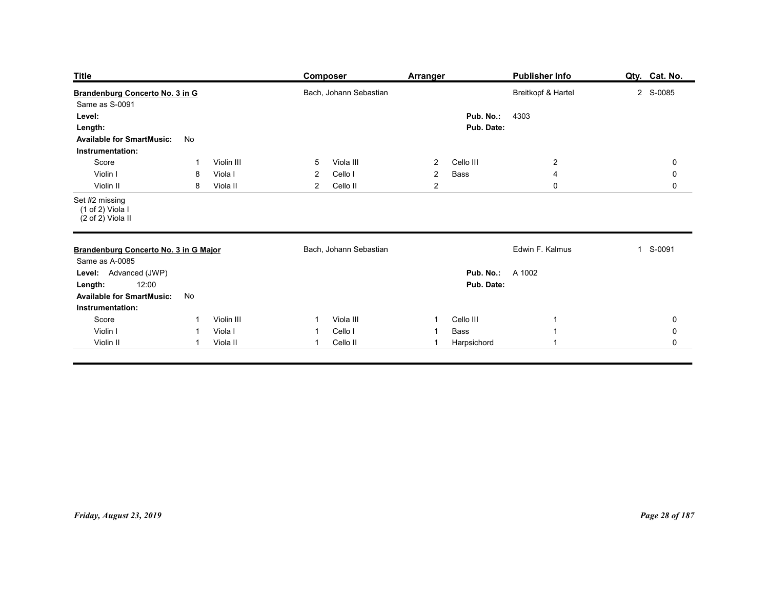| <b>Title</b>                                                                                               |                                                |                                   | Composer                                                                                | <b>Arranger</b>                                    |                                       | <b>Publisher Info</b>                | Qty. Cat. No.                                     |
|------------------------------------------------------------------------------------------------------------|------------------------------------------------|-----------------------------------|-----------------------------------------------------------------------------------------|----------------------------------------------------|---------------------------------------|--------------------------------------|---------------------------------------------------|
| Brandenburg Concerto No. 3 in G<br>Same as S-0091<br>Level:<br>Length:<br><b>Available for SmartMusic:</b> | No                                             |                                   | Bach, Johann Sebastian                                                                  |                                                    | Pub. No.:<br>Pub. Date:               | Breitkopf & Hartel<br>4303           | 2 S-0085                                          |
| Instrumentation:<br>Score<br>Violin I<br>Violin II<br>Set #2 missing                                       | -1<br>8<br>8                                   | Violin III<br>Viola I<br>Viola II | $5\overline{)}$<br>Viola III<br>$\overline{2}$<br>Cello I<br>$\overline{2}$<br>Cello II | $\overline{2}$<br>$\overline{2}$<br>$\overline{2}$ | Cello III<br>Bass                     | $\overline{2}$<br>4<br>$\mathsf 0$   | $\mathbf 0$<br>$\mathbf 0$<br>$\mathbf 0$         |
| (1 of 2) Viola I<br>(2 of 2) Viola II<br>Brandenburg Concerto No. 3 in G Major                             |                                                |                                   | Bach, Johann Sebastian                                                                  |                                                    |                                       | Edwin F. Kalmus                      | 1 S-0091                                          |
| Same as A-0085<br>Level: Advanced (JWP)<br>12:00<br>Length:<br><b>Available for SmartMusic:</b>            | No                                             |                                   |                                                                                         |                                                    | <b>Pub. No.:</b> A 1002<br>Pub. Date: |                                      |                                                   |
| Instrumentation:<br>Score<br>Violin I<br>Violin II                                                         | $\mathbf{1}$<br>$\overline{1}$<br>$\mathbf{1}$ | Violin III<br>Viola I<br>Viola II | Viola III<br>$\mathbf{1}$<br>Cello I<br>$\mathbf{1}$<br>Cello II<br>$\overline{1}$      | $\overline{1}$<br>$\overline{1}$<br>$\overline{1}$ | Cello III<br>Bass<br>Harpsichord      | -1<br>$\mathbf{1}$<br>$\overline{1}$ | $\mathbf 0$<br>$\mathsf{O}\xspace$<br>$\mathbf 0$ |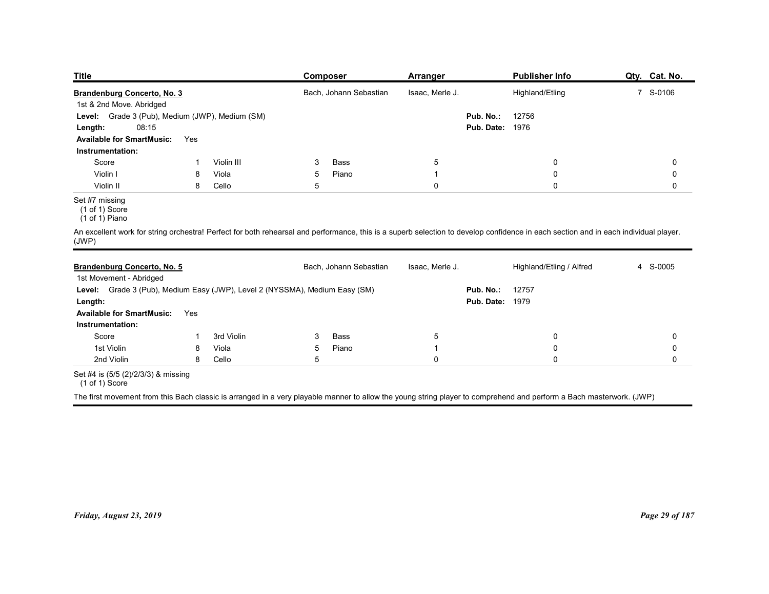| <b>Title</b>                                                                           |        |                |                     | <b>Composer</b>        | <b>Arranger</b>               |                                     | <b>Publisher Info</b>                                                                                                                                                               | Qty. Cat. No. |
|----------------------------------------------------------------------------------------|--------|----------------|---------------------|------------------------|-------------------------------|-------------------------------------|-------------------------------------------------------------------------------------------------------------------------------------------------------------------------------------|---------------|
| Brandenburg Concerto, No. 3                                                            |        |                |                     | Bach, Johann Sebastian | Isaac, Merle J.               |                                     | Highland/Etling                                                                                                                                                                     | 7 S-0106      |
| 1st & 2nd Move. Abridged                                                               |        |                |                     |                        |                               |                                     |                                                                                                                                                                                     |               |
| Level: Grade 3 (Pub), Medium (JWP), Medium (SM)                                        |        |                |                     |                        |                               | Pub. No.:<br><b>Pub. Date: 1976</b> | 12756                                                                                                                                                                               |               |
| 08:15<br>Length:<br><b>Available for SmartMusic:</b>                                   | Yes    |                |                     |                        |                               |                                     |                                                                                                                                                                                     |               |
| Instrumentation:                                                                       |        |                |                     |                        |                               |                                     |                                                                                                                                                                                     |               |
| Score                                                                                  | -1     | Violin III     | 3                   | <b>Bass</b>            | 5                             |                                     | $\mathbf 0$                                                                                                                                                                         | 0             |
| Violin I<br>Violin II                                                                  | 8<br>8 | Viola<br>Cello | 5 <sub>5</sub><br>5 | Piano                  | $\overline{1}$<br>$\mathbf 0$ |                                     | $\pmb{0}$<br>$\mathsf{O}\xspace$                                                                                                                                                    | 0<br>0        |
| Set #7 missing<br>$(1 \text{ of } 1)$ Score<br>$(1 of 1)$ Piano                        |        |                |                     |                        |                               |                                     |                                                                                                                                                                                     |               |
|                                                                                        |        |                |                     |                        |                               |                                     | An excellent work for string orchestra! Perfect for both rehearsal and performance, this is a superb selection to develop confidence in each section and in each individual player. |               |
| (JWP)                                                                                  |        |                |                     | Bach, Johann Sebastian | Isaac, Merle J.               |                                     | Highland/Etling / Alfred                                                                                                                                                            | 4 S-0005      |
| Brandenburg Concerto, No. 5                                                            |        |                |                     |                        |                               |                                     | 12757                                                                                                                                                                               |               |
| 1st Movement - Abridged                                                                |        |                |                     |                        |                               |                                     |                                                                                                                                                                                     |               |
| Level: Grade 3 (Pub), Medium Easy (JWP), Level 2 (NYSSMA), Medium Easy (SM)<br>Length: |        |                |                     |                        |                               | Pub. No.:<br><b>Pub. Date: 1979</b> |                                                                                                                                                                                     |               |

## Set #7 missing

|                                                                                                                                                                                              | Brandenburg Concerto, No. 3 |            |            | Bach, Johann Sebastian | Isaac, Merle J. |                        | Highland/Etling          | 7 S-0106    |
|----------------------------------------------------------------------------------------------------------------------------------------------------------------------------------------------|-----------------------------|------------|------------|------------------------|-----------------|------------------------|--------------------------|-------------|
| 1st & 2nd Move. Abridged<br>Level: Grade 3 (Pub), Medium (JWP), Medium (SM)                                                                                                                  |                             |            |            |                        |                 | Pub. No.:              | 12756                    |             |
| 08:15<br>Length:                                                                                                                                                                             |                             |            |            |                        |                 | <b>Pub. Date: 1976</b> |                          |             |
| <b>Available for SmartMusic:</b>                                                                                                                                                             | Yes                         |            |            |                        |                 |                        |                          |             |
| Instrumentation:                                                                                                                                                                             |                             |            |            |                        |                 |                        |                          |             |
| Score                                                                                                                                                                                        | -1                          | Violin III | 3          | Bass                   | $\overline{5}$  |                        | $\pmb{0}$                | $\mathbf 0$ |
| Violin I                                                                                                                                                                                     | 8                           | Viola      | $\sqrt{5}$ | Piano                  | $\overline{1}$  |                        | $\pmb{0}$                | $\pmb{0}$   |
| Violin II                                                                                                                                                                                    | 8                           | Cello      | $\sqrt{5}$ |                        | $\pmb{0}$       |                        | $\mathbf 0$              | 0           |
| Set #7 missing<br>$(1 of 1)$ Score<br>$(1 \text{ of } 1)$ Piano                                                                                                                              |                             |            |            |                        |                 |                        |                          |             |
| An excellent work for string orchestra! Perfect for both rehearsal and performance, this is a superb selection to develop confidence in each section and in each individual player.<br>(JWP) |                             |            |            |                        |                 |                        |                          |             |
| Brandenburg Concerto, No. 5<br>1st Movement - Abridged                                                                                                                                       |                             |            |            | Bach, Johann Sebastian | Isaac, Merle J. |                        | Highland/Etling / Alfred | 4 S-0005    |
| Level: Grade 3 (Pub), Medium Easy (JWP), Level 2 (NYSSMA), Medium Easy (SM)                                                                                                                  |                             |            |            |                        |                 | Pub. No.:              | 12757                    |             |
| Length:                                                                                                                                                                                      |                             |            |            |                        |                 | <b>Pub. Date: 1979</b> |                          |             |
| <b>Available for SmartMusic:</b>                                                                                                                                                             | Yes                         |            |            |                        |                 |                        |                          |             |
| Instrumentation:                                                                                                                                                                             |                             |            |            |                        |                 |                        |                          |             |
| Score                                                                                                                                                                                        | $\mathbf 1$                 | 3rd Violin | 3          | <b>Bass</b>            | 5               |                        | $\mathbf 0$              | 0           |
| 1st Violin                                                                                                                                                                                   | 8                           | Viola      | $\sqrt{5}$ | Piano                  | $\overline{1}$  |                        | $\mathbf 0$              | $\mathbf 0$ |
| 2nd Violin                                                                                                                                                                                   | 8                           | Cello      | $\sqrt{5}$ |                        | $\mathbf 0$     |                        | $\mathbf 0$              | 0           |
| Set #4 is (5/5 (2)/2/3/3) & missing<br>$(1 of 1)$ Score                                                                                                                                      |                             |            |            |                        |                 |                        |                          |             |
|                                                                                                                                                                                              |                             |            |            |                        |                 |                        |                          |             |
| The first movement from this Bach classic is arranged in a very playable manner to allow the young string player to comprehend and perform a Bach masterwork. (JWP)                          |                             |            |            |                        |                 |                        |                          |             |
|                                                                                                                                                                                              |                             |            |            |                        |                 |                        |                          |             |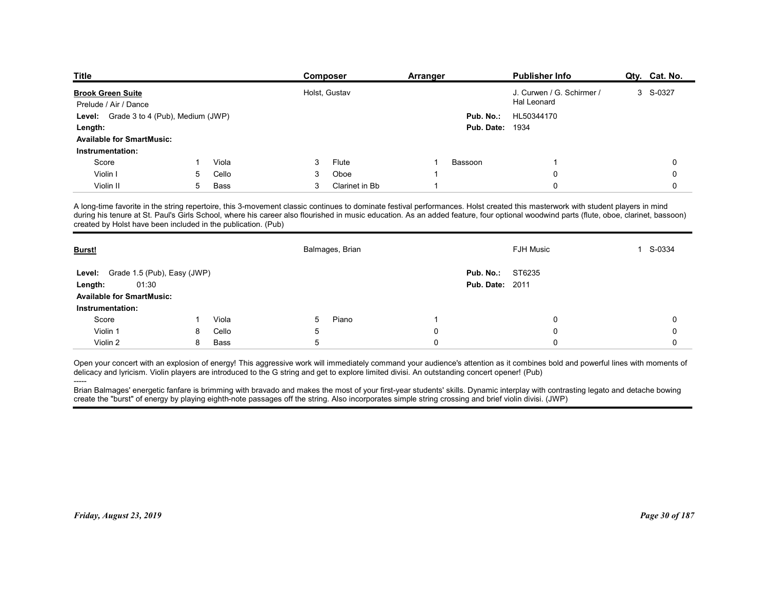| <b>Title</b>                                                     |        |               |        |                 |          |                        | <b>Publisher Info</b>                                                                                                                                                                                                                                                                                                                                                   |               |
|------------------------------------------------------------------|--------|---------------|--------|-----------------|----------|------------------------|-------------------------------------------------------------------------------------------------------------------------------------------------------------------------------------------------------------------------------------------------------------------------------------------------------------------------------------------------------------------------|---------------|
|                                                                  |        |               |        | <b>Composer</b> | Arranger |                        |                                                                                                                                                                                                                                                                                                                                                                         | Qty. Cat. No. |
| <b>Brook Green Suite</b>                                         |        |               |        | Holst, Gustav   |          |                        | J. Curwen / G. Schirmer /<br>Hal Leonard                                                                                                                                                                                                                                                                                                                                | 3 S-0327      |
| Prelude / Air / Dance<br>Level: Grade 3 to 4 (Pub), Medium (JWP) |        |               |        |                 |          | Pub. No.:              | HL50344170                                                                                                                                                                                                                                                                                                                                                              |               |
| Length:                                                          |        |               |        |                 |          | Pub. Date:             | 1934                                                                                                                                                                                                                                                                                                                                                                    |               |
| <b>Available for SmartMusic:</b>                                 |        |               |        |                 |          |                        |                                                                                                                                                                                                                                                                                                                                                                         |               |
| Instrumentation:                                                 |        |               |        |                 |          |                        |                                                                                                                                                                                                                                                                                                                                                                         |               |
| Score                                                            |        | Viola         | 3      | Flute           |          | Bassoon                | -1                                                                                                                                                                                                                                                                                                                                                                      | 0             |
| Violin I                                                         | 5      | Cello         | 3      | Oboe            |          |                        | $\Omega$                                                                                                                                                                                                                                                                                                                                                                | 0             |
| Violin II                                                        | 5      | Bass          | 3      | Clarinet in Bb  |          |                        | $\Omega$                                                                                                                                                                                                                                                                                                                                                                | $\mathbf 0$   |
|                                                                  |        |               |        |                 |          |                        | A long-time favorite in the string repertoire, this 3-movement classic continues to dominate festival performances. Holst created this masterwork with student players in mind<br>during his tenure at St. Paul's Girls School, where his career also flourished in music education. As an added feature, four optional woodwind parts (flute, oboe, clarinet, bassoon) |               |
| created by Holst have been included in the publication. (Pub)    |        |               |        |                 |          |                        | <b>FJH Music</b>                                                                                                                                                                                                                                                                                                                                                        | 1 S-0334      |
| Burst!                                                           |        |               |        | Balmages, Brian |          |                        |                                                                                                                                                                                                                                                                                                                                                                         |               |
| Level: Grade 1.5 (Pub), Easy (JWP)                               |        |               |        |                 |          | Pub. No.:              | ST6235                                                                                                                                                                                                                                                                                                                                                                  |               |
| 01:30<br>Length:                                                 |        |               |        |                 |          | <b>Pub. Date: 2011</b> |                                                                                                                                                                                                                                                                                                                                                                         |               |
| <b>Available for SmartMusic:</b>                                 |        |               |        |                 |          |                        |                                                                                                                                                                                                                                                                                                                                                                         |               |
| Instrumentation:                                                 |        |               |        |                 |          |                        |                                                                                                                                                                                                                                                                                                                                                                         |               |
| Score                                                            |        | Viola         | 5      | Piano           |          |                        | 0                                                                                                                                                                                                                                                                                                                                                                       | 0             |
| Violin 1<br>Violin 2                                             | 8<br>8 | Cello<br>Bass | 5<br>5 |                 | 0<br>0   |                        | 0<br>0                                                                                                                                                                                                                                                                                                                                                                  | 0<br>0        |

| Prelude / Air / Dance<br>Level: Grade 3 to 4 (Pub), Medium (JWP)                                                                                                                                                                                                                                     |              |       |                 | Holst, Gustav   |                |                        | J. Curwen / G. Schirmer /<br>Hal Leonard                                                                                                                                                                                                                                                                                                                                | 3 S-0327    |
|------------------------------------------------------------------------------------------------------------------------------------------------------------------------------------------------------------------------------------------------------------------------------------------------------|--------------|-------|-----------------|-----------------|----------------|------------------------|-------------------------------------------------------------------------------------------------------------------------------------------------------------------------------------------------------------------------------------------------------------------------------------------------------------------------------------------------------------------------|-------------|
|                                                                                                                                                                                                                                                                                                      |              |       |                 |                 |                | Pub. No.:              | HL50344170                                                                                                                                                                                                                                                                                                                                                              |             |
| Length:                                                                                                                                                                                                                                                                                              |              |       |                 |                 |                | <b>Pub. Date: 1934</b> |                                                                                                                                                                                                                                                                                                                                                                         |             |
| <b>Available for SmartMusic:</b>                                                                                                                                                                                                                                                                     |              |       |                 |                 |                |                        |                                                                                                                                                                                                                                                                                                                                                                         |             |
| Instrumentation:                                                                                                                                                                                                                                                                                     |              |       |                 |                 |                |                        |                                                                                                                                                                                                                                                                                                                                                                         |             |
| Score                                                                                                                                                                                                                                                                                                | $\mathbf{1}$ | Viola | 3               | Flute           |                | Bassoon                | $\overline{1}$                                                                                                                                                                                                                                                                                                                                                          | 0           |
| Violin I                                                                                                                                                                                                                                                                                             | 5            | Cello | 3               | Oboe            |                |                        | $\mathbf 0$                                                                                                                                                                                                                                                                                                                                                             | 0           |
| Violin II                                                                                                                                                                                                                                                                                            | 5            | Bass  | 3               | Clarinet in Bb  | $\overline{1}$ |                        | $\Omega$                                                                                                                                                                                                                                                                                                                                                                | $\mathbf 0$ |
| created by Holst have been included in the publication. (Pub)                                                                                                                                                                                                                                        |              |       |                 |                 |                |                        | A long-time favorite in the string repertoire, this 3-movement classic continues to dominate festival performances. Holst created this masterwork with student players in mind<br>during his tenure at St. Paul's Girls School, where his career also flourished in music education. As an added feature, four optional woodwind parts (flute, oboe, clarinet, bassoon) |             |
| Burst!                                                                                                                                                                                                                                                                                               |              |       |                 | Balmages, Brian |                |                        | <b>FJH Music</b>                                                                                                                                                                                                                                                                                                                                                        | 1 S-0334    |
| Grade 1.5 (Pub), Easy (JWP)<br>Level:                                                                                                                                                                                                                                                                |              |       |                 |                 |                | Pub. No.:              | ST6235                                                                                                                                                                                                                                                                                                                                                                  |             |
| 01:30<br>Length:                                                                                                                                                                                                                                                                                     |              |       |                 |                 |                | <b>Pub. Date: 2011</b> |                                                                                                                                                                                                                                                                                                                                                                         |             |
| <b>Available for SmartMusic:</b>                                                                                                                                                                                                                                                                     |              |       |                 |                 |                |                        |                                                                                                                                                                                                                                                                                                                                                                         |             |
| Instrumentation:                                                                                                                                                                                                                                                                                     |              |       |                 |                 |                |                        |                                                                                                                                                                                                                                                                                                                                                                         |             |
| Score                                                                                                                                                                                                                                                                                                | 1            | Viola | $5\phantom{.0}$ | Piano           | -1             |                        | $\mathbf 0$                                                                                                                                                                                                                                                                                                                                                             | $\mathbf 0$ |
| Violin 1                                                                                                                                                                                                                                                                                             | 8            | Cello | $\sqrt{5}$      |                 | $\pmb{0}$      |                        |                                                                                                                                                                                                                                                                                                                                                                         |             |
|                                                                                                                                                                                                                                                                                                      |              |       |                 |                 |                |                        | $\mathbf 0$                                                                                                                                                                                                                                                                                                                                                             | 0           |
| Violin 2                                                                                                                                                                                                                                                                                             | 8            | Bass  | $5\phantom{.0}$ |                 | $\pmb{0}$      |                        | $\Omega$<br>Open your concert with an explosion of energy! This aggressive work will immediately command your audience's attention as it combines bold and powerful lines with moments of                                                                                                                                                                               | 0           |
| delicacy and lyricism. Violin players are introduced to the G string and get to explore limited divisi. An outstanding concert opener! (Pub)<br>create the "burst" of energy by playing eighth-note passages off the string. Also incorporates simple string crossing and brief violin divisi. (JWP) |              |       |                 |                 |                |                        | Brian Balmages' energetic fanfare is brimming with bravado and makes the most of your first-year students' skills. Dynamic interplay with contrasting legato and detache bowing                                                                                                                                                                                         |             |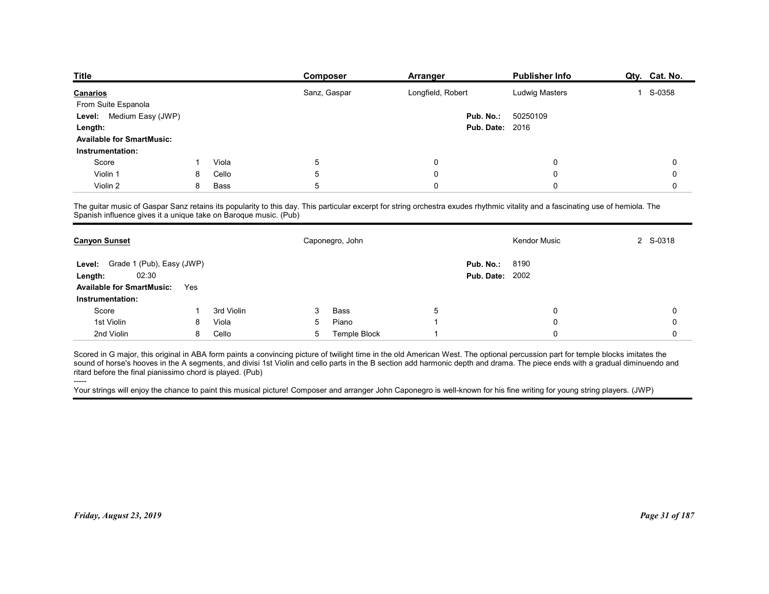| <b>Title</b>                                                     |     |            | Composer                                                                                                                                                                        | Arranger               | <b>Publisher Info</b> | Qty. Cat. No. |
|------------------------------------------------------------------|-----|------------|---------------------------------------------------------------------------------------------------------------------------------------------------------------------------------|------------------------|-----------------------|---------------|
| Canarios                                                         |     |            | Sanz, Gaspar                                                                                                                                                                    | Longfield, Robert      | <b>Ludwig Masters</b> | 1 S-0358      |
| From Suite Espanola                                              |     |            |                                                                                                                                                                                 |                        |                       |               |
| Medium Easy (JWP)<br>Level:                                      |     |            |                                                                                                                                                                                 | Pub. No.:              | 50250109              |               |
| Length:                                                          |     |            |                                                                                                                                                                                 | <b>Pub. Date: 2016</b> |                       |               |
| <b>Available for SmartMusic:</b>                                 |     |            |                                                                                                                                                                                 |                        |                       |               |
| Instrumentation:                                                 |     |            |                                                                                                                                                                                 |                        |                       |               |
| Score                                                            |     | Viola      | 5                                                                                                                                                                               | 0                      | 0                     | 0             |
| Violin 1                                                         | 8   | Cello      | 5                                                                                                                                                                               | 0                      | 0                     | 0             |
| Violin 2                                                         | 8   | Bass       | 5                                                                                                                                                                               | 0                      | 0                     | $\mathbf 0$   |
| Spanish influence gives it a unique take on Baroque music. (Pub) |     |            | The guitar music of Gaspar Sanz retains its popularity to this day. This particular excerpt for string orchestra exudes rhythmic vitality and a fascinating use of hemiola. The |                        |                       |               |
| <b>Canyon Sunset</b>                                             |     |            | Caponegro, John                                                                                                                                                                 |                        | Kendor Music          | 2 S-0318      |
|                                                                  |     |            |                                                                                                                                                                                 | <b>Pub. No.: 8190</b>  |                       |               |
|                                                                  |     |            |                                                                                                                                                                                 | <b>Pub. Date: 2002</b> |                       |               |
| Level: Grade 1 (Pub), Easy (JWP)<br>02:30                        |     |            |                                                                                                                                                                                 |                        |                       |               |
| Length:<br><b>Available for SmartMusic:</b>                      | Yes |            |                                                                                                                                                                                 |                        |                       |               |
| Instrumentation:                                                 |     |            |                                                                                                                                                                                 |                        |                       |               |
| Score                                                            |     | 3rd Violin | 3<br>Bass                                                                                                                                                                       | $5\phantom{.0}$        | 0                     | 0             |
| 1st Violin<br>2nd Violin                                         | 8   | Viola      | Piano<br>5<br>Temple Block                                                                                                                                                      |                        | 0                     | 0             |

| Level: Grade 1 (Pub), Easy (JWP)<br>Pub. No.:<br>8190<br>02:30<br><b>Pub. Date: 2002</b><br>Length:<br><b>Available for SmartMusic:</b><br>Yes<br>Instrumentation:<br>3rd Violin<br>Score<br>Bass<br>3<br>-5<br>0<br>$\mathbf 0$<br>1st Violin<br>Viola<br>Piano<br>0<br>8<br>5<br>0<br>2nd Violin<br>Cello<br><b>Temple Block</b><br>8<br>5<br>$\Omega$<br>$\Omega$<br>Scored in G major, this original in ABA form paints a convincing picture of twilight time in the old American West. The optional percussion part for temple blocks imitates the<br>sound of horse's hooves in the A segments, and divisi 1st Violin and cello parts in the B section add harmonic depth and drama. The piece ends with a gradual diminuendo and<br>ritard before the final pianissimo chord is played. (Pub)<br>-----<br>Your strings will enjoy the chance to paint this musical picture! Composer and arranger John Caponegro is well-known for his fine writing for young string players. (JWP)<br>Page 31 of 187<br>Friday, August 23, 2019 | <b>Canyon Sunset</b> |  | Caponegro, John |  | <b>Kendor Music</b> | 2 S-0318 |
|-----------------------------------------------------------------------------------------------------------------------------------------------------------------------------------------------------------------------------------------------------------------------------------------------------------------------------------------------------------------------------------------------------------------------------------------------------------------------------------------------------------------------------------------------------------------------------------------------------------------------------------------------------------------------------------------------------------------------------------------------------------------------------------------------------------------------------------------------------------------------------------------------------------------------------------------------------------------------------------------------------------------------------------------|----------------------|--|-----------------|--|---------------------|----------|
|                                                                                                                                                                                                                                                                                                                                                                                                                                                                                                                                                                                                                                                                                                                                                                                                                                                                                                                                                                                                                                         |                      |  |                 |  |                     |          |
|                                                                                                                                                                                                                                                                                                                                                                                                                                                                                                                                                                                                                                                                                                                                                                                                                                                                                                                                                                                                                                         |                      |  |                 |  |                     |          |
|                                                                                                                                                                                                                                                                                                                                                                                                                                                                                                                                                                                                                                                                                                                                                                                                                                                                                                                                                                                                                                         |                      |  |                 |  |                     |          |
|                                                                                                                                                                                                                                                                                                                                                                                                                                                                                                                                                                                                                                                                                                                                                                                                                                                                                                                                                                                                                                         |                      |  |                 |  |                     |          |
|                                                                                                                                                                                                                                                                                                                                                                                                                                                                                                                                                                                                                                                                                                                                                                                                                                                                                                                                                                                                                                         |                      |  |                 |  |                     |          |
|                                                                                                                                                                                                                                                                                                                                                                                                                                                                                                                                                                                                                                                                                                                                                                                                                                                                                                                                                                                                                                         |                      |  |                 |  |                     |          |
|                                                                                                                                                                                                                                                                                                                                                                                                                                                                                                                                                                                                                                                                                                                                                                                                                                                                                                                                                                                                                                         |                      |  |                 |  |                     |          |
|                                                                                                                                                                                                                                                                                                                                                                                                                                                                                                                                                                                                                                                                                                                                                                                                                                                                                                                                                                                                                                         |                      |  |                 |  |                     |          |
|                                                                                                                                                                                                                                                                                                                                                                                                                                                                                                                                                                                                                                                                                                                                                                                                                                                                                                                                                                                                                                         |                      |  |                 |  |                     |          |
|                                                                                                                                                                                                                                                                                                                                                                                                                                                                                                                                                                                                                                                                                                                                                                                                                                                                                                                                                                                                                                         |                      |  |                 |  |                     |          |
|                                                                                                                                                                                                                                                                                                                                                                                                                                                                                                                                                                                                                                                                                                                                                                                                                                                                                                                                                                                                                                         |                      |  |                 |  |                     |          |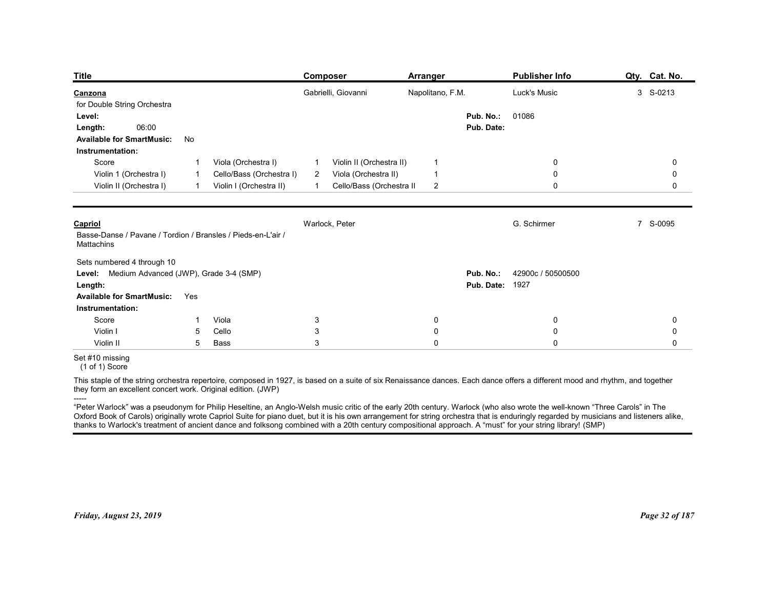| <b>Title</b>                                                                                                                                                                                                                                                                                                                                                                 |                            |                                                                            | Composer                                           |                                                                              | <b>Arranger</b>                                    |                                     | <b>Publisher Info</b>                                                                                                                                    | Qty. Cat. No. |
|------------------------------------------------------------------------------------------------------------------------------------------------------------------------------------------------------------------------------------------------------------------------------------------------------------------------------------------------------------------------------|----------------------------|----------------------------------------------------------------------------|----------------------------------------------------|------------------------------------------------------------------------------|----------------------------------------------------|-------------------------------------|----------------------------------------------------------------------------------------------------------------------------------------------------------|---------------|
| Canzona                                                                                                                                                                                                                                                                                                                                                                      |                            |                                                                            |                                                    | Gabrielli, Giovanni                                                          | Napolitano, F.M.                                   |                                     | Luck's Music                                                                                                                                             | 3 S-0213      |
| for Double String Orchestra<br>Level:<br>06:00<br>Length:<br><b>Available for SmartMusic:</b><br>Instrumentation:                                                                                                                                                                                                                                                            | No                         |                                                                            |                                                    |                                                                              |                                                    | Pub. No.:<br>Pub. Date:             | 01086                                                                                                                                                    |               |
| Score<br>Violin 1 (Orchestra I)<br>Violin II (Orchestra I)                                                                                                                                                                                                                                                                                                                   | -1<br>-1<br>$\overline{1}$ | Viola (Orchestra I)<br>Cello/Bass (Orchestra I)<br>Violin I (Orchestra II) | $\overline{1}$<br>$\overline{2}$<br>$\overline{1}$ | Violin II (Orchestra II)<br>Viola (Orchestra II)<br>Cello/Bass (Orchestra II | $\overline{1}$<br>$\overline{1}$<br>$\overline{2}$ |                                     | 0<br>$\mathbf 0$<br>0                                                                                                                                    | 0<br>0<br>0   |
| Capriol<br>Basse-Danse / Pavane / Tordion / Bransles / Pieds-en-L'air /<br>Mattachins                                                                                                                                                                                                                                                                                        |                            |                                                                            | Warlock, Peter                                     |                                                                              |                                                    |                                     | G. Schirmer                                                                                                                                              | 7 S-0095      |
| Sets numbered 4 through 10<br>Level: Medium Advanced (JWP), Grade 3-4 (SMP)<br>Length:                                                                                                                                                                                                                                                                                       |                            |                                                                            |                                                    |                                                                              |                                                    | Pub. No.:<br><b>Pub. Date: 1927</b> | 42900c / 50500500                                                                                                                                        |               |
| <b>Available for SmartMusic:</b>                                                                                                                                                                                                                                                                                                                                             | Yes                        |                                                                            |                                                    |                                                                              |                                                    |                                     |                                                                                                                                                          |               |
| Instrumentation:<br>Score                                                                                                                                                                                                                                                                                                                                                    | -1                         | Viola                                                                      | $\mathbf{3}$                                       |                                                                              | 0                                                  |                                     | 0                                                                                                                                                        | 0             |
| Violin I                                                                                                                                                                                                                                                                                                                                                                     | 5                          | Cello                                                                      | $\sqrt{3}$                                         |                                                                              | 0                                                  |                                     | $\mathbf 0$                                                                                                                                              | 0             |
| Violin II<br>Set #10 missing                                                                                                                                                                                                                                                                                                                                                 | 5                          | Bass                                                                       | 3                                                  |                                                                              | $\mathbf 0$                                        |                                     | $\mathbf 0$                                                                                                                                              | 0             |
| $(1 of 1)$ Score                                                                                                                                                                                                                                                                                                                                                             |                            |                                                                            |                                                    |                                                                              |                                                    |                                     |                                                                                                                                                          |               |
| This staple of the string orchestra repertoire, composed in 1927, is based on a suite of six Renaissance dances. Each dance offers a different mood and rhythm, and together<br>they form an excellent concert work. Original edition. (JWP)                                                                                                                                 |                            |                                                                            |                                                    |                                                                              |                                                    |                                     |                                                                                                                                                          |               |
| -----<br>"Peter Warlock" was a pseudonym for Philip Heseltine, an Anglo-Welsh music critic of the early 20th century. Warlock (who also wrote the well-known "Three Carols" in The<br>Oxford Book of Carols) originally wrote Capriol Suite for piano duet, but it is his own arrangement for string orchestra that is enduringly regarded by musicians and listeners alike, |                            |                                                                            |                                                    |                                                                              |                                                    |                                     | thanks to Warlock's treatment of ancient dance and folksong combined with a 20th century compositional approach. A "must" for your string library! (SMP) |               |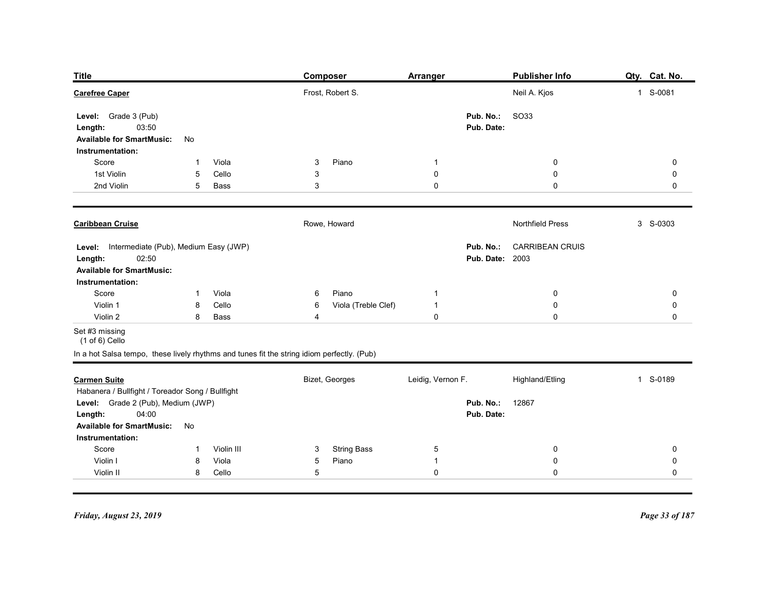| <b>Title</b>                                           |              |                | <b>Composer</b>                                                                            | <b>Arranger</b>   |                         | <b>Publisher Info</b>     | Qty. Cat. No.       |
|--------------------------------------------------------|--------------|----------------|--------------------------------------------------------------------------------------------|-------------------|-------------------------|---------------------------|---------------------|
| <b>Carefree Caper</b>                                  |              |                | Frost, Robert S.                                                                           |                   |                         | Neil A. Kjos              | 1 S-0081            |
| Level: Grade 3 (Pub)<br>03:50                          |              |                |                                                                                            |                   | Pub. No.:<br>Pub. Date: | <b>SO33</b>               |                     |
| Length:<br><b>Available for SmartMusic:</b>            | No           |                |                                                                                            |                   |                         |                           |                     |
| Instrumentation:                                       |              |                |                                                                                            |                   |                         |                           |                     |
| Score<br>1st Violin                                    | -1<br>5      | Viola<br>Cello | Piano<br>3<br>3                                                                            | -1<br>$\mathbf 0$ |                         | 0<br>$\boldsymbol{0}$     | $\mathbf 0$<br>0    |
| 2nd Violin                                             | 5            | Bass           | 3                                                                                          | $\mathbf 0$       |                         | $\mathbf 0$               | 0                   |
| <b>Caribbean Cruise</b>                                |              |                | Rowe, Howard                                                                               |                   |                         | Northfield Press          | 3 S-0303            |
| Level: Intermediate (Pub), Medium Easy (JWP)           |              |                |                                                                                            |                   |                         | Pub. No.: CARRIBEAN CRUIS |                     |
| 02:50<br>Length:<br><b>Available for SmartMusic:</b>   |              |                |                                                                                            |                   | <b>Pub. Date: 2003</b>  |                           |                     |
| Instrumentation:<br>Score                              | $\mathbf{1}$ | Viola          | Piano<br>6                                                                                 | $\mathbf{1}$      |                         | $\pmb{0}$                 | $\mathbf 0$         |
| Violin 1                                               | 8            | Cello          | Viola (Treble Clef)<br>6                                                                   | $\overline{1}$    |                         | $\pmb{0}$                 | $\mathbf 0$         |
| Violin 2                                               | 8            | Bass           | 4                                                                                          | $\mathbf 0$       |                         | $\pmb{0}$                 | $\mathsf{O}\xspace$ |
| Set #3 missing<br>$(1 of 6)$ Cello                     |              |                |                                                                                            |                   |                         |                           |                     |
|                                                        |              |                | In a hot Salsa tempo, these lively rhythms and tunes fit the string idiom perfectly. (Pub) |                   |                         |                           |                     |
| <b>Carmen Suite</b>                                    |              |                | Bizet, Georges                                                                             | Leidig, Vernon F. |                         | Highland/Etling           | 1 S-0189            |
| Habanera / Bullfight / Toreador Song / Bullfight       |              |                |                                                                                            |                   |                         |                           |                     |
| Level: Grade 2 (Pub), Medium (JWP)<br>04:00<br>Length: |              |                |                                                                                            |                   | Pub. No.:<br>Pub. Date: | 12867                     |                     |
| <b>Available for SmartMusic:</b><br>Instrumentation:   | No           |                |                                                                                            |                   |                         |                           |                     |
| Score                                                  | -1           | Violin III     | <b>String Bass</b><br>3                                                                    | $\overline{5}$    |                         | $\mathbf 0$               | $\mathbf 0$         |
| Violin I                                               | 8            | Viola          | Piano<br>$5\overline{)}$                                                                   | $\overline{1}$    |                         | $\mathbf 0$               | $\mathbf 0$         |
| Violin II                                              | 8            | Cello          | $5\,$                                                                                      | $\pmb{0}$         |                         | $\mathbf 0$               | 0                   |
|                                                        |              |                |                                                                                            |                   |                         |                           |                     |
| Friday, August 23, 2019                                |              |                |                                                                                            |                   |                         |                           | Page 33 of 187      |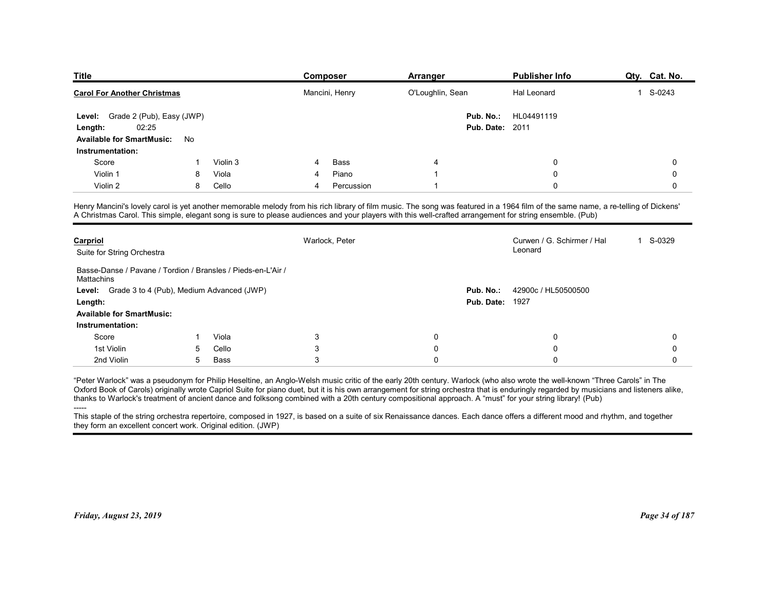| <b>Title</b>                                                   |   |          |        | Composer       | Arranger         |                        | <b>Publisher Info</b>                                                                                                                                                             | Qty. Cat. No. |
|----------------------------------------------------------------|---|----------|--------|----------------|------------------|------------------------|-----------------------------------------------------------------------------------------------------------------------------------------------------------------------------------|---------------|
| <b>Carol For Another Christmas</b>                             |   |          |        | Mancini, Henry | O'Loughlin, Sean |                        | Hal Leonard                                                                                                                                                                       | 1 S-0243      |
| Level: Grade 2 (Pub), Easy (JWP)                               |   |          |        |                |                  | Pub. No.:              | HL04491119                                                                                                                                                                        |               |
|                                                                |   |          |        |                |                  |                        |                                                                                                                                                                                   |               |
| 02:25<br>Length:                                               |   |          |        |                |                  | <b>Pub. Date: 2011</b> |                                                                                                                                                                                   |               |
| Available for SmartMusic: No                                   |   |          |        |                |                  |                        |                                                                                                                                                                                   |               |
| Instrumentation:                                               |   |          |        |                |                  |                        |                                                                                                                                                                                   |               |
| Score                                                          |   | Violin 3 | 4      | Bass           | 4                |                        | $\mathbf 0$                                                                                                                                                                       | 0             |
| Violin 1                                                       | 8 | Viola    | 4<br>4 | Piano          | $\overline{1}$   |                        | $\mathbf 0$<br>$\mathbf{0}$                                                                                                                                                       | 0             |
| Violin 2                                                       | 8 | Cello    |        | Percussion     |                  |                        |                                                                                                                                                                                   | 0             |
|                                                                |   |          |        |                |                  |                        | Henry Mancini's lovely carol is yet another memorable melody from his rich library of film music. The song was featured in a 1964 film of the same name, a re-telling of Dickens' |               |
|                                                                |   |          |        |                |                  |                        | A Christmas Carol. This simple, elegant song is sure to please audiences and your players with this well-crafted arrangement for string ensemble. (Pub)                           |               |
|                                                                |   |          |        |                |                  |                        |                                                                                                                                                                                   |               |
| Carpriol                                                       |   |          |        | Warlock, Peter |                  |                        | Curwen / G. Schirmer / Hal<br>Leonard                                                                                                                                             | 1 S-0329      |
| Suite for String Orchestra                                     |   |          |        |                |                  |                        |                                                                                                                                                                                   |               |
| Basse-Danse / Pavane / Tordion / Bransles / Pieds-en-L'Air /   |   |          |        |                |                  |                        |                                                                                                                                                                                   |               |
| Mattachins<br>Level: Grade 3 to 4 (Pub), Medium Advanced (JWP) |   |          |        |                |                  | Pub. No.:              | 42900c / HL50500500                                                                                                                                                               |               |

| Pub. No.:<br>Level: Grade 2 (Pub), Easy (JWP)<br>HL04491119<br>02:25<br><b>Pub. Date: 2011</b><br>Length:<br><b>Available for SmartMusic:</b><br>No<br>Instrumentation:<br>Violin 3<br>Bass<br>$\Omega$<br>Score<br>$\mathbf 0$<br>4<br>4<br>Piano<br>$\Omega$<br>$\mathbf 0$<br>Violin 1<br>Viola<br>$\overline{1}$<br>8<br>Violin 2<br>Cello<br>8<br>Percussion<br>$\overline{1}$<br>$\Omega$<br>$\Omega$<br>4<br>Henry Mancini's lovely carol is yet another memorable melody from his rich library of film music. The song was featured in a 1964 film of the same name, a re-telling of Dickens'<br>A Christmas Carol. This simple, elegant song is sure to please audiences and your players with this well-crafted arrangement for string ensemble. (Pub)<br>Warlock, Peter<br>Curwen / G. Schirmer / Hal<br>1 S-0329<br>Carpriol<br>Leonard<br>Suite for String Orchestra<br>Basse-Danse / Pavane / Tordion / Bransles / Pieds-en-L'Air /<br>Mattachins<br>Level: Grade 3 to 4 (Pub), Medium Advanced (JWP)<br>Pub. No.:<br>42900c / HL50500500<br><b>Pub. Date: 1927</b><br>Length:<br><b>Available for SmartMusic:</b><br>Instrumentation: |
|------------------------------------------------------------------------------------------------------------------------------------------------------------------------------------------------------------------------------------------------------------------------------------------------------------------------------------------------------------------------------------------------------------------------------------------------------------------------------------------------------------------------------------------------------------------------------------------------------------------------------------------------------------------------------------------------------------------------------------------------------------------------------------------------------------------------------------------------------------------------------------------------------------------------------------------------------------------------------------------------------------------------------------------------------------------------------------------------------------------------------------------------------|
|                                                                                                                                                                                                                                                                                                                                                                                                                                                                                                                                                                                                                                                                                                                                                                                                                                                                                                                                                                                                                                                                                                                                                      |
|                                                                                                                                                                                                                                                                                                                                                                                                                                                                                                                                                                                                                                                                                                                                                                                                                                                                                                                                                                                                                                                                                                                                                      |
|                                                                                                                                                                                                                                                                                                                                                                                                                                                                                                                                                                                                                                                                                                                                                                                                                                                                                                                                                                                                                                                                                                                                                      |
|                                                                                                                                                                                                                                                                                                                                                                                                                                                                                                                                                                                                                                                                                                                                                                                                                                                                                                                                                                                                                                                                                                                                                      |
|                                                                                                                                                                                                                                                                                                                                                                                                                                                                                                                                                                                                                                                                                                                                                                                                                                                                                                                                                                                                                                                                                                                                                      |
|                                                                                                                                                                                                                                                                                                                                                                                                                                                                                                                                                                                                                                                                                                                                                                                                                                                                                                                                                                                                                                                                                                                                                      |
|                                                                                                                                                                                                                                                                                                                                                                                                                                                                                                                                                                                                                                                                                                                                                                                                                                                                                                                                                                                                                                                                                                                                                      |
|                                                                                                                                                                                                                                                                                                                                                                                                                                                                                                                                                                                                                                                                                                                                                                                                                                                                                                                                                                                                                                                                                                                                                      |
|                                                                                                                                                                                                                                                                                                                                                                                                                                                                                                                                                                                                                                                                                                                                                                                                                                                                                                                                                                                                                                                                                                                                                      |
|                                                                                                                                                                                                                                                                                                                                                                                                                                                                                                                                                                                                                                                                                                                                                                                                                                                                                                                                                                                                                                                                                                                                                      |
|                                                                                                                                                                                                                                                                                                                                                                                                                                                                                                                                                                                                                                                                                                                                                                                                                                                                                                                                                                                                                                                                                                                                                      |
|                                                                                                                                                                                                                                                                                                                                                                                                                                                                                                                                                                                                                                                                                                                                                                                                                                                                                                                                                                                                                                                                                                                                                      |
| Viola<br>3<br>$\Omega$<br>$\mathbf 0$<br>0<br>Score                                                                                                                                                                                                                                                                                                                                                                                                                                                                                                                                                                                                                                                                                                                                                                                                                                                                                                                                                                                                                                                                                                  |
| 3<br>$\Omega$<br>1st Violin<br>Cello<br>$\Omega$<br>$\Omega$<br>5                                                                                                                                                                                                                                                                                                                                                                                                                                                                                                                                                                                                                                                                                                                                                                                                                                                                                                                                                                                                                                                                                    |
| 3<br>$\Omega$<br>2nd Violin<br>5<br>Bass<br>$\Omega$<br>$\Omega$                                                                                                                                                                                                                                                                                                                                                                                                                                                                                                                                                                                                                                                                                                                                                                                                                                                                                                                                                                                                                                                                                     |
| "Peter Warlock" was a pseudonym for Philip Heseltine, an Anglo-Welsh music critic of the early 20th century. Warlock (who also wrote the well-known "Three Carols" in The<br>Oxford Book of Carols) originally wrote Capriol Suite for piano duet, but it is his own arrangement for string orchestra that is enduringly regarded by musicians and listeners alike,<br>thanks to Warlock's treatment of ancient dance and folksong combined with a 20th century compositional approach. A "must" for your string library! (Pub)<br>This staple of the string orchestra repertoire, composed in 1927, is based on a suite of six Renaissance dances. Each dance offers a different mood and rhythm, and together<br>they form an excellent concert work. Original edition. (JWP)                                                                                                                                                                                                                                                                                                                                                                      |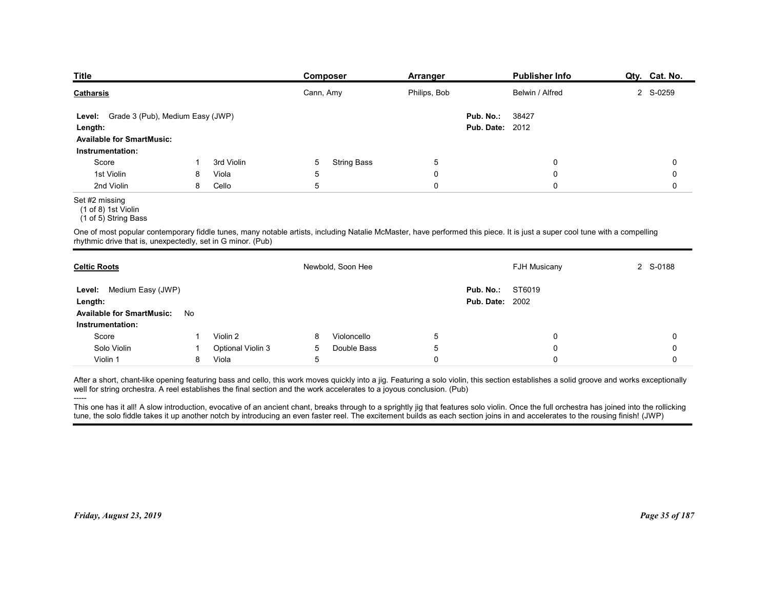| <b>Title</b>                                                                |    |                   | <b>Composer</b>                                                                                                                                                            | <b>Arranger</b> | <b>Publisher Info</b>  | Qty. Cat. No. |
|-----------------------------------------------------------------------------|----|-------------------|----------------------------------------------------------------------------------------------------------------------------------------------------------------------------|-----------------|------------------------|---------------|
| <b>Catharsis</b>                                                            |    |                   | Cann, Amy                                                                                                                                                                  | Philips, Bob    | Belwin / Alfred        | 2 S-0259      |
| Grade 3 (Pub), Medium Easy (JWP)<br>Level:                                  |    |                   |                                                                                                                                                                            | Pub. No.:       | 38427                  |               |
| Length:                                                                     |    |                   |                                                                                                                                                                            |                 | <b>Pub. Date: 2012</b> |               |
| <b>Available for SmartMusic:</b>                                            |    |                   |                                                                                                                                                                            |                 |                        |               |
| Instrumentation:                                                            |    |                   |                                                                                                                                                                            |                 |                        |               |
| Score                                                                       |    | 3rd Violin        | <b>String Bass</b><br>5                                                                                                                                                    | 5               | 0                      | 0             |
| 1st Violin                                                                  | 8  | Viola             | 5                                                                                                                                                                          | 0               | 0                      | 0             |
| 2nd Violin<br>Set #2 missing<br>(1 of 8) 1st Violin<br>(1 of 5) String Bass | 8  | Cello             | 5                                                                                                                                                                          | $\mathbf 0$     | $\mathbf 0$            | 0             |
| rhythmic drive that is, unexpectedly, set in G minor. (Pub)                 |    |                   | One of most popular contemporary fiddle tunes, many notable artists, including Natalie McMaster, have performed this piece. It is just a super cool tune with a compelling |                 |                        |               |
| <b>Celtic Roots</b>                                                         |    |                   | Newbold, Soon Hee                                                                                                                                                          |                 | <b>FJH Musicany</b>    | 2 S-0188      |
| Level: Medium Easy (JWP)                                                    |    |                   |                                                                                                                                                                            | Pub. No.:       | ST6019                 |               |
| Length:<br><b>Available for SmartMusic:</b><br>Instrumentation:             | No |                   |                                                                                                                                                                            |                 | <b>Pub. Date: 2002</b> |               |
| Score                                                                       | -1 | Violin 2          | Violoncello<br>8                                                                                                                                                           | 5               | 0                      | 0             |
|                                                                             | -1 | Optional Violin 3 | Double Bass<br>5                                                                                                                                                           | 5               | $\mathbf 0$            | 0             |
| Solo Violin                                                                 | 8  | Viola             | $5\phantom{.0}$                                                                                                                                                            | $\mathbf 0$     | $\mathbf 0$            | 0             |

#### Set #2 missing

| Grade 3 (Pub), Medium Easy (JWP)<br>Level:<br>Length:<br><b>Available for SmartMusic:</b><br>Instrumentation:                                                                                                                                                                                                                                                                                                                                                                                                                                                                                                                                                                                         |    |                          |                | Cann, Amy          | Philips, Bob |                                     | Belwin / Alfred     | 2 S-0259    |
|-------------------------------------------------------------------------------------------------------------------------------------------------------------------------------------------------------------------------------------------------------------------------------------------------------------------------------------------------------------------------------------------------------------------------------------------------------------------------------------------------------------------------------------------------------------------------------------------------------------------------------------------------------------------------------------------------------|----|--------------------------|----------------|--------------------|--------------|-------------------------------------|---------------------|-------------|
|                                                                                                                                                                                                                                                                                                                                                                                                                                                                                                                                                                                                                                                                                                       |    |                          |                |                    |              | Pub. No.:<br><b>Pub. Date: 2012</b> | 38427               |             |
|                                                                                                                                                                                                                                                                                                                                                                                                                                                                                                                                                                                                                                                                                                       | -1 | 3rd Violin               | 5              | <b>String Bass</b> | $\sqrt{5}$   |                                     | 0                   | $\mathbf 0$ |
| Score<br>1st Violin                                                                                                                                                                                                                                                                                                                                                                                                                                                                                                                                                                                                                                                                                   | 8  | Viola                    | $\overline{5}$ |                    | $\pmb{0}$    |                                     | $\mathbf 0$         | $\mathbf 0$ |
| 2nd Violin                                                                                                                                                                                                                                                                                                                                                                                                                                                                                                                                                                                                                                                                                            | 8  | Cello                    | 5              |                    | $\pmb{0}$    |                                     | $\mathbf 0$         | 0           |
| Set #2 missing<br>(1 of 8) 1st Violin<br>(1 of 5) String Bass                                                                                                                                                                                                                                                                                                                                                                                                                                                                                                                                                                                                                                         |    |                          |                |                    |              |                                     |                     |             |
| One of most popular contemporary fiddle tunes, many notable artists, including Natalie McMaster, have performed this piece. It is just a super cool tune with a compelling<br>rhythmic drive that is, unexpectedly, set in G minor. (Pub)                                                                                                                                                                                                                                                                                                                                                                                                                                                             |    |                          |                |                    |              |                                     |                     |             |
| <b>Celtic Roots</b>                                                                                                                                                                                                                                                                                                                                                                                                                                                                                                                                                                                                                                                                                   |    |                          |                | Newbold, Soon Hee  |              |                                     | <b>FJH Musicany</b> | 2 S-0188    |
| Medium Easy (JWP)<br>Level:<br>Length:<br><b>Available for SmartMusic:</b><br>No<br>Instrumentation:                                                                                                                                                                                                                                                                                                                                                                                                                                                                                                                                                                                                  |    |                          |                |                    |              | Pub. No.:<br><b>Pub. Date: 2002</b> | ST6019              |             |
| Score                                                                                                                                                                                                                                                                                                                                                                                                                                                                                                                                                                                                                                                                                                 |    | Violin 2                 | 8              | Violoncello        | 5            |                                     | 0                   | 0           |
| Solo Violin                                                                                                                                                                                                                                                                                                                                                                                                                                                                                                                                                                                                                                                                                           | -1 | <b>Optional Violin 3</b> | 5              | Double Bass        | 5            |                                     | $\mathbf 0$         | 0           |
| Violin 1                                                                                                                                                                                                                                                                                                                                                                                                                                                                                                                                                                                                                                                                                              | 8  | Viola                    | 5              |                    | $\mathbf 0$  |                                     | 0                   | 0           |
| After a short, chant-like opening featuring bass and cello, this work moves quickly into a jig. Featuring a solo violin, this section establishes a solid groove and works exceptionally<br>well for string orchestra. A reel establishes the final section and the work accelerates to a joyous conclusion. (Pub)<br>This one has it all! A slow introduction, evocative of an ancient chant, breaks through to a sprightly jig that features solo violin. Once the full orchestra has joined into the rollicking<br>tune, the solo fiddle takes it up another notch by introducing an even faster reel. The excitement builds as each section joins in and accelerates to the rousing finish! (JWP) |    |                          |                |                    |              |                                     |                     |             |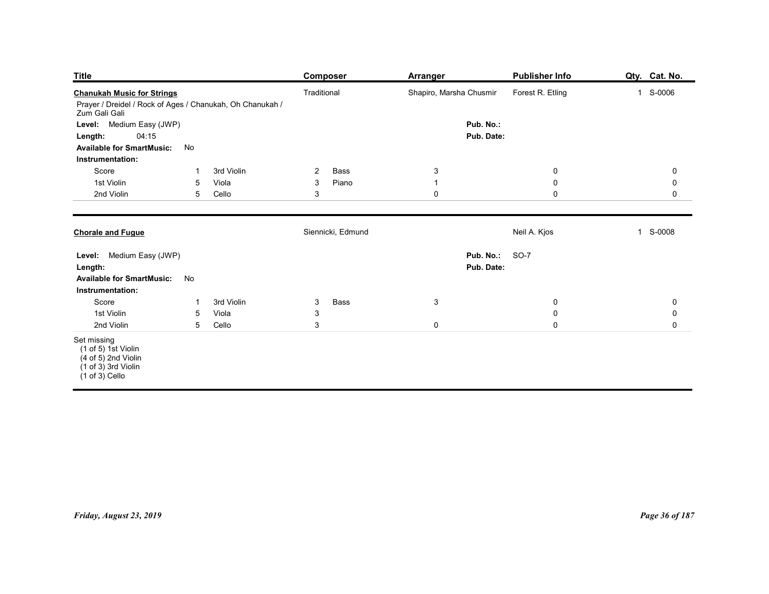| <b>Title</b>                                                                                                                          |                                |                     | <b>Composer</b>                      | <b>Arranger</b>             | <b>Publisher Info</b>              | Qty. Cat. No.              |
|---------------------------------------------------------------------------------------------------------------------------------------|--------------------------------|---------------------|--------------------------------------|-----------------------------|------------------------------------|----------------------------|
| <b>Chanukah Music for Strings</b><br>Prayer / Dreidel / Rock of Ages / Chanukah, Oh Chanukah /                                        |                                |                     | Traditional                          | Shapiro, Marsha Chusmir     | Forest R. Etling                   | 1 S-0006                   |
| Zum Gali Gali<br>Level: Medium Easy (JWP)                                                                                             |                                |                     |                                      | Pub. No.:                   |                                    |                            |
| 04:15<br>Length:                                                                                                                      |                                |                     |                                      | Pub. Date:                  |                                    |                            |
| <b>Available for SmartMusic:</b><br>Instrumentation:                                                                                  | No                             |                     |                                      |                             |                                    |                            |
| Score                                                                                                                                 | -1                             | 3rd Violin          | Bass<br>$\overline{2}$               | $\mathbf{3}$                | $\bf{0}$                           | $\pmb{0}$                  |
| 1st Violin<br>2nd Violin                                                                                                              | 5<br>5                         | Viola<br>Cello      | Piano<br>$\mathbf{3}$<br>$\mathsf 3$ | $\overline{1}$<br>$\pmb{0}$ | $\mathbf 0$<br>$\mathsf{O}\xspace$ | $\mathbf 0$<br>$\mathbf 0$ |
|                                                                                                                                       |                                |                     |                                      |                             |                                    |                            |
| <b>Chorale and Fugue</b>                                                                                                              |                                |                     | Siennicki, Edmund                    |                             | Neil A. Kjos                       | 1 S-0008                   |
| Level: Medium Easy (JWP)                                                                                                              |                                |                     |                                      | Pub. No.:                   | <b>SO-7</b>                        |                            |
| Length:<br>Available for SmartMusic: No                                                                                               |                                |                     |                                      | Pub. Date:                  |                                    |                            |
| Instrumentation:                                                                                                                      |                                |                     |                                      |                             |                                    |                            |
| Score<br>1st Violin                                                                                                                   | $\mathbf 1$<br>$5\phantom{.0}$ | 3rd Violin<br>Viola | Bass<br>$\mathbf{3}$<br>$\mathbf{3}$ | $\mathbf{3}$                | $\mathbf 0$<br>$\mathbf 0$         | $\pmb{0}$<br>$\mathbf 0$   |
| 2nd Violin                                                                                                                            | $5\phantom{.0}$                | Cello               | $\mathfrak{S}$                       | $\mathbf 0$                 | $\mathbf 0$                        | $\mathsf{O}\xspace$        |
| Set missing<br>$(1 \text{ of } 5)$ 1st Violin<br>$(4 \text{ of } 5)$ 2nd Violin<br>$(1 \text{ of } 3)$ 3rd Violin<br>$(1 of 3)$ Cello |                                |                     |                                      |                             |                                    |                            |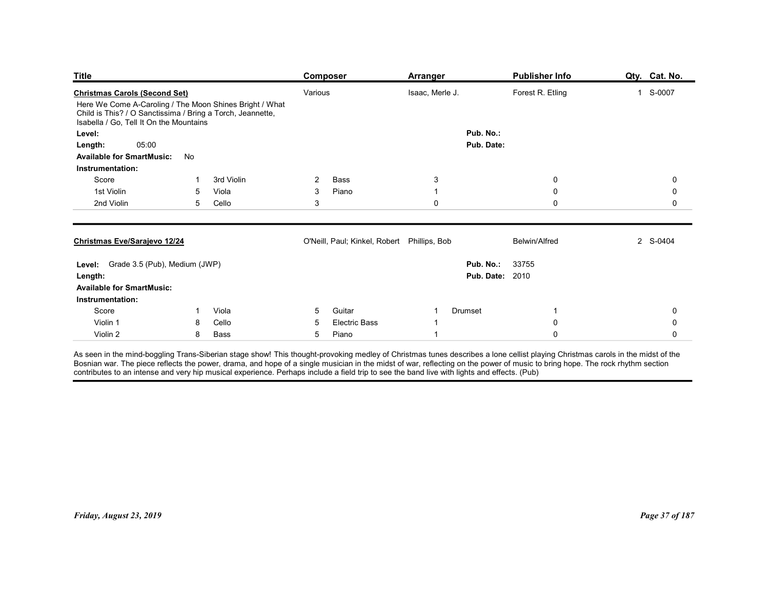| <b>Publisher Info</b><br>Qty. Cat. No.<br>Composer<br><b>Arranger</b><br>Forest R. Etling<br>1 S-0007<br>Various<br>Isaac, Merle J.<br>Here We Come A-Caroling / The Moon Shines Bright / What<br>Child is This? / O Sanctissima / Bring a Torch, Jeannette,<br>Isabella / Go, Tell It On the Mountains<br>Pub. No.:<br>Level:<br>05:00<br>Pub. Date:<br>Length:<br>No<br><b>Available for SmartMusic:</b><br>Instrumentation:<br>Score<br>0<br>3rd Violin<br>2<br>Bass<br>3<br>$\mathbf 0$<br>1st Violin<br>5<br>Viola<br>3<br>Piano<br>$\mathbf 0$<br>0<br>-1<br>$\ensuremath{\mathsf{3}}$<br>2nd Violin<br>$\mathbf 0$<br>$\mathbf 0$<br>5<br>Cello<br>$\mathbf 0$<br>O'Neill, Paul; Kinkel, Robert Phillips, Bob<br>2 S-0404<br><b>Belwin/Alfred</b><br>Level: Grade 3.5 (Pub), Medium (JWP)<br>33755<br>Pub. No.:<br><b>Pub. Date: 2010</b><br><b>Available for SmartMusic:</b><br>Instrumentation:<br>Score<br>Viola<br>Guitar<br>Drumset<br>$\mathbf 0$<br>5<br>$\overline{1}$<br>-1<br>Violin 1<br>Cello<br>$\mathbf 0$<br>$\mathbf 0$<br>8<br><b>Electric Bass</b><br>5<br>Violin 2<br>Bass<br>$5\overline{)}$<br>Piano<br>$\pmb{0}$<br>8<br>$\mathbf 0$<br>$\overline{1}$ |  |  |  |
|-------------------------------------------------------------------------------------------------------------------------------------------------------------------------------------------------------------------------------------------------------------------------------------------------------------------------------------------------------------------------------------------------------------------------------------------------------------------------------------------------------------------------------------------------------------------------------------------------------------------------------------------------------------------------------------------------------------------------------------------------------------------------------------------------------------------------------------------------------------------------------------------------------------------------------------------------------------------------------------------------------------------------------------------------------------------------------------------------------------------------------------------------------------------------------------|--|--|--|
| <b>Title</b><br><b>Christmas Carols (Second Set)</b><br>Christmas Eve/Sarajevo 12/24<br>Length:                                                                                                                                                                                                                                                                                                                                                                                                                                                                                                                                                                                                                                                                                                                                                                                                                                                                                                                                                                                                                                                                                     |  |  |  |
|                                                                                                                                                                                                                                                                                                                                                                                                                                                                                                                                                                                                                                                                                                                                                                                                                                                                                                                                                                                                                                                                                                                                                                                     |  |  |  |
|                                                                                                                                                                                                                                                                                                                                                                                                                                                                                                                                                                                                                                                                                                                                                                                                                                                                                                                                                                                                                                                                                                                                                                                     |  |  |  |
|                                                                                                                                                                                                                                                                                                                                                                                                                                                                                                                                                                                                                                                                                                                                                                                                                                                                                                                                                                                                                                                                                                                                                                                     |  |  |  |
|                                                                                                                                                                                                                                                                                                                                                                                                                                                                                                                                                                                                                                                                                                                                                                                                                                                                                                                                                                                                                                                                                                                                                                                     |  |  |  |
|                                                                                                                                                                                                                                                                                                                                                                                                                                                                                                                                                                                                                                                                                                                                                                                                                                                                                                                                                                                                                                                                                                                                                                                     |  |  |  |
|                                                                                                                                                                                                                                                                                                                                                                                                                                                                                                                                                                                                                                                                                                                                                                                                                                                                                                                                                                                                                                                                                                                                                                                     |  |  |  |
|                                                                                                                                                                                                                                                                                                                                                                                                                                                                                                                                                                                                                                                                                                                                                                                                                                                                                                                                                                                                                                                                                                                                                                                     |  |  |  |
|                                                                                                                                                                                                                                                                                                                                                                                                                                                                                                                                                                                                                                                                                                                                                                                                                                                                                                                                                                                                                                                                                                                                                                                     |  |  |  |
|                                                                                                                                                                                                                                                                                                                                                                                                                                                                                                                                                                                                                                                                                                                                                                                                                                                                                                                                                                                                                                                                                                                                                                                     |  |  |  |
|                                                                                                                                                                                                                                                                                                                                                                                                                                                                                                                                                                                                                                                                                                                                                                                                                                                                                                                                                                                                                                                                                                                                                                                     |  |  |  |
|                                                                                                                                                                                                                                                                                                                                                                                                                                                                                                                                                                                                                                                                                                                                                                                                                                                                                                                                                                                                                                                                                                                                                                                     |  |  |  |
|                                                                                                                                                                                                                                                                                                                                                                                                                                                                                                                                                                                                                                                                                                                                                                                                                                                                                                                                                                                                                                                                                                                                                                                     |  |  |  |
|                                                                                                                                                                                                                                                                                                                                                                                                                                                                                                                                                                                                                                                                                                                                                                                                                                                                                                                                                                                                                                                                                                                                                                                     |  |  |  |
|                                                                                                                                                                                                                                                                                                                                                                                                                                                                                                                                                                                                                                                                                                                                                                                                                                                                                                                                                                                                                                                                                                                                                                                     |  |  |  |
|                                                                                                                                                                                                                                                                                                                                                                                                                                                                                                                                                                                                                                                                                                                                                                                                                                                                                                                                                                                                                                                                                                                                                                                     |  |  |  |
| As seen in the mind-boggling Trans-Siberian stage show! This thought-provoking medley of Christmas tunes describes a lone cellist playing Christmas carols in the midst of the Bosnian war. The piece reflects the power, dram                                                                                                                                                                                                                                                                                                                                                                                                                                                                                                                                                                                                                                                                                                                                                                                                                                                                                                                                                      |  |  |  |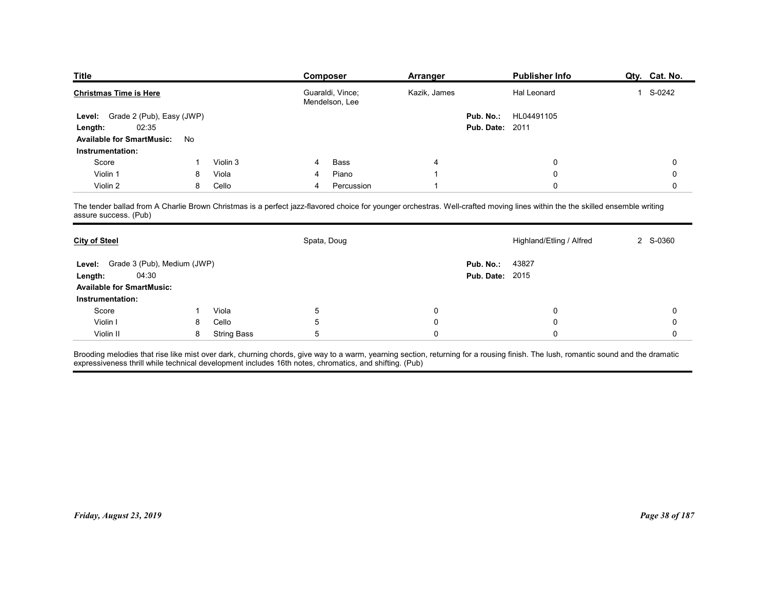| <b>Title</b>                                     |        |                    | Composer                                                                                                                                                                     | <b>Arranger</b> |                        | <b>Publisher Info</b>    | Qty. Cat. No.          |
|--------------------------------------------------|--------|--------------------|------------------------------------------------------------------------------------------------------------------------------------------------------------------------------|-----------------|------------------------|--------------------------|------------------------|
| <b>Christmas Time is Here</b>                    |        |                    | Guaraldi, Vince;<br>Mendelson, Lee                                                                                                                                           | Kazik, James    |                        | Hal Leonard              | S-0242<br>$\mathbf{1}$ |
| Grade 2 (Pub), Easy (JWP)<br><b>Level:</b>       |        |                    |                                                                                                                                                                              |                 | Pub. No.:              | HL04491105               |                        |
| 02:35<br>Length:                                 |        |                    |                                                                                                                                                                              |                 | <b>Pub. Date: 2011</b> |                          |                        |
| Available for SmartMusic: No<br>Instrumentation: |        |                    |                                                                                                                                                                              |                 |                        |                          |                        |
| Score                                            |        | Violin 3           | Bass<br>4                                                                                                                                                                    | 4               |                        | 0                        | 0                      |
| Violin 1                                         | 8      | Viola              | Piano<br>4                                                                                                                                                                   |                 |                        | 0                        | 0                      |
| Violin 2                                         | 8      | Cello              | Percussion<br>4                                                                                                                                                              |                 |                        | 0                        | 0                      |
| assure success. (Pub)                            |        |                    | The tender ballad from A Charlie Brown Christmas is a perfect jazz-flavored choice for younger orchestras. Well-crafted moving lines within the the skilled ensemble writing |                 |                        |                          |                        |
| <b>City of Steel</b>                             |        |                    | Spata, Doug                                                                                                                                                                  |                 |                        | Highland/Etling / Alfred | 2 S-0360               |
| Level: Grade 3 (Pub), Medium (JWP)               |        |                    |                                                                                                                                                                              |                 | Pub. No.:              | 43827                    |                        |
| 04:30<br>Length:                                 |        |                    |                                                                                                                                                                              |                 | <b>Pub. Date: 2015</b> |                          |                        |
| <b>Available for SmartMusic:</b>                 |        |                    |                                                                                                                                                                              |                 |                        |                          |                        |
| Instrumentation:                                 |        |                    |                                                                                                                                                                              |                 |                        |                          |                        |
|                                                  | -1     | Viola              | $\sqrt{5}$                                                                                                                                                                   | 0               |                        | 0                        | 0                      |
| Score                                            |        | Cello              | 5                                                                                                                                                                            | 0               |                        | 0                        | $\mathbf 0$            |
| Violin I<br>Violin II                            | 8<br>8 | <b>String Bass</b> | $\mathbf 5$                                                                                                                                                                  | 0               |                        | 0                        | 0                      |

| <b>City of Steel</b>                                                                          |    |                    | Spata, Doug |             |                                     | Highland/Etling / Alfred | 2 S-0360       |
|-----------------------------------------------------------------------------------------------|----|--------------------|-------------|-------------|-------------------------------------|--------------------------|----------------|
| Grade 3 (Pub), Medium (JWP)<br>Level:<br>04:30<br>Length:<br><b>Available for SmartMusic:</b> |    |                    |             |             | Pub. No.:<br><b>Pub. Date: 2015</b> | 43827                    |                |
| Instrumentation:                                                                              |    |                    |             |             |                                     |                          |                |
| Score                                                                                         | -1 | Viola              | 5           | 0           |                                     | 0                        | 0              |
| Violin I                                                                                      | 8  | Cello              | $\sqrt{5}$  | $\mathbf 0$ |                                     | 0                        | $\Omega$       |
| Violin II                                                                                     | 8  | <b>String Bass</b> | 5           | $\mathbf 0$ |                                     | 0                        | 0              |
|                                                                                               |    |                    |             |             |                                     |                          |                |
| Friday, August 23, 2019                                                                       |    |                    |             |             |                                     |                          | Page 38 of 187 |
|                                                                                               |    |                    |             |             |                                     |                          |                |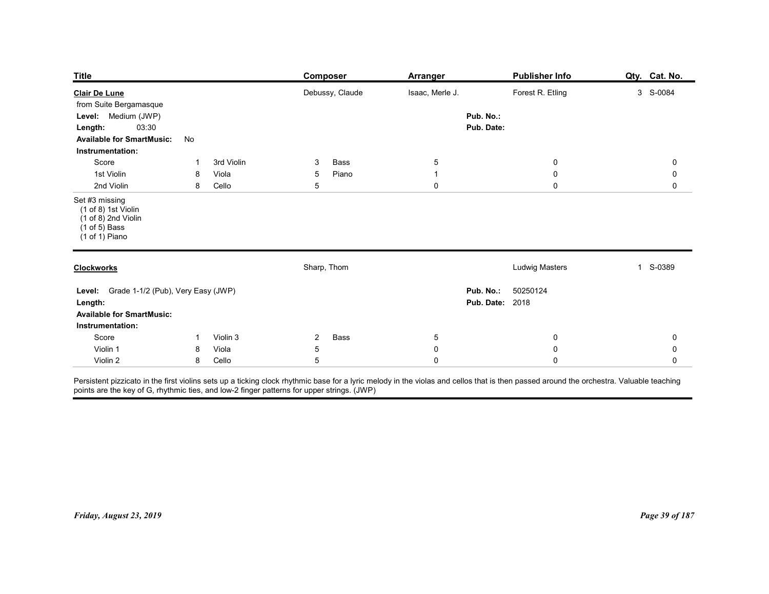| <b>Publisher Info</b><br>Composer<br><b>Arranger</b><br>Forest R. Etling<br>3 S-0084<br>Debussy, Claude<br>Isaac, Merle J.<br>Pub. No.:<br>03:30<br>Pub. Date:<br>No<br>Score<br>3rd Violin<br>Bass<br>$\overline{5}$<br>$\overline{0}$<br>$\mathbf 0$<br>3<br>-1<br>1st Violin<br>Piano<br>$\mathbf 0$<br>$\mathbf 0$<br>8<br>Viola<br>5<br>$\overline{1}$<br>5<br>$\mathbf 0$<br>2nd Violin<br>$\mathbf 0$<br>8<br>Cello<br>0<br>Sharp, Thom<br><b>Ludwig Masters</b><br>1 S-0389<br>50250124<br>Pub. No.:<br><b>Pub. Date: 2018</b><br>Bass<br>Score<br>Violin 3<br>$\overline{a}$<br>$\overline{5}$<br>$\overline{0}$<br>0<br>$\mathbf{1}$<br>Violin 1<br>Viola<br>5<br>0<br>$\boldsymbol{0}$<br>0<br>8 | Violin 2<br>Cello<br>$5\phantom{.0}$<br>$\mathbf 0$<br>$\mathbf 0$<br>8<br>0                                                                                                                                                                                                          |                         |  |  |                |
|-------------------------------------------------------------------------------------------------------------------------------------------------------------------------------------------------------------------------------------------------------------------------------------------------------------------------------------------------------------------------------------------------------------------------------------------------------------------------------------------------------------------------------------------------------------------------------------------------------------------------------------------------------------------------------------------------------------|---------------------------------------------------------------------------------------------------------------------------------------------------------------------------------------------------------------------------------------------------------------------------------------|-------------------------|--|--|----------------|
| from Suite Bergamasque<br>Length:<br><b>Available for SmartMusic:</b><br>Set #3 missing<br>(1 of 8) 1st Violin<br>$(1 of 8)$ 2nd Violin<br>$(1 of 5)$ Bass<br>(1 of 1) Piano<br>Level: Grade 1-1/2 (Pub), Very Easy (JWP)<br><b>Available for SmartMusic:</b><br>Instrumentation:                                                                                                                                                                                                                                                                                                                                                                                                                           | Persistent pizzicato in the first violins sets up a ticking clock rhythmic base for a lyric melody in the violas and cellos that is then passed around the orchestra. Valuable teaching<br>points are the key of G, rhythmic ties, and low-2 finger patterns for upper strings. (JWP) |                         |  |  |                |
|                                                                                                                                                                                                                                                                                                                                                                                                                                                                                                                                                                                                                                                                                                             |                                                                                                                                                                                                                                                                                       |                         |  |  |                |
|                                                                                                                                                                                                                                                                                                                                                                                                                                                                                                                                                                                                                                                                                                             |                                                                                                                                                                                                                                                                                       |                         |  |  |                |
|                                                                                                                                                                                                                                                                                                                                                                                                                                                                                                                                                                                                                                                                                                             |                                                                                                                                                                                                                                                                                       |                         |  |  |                |
|                                                                                                                                                                                                                                                                                                                                                                                                                                                                                                                                                                                                                                                                                                             |                                                                                                                                                                                                                                                                                       | <b>Title</b>            |  |  | Qty. Cat. No.  |
|                                                                                                                                                                                                                                                                                                                                                                                                                                                                                                                                                                                                                                                                                                             |                                                                                                                                                                                                                                                                                       | <b>Clair De Lune</b>    |  |  |                |
|                                                                                                                                                                                                                                                                                                                                                                                                                                                                                                                                                                                                                                                                                                             |                                                                                                                                                                                                                                                                                       | Level: Medium (JWP)     |  |  |                |
|                                                                                                                                                                                                                                                                                                                                                                                                                                                                                                                                                                                                                                                                                                             |                                                                                                                                                                                                                                                                                       | Instrumentation:        |  |  |                |
|                                                                                                                                                                                                                                                                                                                                                                                                                                                                                                                                                                                                                                                                                                             |                                                                                                                                                                                                                                                                                       |                         |  |  |                |
|                                                                                                                                                                                                                                                                                                                                                                                                                                                                                                                                                                                                                                                                                                             |                                                                                                                                                                                                                                                                                       |                         |  |  |                |
|                                                                                                                                                                                                                                                                                                                                                                                                                                                                                                                                                                                                                                                                                                             |                                                                                                                                                                                                                                                                                       |                         |  |  |                |
|                                                                                                                                                                                                                                                                                                                                                                                                                                                                                                                                                                                                                                                                                                             |                                                                                                                                                                                                                                                                                       | <b>Clockworks</b>       |  |  |                |
|                                                                                                                                                                                                                                                                                                                                                                                                                                                                                                                                                                                                                                                                                                             |                                                                                                                                                                                                                                                                                       | Length:                 |  |  |                |
|                                                                                                                                                                                                                                                                                                                                                                                                                                                                                                                                                                                                                                                                                                             |                                                                                                                                                                                                                                                                                       |                         |  |  |                |
|                                                                                                                                                                                                                                                                                                                                                                                                                                                                                                                                                                                                                                                                                                             |                                                                                                                                                                                                                                                                                       |                         |  |  |                |
|                                                                                                                                                                                                                                                                                                                                                                                                                                                                                                                                                                                                                                                                                                             |                                                                                                                                                                                                                                                                                       |                         |  |  |                |
|                                                                                                                                                                                                                                                                                                                                                                                                                                                                                                                                                                                                                                                                                                             |                                                                                                                                                                                                                                                                                       |                         |  |  |                |
|                                                                                                                                                                                                                                                                                                                                                                                                                                                                                                                                                                                                                                                                                                             |                                                                                                                                                                                                                                                                                       |                         |  |  |                |
|                                                                                                                                                                                                                                                                                                                                                                                                                                                                                                                                                                                                                                                                                                             |                                                                                                                                                                                                                                                                                       |                         |  |  |                |
|                                                                                                                                                                                                                                                                                                                                                                                                                                                                                                                                                                                                                                                                                                             |                                                                                                                                                                                                                                                                                       | Friday, August 23, 2019 |  |  | Page 39 of 187 |
|                                                                                                                                                                                                                                                                                                                                                                                                                                                                                                                                                                                                                                                                                                             |                                                                                                                                                                                                                                                                                       |                         |  |  |                |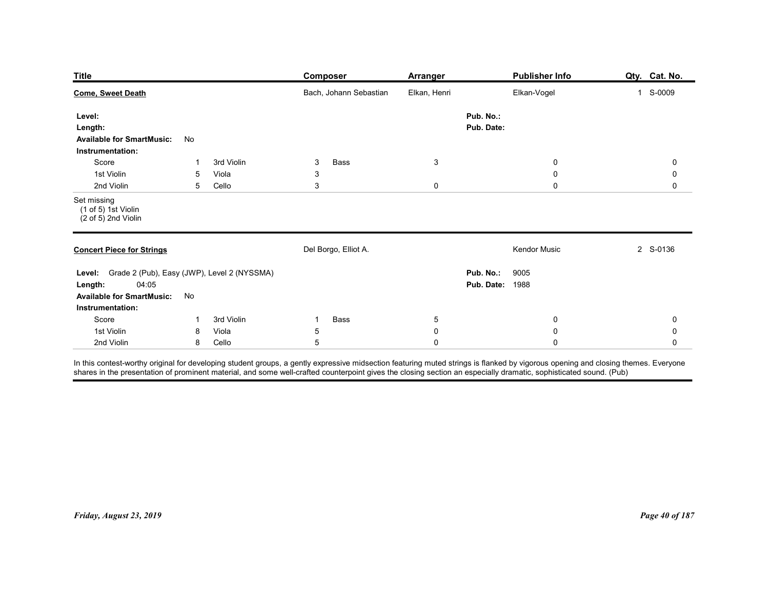| <b>Title</b>                                                                                                               |                |                              | Composer                       | <b>Arranger</b>                |                                     | <b>Publisher Info</b>                               | Qty. Cat. No. |
|----------------------------------------------------------------------------------------------------------------------------|----------------|------------------------------|--------------------------------|--------------------------------|-------------------------------------|-----------------------------------------------------|---------------|
| <b>Come, Sweet Death</b>                                                                                                   |                |                              | Bach, Johann Sebastian         | Elkan, Henri                   |                                     | Elkan-Vogel                                         | 1 S-0009      |
| Level:<br>Length:<br><b>Available for SmartMusic:</b><br>Instrumentation:                                                  | No             |                              |                                |                                | Pub. No.:<br>Pub. Date:             |                                                     |               |
| Score<br>1st Violin<br>2nd Violin                                                                                          | -1<br>5<br>5   | 3rd Violin<br>Viola<br>Cello | 3<br>Bass<br>3<br>$\mathbf{3}$ | $\mathbf{3}$<br>$\pmb{0}$      |                                     | $\boldsymbol{0}$<br>$\boldsymbol{0}$<br>$\mathbf 0$ | 0<br>0<br>0   |
| Set missing<br>(1 of 5) 1st Violin<br>(2 of 5) 2nd Violin                                                                  |                |                              |                                |                                |                                     |                                                     |               |
| <b>Concert Piece for Strings</b>                                                                                           |                |                              | Del Borgo, Elliot A.           |                                |                                     | Kendor Music                                        | 2 S-0136      |
| Level: Grade 2 (Pub), Easy (JWP), Level 2 (NYSSMA)<br>04:05<br>Length:<br>Available for SmartMusic: No<br>Instrumentation: |                |                              |                                |                                | Pub. No.:<br><b>Pub. Date: 1988</b> | 9005                                                |               |
| Score                                                                                                                      | $\overline{1}$ | 3rd Violin<br>Viola          | Bass<br>$\mathbf{1}$           | $5\phantom{.0}$<br>$\mathbf 0$ |                                     | $\overline{0}$                                      | 0             |
| 1st Violin                                                                                                                 | 8              |                              | $\sqrt{5}$                     |                                |                                     | $\mathsf{O}\xspace$                                 | 0             |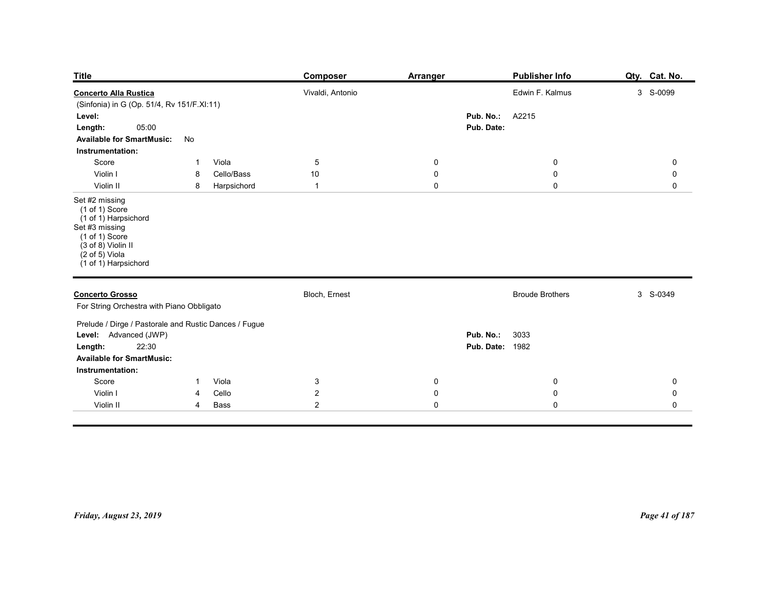| <b>Title</b>                                                                                                                                                                    | Composer             | <b>Arranger</b>     | <b>Publisher Info</b>                       | Qty. Cat. No.              |
|---------------------------------------------------------------------------------------------------------------------------------------------------------------------------------|----------------------|---------------------|---------------------------------------------|----------------------------|
| <b>Concerto Alla Rustica</b>                                                                                                                                                    | Vivaldi, Antonio     |                     | Edwin F. Kalmus                             | 3 S-0099                   |
| (Sinfonia) in G (Op. 51/4, Rv 151/F.XI:11)<br>Level:                                                                                                                            |                      |                     | Pub. No.:<br>A2215                          |                            |
| 05:00<br>Length:<br>No<br><b>Available for SmartMusic:</b><br>Instrumentation:                                                                                                  |                      |                     | Pub. Date:                                  |                            |
| Viola<br>Score<br>$\overline{1}$<br>Violin I<br>Cello/Bass<br>8                                                                                                                 | $\overline{5}$<br>10 | 0<br>0              | $\mathbf 0$<br>$\mathbf 0$                  | $\mathbf 0$<br>$\mathbf 0$ |
| Violin II<br>Harpsichord<br>8                                                                                                                                                   | $\overline{1}$       | $\mathsf{O}\xspace$ | $\mathbf 0$                                 | $\mathbf 0$                |
| Set #2 missing<br>$(1 of 1)$ Score<br>(1 of 1) Harpsichord<br>Set #3 missing<br>$(1 of 1)$ Score<br>$(3 of 8)$ Violin II<br>$(2 \text{ of } 5)$ Viola<br>$(1 of 1)$ Harpsichord |                      |                     |                                             |                            |
| <b>Concerto Grosso</b><br>For String Orchestra with Piano Obbligato                                                                                                             | Bloch, Ernest        |                     | <b>Broude Brothers</b>                      | 3 S-0349                   |
| Prelude / Dirge / Pastorale and Rustic Dances / Fugue<br>Level: Advanced (JWP)<br>22:30<br>Length:<br><b>Available for SmartMusic:</b>                                          |                      |                     | Pub. No.:<br>3033<br><b>Pub. Date: 1982</b> |                            |
| Instrumentation:                                                                                                                                                                |                      | $\mathbf 0$         | $\pmb{0}$                                   | $\mathbf 0$                |
| Score<br>1 Viola                                                                                                                                                                | $\mathbf{3}$         |                     |                                             |                            |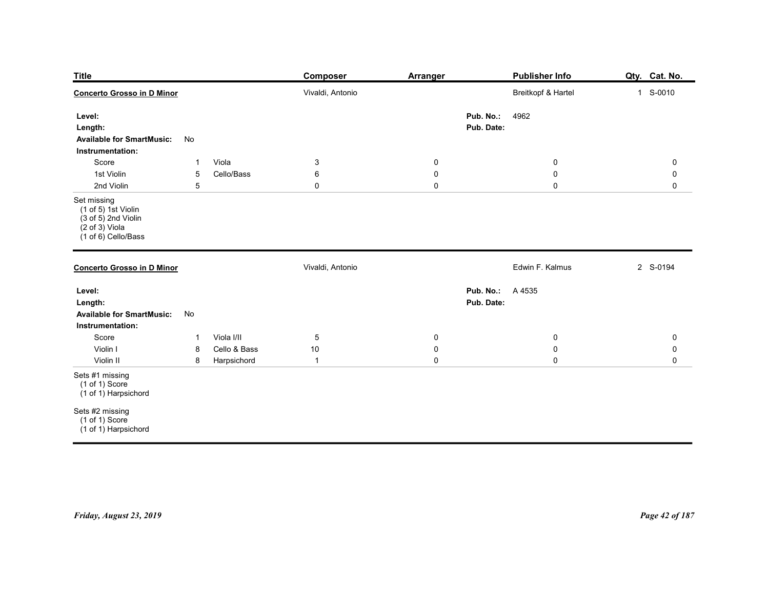| <b>Title</b><br><b>Concerto Grosso in D Minor</b>                                                                            |                                                  |                                           | <b>Composer</b><br>Vivaldi, Antonio            | <b>Arranger</b>                                      | <b>Publisher Info</b><br>Breitkopf & Hartel | Qty. Cat. No.<br>1 S-0010                       |
|------------------------------------------------------------------------------------------------------------------------------|--------------------------------------------------|-------------------------------------------|------------------------------------------------|------------------------------------------------------|---------------------------------------------|-------------------------------------------------|
| Level:<br>Length:<br><b>Available for SmartMusic:</b>                                                                        | No                                               |                                           |                                                |                                                      | Pub. No.:<br>4962<br>Pub. Date:             |                                                 |
| Instrumentation:<br>Score<br>1st Violin<br>2nd Violin                                                                        | $\overline{1}$<br>$5\phantom{.0}$<br>$\,$ 5 $\,$ | Viola<br>Cello/Bass                       | $\mathbf{3}$<br>$\,6\,$<br>$\mathsf{O}\xspace$ | 0<br>0<br>$\mathsf{O}\xspace$                        | $\bf{0}$<br>$\mathbf 0$<br>$\mathsf 0$      | $\mathbf 0$<br>$\mathbf 0$<br>$\mathsf 0$       |
| Set missing<br>$(1 of 5)$ 1st Violin<br>$(3 of 5)$ 2nd Violin<br>$(2 \text{ of } 3)$ Viola<br>$(1 \text{ of } 6)$ Cello/Bass |                                                  |                                           |                                                |                                                      |                                             |                                                 |
| <b>Concerto Grosso in D Minor</b>                                                                                            |                                                  |                                           | Vivaldi, Antonio                               |                                                      | Edwin F. Kalmus                             | 2 S-0194                                        |
| Level:<br>Length:<br>Available for SmartMusic: No<br>Instrumentation:                                                        |                                                  |                                           |                                                |                                                      | <b>Pub. No.:</b> A 4535<br>Pub. Date:       |                                                 |
| Score<br>Violin I<br>Violin II                                                                                               | $\mathbf{1}$<br>8<br>$\bf 8$                     | Viola I/II<br>Cello & Bass<br>Harpsichord | $\overline{5}$<br>$10\,$<br>$\overline{1}$     | $\overline{0}$<br>$\mathbf 0$<br>$\mathsf{O}\xspace$ | $\mathbf 0$<br>$\mathbf 0$<br>$\mathbf 0$   | $\mathbf 0$<br>$\pmb{0}$<br>$\mathsf{O}\xspace$ |
| Sets #1 missing<br>(1 of 1) Score<br>(1 of 1) Harpsichord                                                                    |                                                  |                                           |                                                |                                                      |                                             |                                                 |
| Sets #2 missing<br>$(1 of 1)$ Score<br>(1 of 1) Harpsichord                                                                  |                                                  |                                           |                                                |                                                      |                                             |                                                 |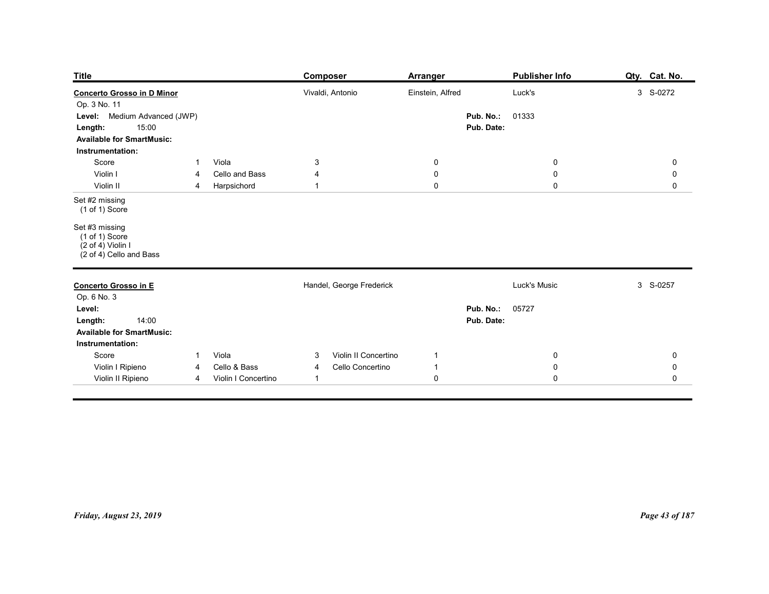| <b>Title</b>                                                                                             |                        |                                        | <b>Composer</b>                                               | <b>Arranger</b>               |                         | <b>Publisher Info</b>                  | Qty. Cat. No.                             |
|----------------------------------------------------------------------------------------------------------|------------------------|----------------------------------------|---------------------------------------------------------------|-------------------------------|-------------------------|----------------------------------------|-------------------------------------------|
| <b>Concerto Grosso in D Minor</b><br>Op. 3 No. 11<br>Medium Advanced (JWP)<br>Level:<br>15:00<br>Length: |                        |                                        | Vivaldi, Antonio                                              | Einstein, Alfred              | Pub. No.:<br>Pub. Date: | Luck's<br>01333                        | 3 S-0272                                  |
| <b>Available for SmartMusic:</b><br>Instrumentation:                                                     |                        |                                        |                                                               |                               |                         |                                        |                                           |
| Score<br>Violin I<br>Violin II                                                                           | $\mathbf{1}$<br>4<br>4 | Viola<br>Cello and Bass<br>Harpsichord | $\mathbf{3}$<br>4<br>$\overline{1}$                           | 0<br>0<br>$\mathsf{O}\xspace$ |                         | $\bf{0}$<br>$\mathbf 0$<br>$\mathbf 0$ | $\mathbf 0$<br>$\mathbf 0$<br>$\mathbf 0$ |
| Set #2 missing<br>$(1 of 1)$ Score                                                                       |                        |                                        |                                                               |                               |                         |                                        |                                           |
| Set #3 missing<br>$(1 of 1)$ Score<br>$(2 \text{ of } 4)$ Violin I<br>$(2 \text{ of } 4)$ Cello and Bass |                        |                                        |                                                               |                               |                         |                                        |                                           |
| Concerto Grosso in E                                                                                     |                        |                                        | Handel, George Frederick                                      |                               |                         | Luck's Music                           | 3 S-0257                                  |
| Op. 6 No. 3<br>Level:<br>14:00<br>Length:<br><b>Available for SmartMusic:</b><br>Instrumentation:        |                        |                                        |                                                               |                               | Pub. No.:<br>Pub. Date: | 05727                                  |                                           |
| Score<br>Violin I Ripieno                                                                                | $\overline{4}$         | 1 Viola<br>Cello & Bass                | Violin II Concertino<br>$\mathbf{3}$<br>Cello Concertino<br>4 | $\mathbf{1}$<br>$\mathbf{1}$  |                         | $\mathbf 0$<br>$\mathbf 0$             | ${\bf 0}$<br>${\bf 0}$                    |
| Violin II Ripieno                                                                                        | $\overline{4}$         | Violin I Concertino                    | $\overline{1}$                                                | $\overline{0}$                |                         | $\mathbf 0$                            | $\mathbf 0$                               |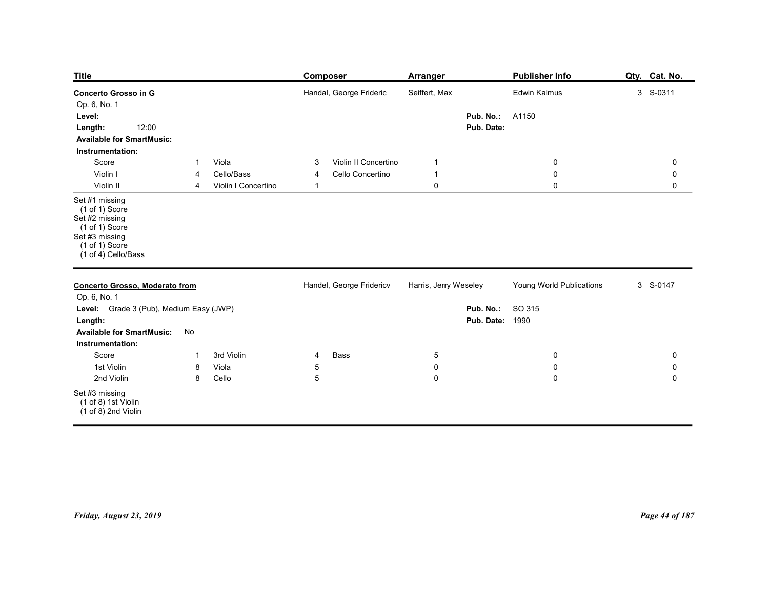| <b>Title</b>                                                                                                                      |                          |                                            | <b>Composer</b>                                                    | <b>Arranger</b>                                     |                                     | <b>Publisher Info</b>                | Qty. Cat. No.                             |
|-----------------------------------------------------------------------------------------------------------------------------------|--------------------------|--------------------------------------------|--------------------------------------------------------------------|-----------------------------------------------------|-------------------------------------|--------------------------------------|-------------------------------------------|
| Concerto Grosso in G<br>Op. 6, No. 1<br>Level:<br>12:00<br>Length:                                                                |                          |                                            | Handal, George Frideric                                            | Seiffert, Max                                       | Pub. No.:<br>Pub. Date:             | Edwin Kalmus<br>A1150                | 3 S-0311                                  |
| <b>Available for SmartMusic:</b><br>Instrumentation:<br>Score<br>Violin I<br>Violin II                                            | $\overline{1}$<br>4<br>4 | Viola<br>Cello/Bass<br>Violin I Concertino | Violin II Concertino<br>3<br>Cello Concertino<br>4<br>$\mathbf{1}$ | $\mathbf{1}$<br>$\mathbf{1}$<br>$\mathsf{O}\xspace$ |                                     | $\bf{0}$<br>$\pmb{0}$<br>$\mathbf 0$ | $\mathbf 0$<br>$\mathbf 0$<br>$\mathbf 0$ |
| Set #1 missing<br>(1 of 1) Score<br>Set #2 missing<br>(1 of 1) Score<br>Set #3 missing<br>$(1 of 1)$ Score<br>(1 of 4) Cello/Bass |                          |                                            |                                                                    |                                                     |                                     |                                      |                                           |
| <b>Concerto Grosso, Moderato from</b><br>Op. 6, No. 1                                                                             |                          |                                            | Handel, George Fridericv                                           | Harris, Jerry Weseley                               |                                     | Young World Publications             | 3 S-0147                                  |
| Level: Grade 3 (Pub), Medium Easy (JWP)<br>Length:<br><b>Available for SmartMusic:</b>                                            | No                       |                                            |                                                                    |                                                     | Pub. No.:<br><b>Pub. Date: 1990</b> | SO 315                               |                                           |
| Instrumentation:<br>Score                                                                                                         | $\overline{1}$           | 3rd Violin                                 | Bass<br>4                                                          | $5\phantom{.0}$                                     |                                     | $\mathbf 0$                          | $\mathbf 0$                               |
| 1st Violin<br>2nd Violin                                                                                                          | 8<br>8                   | Viola<br>Cello                             | $\,$ 5 $\,$<br>$\sqrt{5}$                                          | $\pmb{0}$<br>$\mathbf 0$                            |                                     | $\pmb{0}$<br>$\pmb{0}$               | $\mathbf 0$<br>$\mathsf 0$                |
| Set #3 missing<br>$(1 of 8)$ 1st Violin<br>$(1 \text{ of } 8)$ 2nd Violin                                                         |                          |                                            |                                                                    |                                                     |                                     |                                      |                                           |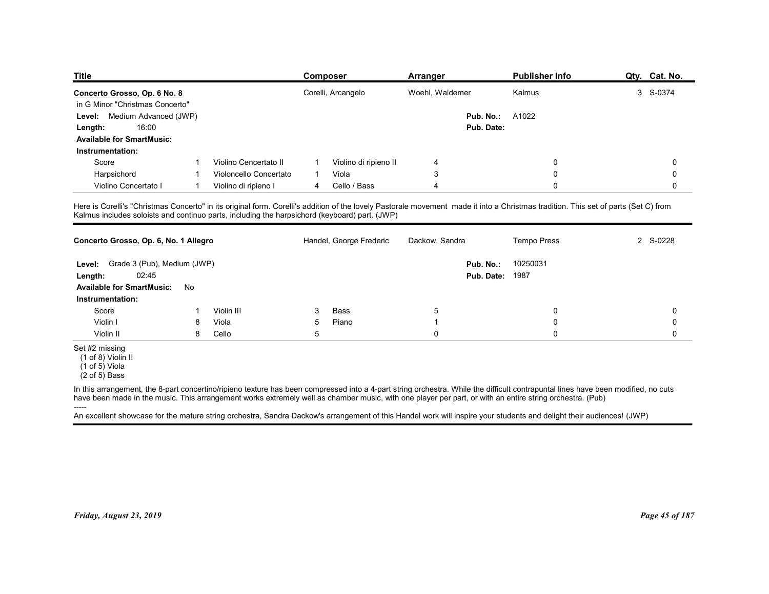| <b>Title</b>                                                                                                                                                                                                                                                                         |                |                        |                | Composer                | <b>Arranger</b> |                        | <b>Publisher Info</b> | Qty. Cat. No.            |
|--------------------------------------------------------------------------------------------------------------------------------------------------------------------------------------------------------------------------------------------------------------------------------------|----------------|------------------------|----------------|-------------------------|-----------------|------------------------|-----------------------|--------------------------|
| Concerto Grosso, Op. 6 No. 8                                                                                                                                                                                                                                                         |                |                        |                | Corelli, Arcangelo      | Woehl, Waldemer |                        | Kalmus                | 3 S-0374                 |
| in G Minor "Christmas Concerto"                                                                                                                                                                                                                                                      |                |                        |                |                         |                 |                        |                       |                          |
| Level: Medium Advanced (JWP)                                                                                                                                                                                                                                                         |                |                        |                |                         |                 | Pub. No.:              | A1022                 |                          |
| 16:00<br>Length:                                                                                                                                                                                                                                                                     |                |                        |                |                         |                 | Pub. Date:             |                       |                          |
| <b>Available for SmartMusic:</b>                                                                                                                                                                                                                                                     |                |                        |                |                         |                 |                        |                       |                          |
| Instrumentation:                                                                                                                                                                                                                                                                     |                |                        |                |                         |                 |                        |                       |                          |
| Score                                                                                                                                                                                                                                                                                |                | Violino Cencertato II  |                | Violino di ripieno II   | 4               |                        | 0                     | 0                        |
| Harpsichord                                                                                                                                                                                                                                                                          |                | Violoncello Concertato | $\mathbf{1}$   | Viola                   | 3               |                        | 0                     | 0                        |
| Violino Concertato I                                                                                                                                                                                                                                                                 | $\overline{1}$ | Violino di ripieno I   | $\overline{4}$ | Cello / Bass            | 4               |                        | 0                     | 0                        |
| Here is Corelli's "Christmas Concerto" in its original form. Corelli's addition of the lovely Pastorale movement made it into a Christmas tradition. This set of parts (Set C) from<br>Kalmus includes soloists and continuo parts, including the harpsichord (keyboard) part. (JWP) |                |                        |                |                         |                 |                        |                       |                          |
| Concerto Grosso, Op. 6, No. 1 Allegro                                                                                                                                                                                                                                                |                |                        |                | Handel, George Frederic | Dackow, Sandra  |                        | Tempo Press           | $\overline{2}$<br>S-0228 |
| Level: Grade 3 (Pub), Medium (JWP)                                                                                                                                                                                                                                                   |                |                        |                |                         |                 | Pub. No.:              | 10250031              |                          |
| 02:45<br>Length:                                                                                                                                                                                                                                                                     |                |                        |                |                         |                 | <b>Pub. Date: 1987</b> |                       |                          |
| <b>Available for SmartMusic:</b>                                                                                                                                                                                                                                                     | No             |                        |                |                         |                 |                        |                       |                          |
| Instrumentation:                                                                                                                                                                                                                                                                     |                |                        |                |                         |                 |                        |                       |                          |
|                                                                                                                                                                                                                                                                                      |                | Violin III             | 3              | Bass                    | $\sqrt{5}$      |                        | 0                     | $\mathbf 0$              |
| Score                                                                                                                                                                                                                                                                                | 8              | Viola                  | 5              | Piano                   | $\overline{1}$  |                        | 0                     | $\mathbf 0$              |
| Violin I                                                                                                                                                                                                                                                                             |                | Cello                  | $\mathbf 5$    |                         | $\mathbf 0$     |                        | $\pmb{0}$             | $\mathsf{O}\xspace$      |
| Violin II                                                                                                                                                                                                                                                                            | 8              |                        |                |                         |                 |                        |                       |                          |

|                                                                                                                                                                                                                                                                                                                                           | Concerto Grosso, Op. 6, No. 1 Allegro |            |   | Handel, George Frederic | Dackow, Sandra |                                     | <b>Tempo Press</b> | 2 S-0228       |
|-------------------------------------------------------------------------------------------------------------------------------------------------------------------------------------------------------------------------------------------------------------------------------------------------------------------------------------------|---------------------------------------|------------|---|-------------------------|----------------|-------------------------------------|--------------------|----------------|
| Level: Grade 3 (Pub), Medium (JWP)<br>02:45<br>Length:<br><b>Available for SmartMusic:</b>                                                                                                                                                                                                                                                | No                                    |            |   |                         |                | Pub. No.:<br><b>Pub. Date: 1987</b> | 10250031           |                |
| Instrumentation:<br>Score                                                                                                                                                                                                                                                                                                                 |                                       | Violin III | 3 | Bass                    | 5              |                                     | 0                  | 0              |
| Violin I                                                                                                                                                                                                                                                                                                                                  | 8                                     | Viola      | 5 | Piano                   |                |                                     | 0                  | 0              |
| Violin II                                                                                                                                                                                                                                                                                                                                 | 8                                     | Cello      | 5 |                         | $\mathbf 0$    |                                     | $\Omega$           | 0              |
| (1 of 8) Violin II<br>$(1 of 5)$ Viola<br>$(2 \text{ of } 5)$ Bass<br>In this arrangement, the 8-part concertino/ripieno texture has been compressed into a 4-part string orchestra. While the difficult contrapuntal lines have been modified, no cuts                                                                                   |                                       |            |   |                         |                |                                     |                    |                |
| have been made in the music. This arrangement works extremely well as chamber music, with one player per part, or with an entire string orchestra. (Pub)<br>-----<br>An excellent showcase for the mature string orchestra, Sandra Dackow's arrangement of this Handel work will inspire your students and delight their audiences! (JWP) |                                       |            |   |                         |                |                                     |                    |                |
|                                                                                                                                                                                                                                                                                                                                           |                                       |            |   |                         |                |                                     |                    |                |
| Friday, August 23, 2019                                                                                                                                                                                                                                                                                                                   |                                       |            |   |                         |                |                                     |                    | Page 45 of 187 |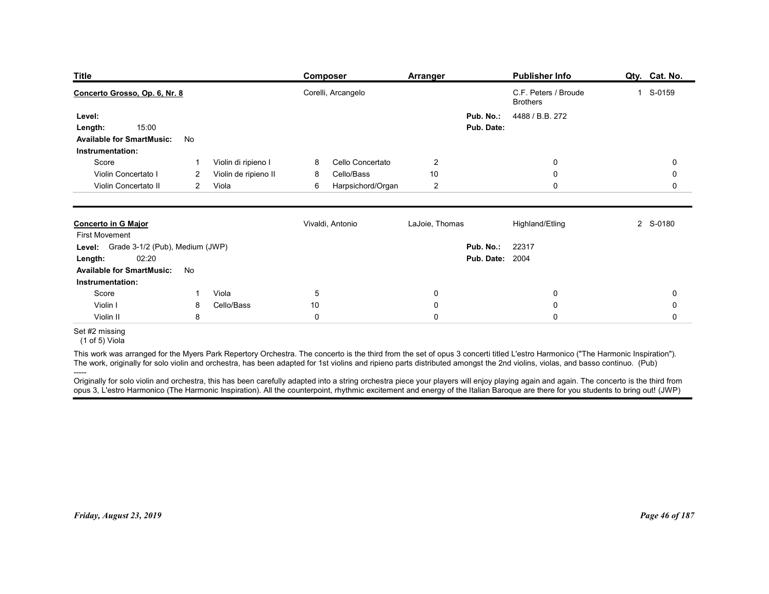| <b>Title</b>                                                                                                                                                                                      |                |                      |                | <b>Composer</b>    | Arranger       |                                     | Publisher Info                          | Qty. Cat. No. |
|---------------------------------------------------------------------------------------------------------------------------------------------------------------------------------------------------|----------------|----------------------|----------------|--------------------|----------------|-------------------------------------|-----------------------------------------|---------------|
| Concerto Grosso, Op. 6, Nr. 8                                                                                                                                                                     |                |                      |                | Corelli, Arcangelo |                |                                     | C.F. Peters / Broude<br><b>Brothers</b> | 1 S-0159      |
| Level:                                                                                                                                                                                            |                |                      |                |                    |                | Pub. No.:                           | 4488 / B.B. 272                         |               |
| 15:00<br>Length:                                                                                                                                                                                  |                |                      |                |                    |                | Pub. Date:                          |                                         |               |
| <b>Available for SmartMusic:</b>                                                                                                                                                                  | No             |                      |                |                    |                |                                     |                                         |               |
| Instrumentation:<br>Score                                                                                                                                                                         |                | Violin di ripieno I  | 8              | Cello Concertato   | $\overline{2}$ |                                     | $\mathbf 0$                             | $\mathbf 0$   |
| Violin Concertato                                                                                                                                                                                 | $\overline{2}$ | Violin de ripieno II | 8              | Cello/Bass         | 10             |                                     | 0                                       | 0             |
| Violin Concertato II                                                                                                                                                                              | $\overline{2}$ | Viola                | 6              | Harpsichord/Organ  | $\overline{2}$ |                                     | 0                                       | 0             |
|                                                                                                                                                                                                   |                |                      |                |                    |                |                                     |                                         |               |
| <b>Concerto in G Major</b>                                                                                                                                                                        |                |                      |                | Vivaldi, Antonio   | LaJoie, Thomas |                                     | Highland/Etling                         | 2 S-0180      |
| <b>First Movement</b>                                                                                                                                                                             |                |                      |                |                    |                |                                     |                                         |               |
| Level: Grade 3-1/2 (Pub), Medium (JWP)<br><b>Length:</b> 02:20                                                                                                                                    |                |                      |                |                    |                | Pub. No.:<br><b>Pub. Date: 2004</b> | 22317                                   |               |
| <b>Available for SmartMusic:</b>                                                                                                                                                                  | No             |                      |                |                    |                |                                     |                                         |               |
| Instrumentation:                                                                                                                                                                                  |                |                      |                |                    |                |                                     |                                         |               |
| Score                                                                                                                                                                                             |                | Viola                | $\overline{5}$ |                    | 0              |                                     | 0                                       | 0             |
|                                                                                                                                                                                                   | 8              | Cello/Bass           | $10$           |                    | 0              |                                     | 0                                       | 0             |
| Violin I                                                                                                                                                                                          |                |                      | $\pmb{0}$      |                    | 0              |                                     | $\mathbf 0$                             | 0             |
| Violin II                                                                                                                                                                                         | 8              |                      |                |                    |                |                                     |                                         |               |
| Set #2 missing                                                                                                                                                                                    |                |                      |                |                    |                |                                     |                                         |               |
| (1 of 5) Viola<br>This work was arranged for the Myers Park Repertory Orchestra. The concerto is the third from the set of opus 3 concerti titled L'estro Harmonico ("The Harmonic Inspiration"). |                |                      |                |                    |                |                                     |                                         |               |

| Level: Grade 3-1/2 (Pub), Medium (JWP)<br>Pub. No.: 22317<br><b>Pub. Date: 2004</b><br>02:20<br>Length:<br><b>Available for SmartMusic:</b><br>No<br>Instrumentation:<br>Viola<br>5<br>0<br>0<br>$\Omega$<br>Score<br>Cello/Bass<br>10<br>Violin I<br>$\mathbf 0$<br>0<br>0<br>8<br>Violin II<br>0<br>0<br>$\Omega$<br>$\Omega$<br>8<br>Set #2 missing<br>(1 of 5) Viola<br>This work was arranged for the Myers Park Repertory Orchestra. The concerto is the third from the set of opus 3 concerti titled L'estro Harmonico ("The Harmonic Inspiration").<br>The work, originally for solo violin and orchestra, has been adapted for 1st violins and ripieno parts distributed amongst the 2nd violins, violas, and basso continuo. (Pub)<br>Originally for solo violin and orchestra, this has been carefully adapted into a string orchestra piece your players will enjoy playing again and again. The concerto is the third from<br>opus 3, L'estro Harmonico (The Harmonic Inspiration). All the counterpoint, rhythmic excitement and energy of the Italian Baroque are there for you students to bring out! (JWP) |
|-----------------------------------------------------------------------------------------------------------------------------------------------------------------------------------------------------------------------------------------------------------------------------------------------------------------------------------------------------------------------------------------------------------------------------------------------------------------------------------------------------------------------------------------------------------------------------------------------------------------------------------------------------------------------------------------------------------------------------------------------------------------------------------------------------------------------------------------------------------------------------------------------------------------------------------------------------------------------------------------------------------------------------------------------------------------------------------------------------------------------------|
|                                                                                                                                                                                                                                                                                                                                                                                                                                                                                                                                                                                                                                                                                                                                                                                                                                                                                                                                                                                                                                                                                                                             |
|                                                                                                                                                                                                                                                                                                                                                                                                                                                                                                                                                                                                                                                                                                                                                                                                                                                                                                                                                                                                                                                                                                                             |
|                                                                                                                                                                                                                                                                                                                                                                                                                                                                                                                                                                                                                                                                                                                                                                                                                                                                                                                                                                                                                                                                                                                             |
|                                                                                                                                                                                                                                                                                                                                                                                                                                                                                                                                                                                                                                                                                                                                                                                                                                                                                                                                                                                                                                                                                                                             |
|                                                                                                                                                                                                                                                                                                                                                                                                                                                                                                                                                                                                                                                                                                                                                                                                                                                                                                                                                                                                                                                                                                                             |
|                                                                                                                                                                                                                                                                                                                                                                                                                                                                                                                                                                                                                                                                                                                                                                                                                                                                                                                                                                                                                                                                                                                             |
|                                                                                                                                                                                                                                                                                                                                                                                                                                                                                                                                                                                                                                                                                                                                                                                                                                                                                                                                                                                                                                                                                                                             |
|                                                                                                                                                                                                                                                                                                                                                                                                                                                                                                                                                                                                                                                                                                                                                                                                                                                                                                                                                                                                                                                                                                                             |
|                                                                                                                                                                                                                                                                                                                                                                                                                                                                                                                                                                                                                                                                                                                                                                                                                                                                                                                                                                                                                                                                                                                             |
|                                                                                                                                                                                                                                                                                                                                                                                                                                                                                                                                                                                                                                                                                                                                                                                                                                                                                                                                                                                                                                                                                                                             |
| Page 46 of 187<br>Friday, August 23, 2019                                                                                                                                                                                                                                                                                                                                                                                                                                                                                                                                                                                                                                                                                                                                                                                                                                                                                                                                                                                                                                                                                   |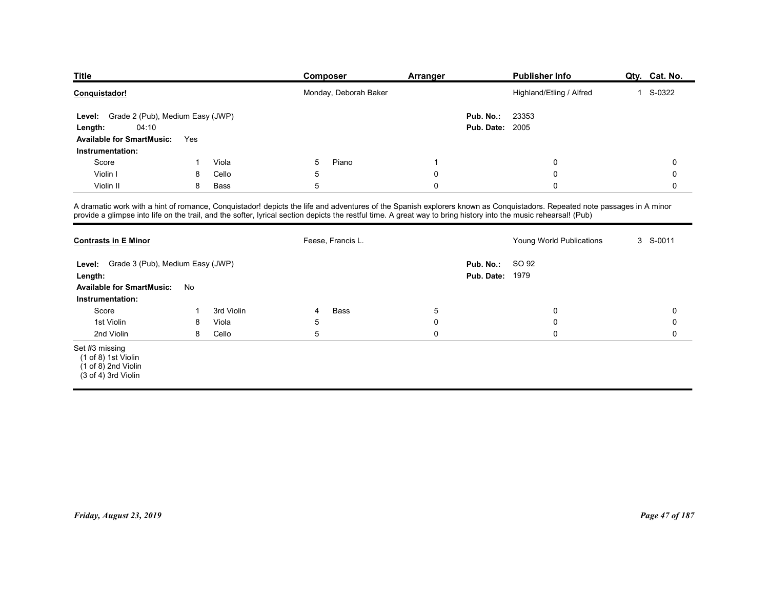| <b>Title</b>                            |                                  |               | Composer                                                                                                                                                                                                                                                                                                                                     | Arranger         |                        | <b>Publisher Info</b>      | Qty. Cat. No. |
|-----------------------------------------|----------------------------------|---------------|----------------------------------------------------------------------------------------------------------------------------------------------------------------------------------------------------------------------------------------------------------------------------------------------------------------------------------------------|------------------|------------------------|----------------------------|---------------|
| Conquistador!                           |                                  |               | Monday, Deborah Baker                                                                                                                                                                                                                                                                                                                        |                  |                        | Highland/Etling / Alfred   | 1 S-0322      |
| Level:                                  | Grade 2 (Pub), Medium Easy (JWP) |               |                                                                                                                                                                                                                                                                                                                                              |                  | Pub. No.:              | 23353                      |               |
|                                         |                                  |               |                                                                                                                                                                                                                                                                                                                                              |                  | <b>Pub. Date: 2005</b> |                            |               |
| 04:10<br>Length:                        |                                  |               |                                                                                                                                                                                                                                                                                                                                              |                  |                        |                            |               |
| Available for SmartMusic: Yes           |                                  |               |                                                                                                                                                                                                                                                                                                                                              |                  |                        |                            |               |
| Instrumentation:                        |                                  |               |                                                                                                                                                                                                                                                                                                                                              |                  |                        |                            |               |
| Score                                   | -1<br>8                          | Viola         | Piano<br>5                                                                                                                                                                                                                                                                                                                                   | $\overline{1}$   |                        | $\mathbf 0$                | 0             |
| Violin I<br>Violin II                   | 8                                | Cello<br>Bass | 5<br>5                                                                                                                                                                                                                                                                                                                                       | 0<br>$\mathbf 0$ |                        | $\mathbf 0$<br>$\mathbf 0$ | 0<br>0        |
|                                         |                                  |               |                                                                                                                                                                                                                                                                                                                                              |                  |                        |                            |               |
|                                         |                                  |               | A dramatic work with a hint of romance, Conquistador! depicts the life and adventures of the Spanish explorers known as Conquistadors. Repeated note passages in A minor<br>provide a glimpse into life on the trail, and the softer, lyrical section depicts the restful time. A great way to bring history into the music rehearsal! (Pub) |                  |                        |                            |               |
|                                         |                                  |               |                                                                                                                                                                                                                                                                                                                                              |                  |                        |                            |               |
| <b>Contrasts in E Minor</b>             |                                  |               | Feese, Francis L.                                                                                                                                                                                                                                                                                                                            |                  |                        | Young World Publications   | 3 S-0011      |
| Level: Grade 3 (Pub), Medium Easy (JWP) |                                  |               |                                                                                                                                                                                                                                                                                                                                              |                  | Pub. No.:              | SO 92                      |               |
| Length:                                 |                                  |               |                                                                                                                                                                                                                                                                                                                                              |                  | <b>Pub. Date: 1979</b> |                            |               |
| Available for SmartMusic: No            |                                  |               |                                                                                                                                                                                                                                                                                                                                              |                  |                        |                            |               |

| <b>Title</b>                                                                                                                                                                                                                                                                                                                                 |              |            |            | <b>Composer</b>       | <b>Arranger</b> |                                     | <b>Publisher Info</b>    | Qty. Cat. No.  |
|----------------------------------------------------------------------------------------------------------------------------------------------------------------------------------------------------------------------------------------------------------------------------------------------------------------------------------------------|--------------|------------|------------|-----------------------|-----------------|-------------------------------------|--------------------------|----------------|
| Conquistador!                                                                                                                                                                                                                                                                                                                                |              |            |            | Monday, Deborah Baker |                 |                                     | Highland/Etling / Alfred | 1 S-0322       |
| Level: Grade 2 (Pub), Medium Easy (JWP)<br>04:10<br>Length:                                                                                                                                                                                                                                                                                  |              |            |            |                       |                 | Pub. No.:<br><b>Pub. Date: 2005</b> | 23353                    |                |
| <b>Available for SmartMusic:</b>                                                                                                                                                                                                                                                                                                             | Yes          |            |            |                       |                 |                                     |                          |                |
| Instrumentation:                                                                                                                                                                                                                                                                                                                             |              |            |            |                       |                 |                                     |                          |                |
| Score                                                                                                                                                                                                                                                                                                                                        | $\mathbf{1}$ | Viola      | 5          | Piano                 | -1              |                                     | 0                        | 0              |
| Violin I                                                                                                                                                                                                                                                                                                                                     | 8            | Cello      | 5          |                       | $\mathbf 0$     |                                     | 0                        | 0              |
| Violin II                                                                                                                                                                                                                                                                                                                                    | 8            | Bass       | 5          |                       | $\mathbf 0$     |                                     | 0                        | 0              |
| A dramatic work with a hint of romance, Conquistador! depicts the life and adventures of the Spanish explorers known as Conquistadors. Repeated note passages in A minor<br>provide a glimpse into life on the trail, and the softer, lyrical section depicts the restful time. A great way to bring history into the music rehearsal! (Pub) |              |            |            |                       |                 |                                     |                          |                |
| <b>Contrasts in E Minor</b>                                                                                                                                                                                                                                                                                                                  |              |            |            | Feese, Francis L.     |                 |                                     | Young World Publications | 3 S-0011       |
| Level: Grade 3 (Pub), Medium Easy (JWP)                                                                                                                                                                                                                                                                                                      |              |            |            |                       |                 | Pub. No.:                           | SO 92                    |                |
| Length:                                                                                                                                                                                                                                                                                                                                      |              |            |            |                       |                 | <b>Pub. Date: 1979</b>              |                          |                |
| <b>Available for SmartMusic:</b>                                                                                                                                                                                                                                                                                                             | No           |            |            |                       |                 |                                     |                          |                |
| Instrumentation:                                                                                                                                                                                                                                                                                                                             |              |            |            |                       |                 |                                     |                          |                |
| Score                                                                                                                                                                                                                                                                                                                                        | $\mathbf{1}$ | 3rd Violin | 4          | Bass                  | $\sqrt{5}$      |                                     | 0                        | 0              |
| 1st Violin                                                                                                                                                                                                                                                                                                                                   | 8            | Viola      | $\sqrt{5}$ |                       | $\mathbf 0$     |                                     | $\mathbf 0$              | 0              |
| 2nd Violin                                                                                                                                                                                                                                                                                                                                   | 8            | Cello      | $\sqrt{5}$ |                       | $\pmb{0}$       |                                     | $\mathbf 0$              | 0              |
| Set #3 missing<br>$(1 of 8)$ 1st Violin<br>$(1 of 8)$ 2nd Violin<br>$(3 of 4)$ 3rd Violin                                                                                                                                                                                                                                                    |              |            |            |                       |                 |                                     |                          |                |
|                                                                                                                                                                                                                                                                                                                                              |              |            |            |                       |                 |                                     |                          |                |
| Friday, August 23, 2019                                                                                                                                                                                                                                                                                                                      |              |            |            |                       |                 |                                     |                          | Page 47 of 187 |
|                                                                                                                                                                                                                                                                                                                                              |              |            |            |                       |                 |                                     |                          |                |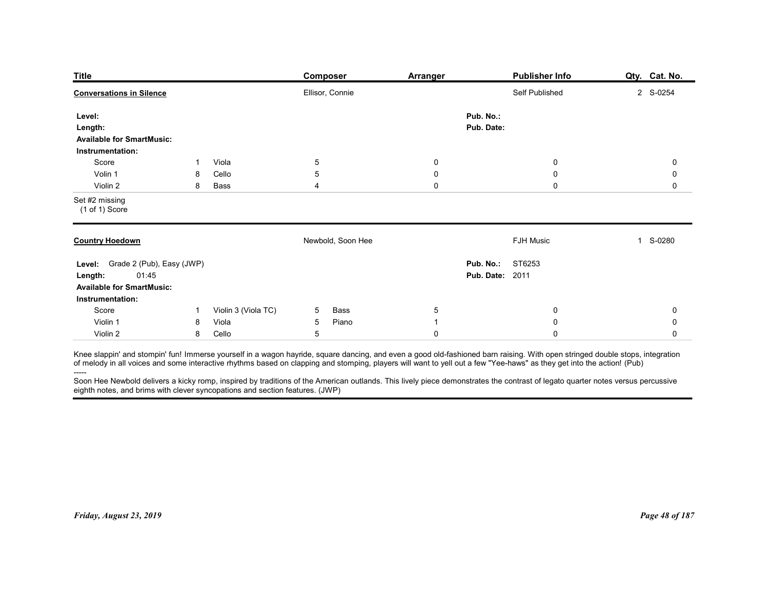| <b>Title</b>                                                                                                                                                                                                                                                                                                                                                                                                                                                                                                                                                                                                                       |                |                     | <b>Composer</b>                             | <b>Arranger</b>                 |                                                   | <b>Publisher Info</b>      | Qty. Cat. No.              |
|------------------------------------------------------------------------------------------------------------------------------------------------------------------------------------------------------------------------------------------------------------------------------------------------------------------------------------------------------------------------------------------------------------------------------------------------------------------------------------------------------------------------------------------------------------------------------------------------------------------------------------|----------------|---------------------|---------------------------------------------|---------------------------------|---------------------------------------------------|----------------------------|----------------------------|
| <b>Conversations in Silence</b>                                                                                                                                                                                                                                                                                                                                                                                                                                                                                                                                                                                                    |                |                     | Ellisor, Connie                             |                                 |                                                   | Self Published             | 2 S-0254                   |
| Level:<br>Length:<br><b>Available for SmartMusic:</b>                                                                                                                                                                                                                                                                                                                                                                                                                                                                                                                                                                              |                |                     |                                             |                                 | Pub. No.:<br>Pub. Date:                           |                            |                            |
| Instrumentation:<br>Score                                                                                                                                                                                                                                                                                                                                                                                                                                                                                                                                                                                                          | -1             | Viola               | $\overline{5}$                              | $\boldsymbol{0}$                |                                                   | $\boldsymbol{0}$           | 0                          |
| Volin 1<br>Violin 2                                                                                                                                                                                                                                                                                                                                                                                                                                                                                                                                                                                                                | 8<br>8         | Cello<br>Bass       | 5<br>4                                      | $\boldsymbol{0}$<br>$\mathbf 0$ |                                                   | $\mathbf 0$<br>$\mathbf 0$ | 0<br>0                     |
| Set #2 missing<br>(1 of 1) Score                                                                                                                                                                                                                                                                                                                                                                                                                                                                                                                                                                                                   |                |                     |                                             |                                 |                                                   |                            |                            |
| <b>Country Hoedown</b>                                                                                                                                                                                                                                                                                                                                                                                                                                                                                                                                                                                                             |                |                     | Newbold, Soon Hee                           |                                 |                                                   | FJH Music                  | S-0280<br>1                |
| Level: Grade 2 (Pub), Easy (JWP)<br>01:45<br>Length:<br><b>Available for SmartMusic:</b><br>Instrumentation:                                                                                                                                                                                                                                                                                                                                                                                                                                                                                                                       |                |                     |                                             |                                 | <b>Pub. No.: ST6253</b><br><b>Pub. Date: 2011</b> |                            |                            |
| Score                                                                                                                                                                                                                                                                                                                                                                                                                                                                                                                                                                                                                              | $\overline{1}$ | Violin 3 (Viola TC) | Bass<br>5 <sup>5</sup>                      | $\overline{5}$                  |                                                   | $\mathbf 0$                | 0                          |
| Violin 1<br>Violin 2                                                                                                                                                                                                                                                                                                                                                                                                                                                                                                                                                                                                               | 8<br>8         | Viola<br>Cello      | Piano<br>$5\overline{)}$<br>$5\phantom{.0}$ | $\mathbf{1}$<br>$\mathbf 0$     |                                                   | $\mathbf 0$<br>$\mathbf 0$ | $\mathbf 0$<br>$\mathbf 0$ |
| Knee slappin' and stompin' fun! Immerse yourself in a wagon hayride, square dancing, and even a good old-fashioned barn raising. With open stringed double stops, integration<br>of melody in all voices and some interactive rhythms based on clapping and stomping, players will want to yell out a few "Yee-haws" as they get into the action! (Pub)<br>-----<br>Soon Hee Newbold delivers a kicky romp, inspired by traditions of the American outlands. This lively piece demonstrates the contrast of legato quarter notes versus percussive<br>eighth notes, and brims with clever syncopations and section features. (JWP) |                |                     |                                             |                                 |                                                   |                            |                            |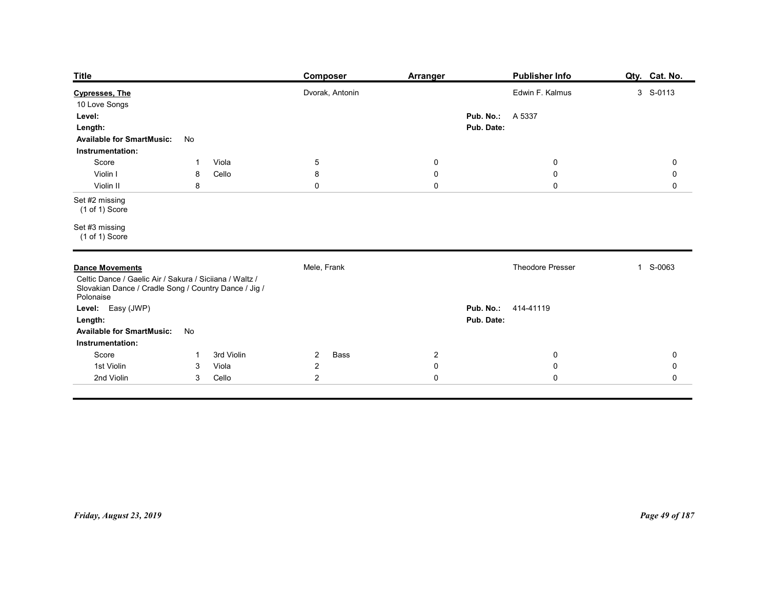| <b>Title</b>                                                                                                                  |                                               | <b>Composer</b>                          | <b>Arranger</b>                           | Publisher Info                                           | Qty. Cat. No.                                     |
|-------------------------------------------------------------------------------------------------------------------------------|-----------------------------------------------|------------------------------------------|-------------------------------------------|----------------------------------------------------------|---------------------------------------------------|
| <b>Cypresses, The</b><br>10 Love Songs<br>Level:<br>Length:<br><b>Available for SmartMusic:</b>                               | No                                            | Dvorak, Antonin                          |                                           | Edwin F. Kalmus<br><b>Pub. No.: A 5337</b><br>Pub. Date: | 3 S-0113                                          |
| Instrumentation:<br>Score<br>Violin I<br>Violin II                                                                            | Viola<br>$\mathbf{1}$<br>Cello<br>8<br>$\bf8$ | $\overline{5}$<br>8<br>$\mathbf 0$       | $\mathbf 0$<br>$\mathbf 0$<br>$\mathbf 0$ | $\overline{0}$<br>$\pmb{0}$<br>$\mathbf 0$               | $\mathbf 0$<br>$\mathsf{O}\xspace$<br>$\mathsf 0$ |
| Set #2 missing<br>(1 of 1) Score<br>Set #3 missing                                                                            |                                               |                                          |                                           |                                                          |                                                   |
| (1 of 1) Score<br><b>Dance Movements</b>                                                                                      |                                               | Mele, Frank                              |                                           | Theodore Presser                                         | 1 S-0063                                          |
| Celtic Dance / Gaelic Air / Sakura / Siciiana / Waltz /<br>Slovakian Dance / Cradle Song / Country Dance / Jig /<br>Polonaise |                                               |                                          |                                           |                                                          |                                                   |
| Level: Easy (JWP)<br>Length:<br>Available for SmartMusic: No<br>Instrumentation:                                              |                                               |                                          |                                           | Pub. No.: 414-41119<br>Pub. Date:                        |                                                   |
| Score<br>1st Violin                                                                                                           | 3rd Violin<br>$\mathbf{1}$<br>Viola           | Bass<br>$\overline{2}$<br>$\overline{2}$ | $\overline{2}$<br>$\mathbf 0$             | $\overline{0}$<br>$\mathbf 0$                            | $\mathbf 0$<br>$\mathsf{O}\xspace$                |
|                                                                                                                               | $\mathbf{3}$                                  |                                          |                                           |                                                          |                                                   |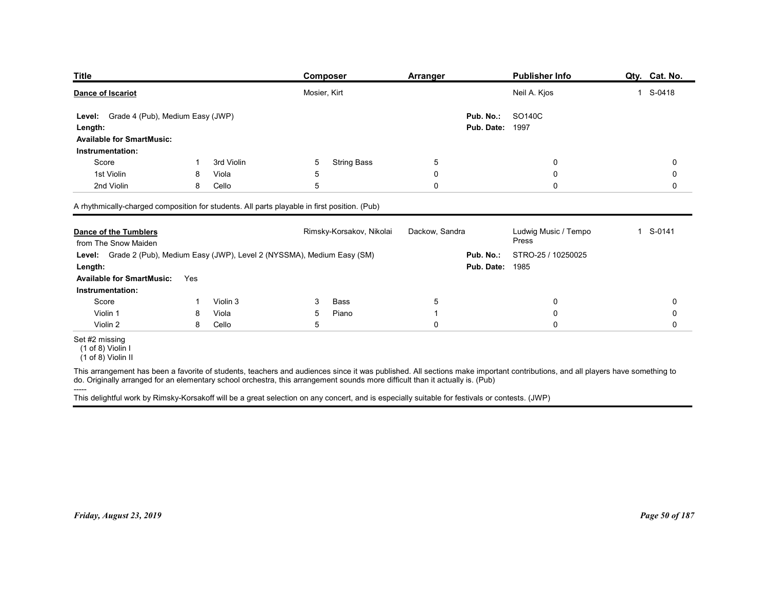| <b>Title</b>                                                                                     |        |            | <b>Composer</b>                                                                                                                                                               | <b>Arranger</b> | <b>Publisher Info</b>                     | Qty. Cat. No. |
|--------------------------------------------------------------------------------------------------|--------|------------|-------------------------------------------------------------------------------------------------------------------------------------------------------------------------------|-----------------|-------------------------------------------|---------------|
| Dance of Iscariot                                                                                |        |            | Mosier, Kirt                                                                                                                                                                  |                 | Neil A. Kjos                              | 1 S-0418      |
| Grade 4 (Pub), Medium Easy (JWP)<br><b>Level:</b><br>Length:<br><b>Available for SmartMusic:</b> |        |            |                                                                                                                                                                               |                 | SO140C<br>Pub. No.:<br>Pub. Date:<br>1997 |               |
| Instrumentation:                                                                                 |        |            |                                                                                                                                                                               |                 |                                           |               |
| Score                                                                                            |        | 3rd Violin | <b>String Bass</b><br>5                                                                                                                                                       | $\sqrt{5}$      | 0                                         | 0             |
| 1st Violin                                                                                       | 8      | Viola      | 5                                                                                                                                                                             | 0               | 0                                         | 0             |
| 2nd Violin                                                                                       | 8      | Cello      | 5                                                                                                                                                                             | 0               | 0                                         | 0             |
|                                                                                                  |        |            | A rhythmically-charged composition for students. All parts playable in first position. (Pub)                                                                                  |                 |                                           |               |
|                                                                                                  |        |            |                                                                                                                                                                               |                 |                                           |               |
| <b>Dance of the Tumblers</b>                                                                     |        |            | Rimsky-Korsakov, Nikolai                                                                                                                                                      | Dackow, Sandra  | Ludwig Music / Tempo                      | 1 S-0141      |
| from The Snow Maiden                                                                             |        |            |                                                                                                                                                                               |                 | Press                                     |               |
|                                                                                                  |        |            | Level: Grade 2 (Pub), Medium Easy (JWP), Level 2 (NYSSMA), Medium Easy (SM)                                                                                                   |                 | Pub. No.:<br>STRO-25 / 10250025           |               |
| Length:                                                                                          |        |            |                                                                                                                                                                               |                 | <b>Pub. Date: 1985</b>                    |               |
| <b>Available for SmartMusic:</b>                                                                 | Yes    |            |                                                                                                                                                                               |                 |                                           |               |
| Instrumentation:                                                                                 |        |            |                                                                                                                                                                               |                 |                                           |               |
| Score                                                                                            | -1     | Violin 3   | Bass<br>3                                                                                                                                                                     | $\sqrt{5}$      | $\mathbf 0$                               | 0             |
| Violin 1                                                                                         | 8<br>8 | Viola      | Piano<br>5<br>5                                                                                                                                                               | -1              | $\mathbf 0$                               | 0<br>0        |
| Violin 2<br>Set #2 missing<br>(1 of 8) Violin I                                                  |        | Cello      |                                                                                                                                                                               | $\mathbf 0$     | $\pmb{0}$                                 |               |
| $(1 \text{ of } 8)$ Violin II                                                                    |        |            | This arrangement has been a favorite of students, teachers and audiences since it was published. All sections make important contributions, and all players have something to |                 |                                           |               |

| <b>Dance of the Tumblers</b>                                                                                                                                                                                                                                                                                   |     |          |   | Rimsky-Korsakov, Nikolai | Dackow, Sandra |                        | Ludwig Music / Tempo<br>Press | 1 S-0141       |
|----------------------------------------------------------------------------------------------------------------------------------------------------------------------------------------------------------------------------------------------------------------------------------------------------------------|-----|----------|---|--------------------------|----------------|------------------------|-------------------------------|----------------|
| from The Snow Maiden<br>Level: Grade 2 (Pub), Medium Easy (JWP), Level 2 (NYSSMA), Medium Easy (SM)                                                                                                                                                                                                            |     |          |   |                          |                | Pub. No.:              | STRO-25 / 10250025            |                |
| Length:                                                                                                                                                                                                                                                                                                        |     |          |   |                          |                | <b>Pub. Date: 1985</b> |                               |                |
| <b>Available for SmartMusic:</b>                                                                                                                                                                                                                                                                               | Yes |          |   |                          |                |                        |                               |                |
| Instrumentation:                                                                                                                                                                                                                                                                                               |     |          |   |                          |                |                        |                               |                |
| Score                                                                                                                                                                                                                                                                                                          |     | Violin 3 | 3 | Bass                     | 5              |                        | 0                             | 0              |
| Violin 1                                                                                                                                                                                                                                                                                                       | 8   | Viola    | 5 | Piano                    |                |                        | 0                             | 0              |
| Violin 2                                                                                                                                                                                                                                                                                                       | 8   | Cello    | 5 |                          | $\Omega$       |                        | $\mathbf 0$                   | $\Omega$       |
| Set #2 missing<br>(1 of 8) Violin I<br>(1 of 8) Violin II                                                                                                                                                                                                                                                      |     |          |   |                          |                |                        |                               |                |
| This arrangement has been a favorite of students, teachers and audiences since it was published. All sections make important contributions, and all players have something to<br>do. Originally arranged for an elementary school orchestra, this arrangement sounds more difficult than it actually is. (Pub) |     |          |   |                          |                |                        |                               |                |
| This delightful work by Rimsky-Korsakoff will be a great selection on any concert, and is especially suitable for festivals or contests. (JWP)                                                                                                                                                                 |     |          |   |                          |                |                        |                               |                |
|                                                                                                                                                                                                                                                                                                                |     |          |   |                          |                |                        |                               |                |
|                                                                                                                                                                                                                                                                                                                |     |          |   |                          |                |                        |                               |                |
|                                                                                                                                                                                                                                                                                                                |     |          |   |                          |                |                        |                               |                |
|                                                                                                                                                                                                                                                                                                                |     |          |   |                          |                |                        |                               |                |
|                                                                                                                                                                                                                                                                                                                |     |          |   |                          |                |                        |                               |                |
|                                                                                                                                                                                                                                                                                                                |     |          |   |                          |                |                        |                               |                |
|                                                                                                                                                                                                                                                                                                                |     |          |   |                          |                |                        |                               |                |
|                                                                                                                                                                                                                                                                                                                |     |          |   |                          |                |                        |                               |                |
|                                                                                                                                                                                                                                                                                                                |     |          |   |                          |                |                        |                               |                |
| Friday, August 23, 2019                                                                                                                                                                                                                                                                                        |     |          |   |                          |                |                        |                               | Page 50 of 187 |
|                                                                                                                                                                                                                                                                                                                |     |          |   |                          |                |                        |                               |                |
|                                                                                                                                                                                                                                                                                                                |     |          |   |                          |                |                        |                               |                |
|                                                                                                                                                                                                                                                                                                                |     |          |   |                          |                |                        |                               |                |
|                                                                                                                                                                                                                                                                                                                |     |          |   |                          |                |                        |                               |                |
|                                                                                                                                                                                                                                                                                                                |     |          |   |                          |                |                        |                               |                |
|                                                                                                                                                                                                                                                                                                                |     |          |   |                          |                |                        |                               |                |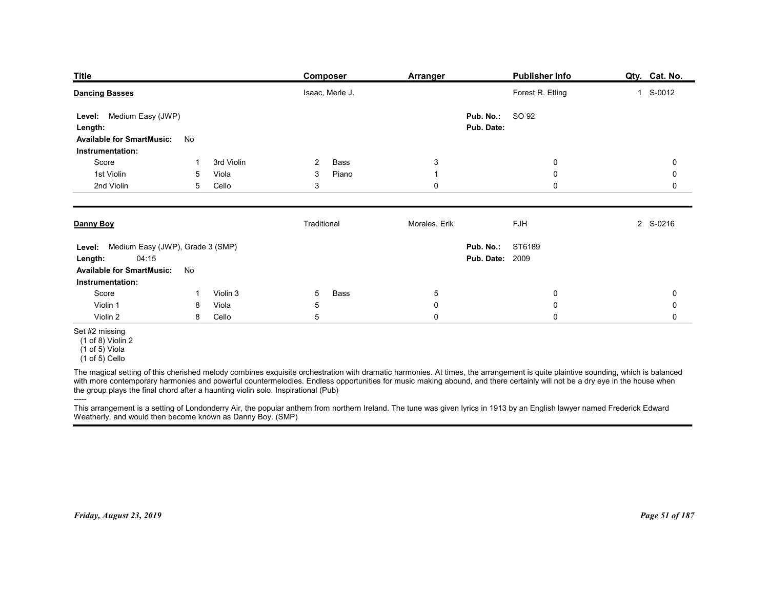| <b>Title</b><br>Publisher Info<br>Qty. Cat. No.<br>Composer<br><b>Arranger</b><br>Forest R. Etling<br>1 S-0012<br><b>Dancing Basses</b><br>Isaac, Merle J.<br>SO 92<br>Level: Medium Easy (JWP)<br>Pub. No.:<br>Pub. Date:<br>Length:<br><b>Available for SmartMusic:</b><br>No<br>Instrumentation:<br>3rd Violin<br>3<br>Score<br>$\overline{2}$<br>Bass<br>0<br>0<br>-1<br>1st Violin<br>5<br>Viola<br>3<br>Piano<br>0<br>0<br>-1<br>2nd Violin<br>0<br>$\mathbf 0$<br>5<br>Cello<br>3<br>0 |
|-----------------------------------------------------------------------------------------------------------------------------------------------------------------------------------------------------------------------------------------------------------------------------------------------------------------------------------------------------------------------------------------------------------------------------------------------------------------------------------------------|
|                                                                                                                                                                                                                                                                                                                                                                                                                                                                                               |
|                                                                                                                                                                                                                                                                                                                                                                                                                                                                                               |
|                                                                                                                                                                                                                                                                                                                                                                                                                                                                                               |
|                                                                                                                                                                                                                                                                                                                                                                                                                                                                                               |
|                                                                                                                                                                                                                                                                                                                                                                                                                                                                                               |
|                                                                                                                                                                                                                                                                                                                                                                                                                                                                                               |
|                                                                                                                                                                                                                                                                                                                                                                                                                                                                                               |
|                                                                                                                                                                                                                                                                                                                                                                                                                                                                                               |
|                                                                                                                                                                                                                                                                                                                                                                                                                                                                                               |
|                                                                                                                                                                                                                                                                                                                                                                                                                                                                                               |
|                                                                                                                                                                                                                                                                                                                                                                                                                                                                                               |
|                                                                                                                                                                                                                                                                                                                                                                                                                                                                                               |
|                                                                                                                                                                                                                                                                                                                                                                                                                                                                                               |
| Morales, Erik<br>FJH<br>Traditional<br>2 S-0216<br>Danny Boy                                                                                                                                                                                                                                                                                                                                                                                                                                  |
| Pub. No.: ST6189<br>Level: Medium Easy (JWP), Grade 3 (SMP)                                                                                                                                                                                                                                                                                                                                                                                                                                   |
| 04:15<br><b>Pub. Date: 2009</b><br>Length:<br><b>Available for SmartMusic:</b><br>No                                                                                                                                                                                                                                                                                                                                                                                                          |
| Instrumentation:<br>Score<br>$5\phantom{.0}$<br>$\bf{0}$<br>Violin 3<br>5<br>Bass<br>0<br>-1                                                                                                                                                                                                                                                                                                                                                                                                  |
| $\pmb{0}$<br>$\pmb{0}$<br>Violin 1<br>Viola<br>$\mathbf 0$<br>8<br>5                                                                                                                                                                                                                                                                                                                                                                                                                          |
| 5<br>$\pmb{0}$<br>$\pmb{0}$<br>$\mathsf 0$<br>Violin 2<br>Cello<br>8                                                                                                                                                                                                                                                                                                                                                                                                                          |
| Set #2 missing<br>$(1 of 8)$ Violin 2<br>$(1 \text{ of } 5)$ Viola<br>$(1 of 5)$ Cello                                                                                                                                                                                                                                                                                                                                                                                                        |
| The magical setting of this cherished melody combines exquisite orchestration with dramatic harmonies. At times, the arrangement is quite plaintive sounding, which is balanced<br>with more contemporary harmonies and powerful countermelodies. Endless opportunities for music making abound, and there certainly will not be a dry eye in the house when<br>the group plays the final chord after a haunting violin solo. Inspirational (Pub)                                             |
| $-----$<br>This arrangement is a setting of Londonderry Air, the popular anthem from northern Ireland. The tune was given lyrics in 1913 by an English lawyer named Frederick Edward<br>Weatherly, and would then become known as Danny Boy. (SMP)                                                                                                                                                                                                                                            |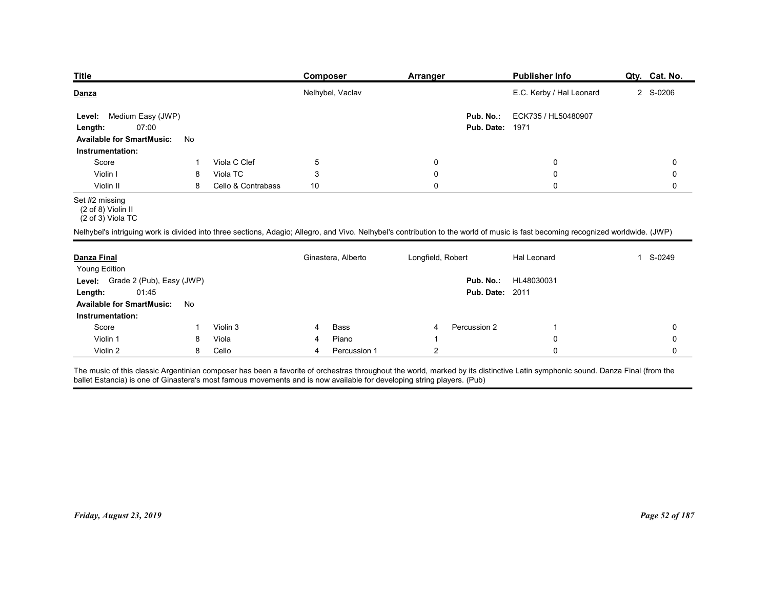| <b>Title</b>                                                         |    |                    | Composer           | <b>Arranger</b>                                                                                                                                                                  | <b>Publisher Info</b>    | Qty. Cat. No. |
|----------------------------------------------------------------------|----|--------------------|--------------------|----------------------------------------------------------------------------------------------------------------------------------------------------------------------------------|--------------------------|---------------|
| Danza                                                                |    |                    | Nelhybel, Vaclav   |                                                                                                                                                                                  | E.C. Kerby / Hal Leonard | 2 S-0206      |
| Medium Easy (JWP)<br>Level:                                          |    |                    |                    | Pub. No.:                                                                                                                                                                        | ECK735 / HL50480907      |               |
| 07:00<br>Length:                                                     |    |                    |                    | Pub. Date:                                                                                                                                                                       | 1971                     |               |
| <b>Available for SmartMusic:</b>                                     | No |                    |                    |                                                                                                                                                                                  |                          |               |
| Instrumentation:                                                     |    | Viola C Clef       | 5                  | 0                                                                                                                                                                                | 0                        | 0             |
| Score<br>Violin I                                                    | 8  | Viola TC           | 3                  | 0                                                                                                                                                                                | 0                        | 0             |
| Violin II                                                            | 8  | Cello & Contrabass | 10                 | $\mathbf 0$                                                                                                                                                                      | $\mathbf 0$              | 0             |
| Set #2 missing<br>(2 of 8) Violin II<br>$(2 \text{ of } 3)$ Viola TC |    |                    |                    |                                                                                                                                                                                  |                          |               |
|                                                                      |    |                    |                    | Nelhybel's intriguing work is divided into three sections, Adagio; Allegro, and Vivo. Nelhybel's contribution to the world of music is fast becoming recognized worldwide. (JWP) |                          |               |
| <b>Danza Final</b>                                                   |    |                    | Ginastera, Alberto | Longfield, Robert                                                                                                                                                                | Hal Leonard              | 1 S-0249      |
| Young Edition                                                        |    |                    |                    |                                                                                                                                                                                  |                          |               |
|                                                                      |    |                    |                    |                                                                                                                                                                                  | Pub. No.: HL48030031     |               |
| Level: Grade 2 (Pub), Easy (JWP)                                     |    |                    |                    | <b>Pub. Date: 2011</b>                                                                                                                                                           |                          |               |
| 01:45<br>Length:                                                     |    |                    |                    |                                                                                                                                                                                  |                          |               |
| <b>Available for SmartMusic:</b>                                     | No |                    |                    |                                                                                                                                                                                  |                          |               |
| Instrumentation:                                                     |    |                    |                    |                                                                                                                                                                                  |                          |               |
| Score<br>Violin 1                                                    | 8  | Violin 3<br>Viola  | Bass<br>4<br>Piano | Percussion 2<br>4                                                                                                                                                                | 0                        | 0<br>0        |

## Set #2 missing

| Medium Easy (JWP)<br>Level:<br>07:00<br>Length:<br><b>Available for SmartMusic:</b><br>No<br>Instrumentation:<br>Viola C Clef<br>Score<br>$\mathbf 1$<br>Viola TC<br>Violin I<br>8<br>Violin II<br>8<br>Set #2 missing<br>$(2 of 8)$ Violin II<br>$(2 \text{ of } 3)$ Viola TC                          | $\overline{5}$<br>$\sqrt{3}$<br>Cello & Contrabass<br>10 | Pub. No.:<br><b>Pub. Date: 1971</b><br>$\mathbf 0$<br>$\pmb{0}$<br>$\mathbf 0$ | ECK735 / HL50480907<br>0<br>0<br>$\Omega$ | 0<br>0<br>$\mathbf 0$ |
|---------------------------------------------------------------------------------------------------------------------------------------------------------------------------------------------------------------------------------------------------------------------------------------------------------|----------------------------------------------------------|--------------------------------------------------------------------------------|-------------------------------------------|-----------------------|
|                                                                                                                                                                                                                                                                                                         |                                                          |                                                                                |                                           |                       |
|                                                                                                                                                                                                                                                                                                         |                                                          |                                                                                |                                           |                       |
|                                                                                                                                                                                                                                                                                                         |                                                          |                                                                                |                                           |                       |
|                                                                                                                                                                                                                                                                                                         |                                                          |                                                                                |                                           |                       |
|                                                                                                                                                                                                                                                                                                         |                                                          |                                                                                |                                           |                       |
| Nelhybel's intriguing work is divided into three sections, Adagio; Allegro, and Vivo. Nelhybel's contribution to the world of music is fast becoming recognized worldwide. (JWP)                                                                                                                        |                                                          |                                                                                |                                           |                       |
| Danza Final<br><b>Young Edition</b>                                                                                                                                                                                                                                                                     | Ginastera, Alberto                                       | Longfield, Robert                                                              | Hal Leonard                               | 1 S-0249              |
| Level: Grade 2 (Pub), Easy (JWP)<br>01:45<br>Length:<br>Available for SmartMusic: No<br>Instrumentation:                                                                                                                                                                                                |                                                          | <b>Pub. Date: 2011</b>                                                         | Pub. No.: HL48030031                      |                       |
| Score<br>Violin 3<br>-1                                                                                                                                                                                                                                                                                 | <b>Bass</b><br>4                                         | Percussion 2<br>$\overline{4}$                                                 | -1                                        | 0                     |
| Violin 1<br>Viola<br>8                                                                                                                                                                                                                                                                                  | Piano<br>4                                               | -1                                                                             | 0                                         | 0                     |
| Cello<br>Violin 2<br>8                                                                                                                                                                                                                                                                                  | Percussion 1<br>4                                        | $\overline{c}$                                                                 | $\mathsf 0$                               | $\mathbf 0$           |
| The music of this classic Argentinian composer has been a favorite of orchestras throughout the world, marked by its distinctive Latin symphonic sound. Danza Final (from the<br>ballet Estancia) is one of Ginastera's most famous movements and is now available for developing string players. (Pub) |                                                          |                                                                                |                                           |                       |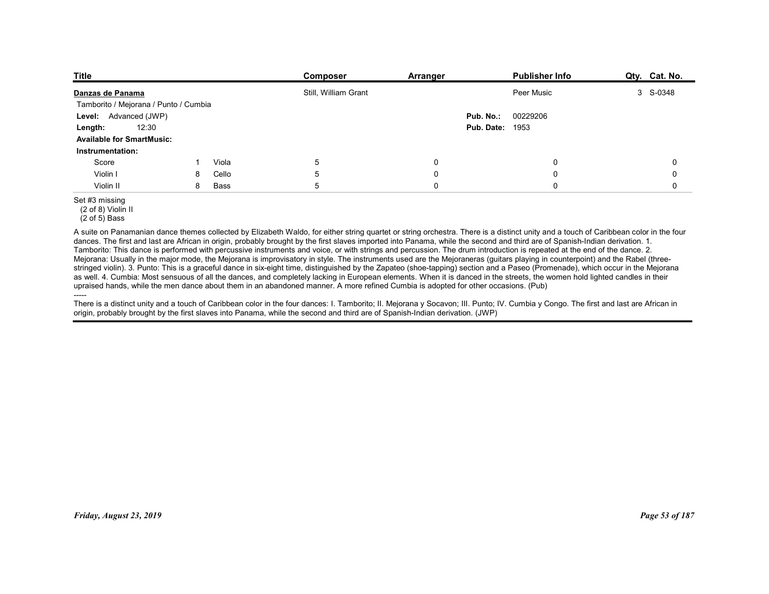| <b>Title</b>                                         |                    | Composer             | Arranger                   | Publisher Info             | Qty. Cat. No.              |
|------------------------------------------------------|--------------------|----------------------|----------------------------|----------------------------|----------------------------|
|                                                      |                    |                      |                            |                            |                            |
|                                                      |                    |                      |                            |                            |                            |
| Danzas de Panama                                     |                    | Still, William Grant |                            | Peer Music                 | 3 S-0348                   |
| Tamborito / Mejorana / Punto / Cumbia                |                    |                      |                            |                            |                            |
| Level: Advanced (JWP)                                |                    |                      |                            | Pub. No.:<br>00229206      |                            |
| 12:30<br>Length:                                     |                    |                      |                            | <b>Pub. Date: 1953</b>     |                            |
| <b>Available for SmartMusic:</b><br>Instrumentation: |                    |                      |                            |                            |                            |
|                                                      | Viola              | 5                    | $\mathbf 0$                | $\mathbf 0$                | 0                          |
| Score                                                | 8                  |                      |                            |                            |                            |
| Violin I<br>Violin II                                | Cello<br>8<br>Bass | $5\phantom{.0}$<br>5 | $\mathbf 0$<br>$\mathbf 0$ | $\mathsf 0$<br>$\mathbf 0$ | $\mathbf 0$<br>$\mathbf 0$ |

A suite on Panamanian dance themes collected by Elizabeth Waldo, for either string quartet or string orchestra. There is a distinct unity and a touch of Caribbean color in the four dances. The first and last are African in origin, probably brought by the first slaves imported into Panama, while the second and third are of Spanish-Indian derivation. 1. Tamborito: This dance is performed with percussive instruments and voice, or with strings and percussion. The drum introduction is repeated at the end of the dance. 2. Mejorana: Usually in the major mode, the Mejorana is improvisatory in style. The instruments used are the Mejoraneras (guitars playing in counterpoint) and the Rabel (threestringed violin). 3. Punto: This is a graceful dance in six-eight time, distinguished by the Zapateo (shoe-tapping) section and a Paseo (Promenade), which occur in the Mejorana as well. 4. Cumbia: Most sensuous of all the dances, and completely lacking in European elements. When it is danced in the streets, the women hold lighted candles in their upraised hands, while the men dance about them in an abandoned manner. A more refined Cumbia is adopted for other occasions. (Pub) atingstruding, S. Purtio. This is a groad uldered in the intellection in European oterance Who http://the Motorscheep.com/intellection. The Motorscheep.com/intellections/informations/informations/informations/informations/

----- There is a distinct unity and a touch of Caribbean color in the four dances: I. Tamborito; II. Mejorana y Socavon; III. Punto; IV. Cumbia y Congo. The first and last are African in origin, probably brought by the first slaves into Panama, while the second and third are of Spanish-Indian derivation. (JWP)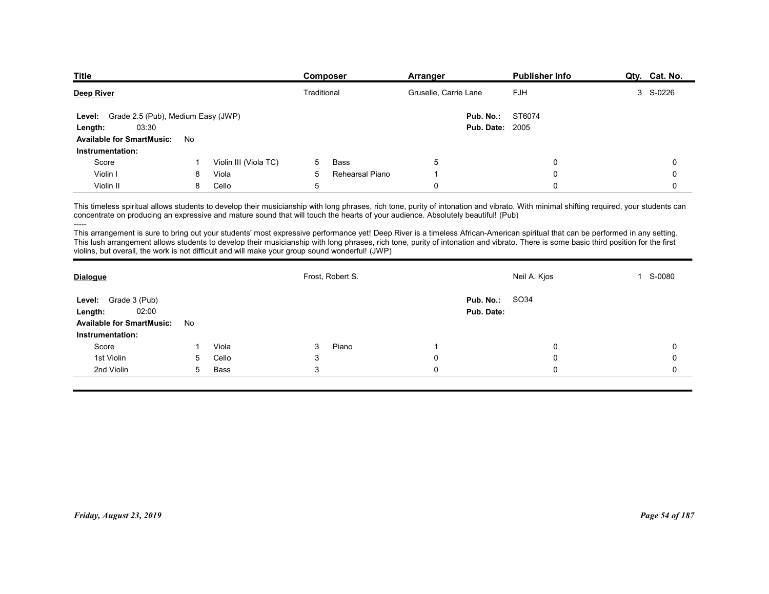| <b>Title</b>                                               | <b>Composer</b>                    | Arranger               | <b>Publisher Info</b> | Qty. Cat. No. |
|------------------------------------------------------------|------------------------------------|------------------------|-----------------------|---------------|
| <b>Deep River</b>                                          | Traditional                        | Gruselle, Carrie Lane  | <b>FJH</b>            | 3 S-0226      |
| Grade 2.5 (Pub), Medium Easy (JWP)<br><b>Level:</b>        |                                    | Pub. No.:              | ST6074                |               |
| 03:30<br>Length:                                           |                                    | <b>Pub. Date: 2005</b> |                       |               |
| <b>Available for SmartMusic:</b><br>No<br>Instrumentation: |                                    |                        |                       |               |
|                                                            | Violin III (Viola TC)<br>Bass<br>5 | 5                      | $\Omega$              | 0             |
| Score                                                      |                                    |                        |                       |               |
| Violin I<br>Viola<br>8                                     | 5<br>Rehearsal Piano               |                        | $\Omega$              | 0             |

| <u>Deep River</u>                                                                                                                                                                                                                                                                                                                                                                                                                                                          |                 |                       | <i>i</i> raditional |                  | Gruselle, Carrie Lane |                                     | FJH          | 3 S-0220       |
|----------------------------------------------------------------------------------------------------------------------------------------------------------------------------------------------------------------------------------------------------------------------------------------------------------------------------------------------------------------------------------------------------------------------------------------------------------------------------|-----------------|-----------------------|---------------------|------------------|-----------------------|-------------------------------------|--------------|----------------|
| Level: Grade 2.5 (Pub), Medium Easy (JWP)<br>03:30<br>Length:                                                                                                                                                                                                                                                                                                                                                                                                              |                 |                       |                     |                  |                       | Pub. No.:<br><b>Pub. Date: 2005</b> | ST6074       |                |
| <b>Available for SmartMusic:</b>                                                                                                                                                                                                                                                                                                                                                                                                                                           | No              |                       |                     |                  |                       |                                     |              |                |
| Instrumentation:                                                                                                                                                                                                                                                                                                                                                                                                                                                           |                 |                       |                     |                  |                       |                                     |              |                |
| Score                                                                                                                                                                                                                                                                                                                                                                                                                                                                      | -1              | Violin III (Viola TC) | 5                   | Bass             | 5                     |                                     | 0            | 0              |
| Violin I                                                                                                                                                                                                                                                                                                                                                                                                                                                                   | 8               | Viola                 | 5                   | Rehearsal Piano  | $\overline{1}$        |                                     | $\mathbf 0$  | 0              |
| Violin II                                                                                                                                                                                                                                                                                                                                                                                                                                                                  | 8               | Cello                 | $\sqrt{5}$          |                  | $\pmb{0}$             |                                     | $\mathbf 0$  | $\mathbf 0$    |
| This timeless spiritual allows students to develop their musicianship with long phrases, rich tone, purity of intonation and vibrato. With minimal shifting required, your students can<br>concentrate on producing an expressive and mature sound that will touch the hearts of your audience. Absolutely beautiful! (Pub)<br>-----                                                                                                                                       |                 |                       |                     |                  |                       |                                     |              |                |
| This arrangement is sure to bring out your students' most expressive performance yet! Deep River is a timeless African-American spiritual that can be performed in any setting.<br>This lush arrangement allows students to develop their musicianship with long phrases, rich tone, purity of intonation and vibrato. There is some basic third position for the first<br>violins, but overall, the work is not difficult and will make your group sound wonderful! (JWP) |                 |                       |                     |                  |                       |                                     |              |                |
| <b>Dialogue</b>                                                                                                                                                                                                                                                                                                                                                                                                                                                            |                 |                       |                     | Frost, Robert S. |                       |                                     | Neil A. Kjos | 1 S-0080       |
| Level: Grade 3 (Pub)                                                                                                                                                                                                                                                                                                                                                                                                                                                       |                 |                       |                     |                  |                       | Pub. No.:                           | SO34         |                |
| 02:00<br>Length:                                                                                                                                                                                                                                                                                                                                                                                                                                                           |                 |                       |                     |                  |                       | Pub. Date:                          |              |                |
| <b>Available for SmartMusic:</b>                                                                                                                                                                                                                                                                                                                                                                                                                                           | No              |                       |                     |                  |                       |                                     |              |                |
| Instrumentation:                                                                                                                                                                                                                                                                                                                                                                                                                                                           |                 |                       |                     |                  |                       |                                     |              |                |
| Score                                                                                                                                                                                                                                                                                                                                                                                                                                                                      | -1              | Viola                 | 3                   | Piano            | $\overline{1}$        |                                     | 0            | 0              |
| 1st Violin                                                                                                                                                                                                                                                                                                                                                                                                                                                                 | 5               | Cello                 | 3                   |                  | $\pmb{0}$             |                                     | 0            | 0              |
| 2nd Violin                                                                                                                                                                                                                                                                                                                                                                                                                                                                 | $5\overline{)}$ | Bass                  | 3                   |                  | $\mathbf 0$           |                                     | 0            | 0              |
|                                                                                                                                                                                                                                                                                                                                                                                                                                                                            |                 |                       |                     |                  |                       |                                     |              |                |
|                                                                                                                                                                                                                                                                                                                                                                                                                                                                            |                 |                       |                     |                  |                       |                                     |              |                |
|                                                                                                                                                                                                                                                                                                                                                                                                                                                                            |                 |                       |                     |                  |                       |                                     |              |                |
|                                                                                                                                                                                                                                                                                                                                                                                                                                                                            |                 |                       |                     |                  |                       |                                     |              |                |
|                                                                                                                                                                                                                                                                                                                                                                                                                                                                            |                 |                       |                     |                  |                       |                                     |              |                |
|                                                                                                                                                                                                                                                                                                                                                                                                                                                                            |                 |                       |                     |                  |                       |                                     |              |                |
|                                                                                                                                                                                                                                                                                                                                                                                                                                                                            |                 |                       |                     |                  |                       |                                     |              |                |
|                                                                                                                                                                                                                                                                                                                                                                                                                                                                            |                 |                       |                     |                  |                       |                                     |              |                |
|                                                                                                                                                                                                                                                                                                                                                                                                                                                                            |                 |                       |                     |                  |                       |                                     |              |                |
|                                                                                                                                                                                                                                                                                                                                                                                                                                                                            |                 |                       |                     |                  |                       |                                     |              |                |
|                                                                                                                                                                                                                                                                                                                                                                                                                                                                            |                 |                       |                     |                  |                       |                                     |              |                |
| Friday, August 23, 2019                                                                                                                                                                                                                                                                                                                                                                                                                                                    |                 |                       |                     |                  |                       |                                     |              | Page 54 of 187 |
|                                                                                                                                                                                                                                                                                                                                                                                                                                                                            |                 |                       |                     |                  |                       |                                     |              |                |
|                                                                                                                                                                                                                                                                                                                                                                                                                                                                            |                 |                       |                     |                  |                       |                                     |              |                |
|                                                                                                                                                                                                                                                                                                                                                                                                                                                                            |                 |                       |                     |                  |                       |                                     |              |                |
|                                                                                                                                                                                                                                                                                                                                                                                                                                                                            |                 |                       |                     |                  |                       |                                     |              |                |
|                                                                                                                                                                                                                                                                                                                                                                                                                                                                            |                 |                       |                     |                  |                       |                                     |              |                |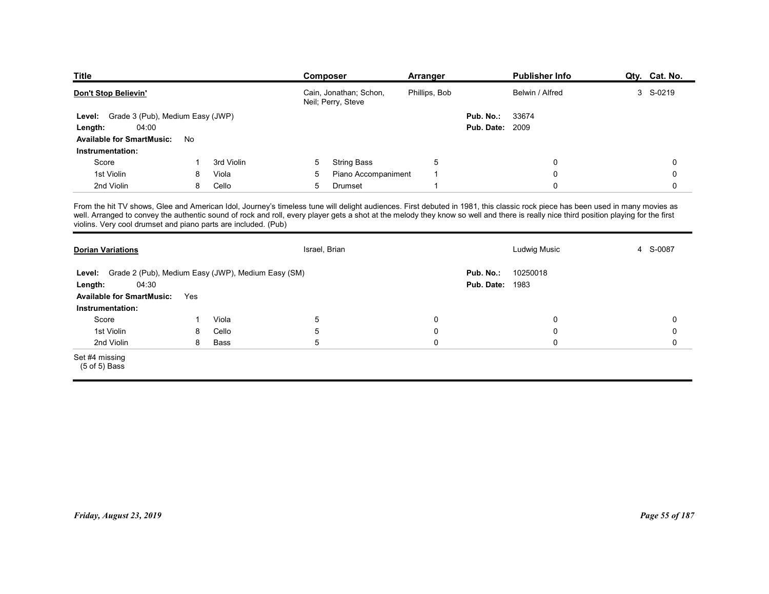| <b>Title</b>                                                                                                                                                                                                                                                                                                                                                                                                                             |     |            | Composer                                     | Arranger                              |                        | <b>Publisher Info</b> | Qty. Cat. No. |
|------------------------------------------------------------------------------------------------------------------------------------------------------------------------------------------------------------------------------------------------------------------------------------------------------------------------------------------------------------------------------------------------------------------------------------------|-----|------------|----------------------------------------------|---------------------------------------|------------------------|-----------------------|---------------|
| Don't Stop Believin'                                                                                                                                                                                                                                                                                                                                                                                                                     |     |            | Cain, Jonathan; Schon,<br>Neil; Perry, Steve | Phillips, Bob                         |                        | Belwin / Alfred       | 3 S-0219      |
| Level: Grade 3 (Pub), Medium Easy (JWP)                                                                                                                                                                                                                                                                                                                                                                                                  |     |            |                                              |                                       | Pub. No.:              | 33674                 |               |
|                                                                                                                                                                                                                                                                                                                                                                                                                                          |     |            |                                              |                                       | <b>Pub. Date: 2009</b> |                       |               |
| 04:00<br>Length:                                                                                                                                                                                                                                                                                                                                                                                                                         |     |            |                                              |                                       |                        |                       |               |
| <b>Available for SmartMusic:</b>                                                                                                                                                                                                                                                                                                                                                                                                         | No  |            |                                              |                                       |                        |                       |               |
| Instrumentation:                                                                                                                                                                                                                                                                                                                                                                                                                         |     |            |                                              |                                       |                        |                       |               |
| Score                                                                                                                                                                                                                                                                                                                                                                                                                                    | -1  | 3rd Violin | <b>String Bass</b><br>5                      | 5                                     |                        | $\mathbf 0$           | 0             |
| 1st Violin                                                                                                                                                                                                                                                                                                                                                                                                                               | 8   | Viola      | 5                                            | Piano Accompaniment<br>$\overline{1}$ |                        | $\mathbf 0$           | $\mathbf 0$   |
| 2nd Violin                                                                                                                                                                                                                                                                                                                                                                                                                               | 8   | Cello      | 5<br>Drumset                                 | $\overline{1}$                        |                        | $\mathbf 0$           | $\mathbf 0$   |
| From the hit TV shows, Glee and American Idol, Journey's timeless tune will delight audiences. First debuted in 1981, this classic rock piece has been used in many movies as<br>well. Arranged to convey the authentic sound of rock and roll, every player gets a shot at the melody they know so well and there is really nice third position playing for the first<br>violins. Very cool drumset and piano parts are included. (Pub) |     |            |                                              |                                       |                        |                       |               |
|                                                                                                                                                                                                                                                                                                                                                                                                                                          |     |            |                                              |                                       |                        |                       |               |
| <b>Dorian Variations</b>                                                                                                                                                                                                                                                                                                                                                                                                                 |     |            | Israel, Brian                                |                                       |                        | Ludwig Music          | 4 S-0087      |
|                                                                                                                                                                                                                                                                                                                                                                                                                                          |     |            |                                              |                                       |                        |                       |               |
| Level: Grade 2 (Pub), Medium Easy (JWP), Medium Easy (SM)                                                                                                                                                                                                                                                                                                                                                                                |     |            |                                              |                                       | Pub. No.:              | 10250018              |               |
| 04:30<br>Length:<br><b>Available for SmartMusic:</b>                                                                                                                                                                                                                                                                                                                                                                                     | Yes |            |                                              |                                       | Pub. Date:             | 1983                  |               |

| <b>Title</b>                                                                                                                                                                                                                                                                        |     |            | Composer       |                                              | <b>Arranger</b>         |                                     | <b>Publisher Info</b> | Qty. Cat. No.  |
|-------------------------------------------------------------------------------------------------------------------------------------------------------------------------------------------------------------------------------------------------------------------------------------|-----|------------|----------------|----------------------------------------------|-------------------------|-------------------------------------|-----------------------|----------------|
| Don't Stop Believin'                                                                                                                                                                                                                                                                |     |            |                | Cain, Jonathan; Schon,<br>Neil; Perry, Steve | Phillips, Bob           |                                     | Belwin / Alfred       | 3 S-0219       |
| Grade 3 (Pub), Medium Easy (JWP)<br>Level:<br>04:00<br>Length:                                                                                                                                                                                                                      |     |            |                |                                              |                         | Pub. No.:<br><b>Pub. Date: 2009</b> | 33674                 |                |
| <b>Available for SmartMusic:</b><br>Instrumentation:                                                                                                                                                                                                                                | No  |            |                |                                              |                         |                                     |                       |                |
| Score                                                                                                                                                                                                                                                                               |     | 3rd Violin | 5              | <b>String Bass</b>                           | $\overline{5}$          |                                     | 0                     | 0              |
| 1st Violin                                                                                                                                                                                                                                                                          | 8   | Viola      | 5              | Piano Accompaniment                          | $\overline{1}$          |                                     | 0                     | 0              |
| 2nd Violin                                                                                                                                                                                                                                                                          | 8   | Cello      | $\overline{5}$ | Drumset                                      | $\overline{\mathbf{1}}$ |                                     | 0                     | 0              |
| well. Arranged to convey the authentic sound of rock and roll, every player gets a shot at the melody they know so well and there is really nice third position playing for the first<br>violins. Very cool drumset and piano parts are included. (Pub)<br><b>Dorian Variations</b> |     |            | Israel, Brian  |                                              |                         |                                     | Ludwig Music          | 4 S-0087       |
| Level: Grade 2 (Pub), Medium Easy (JWP), Medium Easy (SM)                                                                                                                                                                                                                           |     |            |                |                                              |                         | Pub. No.:                           | 10250018              |                |
| 04:30<br>Length:                                                                                                                                                                                                                                                                    |     |            |                |                                              |                         | <b>Pub. Date: 1983</b>              |                       |                |
| <b>Available for SmartMusic:</b>                                                                                                                                                                                                                                                    | Yes |            |                |                                              |                         |                                     |                       |                |
| Instrumentation:                                                                                                                                                                                                                                                                    |     |            |                |                                              |                         |                                     |                       |                |
| Score                                                                                                                                                                                                                                                                               | -1  | Viola      | $\overline{5}$ |                                              | $\mathbf 0$             |                                     | 0                     | 0              |
| 1st Violin                                                                                                                                                                                                                                                                          | 8   | Cello      | $\overline{5}$ |                                              | $\boldsymbol{0}$        |                                     | $\mathbf 0$           | 0              |
| 2nd Violin                                                                                                                                                                                                                                                                          | 8   | Bass       | $\overline{5}$ |                                              | $\mathbf 0$             |                                     | $\mathbf 0$           | 0              |
| Set #4 missing<br>(5 of 5) Bass                                                                                                                                                                                                                                                     |     |            |                |                                              |                         |                                     |                       |                |
|                                                                                                                                                                                                                                                                                     |     |            |                |                                              |                         |                                     |                       |                |
| Friday, August 23, 2019                                                                                                                                                                                                                                                             |     |            |                |                                              |                         |                                     |                       | Page 55 of 187 |
|                                                                                                                                                                                                                                                                                     |     |            |                |                                              |                         |                                     |                       |                |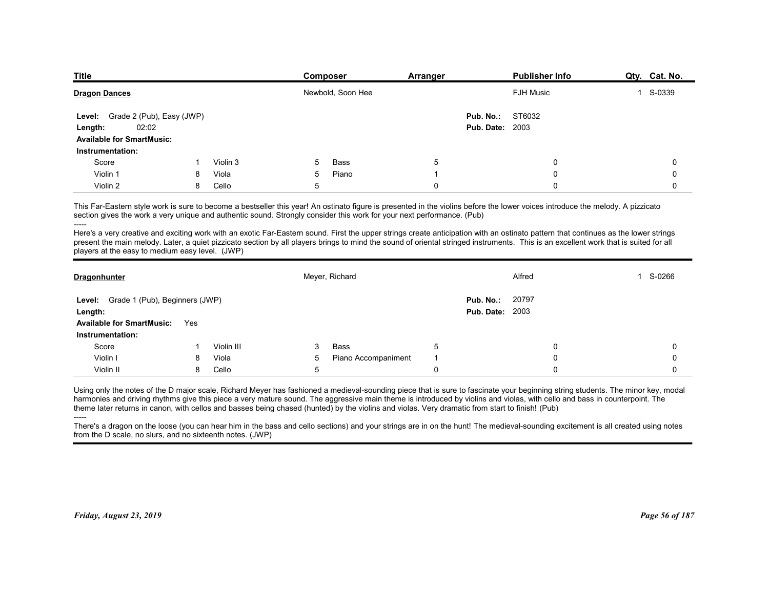| <b>Title</b>                                         |            | Composer          | <b>Arranger</b> |                        | <b>Publisher Info</b> | Qty. Cat. No. |
|------------------------------------------------------|------------|-------------------|-----------------|------------------------|-----------------------|---------------|
| <b>Dragon Dances</b>                                 |            | Newbold, Soon Hee |                 |                        | <b>FJH Music</b>      | 1 S-0339      |
| Level: Grade 2 (Pub), Easy (JWP)                     |            |                   |                 | Pub. No.:              | ST6032                |               |
| 02:02<br>Length:<br><b>Available for SmartMusic:</b> |            |                   |                 | <b>Pub. Date: 2003</b> |                       |               |
| Instrumentation:                                     |            |                   |                 |                        |                       |               |
| Score                                                | Violin 3   | Bass<br>5         | $\sqrt{5}$      |                        | 0                     | 0             |
| Violin 1<br>8                                        | Viola<br>5 | Piano             | -1              |                        | 0                     | 0             |
|                                                      |            |                   |                 |                        |                       |               |

|                                                                                                                                                                                                                                                                                                                                                                                                                                                                                                                  |     |            |    | Newbold, Soon Hee   |                |                        | <b>FJH MUSIC</b> |          | ১-০২২৯      |
|------------------------------------------------------------------------------------------------------------------------------------------------------------------------------------------------------------------------------------------------------------------------------------------------------------------------------------------------------------------------------------------------------------------------------------------------------------------------------------------------------------------|-----|------------|----|---------------------|----------------|------------------------|------------------|----------|-------------|
| Level: Grade 2 (Pub), Easy (JWP)                                                                                                                                                                                                                                                                                                                                                                                                                                                                                 |     |            |    |                     |                | Pub. No.:              | ST6032           |          |             |
| 02:02<br>Length:                                                                                                                                                                                                                                                                                                                                                                                                                                                                                                 |     |            |    |                     |                | <b>Pub. Date: 2003</b> |                  |          |             |
| <b>Available for SmartMusic:</b>                                                                                                                                                                                                                                                                                                                                                                                                                                                                                 |     |            |    |                     |                |                        |                  |          |             |
| Instrumentation:                                                                                                                                                                                                                                                                                                                                                                                                                                                                                                 |     |            |    |                     |                |                        |                  |          |             |
| Score                                                                                                                                                                                                                                                                                                                                                                                                                                                                                                            | -1  | Violin 3   | .5 | Bass                | 5              |                        |                  | 0        | 0           |
| Violin 1                                                                                                                                                                                                                                                                                                                                                                                                                                                                                                         | 8   | Viola      | 5  | Piano               | $\overline{1}$ |                        |                  | $\Omega$ | $\mathbf 0$ |
| Violin 2                                                                                                                                                                                                                                                                                                                                                                                                                                                                                                         | 8   | Cello      | 5  |                     | $\mathbf 0$    |                        |                  | $\Omega$ | $\Omega$    |
| This Far-Eastern style work is sure to become a bestseller this year! An ostinato figure is presented in the violins before the lower voices introduce the melody. A pizzicato<br>section gives the work a very unique and authentic sound. Strongly consider this work for your next performance. (Pub)<br>-----<br>Here's a very creative and exciting work with an exotic Far-Eastern sound. First the upper strings create anticipation with an ostinato pattern that continues as the lower strings         |     |            |    |                     |                |                        |                  |          |             |
| present the main melody. Later, a quiet pizzicato section by all players brings to mind the sound of oriental stringed instruments. This is an excellent work that is suited for all<br>players at the easy to medium easy level. (JWP)                                                                                                                                                                                                                                                                          |     |            |    |                     |                |                        |                  |          |             |
| <b>Dragonhunter</b>                                                                                                                                                                                                                                                                                                                                                                                                                                                                                              |     |            |    | Meyer, Richard      |                |                        | Alfred           |          | 1 S-0266    |
| Level: Grade 1 (Pub), Beginners (JWP)                                                                                                                                                                                                                                                                                                                                                                                                                                                                            |     |            |    |                     |                | Pub. No.:              | 20797            |          |             |
| Length:                                                                                                                                                                                                                                                                                                                                                                                                                                                                                                          |     |            |    |                     |                | <b>Pub. Date: 2003</b> |                  |          |             |
| <b>Available for SmartMusic:</b>                                                                                                                                                                                                                                                                                                                                                                                                                                                                                 | Yes |            |    |                     |                |                        |                  |          |             |
| Instrumentation:                                                                                                                                                                                                                                                                                                                                                                                                                                                                                                 |     |            |    |                     |                |                        |                  |          |             |
| Score                                                                                                                                                                                                                                                                                                                                                                                                                                                                                                            | -1  | Violin III | 3  | Bass                | 5              |                        |                  | 0        | 0           |
| Violin I                                                                                                                                                                                                                                                                                                                                                                                                                                                                                                         | 8   | Viola      | 5  | Piano Accompaniment | $\overline{1}$ |                        |                  | $\Omega$ | 0           |
| Violin II                                                                                                                                                                                                                                                                                                                                                                                                                                                                                                        | 8   | Cello      | 5  |                     | $\mathbf 0$    |                        |                  | $\Omega$ | $\mathbf 0$ |
| Using only the notes of the D major scale, Richard Meyer has fashioned a medieval-sounding piece that is sure to fascinate your beginning string students. The minor key, modal<br>harmonies and driving rhythms give this piece a very mature sound. The aggressive main theme is introduced by violins and violas, with cello and bass in counterpoint. The<br>theme later returns in canon, with cellos and basses being chased (hunted) by the violins and violas. Very dramatic from start to finish! (Pub) |     |            |    |                     |                |                        |                  |          |             |
| There's a dragon on the loose (you can hear him in the bass and cello sections) and your strings are in on the hunt! The medieval-sounding excitement is all created using notes<br>from the D scale, no slurs, and no sixteenth notes. (JWP)                                                                                                                                                                                                                                                                    |     |            |    |                     |                |                        |                  |          |             |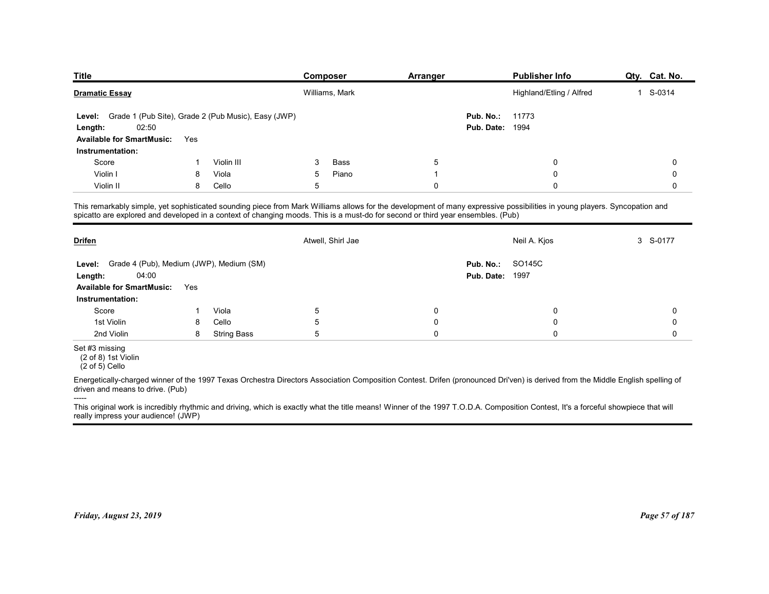| <b>Title</b>                                                                                                                                                                                                                                                                                                 |     |                                                     | Composer          | Arranger    |                        | <b>Publisher Info</b>    | Qty. Cat. No.          |
|--------------------------------------------------------------------------------------------------------------------------------------------------------------------------------------------------------------------------------------------------------------------------------------------------------------|-----|-----------------------------------------------------|-------------------|-------------|------------------------|--------------------------|------------------------|
| <b>Dramatic Essay</b>                                                                                                                                                                                                                                                                                        |     |                                                     | Williams, Mark    |             |                        | Highland/Etling / Alfred | S-0314<br>$\mathbf{1}$ |
|                                                                                                                                                                                                                                                                                                              |     |                                                     |                   |             |                        |                          |                        |
| Level:                                                                                                                                                                                                                                                                                                       |     | Grade 1 (Pub Site), Grade 2 (Pub Music), Easy (JWP) |                   |             | Pub. No.:              | 11773                    |                        |
| 02:50<br>Length:                                                                                                                                                                                                                                                                                             |     |                                                     |                   |             | Pub. Date:             | 1994                     |                        |
| <b>Available for SmartMusic:</b><br>Instrumentation:                                                                                                                                                                                                                                                         | Yes |                                                     |                   |             |                        |                          |                        |
| Score                                                                                                                                                                                                                                                                                                        |     | Violin III                                          | Bass<br>3         | 5           |                        | $\mathbf 0$              | 0                      |
| Violin I                                                                                                                                                                                                                                                                                                     | 8   | Viola                                               | 5<br>Piano        | -1          |                        | $\Omega$                 | 0                      |
| Violin II                                                                                                                                                                                                                                                                                                    | 8   | Cello                                               | 5                 | $\mathbf 0$ |                        | $\mathbf 0$              | 0                      |
| This remarkably simple, yet sophisticated sounding piece from Mark Williams allows for the development of many expressive possibilities in young players. Syncopation and<br>spicatto are explored and developed in a context of changing moods. This is a must-do for second or third year ensembles. (Pub) |     |                                                     |                   |             |                        |                          |                        |
| <b>Drifen</b>                                                                                                                                                                                                                                                                                                |     |                                                     | Atwell, Shirl Jae |             |                        | Neil A. Kjos             | 3 S-0177               |
| Level: Grade 4 (Pub), Medium (JWP), Medium (SM)                                                                                                                                                                                                                                                              |     |                                                     |                   |             | Pub. No.: SO145C       |                          |                        |
| 04:00<br>Length:                                                                                                                                                                                                                                                                                             |     |                                                     |                   |             | <b>Pub. Date: 1997</b> |                          |                        |
| Available for SmartMusic: Yes                                                                                                                                                                                                                                                                                |     |                                                     |                   |             |                        |                          |                        |
|                                                                                                                                                                                                                                                                                                              |     |                                                     |                   |             |                        |                          |                        |
| Instrumentation:                                                                                                                                                                                                                                                                                             |     | Viola                                               | $\,$ 5 $\,$       | 0           |                        | 0                        | $\boldsymbol{0}$       |
| Score                                                                                                                                                                                                                                                                                                        | -1  |                                                     |                   | 0           |                        | 0                        | $\boldsymbol{0}$       |
| 1st Violin                                                                                                                                                                                                                                                                                                   | 8   | Cello                                               | $\,$ 5 $\,$       |             |                        |                          |                        |
| 2nd Violin                                                                                                                                                                                                                                                                                                   | 8   | <b>String Bass</b>                                  | $\,$ 5 $\,$       | $\pmb{0}$   |                        | $\mathbf 0$              | $\mathbf 0$            |
| Set #3 missing<br>(2 of 8) 1st Violin<br>$(2 \text{ of } 5)$ Cello                                                                                                                                                                                                                                           |     |                                                     |                   |             |                        |                          |                        |
| Energetically-charged winner of the 1997 Texas Orchestra Directors Association Composition Contest. Drifen (pronounced Dri'ven) is derived from the Middle English spelling of<br>driven and means to drive. (Pub)                                                                                           |     |                                                     |                   |             |                        |                          |                        |

| <b>Drifen</b>                                                                                                                  |     |                    | Atwell, Shirl Jae |             | Neil A. Kjos                                                                                                                                                                       | 3 S-0177       |
|--------------------------------------------------------------------------------------------------------------------------------|-----|--------------------|-------------------|-------------|------------------------------------------------------------------------------------------------------------------------------------------------------------------------------------|----------------|
| Grade 4 (Pub), Medium (JWP), Medium (SM)<br>Level:<br>04:00<br>Length:<br><b>Available for SmartMusic:</b><br>Instrumentation: | Yes |                    |                   |             | SO145C<br>Pub. No.:<br><b>Pub. Date: 1997</b>                                                                                                                                      |                |
| Score                                                                                                                          |     | Viola              | 5                 | $\mathbf 0$ | 0                                                                                                                                                                                  | $\mathbf 0$    |
| 1st Violin                                                                                                                     | 8   | Cello              | 5                 | $\mathbf 0$ | 0                                                                                                                                                                                  | 0              |
| 2nd Violin                                                                                                                     | 8   | <b>String Bass</b> | 5                 | $\mathbf 0$ | $\mathbf 0$                                                                                                                                                                        | $\mathbf 0$    |
| Set #3 missing<br>(2 of 8) 1st Violin<br>$(2 \text{ of } 5)$ Cello                                                             |     |                    |                   |             |                                                                                                                                                                                    |                |
| driven and means to drive. (Pub)                                                                                               |     |                    |                   |             | Energetically-charged winner of the 1997 Texas Orchestra Directors Association Composition Contest. Drifen (pronounced Dri'ven) is derived from the Middle English spelling of     |                |
| -----<br>really impress your audience! (JWP)                                                                                   |     |                    |                   |             | This original work is incredibly rhythmic and driving, which is exactly what the title means! Winner of the 1997 T.O.D.A. Composition Contest, It's a forceful showpiece that will |                |
| Friday, August 23, 2019                                                                                                        |     |                    |                   |             |                                                                                                                                                                                    | Page 57 of 187 |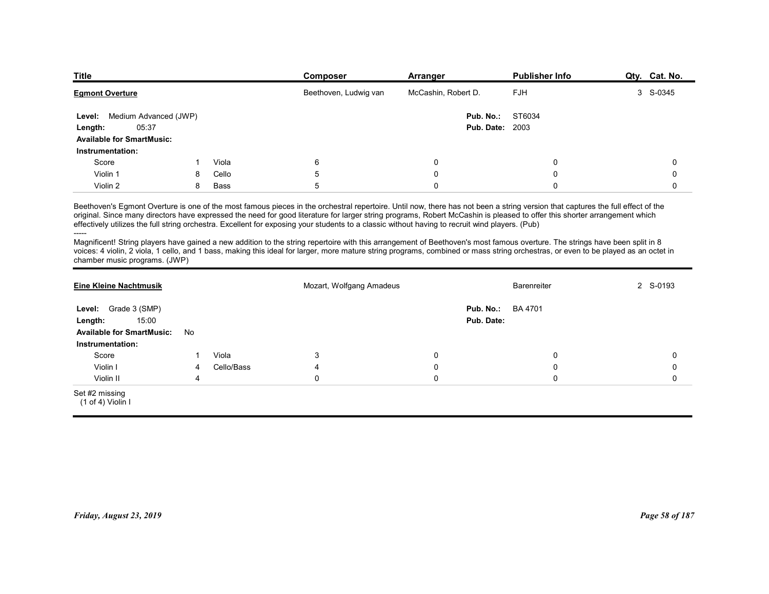| <b>Title</b>                                         |   |       | Composer                                                                                                                                                                                                                                                                                                                                                                                                                                                                                                       | Arranger                | <b>Publisher Info</b> | Qty. Cat. No. |
|------------------------------------------------------|---|-------|----------------------------------------------------------------------------------------------------------------------------------------------------------------------------------------------------------------------------------------------------------------------------------------------------------------------------------------------------------------------------------------------------------------------------------------------------------------------------------------------------------------|-------------------------|-----------------------|---------------|
| <b>Egmont Overture</b>                               |   |       | Beethoven, Ludwig van                                                                                                                                                                                                                                                                                                                                                                                                                                                                                          | McCashin, Robert D.     | <b>FJH</b>            | 3 S-0345      |
| Level: Medium Advanced (JWP)                         |   |       |                                                                                                                                                                                                                                                                                                                                                                                                                                                                                                                | Pub. No.:               | ST6034                |               |
| 05:37<br>Length:                                     |   |       |                                                                                                                                                                                                                                                                                                                                                                                                                                                                                                                | <b>Pub. Date: 2003</b>  |                       |               |
| <b>Available for SmartMusic:</b><br>Instrumentation: |   |       |                                                                                                                                                                                                                                                                                                                                                                                                                                                                                                                |                         |                       |               |
| Score                                                |   | Viola | 6                                                                                                                                                                                                                                                                                                                                                                                                                                                                                                              | 0                       | 0                     | 0             |
| Violin 1                                             | 8 | Cello | 5                                                                                                                                                                                                                                                                                                                                                                                                                                                                                                              | $\Omega$                | $\Omega$              | $\Omega$      |
| Violin 2                                             | 8 | Bass  | 5                                                                                                                                                                                                                                                                                                                                                                                                                                                                                                              | $\Omega$                | $\Omega$              | $\mathbf 0$   |
|                                                      |   |       | Beethoven's Egmont Overture is one of the most famous pieces in the orchestral repertoire. Until now, there has not been a string version that captures the full effect of the<br>original. Since many directors have expressed the need for good literature for larger string programs, Robert McCashin is pleased to offer this shorter arrangement which<br>effectively utilizes the full string orchestra. Excellent for exposing your students to a classic without having to recruit wind players. (Pub) |                         |                       |               |
|                                                      |   |       | Magnificent! String players have gained a new addition to the string repertoire with this arrangement of Beethoven's most famous overture. The strings have been split in 8<br>voices: 4 violin, 2 viola, 1 cello, and 1 bass, making this ideal for larger, more mature string programs, combined or mass string orchestras, or even to be played as an octet in                                                                                                                                              |                         |                       |               |
| chamber music programs. (JWP)                        |   |       | Mozart, Wolfgang Amadeus                                                                                                                                                                                                                                                                                                                                                                                                                                                                                       |                         | Barenreiter           | 2 S-0193      |
| <b>Eine Kleine Nachtmusik</b>                        |   |       |                                                                                                                                                                                                                                                                                                                                                                                                                                                                                                                |                         | <b>BA 4701</b>        |               |
|                                                      |   |       |                                                                                                                                                                                                                                                                                                                                                                                                                                                                                                                |                         |                       |               |
| Level: Grade 3 (SMP)<br>15:00<br>Length:             |   |       |                                                                                                                                                                                                                                                                                                                                                                                                                                                                                                                | Pub. No.:<br>Pub. Date: |                       |               |
| Available for SmartMusic: No<br>Instrumentation:     |   |       |                                                                                                                                                                                                                                                                                                                                                                                                                                                                                                                |                         |                       |               |

| Level: Medium Advanced (JWP)<br>05:37<br>Length:<br><b>Available for SmartMusic:</b> |                         |            |                                                                                                                                                                                                                                                                                                                                                                                                                                                                                                                |             | ST6034<br>Pub. No.:<br><b>Pub. Date: 2003</b> |                |
|--------------------------------------------------------------------------------------|-------------------------|------------|----------------------------------------------------------------------------------------------------------------------------------------------------------------------------------------------------------------------------------------------------------------------------------------------------------------------------------------------------------------------------------------------------------------------------------------------------------------------------------------------------------------|-------------|-----------------------------------------------|----------------|
| Instrumentation:                                                                     |                         |            |                                                                                                                                                                                                                                                                                                                                                                                                                                                                                                                |             |                                               |                |
| Score                                                                                | $\mathbf{1}$            | Viola      | 6                                                                                                                                                                                                                                                                                                                                                                                                                                                                                                              | $\mathbf 0$ | $\mathbf 0$                                   | $\mathbf 0$    |
| Violin 1                                                                             | 8                       | Cello      | $\,$ 5 $\,$                                                                                                                                                                                                                                                                                                                                                                                                                                                                                                    | $\pmb{0}$   | $\mathbf 0$                                   | $\Omega$       |
| Violin 2                                                                             | 8                       | Bass       | $\,$ 5 $\,$                                                                                                                                                                                                                                                                                                                                                                                                                                                                                                    | $\mathbf 0$ | $\mathbf 0$                                   | $\mathbf 0$    |
| -----                                                                                |                         |            | Beethoven's Egmont Overture is one of the most famous pieces in the orchestral repertoire. Until now, there has not been a string version that captures the full effect of the<br>original. Since many directors have expressed the need for good literature for larger string programs, Robert McCashin is pleased to offer this shorter arrangement which<br>effectively utilizes the full string orchestra. Excellent for exposing your students to a classic without having to recruit wind players. (Pub) |             |                                               |                |
| chamber music programs. (JWP)                                                        |                         |            | Magnificent! String players have gained a new addition to the string repertoire with this arrangement of Beethoven's most famous overture. The strings have been split in 8<br>voices: 4 violin, 2 viola, 1 cello, and 1 bass, making this ideal for larger, more mature string programs, combined or mass string orchestras, or even to be played as an octet in                                                                                                                                              |             |                                               |                |
| <b>Eine Kleine Nachtmusik</b>                                                        |                         |            | Mozart, Wolfgang Amadeus                                                                                                                                                                                                                                                                                                                                                                                                                                                                                       |             | Barenreiter                                   | 2 S-0193       |
| Level: Grade 3 (SMP)                                                                 |                         |            |                                                                                                                                                                                                                                                                                                                                                                                                                                                                                                                |             | Pub. No.:<br><b>BA 4701</b>                   |                |
| 15:00<br>Length:                                                                     |                         |            |                                                                                                                                                                                                                                                                                                                                                                                                                                                                                                                |             | Pub. Date:                                    |                |
| <b>Available for SmartMusic:</b>                                                     | No                      |            |                                                                                                                                                                                                                                                                                                                                                                                                                                                                                                                |             |                                               |                |
| Instrumentation:                                                                     |                         |            |                                                                                                                                                                                                                                                                                                                                                                                                                                                                                                                |             |                                               |                |
| Score                                                                                | 1                       | Viola      | 3                                                                                                                                                                                                                                                                                                                                                                                                                                                                                                              | $\mathbf 0$ | 0                                             | 0              |
| Violin I                                                                             | $\overline{\mathbf{4}}$ | Cello/Bass | $\overline{4}$                                                                                                                                                                                                                                                                                                                                                                                                                                                                                                 | $\mathbf 0$ | $\mathbf 0$                                   | $\mathbf 0$    |
| Violin II                                                                            | 4                       |            | $\mathbf 0$                                                                                                                                                                                                                                                                                                                                                                                                                                                                                                    | $\mathbf 0$ | $\Omega$                                      | $\Omega$       |
| Set #2 missing<br>(1 of 4) Violin I                                                  |                         |            |                                                                                                                                                                                                                                                                                                                                                                                                                                                                                                                |             |                                               |                |
| Friday, August 23, 2019                                                              |                         |            |                                                                                                                                                                                                                                                                                                                                                                                                                                                                                                                |             |                                               | Page 58 of 187 |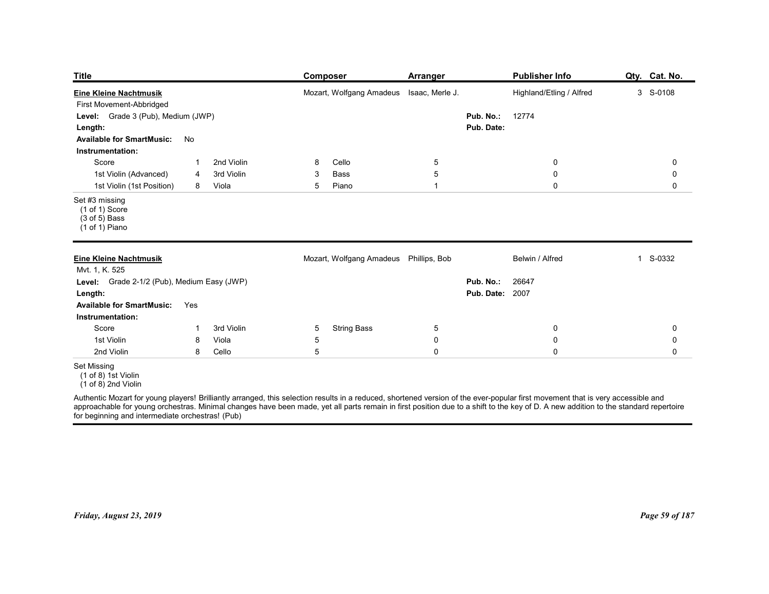| <b>Title</b>                                                                                                                         | <b>Composer</b>                          | <b>Arranger</b>     |                                           | <b>Publisher Info</b>                                                                                                                                                                                                             | Qty. Cat. No.         |
|--------------------------------------------------------------------------------------------------------------------------------------|------------------------------------------|---------------------|-------------------------------------------|-----------------------------------------------------------------------------------------------------------------------------------------------------------------------------------------------------------------------------------|-----------------------|
| <b>Eine Kleine Nachtmusik</b><br>First Movement-Abbridged<br>Grade 3 (Pub), Medium (JWP)<br>Level:<br>Length:                        | Mozart, Wolfgang Amadeus Isaac, Merle J. |                     | Pub. No.:<br>Pub. Date:                   | Highland/Etling / Alfred<br>12774                                                                                                                                                                                                 | 3 S-0108              |
| <b>Available for SmartMusic:</b><br>No                                                                                               |                                          |                     |                                           |                                                                                                                                                                                                                                   |                       |
| Instrumentation:<br>2nd Violin<br>Score<br>-1<br>1st Violin (Advanced)<br>3rd Violin<br>4<br>1st Violin (1st Position)<br>Viola<br>8 | Cello<br>8<br>Bass<br>3<br>Piano<br>5    | 5<br>5<br>-1        |                                           | $\mathbf 0$<br>0<br>$\mathbf 0$                                                                                                                                                                                                   | 0<br>0<br>$\mathbf 0$ |
| Set #3 missing<br>$(1 of 1)$ Score<br>$(3 of 5)$ Bass<br>(1 of 1) Piano                                                              |                                          |                     |                                           |                                                                                                                                                                                                                                   |                       |
| <b>Eine Kleine Nachtmusik</b><br>Mvt. 1, K. 525                                                                                      | Mozart, Wolfgang Amadeus Phillips, Bob   |                     |                                           | Belwin / Alfred                                                                                                                                                                                                                   | 1 S-0332              |
| Level: Grade 2-1/2 (Pub), Medium Easy (JWP)<br>Length:<br>Available for SmartMusic: Yes                                              |                                          |                     | Pub. No.: 26647<br><b>Pub. Date: 2007</b> |                                                                                                                                                                                                                                   |                       |
| Instrumentation:<br>Score<br>3rd Violin<br>$\mathbf{1}$                                                                              | <b>String Bass</b><br>5                  | $\overline{5}$      |                                           | $\overline{0}$                                                                                                                                                                                                                    | $\mathbf 0$           |
| 1st Violin<br>Viola<br>8<br>2nd Violin                                                                                               | 5                                        | $\mathsf 0$         |                                           | $\pmb{0}$                                                                                                                                                                                                                         | $\mathsf 0$           |
| Cello<br>8<br><b>Set Missing</b><br>$(1 of 8)$ 1st Violin                                                                            | $5\phantom{.0}$                          | $\mathsf{O}\xspace$ |                                           | $\pmb{0}$                                                                                                                                                                                                                         | $\mathbf 0$           |
| $(1 \text{ of } 8)$ 2nd Violin                                                                                                       |                                          |                     |                                           | Authentic Mozart for young players! Brilliantly arranged, this selection results in a reduced, shortened version of the ever-popular first movement that is very accessible and<br>approachable for young orchestras. Minimal cha |                       |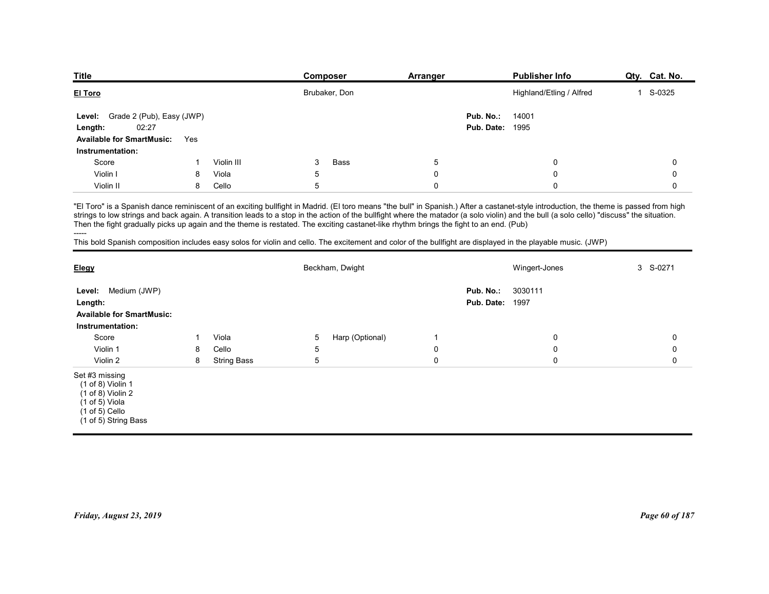| <b>Title</b>                        |     |            | Composer                                                                                                                                                                                                                                                                                                                                                                                                                                                                                                                                                                                                                                                                                      | Arranger    |                         | <b>Publisher Info</b>    | Qty. Cat. No. |
|-------------------------------------|-----|------------|-----------------------------------------------------------------------------------------------------------------------------------------------------------------------------------------------------------------------------------------------------------------------------------------------------------------------------------------------------------------------------------------------------------------------------------------------------------------------------------------------------------------------------------------------------------------------------------------------------------------------------------------------------------------------------------------------|-------------|-------------------------|--------------------------|---------------|
| El Toro                             |     |            | Brubaker, Don                                                                                                                                                                                                                                                                                                                                                                                                                                                                                                                                                                                                                                                                                 |             |                         | Highland/Etling / Alfred | 1 S-0325      |
| Grade 2 (Pub), Easy (JWP)<br>Level: |     |            |                                                                                                                                                                                                                                                                                                                                                                                                                                                                                                                                                                                                                                                                                               |             | Pub. No.:               | 14001                    |               |
| 02:27<br>Length:                    |     |            |                                                                                                                                                                                                                                                                                                                                                                                                                                                                                                                                                                                                                                                                                               |             | Pub. Date:              | 1995                     |               |
| <b>Available for SmartMusic:</b>    | Yes |            |                                                                                                                                                                                                                                                                                                                                                                                                                                                                                                                                                                                                                                                                                               |             |                         |                          |               |
| Instrumentation:<br>Score           |     | Violin III | 3<br><b>Bass</b>                                                                                                                                                                                                                                                                                                                                                                                                                                                                                                                                                                                                                                                                              | 5           |                         | $\mathbf 0$              | $\mathbf 0$   |
| Violin I                            | 8   | Viola      | 5                                                                                                                                                                                                                                                                                                                                                                                                                                                                                                                                                                                                                                                                                             | $\mathbf 0$ |                         | $\mathbf 0$              | 0             |
| Violin II                           | 8   | Cello      | 5                                                                                                                                                                                                                                                                                                                                                                                                                                                                                                                                                                                                                                                                                             | $\mathbf 0$ |                         | $\mathbf 0$              | $\mathbf 0$   |
|                                     |     |            | "El Toro" is a Spanish dance reminiscent of an exciting bullfight in Madrid. (El toro means "the bull" in Spanish.) After a castanet-style introduction, the theme is passed from high<br>strings to low strings and back again. A transition leads to a stop in the action of the bullfight where the matador (a solo violin) and the bull (a solo cello) "discuss" the situation.<br>Then the fight gradually picks up again and the theme is restated. The exciting castanet-like rhythm brings the fight to an end. (Pub)<br>This bold Spanish composition includes easy solos for violin and cello. The excitement and color of the bullfight are displayed in the playable music. (JWP) |             |                         |                          |               |
| -----                               |     |            |                                                                                                                                                                                                                                                                                                                                                                                                                                                                                                                                                                                                                                                                                               |             |                         | Wingert-Jones            | 3 S-0271      |
| <u>Elegy</u>                        |     |            | Beckham, Dwight                                                                                                                                                                                                                                                                                                                                                                                                                                                                                                                                                                                                                                                                               |             |                         |                          |               |
|                                     |     |            |                                                                                                                                                                                                                                                                                                                                                                                                                                                                                                                                                                                                                                                                                               |             |                         |                          |               |
| Level: Medium (JWP)<br>Length:      |     |            |                                                                                                                                                                                                                                                                                                                                                                                                                                                                                                                                                                                                                                                                                               |             | Pub. No.:<br>Pub. Date: | 3030111<br>1997          |               |

| El Toro                                                                                                                                                                                                                                                                                                                                                                                                                                                                                                                                                                                                                                                                                                |              |                    |                | Brubaker, Don   |                |                                     | Highland/Etling / Alfred | 1 S-0325       |
|--------------------------------------------------------------------------------------------------------------------------------------------------------------------------------------------------------------------------------------------------------------------------------------------------------------------------------------------------------------------------------------------------------------------------------------------------------------------------------------------------------------------------------------------------------------------------------------------------------------------------------------------------------------------------------------------------------|--------------|--------------------|----------------|-----------------|----------------|-------------------------------------|--------------------------|----------------|
| Grade 2 (Pub), Easy (JWP)<br>Level:<br>Length:<br>02:27<br><b>Available for SmartMusic:</b><br>Instrumentation:                                                                                                                                                                                                                                                                                                                                                                                                                                                                                                                                                                                        | Yes          |                    |                |                 |                | Pub. No.:<br><b>Pub. Date: 1995</b> | 14001                    |                |
| Score                                                                                                                                                                                                                                                                                                                                                                                                                                                                                                                                                                                                                                                                                                  | $\mathbf{1}$ | Violin III         | 3              | <b>Bass</b>     | 5              |                                     | $\mathbf 0$              | 0              |
| Violin I                                                                                                                                                                                                                                                                                                                                                                                                                                                                                                                                                                                                                                                                                               | 8            | Viola              | $\overline{5}$ |                 | $\mathbf 0$    |                                     | $\mathbf 0$              | 0              |
| Violin II                                                                                                                                                                                                                                                                                                                                                                                                                                                                                                                                                                                                                                                                                              | 8            | Cello              | 5              |                 | $\mathbf 0$    |                                     | $\mathbf 0$              | 0              |
| "El Toro" is a Spanish dance reminiscent of an exciting bullfight in Madrid. (El toro means "the bull" in Spanish.) After a castanet-style introduction, the theme is passed from high<br>strings to low strings and back again. A transition leads to a stop in the action of the bullfight where the matador (a solo violin) and the bull (a solo cello) "discuss" the situation.<br>Then the fight gradually picks up again and the theme is restated. The exciting castanet-like rhythm brings the fight to an end. (Pub)<br>-----<br>This bold Spanish composition includes easy solos for violin and cello. The excitement and color of the bullfight are displayed in the playable music. (JWP) |              |                    |                |                 |                |                                     |                          |                |
| Elegy                                                                                                                                                                                                                                                                                                                                                                                                                                                                                                                                                                                                                                                                                                  |              |                    |                | Beckham, Dwight |                |                                     | Wingert-Jones            | 3 S-0271       |
| Level: Medium (JWP)<br>Length:<br><b>Available for SmartMusic:</b><br>Instrumentation:                                                                                                                                                                                                                                                                                                                                                                                                                                                                                                                                                                                                                 |              |                    |                |                 |                | Pub. No.:<br><b>Pub. Date: 1997</b> | 3030111                  |                |
| Score                                                                                                                                                                                                                                                                                                                                                                                                                                                                                                                                                                                                                                                                                                  | -1           | Viola              | 5              | Harp (Optional) | $\overline{1}$ |                                     | $\mathbf 0$              | 0              |
| Violin 1                                                                                                                                                                                                                                                                                                                                                                                                                                                                                                                                                                                                                                                                                               | 8            | Cello              | $\overline{5}$ |                 | $\mathbf 0$    |                                     | $\mathbf 0$              | $\mathbf 0$    |
| Violin 2                                                                                                                                                                                                                                                                                                                                                                                                                                                                                                                                                                                                                                                                                               | 8            | <b>String Bass</b> | $\sqrt{5}$     |                 | $\pmb{0}$      |                                     | $\mathbf 0$              | $\mathbf 0$    |
| Set #3 missing<br>$(1 of 8)$ Violin 1<br>$(1 of 8)$ Violin 2<br>$(1 of 5)$ Viola<br>$(1 \text{ of } 5)$ Cello<br>(1 of 5) String Bass                                                                                                                                                                                                                                                                                                                                                                                                                                                                                                                                                                  |              |                    |                |                 |                |                                     |                          |                |
| Friday, August 23, 2019                                                                                                                                                                                                                                                                                                                                                                                                                                                                                                                                                                                                                                                                                |              |                    |                |                 |                |                                     |                          | Page 60 of 187 |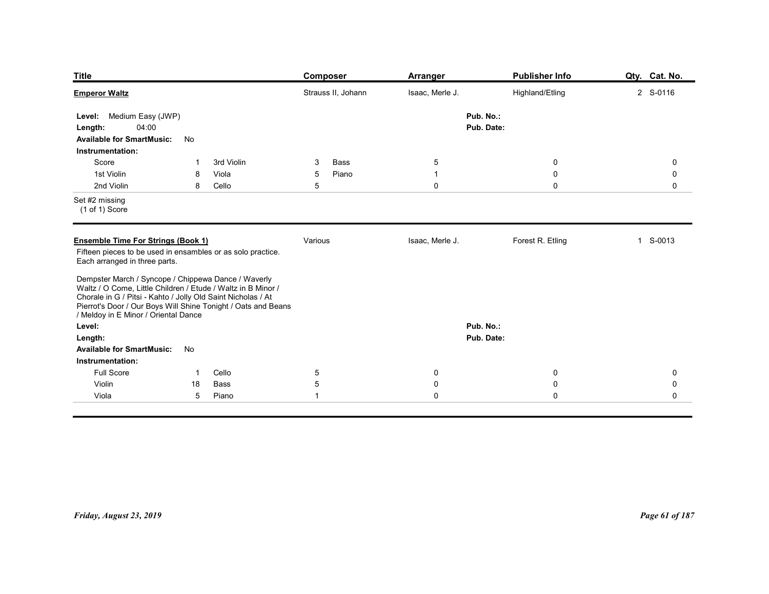| <b>Title</b>                                                                                                                                                                                                                                                                                 |                 |                              | <b>Composer</b>              | <b>Arranger</b>                         | <b>Publisher Info</b>                             | Qty. Cat. No.                             |
|----------------------------------------------------------------------------------------------------------------------------------------------------------------------------------------------------------------------------------------------------------------------------------------------|-----------------|------------------------------|------------------------------|-----------------------------------------|---------------------------------------------------|-------------------------------------------|
| <b>Emperor Waltz</b>                                                                                                                                                                                                                                                                         |                 |                              | Strauss II, Johann           | Isaac, Merle J.                         | Highland/Etling                                   | 2 S-0116                                  |
| Level: Medium Easy (JWP)<br>04:00<br>Length:<br><b>Available for SmartMusic:</b>                                                                                                                                                                                                             | No              |                              |                              | Pub. No.:<br>Pub. Date:                 |                                                   |                                           |
| Instrumentation:<br>Score<br>1st Violin<br>2nd Violin                                                                                                                                                                                                                                        | -1<br>8<br>8    | 3rd Violin<br>Viola<br>Cello | Bass<br>3<br>5<br>Piano<br>5 | $\sqrt{5}$<br>$\mathbf{1}$<br>$\pmb{0}$ | $\overline{0}$<br>$\boldsymbol{0}$<br>$\mathbf 0$ | $\mathbf 0$<br>$\mathbf 0$<br>$\mathbf 0$ |
| Set #2 missing<br>$(1 of 1)$ Score                                                                                                                                                                                                                                                           |                 |                              |                              |                                         |                                                   |                                           |
| <b>Ensemble Time For Strings (Book 1)</b><br>Fifteen pieces to be used in ensambles or as solo practice.<br>Each arranged in three parts.                                                                                                                                                    |                 |                              | Various                      | Isaac, Merle J.                         | Forest R. Etling                                  | S-0013<br>$\mathbf{1}$                    |
| Dempster March / Syncope / Chippewa Dance / Waverly<br>Waltz / O Come, Little Children / Etude / Waltz in B Minor /<br>Chorale in G / Pitsi - Kahto / Jolly Old Saint Nicholas / At<br>Pierrot's Door / Our Boys Will Shine Tonight / Oats and Beans<br>/ Meldoy in E Minor / Oriental Dance |                 |                              |                              |                                         |                                                   |                                           |
| Level:<br>Length:<br><b>Available for SmartMusic:</b>                                                                                                                                                                                                                                        | No              |                              |                              | Pub. No.:<br>Pub. Date:                 |                                                   |                                           |
| Instrumentation:<br>Full Score                                                                                                                                                                                                                                                               | $\overline{1}$  | Cello                        | $\overline{5}$               | $\mathbf 0$                             | $\overline{0}$                                    | 0                                         |
| Violin                                                                                                                                                                                                                                                                                       | 18              | Bass                         | 5                            | $\pmb{0}$                               | $\mathbf 0$                                       | 0                                         |
| Viola                                                                                                                                                                                                                                                                                        | $5\phantom{.0}$ | Piano                        | $\mathbf{1}$                 | $\pmb{0}$                               | $\mathbf 0$                                       | $\mathbf 0$                               |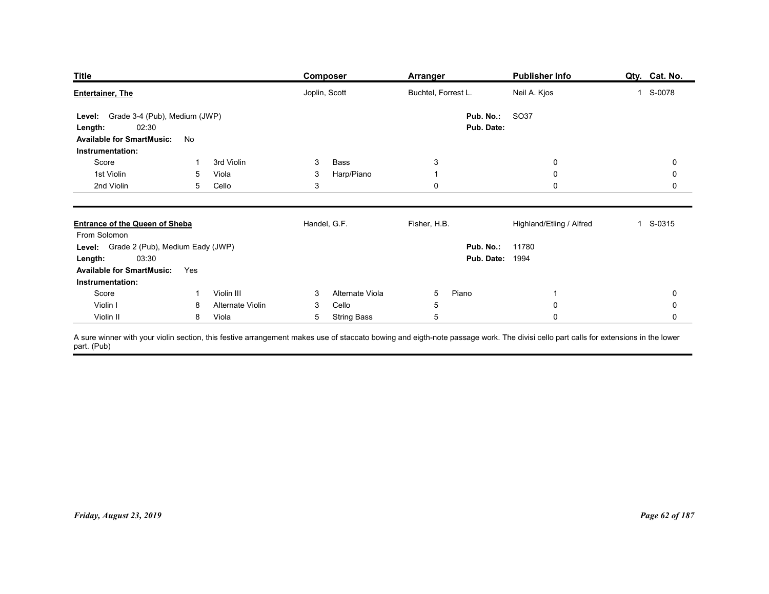| <b>Title</b><br><b>Publisher Info</b><br><b>Composer</b><br><b>Arranger</b><br>Joplin, Scott<br>Buchtel, Forrest L.<br>Neil A. Kjos<br>1 S-0078<br>Level: Grade 3-4 (Pub), Medium (JWP)<br>Pub. No.:<br>SO37<br>02:30<br>Pub. Date:<br>Length:<br><b>Available for SmartMusic:</b><br>No<br>Instrumentation:<br>Score<br>3rd Violin<br>Bass<br>3<br>$\mathbf 0$<br>3<br>$\mathbf 0$<br>-1<br>Harp/Piano<br>1st Violin<br>Viola<br>3<br>$\mathbf 0$<br>$\mathbf 0$<br>5<br>$\overline{1}$<br>2nd Violin<br>$\ensuremath{\mathsf{3}}$<br>Cello<br>0<br>$\mathbf 0$<br>$\mathbf 0$<br>5 <sup>5</sup><br>Handel, G.F.<br>Fisher, H.B.<br>Highland/Etling / Alfred<br>1 S-0315<br>From Solomon<br>Level: Grade 2 (Pub), Medium Eady (JWP)<br>Pub. No.: 11780<br><b>Pub. Date: 1994</b><br><b>Length:</b> 03:30<br><b>Available for SmartMusic:</b><br>Yes<br>Instrumentation:<br>Score<br>Violin III<br>Alternate Viola<br>Piano<br>5 <sub>5</sub><br>$\mathbf 0$<br>$\overline{1}$<br>$\mathbf{3}$<br>$\mathbf{1}$<br>Cello<br>Violin I<br>Alternate Violin<br>$\pmb{0}$<br>$\mathbf{3}$<br>$\overline{5}$<br>$\mathbf 0$<br>8<br>$\sqrt{5}$<br>Violin II<br>Viola<br>5 String Bass<br>$\mathbf 0$<br>8<br>$\mathsf{O}\xspace$ |  |  |               |
|----------------------------------------------------------------------------------------------------------------------------------------------------------------------------------------------------------------------------------------------------------------------------------------------------------------------------------------------------------------------------------------------------------------------------------------------------------------------------------------------------------------------------------------------------------------------------------------------------------------------------------------------------------------------------------------------------------------------------------------------------------------------------------------------------------------------------------------------------------------------------------------------------------------------------------------------------------------------------------------------------------------------------------------------------------------------------------------------------------------------------------------------------------------------------------------------------------------------------|--|--|---------------|
| <b>Entertainer, The</b><br><b>Entrance of the Queen of Sheba</b><br>A sure winner with your violin section, this festive arrangement makes use of staccato bowing and eigth-note passage work. The divisi cello part calls for extensions in the lower<br>part. (Pub)                                                                                                                                                                                                                                                                                                                                                                                                                                                                                                                                                                                                                                                                                                                                                                                                                                                                                                                                                      |  |  | Qty. Cat. No. |
|                                                                                                                                                                                                                                                                                                                                                                                                                                                                                                                                                                                                                                                                                                                                                                                                                                                                                                                                                                                                                                                                                                                                                                                                                            |  |  |               |
|                                                                                                                                                                                                                                                                                                                                                                                                                                                                                                                                                                                                                                                                                                                                                                                                                                                                                                                                                                                                                                                                                                                                                                                                                            |  |  |               |
|                                                                                                                                                                                                                                                                                                                                                                                                                                                                                                                                                                                                                                                                                                                                                                                                                                                                                                                                                                                                                                                                                                                                                                                                                            |  |  |               |
|                                                                                                                                                                                                                                                                                                                                                                                                                                                                                                                                                                                                                                                                                                                                                                                                                                                                                                                                                                                                                                                                                                                                                                                                                            |  |  |               |
|                                                                                                                                                                                                                                                                                                                                                                                                                                                                                                                                                                                                                                                                                                                                                                                                                                                                                                                                                                                                                                                                                                                                                                                                                            |  |  |               |
|                                                                                                                                                                                                                                                                                                                                                                                                                                                                                                                                                                                                                                                                                                                                                                                                                                                                                                                                                                                                                                                                                                                                                                                                                            |  |  |               |
|                                                                                                                                                                                                                                                                                                                                                                                                                                                                                                                                                                                                                                                                                                                                                                                                                                                                                                                                                                                                                                                                                                                                                                                                                            |  |  |               |
|                                                                                                                                                                                                                                                                                                                                                                                                                                                                                                                                                                                                                                                                                                                                                                                                                                                                                                                                                                                                                                                                                                                                                                                                                            |  |  |               |
|                                                                                                                                                                                                                                                                                                                                                                                                                                                                                                                                                                                                                                                                                                                                                                                                                                                                                                                                                                                                                                                                                                                                                                                                                            |  |  |               |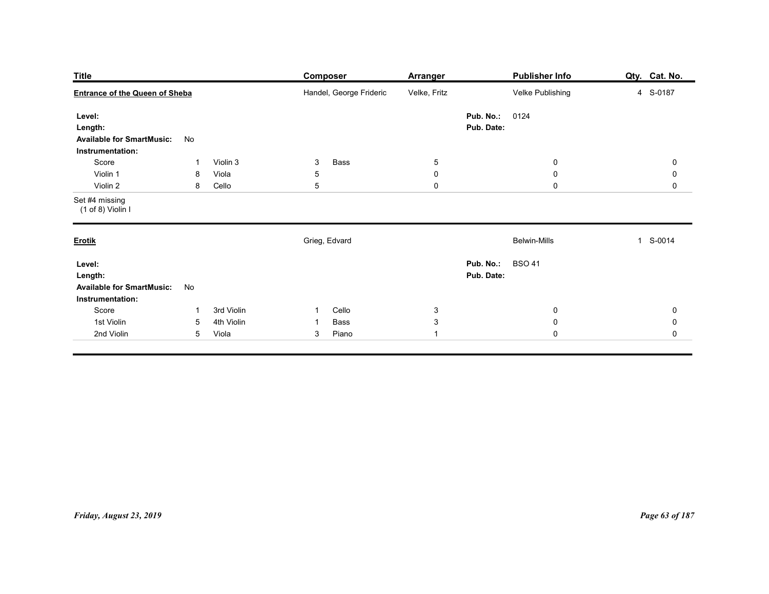| <b>Title</b>                                                              |                                                                      | <b>Composer</b>                                          | Arranger                                      | <b>Publisher Info</b>                          | Qty. Cat. No.                                             |
|---------------------------------------------------------------------------|----------------------------------------------------------------------|----------------------------------------------------------|-----------------------------------------------|------------------------------------------------|-----------------------------------------------------------|
| <b>Entrance of the Queen of Sheba</b>                                     |                                                                      | Handel, George Frideric                                  | Velke, Fritz                                  | Velke Publishing                               | 4 S-0187                                                  |
| Level:<br>Length:<br><b>Available for SmartMusic:</b><br>Instrumentation: | No                                                                   |                                                          |                                               | Pub. No.:<br>0124<br>Pub. Date:                |                                                           |
| Score<br>Violin 1<br>Violin 2                                             | Violin 3<br>-1<br>Viola<br>8<br>Cello<br>8                           | Bass<br>$\mathbf{3}$<br>$\,$ 5 $\,$<br>5                 | $5\phantom{.0}$<br>$\mathbf 0$<br>$\mathsf 0$ | $\boldsymbol{0}$<br>$\mathbf 0$<br>$\mathbf 0$ | $\mathbf 0$<br>$\mathsf{O}\xspace$<br>$\mathbf 0$         |
| Set #4 missing<br>(1 of 8) Violin I                                       |                                                                      |                                                          |                                               |                                                |                                                           |
| <b>Erotik</b>                                                             |                                                                      | Grieg, Edvard                                            |                                               | <b>Belwin-Mills</b>                            | 1 S-0014                                                  |
| Level:<br>Length:<br><b>Available for SmartMusic:</b><br>Instrumentation: | No                                                                   |                                                          |                                               | <b>Pub. No.: BSO 41</b><br>Pub. Date:          |                                                           |
| Score<br>1st Violin<br>2nd Violin                                         | 3rd Violin<br>$\overline{1}$<br>4th Violin<br>$\,$ 5 $\,$<br>5 Viola | Cello<br>$\mathbf{1}$<br>Bass<br>$\mathbf{1}$<br>3 Piano | $\mathbf{3}$<br>$\mathsf 3$<br>$\mathbf{1}$   | $\overline{0}$<br>${\bf 0}$<br>$\mathbf 0$     | $\mathbf 0$<br>$\mathsf{O}\xspace$<br>$\mathsf{O}\xspace$ |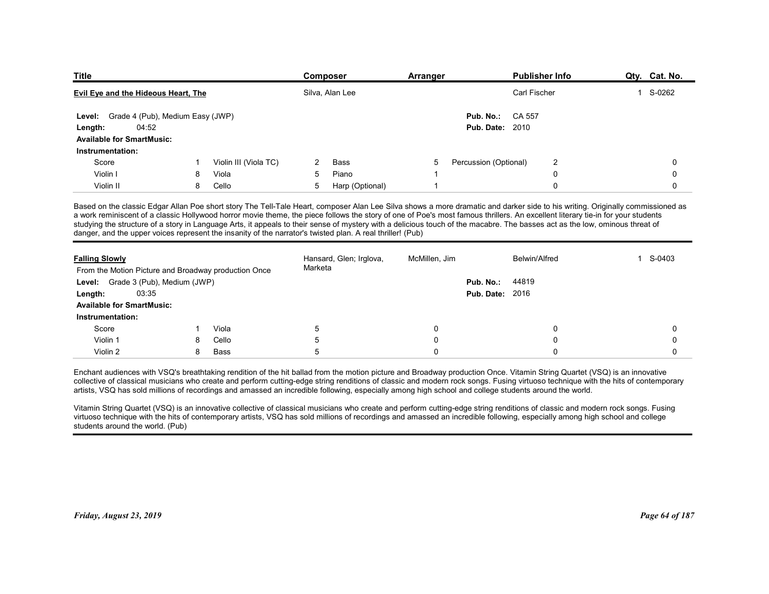| <b>Title</b>                                                                  |    |                       | <b>Composer</b>                                                                                            | Arranger      | Publisher Info                                                                                                                                                                                                                                                                                                                                                                                                                                                                                                                                    | Qty. Cat. No.          |
|-------------------------------------------------------------------------------|----|-----------------------|------------------------------------------------------------------------------------------------------------|---------------|---------------------------------------------------------------------------------------------------------------------------------------------------------------------------------------------------------------------------------------------------------------------------------------------------------------------------------------------------------------------------------------------------------------------------------------------------------------------------------------------------------------------------------------------------|------------------------|
| <b>Evil Eye and the Hideous Heart, The</b>                                    |    |                       | Silva, Alan Lee                                                                                            |               | Carl Fischer                                                                                                                                                                                                                                                                                                                                                                                                                                                                                                                                      | S-0262<br>$\mathbf{1}$ |
| Level: Grade 4 (Pub), Medium Easy (JWP)                                       |    |                       |                                                                                                            | Pub. No.:     | CA 557                                                                                                                                                                                                                                                                                                                                                                                                                                                                                                                                            |                        |
| 04:52<br>Length:                                                              |    |                       |                                                                                                            |               | <b>Pub. Date: 2010</b>                                                                                                                                                                                                                                                                                                                                                                                                                                                                                                                            |                        |
| <b>Available for SmartMusic:</b>                                              |    |                       |                                                                                                            |               |                                                                                                                                                                                                                                                                                                                                                                                                                                                                                                                                                   |                        |
| Instrumentation:                                                              |    |                       |                                                                                                            |               |                                                                                                                                                                                                                                                                                                                                                                                                                                                                                                                                                   |                        |
| Score                                                                         |    | Violin III (Viola TC) | 2<br>Bass                                                                                                  | 5             | Percussion (Optional)<br>$\overline{2}$                                                                                                                                                                                                                                                                                                                                                                                                                                                                                                           | 0                      |
| Violin I                                                                      | 8  | Viola                 | Piano<br>5                                                                                                 |               | $\Omega$                                                                                                                                                                                                                                                                                                                                                                                                                                                                                                                                          | 0                      |
| Violin II                                                                     | 8  | Cello                 | 5<br>Harp (Optional)                                                                                       | -1            | $\mathbf 0$                                                                                                                                                                                                                                                                                                                                                                                                                                                                                                                                       | 0                      |
|                                                                               |    |                       | danger, and the upper voices represent the insanity of the narrator's twisted plan. A real thriller! (Pub) |               | Based on the classic Edgar Allan Poe short story The Tell-Tale Heart, composer Alan Lee Silva shows a more dramatic and darker side to his writing. Originally commissioned as<br>a work reminiscent of a classic Hollywood horror movie theme, the piece follows the story of one of Poe's most famous thrillers. An excellent literary tie-in for your students<br>studying the structure of a story in Language Arts, it appeals to their sense of mystery with a delicious touch of the macabre. The basses act as the low, ominous threat of |                        |
|                                                                               |    |                       | Hansard, Glen; Irglova,                                                                                    | McMillen, Jim | Belwin/Alfred                                                                                                                                                                                                                                                                                                                                                                                                                                                                                                                                     | 1 S-0403               |
|                                                                               |    |                       | Marketa                                                                                                    |               |                                                                                                                                                                                                                                                                                                                                                                                                                                                                                                                                                   |                        |
| <b>Falling Slowly</b><br>From the Motion Picture and Broadway production Once |    |                       |                                                                                                            |               | Pub. No.:<br>44819                                                                                                                                                                                                                                                                                                                                                                                                                                                                                                                                |                        |
| Level: Grade 3 (Pub), Medium (JWP)                                            |    |                       |                                                                                                            |               | <b>Pub. Date: 2016</b>                                                                                                                                                                                                                                                                                                                                                                                                                                                                                                                            |                        |
| 03:35<br>Length:                                                              |    |                       |                                                                                                            |               |                                                                                                                                                                                                                                                                                                                                                                                                                                                                                                                                                   |                        |
| <b>Available for SmartMusic:</b>                                              |    |                       |                                                                                                            |               |                                                                                                                                                                                                                                                                                                                                                                                                                                                                                                                                                   |                        |
| Instrumentation:                                                              |    |                       |                                                                                                            |               |                                                                                                                                                                                                                                                                                                                                                                                                                                                                                                                                                   |                        |
| Score                                                                         | -1 | Viola                 | 5                                                                                                          |               |                                                                                                                                                                                                                                                                                                                                                                                                                                                                                                                                                   | 0                      |
| Violin 1<br>Violin 2                                                          | 8  | Cello<br>Bass         |                                                                                                            |               |                                                                                                                                                                                                                                                                                                                                                                                                                                                                                                                                                   | 0                      |

| Level: Grade 4 (Pub), Medium Easy (JWP)<br>Pub. No.:<br>CA 557<br>04:52<br><b>Pub. Date: 2010</b><br>Length:<br><b>Available for SmartMusic:</b><br>Instrumentation:<br>Violin III (Viola TC)<br>Bass<br>Percussion (Optional)<br>$\overline{2}$<br>Score<br>-5<br>$\Omega$<br>2<br>1<br>Violin I<br>8<br>5<br>Piano<br>$\mathbf 0$<br>Viola<br>$\Omega$<br>Violin II<br>Cello<br>5<br>Harp (Optional)<br>8<br>$\overline{\mathbf{1}}$<br>0<br>$\Omega$<br>Based on the classic Edgar Allan Poe short story The Tell-Tale Heart, composer Alan Lee Silva shows a more dramatic and darker side to his writing. Originally commissioned as<br>a work reminiscent of a classic Hollywood horror movie theme, the piece follows the story of one of Poe's most famous thrillers. An excellent literary tie-in for your students<br>studying the structure of a story in Language Arts, it appeals to their sense of mystery with a delicious touch of the macabre. The basses act as the low, ominous threat of<br>danger, and the upper voices represent the insanity of the narrator's twisted plan. A real thriller! (Pub)<br>Hansard, Glen; Irglova,<br>McMillen, Jim<br>1 S-0403<br><b>Falling Slowly</b><br><b>Belwin/Alfred</b><br>Marketa<br>From the Motion Picture and Broadway production Once<br>Level: Grade 3 (Pub), Medium (JWP)<br>Pub. No.:<br>44819<br><b>Pub. Date: 2016</b><br>03:35<br>Length:<br><b>Available for SmartMusic:</b><br>Instrumentation:<br>Score<br>Viola<br>5<br>$\Omega$<br>$\Omega$<br>$\Omega$<br>1<br>5<br>Violin 1<br>Cello<br>$\Omega$<br>$\Omega$<br>$\Omega$<br>8<br>5<br>Violin 2<br>8<br><b>Bass</b><br>$\Omega$<br>$\Omega$<br>$\Omega$<br>Enchant audiences with VSQ's breathtaking rendition of the hit ballad from the motion picture and Broadway production Once. Vitamin String Quartet (VSQ) is an innovative |
|-------------------------------------------------------------------------------------------------------------------------------------------------------------------------------------------------------------------------------------------------------------------------------------------------------------------------------------------------------------------------------------------------------------------------------------------------------------------------------------------------------------------------------------------------------------------------------------------------------------------------------------------------------------------------------------------------------------------------------------------------------------------------------------------------------------------------------------------------------------------------------------------------------------------------------------------------------------------------------------------------------------------------------------------------------------------------------------------------------------------------------------------------------------------------------------------------------------------------------------------------------------------------------------------------------------------------------------------------------------------------------------------------------------------------------------------------------------------------------------------------------------------------------------------------------------------------------------------------------------------------------------------------------------------------------------------------------------------------------------------------------------------------------------------------------------------------------------------------------------------|
|                                                                                                                                                                                                                                                                                                                                                                                                                                                                                                                                                                                                                                                                                                                                                                                                                                                                                                                                                                                                                                                                                                                                                                                                                                                                                                                                                                                                                                                                                                                                                                                                                                                                                                                                                                                                                                                                   |
|                                                                                                                                                                                                                                                                                                                                                                                                                                                                                                                                                                                                                                                                                                                                                                                                                                                                                                                                                                                                                                                                                                                                                                                                                                                                                                                                                                                                                                                                                                                                                                                                                                                                                                                                                                                                                                                                   |
|                                                                                                                                                                                                                                                                                                                                                                                                                                                                                                                                                                                                                                                                                                                                                                                                                                                                                                                                                                                                                                                                                                                                                                                                                                                                                                                                                                                                                                                                                                                                                                                                                                                                                                                                                                                                                                                                   |
|                                                                                                                                                                                                                                                                                                                                                                                                                                                                                                                                                                                                                                                                                                                                                                                                                                                                                                                                                                                                                                                                                                                                                                                                                                                                                                                                                                                                                                                                                                                                                                                                                                                                                                                                                                                                                                                                   |
|                                                                                                                                                                                                                                                                                                                                                                                                                                                                                                                                                                                                                                                                                                                                                                                                                                                                                                                                                                                                                                                                                                                                                                                                                                                                                                                                                                                                                                                                                                                                                                                                                                                                                                                                                                                                                                                                   |
|                                                                                                                                                                                                                                                                                                                                                                                                                                                                                                                                                                                                                                                                                                                                                                                                                                                                                                                                                                                                                                                                                                                                                                                                                                                                                                                                                                                                                                                                                                                                                                                                                                                                                                                                                                                                                                                                   |
|                                                                                                                                                                                                                                                                                                                                                                                                                                                                                                                                                                                                                                                                                                                                                                                                                                                                                                                                                                                                                                                                                                                                                                                                                                                                                                                                                                                                                                                                                                                                                                                                                                                                                                                                                                                                                                                                   |
|                                                                                                                                                                                                                                                                                                                                                                                                                                                                                                                                                                                                                                                                                                                                                                                                                                                                                                                                                                                                                                                                                                                                                                                                                                                                                                                                                                                                                                                                                                                                                                                                                                                                                                                                                                                                                                                                   |
|                                                                                                                                                                                                                                                                                                                                                                                                                                                                                                                                                                                                                                                                                                                                                                                                                                                                                                                                                                                                                                                                                                                                                                                                                                                                                                                                                                                                                                                                                                                                                                                                                                                                                                                                                                                                                                                                   |
|                                                                                                                                                                                                                                                                                                                                                                                                                                                                                                                                                                                                                                                                                                                                                                                                                                                                                                                                                                                                                                                                                                                                                                                                                                                                                                                                                                                                                                                                                                                                                                                                                                                                                                                                                                                                                                                                   |
|                                                                                                                                                                                                                                                                                                                                                                                                                                                                                                                                                                                                                                                                                                                                                                                                                                                                                                                                                                                                                                                                                                                                                                                                                                                                                                                                                                                                                                                                                                                                                                                                                                                                                                                                                                                                                                                                   |
|                                                                                                                                                                                                                                                                                                                                                                                                                                                                                                                                                                                                                                                                                                                                                                                                                                                                                                                                                                                                                                                                                                                                                                                                                                                                                                                                                                                                                                                                                                                                                                                                                                                                                                                                                                                                                                                                   |
|                                                                                                                                                                                                                                                                                                                                                                                                                                                                                                                                                                                                                                                                                                                                                                                                                                                                                                                                                                                                                                                                                                                                                                                                                                                                                                                                                                                                                                                                                                                                                                                                                                                                                                                                                                                                                                                                   |
| collective of classical musicians who create and perform cutting-edge string renditions of classic and modern rock songs. Fusing virtuoso technique with the hits of contemporary<br>artists, VSQ has sold millions of recordings and amassed an incredible following, especially among high school and college students around the world.<br>Vitamin String Quartet (VSQ) is an innovative collective of classical musicians who create and perform cutting-edge string renditions of classic and modern rock songs. Fusing<br>virtuoso technique with the hits of contemporary artists, VSQ has sold millions of recordings and amassed an incredible following, especially among high school and college<br>students around the world. (Pub)                                                                                                                                                                                                                                                                                                                                                                                                                                                                                                                                                                                                                                                                                                                                                                                                                                                                                                                                                                                                                                                                                                                   |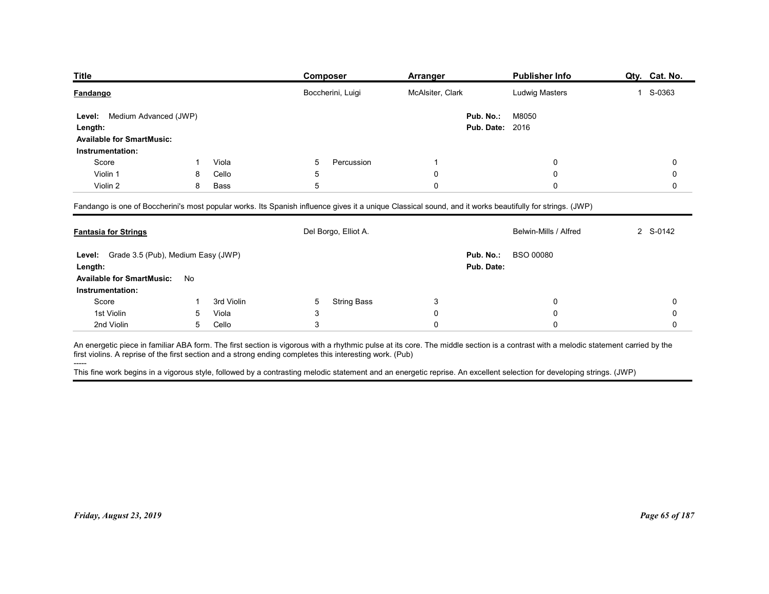| <b>Title</b>                              |                 |                | Composer                                                                                                                                                                                                                                                                                       | <b>Arranger</b>        | <b>Publisher Info</b> | Qty. Cat. No. |
|-------------------------------------------|-----------------|----------------|------------------------------------------------------------------------------------------------------------------------------------------------------------------------------------------------------------------------------------------------------------------------------------------------|------------------------|-----------------------|---------------|
| <b>Fandango</b>                           |                 |                | Boccherini, Luigi                                                                                                                                                                                                                                                                              | McAlsiter, Clark       | Ludwig Masters        | 1 S-0363      |
| Medium Advanced (JWP)<br>Level:           |                 |                |                                                                                                                                                                                                                                                                                                | Pub. No.:              | M8050                 |               |
| Length:                                   |                 |                |                                                                                                                                                                                                                                                                                                | <b>Pub. Date: 2016</b> |                       |               |
| <b>Available for SmartMusic:</b>          |                 |                |                                                                                                                                                                                                                                                                                                |                        |                       |               |
| Instrumentation:                          |                 |                |                                                                                                                                                                                                                                                                                                |                        |                       |               |
| Score<br>Violin 1                         | 8               | Viola<br>Cello | 5<br>Percussion<br>5                                                                                                                                                                                                                                                                           | -1<br>0                | 0<br>0                | 0<br>0        |
| Violin 2                                  | 8               | Bass           | 5                                                                                                                                                                                                                                                                                              | $\mathbf 0$            | 0                     | 0             |
|                                           |                 |                |                                                                                                                                                                                                                                                                                                |                        |                       |               |
|                                           |                 |                | Fandango is one of Boccherini's most popular works. Its Spanish influence gives it a unique Classical sound, and it works beautifully for strings. (JWP)                                                                                                                                       |                        |                       |               |
|                                           |                 |                | Del Borgo, Elliot A.                                                                                                                                                                                                                                                                           |                        | Belwin-Mills / Alfred | 2 S-0142      |
| <b>Fantasia for Strings</b>               |                 |                |                                                                                                                                                                                                                                                                                                | Pub. No.:              | <b>BSO 00080</b>      |               |
| Level: Grade 3.5 (Pub), Medium Easy (JWP) |                 |                |                                                                                                                                                                                                                                                                                                | Pub. Date:             |                       |               |
| Length:                                   |                 |                |                                                                                                                                                                                                                                                                                                |                        |                       |               |
| Available for SmartMusic: No              |                 |                |                                                                                                                                                                                                                                                                                                |                        |                       |               |
| Instrumentation:                          |                 |                |                                                                                                                                                                                                                                                                                                |                        |                       |               |
| Score                                     | -1              | 3rd Violin     | <b>String Bass</b><br>5                                                                                                                                                                                                                                                                        | 3                      | 0                     | 0             |
| 1st Violin                                | $5\overline{)}$ | Viola          | 3                                                                                                                                                                                                                                                                                              | $\mathbf 0$            | 0                     | 0             |
| 2nd Violin                                |                 | 5 Cello        | 3                                                                                                                                                                                                                                                                                              | $\mathbf 0$            | $\mathbf 0$           | 0             |
|                                           |                 |                | An energetic piece in familiar ABA form. The first section is vigorous with a rhythmic pulse at its core. The middle section is a contrast with a melodic statement carried by the<br>first violins. A reprise of the first section and a strong ending completes this interesting work. (Pub) |                        |                       |               |

| Level: Grade 3.5 (Pub), Medium Easy (JWP)<br>Pub. No.:<br><b>BSO 00080</b><br>Pub. Date:<br>3rd Violin<br><b>String Bass</b><br>Score<br>5<br>3<br>$\mathbf 0$<br>0<br>1st Violin<br>Viola<br>3<br>$\mathbf 0$<br>$\Omega$<br>0<br>5<br>2nd Violin<br>Cello<br>3<br>5<br>$\Omega$<br>$\mathbf 0$<br>$\Omega$<br>-----                                                                                                                                                                              | <b>Fantasia for Strings</b> |  | Del Borgo, Elliot A. | Belwin-Mills / Alfred | 2 S-0142       |
|----------------------------------------------------------------------------------------------------------------------------------------------------------------------------------------------------------------------------------------------------------------------------------------------------------------------------------------------------------------------------------------------------------------------------------------------------------------------------------------------------|-----------------------------|--|----------------------|-----------------------|----------------|
| Available for SmartMusic: No<br>Instrumentation:                                                                                                                                                                                                                                                                                                                                                                                                                                                   | Length:                     |  |                      |                       |                |
| An energetic piece in familiar ABA form. The first section is vigorous with a rhythmic pulse at its core. The middle section is a contrast with a melodic statement carried by the<br>first violins. A reprise of the first section and a strong ending completes this interesting work. (Pub)<br>This fine work begins in a vigorous style, followed by a contrasting melodic statement and an energetic reprise. An excellent selection for developing strings. (JWP)<br>Friday, August 23, 2019 |                             |  |                      |                       |                |
|                                                                                                                                                                                                                                                                                                                                                                                                                                                                                                    |                             |  |                      |                       |                |
|                                                                                                                                                                                                                                                                                                                                                                                                                                                                                                    |                             |  |                      |                       |                |
|                                                                                                                                                                                                                                                                                                                                                                                                                                                                                                    |                             |  |                      |                       |                |
|                                                                                                                                                                                                                                                                                                                                                                                                                                                                                                    |                             |  |                      |                       |                |
|                                                                                                                                                                                                                                                                                                                                                                                                                                                                                                    |                             |  |                      |                       |                |
|                                                                                                                                                                                                                                                                                                                                                                                                                                                                                                    |                             |  |                      |                       |                |
|                                                                                                                                                                                                                                                                                                                                                                                                                                                                                                    |                             |  |                      |                       | Page 65 of 187 |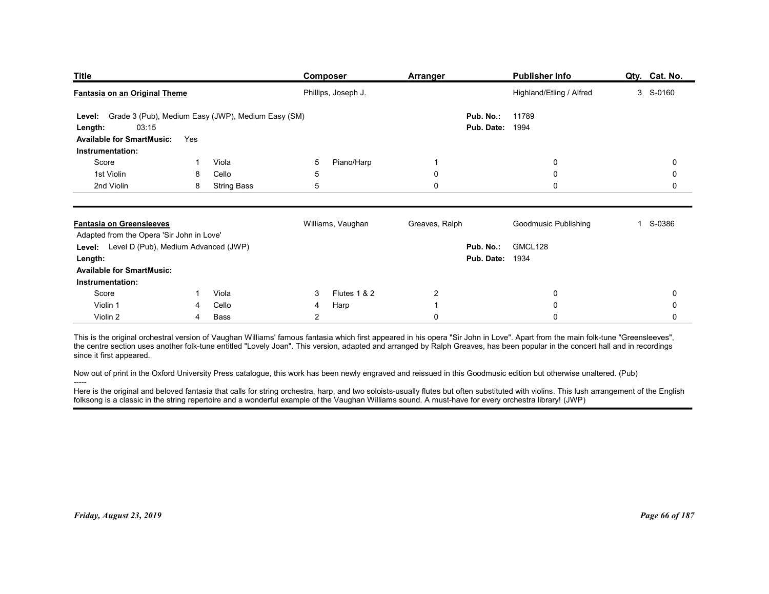| <b>Title</b><br>Fantasia on an Original Theme                                                                                                                                                                                                                                                                                                                                                 |                    | <b>Composer</b><br>Phillips, Joseph J. | Arranger                    | <b>Publisher Info</b><br>Highland/Etling / Alfred | Qty. Cat. No.<br>3 S-0160 |
|-----------------------------------------------------------------------------------------------------------------------------------------------------------------------------------------------------------------------------------------------------------------------------------------------------------------------------------------------------------------------------------------------|--------------------|----------------------------------------|-----------------------------|---------------------------------------------------|---------------------------|
|                                                                                                                                                                                                                                                                                                                                                                                               |                    |                                        |                             |                                                   |                           |
| Grade 3 (Pub), Medium Easy (JWP), Medium Easy (SM)<br>Level:<br>03:15<br>Length:                                                                                                                                                                                                                                                                                                              |                    |                                        | Pub. No.:<br>Pub. Date:     | 11789<br>1994                                     |                           |
| <b>Available for SmartMusic:</b><br>Yes                                                                                                                                                                                                                                                                                                                                                       |                    |                                        |                             |                                                   |                           |
| Instrumentation:<br>Score                                                                                                                                                                                                                                                                                                                                                                     | Viola              | Piano/Harp<br>5                        | -1                          | 0                                                 | 0                         |
| 1st Violin<br>8                                                                                                                                                                                                                                                                                                                                                                               | Cello              | 5                                      | 0                           | 0                                                 | 0                         |
| 2nd Violin<br>8                                                                                                                                                                                                                                                                                                                                                                               | <b>String Bass</b> | 5                                      | $\mathbf 0$                 | 0                                                 | 0                         |
| <b>Fantasia on Greensleeves</b>                                                                                                                                                                                                                                                                                                                                                               |                    | Williams, Vaughan                      | Greaves, Ralph              | Goodmusic Publishing                              | 1 S-0386                  |
| Adapted from the Opera 'Sir John in Love'<br>Level: Level D (Pub), Medium Advanced (JWP)                                                                                                                                                                                                                                                                                                      |                    |                                        | Pub. No.:                   | GMCL128                                           |                           |
| Length:                                                                                                                                                                                                                                                                                                                                                                                       |                    |                                        | <b>Pub. Date: 1934</b>      |                                                   |                           |
| <b>Available for SmartMusic:</b><br>Instrumentation:                                                                                                                                                                                                                                                                                                                                          |                    |                                        |                             |                                                   |                           |
| Score<br>-1                                                                                                                                                                                                                                                                                                                                                                                   | Viola              | Flutes 1 & 2<br>3                      | $\overline{2}$              | 0                                                 | 0                         |
| Violin 1<br>4<br>Violin 2<br>4                                                                                                                                                                                                                                                                                                                                                                | Cello<br>Bass      | Harp<br>4<br>$\overline{2}$            | $\mathbf{1}$<br>$\mathbf 0$ | $\pmb{0}$<br>$\mathsf 0$                          | 0<br>0                    |
| This is the original orchestral version of Vaughan Williams' famous fantasia which first appeared in his opera "Sir John in Love". Apart from the main folk-tune "Greensleeves",<br>the centre section uses another folk-tune entitled "Lovely Joan". This version, adapted and arranged by Ralph Greaves, has been popular in the concert hall and in recordings<br>since it first appeared. |                    |                                        |                             |                                                   |                           |
| Now out of print in the Oxford University Press catalogue, this work has been newly engraved and reissued in this Goodmusic edition but otherwise unaltered. (Pub)                                                                                                                                                                                                                            |                    |                                        |                             |                                                   |                           |
| Here is the original and beloved fantasia that calls for string orchestra, harp, and two soloists-usually flutes but often substituted with violins. This lush arrangement of the English                                                                                                                                                                                                     |                    |                                        |                             |                                                   |                           |
| folksong is a classic in the string repertoire and a wonderful example of the Vaughan Williams sound. A must-have for every orchestra library! (JWP)                                                                                                                                                                                                                                          |                    |                                        |                             |                                                   |                           |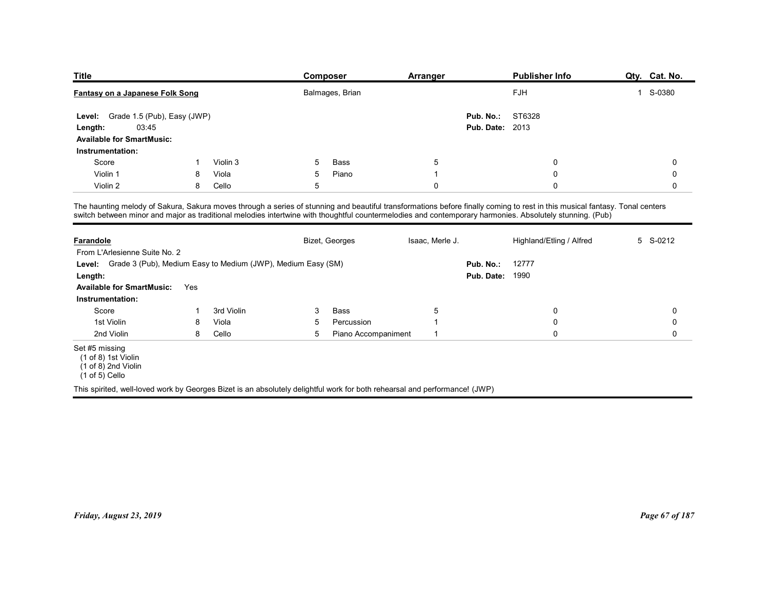| <b>Title</b>                                                        |                             | Composer                                                                                                                                                                                                                                                                                                                                | Arranger        |                        | <b>Publisher Info</b>    | Qty. Cat. No. |
|---------------------------------------------------------------------|-----------------------------|-----------------------------------------------------------------------------------------------------------------------------------------------------------------------------------------------------------------------------------------------------------------------------------------------------------------------------------------|-----------------|------------------------|--------------------------|---------------|
| Fantasy on a Japanese Folk Song                                     |                             | Balmages, Brian                                                                                                                                                                                                                                                                                                                         |                 |                        | FJH                      | 1 S-0380      |
| Level:                                                              | Grade 1.5 (Pub), Easy (JWP) |                                                                                                                                                                                                                                                                                                                                         |                 | Pub. No.:              | ST6328                   |               |
| 03:45<br>Length:                                                    |                             |                                                                                                                                                                                                                                                                                                                                         |                 | <b>Pub. Date: 2013</b> |                          |               |
|                                                                     |                             |                                                                                                                                                                                                                                                                                                                                         |                 |                        |                          |               |
| <b>Available for SmartMusic:</b>                                    |                             |                                                                                                                                                                                                                                                                                                                                         |                 |                        |                          |               |
| Instrumentation:                                                    |                             |                                                                                                                                                                                                                                                                                                                                         |                 |                        |                          |               |
| Score                                                               | Violin 3<br>-1              | 5<br>Bass                                                                                                                                                                                                                                                                                                                               | $\sqrt{5}$      |                        | $\mathbf 0$              | 0             |
| Violin 1                                                            | Viola<br>8                  | 5<br>Piano                                                                                                                                                                                                                                                                                                                              | $\overline{1}$  |                        | $\mathbf 0$              | 0             |
| Violin 2                                                            | 8<br>Cello                  | 5                                                                                                                                                                                                                                                                                                                                       | $\mathbf 0$     |                        | $\Omega$                 | 0             |
|                                                                     |                             |                                                                                                                                                                                                                                                                                                                                         |                 |                        |                          |               |
|                                                                     |                             | The haunting melody of Sakura, Sakura moves through a series of stunning and beautiful transformations before finally coming to rest in this musical fantasy. Tonal centers<br>switch between minor and major as traditional melodies intertwine with thoughtful countermelodies and contemporary harmonies. Absolutely stunning. (Pub) |                 |                        |                          |               |
|                                                                     |                             |                                                                                                                                                                                                                                                                                                                                         |                 |                        |                          |               |
| <b>Farandole</b>                                                    |                             | Bizet, Georges                                                                                                                                                                                                                                                                                                                          | Isaac, Merle J. |                        | Highland/Etling / Alfred | 5 S-0212      |
| From L'Arlesienne Suite No. 2                                       |                             |                                                                                                                                                                                                                                                                                                                                         |                 |                        |                          |               |
| Level: Grade 3 (Pub), Medium Easy to Medium (JWP), Medium Easy (SM) |                             |                                                                                                                                                                                                                                                                                                                                         |                 | Pub. No.:              | 12777                    |               |
| Length:                                                             |                             |                                                                                                                                                                                                                                                                                                                                         |                 | <b>Pub. Date: 1990</b> |                          |               |
| <b>Available for SmartMusic:</b> Yes                                |                             |                                                                                                                                                                                                                                                                                                                                         |                 |                        |                          |               |

| <b>Title</b>                                                                                                                                                                                                                                                                                                                            |     |            |   | <b>Composer</b>     | <b>Arranger</b> |                                     | <b>Publisher Info</b>    | Qty. Cat. No.  |
|-----------------------------------------------------------------------------------------------------------------------------------------------------------------------------------------------------------------------------------------------------------------------------------------------------------------------------------------|-----|------------|---|---------------------|-----------------|-------------------------------------|--------------------------|----------------|
| Fantasy on a Japanese Folk Song                                                                                                                                                                                                                                                                                                         |     |            |   | Balmages, Brian     |                 |                                     | FJH                      | 1 S-0380       |
| Grade 1.5 (Pub), Easy (JWP)<br>Level:<br>03:45<br>Length:<br><b>Available for SmartMusic:</b>                                                                                                                                                                                                                                           |     |            |   |                     |                 | Pub. No.:<br><b>Pub. Date: 2013</b> | ST6328                   |                |
| Instrumentation:                                                                                                                                                                                                                                                                                                                        |     |            |   |                     |                 |                                     |                          |                |
| Score                                                                                                                                                                                                                                                                                                                                   | -1  | Violin 3   | 5 | Bass                | 5               |                                     | 0                        | 0              |
| Violin 1                                                                                                                                                                                                                                                                                                                                | 8   | Viola      | 5 | Piano               | $\overline{1}$  |                                     | 0                        | 0              |
| Violin 2                                                                                                                                                                                                                                                                                                                                | 8   | Cello      | 5 |                     | $\mathbf 0$     |                                     | $\Omega$                 | 0              |
| The haunting melody of Sakura, Sakura moves through a series of stunning and beautiful transformations before finally coming to rest in this musical fantasy. Tonal centers<br>switch between minor and major as traditional melodies intertwine with thoughtful countermelodies and contemporary harmonies. Absolutely stunning. (Pub) |     |            |   |                     |                 |                                     |                          |                |
| <b>Farandole</b><br>From L'Arlesienne Suite No. 2                                                                                                                                                                                                                                                                                       |     |            |   | Bizet, Georges      | Isaac, Merle J. |                                     | Highland/Etling / Alfred | 5 S-0212       |
| Grade 3 (Pub), Medium Easy to Medium (JWP), Medium Easy (SM)<br>Level:                                                                                                                                                                                                                                                                  |     |            |   |                     |                 | Pub. No.:                           | 12777                    |                |
| Length:                                                                                                                                                                                                                                                                                                                                 |     |            |   |                     |                 | <b>Pub. Date: 1990</b>              |                          |                |
| <b>Available for SmartMusic:</b><br>Instrumentation:                                                                                                                                                                                                                                                                                    | Yes |            |   |                     |                 |                                     |                          |                |
| Score                                                                                                                                                                                                                                                                                                                                   | -1  | 3rd Violin | 3 | Bass                | 5               |                                     | 0                        | 0              |
| 1st Violin                                                                                                                                                                                                                                                                                                                              | 8   | Viola      | 5 | Percussion          | $\overline{1}$  |                                     | 0                        | 0              |
| 2nd Violin                                                                                                                                                                                                                                                                                                                              | 8   | Cello      | 5 | Piano Accompaniment | $\overline{1}$  |                                     | 0                        | 0              |
| Set #5 missing<br>$(1 of 8)$ 1st Violin<br>(1 of 8) 2nd Violin<br>$(1 of 5)$ Cello                                                                                                                                                                                                                                                      |     |            |   |                     |                 |                                     |                          |                |
| This spirited, well-loved work by Georges Bizet is an absolutely delightful work for both rehearsal and performance! (JWP)                                                                                                                                                                                                              |     |            |   |                     |                 |                                     |                          |                |
|                                                                                                                                                                                                                                                                                                                                         |     |            |   |                     |                 |                                     |                          |                |
| Friday, August 23, 2019                                                                                                                                                                                                                                                                                                                 |     |            |   |                     |                 |                                     |                          | Page 67 of 187 |
|                                                                                                                                                                                                                                                                                                                                         |     |            |   |                     |                 |                                     |                          |                |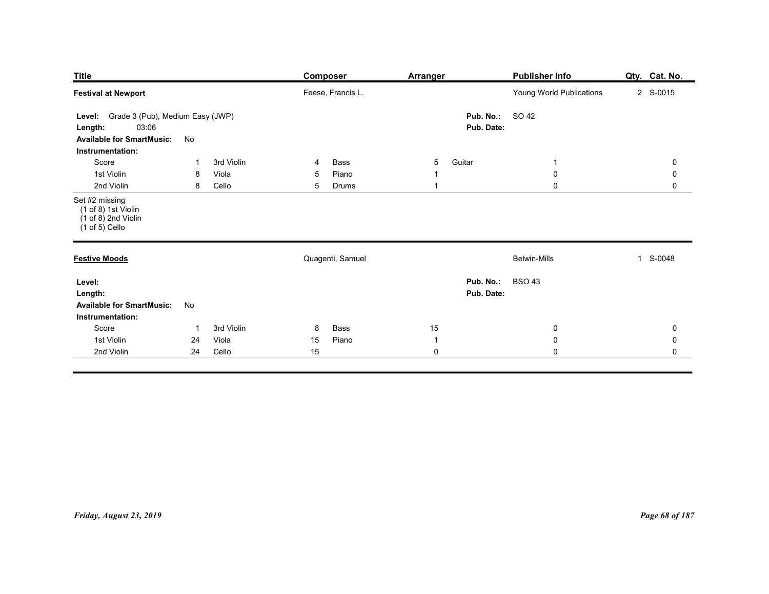| <b>Title</b>                                                                                                              | <b>Composer</b>                                    | <b>Arranger</b>                       | <b>Publisher Info</b>                           | Qty. Cat. No.                                   |
|---------------------------------------------------------------------------------------------------------------------------|----------------------------------------------------|---------------------------------------|-------------------------------------------------|-------------------------------------------------|
| <b>Festival at Newport</b>                                                                                                | Feese, Francis L.                                  |                                       | Young World Publications                        | 2 S-0015                                        |
| Level: Grade 3 (Pub), Medium Easy (JWP)<br>03:06<br>Length:<br><b>Available for SmartMusic:</b><br>No<br>Instrumentation: |                                                    | Pub. No.:<br>Pub. Date:               | SO 42                                           |                                                 |
| 3rd Violin<br>Score<br>-1<br>1st Violin<br>8<br>Viola<br>2nd Violin<br>8<br>Cello                                         | Bass<br>$\overline{4}$<br>Piano<br>5<br>5<br>Drums | Guitar<br>5<br>-1                     | $\overline{1}$<br>$\overline{0}$<br>$\mathbf 0$ | $\mathbf 0$<br>0<br>$\mathbf 0$                 |
| Set #2 missing<br>(1 of 8) 1st Violin<br>$(1 \text{ of } 8)$ 2nd Violin<br>$(1 of 5)$ Cello                               |                                                    |                                       |                                                 |                                                 |
| <b>Festive Moods</b>                                                                                                      | Quagenti, Samuel                                   |                                       | <b>Belwin-Mills</b>                             | 1 S-0048                                        |
| Level:<br>Length:<br><b>Available for SmartMusic:</b><br>No<br>Instrumentation:                                           |                                                    | <b>Pub. No.: BSO 43</b><br>Pub. Date: |                                                 |                                                 |
| Score<br>3rd Violin<br>$\overline{1}$<br>Viola<br>1st Violin<br>24<br>2nd Violin<br>24<br>Cello                           | Bass<br>8<br>15<br>Piano<br>15                     | 15<br>$\overline{1}$<br>$\mathbf 0$   | $\overline{0}$<br>$\mathbf 0$<br>$\mathbf 0$    | $\mathbf 0$<br>$\pmb{0}$<br>$\mathsf{O}\xspace$ |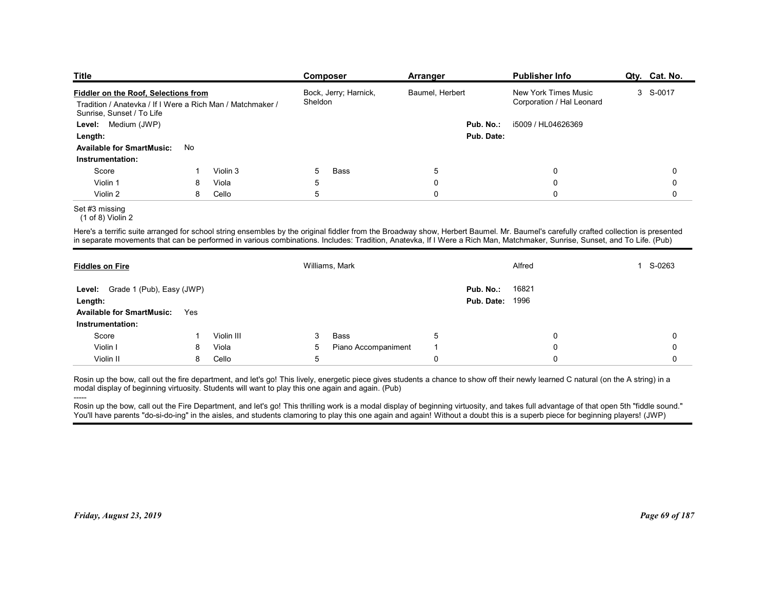| <b>Title</b>                                                                            |     |            | Composer                 | Arranger                                                                                                                                                                            | <b>Publisher Info</b>     | Qty. Cat. No. |
|-----------------------------------------------------------------------------------------|-----|------------|--------------------------|-------------------------------------------------------------------------------------------------------------------------------------------------------------------------------------|---------------------------|---------------|
| Fiddler on the Roof, Selections from                                                    |     |            | Bock, Jerry; Harnick,    | Baumel, Herbert                                                                                                                                                                     | New York Times Music      | 3 S-0017      |
| Tradition / Anatevka / If I Were a Rich Man / Matchmaker /<br>Sunrise, Sunset / To Life |     |            | Sheldon                  |                                                                                                                                                                                     | Corporation / Hal Leonard |               |
| Level: Medium (JWP)                                                                     |     |            |                          | Pub. No.:                                                                                                                                                                           | i5009 / HL04626369        |               |
| Length:                                                                                 |     |            |                          | Pub. Date:                                                                                                                                                                          |                           |               |
| <b>Available for SmartMusic:</b>                                                        | No  |            |                          |                                                                                                                                                                                     |                           |               |
| Instrumentation:                                                                        |     |            |                          |                                                                                                                                                                                     |                           |               |
| Score                                                                                   |     | Violin 3   | 5<br>Bass                | $\sqrt{5}$                                                                                                                                                                          | 0                         | 0             |
| Violin 1                                                                                | 8   | Viola      | 5                        | $\mathbf 0$                                                                                                                                                                         | 0                         | 0             |
| Violin 2                                                                                | 8   | Cello      | 5                        | $\mathbf 0$                                                                                                                                                                         | $\mathbf 0$               | 0             |
| Set #3 missing<br>$(1 of 8)$ Violin 2                                                   |     |            |                          |                                                                                                                                                                                     |                           |               |
|                                                                                         |     |            |                          | Here's a terrific suite arranged for school string ensembles by the original fiddler from the Broadway show, Herbert Baumel. Mr. Baumel's carefully crafted collection is presented |                           |               |
|                                                                                         |     |            |                          | in separate movements that can be performed in various combinations. Includes: Tradition, Anatevka, If I Were a Rich Man, Matchmaker, Sunrise, Sunset, and To Life. (Pub)           |                           |               |
|                                                                                         |     |            |                          |                                                                                                                                                                                     |                           |               |
| <b>Fiddles on Fire</b>                                                                  |     |            | Williams, Mark           |                                                                                                                                                                                     | Alfred                    | 1 S-0263      |
| Level: Grade 1 (Pub), Easy (JWP)                                                        |     |            |                          | Pub. No.:                                                                                                                                                                           | 16821                     |               |
| Length:                                                                                 |     |            |                          | <b>Pub. Date: 1996</b>                                                                                                                                                              |                           |               |
|                                                                                         | Yes |            |                          |                                                                                                                                                                                     |                           |               |
| <b>Available for SmartMusic:</b>                                                        |     |            |                          |                                                                                                                                                                                     |                           |               |
| Instrumentation:                                                                        | -1  | Violin III | Bass<br>3                | 5                                                                                                                                                                                   | 0                         | 0             |
| Score                                                                                   | 8   | Viola      | Piano Accompaniment<br>5 |                                                                                                                                                                                     | 0                         | 0             |
| Violin I<br>Violin II                                                                   | 8   | Cello      | 5                        | $\mathbf 0$                                                                                                                                                                         | 0                         | 0             |

| Tradition / Anatevka / If I Were a Rich Man / Matchmaker /<br>Sunrise, Sunset / To Life<br>Level: Medium (JWP)<br>Length:                                                                                                                                                                                                                                                                                                                                                                                                                                                                                                                                             |     |            |             |                     |                |                        |                           | $3 - 5 - 0011$ |  |
|-----------------------------------------------------------------------------------------------------------------------------------------------------------------------------------------------------------------------------------------------------------------------------------------------------------------------------------------------------------------------------------------------------------------------------------------------------------------------------------------------------------------------------------------------------------------------------------------------------------------------------------------------------------------------|-----|------------|-------------|---------------------|----------------|------------------------|---------------------------|----------------|--|
|                                                                                                                                                                                                                                                                                                                                                                                                                                                                                                                                                                                                                                                                       |     |            | Sheldon     |                     |                |                        | Corporation / Hal Leonard |                |  |
|                                                                                                                                                                                                                                                                                                                                                                                                                                                                                                                                                                                                                                                                       |     |            |             |                     |                | Pub. No.:              | i5009 / HL04626369        |                |  |
|                                                                                                                                                                                                                                                                                                                                                                                                                                                                                                                                                                                                                                                                       |     |            |             |                     |                | Pub. Date:             |                           |                |  |
| <b>Available for SmartMusic:</b>                                                                                                                                                                                                                                                                                                                                                                                                                                                                                                                                                                                                                                      | No  |            |             |                     |                |                        |                           |                |  |
| Instrumentation:                                                                                                                                                                                                                                                                                                                                                                                                                                                                                                                                                                                                                                                      |     |            |             |                     |                |                        |                           |                |  |
| Score                                                                                                                                                                                                                                                                                                                                                                                                                                                                                                                                                                                                                                                                 | -1  | Violin 3   | 5           | Bass                | 5              |                        | 0                         | 0              |  |
| Violin 1                                                                                                                                                                                                                                                                                                                                                                                                                                                                                                                                                                                                                                                              | 8   | Viola      | 5           |                     | $\pmb{0}$      |                        | 0                         | $\mathbf 0$    |  |
| Violin 2                                                                                                                                                                                                                                                                                                                                                                                                                                                                                                                                                                                                                                                              | 8   | Cello      | 5           |                     | $\mathbf 0$    |                        | $\mathbf 0$               | $\mathbf 0$    |  |
| Set #3 missing<br>$(1 of 8)$ Violin 2                                                                                                                                                                                                                                                                                                                                                                                                                                                                                                                                                                                                                                 |     |            |             |                     |                |                        |                           |                |  |
| Here's a terrific suite arranged for school string ensembles by the original fiddler from the Broadway show, Herbert Baumel. Mr. Baumel's carefully crafted collection is presented<br>in separate movements that can be performed in various combinations. Includes: Tradition, Anatevka, If I Were a Rich Man, Matchmaker, Sunrise, Sunset, and To Life. (Pub)                                                                                                                                                                                                                                                                                                      |     |            |             |                     |                |                        |                           |                |  |
| <b>Fiddles on Fire</b>                                                                                                                                                                                                                                                                                                                                                                                                                                                                                                                                                                                                                                                |     |            |             | Williams, Mark      |                |                        | Alfred                    | 1 S-0263       |  |
| Level: Grade 1 (Pub), Easy (JWP)                                                                                                                                                                                                                                                                                                                                                                                                                                                                                                                                                                                                                                      |     |            |             |                     |                | Pub. No.:              | 16821                     |                |  |
| Length:                                                                                                                                                                                                                                                                                                                                                                                                                                                                                                                                                                                                                                                               |     |            |             |                     |                | <b>Pub. Date: 1996</b> |                           |                |  |
| <b>Available for SmartMusic:</b>                                                                                                                                                                                                                                                                                                                                                                                                                                                                                                                                                                                                                                      | Yes |            |             |                     |                |                        |                           |                |  |
| Instrumentation:                                                                                                                                                                                                                                                                                                                                                                                                                                                                                                                                                                                                                                                      |     |            |             |                     |                |                        |                           |                |  |
| Score                                                                                                                                                                                                                                                                                                                                                                                                                                                                                                                                                                                                                                                                 | -1  | Violin III | 3           | Bass                | 5              |                        | 0                         | 0              |  |
| Violin I                                                                                                                                                                                                                                                                                                                                                                                                                                                                                                                                                                                                                                                              | 8   | Viola      | 5           | Piano Accompaniment | $\overline{1}$ |                        | $\mathbf 0$               | $\Omega$       |  |
| Violin II                                                                                                                                                                                                                                                                                                                                                                                                                                                                                                                                                                                                                                                             | 8   | Cello      | $\,$ 5 $\,$ |                     | $\pmb{0}$      |                        | $\Omega$                  | $\Omega$       |  |
| Rosin up the bow, call out the fire department, and let's go! This lively, energetic piece gives students a chance to show off their newly learned C natural (on the A string) in a<br>modal display of beginning virtuosity. Students will want to play this one again and again. (Pub)<br>Rosin up the bow, call out the Fire Department, and let's go! This thrilling work is a modal display of beginning virtuosity, and takes full advantage of that open 5th "fiddle sound."<br>You'll have parents "do-si-do-ing" in the aisles, and students clamoring to play this one again and again! Without a doubt this is a superb piece for beginning players! (JWP) |     |            |             |                     |                |                        |                           |                |  |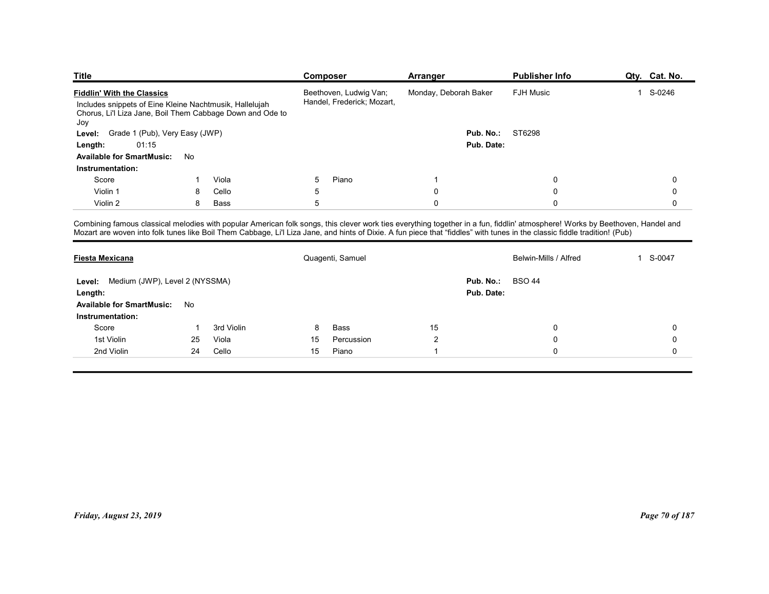| <b>Title</b>                                                                                                                                                                  |                |            | <b>Composer</b> |                            | Arranger              |                  | <b>Publisher Info</b> | Qty. Cat. No.                              |
|-------------------------------------------------------------------------------------------------------------------------------------------------------------------------------|----------------|------------|-----------------|----------------------------|-----------------------|------------------|-----------------------|--------------------------------------------|
| <b>Fiddlin' With the Classics</b>                                                                                                                                             |                |            |                 | Beethoven, Ludwig Van;     | Monday, Deborah Baker |                  | <b>FJH Music</b>      | 1 S-0246                                   |
| Includes snippets of Eine Kleine Nachtmusik, Hallelujah                                                                                                                       |                |            |                 | Handel, Frederick; Mozart, |                       |                  |                       |                                            |
| Chorus, Li'l Liza Jane, Boil Them Cabbage Down and Ode to                                                                                                                     |                |            |                 |                            |                       |                  |                       |                                            |
| Joy<br>Level: Grade 1 (Pub), Very Easy (JWP)                                                                                                                                  |                |            |                 |                            |                       | Pub. No.:        | ST6298                |                                            |
| 01:15<br>Length:                                                                                                                                                              |                |            |                 |                            |                       | Pub. Date:       |                       |                                            |
| Available for SmartMusic: No                                                                                                                                                  |                |            |                 |                            |                       |                  |                       |                                            |
| Instrumentation:                                                                                                                                                              |                |            |                 |                            |                       |                  |                       |                                            |
| Score                                                                                                                                                                         |                | Viola      | 5               | Piano                      |                       |                  | 0                     | 0                                          |
| Violin 1                                                                                                                                                                      | 8              | Cello      | 5               |                            | 0                     |                  | 0                     | 0                                          |
| Violin 2                                                                                                                                                                      | 8              | Bass       | 5               |                            | $\mathbf 0$           |                  | $\Omega$              | $\mathbf 0$                                |
| Combining famous classical melodies with popular American folk songs, this clever work ties everything together in a fun, fiddlin' atmosphere! Works by Beethoven, Handel and |                |            |                 |                            |                       |                  |                       |                                            |
| Mozart are woven into folk tunes like Boil Them Cabbage, Li'l Liza Jane, and hints of Dixie. A fun piece that "fiddles" with tunes in the classic fiddle tradition! (Pub)     |                |            |                 |                            |                       |                  |                       |                                            |
| <b>Fiesta Mexicana</b>                                                                                                                                                        |                |            |                 | Quagenti, Samuel           |                       |                  | Belwin-Mills / Alfred | 1 S-0047                                   |
|                                                                                                                                                                               |                |            |                 |                            |                       |                  |                       |                                            |
| Level: Medium (JWP), Level 2 (NYSSMA)                                                                                                                                         |                |            |                 |                            |                       | Pub. No.: BSO 44 |                       |                                            |
| Length:                                                                                                                                                                       |                |            |                 |                            |                       | Pub. Date:       |                       |                                            |
|                                                                                                                                                                               |                |            |                 |                            |                       |                  |                       |                                            |
| Available for SmartMusic: No                                                                                                                                                  |                |            |                 |                            |                       |                  |                       |                                            |
| Instrumentation:                                                                                                                                                              | $\overline{1}$ | 3rd Violin | 8               | Bass                       | $15\,$                |                  | $\mathbf 0$           | $\mathbf 0$                                |
| Score                                                                                                                                                                         |                | Viola      | 15<br>15        | Percussion<br>Piano        | $\sqrt{2}$            |                  | $\pmb{0}$             | $\mathsf{O}\xspace$<br>$\mathsf{O}\xspace$ |
| 1st Violin<br>2nd Violin                                                                                                                                                      | 25<br>24       | Cello      |                 |                            | -1                    |                  | $\pmb{0}$             |                                            |

| Includes snippets of Eine Kleine Nachtmusik, Hallelujah<br>Chorus, Li'l Liza Jane, Boil Them Cabbage Down and Ode to |                         |            |            | Handel, Frederick; Mozart, |                |                         |                                                                                                                                                                                                                                                                                                                                                            |                |  |  |
|----------------------------------------------------------------------------------------------------------------------|-------------------------|------------|------------|----------------------------|----------------|-------------------------|------------------------------------------------------------------------------------------------------------------------------------------------------------------------------------------------------------------------------------------------------------------------------------------------------------------------------------------------------------|----------------|--|--|
| Joy<br>Level: Grade 1 (Pub), Very Easy (JWP)                                                                         |                         |            |            |                            |                | <b>Pub. No.: ST6298</b> |                                                                                                                                                                                                                                                                                                                                                            |                |  |  |
| 01:15<br>Length:                                                                                                     |                         |            |            | Pub. Date:                 |                |                         |                                                                                                                                                                                                                                                                                                                                                            |                |  |  |
| <b>Available for SmartMusic:</b>                                                                                     | No                      |            |            |                            |                |                         |                                                                                                                                                                                                                                                                                                                                                            |                |  |  |
| Instrumentation:                                                                                                     |                         |            |            |                            |                |                         |                                                                                                                                                                                                                                                                                                                                                            |                |  |  |
| Score                                                                                                                | -1                      | Viola      | 5          | Piano                      | $\overline{1}$ |                         | 0                                                                                                                                                                                                                                                                                                                                                          | 0              |  |  |
| Violin 1                                                                                                             | 8                       | Cello      | $\sqrt{5}$ |                            | $\pmb{0}$      |                         | $\mathbf 0$                                                                                                                                                                                                                                                                                                                                                | $\mathbf 0$    |  |  |
| Violin 2                                                                                                             | 8                       | Bass       | $\sqrt{5}$ |                            | $\overline{0}$ |                         | $\mathbf 0$                                                                                                                                                                                                                                                                                                                                                | $\mathbf 0$    |  |  |
|                                                                                                                      |                         |            |            |                            |                |                         | Combining famous classical melodies with popular American folk songs, this clever work ties everything together in a fun, fiddlin' atmosphere! Works by Beethoven, Handel and<br>Mozart are woven into folk tunes like Boil Them Cabbage, Li'l Liza Jane, and hints of Dixie. A fun piece that "fiddles" with tunes in the classic fiddle tradition! (Pub) |                |  |  |
| <b>Fiesta Mexicana</b>                                                                                               |                         |            |            | Quagenti, Samuel           |                |                         | Belwin-Mills / Alfred                                                                                                                                                                                                                                                                                                                                      | 1 S-0047       |  |  |
| Level: Medium (JWP), Level 2 (NYSSMA)<br>Length:                                                                     |                         |            |            |                            |                | Pub. No.:<br>Pub. Date: | <b>BSO 44</b>                                                                                                                                                                                                                                                                                                                                              |                |  |  |
| <b>Available for SmartMusic:</b>                                                                                     | No                      |            |            |                            |                |                         |                                                                                                                                                                                                                                                                                                                                                            |                |  |  |
| Instrumentation:                                                                                                     |                         |            |            |                            |                |                         |                                                                                                                                                                                                                                                                                                                                                            |                |  |  |
| Score                                                                                                                | $\overline{\mathbf{1}}$ | 3rd Violin | 8          | Bass                       | 15             |                         | 0                                                                                                                                                                                                                                                                                                                                                          | 0              |  |  |
| 1st Violin                                                                                                           | 25                      | Viola      | 15         | Percussion                 | $\overline{2}$ |                         | 0                                                                                                                                                                                                                                                                                                                                                          | 0              |  |  |
| 2nd Violin                                                                                                           | 24                      | Cello      | 15         | Piano                      | $\overline{1}$ |                         | $\mathbf 0$                                                                                                                                                                                                                                                                                                                                                | $\mathbf 0$    |  |  |
|                                                                                                                      |                         |            |            |                            |                |                         |                                                                                                                                                                                                                                                                                                                                                            |                |  |  |
| Friday, August 23, 2019                                                                                              |                         |            |            |                            |                |                         |                                                                                                                                                                                                                                                                                                                                                            | Page 70 of 187 |  |  |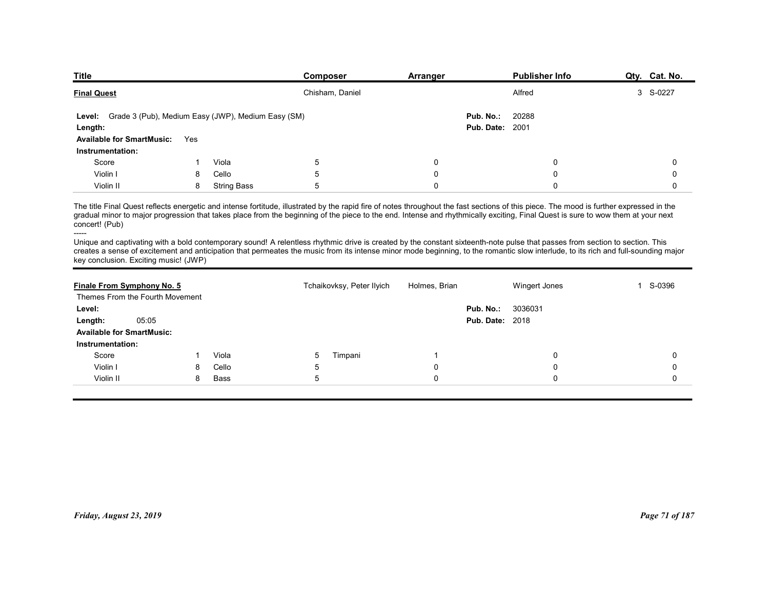| <b>Title</b>                                                  |     |             | Composer                                                                                                                                                                                                                                                                                                                                                                   | Arranger      |                        | <b>Publisher Info</b> | Qty. Cat. No. |
|---------------------------------------------------------------|-----|-------------|----------------------------------------------------------------------------------------------------------------------------------------------------------------------------------------------------------------------------------------------------------------------------------------------------------------------------------------------------------------------------|---------------|------------------------|-----------------------|---------------|
| <b>Final Quest</b>                                            |     |             | Chisham, Daniel                                                                                                                                                                                                                                                                                                                                                            |               |                        | Alfred                | 3 S-0227      |
| Level: Grade 3 (Pub), Medium Easy (JWP), Medium Easy (SM)     |     |             |                                                                                                                                                                                                                                                                                                                                                                            |               | Pub. No.:              | 20288                 |               |
| Length:                                                       |     |             |                                                                                                                                                                                                                                                                                                                                                                            |               | <b>Pub. Date: 2001</b> |                       |               |
| <b>Available for SmartMusic:</b><br>Instrumentation:          | Yes |             |                                                                                                                                                                                                                                                                                                                                                                            |               |                        |                       |               |
| Score                                                         |     | Viola       | 5                                                                                                                                                                                                                                                                                                                                                                          | 0             |                        | 0                     | 0             |
| Violin I                                                      | 8   | Cello       | 5                                                                                                                                                                                                                                                                                                                                                                          | 0             |                        | 0                     | 0             |
| Violin II                                                     | 8   | String Bass | 5                                                                                                                                                                                                                                                                                                                                                                          | 0             |                        | $\Omega$              | 0             |
| concert! (Pub)                                                |     |             | The title Final Quest reflects energetic and intense fortitude, illustrated by the rapid fire of notes throughout the fast sections of this piece. The mood is further expressed in the<br>gradual minor to major progression that takes place from the beginning of the piece to the end. Intense and rhythmically exciting, Final Quest is sure to wow them at your next |               |                        |                       |               |
| ------                                                        |     |             | Unique and captivating with a bold contemporary sound! A relentless rhythmic drive is created by the constant sixteenth-note pulse that passes from section to section. This<br>creates a sense of excitement and anticipation that permeates the music from its intense minor mode beginning, to the romantic slow interlude, to its rich and full-sounding major         |               |                        |                       |               |
| key conclusion. Exciting music! (JWP)                         |     |             | Tchaikovksy, Peter Ilyich                                                                                                                                                                                                                                                                                                                                                  | Holmes, Brian |                        | Wingert Jones         | 1 S-0396      |
|                                                               |     |             |                                                                                                                                                                                                                                                                                                                                                                            |               |                        |                       |               |
| Finale From Symphony No. 5<br>Themes From the Fourth Movement |     |             |                                                                                                                                                                                                                                                                                                                                                                            |               | Pub. No.:              | 3036031               |               |
| Level:                                                        |     |             |                                                                                                                                                                                                                                                                                                                                                                            |               |                        |                       |               |
| 05:05<br>Length:                                              |     |             |                                                                                                                                                                                                                                                                                                                                                                            |               | <b>Pub. Date: 2018</b> |                       |               |
| <b>Available for SmartMusic:</b><br>Instrumentation:          |     |             |                                                                                                                                                                                                                                                                                                                                                                            |               |                        |                       |               |

| Level: Grade 3 (Pub), Medium Easy (JWP), Medium Easy (SM)                                                                                                                                                                                                                                                                                                                                             |     |                    |                                                                                                                                                                                                                                                                                                                                                                    |                | Pub. No.:<br><b>Pub. Date: 2001</b> | 20288         |                |
|-------------------------------------------------------------------------------------------------------------------------------------------------------------------------------------------------------------------------------------------------------------------------------------------------------------------------------------------------------------------------------------------------------|-----|--------------------|--------------------------------------------------------------------------------------------------------------------------------------------------------------------------------------------------------------------------------------------------------------------------------------------------------------------------------------------------------------------|----------------|-------------------------------------|---------------|----------------|
| Length:<br><b>Available for SmartMusic:</b>                                                                                                                                                                                                                                                                                                                                                           | Yes |                    |                                                                                                                                                                                                                                                                                                                                                                    |                |                                     |               |                |
| Instrumentation:                                                                                                                                                                                                                                                                                                                                                                                      |     |                    |                                                                                                                                                                                                                                                                                                                                                                    |                |                                     |               |                |
| Score                                                                                                                                                                                                                                                                                                                                                                                                 | -1  | Viola              | $\overline{5}$                                                                                                                                                                                                                                                                                                                                                     | $\pmb{0}$      |                                     | 0             | 0              |
| Violin I                                                                                                                                                                                                                                                                                                                                                                                              | 8   | Cello              | $\overline{5}$                                                                                                                                                                                                                                                                                                                                                     | $\pmb{0}$      |                                     | $\mathbf 0$   | $\mathbf 0$    |
| Violin II                                                                                                                                                                                                                                                                                                                                                                                             | 8   | <b>String Bass</b> | 5                                                                                                                                                                                                                                                                                                                                                                  | $\mathbf 0$    |                                     | 0             | $\mathbf 0$    |
| The title Final Quest reflects energetic and intense fortitude, illustrated by the rapid fire of notes throughout the fast sections of this piece. The mood is further expressed in the<br>gradual minor to major progression that takes place from the beginning of the piece to the end. Intense and rhythmically exciting, Final Quest is sure to wow them at your next<br>concert! (Pub)<br>----- |     |                    |                                                                                                                                                                                                                                                                                                                                                                    |                |                                     |               |                |
| key conclusion. Exciting music! (JWP)                                                                                                                                                                                                                                                                                                                                                                 |     |                    | Unique and captivating with a bold contemporary sound! A relentless rhythmic drive is created by the constant sixteenth-note pulse that passes from section to section. This<br>creates a sense of excitement and anticipation that permeates the music from its intense minor mode beginning, to the romantic slow interlude, to its rich and full-sounding major |                |                                     |               |                |
| Finale From Symphony No. 5<br>Themes From the Fourth Movement                                                                                                                                                                                                                                                                                                                                         |     |                    | Tchaikovksy, Peter Ilyich                                                                                                                                                                                                                                                                                                                                          | Holmes, Brian  |                                     | Wingert Jones | 1 S-0396       |
| Level:                                                                                                                                                                                                                                                                                                                                                                                                |     |                    |                                                                                                                                                                                                                                                                                                                                                                    |                | Pub. No.:                           | 3036031       |                |
| 05:05<br>Length:                                                                                                                                                                                                                                                                                                                                                                                      |     |                    |                                                                                                                                                                                                                                                                                                                                                                    |                | <b>Pub. Date: 2018</b>              |               |                |
| <b>Available for SmartMusic:</b>                                                                                                                                                                                                                                                                                                                                                                      |     |                    |                                                                                                                                                                                                                                                                                                                                                                    |                |                                     |               |                |
| Instrumentation:                                                                                                                                                                                                                                                                                                                                                                                      |     |                    |                                                                                                                                                                                                                                                                                                                                                                    |                |                                     |               |                |
| Score                                                                                                                                                                                                                                                                                                                                                                                                 | -1  | Viola              | Timpani<br>5                                                                                                                                                                                                                                                                                                                                                       | $\overline{1}$ |                                     | 0             | 0              |
| Violin I                                                                                                                                                                                                                                                                                                                                                                                              | 8   | Cello              | 5                                                                                                                                                                                                                                                                                                                                                                  | $\pmb{0}$      |                                     | $\mathbf 0$   | $\mathbf 0$    |
| Violin II                                                                                                                                                                                                                                                                                                                                                                                             | 8   | <b>Bass</b>        | 5                                                                                                                                                                                                                                                                                                                                                                  | $\mathbf 0$    |                                     | $\Omega$      | $\Omega$       |
|                                                                                                                                                                                                                                                                                                                                                                                                       |     |                    |                                                                                                                                                                                                                                                                                                                                                                    |                |                                     |               |                |
| Friday, August 23, 2019                                                                                                                                                                                                                                                                                                                                                                               |     |                    |                                                                                                                                                                                                                                                                                                                                                                    |                |                                     |               | Page 71 of 187 |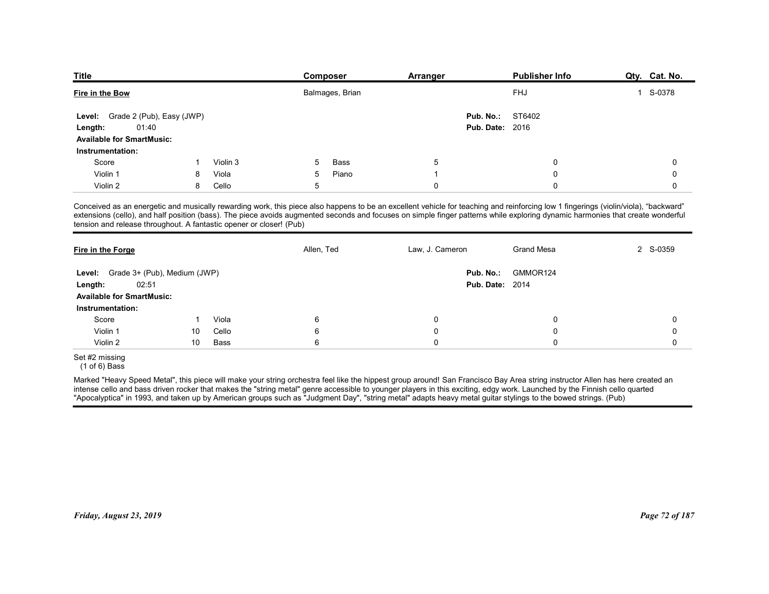| <b>Title</b>                                                        |    |          | Composer        | <b>Arranger</b>                                                                                                                                                                                                                                                                                                                                                       | <b>Publisher Info</b> | Qty. Cat. No. |
|---------------------------------------------------------------------|----|----------|-----------------|-----------------------------------------------------------------------------------------------------------------------------------------------------------------------------------------------------------------------------------------------------------------------------------------------------------------------------------------------------------------------|-----------------------|---------------|
|                                                                     |    |          |                 |                                                                                                                                                                                                                                                                                                                                                                       | <b>FHJ</b>            | 1 S-0378      |
| Fire in the Bow                                                     |    |          | Balmages, Brian |                                                                                                                                                                                                                                                                                                                                                                       |                       |               |
| Grade 2 (Pub), Easy (JWP)<br>Level:                                 |    |          |                 | Pub. No.:                                                                                                                                                                                                                                                                                                                                                             | ST6402                |               |
| 01:40<br>Length:                                                    |    |          |                 | <b>Pub. Date: 2016</b>                                                                                                                                                                                                                                                                                                                                                |                       |               |
| <b>Available for SmartMusic:</b>                                    |    |          |                 |                                                                                                                                                                                                                                                                                                                                                                       |                       |               |
| Instrumentation:                                                    |    |          |                 |                                                                                                                                                                                                                                                                                                                                                                       |                       |               |
| Score                                                               |    | Violin 3 | Bass<br>5       | 5                                                                                                                                                                                                                                                                                                                                                                     | 0                     | 0             |
| Violin 1                                                            | 8  | Viola    | 5<br>Piano      | -1                                                                                                                                                                                                                                                                                                                                                                    | 0                     | 0             |
| Violin 2                                                            | 8  | Cello    | 5               | 0                                                                                                                                                                                                                                                                                                                                                                     | $\Omega$              | 0             |
|                                                                     |    |          |                 | Conceived as an energetic and musically rewarding work, this piece also happens to be an excellent vehicle for teaching and reinforcing low 1 fingerings (violin/viola), "backward"<br>extensions (cello), and half position (bass). The piece avoids augmented seconds and focuses on simple finger patterns while exploring dynamic harmonies that create wonderful |                       |               |
| tension and release throughout. A fantastic opener or closer! (Pub) |    |          |                 |                                                                                                                                                                                                                                                                                                                                                                       |                       |               |
|                                                                     |    |          |                 |                                                                                                                                                                                                                                                                                                                                                                       | <b>Grand Mesa</b>     | 2 S-0359      |
|                                                                     |    |          | Allen, Ted      | Law, J. Cameron                                                                                                                                                                                                                                                                                                                                                       |                       |               |
| Fire in the Forge                                                   |    |          |                 |                                                                                                                                                                                                                                                                                                                                                                       | GMMOR124              |               |
| Level: Grade 3+ (Pub), Medium (JWP)<br>02:51                        |    |          |                 | Pub. No.:<br><b>Pub. Date: 2014</b>                                                                                                                                                                                                                                                                                                                                   |                       |               |
| Length:<br><b>Available for SmartMusic:</b>                         |    |          |                 |                                                                                                                                                                                                                                                                                                                                                                       |                       |               |
| Instrumentation:                                                    |    |          |                 |                                                                                                                                                                                                                                                                                                                                                                       |                       |               |
| Score                                                               | -1 | Viola    | 6               | 0                                                                                                                                                                                                                                                                                                                                                                     | 0                     | 0             |
| Violin 1                                                            | 10 | Cello    | $\,6\,$         | 0                                                                                                                                                                                                                                                                                                                                                                     | 0                     | 0             |
| Violin 2                                                            | 10 | Bass     | $\,6\,$         | $\mathbf 0$                                                                                                                                                                                                                                                                                                                                                           | $\mathbf 0$           | 0             |

| ST6402<br>Grade 2 (Pub), Easy (JWP)<br>Pub. No.:<br>Level:<br><b>Pub. Date: 2016</b><br>01:40<br>Length:<br><b>Available for SmartMusic:</b><br>Instrumentation:<br>5<br>Score<br>Violin 3<br><b>Bass</b><br>$\mathbf 0$<br>5<br>$\mathbf{1}$<br>Viola<br>Violin 1<br>5<br>Piano<br>$\mathbf 0$<br>8<br>$\overline{1}$<br>Violin 2<br>8<br>Cello<br>5<br>$\mathbf 0$<br>$\Omega$<br>Conceived as an energetic and musically rewarding work, this piece also happens to be an excellent vehicle for teaching and reinforcing low 1 fingerings (violin/viola), "backward"<br>extensions (cello), and half position (bass). The piece avoids augmented seconds and focuses on simple finger patterns while exploring dynamic harmonies that create wonderful<br>tension and release throughout. A fantastic opener or closer! (Pub) | 0<br>0<br>$\mathbf 0$ |
|----------------------------------------------------------------------------------------------------------------------------------------------------------------------------------------------------------------------------------------------------------------------------------------------------------------------------------------------------------------------------------------------------------------------------------------------------------------------------------------------------------------------------------------------------------------------------------------------------------------------------------------------------------------------------------------------------------------------------------------------------------------------------------------------------------------------------------|-----------------------|
|                                                                                                                                                                                                                                                                                                                                                                                                                                                                                                                                                                                                                                                                                                                                                                                                                                  |                       |
|                                                                                                                                                                                                                                                                                                                                                                                                                                                                                                                                                                                                                                                                                                                                                                                                                                  |                       |
|                                                                                                                                                                                                                                                                                                                                                                                                                                                                                                                                                                                                                                                                                                                                                                                                                                  |                       |
|                                                                                                                                                                                                                                                                                                                                                                                                                                                                                                                                                                                                                                                                                                                                                                                                                                  |                       |
|                                                                                                                                                                                                                                                                                                                                                                                                                                                                                                                                                                                                                                                                                                                                                                                                                                  |                       |
|                                                                                                                                                                                                                                                                                                                                                                                                                                                                                                                                                                                                                                                                                                                                                                                                                                  |                       |
| Law, J. Cameron<br>Allen, Ted<br><b>Grand Mesa</b><br>2 S-0359<br>Fire in the Forge                                                                                                                                                                                                                                                                                                                                                                                                                                                                                                                                                                                                                                                                                                                                              |                       |
| GMMOR124<br>Grade 3+ (Pub), Medium (JWP)<br>Pub. No.:<br>Level:                                                                                                                                                                                                                                                                                                                                                                                                                                                                                                                                                                                                                                                                                                                                                                  |                       |
| 02:51<br><b>Pub. Date: 2014</b><br>Length:                                                                                                                                                                                                                                                                                                                                                                                                                                                                                                                                                                                                                                                                                                                                                                                       |                       |
| <b>Available for SmartMusic:</b>                                                                                                                                                                                                                                                                                                                                                                                                                                                                                                                                                                                                                                                                                                                                                                                                 |                       |
| Instrumentation:                                                                                                                                                                                                                                                                                                                                                                                                                                                                                                                                                                                                                                                                                                                                                                                                                 |                       |
| Viola<br>$\,6\,$<br>$\pmb{0}$<br>Score<br>$\mathbf 0$<br>$\overline{1}$                                                                                                                                                                                                                                                                                                                                                                                                                                                                                                                                                                                                                                                                                                                                                          | $\mathbf 0$           |
| Cello<br>$6\phantom{1}6$<br>$\pmb{0}$<br>$\pmb{0}$<br>Violin 1<br>10                                                                                                                                                                                                                                                                                                                                                                                                                                                                                                                                                                                                                                                                                                                                                             | 0                     |
| Violin 2<br>10<br>Bass<br>6<br>$\pmb{0}$<br>$\mathbf 0$                                                                                                                                                                                                                                                                                                                                                                                                                                                                                                                                                                                                                                                                                                                                                                          | 0                     |
| Set #2 missing<br>$(1 of 6)$ Bass                                                                                                                                                                                                                                                                                                                                                                                                                                                                                                                                                                                                                                                                                                                                                                                                |                       |
| Marked "Heavy Speed Metal", this piece will make your string orchestra feel like the hippest group around! San Francisco Bay Area string instructor Allen has here created an<br>intense cello and bass driven rocker that makes the "string metal" genre accessible to younger players in this exciting, edgy work. Launched by the Finnish cello quarted<br>"Apocalyptica" in 1993, and taken up by American groups such as "Judgment Day", "string metal" adapts heavy metal guitar stylings to the bowed strings. (Pub)                                                                                                                                                                                                                                                                                                      |                       |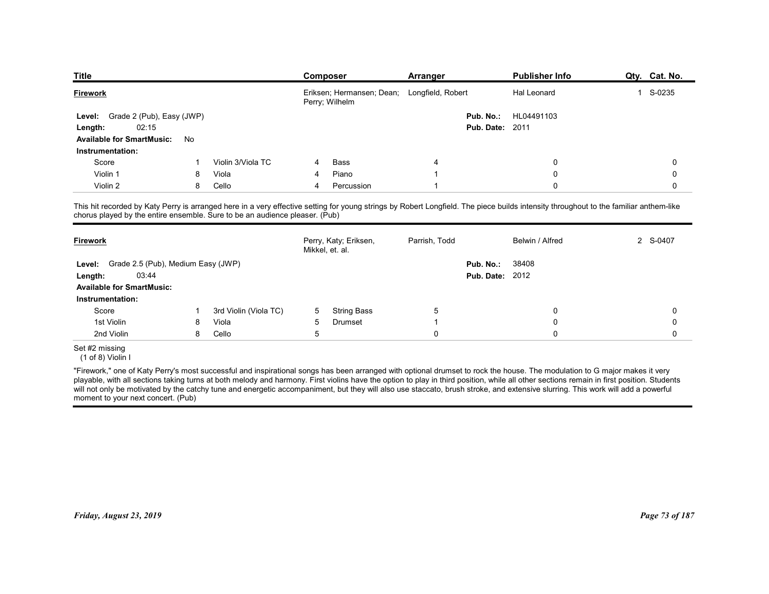| <b>Publisher Info</b><br>Qty. Cat. No.<br>Composer<br>Arranger<br>Eriksen; Hermansen; Dean; Longfield, Robert<br>S-0235<br>Hal Leonard<br>$\overline{1}$<br>Perry; Wilhelm<br>Grade 2 (Pub), Easy (JWP)<br>Pub. No.:<br>HL04491103<br><b>Level:</b><br>02:15<br><b>Pub. Date: 2011</b><br>Length:<br><b>Available for SmartMusic:</b><br>No<br>Instrumentation:<br>Violin 3/Viola TC<br>Score<br>Bass<br>$\Omega$<br>0<br>4<br>Violin 1<br>Viola<br>Piano<br>0<br>8<br>$\Omega$<br>4<br>Violin 2<br>8<br>Cello<br>Percussion<br>$\Omega$<br>0<br>4<br>Perry, Katy; Eriksen,<br>2 S-0407<br>Parrish, Todd<br>Belwin / Alfred<br>Mikkel, et. al.<br>Level: Grade 2.5 (Pub), Medium Easy (JWP)<br>Pub. No.:<br>38408<br><b>Pub. Date: 2012</b><br>03:44<br>Length:<br><b>Available for SmartMusic:</b><br><b>String Bass</b><br>$\sqrt{5}$<br>Score<br>3rd Violin (Viola TC)<br>0<br>5<br>0<br>-1<br>1st Violin<br>Viola<br>Drumset<br>0<br>8<br>5<br>0<br>-1<br>$\sqrt{5}$<br>$\pmb{0}$<br>2nd Violin<br>8<br>Cello<br>0<br>0 |                 |  |  |  |  |  |
|-----------------------------------------------------------------------------------------------------------------------------------------------------------------------------------------------------------------------------------------------------------------------------------------------------------------------------------------------------------------------------------------------------------------------------------------------------------------------------------------------------------------------------------------------------------------------------------------------------------------------------------------------------------------------------------------------------------------------------------------------------------------------------------------------------------------------------------------------------------------------------------------------------------------------------------------------------------------------------------------------------------------------------|-----------------|--|--|--|--|--|
| This hit recorded by Katy Perry is arranged here in a very effective setting for young strings by Robert Longfield. The piece builds intensity throughout to the familiar anthem-like<br>chorus played by the entire ensemble. Sure to be an audience pleaser. (Pub)<br>Instrumentation:                                                                                                                                                                                                                                                                                                                                                                                                                                                                                                                                                                                                                                                                                                                                    |                 |  |  |  |  |  |
|                                                                                                                                                                                                                                                                                                                                                                                                                                                                                                                                                                                                                                                                                                                                                                                                                                                                                                                                                                                                                             |                 |  |  |  |  |  |
|                                                                                                                                                                                                                                                                                                                                                                                                                                                                                                                                                                                                                                                                                                                                                                                                                                                                                                                                                                                                                             |                 |  |  |  |  |  |
|                                                                                                                                                                                                                                                                                                                                                                                                                                                                                                                                                                                                                                                                                                                                                                                                                                                                                                                                                                                                                             |                 |  |  |  |  |  |
|                                                                                                                                                                                                                                                                                                                                                                                                                                                                                                                                                                                                                                                                                                                                                                                                                                                                                                                                                                                                                             |                 |  |  |  |  |  |
|                                                                                                                                                                                                                                                                                                                                                                                                                                                                                                                                                                                                                                                                                                                                                                                                                                                                                                                                                                                                                             |                 |  |  |  |  |  |
|                                                                                                                                                                                                                                                                                                                                                                                                                                                                                                                                                                                                                                                                                                                                                                                                                                                                                                                                                                                                                             |                 |  |  |  |  |  |
|                                                                                                                                                                                                                                                                                                                                                                                                                                                                                                                                                                                                                                                                                                                                                                                                                                                                                                                                                                                                                             |                 |  |  |  |  |  |
|                                                                                                                                                                                                                                                                                                                                                                                                                                                                                                                                                                                                                                                                                                                                                                                                                                                                                                                                                                                                                             |                 |  |  |  |  |  |
|                                                                                                                                                                                                                                                                                                                                                                                                                                                                                                                                                                                                                                                                                                                                                                                                                                                                                                                                                                                                                             |                 |  |  |  |  |  |
|                                                                                                                                                                                                                                                                                                                                                                                                                                                                                                                                                                                                                                                                                                                                                                                                                                                                                                                                                                                                                             |                 |  |  |  |  |  |
|                                                                                                                                                                                                                                                                                                                                                                                                                                                                                                                                                                                                                                                                                                                                                                                                                                                                                                                                                                                                                             |                 |  |  |  |  |  |
|                                                                                                                                                                                                                                                                                                                                                                                                                                                                                                                                                                                                                                                                                                                                                                                                                                                                                                                                                                                                                             |                 |  |  |  |  |  |
|                                                                                                                                                                                                                                                                                                                                                                                                                                                                                                                                                                                                                                                                                                                                                                                                                                                                                                                                                                                                                             | <b>Title</b>    |  |  |  |  |  |
|                                                                                                                                                                                                                                                                                                                                                                                                                                                                                                                                                                                                                                                                                                                                                                                                                                                                                                                                                                                                                             | <b>Firework</b> |  |  |  |  |  |
|                                                                                                                                                                                                                                                                                                                                                                                                                                                                                                                                                                                                                                                                                                                                                                                                                                                                                                                                                                                                                             |                 |  |  |  |  |  |
|                                                                                                                                                                                                                                                                                                                                                                                                                                                                                                                                                                                                                                                                                                                                                                                                                                                                                                                                                                                                                             |                 |  |  |  |  |  |
|                                                                                                                                                                                                                                                                                                                                                                                                                                                                                                                                                                                                                                                                                                                                                                                                                                                                                                                                                                                                                             |                 |  |  |  |  |  |
|                                                                                                                                                                                                                                                                                                                                                                                                                                                                                                                                                                                                                                                                                                                                                                                                                                                                                                                                                                                                                             |                 |  |  |  |  |  |
|                                                                                                                                                                                                                                                                                                                                                                                                                                                                                                                                                                                                                                                                                                                                                                                                                                                                                                                                                                                                                             |                 |  |  |  |  |  |
|                                                                                                                                                                                                                                                                                                                                                                                                                                                                                                                                                                                                                                                                                                                                                                                                                                                                                                                                                                                                                             |                 |  |  |  |  |  |
|                                                                                                                                                                                                                                                                                                                                                                                                                                                                                                                                                                                                                                                                                                                                                                                                                                                                                                                                                                                                                             |                 |  |  |  |  |  |
|                                                                                                                                                                                                                                                                                                                                                                                                                                                                                                                                                                                                                                                                                                                                                                                                                                                                                                                                                                                                                             |                 |  |  |  |  |  |
|                                                                                                                                                                                                                                                                                                                                                                                                                                                                                                                                                                                                                                                                                                                                                                                                                                                                                                                                                                                                                             | <b>Firework</b> |  |  |  |  |  |
|                                                                                                                                                                                                                                                                                                                                                                                                                                                                                                                                                                                                                                                                                                                                                                                                                                                                                                                                                                                                                             |                 |  |  |  |  |  |
|                                                                                                                                                                                                                                                                                                                                                                                                                                                                                                                                                                                                                                                                                                                                                                                                                                                                                                                                                                                                                             |                 |  |  |  |  |  |
|                                                                                                                                                                                                                                                                                                                                                                                                                                                                                                                                                                                                                                                                                                                                                                                                                                                                                                                                                                                                                             |                 |  |  |  |  |  |
|                                                                                                                                                                                                                                                                                                                                                                                                                                                                                                                                                                                                                                                                                                                                                                                                                                                                                                                                                                                                                             |                 |  |  |  |  |  |
|                                                                                                                                                                                                                                                                                                                                                                                                                                                                                                                                                                                                                                                                                                                                                                                                                                                                                                                                                                                                                             |                 |  |  |  |  |  |
|                                                                                                                                                                                                                                                                                                                                                                                                                                                                                                                                                                                                                                                                                                                                                                                                                                                                                                                                                                                                                             |                 |  |  |  |  |  |
|                                                                                                                                                                                                                                                                                                                                                                                                                                                                                                                                                                                                                                                                                                                                                                                                                                                                                                                                                                                                                             |                 |  |  |  |  |  |
| Set #2 missing<br>(1 of 8) Violin I                                                                                                                                                                                                                                                                                                                                                                                                                                                                                                                                                                                                                                                                                                                                                                                                                                                                                                                                                                                         |                 |  |  |  |  |  |

|                                                                  |   |                       | Mikkel, et. al. | Perry, Katy; Eriksen, | Parrish, Todd |                                     | Belwin / Alfred | 2 S-0407       |
|------------------------------------------------------------------|---|-----------------------|-----------------|-----------------------|---------------|-------------------------------------|-----------------|----------------|
| Grade 2.5 (Pub), Medium Easy (JWP)<br>Level:<br>03:44<br>Length: |   |                       |                 |                       |               | Pub. No.:<br><b>Pub. Date: 2012</b> | 38408           |                |
| <b>Available for SmartMusic:</b>                                 |   |                       |                 |                       |               |                                     |                 |                |
| Instrumentation:                                                 |   |                       |                 |                       |               |                                     |                 |                |
| Score                                                            |   | 3rd Violin (Viola TC) | 5               | <b>String Bass</b>    | 5             |                                     | 0               | $\Omega$       |
| 1st Violin                                                       | 8 | Viola                 | 5               | Drumset               |               |                                     | 0               | 0              |
| 2nd Violin                                                       | 8 | Cello                 | 5               |                       | $\Omega$      |                                     | $\Omega$        | $\Omega$       |
| Set #2 missing<br>$(1 of 8)$ Violin I                            |   |                       |                 |                       |               |                                     |                 |                |
|                                                                  |   |                       |                 |                       |               |                                     |                 |                |
|                                                                  |   |                       |                 |                       |               |                                     |                 |                |
|                                                                  |   |                       |                 |                       |               |                                     |                 |                |
|                                                                  |   |                       |                 |                       |               |                                     |                 |                |
| Friday, August 23, 2019                                          |   |                       |                 |                       |               |                                     |                 |                |
|                                                                  |   |                       |                 |                       |               |                                     |                 | Page 73 of 187 |
|                                                                  |   |                       |                 |                       |               |                                     |                 |                |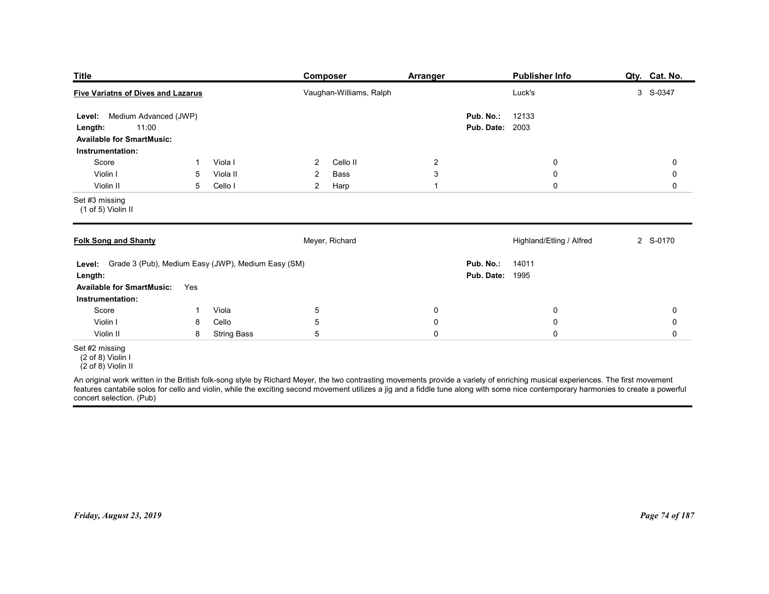| <b>Title</b>                                                                                                                 |              |                                | Composer                                                                                                                                                                                                                         | <b>Arranger</b>                                               |                                     | <b>Publisher Info</b>                               | Qty. Cat. No.              |
|------------------------------------------------------------------------------------------------------------------------------|--------------|--------------------------------|----------------------------------------------------------------------------------------------------------------------------------------------------------------------------------------------------------------------------------|---------------------------------------------------------------|-------------------------------------|-----------------------------------------------------|----------------------------|
| <b>Five Variatns of Dives and Lazarus</b>                                                                                    |              |                                | Vaughan-Williams, Ralph                                                                                                                                                                                                          |                                                               |                                     | Luck's                                              | 3 S-0347                   |
| Medium Advanced (JWP)<br>Level:<br>11:00<br>Length:<br><b>Available for SmartMusic:</b><br>Instrumentation:                  |              |                                |                                                                                                                                                                                                                                  |                                                               | Pub. No.:<br><b>Pub. Date: 2003</b> | 12133                                               |                            |
| Score<br>Violin I<br>Violin II                                                                                               | -1<br>5<br>5 | Viola I<br>Viola II<br>Cello I | Cello II<br>$\overline{2}$<br>$\overline{2}$<br>Bass<br>$\overline{a}$<br>Harp                                                                                                                                                   | $\overline{2}$<br>$\ensuremath{\mathsf{3}}$<br>$\overline{1}$ |                                     | $\boldsymbol{0}$<br>$\boldsymbol{0}$<br>$\mathbf 0$ | 0<br>0<br>0                |
| Set #3 missing<br>(1 of 5) Violin II                                                                                         |              |                                |                                                                                                                                                                                                                                  |                                                               |                                     |                                                     |                            |
| <b>Folk Song and Shanty</b>                                                                                                  |              |                                | Meyer, Richard                                                                                                                                                                                                                   |                                                               |                                     | Highland/Etling / Alfred                            | 2 S-0170                   |
| Level: Grade 3 (Pub), Medium Easy (JWP), Medium Easy (SM)<br>Length:<br><b>Available for SmartMusic:</b><br>Instrumentation: | Yes          |                                |                                                                                                                                                                                                                                  |                                                               | Pub. No.:<br><b>Pub. Date: 1995</b> | 14011                                               |                            |
| Score<br>Violin I                                                                                                            | -1<br>8      | Viola<br>Cello                 | $5\phantom{.0}$<br>5                                                                                                                                                                                                             | $\mathbf 0$<br>$\pmb{0}$                                      |                                     | $\pmb{0}$<br>$\pmb{0}$                              | $\mathbf 0$<br>$\mathbf 0$ |
| Violin II                                                                                                                    | 8            | <b>String Bass</b>             | 5                                                                                                                                                                                                                                | $\pmb{0}$                                                     |                                     | $\mathsf{O}\xspace$                                 | $\mathbf 0$                |
| Set #2 missing<br>$(2 \text{ of } 8)$ Violin I<br>$(2 \text{ of } 8)$ Violin II<br>concert selection. (Pub)                  |              |                                | An original work written in the British folk-song style by Richard Meyer, the two contrasting movements provide a variety of enriching musical experiences. The first movement<br>features cantabile solos for cello and violin, |                                                               |                                     |                                                     |                            |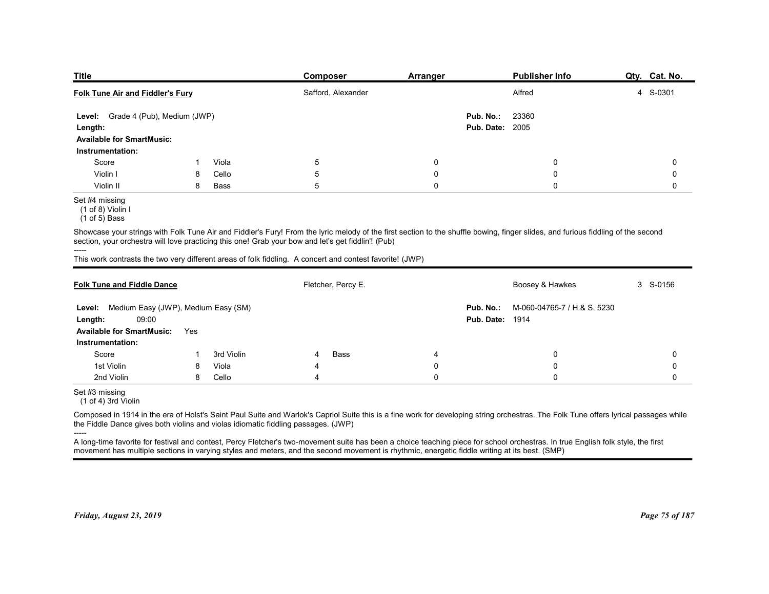| <b>Publisher Info</b><br>Composer<br><b>Arranger</b><br>Folk Tune Air and Fiddler's Fury<br>Safford, Alexander<br>Alfred<br>23360<br>Level: Grade 4 (Pub), Medium (JWP)<br>Pub. No.:<br><b>Pub. Date: 2005</b><br><b>Available for SmartMusic:</b><br>Instrumentation:<br>5<br>Score<br>Viola<br>0<br>0<br>-1<br>Violin I<br>5<br>Cello<br>0<br>0<br>8<br>$5\phantom{.0}$<br>0<br>$\mathbf 0$<br>Violin II<br>8<br>Bass<br>(1 of 8) Violin I<br>$(1 of 5)$ Bass<br>Showcase your strings with Folk Tune Air and Fiddler's Fury! From the lyric melody of the first section to the shuffle bowing, finger slides, and furious fiddling of the second<br>section, your orchestra will love practicing this one! Grab your bow and let's get fiddlin! (Pub)<br>This work contrasts the two very different areas of folk fiddling. A concert and contest favorite! (JWP)<br>Fletcher, Percy E.<br>Boosey & Hawkes<br>3 S-0156<br><b>Folk Tune and Fiddle Dance</b><br>Level: Medium Easy (JWP), Medium Easy (SM)<br>M-060-04765-7 / H.& S. 5230<br>Pub. No.:<br>09:00<br><b>Pub. Date: 1914</b><br>Available for SmartMusic: Yes<br>Instrumentation: |                |  |  |  |               |
|--------------------------------------------------------------------------------------------------------------------------------------------------------------------------------------------------------------------------------------------------------------------------------------------------------------------------------------------------------------------------------------------------------------------------------------------------------------------------------------------------------------------------------------------------------------------------------------------------------------------------------------------------------------------------------------------------------------------------------------------------------------------------------------------------------------------------------------------------------------------------------------------------------------------------------------------------------------------------------------------------------------------------------------------------------------------------------------------------------------------------------------------------|----------------|--|--|--|---------------|
|                                                                                                                                                                                                                                                                                                                                                                                                                                                                                                                                                                                                                                                                                                                                                                                                                                                                                                                                                                                                                                                                                                                                                  |                |  |  |  |               |
|                                                                                                                                                                                                                                                                                                                                                                                                                                                                                                                                                                                                                                                                                                                                                                                                                                                                                                                                                                                                                                                                                                                                                  |                |  |  |  |               |
|                                                                                                                                                                                                                                                                                                                                                                                                                                                                                                                                                                                                                                                                                                                                                                                                                                                                                                                                                                                                                                                                                                                                                  |                |  |  |  |               |
|                                                                                                                                                                                                                                                                                                                                                                                                                                                                                                                                                                                                                                                                                                                                                                                                                                                                                                                                                                                                                                                                                                                                                  |                |  |  |  |               |
|                                                                                                                                                                                                                                                                                                                                                                                                                                                                                                                                                                                                                                                                                                                                                                                                                                                                                                                                                                                                                                                                                                                                                  |                |  |  |  |               |
|                                                                                                                                                                                                                                                                                                                                                                                                                                                                                                                                                                                                                                                                                                                                                                                                                                                                                                                                                                                                                                                                                                                                                  |                |  |  |  |               |
|                                                                                                                                                                                                                                                                                                                                                                                                                                                                                                                                                                                                                                                                                                                                                                                                                                                                                                                                                                                                                                                                                                                                                  |                |  |  |  |               |
|                                                                                                                                                                                                                                                                                                                                                                                                                                                                                                                                                                                                                                                                                                                                                                                                                                                                                                                                                                                                                                                                                                                                                  |                |  |  |  |               |
|                                                                                                                                                                                                                                                                                                                                                                                                                                                                                                                                                                                                                                                                                                                                                                                                                                                                                                                                                                                                                                                                                                                                                  |                |  |  |  |               |
|                                                                                                                                                                                                                                                                                                                                                                                                                                                                                                                                                                                                                                                                                                                                                                                                                                                                                                                                                                                                                                                                                                                                                  |                |  |  |  |               |
|                                                                                                                                                                                                                                                                                                                                                                                                                                                                                                                                                                                                                                                                                                                                                                                                                                                                                                                                                                                                                                                                                                                                                  |                |  |  |  |               |
|                                                                                                                                                                                                                                                                                                                                                                                                                                                                                                                                                                                                                                                                                                                                                                                                                                                                                                                                                                                                                                                                                                                                                  | <b>Title</b>   |  |  |  | Qty. Cat. No. |
|                                                                                                                                                                                                                                                                                                                                                                                                                                                                                                                                                                                                                                                                                                                                                                                                                                                                                                                                                                                                                                                                                                                                                  |                |  |  |  | 4 S-0301      |
|                                                                                                                                                                                                                                                                                                                                                                                                                                                                                                                                                                                                                                                                                                                                                                                                                                                                                                                                                                                                                                                                                                                                                  |                |  |  |  |               |
|                                                                                                                                                                                                                                                                                                                                                                                                                                                                                                                                                                                                                                                                                                                                                                                                                                                                                                                                                                                                                                                                                                                                                  | Length:        |  |  |  |               |
|                                                                                                                                                                                                                                                                                                                                                                                                                                                                                                                                                                                                                                                                                                                                                                                                                                                                                                                                                                                                                                                                                                                                                  |                |  |  |  |               |
|                                                                                                                                                                                                                                                                                                                                                                                                                                                                                                                                                                                                                                                                                                                                                                                                                                                                                                                                                                                                                                                                                                                                                  |                |  |  |  | 0             |
|                                                                                                                                                                                                                                                                                                                                                                                                                                                                                                                                                                                                                                                                                                                                                                                                                                                                                                                                                                                                                                                                                                                                                  |                |  |  |  | 0             |
|                                                                                                                                                                                                                                                                                                                                                                                                                                                                                                                                                                                                                                                                                                                                                                                                                                                                                                                                                                                                                                                                                                                                                  |                |  |  |  | 0             |
|                                                                                                                                                                                                                                                                                                                                                                                                                                                                                                                                                                                                                                                                                                                                                                                                                                                                                                                                                                                                                                                                                                                                                  | Set #4 missing |  |  |  |               |
|                                                                                                                                                                                                                                                                                                                                                                                                                                                                                                                                                                                                                                                                                                                                                                                                                                                                                                                                                                                                                                                                                                                                                  |                |  |  |  |               |
|                                                                                                                                                                                                                                                                                                                                                                                                                                                                                                                                                                                                                                                                                                                                                                                                                                                                                                                                                                                                                                                                                                                                                  | -----          |  |  |  |               |
|                                                                                                                                                                                                                                                                                                                                                                                                                                                                                                                                                                                                                                                                                                                                                                                                                                                                                                                                                                                                                                                                                                                                                  |                |  |  |  |               |
|                                                                                                                                                                                                                                                                                                                                                                                                                                                                                                                                                                                                                                                                                                                                                                                                                                                                                                                                                                                                                                                                                                                                                  |                |  |  |  |               |
|                                                                                                                                                                                                                                                                                                                                                                                                                                                                                                                                                                                                                                                                                                                                                                                                                                                                                                                                                                                                                                                                                                                                                  |                |  |  |  |               |
|                                                                                                                                                                                                                                                                                                                                                                                                                                                                                                                                                                                                                                                                                                                                                                                                                                                                                                                                                                                                                                                                                                                                                  |                |  |  |  |               |
|                                                                                                                                                                                                                                                                                                                                                                                                                                                                                                                                                                                                                                                                                                                                                                                                                                                                                                                                                                                                                                                                                                                                                  | Length:        |  |  |  |               |

| Grade 4 (Pub), Medium (JWP)<br>Level:<br>Length:<br><b>Available for SmartMusic:</b>                                                          |     |            |                |                    |             | Pub. No.:<br><b>Pub. Date: 2005</b> | 23360                                                                                                                                                                                |                |
|-----------------------------------------------------------------------------------------------------------------------------------------------|-----|------------|----------------|--------------------|-------------|-------------------------------------|--------------------------------------------------------------------------------------------------------------------------------------------------------------------------------------|----------------|
| Instrumentation:                                                                                                                              |     |            |                |                    |             |                                     |                                                                                                                                                                                      |                |
| Score                                                                                                                                         | -1  | Viola      | 5              |                    | $\mathbf 0$ |                                     | 0                                                                                                                                                                                    | 0              |
| Violin I                                                                                                                                      | 8   | Cello      | 5              |                    | $\mathbf 0$ |                                     | $\mathbf 0$                                                                                                                                                                          | 0              |
| Violin II                                                                                                                                     | 8   | Bass       | 5              |                    | $\mathbf 0$ |                                     | $\Omega$                                                                                                                                                                             | 0              |
| Set #4 missing<br>$(1$ of 8) Violin I<br>$(1 of 5)$ Bass                                                                                      |     |            |                |                    |             |                                     |                                                                                                                                                                                      |                |
| section, your orchestra will love practicing this one! Grab your bow and let's get fiddlin"! (Pub)                                            |     |            |                |                    |             |                                     | Showcase your strings with Folk Tune Air and Fiddler's Fury! From the lyric melody of the first section to the shuffle bowing, finger slides, and furious fiddling of the second     |                |
| This work contrasts the two very different areas of folk fiddling. A concert and contest favorite! (JWP)                                      |     |            |                |                    |             |                                     |                                                                                                                                                                                      |                |
| <b>Folk Tune and Fiddle Dance</b>                                                                                                             |     |            |                | Fletcher, Percy E. |             |                                     | Boosey & Hawkes                                                                                                                                                                      | 3 S-0156       |
| Level: Medium Easy (JWP), Medium Easy (SM)<br>09:00<br>Length:                                                                                |     |            |                |                    |             | Pub. No.:<br><b>Pub. Date: 1914</b> | M-060-04765-7 / H.& S. 5230                                                                                                                                                          |                |
| <b>Available for SmartMusic:</b>                                                                                                              | Yes |            |                |                    |             |                                     |                                                                                                                                                                                      |                |
| Instrumentation:                                                                                                                              |     |            |                |                    |             |                                     |                                                                                                                                                                                      |                |
| Score                                                                                                                                         | -1  | 3rd Violin | 4              | <b>Bass</b>        | 4           |                                     | $\mathbf 0$                                                                                                                                                                          | $\Omega$       |
| 1st Violin                                                                                                                                    | 8   | Viola      | $\overline{4}$ |                    | $\mathbf 0$ |                                     | $\mathbf 0$                                                                                                                                                                          | $\Omega$       |
| 2nd Violin                                                                                                                                    | 8   | Cello      | $\overline{4}$ |                    | $\mathbf 0$ |                                     | $\mathbf 0$                                                                                                                                                                          | $\mathbf 0$    |
| Set #3 missing<br>(1 of 4) 3rd Violin                                                                                                         |     |            |                |                    |             |                                     |                                                                                                                                                                                      |                |
| the Fiddle Dance gives both violins and violas idiomatic fiddling passages. (JWP)                                                             |     |            |                |                    |             |                                     | Composed in 1914 in the era of Holst's Saint Paul Suite and Warlok's Capriol Suite this is a fine work for developing string orchestras. The Folk Tune offers lyrical passages while |                |
| movement has multiple sections in varying styles and meters, and the second movement is rhythmic, energetic fiddle writing at its best. (SMP) |     |            |                |                    |             |                                     | A long-time favorite for festival and contest, Percy Fletcher's two-movement suite has been a choice teaching piece for school orchestras. In true English folk style, the first     |                |
| Friday, August 23, 2019                                                                                                                       |     |            |                |                    |             |                                     |                                                                                                                                                                                      | Page 75 of 187 |

<sup>-----</sup>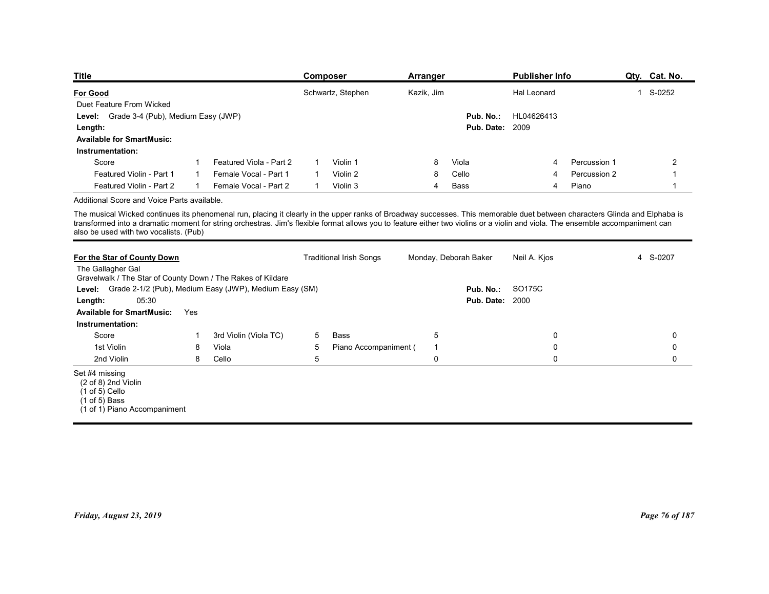| <b>Title</b><br><b>Publisher Info</b><br>Qty. Cat. No.<br><b>Composer</b><br><b>Arranger</b>                                                                                                                                                                                                                                                                 |
|--------------------------------------------------------------------------------------------------------------------------------------------------------------------------------------------------------------------------------------------------------------------------------------------------------------------------------------------------------------|
| 1 S-0252<br><b>For Good</b><br>Schwartz, Stephen<br>Kazik, Jim<br>Hal Leonard                                                                                                                                                                                                                                                                                |
| Duet Feature From Wicked                                                                                                                                                                                                                                                                                                                                     |
| Grade 3-4 (Pub), Medium Easy (JWP)<br>Pub. No.:<br>HL04626413<br>Level:                                                                                                                                                                                                                                                                                      |
| <b>Pub. Date: 2009</b><br>Length:                                                                                                                                                                                                                                                                                                                            |
| <b>Available for SmartMusic:</b>                                                                                                                                                                                                                                                                                                                             |
|                                                                                                                                                                                                                                                                                                                                                              |
| Instrumentation:                                                                                                                                                                                                                                                                                                                                             |
| Score<br>Featured Viola - Part 2<br>Violin 1<br>Percussion 1<br>$\overline{2}$<br>8<br>Viola<br>$\mathbf 1$<br>1<br>$\overline{4}$                                                                                                                                                                                                                           |
| Violin 2<br>Featured Violin - Part 1<br>Female Vocal - Part 1<br>Cello<br>Percussion 2<br>8<br>$\mathbf{1}$<br>$\mathbf{1}$<br>-1<br>4                                                                                                                                                                                                                       |
| Featured Violin - Part 2<br>Female Vocal - Part 2<br>Violin 3<br>Piano<br>$\overline{1}$<br>$\overline{1}$<br>$\overline{4}$<br>Bass<br>4<br>$\overline{1}$                                                                                                                                                                                                  |
| Additional Score and Voice Parts available.                                                                                                                                                                                                                                                                                                                  |
| The musical Wicked continues its phenomenal run, placing it clearly in the upper ranks of Broadway successes. This memorable duet between characters Glinda and Elphaba is<br>transformed into a dramatic moment for string orchestras. Jim's flexible format allows you to feature either two violins or a violin and viola. The ensemble accompaniment can |
| also be used with two vocalists. (Pub)                                                                                                                                                                                                                                                                                                                       |
|                                                                                                                                                                                                                                                                                                                                                              |
| 4 S-0207<br>For the Star of County Down<br><b>Traditional Irish Songs</b><br>Monday, Deborah Baker<br>Neil A. Kjos<br>The Gallagher Gal<br>Gravelwalk / The Star of County Down / The Rakes of Kildare                                                                                                                                                       |
| Grade 2-1/2 (Pub), Medium Easy (JWP), Medium Easy (SM)<br>SO175C<br>Pub. No.:<br>Level:                                                                                                                                                                                                                                                                      |
| 05:30<br><b>Pub. Date: 2000</b><br>Length:                                                                                                                                                                                                                                                                                                                   |

| <b>For Good</b>                                                                                                                                                                                                                                                                                                                                                                                        |              |                         |              | Schwartz, Stephen              | Kazik, Jim |                |                                     | Hal Leonard    |              | 1 S-0252       |
|--------------------------------------------------------------------------------------------------------------------------------------------------------------------------------------------------------------------------------------------------------------------------------------------------------------------------------------------------------------------------------------------------------|--------------|-------------------------|--------------|--------------------------------|------------|----------------|-------------------------------------|----------------|--------------|----------------|
| Duet Feature From Wicked                                                                                                                                                                                                                                                                                                                                                                               |              |                         |              |                                |            |                |                                     |                |              |                |
| Level: Grade 3-4 (Pub), Medium Easy (JWP)<br>Length:                                                                                                                                                                                                                                                                                                                                                   |              |                         |              |                                |            |                | Pub. No.:<br><b>Pub. Date: 2009</b> | HL04626413     |              |                |
| <b>Available for SmartMusic:</b>                                                                                                                                                                                                                                                                                                                                                                       |              |                         |              |                                |            |                |                                     |                |              |                |
| Instrumentation:                                                                                                                                                                                                                                                                                                                                                                                       |              |                         |              |                                |            |                |                                     |                |              |                |
| Score                                                                                                                                                                                                                                                                                                                                                                                                  | $\mathbf{1}$ | Featured Viola - Part 2 | $\mathbf{1}$ | Violin 1                       |            | 8              | Viola                               | 4              | Percussion 1 | 2              |
| Featured Violin - Part 1                                                                                                                                                                                                                                                                                                                                                                               | $\mathbf{1}$ | Female Vocal - Part 1   | $\mathbf{1}$ | Violin 2                       |            | 8              | Cello                               | $\overline{4}$ | Percussion 2 | $\overline{1}$ |
| Featured Violin - Part 2                                                                                                                                                                                                                                                                                                                                                                               | $\mathbf{1}$ | Female Vocal - Part 2   | $\mathbf{1}$ | Violin 3                       |            | $\overline{4}$ | Bass                                | 4              | Piano        | $\mathbf{1}$   |
| Additional Score and Voice Parts available.                                                                                                                                                                                                                                                                                                                                                            |              |                         |              |                                |            |                |                                     |                |              |                |
| The musical Wicked continues its phenomenal run, placing it clearly in the upper ranks of Broadway successes. This memorable duet between characters Glinda and Elphaba is<br>transformed into a dramatic moment for string orchestras. Jim's flexible format allows you to feature either two violins or a violin and viola. The ensemble accompaniment can<br>also be used with two vocalists. (Pub) |              |                         |              |                                |            |                |                                     |                |              |                |
| For the Star of County Down<br>The Gallagher Gal<br>Gravelwalk / The Star of County Down / The Rakes of Kildare                                                                                                                                                                                                                                                                                        |              |                         |              | <b>Traditional Irish Songs</b> |            |                | Monday, Deborah Baker               | Neil A. Kjos   |              | 4 S-0207       |
| Level: Grade 2-1/2 (Pub), Medium Easy (JWP), Medium Easy (SM)<br>05:30<br>Length:<br><b>Available for SmartMusic:</b><br>Yes                                                                                                                                                                                                                                                                           |              |                         |              |                                |            |                | Pub. No.:<br><b>Pub. Date: 2000</b> | SO175C         |              |                |
| Instrumentation:                                                                                                                                                                                                                                                                                                                                                                                       |              |                         |              |                                |            |                |                                     |                |              |                |
| Score                                                                                                                                                                                                                                                                                                                                                                                                  | -1           | 3rd Violin (Viola TC)   | 5            | Bass                           |            | 5              |                                     | $\mathbf 0$    |              | 0              |
| 1st Violin                                                                                                                                                                                                                                                                                                                                                                                             | 8            | Viola                   | $\sqrt{5}$   | Piano Accompaniment (          |            | $\overline{1}$ |                                     | $\mathbf 0$    |              | $\mathbf 0$    |
| 2nd Violin                                                                                                                                                                                                                                                                                                                                                                                             | 8            | Cello                   | $\sqrt{5}$   |                                |            | $\mathbf 0$    |                                     | $\mathbf 0$    |              | 0              |
| Set #4 missing<br>(2 of 8) 2nd Violin<br>$(1 of 5)$ Cello<br>$(1 of 5)$ Bass<br>(1 of 1) Piano Accompaniment                                                                                                                                                                                                                                                                                           |              |                         |              |                                |            |                |                                     |                |              |                |
| Friday, August 23, 2019                                                                                                                                                                                                                                                                                                                                                                                |              |                         |              |                                |            |                |                                     |                |              | Page 76 of 187 |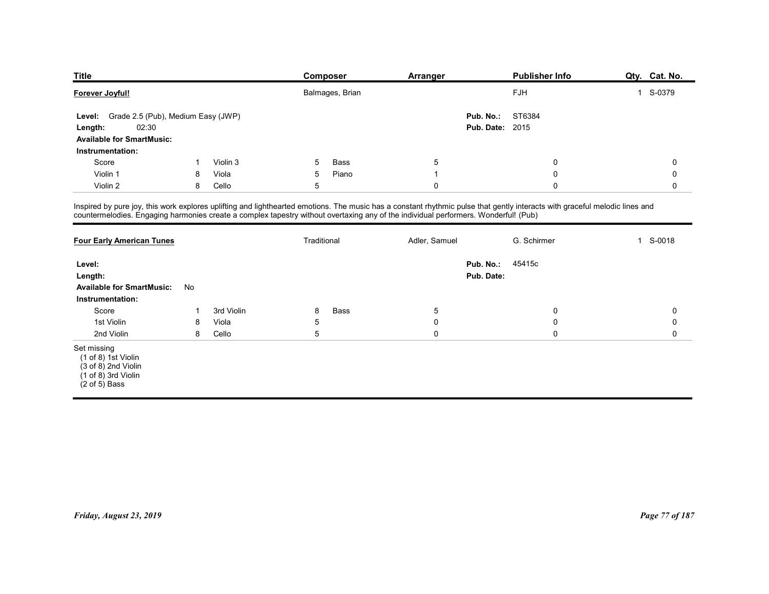| <b>Title</b>                                     |                                    |          | Composer                                                                                                                                                                                                                                                                                                           | Arranger       | <b>Publisher Info</b>  | Qty. Cat. No. |
|--------------------------------------------------|------------------------------------|----------|--------------------------------------------------------------------------------------------------------------------------------------------------------------------------------------------------------------------------------------------------------------------------------------------------------------------|----------------|------------------------|---------------|
| Forever Joyful!                                  |                                    |          | Balmages, Brian                                                                                                                                                                                                                                                                                                    |                | ${\sf FJH}$            | 1 S-0379      |
| Level:                                           | Grade 2.5 (Pub), Medium Easy (JWP) |          |                                                                                                                                                                                                                                                                                                                    |                | Pub. No.:<br>ST6384    |               |
| 02:30<br>Length:                                 |                                    |          |                                                                                                                                                                                                                                                                                                                    |                | <b>Pub. Date: 2015</b> |               |
| <b>Available for SmartMusic:</b>                 |                                    |          |                                                                                                                                                                                                                                                                                                                    |                |                        |               |
| Instrumentation:                                 | -1                                 | Violin 3 | Bass<br>5                                                                                                                                                                                                                                                                                                          | $\sqrt{5}$     | $\mathbf 0$            | $\mathbf 0$   |
|                                                  |                                    | Viola    | 5<br>Piano                                                                                                                                                                                                                                                                                                         | $\overline{1}$ | $\mathbf 0$            | 0             |
| Score                                            |                                    |          | $5\phantom{.0}$                                                                                                                                                                                                                                                                                                    | $\mathsf{O}$   | $\mathbf 0$            | 0             |
| Violin 1<br>Violin 2                             | 8<br>8                             | Cello    |                                                                                                                                                                                                                                                                                                                    |                |                        |               |
|                                                  |                                    |          |                                                                                                                                                                                                                                                                                                                    |                |                        |               |
|                                                  |                                    |          | Inspired by pure joy, this work explores uplifting and lighthearted emotions. The music has a constant rhythmic pulse that gently interacts with graceful melodic lines and<br>countermelodies. Engaging harmonies create a complex tapestry without overtaxing any of the individual performers. Wonderful! (Pub) |                |                        |               |
|                                                  |                                    |          |                                                                                                                                                                                                                                                                                                                    |                |                        |               |
| <b>Four Early American Tunes</b>                 |                                    |          | Traditional                                                                                                                                                                                                                                                                                                        | Adler, Samuel  | G. Schirmer            | 1 S-0018      |
| Level:                                           |                                    |          |                                                                                                                                                                                                                                                                                                                    |                | Pub. No.:<br>45415c    |               |
| Length:                                          |                                    |          |                                                                                                                                                                                                                                                                                                                    |                | Pub. Date:             |               |
| Available for SmartMusic: No<br>Instrumentation: |                                    |          |                                                                                                                                                                                                                                                                                                                    |                |                        |               |

| <b>Title</b>                                                                                                   |              |            | <b>Composer</b>                                                                                                                                                                                                                                                                                                    | <b>Arranger</b> | <b>Publisher Info</b>                         | Qty. Cat. No.  |
|----------------------------------------------------------------------------------------------------------------|--------------|------------|--------------------------------------------------------------------------------------------------------------------------------------------------------------------------------------------------------------------------------------------------------------------------------------------------------------------|-----------------|-----------------------------------------------|----------------|
| Forever Joyful!                                                                                                |              |            | Balmages, Brian                                                                                                                                                                                                                                                                                                    |                 | FJH                                           | 1 S-0379       |
| Level: Grade 2.5 (Pub), Medium Easy (JWP)<br>02:30<br>Length:<br><b>Available for SmartMusic:</b>              |              |            |                                                                                                                                                                                                                                                                                                                    |                 | Pub. No.:<br>ST6384<br><b>Pub. Date: 2015</b> |                |
| Instrumentation:                                                                                               |              |            |                                                                                                                                                                                                                                                                                                                    |                 |                                               |                |
| Score                                                                                                          | $\mathbf{1}$ | Violin 3   | Bass<br>5                                                                                                                                                                                                                                                                                                          | $5\phantom{.0}$ | 0                                             | 0              |
| Violin 1                                                                                                       | 8            | Viola      | Piano<br>5                                                                                                                                                                                                                                                                                                         | $\overline{1}$  | 0                                             | 0              |
| Violin 2                                                                                                       | 8            | Cello      | $\sqrt{5}$                                                                                                                                                                                                                                                                                                         | $\mathbf 0$     | $\mathbf 0$                                   | $\mathbf 0$    |
|                                                                                                                |              |            | Inspired by pure joy, this work explores uplifting and lighthearted emotions. The music has a constant rhythmic pulse that gently interacts with graceful melodic lines and<br>countermelodies. Engaging harmonies create a complex tapestry without overtaxing any of the individual performers. Wonderful! (Pub) |                 |                                               |                |
| <b>Four Early American Tunes</b>                                                                               |              |            | Traditional                                                                                                                                                                                                                                                                                                        | Adler, Samuel   | G. Schirmer                                   | 1 S-0018       |
| Level:<br>Length:<br><b>Available for SmartMusic:</b><br>Instrumentation:                                      | No           |            |                                                                                                                                                                                                                                                                                                                    |                 | 45415c<br>Pub. No.:<br>Pub. Date:             |                |
| Score                                                                                                          | $\mathbf{1}$ | 3rd Violin | Bass<br>8                                                                                                                                                                                                                                                                                                          | $\sqrt{5}$      | 0                                             | 0              |
| 1st Violin                                                                                                     | 8            | Viola      | $\mathbf 5$                                                                                                                                                                                                                                                                                                        | $\mathbf 0$     | 0                                             | 0              |
| 2nd Violin                                                                                                     | 8            | Cello      | $\sqrt{5}$                                                                                                                                                                                                                                                                                                         | $\mathbf 0$     | 0                                             | $\mathbf 0$    |
| Set missing<br>(1 of 8) 1st Violin<br>(3 of 8) 2nd Violin<br>$(1 of 8)$ 3rd Violin<br>$(2 \text{ of } 5)$ Bass |              |            |                                                                                                                                                                                                                                                                                                                    |                 |                                               |                |
|                                                                                                                |              |            |                                                                                                                                                                                                                                                                                                                    |                 |                                               |                |
| Friday, August 23, 2019                                                                                        |              |            |                                                                                                                                                                                                                                                                                                                    |                 |                                               | Page 77 of 187 |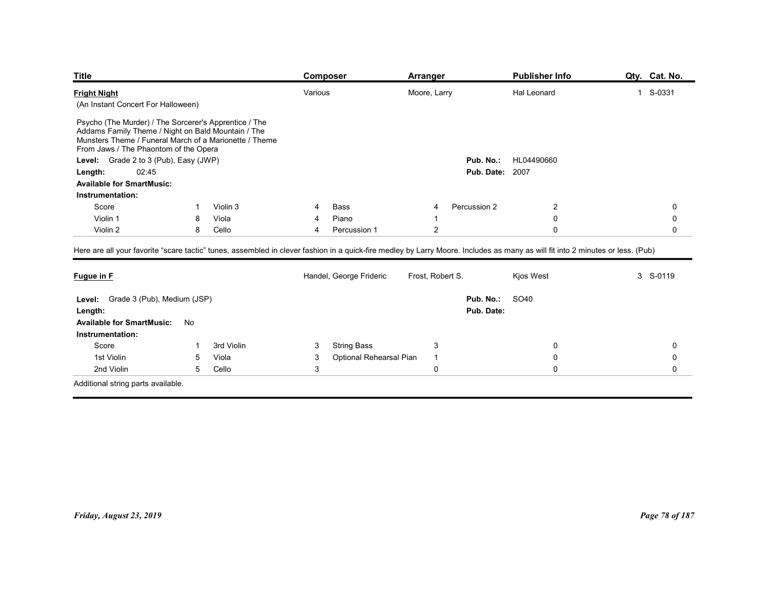| <b>Title</b>                                                                                                                                                                                                   |    |            | <b>Composer</b>              | <b>Arranger</b>                                                                                                                                                                | <b>Publisher Info</b> | Qty. Cat. No. |
|----------------------------------------------------------------------------------------------------------------------------------------------------------------------------------------------------------------|----|------------|------------------------------|--------------------------------------------------------------------------------------------------------------------------------------------------------------------------------|-----------------------|---------------|
| <b>Fright Night</b><br>(An Instant Concert For Halloween)                                                                                                                                                      |    |            | Various                      | Moore, Larry                                                                                                                                                                   | Hal Leonard           | 1 S-0331      |
|                                                                                                                                                                                                                |    |            |                              |                                                                                                                                                                                |                       |               |
| Psycho (The Murder) / The Sorcerer's Apprentice / The<br>Addams Family Theme / Night on Bald Mountain / The<br>Munsters Theme / Funeral March of a Marionette / Theme<br>From Jaws / The Phaontom of the Opera |    |            |                              |                                                                                                                                                                                |                       |               |
| Grade 2 to 3 (Pub), Easy (JWP)<br>Level:                                                                                                                                                                       |    |            |                              | Pub. No.:                                                                                                                                                                      | HL04490660            |               |
| 02:45<br>Length:                                                                                                                                                                                               |    |            |                              | <b>Pub. Date: 2007</b>                                                                                                                                                         |                       |               |
| <b>Available for SmartMusic:</b>                                                                                                                                                                               |    |            |                              |                                                                                                                                                                                |                       |               |
| Instrumentation:                                                                                                                                                                                               |    |            |                              |                                                                                                                                                                                |                       |               |
| Score                                                                                                                                                                                                          |    | Violin 3   | Bass                         | Percussion 2                                                                                                                                                                   | $\overline{2}$        | 0             |
| Violin 1                                                                                                                                                                                                       | 8  | Viola      | Piano                        |                                                                                                                                                                                | 0                     | 0             |
| Violin 2                                                                                                                                                                                                       | 8  | Cello      | Percussion 1<br>4            | $\overline{c}$                                                                                                                                                                 | $\mathbf 0$           | 0             |
|                                                                                                                                                                                                                |    |            |                              | Here are all your favorite "scare tactic" tunes, assembled in clever fashion in a quick-fire medley by Larry Moore. Includes as many as will fit into 2 minutes or less. (Pub) |                       |               |
| Fugue in F                                                                                                                                                                                                     |    |            | Handel, George Frideric      | Frost, Robert S.                                                                                                                                                               | Kjos West             | 3 S-0119      |
|                                                                                                                                                                                                                |    |            |                              |                                                                                                                                                                                |                       |               |
|                                                                                                                                                                                                                |    |            |                              | Pub. No.:                                                                                                                                                                      | SO40                  |               |
| Level: Grade 3 (Pub), Medium (JSP)                                                                                                                                                                             |    |            |                              | Pub. Date:                                                                                                                                                                     |                       |               |
| Length:                                                                                                                                                                                                        | No |            |                              |                                                                                                                                                                                |                       |               |
| <b>Available for SmartMusic:</b>                                                                                                                                                                               |    |            |                              |                                                                                                                                                                                |                       |               |
| Instrumentation:                                                                                                                                                                                               |    |            | <b>String Bass</b><br>3      | $\mathbf{3}$                                                                                                                                                                   | 0                     | $\mathbf 0$   |
| Score                                                                                                                                                                                                          |    | 3rd Violin |                              | $\overline{1}$                                                                                                                                                                 | 0                     | $\mathbf 0$   |
| 1st Violin                                                                                                                                                                                                     | 5  | Viola      | Optional Rehearsal Pian<br>3 |                                                                                                                                                                                |                       |               |
| 2nd Violin                                                                                                                                                                                                     | 5  | Cello      | $\ensuremath{\mathsf{3}}$    | $\pmb{0}$                                                                                                                                                                      | $\mathsf 0$           | 0             |

| Psycho (The Murder) / The Sorcerer's Apprentice / The<br>Addams Family Theme / Night on Bald Mountain / The<br>Munsters Theme / Funeral March of a Marionette / Theme<br>From Jaws / The Phaontom of the Opera |                 |            |              |                         |                  |                         |                |                |
|----------------------------------------------------------------------------------------------------------------------------------------------------------------------------------------------------------------|-----------------|------------|--------------|-------------------------|------------------|-------------------------|----------------|----------------|
| Level: Grade 2 to 3 (Pub), Easy (JWP)                                                                                                                                                                          |                 |            |              |                         |                  | Pub. No.:               | HL04490660     |                |
| 02:45<br>Length:                                                                                                                                                                                               |                 |            |              |                         |                  | <b>Pub. Date: 2007</b>  |                |                |
| <b>Available for SmartMusic:</b>                                                                                                                                                                               |                 |            |              |                         |                  |                         |                |                |
| Instrumentation:                                                                                                                                                                                               |                 |            |              |                         |                  |                         |                |                |
| Score                                                                                                                                                                                                          | $\mathbf{1}$    | Violin 3   | 4            | Bass                    | $\overline{4}$   | Percussion 2            | $\overline{c}$ | $\mathsf 0$    |
| Violin 1                                                                                                                                                                                                       | 8               | Viola      | 4            | Piano                   | $\overline{1}$   |                         | $\mathbf 0$    | $\mathbf 0$    |
| Violin 2                                                                                                                                                                                                       | 8               | Cello      | 4            | Percussion 1            | $\overline{2}$   |                         | $\mathbf 0$    | 0              |
| Here are all your favorite "scare tactic" tunes, assembled in clever fashion in a quick-fire medley by Larry Moore. Includes as many as will fit into 2 minutes or less. (Pub)                                 |                 |            |              |                         |                  |                         |                |                |
| Fugue in F                                                                                                                                                                                                     |                 |            |              | Handel, George Frideric | Frost, Robert S. |                         | Kjos West      | 3 S-0119       |
| Level: Grade 3 (Pub), Medium (JSP)<br>Length:                                                                                                                                                                  |                 |            |              |                         |                  | Pub. No.:<br>Pub. Date: | SO40           |                |
| <b>Available for SmartMusic:</b>                                                                                                                                                                               | No              |            |              |                         |                  |                         |                |                |
| Instrumentation:                                                                                                                                                                                               |                 |            |              |                         |                  |                         |                |                |
| Score                                                                                                                                                                                                          | $\mathbf{1}$    | 3rd Violin | 3            | <b>String Bass</b>      | $\mathbf{3}$     |                         | $\mathbf 0$    | 0              |
| 1st Violin                                                                                                                                                                                                     | $5\phantom{.0}$ | Viola      | 3            | Optional Rehearsal Pian | $\overline{1}$   |                         | $\mathbf 0$    | $\mathbf 0$    |
| 2nd Violin                                                                                                                                                                                                     | 5               | Cello      | $\mathbf{3}$ |                         | $\mathsf 0$      |                         | $\mathbf 0$    | $\mathbf 0$    |
|                                                                                                                                                                                                                |                 |            |              |                         |                  |                         |                |                |
| Additional string parts available.                                                                                                                                                                             |                 |            |              |                         |                  |                         |                |                |
|                                                                                                                                                                                                                |                 |            |              |                         |                  |                         |                |                |
| Friday, August 23, 2019                                                                                                                                                                                        |                 |            |              |                         |                  |                         |                | Page 78 of 187 |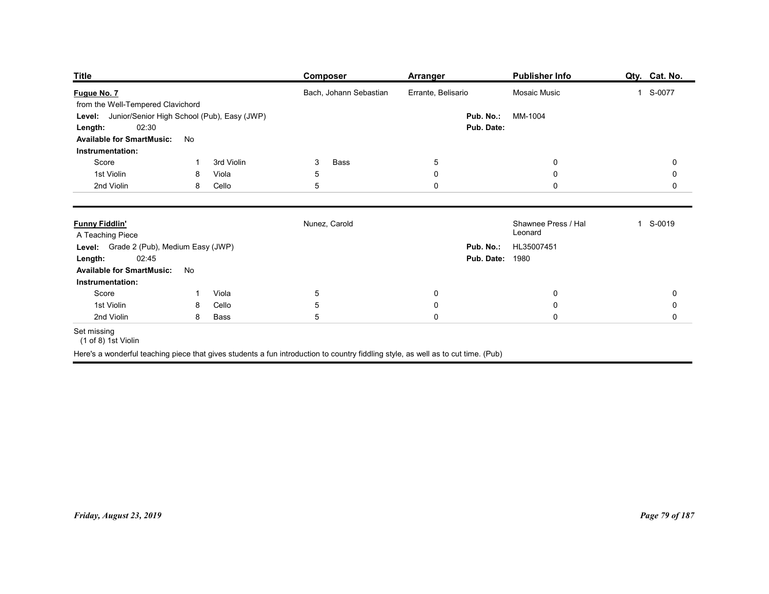| <b>Title</b>                                                                                                            |                                                          | <b>Composer</b>                                                                                                                   | <b>Arranger</b>        |                         | <b>Publisher Info</b>          | Qty. Cat. No.          |
|-------------------------------------------------------------------------------------------------------------------------|----------------------------------------------------------|-----------------------------------------------------------------------------------------------------------------------------------|------------------------|-------------------------|--------------------------------|------------------------|
| Fugue No. 7                                                                                                             |                                                          | Bach, Johann Sebastian                                                                                                            | Errante, Belisario     |                         | Mosaic Music                   | 1 S-0077               |
| from the Well-Tempered Clavichord<br>02:30<br>Length:<br><b>Available for SmartMusic:</b>                               | Level: Junior/Senior High School (Pub), Easy (JWP)<br>No |                                                                                                                                   |                        | Pub. No.:<br>Pub. Date: | MM-1004                        |                        |
| Instrumentation:<br>Score                                                                                               | 3rd Violin<br>-1                                         | Bass<br>3                                                                                                                         | $5\phantom{.0}$        |                         | $\mathbf 0$                    | 0                      |
| 1st Violin                                                                                                              | Viola<br>8                                               | 5                                                                                                                                 | $\boldsymbol{0}$       |                         | $\mathbf 0$                    | 0                      |
| 2nd Violin                                                                                                              | Cello<br>8                                               | 5                                                                                                                                 | $\mathbf 0$            |                         | $\mathsf{0}$                   | 0                      |
| <b>Funny Fiddlin'</b><br>A Teaching Piece                                                                               |                                                          | Nunez, Carold                                                                                                                     |                        |                         | Shawnee Press / Hal<br>Leonard | 1 S-0019               |
| Level: Grade 2 (Pub), Medium Easy (JWP)<br><b>Length:</b> 02:45<br><b>Available for SmartMusic:</b><br>Instrumentation: | No                                                       |                                                                                                                                   |                        | <b>Pub. Date: 1980</b>  | Pub. No.: HL35007451           |                        |
| Score                                                                                                                   | Viola<br>$\mathbf{1}$                                    | $\overline{5}$                                                                                                                    | $\pmb{0}$              |                         | $\mathbf 0$                    | $\pmb{0}$              |
| 1st Violin<br>2nd Violin                                                                                                | Cello<br>8<br>Bass<br>8                                  | $\sqrt{5}$<br>$\overline{5}$                                                                                                      | $\pmb{0}$<br>$\pmb{0}$ |                         | $\mathbf 0$<br>$\pmb{0}$       | $\pmb{0}$<br>$\pmb{0}$ |
| Set missing<br>(1 of 8) 1st Violin                                                                                      |                                                          | Here's a wonderful teaching piece that gives students a fun introduction to country fiddling style, as well as to cut time. (Pub) |                        |                         |                                |                        |

#### Set missing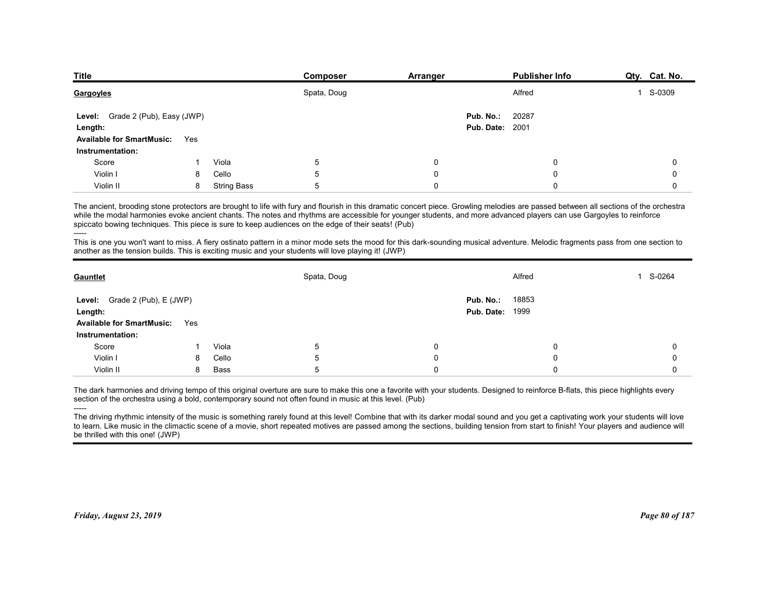| <b>Title</b><br>Composer                                    | Arranger  | <b>Publisher Info</b>  | Qty. Cat. No. |
|-------------------------------------------------------------|-----------|------------------------|---------------|
| Spata, Doug<br>Gargoyles                                    |           | Alfred                 | 1 S-0309      |
| Level: Grade 2 (Pub), Easy (JWP)                            | Pub. No.: | 20287                  |               |
| Length:                                                     |           | <b>Pub. Date: 2001</b> |               |
| <b>Available for SmartMusic:</b><br>Yes<br>Instrumentation: |           |                        |               |
| Score<br>Viola<br>5                                         | 0         | 0                      | 0             |
| Violin I<br>Cello<br>5<br>8                                 | 0         | $\Omega$               | 0             |
| 5<br>Violin II<br>8<br><b>String Bass</b>                   | 0         | $\Omega$               | 0             |

|                                           |     |             | spata, Doug                                                                                                                                                                                                                                                                                                                                                                                                                                                                                                                                                                                                                                                                                                                                                 |             | <b>Altred</b>          | 2-0309      |
|-------------------------------------------|-----|-------------|-------------------------------------------------------------------------------------------------------------------------------------------------------------------------------------------------------------------------------------------------------------------------------------------------------------------------------------------------------------------------------------------------------------------------------------------------------------------------------------------------------------------------------------------------------------------------------------------------------------------------------------------------------------------------------------------------------------------------------------------------------------|-------------|------------------------|-------------|
| Level: Grade 2 (Pub), Easy (JWP)          |     |             |                                                                                                                                                                                                                                                                                                                                                                                                                                                                                                                                                                                                                                                                                                                                                             |             | 20287<br>Pub. No.:     |             |
| Length:                                   |     |             |                                                                                                                                                                                                                                                                                                                                                                                                                                                                                                                                                                                                                                                                                                                                                             |             | <b>Pub. Date: 2001</b> |             |
| <b>Available for SmartMusic:</b>          | Yes |             |                                                                                                                                                                                                                                                                                                                                                                                                                                                                                                                                                                                                                                                                                                                                                             |             |                        |             |
| Instrumentation:                          |     |             |                                                                                                                                                                                                                                                                                                                                                                                                                                                                                                                                                                                                                                                                                                                                                             |             |                        |             |
| Score                                     | -1  | Viola       | 5                                                                                                                                                                                                                                                                                                                                                                                                                                                                                                                                                                                                                                                                                                                                                           | $\mathbf 0$ | $\Omega$               | $\Omega$    |
| Violin I                                  | 8   | Cello       | 5                                                                                                                                                                                                                                                                                                                                                                                                                                                                                                                                                                                                                                                                                                                                                           | $\mathbf 0$ | $\Omega$               | $\mathbf 0$ |
| Violin II                                 | 8   | String Bass | 5                                                                                                                                                                                                                                                                                                                                                                                                                                                                                                                                                                                                                                                                                                                                                           | $\mathbf 0$ | $\Omega$               | $\Omega$    |
|                                           |     |             | The ancient, brooding stone protectors are brought to life with fury and flourish in this dramatic concert piece. Growling melodies are passed between all sections of the orchestra<br>while the modal harmonies evoke ancient chants. The notes and rhythms are accessible for younger students, and more advanced players can use Gargoyles to reinforce<br>spiccato bowing techniques. This piece is sure to keep audiences on the edge of their seats! (Pub)<br>This is one you won't want to miss. A fiery ostinato pattern in a minor mode sets the mood for this dark-sounding musical adventure. Melodic fragments pass from one section to<br>another as the tension builds. This is exciting music and your students will love playing it! (JWP) |             |                        |             |
| Gauntlet                                  |     |             | Spata, Doug                                                                                                                                                                                                                                                                                                                                                                                                                                                                                                                                                                                                                                                                                                                                                 |             | Alfred                 | 1 S-0264    |
| <b>Level:</b> Grade 2 (Pub), $E$ (JWP)    |     |             |                                                                                                                                                                                                                                                                                                                                                                                                                                                                                                                                                                                                                                                                                                                                                             | Pub. No.:   | 18853                  |             |
| Length:                                   |     |             |                                                                                                                                                                                                                                                                                                                                                                                                                                                                                                                                                                                                                                                                                                                                                             |             | Pub. Date:<br>1999     |             |
| <b>Available for SmartMusic:</b>          | Yes |             |                                                                                                                                                                                                                                                                                                                                                                                                                                                                                                                                                                                                                                                                                                                                                             |             |                        |             |
| Instrumentation:                          |     |             |                                                                                                                                                                                                                                                                                                                                                                                                                                                                                                                                                                                                                                                                                                                                                             |             |                        |             |
| Score                                     | -1  | Viola       | 5                                                                                                                                                                                                                                                                                                                                                                                                                                                                                                                                                                                                                                                                                                                                                           | $\mathbf 0$ | 0                      | 0           |
| Violin I                                  | 8   | Cello       | 5                                                                                                                                                                                                                                                                                                                                                                                                                                                                                                                                                                                                                                                                                                                                                           | 0           | $\Omega$               | $\Omega$    |
| Violin II                                 | 8   | Bass        | 5                                                                                                                                                                                                                                                                                                                                                                                                                                                                                                                                                                                                                                                                                                                                                           | $\mathbf 0$ | $\mathbf 0$            | 0           |
| -----<br>be thrilled with this one! (JWP) |     |             | The dark harmonies and driving tempo of this original overture are sure to make this one a favorite with your students. Designed to reinforce B-flats, this piece highlights every<br>section of the orchestra using a bold, contemporary sound not often found in music at this level. (Pub)<br>The driving rhythmic intensity of the music is something rarely found at this level! Combine that with its darker modal sound and you get a captivating work your students will love<br>to learn. Like music in the climactic scene of a movie, short repeated motives are passed among the sections, building tension from start to finish! Your players and audience will                                                                                |             |                        |             |
|                                           |     |             |                                                                                                                                                                                                                                                                                                                                                                                                                                                                                                                                                                                                                                                                                                                                                             |             |                        |             |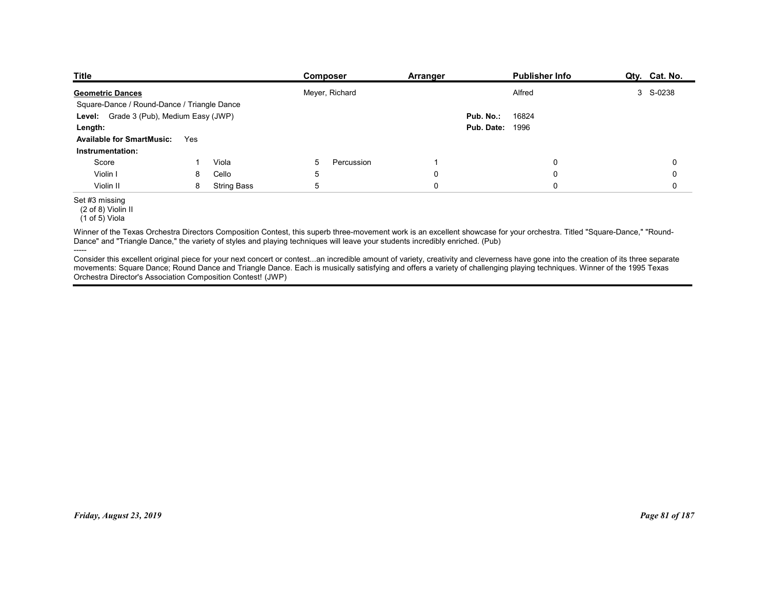| <b>Title</b>                                |     |                    | Composer        | <b>Arranger</b> | <b>Publisher Info</b> | Qty. Cat. No. |
|---------------------------------------------|-----|--------------------|-----------------|-----------------|-----------------------|---------------|
|                                             |     |                    |                 |                 |                       |               |
| <b>Geometric Dances</b>                     |     |                    | Meyer, Richard  |                 | Alfred                | 3 S-0238      |
| Square-Dance / Round-Dance / Triangle Dance |     |                    |                 |                 |                       |               |
| Level: Grade 3 (Pub), Medium Easy (JWP)     |     |                    |                 |                 | Pub. No.:<br>16824    |               |
| Length:                                     |     |                    |                 |                 | 1996<br>Pub. Date:    |               |
| <b>Available for SmartMusic:</b>            | Yes |                    |                 |                 |                       |               |
| Instrumentation:                            |     |                    |                 |                 |                       |               |
| Score                                       | -1  | Viola              | 5<br>Percussion | $\mathbf{1}$    | 0                     | 0             |
| Violin I                                    | 8   | Cello              | 5               | $\mathbf 0$     | $\pmb{0}$             | 0             |
| Violin II                                   | 8   | <b>String Bass</b> | 5               | $\pmb{0}$       | $\mathbf 0$           | $\mathsf{O}$  |

----- Consider this excellent original piece for your next concert or contest...an incredible amount of variety, creativity and cleverness have gone into the creation of its three separate movements: Square Dance; Round Dance and Triangle Dance. Each is musically satisfying and offers a variety of challenging playing techniques. Winner of the 1995 Texas Orchestra Director's Association Composition Contest! (JWP) movements. Stause Danies Tourious Connections. Each is musically salielying and offers a variety of challenging playing lischniques. Winner of the 1985 Texas<br>Orchestra Directors Association Composition Contast! (JWP)<br>Prida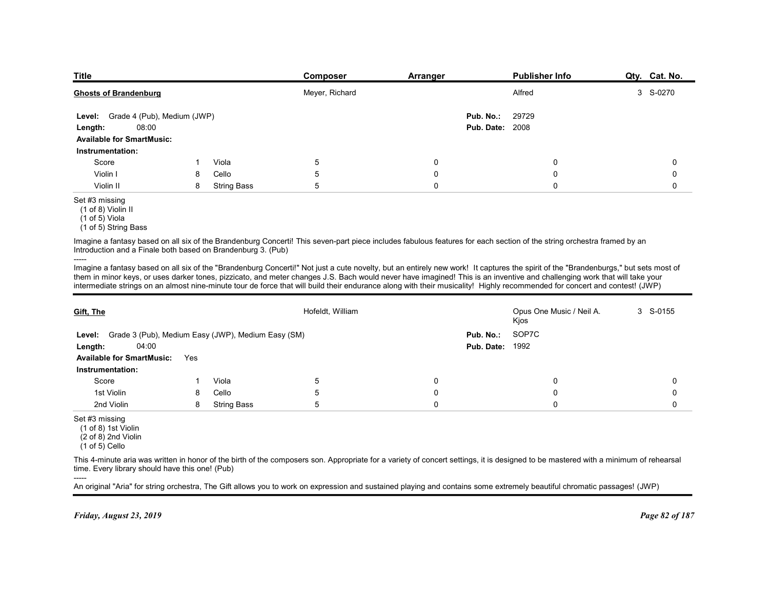| <b>Title</b>                                                                   |        |                             | Composer         | Arranger | Publisher Info                                                                                                                                                                                                                                                                                                                                                   | Qty. Cat. No. |
|--------------------------------------------------------------------------------|--------|-----------------------------|------------------|----------|------------------------------------------------------------------------------------------------------------------------------------------------------------------------------------------------------------------------------------------------------------------------------------------------------------------------------------------------------------------|---------------|
| <b>Ghosts of Brandenburg</b>                                                   |        |                             | Meyer, Richard   |          | Alfred                                                                                                                                                                                                                                                                                                                                                           | 3 S-0270      |
| Level: Grade 4 (Pub), Medium (JWP)                                             |        |                             |                  |          | 29729<br>Pub. No.:                                                                                                                                                                                                                                                                                                                                               |               |
| 08:00<br>Length:<br><b>Available for SmartMusic:</b>                           |        |                             |                  |          | <b>Pub. Date: 2008</b>                                                                                                                                                                                                                                                                                                                                           |               |
| Instrumentation:                                                               |        |                             |                  |          |                                                                                                                                                                                                                                                                                                                                                                  |               |
| Score                                                                          | 1      | Viola                       | 5                | 0        | 0                                                                                                                                                                                                                                                                                                                                                                | 0             |
| Violin I<br>Violin II                                                          | 8<br>8 | Cello<br><b>String Bass</b> | 5<br>5           | 0<br>0   | 0<br>$\mathbf 0$                                                                                                                                                                                                                                                                                                                                                 | 0<br>0        |
| Set #3 missing<br>(1 of 8) Violin II<br>(1 of 5) Viola<br>(1 of 5) String Bass |        |                             |                  |          |                                                                                                                                                                                                                                                                                                                                                                  |               |
| Introduction and a Finale both based on Brandenburg 3. (Pub)                   |        |                             |                  |          | Imagine a fantasy based on all six of the Brandenburg Concerti! This seven-part piece includes fabulous features for each section of the string orchestra framed by an                                                                                                                                                                                           |               |
| -----                                                                          |        |                             |                  |          | Imagine a fantasy based on all six of the "Brandenburg Concerti!" Not just a cute novelty, but an entirely new work! It captures the spirit of the "Brandenburgs," but sets most of<br>them in minor keys, or uses darker tones, pizzicato, and meter changes J.S. Bach would never have imagined! This is an inventive and challenging work that will take your |               |
|                                                                                |        |                             |                  |          | intermediate strings on an almost nine-minute tour de force that will build their endurance along with their musicality! Highly recommended for concert and contest! (JWP)                                                                                                                                                                                       |               |
| Gift, The                                                                      |        |                             | Hofeldt, William |          | Opus One Music / Neil A.<br>Kjos                                                                                                                                                                                                                                                                                                                                 | 3 S-0155      |
| Level: Grade 3 (Pub), Medium Easy (JWP), Medium Easy (SM)                      |        |                             |                  |          | SOP7C<br>Pub. No.:                                                                                                                                                                                                                                                                                                                                               |               |
| 04:00<br>Length:                                                               |        |                             |                  |          | <b>Pub. Date: 1992</b>                                                                                                                                                                                                                                                                                                                                           |               |
| Available for SmartMusic: Yes                                                  |        |                             |                  |          |                                                                                                                                                                                                                                                                                                                                                                  |               |

| Length:<br><b>08:00</b>                                                            |             |                                                    |                  | <b>Pub. Date: 2008</b>                                                                                                                                                                                                                                                                                                                                                                                                                                                                                                                         |                                  |                |
|------------------------------------------------------------------------------------|-------------|----------------------------------------------------|------------------|------------------------------------------------------------------------------------------------------------------------------------------------------------------------------------------------------------------------------------------------------------------------------------------------------------------------------------------------------------------------------------------------------------------------------------------------------------------------------------------------------------------------------------------------|----------------------------------|----------------|
| <b>Available for SmartMusic:</b>                                                   |             |                                                    |                  |                                                                                                                                                                                                                                                                                                                                                                                                                                                                                                                                                |                                  |                |
| Instrumentation:                                                                   |             |                                                    |                  |                                                                                                                                                                                                                                                                                                                                                                                                                                                                                                                                                |                                  |                |
| Score                                                                              | $\mathbf 1$ | Viola                                              | $\,$ 5 $\,$      | $\mathbf 0$                                                                                                                                                                                                                                                                                                                                                                                                                                                                                                                                    | 0                                | 0              |
| Violin I                                                                           | 8           | Cello                                              | 5                | $\mathbf 0$                                                                                                                                                                                                                                                                                                                                                                                                                                                                                                                                    | $\mathbf 0$                      | $\mathbf 0$    |
| Violin II                                                                          | 8           | <b>String Bass</b>                                 | 5                | $\mathbf 0$                                                                                                                                                                                                                                                                                                                                                                                                                                                                                                                                    | $\Omega$                         | 0              |
| Set #3 missing<br>(1 of 8) Violin II<br>$(1 of 5)$ Viola<br>(1 of 5) String Bass   |             |                                                    |                  |                                                                                                                                                                                                                                                                                                                                                                                                                                                                                                                                                |                                  |                |
| Introduction and a Finale both based on Brandenburg 3. (Pub)                       |             |                                                    |                  | Imagine a fantasy based on all six of the Brandenburg Concerti! This seven-part piece includes fabulous features for each section of the string orchestra framed by an                                                                                                                                                                                                                                                                                                                                                                         |                                  |                |
|                                                                                    |             |                                                    |                  | Imagine a fantasy based on all six of the "Brandenburg Concerti!" Not just a cute novelty, but an entirely new work! It captures the spirit of the "Brandenburgs," but sets most of<br>them in minor keys, or uses darker tones, pizzicato, and meter changes J.S. Bach would never have imagined! This is an inventive and challenging work that will take your<br>intermediate strings on an almost nine-minute tour de force that will build their endurance along with their musicality! Highly recommended for concert and contest! (JWP) |                                  |                |
| Gift, The                                                                          |             |                                                    | Hofeldt, William |                                                                                                                                                                                                                                                                                                                                                                                                                                                                                                                                                | Opus One Music / Neil A.<br>Kjos | 3 S-0155       |
| Level:                                                                             |             | Grade 3 (Pub), Medium Easy (JWP), Medium Easy (SM) |                  | Pub. No.:                                                                                                                                                                                                                                                                                                                                                                                                                                                                                                                                      | SOP7C                            |                |
| 04:00<br>Length:                                                                   |             |                                                    |                  | <b>Pub. Date: 1992</b>                                                                                                                                                                                                                                                                                                                                                                                                                                                                                                                         |                                  |                |
| <b>Available for SmartMusic:</b>                                                   | Yes         |                                                    |                  |                                                                                                                                                                                                                                                                                                                                                                                                                                                                                                                                                |                                  |                |
| Instrumentation:                                                                   |             |                                                    |                  |                                                                                                                                                                                                                                                                                                                                                                                                                                                                                                                                                |                                  |                |
| Score                                                                              | 1           | Viola                                              | 5                | $\mathbf 0$                                                                                                                                                                                                                                                                                                                                                                                                                                                                                                                                    | 0                                | 0              |
| 1st Violin                                                                         | 8           | Cello                                              | 5                | $\mathbf 0$                                                                                                                                                                                                                                                                                                                                                                                                                                                                                                                                    | $\mathbf 0$                      | $\Omega$       |
| 2nd Violin                                                                         | 8           | <b>String Bass</b>                                 | 5                | $\mathbf 0$                                                                                                                                                                                                                                                                                                                                                                                                                                                                                                                                    | $\Omega$                         | $\Omega$       |
| Set #3 missing<br>$(1 of 8)$ 1st Violin<br>(2 of 8) 2nd Violin<br>$(1 of 5)$ Cello |             |                                                    |                  |                                                                                                                                                                                                                                                                                                                                                                                                                                                                                                                                                |                                  |                |
| time. Every library should have this one! (Pub)                                    |             |                                                    |                  | This 4-minute aria was written in honor of the birth of the composers son. Appropriate for a variety of concert settings, it is designed to be mastered with a minimum of rehearsal                                                                                                                                                                                                                                                                                                                                                            |                                  |                |
|                                                                                    |             |                                                    |                  | An original "Aria" for string orchestra, The Gift allows you to work on expression and sustained playing and contains some extremely beautiful chromatic passages! (JWP)                                                                                                                                                                                                                                                                                                                                                                       |                                  |                |
|                                                                                    |             |                                                    |                  |                                                                                                                                                                                                                                                                                                                                                                                                                                                                                                                                                |                                  |                |
| Friday, August 23, 2019                                                            |             |                                                    |                  |                                                                                                                                                                                                                                                                                                                                                                                                                                                                                                                                                |                                  | Page 82 of 187 |
|                                                                                    |             |                                                    |                  |                                                                                                                                                                                                                                                                                                                                                                                                                                                                                                                                                |                                  |                |
|                                                                                    |             |                                                    |                  |                                                                                                                                                                                                                                                                                                                                                                                                                                                                                                                                                |                                  |                |
|                                                                                    |             |                                                    |                  |                                                                                                                                                                                                                                                                                                                                                                                                                                                                                                                                                |                                  |                |
|                                                                                    |             |                                                    |                  |                                                                                                                                                                                                                                                                                                                                                                                                                                                                                                                                                |                                  |                |

 <sup>(1</sup> of 8) Violin II

 $(1$  of 5) Viola

 <sup>(1</sup> of 5) String Bass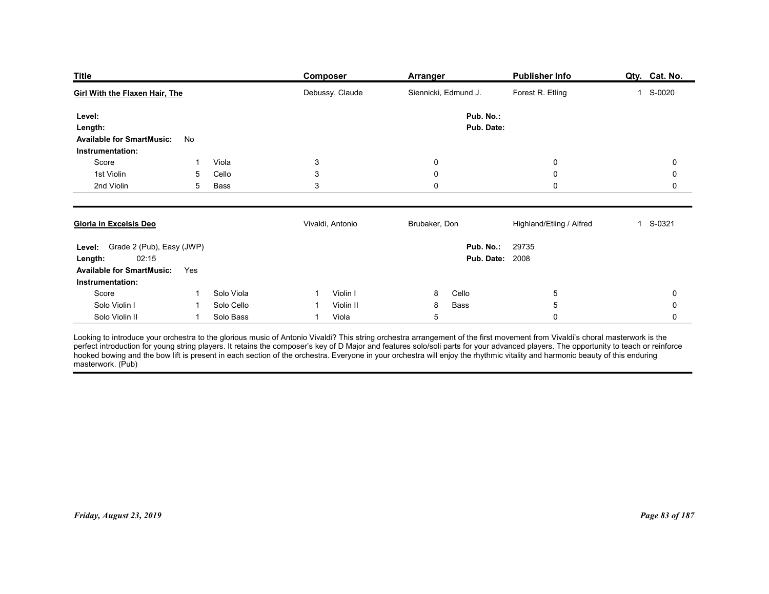| <b>Title</b><br>Publisher Info<br>Qty. Cat. No.<br><b>Composer</b><br><b>Arranger</b><br>Debussy, Claude<br>Siennicki, Edmund J.<br>Forest R. Etling<br>1 S-0020                                                                                       |                |
|--------------------------------------------------------------------------------------------------------------------------------------------------------------------------------------------------------------------------------------------------------|----------------|
| <b>Girl With the Flaxen Hair, The</b>                                                                                                                                                                                                                  |                |
|                                                                                                                                                                                                                                                        |                |
| Pub. No.:<br>Level:<br>Pub. Date:<br>Length:<br><b>Available for SmartMusic:</b><br>No<br>Instrumentation:                                                                                                                                             |                |
| Score<br>Viola<br>$\mathbf{3}$<br>0<br>0                                                                                                                                                                                                               | 0              |
| 1st Violin<br>$\mathsf 3$<br>Cello<br>$\boldsymbol{0}$<br>$\mathbf 0$<br>5<br>2nd Violin<br>3<br>0<br>$\mathbf 0$<br>5<br>Bass                                                                                                                         | 0<br>0         |
| Vivaldi, Antonio<br>Brubaker, Don<br>Highland/Etling / Alfred<br>1 S-0321<br>Gloria in Excelsis Deo                                                                                                                                                    |                |
| Level: Grade 2 (Pub), Easy (JWP)<br>Pub. No.:<br>29735<br><b>Pub. Date: 2008</b><br>02:15<br>Length:<br><b>Available for SmartMusic:</b><br>Yes<br>Instrumentation:                                                                                    |                |
| Solo Viola<br>$\sqrt{5}$<br>Score<br>Violin I<br>Cello<br>8<br>-1<br>$\mathbf{1}$<br>Bass<br>$\,$ 5 $\,$<br>Solo Violin I<br>Solo Cello<br>Violin II<br>8<br>-1<br>-1                                                                                  | 0<br>$\pmb{0}$ |
| Viola<br>$\overline{5}$<br>$\mathbf 0$<br>Solo Violin II<br>Solo Bass<br>$\mathbf{1}$<br>$\mathbf{1}$                                                                                                                                                  | $\mathbf 0$    |
| Looking to introduce your orchestra to the glorious music of Antonio Vivaldi? This string orchestra arrangement of the first movement from Vivaldi's choral masterwork is the<br>perfect introduction for young string players. I<br>masterwork. (Pub) |                |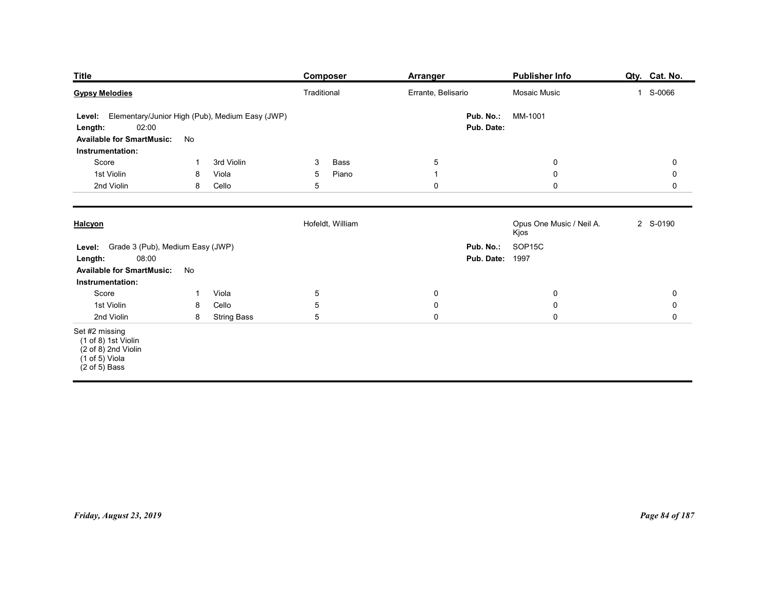| <b>Title</b>                                                                                                          |                                                       | <b>Composer</b>          | Arranger                      | <b>Publisher Info</b>                      | Qty. Cat. No.          |
|-----------------------------------------------------------------------------------------------------------------------|-------------------------------------------------------|--------------------------|-------------------------------|--------------------------------------------|------------------------|
| <b>Gypsy Melodies</b>                                                                                                 |                                                       | Traditional              | Errante, Belisario            | Mosaic Music                               | 1 S-0066               |
| Level:<br>02:00<br>Length:<br><b>Available for SmartMusic:</b><br>Instrumentation:                                    | Elementary/Junior High (Pub), Medium Easy (JWP)<br>No |                          | Pub. No.:<br>Pub. Date:       | MM-1001                                    |                        |
| Score                                                                                                                 | 3rd Violin<br>-1                                      | Bass<br>3                | $\sqrt{5}$                    | $\overline{0}$                             | $\mathbf 0$            |
| 1st Violin<br>2nd Violin                                                                                              | Viola<br>8<br>Cello<br>8                              | 5<br>Piano<br>5          | $\overline{1}$<br>$\mathbf 0$ | $\overline{0}$<br>$\mathsf 0$              | 0<br>$\mathbf 0$       |
| Halcyon                                                                                                               |                                                       | Hofeldt, William         |                               | Opus One Music / Neil A.<br>Kjos           | 2 S-0190               |
| Level: Grade 3 (Pub), Medium Easy (JWP)<br>08:00<br>Length:<br><b>Available for SmartMusic:</b><br>Instrumentation:   | No                                                    |                          |                               | Pub. No.: SOP15C<br><b>Pub. Date: 1997</b> |                        |
| Score<br>1st Violin                                                                                                   | Viola<br>$\mathbf{1}$<br>Cello<br>8                   | $\sqrt{5}$<br>$\sqrt{5}$ | $\pmb{0}$<br>$\pmb{0}$        | $\overline{0}$<br>$\mathbf 0$              | $\pmb{0}$<br>$\pmb{0}$ |
| 2nd Violin                                                                                                            | 8<br><b>String Bass</b>                               | $\overline{5}$           | $\pmb{0}$                     | $\mathbf 0$                                | $\mathbf 0$            |
| Set #2 missing<br>(1 of 8) 1st Violin<br>(2 of 8) 2nd Violin<br>$(1 \text{ of } 5)$ Viola<br>$(2 \text{ of } 5)$ Bass |                                                       |                          |                               |                                            |                        |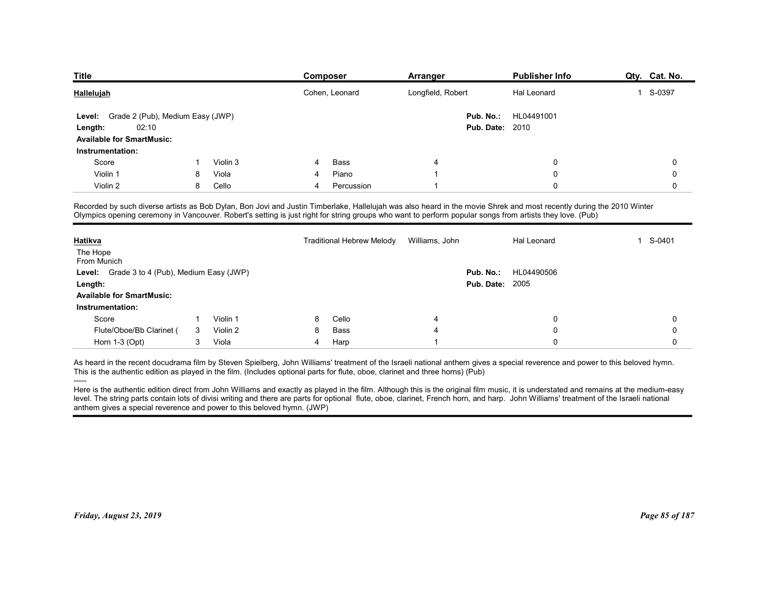| <b>Title</b>                                      |              |                     |   | Composer                         | Arranger          | <b>Publisher Info</b>                                                                                                                                                                                                                                                                                                            | Qty. Cat. No.            |
|---------------------------------------------------|--------------|---------------------|---|----------------------------------|-------------------|----------------------------------------------------------------------------------------------------------------------------------------------------------------------------------------------------------------------------------------------------------------------------------------------------------------------------------|--------------------------|
| Hallelujah                                        |              |                     |   | Cohen, Leonard                   | Longfield, Robert | Hal Leonard                                                                                                                                                                                                                                                                                                                      | S-0397<br>$\overline{1}$ |
| Grade 2 (Pub), Medium Easy (JWP)<br><b>Level:</b> |              |                     |   |                                  | Pub. No.:         | HL04491001                                                                                                                                                                                                                                                                                                                       |                          |
| 02:10<br>Length:                                  |              |                     |   |                                  |                   | <b>Pub. Date: 2010</b>                                                                                                                                                                                                                                                                                                           |                          |
| <b>Available for SmartMusic:</b>                  |              |                     |   |                                  |                   |                                                                                                                                                                                                                                                                                                                                  |                          |
| Instrumentation:                                  |              |                     |   |                                  |                   |                                                                                                                                                                                                                                                                                                                                  |                          |
| Score                                             |              | Violin 3            |   | Bass                             | 4                 | $\Omega$                                                                                                                                                                                                                                                                                                                         | 0                        |
| Violin 1                                          | 8            | Viola               | 4 | Piano                            |                   | $\Omega$                                                                                                                                                                                                                                                                                                                         | 0                        |
| Violin 2                                          | 8            | Cello               | 4 | Percussion                       |                   | $\Omega$                                                                                                                                                                                                                                                                                                                         | 0                        |
|                                                   |              |                     |   |                                  |                   | Recorded by such diverse artists as Bob Dylan, Bon Jovi and Justin Timberlake, Hallelujah was also heard in the movie Shrek and most recently during the 2010 Winter<br>Olympics opening ceremony in Vancouver. Robert's setting is just right for string groups who want to perform popular songs from artists they love. (Pub) |                          |
| Hatikva                                           |              |                     |   | <b>Traditional Hebrew Melody</b> | Williams, John    | Hal Leonard                                                                                                                                                                                                                                                                                                                      | S-0401<br>1              |
|                                                   |              |                     |   |                                  |                   |                                                                                                                                                                                                                                                                                                                                  |                          |
|                                                   |              |                     |   |                                  |                   |                                                                                                                                                                                                                                                                                                                                  |                          |
| The Hope<br>From Munich                           |              |                     |   |                                  | Pub. No.:         | HL04490506                                                                                                                                                                                                                                                                                                                       |                          |
| Level: Grade 3 to 4 (Pub), Medium Easy (JWP)      |              |                     |   |                                  |                   | <b>Pub. Date: 2005</b>                                                                                                                                                                                                                                                                                                           |                          |
| Length:                                           |              |                     |   |                                  |                   |                                                                                                                                                                                                                                                                                                                                  |                          |
| <b>Available for SmartMusic:</b>                  |              |                     |   |                                  |                   |                                                                                                                                                                                                                                                                                                                                  |                          |
| Instrumentation:                                  |              |                     |   |                                  |                   |                                                                                                                                                                                                                                                                                                                                  |                          |
| Score                                             | $\mathbf{1}$ | Violin 1            | 8 | Cello                            |                   | $\Omega$                                                                                                                                                                                                                                                                                                                         | 0                        |
| Flute/Oboe/Bb Clarinet (<br>Horn 1-3 (Opt)        | 3            | Violin 2<br>3 Viola | 8 | Bass<br>Harp                     |                   | 0                                                                                                                                                                                                                                                                                                                                | 0                        |

| Hallelujah<br>Grade 2 (Pub), Medium Easy (JWP)<br>Level:                                                                                                                                                                                                                                                                                                                                                                                                                                                                                                                                                                                                                                                                                                                    |    |          |   |                                  | Arranger                |                                      |             |
|-----------------------------------------------------------------------------------------------------------------------------------------------------------------------------------------------------------------------------------------------------------------------------------------------------------------------------------------------------------------------------------------------------------------------------------------------------------------------------------------------------------------------------------------------------------------------------------------------------------------------------------------------------------------------------------------------------------------------------------------------------------------------------|----|----------|---|----------------------------------|-------------------------|--------------------------------------|-------------|
|                                                                                                                                                                                                                                                                                                                                                                                                                                                                                                                                                                                                                                                                                                                                                                             |    |          |   | Cohen, Leonard                   | Longfield, Robert       | Hal Leonard                          | 1 S-0397    |
| 02:10<br>Length:<br><b>Available for SmartMusic:</b><br>Instrumentation:                                                                                                                                                                                                                                                                                                                                                                                                                                                                                                                                                                                                                                                                                                    |    |          |   |                                  | Pub. No.:               | HL04491001<br><b>Pub. Date: 2010</b> |             |
| Score                                                                                                                                                                                                                                                                                                                                                                                                                                                                                                                                                                                                                                                                                                                                                                       |    | Violin 3 |   | Bass                             | -4                      | 0                                    | $\mathbf 0$ |
| Violin 1                                                                                                                                                                                                                                                                                                                                                                                                                                                                                                                                                                                                                                                                                                                                                                    | 8  | Viola    |   | Piano                            | $\overline{\mathbf{1}}$ | $\mathbf 0$                          | 0           |
| Violin 2                                                                                                                                                                                                                                                                                                                                                                                                                                                                                                                                                                                                                                                                                                                                                                    | 8  | Cello    | 4 | Percussion                       | -1                      | 0                                    | 0           |
| Recorded by such diverse artists as Bob Dylan, Bon Jovi and Justin Timberlake, Hallelujah was also heard in the movie Shrek and most recently during the 2010 Winter<br>Olympics opening ceremony in Vancouver. Robert's setting is just right for string groups who want to perform popular songs from artists they love. (Pub)                                                                                                                                                                                                                                                                                                                                                                                                                                            |    |          |   |                                  |                         |                                      |             |
| <u>Hatikva</u>                                                                                                                                                                                                                                                                                                                                                                                                                                                                                                                                                                                                                                                                                                                                                              |    |          |   | <b>Traditional Hebrew Melody</b> | Williams, John          | Hal Leonard                          | 1 S-0401    |
| The Hope<br>From Munich                                                                                                                                                                                                                                                                                                                                                                                                                                                                                                                                                                                                                                                                                                                                                     |    |          |   |                                  |                         |                                      |             |
| Level: Grade 3 to 4 (Pub), Medium Easy (JWP)                                                                                                                                                                                                                                                                                                                                                                                                                                                                                                                                                                                                                                                                                                                                |    |          |   |                                  | Pub. No.:               | HL04490506                           |             |
| Length:                                                                                                                                                                                                                                                                                                                                                                                                                                                                                                                                                                                                                                                                                                                                                                     |    |          |   |                                  |                         | <b>Pub. Date: 2005</b>               |             |
| <b>Available for SmartMusic:</b>                                                                                                                                                                                                                                                                                                                                                                                                                                                                                                                                                                                                                                                                                                                                            |    |          |   |                                  |                         |                                      |             |
| Instrumentation:                                                                                                                                                                                                                                                                                                                                                                                                                                                                                                                                                                                                                                                                                                                                                            |    |          |   |                                  |                         |                                      |             |
| Score                                                                                                                                                                                                                                                                                                                                                                                                                                                                                                                                                                                                                                                                                                                                                                       | -1 | Violin 1 | 8 | Cello                            | 4                       | 0                                    | $\Omega$    |
| Flute/Oboe/Bb Clarinet (                                                                                                                                                                                                                                                                                                                                                                                                                                                                                                                                                                                                                                                                                                                                                    | 3  | Violin 2 | 8 | Bass                             | $\overline{4}$          | 0                                    | 0           |
| Horn 1-3 (Opt)                                                                                                                                                                                                                                                                                                                                                                                                                                                                                                                                                                                                                                                                                                                                                              | 3  | Viola    | 4 | Harp                             | $\overline{\mathbf{1}}$ | $\Omega$                             | $\Omega$    |
| As heard in the recent docudrama film by Steven Spielberg, John Williams' treatment of the Israeli national anthem gives a special reverence and power to this beloved hymn.<br>This is the authentic edition as played in the film. (Includes optional parts for flute, oboe, clarinet and three horns) (Pub)<br>Here is the authentic edition direct from John Williams and exactly as played in the film. Although this is the original film music, it is understated and remains at the medium-easy<br>level. The string parts contain lots of divisi writing and there are parts for optional flute, oboe, clarinet, French horn, and harp. John Williams' treatment of the Israeli national<br>anthem gives a special reverence and power to this beloved hymn. (JWP) |    |          |   |                                  |                         |                                      |             |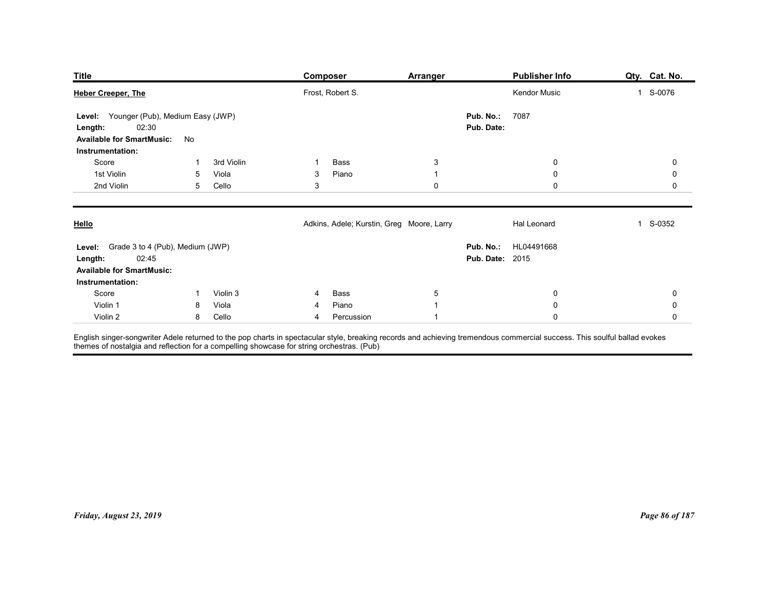| <b>Title</b><br><b>Publisher Info</b><br><b>Composer</b><br><b>Arranger</b><br>Frost, Robert S.<br>Kendor Music<br>1 S-0076<br>Level: Younger (Pub), Medium Easy (JWP)<br>Pub. No.:<br>7087<br>02:30<br>Pub. Date:<br>Length:    | Qty. Cat. No.            |
|----------------------------------------------------------------------------------------------------------------------------------------------------------------------------------------------------------------------------------|--------------------------|
| <b>Heber Creeper, The</b>                                                                                                                                                                                                        |                          |
|                                                                                                                                                                                                                                  |                          |
| <b>Available for SmartMusic:</b><br>No                                                                                                                                                                                           |                          |
| Instrumentation:<br>Score<br>3rd Violin<br>Bass<br>$\mathbf{3}$<br>0<br>-1                                                                                                                                                       | 0                        |
| 1st Violin<br>Viola<br>Piano<br>$\mathbf 0$<br>5<br>3<br>$\overline{1}$<br>2nd Violin<br>Cello<br>3<br>$\mathbf 0$<br>5                                                                                                          | 0<br>0                   |
| $\boldsymbol{0}$                                                                                                                                                                                                                 |                          |
| Adkins, Adele; Kurstin, Greg Moore, Larry<br>Hello<br>Hal Leonard                                                                                                                                                                | 1 S-0352                 |
| Level: Grade 3 to 4 (Pub), Medium (JWP)<br>Pub. No.: HL04491668<br><b>Pub. Date: 2015</b><br>02:45<br>Length:<br><b>Available for SmartMusic:</b><br>Instrumentation:                                                            |                          |
| Score<br>$\overline{5}$<br>Violin 3<br>Bass<br>$\bf{0}$<br>$\overline{4}$<br>$\mathbf{1}$                                                                                                                                        | 0                        |
| Piano<br>Violin 1<br>Viola<br>$\mathbf 0$<br>$\mathbf{1}$<br>8<br>4<br>8 Cello<br>$\mathbf 0$<br>Violin 2<br>Percussion<br>$\overline{4}$<br>$\overline{1}$                                                                      | $\pmb{0}$<br>$\mathbf 0$ |
| English singer-songwriter Adele returned to the pop charts in spectacular style, breaking records and achieving tremendous commercial success. This soulful ballad evokes<br>themes of nostalgia and reflection for a compelling |                          |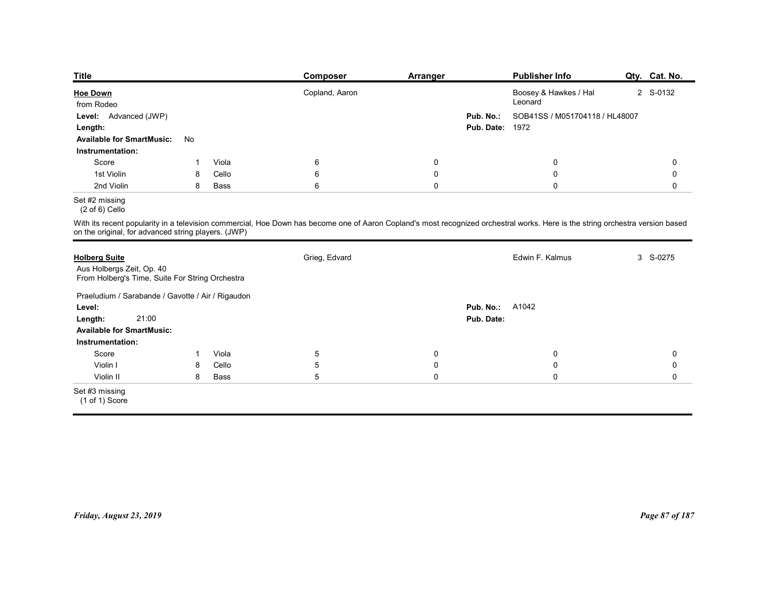| <b>Title</b>                                                                                         |             |       | <b>Composer</b>                                                                                                                                                                | Arranger    |                                     | <b>Publisher Info</b>          | Qty. Cat. No. |
|------------------------------------------------------------------------------------------------------|-------------|-------|--------------------------------------------------------------------------------------------------------------------------------------------------------------------------------|-------------|-------------------------------------|--------------------------------|---------------|
| <b>Hoe Down</b>                                                                                      |             |       | Copland, Aaron                                                                                                                                                                 |             |                                     | Boosey & Hawkes / Hal          | 2 S-0132      |
| from Rodeo                                                                                           |             |       |                                                                                                                                                                                |             |                                     | Leonard                        |               |
| Level: Advanced (JWP)                                                                                |             |       |                                                                                                                                                                                |             | Pub. No.:<br><b>Pub. Date: 1972</b> | SOB41SS / M051704118 / HL48007 |               |
| Length:<br><b>Available for SmartMusic:</b>                                                          | No          |       |                                                                                                                                                                                |             |                                     |                                |               |
| Instrumentation:                                                                                     |             |       |                                                                                                                                                                                |             |                                     |                                |               |
| Score                                                                                                | $\mathbf 1$ | Viola | 6                                                                                                                                                                              | 0           |                                     | $\mathsf{0}$                   | 0             |
| 1st Violin                                                                                           | 8           | Cello | 6                                                                                                                                                                              | $\mathbf 0$ |                                     | $\mathbf 0$                    | 0             |
| 2nd Violin                                                                                           | 8           | Bass  | 6                                                                                                                                                                              | $\pmb{0}$   |                                     | $\mathsf 0$                    | $\mathbf 0$   |
| Set #2 missing<br>$(2 \text{ of } 6)$ Cello                                                          |             |       |                                                                                                                                                                                |             |                                     |                                |               |
|                                                                                                      |             |       | With its recent popularity in a television commercial, Hoe Down has become one of Aaron Copland's most recognized orchestral works. Here is the string orchestra version based |             |                                     |                                |               |
| on the original, for advanced string players. (JWP)                                                  |             |       |                                                                                                                                                                                |             |                                     |                                | 3 S-0275      |
|                                                                                                      |             |       |                                                                                                                                                                                |             |                                     | Edwin F. Kalmus                |               |
| <b>Holberg Suite</b><br>Aus Holbergs Zeit, Op. 40<br>From Holberg's Time, Suite For String Orchestra |             |       | Grieg, Edvard                                                                                                                                                                  |             |                                     |                                |               |
| Praeludium / Sarabande / Gavotte / Air / Rigaudon                                                    |             |       |                                                                                                                                                                                |             |                                     |                                |               |
| Level:<br>21.00<br>Langth:                                                                           |             |       |                                                                                                                                                                                |             | <b>Pub. No.: A1042</b><br>Pub Date: |                                |               |

# Set #2 missing

| from Rodeo                                                                   |              |               |                                                                                                                                                                                |                          |                        | Leonard                        |                            |
|------------------------------------------------------------------------------|--------------|---------------|--------------------------------------------------------------------------------------------------------------------------------------------------------------------------------|--------------------------|------------------------|--------------------------------|----------------------------|
| Level: Advanced (JWP)                                                        |              |               |                                                                                                                                                                                |                          | Pub. No.:              | SOB41SS / M051704118 / HL48007 |                            |
| Length:                                                                      |              |               |                                                                                                                                                                                |                          | <b>Pub. Date: 1972</b> |                                |                            |
| <b>Available for SmartMusic:</b>                                             | No           |               |                                                                                                                                                                                |                          |                        |                                |                            |
| Instrumentation:                                                             |              |               |                                                                                                                                                                                |                          |                        |                                |                            |
| Score                                                                        | $\mathbf{1}$ | Viola         | $\,6\,$                                                                                                                                                                        | $\pmb{0}$                |                        | $\pmb{0}$                      | $\mathsf 0$                |
| 1st Violin                                                                   | 8            | Cello         | $\,6\,$                                                                                                                                                                        | $\pmb{0}$                |                        | $\pmb{0}$                      | $\mathbf 0$                |
| 2nd Violin                                                                   | 8            | Bass          | $6\phantom{1}6$                                                                                                                                                                | $\mathbf 0$              |                        | $\mathbf 0$                    | $\mathsf{O}$               |
| Set #2 missing<br>$(2 \text{ of } 6)$ Cello                                  |              |               |                                                                                                                                                                                |                          |                        |                                |                            |
| on the original, for advanced string players. (JWP)                          |              |               | With its recent popularity in a television commercial, Hoe Down has become one of Aaron Copland's most recognized orchestral works. Here is the string orchestra version based |                          |                        |                                |                            |
| <b>Holberg Suite</b>                                                         |              |               | Grieg, Edvard                                                                                                                                                                  |                          |                        | Edwin F. Kalmus                | 3 S-0275                   |
| Aus Holbergs Zeit, Op. 40<br>From Holberg's Time, Suite For String Orchestra |              |               |                                                                                                                                                                                |                          |                        |                                |                            |
| Praeludium / Sarabande / Gavotte / Air / Rigaudon                            |              |               |                                                                                                                                                                                |                          |                        |                                |                            |
| Level:                                                                       |              |               |                                                                                                                                                                                |                          | <b>Pub. No.: A1042</b> |                                |                            |
| 21:00<br>Length:                                                             |              |               |                                                                                                                                                                                |                          | Pub. Date:             |                                |                            |
| <b>Available for SmartMusic:</b>                                             |              |               |                                                                                                                                                                                |                          |                        |                                |                            |
| Instrumentation:                                                             |              |               |                                                                                                                                                                                |                          |                        |                                |                            |
| Score                                                                        | $\mathbf{1}$ | Viola         | $\overline{5}$                                                                                                                                                                 | $\mathbf 0$              |                        | $\mathbf 0$                    | $\mathbf 0$                |
| Violin I<br>Violin II                                                        | 8<br>8       | Cello<br>Bass | $\sqrt{5}$<br>$\sqrt{5}$                                                                                                                                                       | $\pmb{0}$<br>$\mathbf 0$ |                        | $\pmb{0}$<br>$\mathbf 0$       | $\mathbf 0$<br>$\mathbf 0$ |
|                                                                              |              |               |                                                                                                                                                                                |                          |                        |                                |                            |
| Set #3 missing<br>(1 of 1) Score                                             |              |               |                                                                                                                                                                                |                          |                        |                                |                            |
|                                                                              |              |               |                                                                                                                                                                                |                          |                        |                                |                            |
|                                                                              |              |               |                                                                                                                                                                                |                          |                        |                                |                            |
| Friday, August 23, 2019                                                      |              |               |                                                                                                                                                                                |                          |                        |                                | Page 87 of 187             |
|                                                                              |              |               |                                                                                                                                                                                |                          |                        |                                |                            |
|                                                                              |              |               |                                                                                                                                                                                |                          |                        |                                |                            |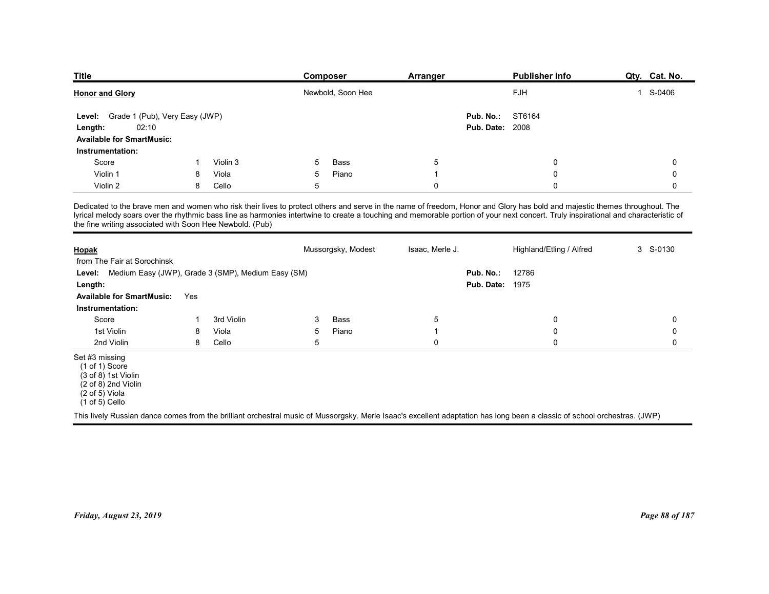| <b>Title</b>                                              |     |          | Composer           | Arranger        | <b>Publisher Info</b>                                                                                                                                                                                                                                                                                                                                             | Qty. Cat. No. |
|-----------------------------------------------------------|-----|----------|--------------------|-----------------|-------------------------------------------------------------------------------------------------------------------------------------------------------------------------------------------------------------------------------------------------------------------------------------------------------------------------------------------------------------------|---------------|
| <b>Honor and Glory</b>                                    |     |          | Newbold, Soon Hee  |                 | FJH                                                                                                                                                                                                                                                                                                                                                               | 1 S-0406      |
|                                                           |     |          |                    |                 |                                                                                                                                                                                                                                                                                                                                                                   |               |
| Level: Grade 1 (Pub), Very Easy (JWP)<br>02:10<br>Length: |     |          |                    | Pub. No.:       | ST6164<br><b>Pub. Date: 2008</b>                                                                                                                                                                                                                                                                                                                                  |               |
| <b>Available for SmartMusic:</b>                          |     |          |                    |                 |                                                                                                                                                                                                                                                                                                                                                                   |               |
| Instrumentation:                                          |     |          |                    |                 |                                                                                                                                                                                                                                                                                                                                                                   |               |
| Score                                                     | -1  | Violin 3 | <b>Bass</b><br>5   | 5               | $\mathbf 0$                                                                                                                                                                                                                                                                                                                                                       | 0             |
| Violin 1                                                  | 8   | Viola    | Piano<br>5         | $\overline{1}$  | $\mathbf 0$                                                                                                                                                                                                                                                                                                                                                       | $\mathbf 0$   |
|                                                           | 8   | Cello    | 5                  | $\mathbf 0$     | $\mathbf 0$                                                                                                                                                                                                                                                                                                                                                       | 0             |
| Violin 2                                                  |     |          |                    |                 | Dedicated to the brave men and women who risk their lives to protect others and serve in the name of freedom, Honor and Glory has bold and majestic themes throughout. The<br>lyrical melody soars over the rhythmic bass line as harmonies intertwine to create a touching and memorable portion of your next concert. Truly inspirational and characteristic of |               |
| the fine writing associated with Soon Hee Newbold. (Pub)  |     |          |                    |                 |                                                                                                                                                                                                                                                                                                                                                                   |               |
|                                                           |     |          |                    |                 |                                                                                                                                                                                                                                                                                                                                                                   |               |
| <b>Hopak</b>                                              |     |          | Mussorgsky, Modest | Isaac, Merle J. | Highland/Etling / Alfred                                                                                                                                                                                                                                                                                                                                          | 3 S-0130      |
| from The Fair at Sorochinsk                               |     |          |                    |                 |                                                                                                                                                                                                                                                                                                                                                                   |               |
| Level: Medium Easy (JWP), Grade 3 (SMP), Medium Easy (SM) |     |          |                    | Pub. No.:       | 12786                                                                                                                                                                                                                                                                                                                                                             |               |
| Length:<br><b>Available for SmartMusic:</b>               | Yes |          |                    |                 | <b>Pub. Date: 1975</b>                                                                                                                                                                                                                                                                                                                                            |               |

| <b>Title</b>                                                                                                                      |     |            | Composer                                                                                                                                                                                                                                                                                                                                                          | <b>Arranger</b> |                                     | <b>Publisher Info</b>    | Qty. Cat. No.  |
|-----------------------------------------------------------------------------------------------------------------------------------|-----|------------|-------------------------------------------------------------------------------------------------------------------------------------------------------------------------------------------------------------------------------------------------------------------------------------------------------------------------------------------------------------------|-----------------|-------------------------------------|--------------------------|----------------|
| <b>Honor and Glory</b>                                                                                                            |     |            | Newbold, Soon Hee                                                                                                                                                                                                                                                                                                                                                 |                 |                                     | FJH                      | 1 S-0406       |
| Grade 1 (Pub), Very Easy (JWP)<br>Level:<br>02:10<br>Length:<br><b>Available for SmartMusic:</b>                                  |     |            |                                                                                                                                                                                                                                                                                                                                                                   |                 | Pub. No.:<br><b>Pub. Date: 2008</b> | ST6164                   |                |
| Instrumentation:<br>Score                                                                                                         |     | Violin 3   | Bass<br>5                                                                                                                                                                                                                                                                                                                                                         |                 |                                     |                          | 0              |
| Violin 1                                                                                                                          | 8   | Viola      | Piano<br>5                                                                                                                                                                                                                                                                                                                                                        | 5<br>-1         |                                     | 0<br>0                   | 0              |
| Violin 2                                                                                                                          | 8   | Cello      | 5                                                                                                                                                                                                                                                                                                                                                                 | $\mathbf 0$     |                                     | $\Omega$                 | 0              |
| the fine writing associated with Soon Hee Newbold. (Pub)                                                                          |     |            | Dedicated to the brave men and women who risk their lives to protect others and serve in the name of freedom, Honor and Glory has bold and majestic themes throughout. The<br>lyrical melody soars over the rhythmic bass line as harmonies intertwine to create a touching and memorable portion of your next concert. Truly inspirational and characteristic of |                 |                                     |                          |                |
| Hopak<br>from The Fair at Sorochinsk                                                                                              |     |            | Mussorgsky, Modest                                                                                                                                                                                                                                                                                                                                                | Isaac, Merle J. |                                     | Highland/Etling / Alfred | 3 S-0130       |
| Medium Easy (JWP), Grade 3 (SMP), Medium Easy (SM)<br>Level:                                                                      |     |            |                                                                                                                                                                                                                                                                                                                                                                   |                 | Pub. No.:                           | 12786                    |                |
| Length:                                                                                                                           |     |            |                                                                                                                                                                                                                                                                                                                                                                   |                 | <b>Pub. Date: 1975</b>              |                          |                |
| <b>Available for SmartMusic:</b>                                                                                                  | Yes |            |                                                                                                                                                                                                                                                                                                                                                                   |                 |                                     |                          |                |
| Instrumentation:                                                                                                                  |     |            |                                                                                                                                                                                                                                                                                                                                                                   |                 |                                     |                          |                |
| Score                                                                                                                             |     | 3rd Violin | Bass<br>3                                                                                                                                                                                                                                                                                                                                                         | $\sqrt{5}$      |                                     | 0                        | 0              |
| 1st Violin                                                                                                                        | 8   | Viola      | Piano<br>5                                                                                                                                                                                                                                                                                                                                                        | -1              |                                     | 0                        | 0              |
| 2nd Violin                                                                                                                        | 8   | Cello      | 5                                                                                                                                                                                                                                                                                                                                                                 | $\mathbf 0$     |                                     | $\mathbf 0$              | 0              |
| Set #3 missing<br>$(1 of 1)$ Score<br>(3 of 8) 1st Violin<br>$(2 \text{ of } 8)$ 2nd Violin<br>(2 of 5) Viola<br>$(1 of 5)$ Cello |     |            |                                                                                                                                                                                                                                                                                                                                                                   |                 |                                     |                          |                |
|                                                                                                                                   |     |            | This lively Russian dance comes from the brilliant orchestral music of Mussorgsky. Merle Isaac's excellent adaptation has long been a classic of school orchestras. (JWP)                                                                                                                                                                                         |                 |                                     |                          |                |
| Friday, August 23, 2019                                                                                                           |     |            |                                                                                                                                                                                                                                                                                                                                                                   |                 |                                     |                          | Page 88 of 187 |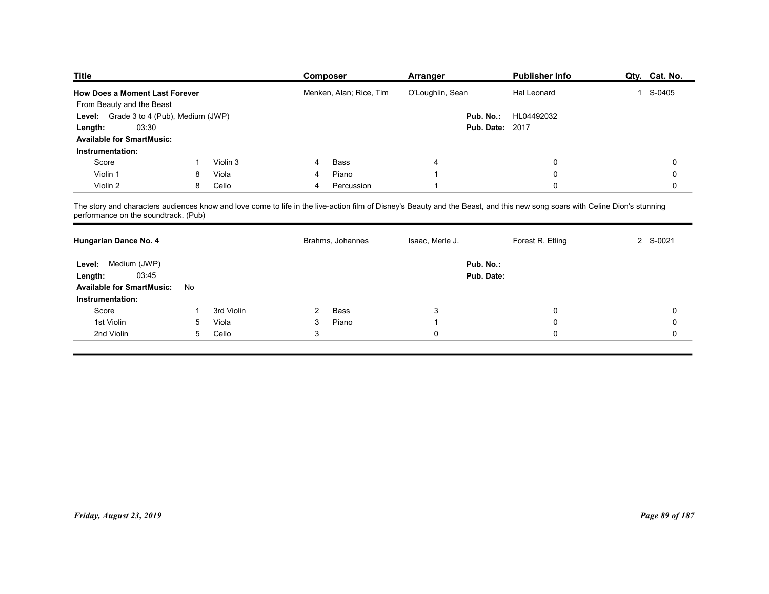| <b>Title</b>                                                |                 |                     | <b>Composer</b>                                                                                                                                                             | <b>Arranger</b>  | <b>Publisher Info</b>  | Qty. Cat. No.                              |
|-------------------------------------------------------------|-----------------|---------------------|-----------------------------------------------------------------------------------------------------------------------------------------------------------------------------|------------------|------------------------|--------------------------------------------|
| <b>How Does a Moment Last Forever</b>                       |                 |                     | Menken, Alan; Rice, Tim                                                                                                                                                     | O'Loughlin, Sean | Hal Leonard            | 1 S-0405                                   |
| From Beauty and the Beast                                   |                 |                     |                                                                                                                                                                             | Pub. No.:        | HL04492032             |                                            |
| Level: Grade 3 to 4 (Pub), Medium (JWP)<br>03:30<br>Length: |                 |                     |                                                                                                                                                                             |                  | <b>Pub. Date: 2017</b> |                                            |
| <b>Available for SmartMusic:</b>                            |                 |                     |                                                                                                                                                                             |                  |                        |                                            |
| Instrumentation:                                            |                 |                     |                                                                                                                                                                             |                  |                        |                                            |
| Score                                                       |                 | Violin 3            | Bass<br>4                                                                                                                                                                   | 4                | $\mathbf 0$            | 0                                          |
| Violin 1                                                    | 8               | Viola               | Piano<br>4                                                                                                                                                                  |                  | $\mathbf 0$            | 0                                          |
| Violin 2                                                    | 8               | Cello               | Percussion<br>4                                                                                                                                                             |                  | $\mathbf 0$            | 0                                          |
| performance on the soundtrack. (Pub)                        |                 |                     | The story and characters audiences know and love come to life in the live-action film of Disney's Beauty and the Beast, and this new song soars with Celine Dion's stunning |                  |                        |                                            |
|                                                             |                 |                     | Brahms, Johannes                                                                                                                                                            | Isaac, Merle J.  | Forest R. Etling       | 2 S-0021                                   |
| Hungarian Dance No. 4                                       |                 |                     |                                                                                                                                                                             |                  |                        |                                            |
|                                                             |                 |                     |                                                                                                                                                                             | Pub. No.:        |                        |                                            |
| Level: Medium (JWP)                                         |                 |                     |                                                                                                                                                                             |                  |                        |                                            |
| 03:45<br>Length:                                            |                 |                     |                                                                                                                                                                             | Pub. Date:       |                        |                                            |
| <b>Available for SmartMusic:</b>                            | No              |                     |                                                                                                                                                                             |                  |                        |                                            |
| Instrumentation:                                            | -1              |                     |                                                                                                                                                                             |                  |                        |                                            |
| Score<br>1st Violin                                         | $5\overline{)}$ | 3rd Violin<br>Viola | Bass<br>$\overline{2}$<br>Piano<br>3                                                                                                                                        | 3                | 0<br>0                 | $\mathsf{O}\xspace$<br>$\mathsf{O}\xspace$ |

| <b>How Does a Moment Last Forever</b>   |                 |            |                | Menken, Alan; Rice, Tim | O'Loughlin, Sean | Hal Leonard                                                                                                                                                                 | 1 S-0405       |
|-----------------------------------------|-----------------|------------|----------------|-------------------------|------------------|-----------------------------------------------------------------------------------------------------------------------------------------------------------------------------|----------------|
| From Beauty and the Beast               |                 |            |                |                         |                  |                                                                                                                                                                             |                |
| Level: Grade 3 to 4 (Pub), Medium (JWP) |                 |            |                |                         |                  | Pub. No.: HL04492032                                                                                                                                                        |                |
| 03:30<br>Length:                        |                 |            |                |                         |                  | <b>Pub. Date: 2017</b>                                                                                                                                                      |                |
| <b>Available for SmartMusic:</b>        |                 |            |                |                         |                  |                                                                                                                                                                             |                |
| Instrumentation:                        |                 |            |                |                         |                  |                                                                                                                                                                             |                |
| Score                                   | $\mathbf{1}$    | Violin 3   | 4              | Bass                    | 4                | $\mathbf 0$                                                                                                                                                                 | $\mathbf 0$    |
| Violin 1                                | 8               | Viola      | 4              | Piano                   |                  | $\mathbf 0$                                                                                                                                                                 | $\mathbf 0$    |
| Violin 2                                | 8               | Cello      | 4              | Percussion              |                  | $\mathbf 0$                                                                                                                                                                 | $\mathbf 0$    |
| performance on the soundtrack. (Pub)    |                 |            |                |                         |                  | The story and characters audiences know and love come to life in the live-action film of Disney's Beauty and the Beast, and this new song soars with Celine Dion's stunning |                |
| Hungarian Dance No. 4                   |                 |            |                | Brahms, Johannes        | Isaac, Merle J.  | Forest R. Etling                                                                                                                                                            | 2 S-0021       |
| Level: Medium (JWP)                     |                 |            |                |                         | Pub. No.:        |                                                                                                                                                                             |                |
| 03:45<br>Length:                        |                 |            |                |                         | Pub. Date:       |                                                                                                                                                                             |                |
| <b>Available for SmartMusic:</b>        | No              |            |                |                         |                  |                                                                                                                                                                             |                |
| Instrumentation:                        |                 |            |                |                         |                  |                                                                                                                                                                             |                |
| Score                                   | 1               | 3rd Violin | $\overline{2}$ | Bass                    | $\mathbf{3}$     | $\mathbf 0$                                                                                                                                                                 | $\mathbf 0$    |
| 1st Violin                              | $5\overline{)}$ | Viola      | 3              | Piano                   | $\overline{1}$   | $\mathbf 0$                                                                                                                                                                 | 0              |
| 2nd Violin                              | 5               | Cello      | 3              |                         | $\mathbf 0$      | $\mathbf 0$                                                                                                                                                                 | $\mathsf{O}$   |
|                                         |                 |            |                |                         |                  |                                                                                                                                                                             |                |
|                                         |                 |            |                |                         |                  |                                                                                                                                                                             |                |
|                                         |                 |            |                |                         |                  |                                                                                                                                                                             |                |
|                                         |                 |            |                |                         |                  |                                                                                                                                                                             |                |
|                                         |                 |            |                |                         |                  |                                                                                                                                                                             |                |
|                                         |                 |            |                |                         |                  |                                                                                                                                                                             |                |
|                                         |                 |            |                |                         |                  |                                                                                                                                                                             |                |
|                                         |                 |            |                |                         |                  |                                                                                                                                                                             |                |
|                                         |                 |            |                |                         |                  |                                                                                                                                                                             |                |
|                                         |                 |            |                |                         |                  |                                                                                                                                                                             |                |
|                                         |                 |            |                |                         |                  |                                                                                                                                                                             |                |
|                                         |                 |            |                |                         |                  |                                                                                                                                                                             |                |
|                                         |                 |            |                |                         |                  |                                                                                                                                                                             |                |
|                                         |                 |            |                |                         |                  |                                                                                                                                                                             |                |
|                                         |                 |            |                |                         |                  |                                                                                                                                                                             |                |
| Friday, August 23, 2019                 |                 |            |                |                         |                  |                                                                                                                                                                             | Page 89 of 187 |
|                                         |                 |            |                |                         |                  |                                                                                                                                                                             |                |
|                                         |                 |            |                |                         |                  |                                                                                                                                                                             |                |
|                                         |                 |            |                |                         |                  |                                                                                                                                                                             |                |
|                                         |                 |            |                |                         |                  |                                                                                                                                                                             |                |
|                                         |                 |            |                |                         |                  |                                                                                                                                                                             |                |
|                                         |                 |            |                |                         |                  |                                                                                                                                                                             |                |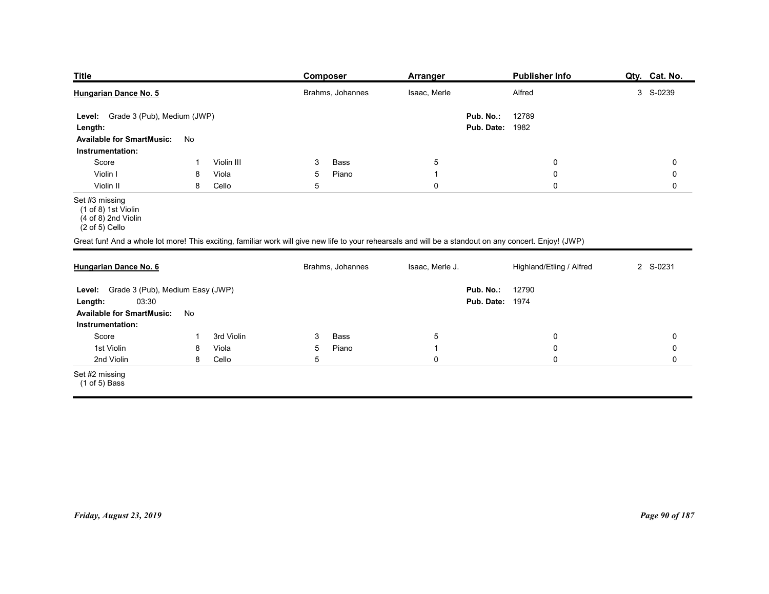| <b>Title</b>                                                                                                    |                                                        | <b>Composer</b>                                                                                                                                                             | <b>Arranger</b>                                  | <b>Publisher Info</b>                               | Qty. Cat. No.                                   |
|-----------------------------------------------------------------------------------------------------------------|--------------------------------------------------------|-----------------------------------------------------------------------------------------------------------------------------------------------------------------------------|--------------------------------------------------|-----------------------------------------------------|-------------------------------------------------|
| Hungarian Dance No. 5                                                                                           |                                                        | Brahms, Johannes                                                                                                                                                            | Isaac, Merle                                     | Alfred                                              | 3 S-0239                                        |
| Grade 3 (Pub), Medium (JWP)<br>Level:<br>Length:<br><b>Available for SmartMusic:</b>                            | No                                                     |                                                                                                                                                                             | Pub. No.:                                        | 12789<br><b>Pub. Date: 1982</b>                     |                                                 |
| Instrumentation:<br>Score<br>Violin I<br>Violin II                                                              | Violin III<br>-1<br>8<br>Viola<br>8<br>Cello           | Bass<br>3<br>Piano<br>$5^{\circ}$<br>$5\,$                                                                                                                                  | $5\phantom{.0}$<br>$\overline{1}$<br>$\mathbf 0$ | $\boldsymbol{0}$<br>$\boldsymbol{0}$<br>$\mathbf 0$ | $\mathbf 0$<br>$\mathbf 0$<br>$\mathbf 0$       |
| Set #3 missing<br>(1 of 8) 1st Violin<br>(4 of 8) 2nd Violin<br>$(2 \text{ of } 5)$ Cello                       |                                                        |                                                                                                                                                                             |                                                  |                                                     |                                                 |
| Hungarian Dance No. 6                                                                                           |                                                        | Great fun! And a whole lot more! This exciting, familiar work will give new life to your rehearsals and will be a standout on any concert. Enjoy! (JWP)<br>Brahms, Johannes | Isaac, Merle J.                                  | Highland/Etling / Alfred                            | 2 S-0231                                        |
| Level: Grade 3 (Pub), Medium Easy (JWP)<br>03:30<br>Length:<br>Available for SmartMusic: No<br>Instrumentation: |                                                        |                                                                                                                                                                             | Pub. No.:                                        | 12790<br><b>Pub. Date: 1974</b>                     |                                                 |
| Score<br>1st Violin<br>2nd Violin                                                                               | 3rd Violin<br>$\mathbf{1}$<br>Viola<br>8<br>8<br>Cello | $\mathbf{3}$<br>Bass<br>Piano<br>$5\phantom{.0}$<br>$5\phantom{.0}$                                                                                                         | $5\phantom{.0}$<br>$\overline{1}$<br>$\mathbf 0$ | $\mathsf 0$<br>$\pmb{0}$<br>$\pmb{0}$               | $\mathsf{O}\xspace$<br>$\pmb{0}$<br>$\mathbf 0$ |
| Set #2 missing<br>(1 of 5) Bass                                                                                 |                                                        |                                                                                                                                                                             |                                                  |                                                     |                                                 |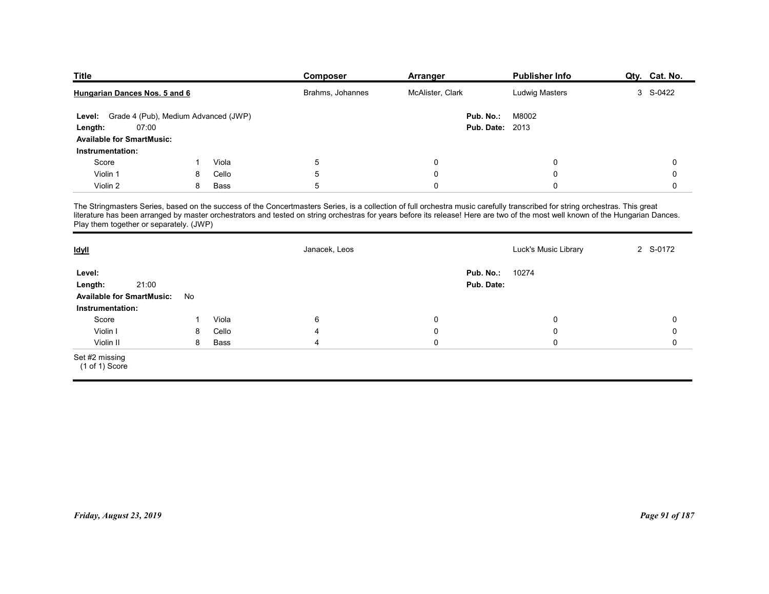| <b>Title</b>                                |       |                  | <b>Composer</b>                                                                                                                                                                                                                   | Arranger               | <b>Publisher Info</b> | Qty. Cat. No. |
|---------------------------------------------|-------|------------------|-----------------------------------------------------------------------------------------------------------------------------------------------------------------------------------------------------------------------------------|------------------------|-----------------------|---------------|
| Hungarian Dances Nos. 5 and 6               |       | Brahms, Johannes | McAlister, Clark                                                                                                                                                                                                                  | <b>Ludwig Masters</b>  | 3 S-0422              |               |
| Level: Grade 4 (Pub), Medium Advanced (JWP) |       |                  |                                                                                                                                                                                                                                   | Pub. No.:              | M8002                 |               |
| Length:                                     | 07:00 |                  |                                                                                                                                                                                                                                   | <b>Pub. Date: 2013</b> |                       |               |
| <b>Available for SmartMusic:</b>            |       |                  |                                                                                                                                                                                                                                   |                        |                       |               |
| Instrumentation:                            |       |                  |                                                                                                                                                                                                                                   |                        |                       |               |
|                                             | -1    | Viola            | $\sqrt{5}$                                                                                                                                                                                                                        | 0                      | $\mathbf 0$           | 0             |
| Score                                       |       |                  | 5                                                                                                                                                                                                                                 | $\mathbf 0$            | $\mathbf 0$           | $\mathbf 0$   |
| Violin 1                                    | 8     | Cello            |                                                                                                                                                                                                                                   | $\mathbf 0$            | $\mathbf 0$           | $\mathbf 0$   |
| Violin 2                                    |       | Bass<br>8        | 5                                                                                                                                                                                                                                 |                        |                       |               |
|                                             |       |                  | The Stringmasters Series, based on the success of the Concertmasters Series, is a collection of full orchestra music carefully transcribed for string orchestras. This great<br>literature has been arranged by master orchestrat |                        |                       |               |
| Play them together or separately. (JWP)     |       |                  |                                                                                                                                                                                                                                   |                        |                       |               |
| <b>Idyll</b>                                |       |                  | Janacek, Leos                                                                                                                                                                                                                     |                        | Luck's Music Library  | 2 S-0172      |
| Level:                                      |       |                  |                                                                                                                                                                                                                                   | Pub. No.:              | 10274                 |               |
| Length:<br>Available for SmartMusic: No     | 21:00 |                  |                                                                                                                                                                                                                                   | Pub. Date:             |                       |               |

| <b>Title</b>                                                                                                               |    |       | <b>Composer</b>                                                                                                                                                                                  | <b>Arranger</b>  | <b>Publisher Info</b>           | Qty. Cat. No.  |
|----------------------------------------------------------------------------------------------------------------------------|----|-------|--------------------------------------------------------------------------------------------------------------------------------------------------------------------------------------------------|------------------|---------------------------------|----------------|
| Hungarian Dances Nos. 5 and 6                                                                                              |    |       | Brahms, Johannes                                                                                                                                                                                 | McAlister, Clark | <b>Ludwig Masters</b>           | 3 S-0422       |
| Grade 4 (Pub), Medium Advanced (JWP)<br>Level:<br>07:00<br>Length:<br><b>Available for SmartMusic:</b><br>Instrumentation: |    |       |                                                                                                                                                                                                  | Pub. No.:        | M8002<br><b>Pub. Date: 2013</b> |                |
| Score                                                                                                                      | -1 | Viola | $\sqrt{5}$                                                                                                                                                                                       | $\mathbf 0$      | 0                               | 0              |
| Violin 1                                                                                                                   | 8  | Cello | $\sqrt{5}$                                                                                                                                                                                       | $\mathbf 0$      | 0                               | 0              |
| Violin 2                                                                                                                   | 8  | Bass  | 5                                                                                                                                                                                                | $\mathbf 0$      | $\Omega$                        | 0              |
| Play them together or separately. (JWP)<br><u>Idyll</u>                                                                    |    |       | literature has been arranged by master orchestrators and tested on string orchestras for years before its release! Here are two of the most well known of the Hungarian Dances.<br>Janacek, Leos |                  | Luck's Music Library            | 2 S-0172       |
|                                                                                                                            |    |       |                                                                                                                                                                                                  | Pub. No.:        | 10274                           |                |
| Level:<br>21:00<br>Length:<br><b>Available for SmartMusic:</b>                                                             | No |       |                                                                                                                                                                                                  | Pub. Date:       |                                 |                |
| Instrumentation:<br>Score                                                                                                  | -1 | Viola | 6                                                                                                                                                                                                | $\mathbf 0$      | 0                               | 0              |
| Violin I                                                                                                                   | 8  | Cello | 4                                                                                                                                                                                                | $\mathbf 0$      | 0                               | 0              |
| Violin II                                                                                                                  | 8  | Bass  | 4                                                                                                                                                                                                | $\mathbf 0$      | $\mathbf 0$                     | $\mathbf 0$    |
| Set #2 missing<br>(1 of 1) Score                                                                                           |    |       |                                                                                                                                                                                                  |                  |                                 |                |
|                                                                                                                            |    |       |                                                                                                                                                                                                  |                  |                                 |                |
| Friday, August 23, 2019                                                                                                    |    |       |                                                                                                                                                                                                  |                  |                                 | Page 91 of 187 |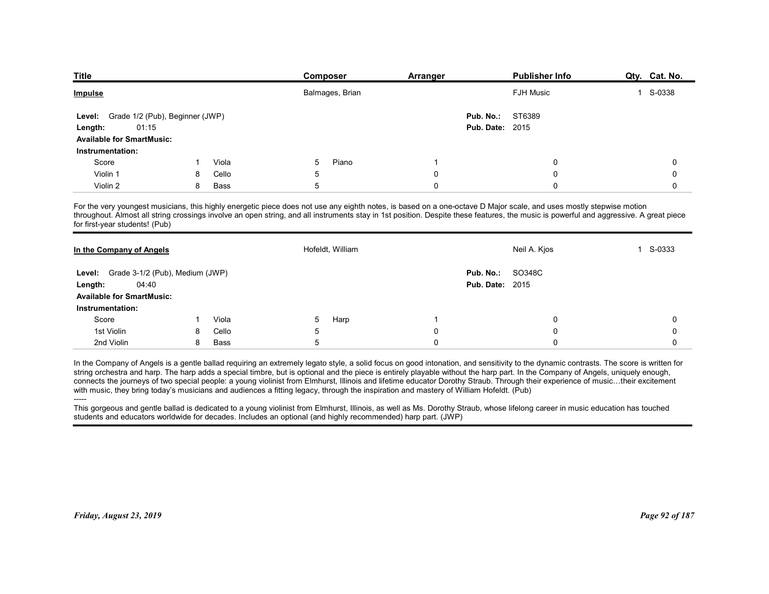| <b>Title</b>                                     |    |                | Composer                                                                                                                                                                                                                                                                                                                                                     | <b>Arranger</b> | <b>Publisher Info</b>  | Qty. Cat. No.            |
|--------------------------------------------------|----|----------------|--------------------------------------------------------------------------------------------------------------------------------------------------------------------------------------------------------------------------------------------------------------------------------------------------------------------------------------------------------------|-----------------|------------------------|--------------------------|
| <u>Impulse</u>                                   |    |                | Balmages, Brian                                                                                                                                                                                                                                                                                                                                              |                 | <b>FJH Music</b>       | S-0338<br>1              |
| Grade 1/2 (Pub), Beginner (JWP)<br><b>Level:</b> |    |                |                                                                                                                                                                                                                                                                                                                                                              | Pub. No.:       | ST6389                 |                          |
| 01:15<br>Length:                                 |    |                |                                                                                                                                                                                                                                                                                                                                                              |                 | <b>Pub. Date: 2015</b> |                          |
| <b>Available for SmartMusic:</b>                 |    |                |                                                                                                                                                                                                                                                                                                                                                              |                 |                        |                          |
| Instrumentation:                                 |    |                |                                                                                                                                                                                                                                                                                                                                                              |                 |                        |                          |
| Score                                            |    | Viola          | Piano<br>5                                                                                                                                                                                                                                                                                                                                                   | -1              | $\Omega$               | 0                        |
| Violin 1                                         | 8  | Cello          | 5                                                                                                                                                                                                                                                                                                                                                            | 0               | $\Omega$               | 0                        |
| Violin 2                                         | 8  | Bass           | 5                                                                                                                                                                                                                                                                                                                                                            | $\Omega$        | $\Omega$               | 0                        |
| for first-year students! (Pub)                   |    |                | For the very youngest musicians, this highly energetic piece does not use any eighth notes, is based on a one-octave D Major scale, and uses mostly stepwise motion<br>throughout. Almost all string crossings involve an open string, and all instruments stay in 1st position. Despite these features, the music is powerful and aggressive. A great piece |                 |                        |                          |
| In the Company of Angels                         |    |                | Hofeldt, William                                                                                                                                                                                                                                                                                                                                             |                 | Neil A. Kjos           | S-0333<br>$\overline{1}$ |
|                                                  |    |                |                                                                                                                                                                                                                                                                                                                                                              | Pub. No.:       | SO348C                 |                          |
|                                                  |    |                |                                                                                                                                                                                                                                                                                                                                                              |                 | <b>Pub. Date: 2015</b> |                          |
| Level: Grade 3-1/2 (Pub), Medium (JWP)           |    |                |                                                                                                                                                                                                                                                                                                                                                              |                 |                        |                          |
| 04:40<br>Length:                                 |    |                |                                                                                                                                                                                                                                                                                                                                                              |                 |                        |                          |
| <b>Available for SmartMusic:</b>                 |    |                |                                                                                                                                                                                                                                                                                                                                                              |                 |                        |                          |
| Instrumentation:<br>Score                        | -1 |                | 5                                                                                                                                                                                                                                                                                                                                                            |                 | 0                      | 0                        |
| 1st Violin                                       | 8  | Viola<br>Cello | Harp<br>5                                                                                                                                                                                                                                                                                                                                                    | 0               | $\Omega$               | 0                        |

| <u>Impulse</u>                                                                                                                         |    |             |                | Balmages, Brian                                                                                                                                                                |                         | <b>FJH Music</b>                                                                                                                                                                                                                                                                                                                                                                                                                                                                                                                                            | 1 S-0338    |
|----------------------------------------------------------------------------------------------------------------------------------------|----|-------------|----------------|--------------------------------------------------------------------------------------------------------------------------------------------------------------------------------|-------------------------|-------------------------------------------------------------------------------------------------------------------------------------------------------------------------------------------------------------------------------------------------------------------------------------------------------------------------------------------------------------------------------------------------------------------------------------------------------------------------------------------------------------------------------------------------------------|-------------|
| Grade 1/2 (Pub), Beginner (JWP)<br>Level:<br>01:15<br>Length:<br><b>Available for SmartMusic:</b>                                      |    |             |                |                                                                                                                                                                                |                         | ST6389<br>Pub. No.:<br><b>Pub. Date: 2015</b>                                                                                                                                                                                                                                                                                                                                                                                                                                                                                                               |             |
| Instrumentation:                                                                                                                       |    |             |                |                                                                                                                                                                                |                         |                                                                                                                                                                                                                                                                                                                                                                                                                                                                                                                                                             |             |
| Score                                                                                                                                  | -1 | Viola       | 5              | Piano                                                                                                                                                                          | $\overline{1}$          | $\mathbf 0$                                                                                                                                                                                                                                                                                                                                                                                                                                                                                                                                                 | 0           |
| Violin 1                                                                                                                               | 8  | Cello       | 5              |                                                                                                                                                                                | $\mathbf 0$             | 0                                                                                                                                                                                                                                                                                                                                                                                                                                                                                                                                                           | 0           |
| Violin 2                                                                                                                               | 8  | <b>Bass</b> | 5              |                                                                                                                                                                                | $\overline{0}$          | $\Omega$                                                                                                                                                                                                                                                                                                                                                                                                                                                                                                                                                    | $\mathbf 0$ |
| for first-year students! (Pub)                                                                                                         |    |             |                |                                                                                                                                                                                |                         | For the very youngest musicians, this highly energetic piece does not use any eighth notes, is based on a one-octave D Major scale, and uses mostly stepwise motion<br>throughout. Almost all string crossings involve an open string, and all instruments stay in 1st position. Despite these features, the music is powerful and aggressive. A great piece                                                                                                                                                                                                |             |
| In the Company of Angels                                                                                                               |    |             |                | Hofeldt, William                                                                                                                                                               |                         | Neil A. Kjos                                                                                                                                                                                                                                                                                                                                                                                                                                                                                                                                                | 1 S-0333    |
| Grade 3-1/2 (Pub), Medium (JWP)<br>Level:                                                                                              |    |             |                |                                                                                                                                                                                |                         | Pub. No.:<br>SO348C                                                                                                                                                                                                                                                                                                                                                                                                                                                                                                                                         |             |
| 04:40<br>Length:                                                                                                                       |    |             |                |                                                                                                                                                                                |                         | <b>Pub. Date: 2015</b>                                                                                                                                                                                                                                                                                                                                                                                                                                                                                                                                      |             |
| <b>Available for SmartMusic:</b>                                                                                                       |    |             |                |                                                                                                                                                                                |                         |                                                                                                                                                                                                                                                                                                                                                                                                                                                                                                                                                             |             |
| Instrumentation:                                                                                                                       |    |             |                |                                                                                                                                                                                |                         |                                                                                                                                                                                                                                                                                                                                                                                                                                                                                                                                                             |             |
| Score                                                                                                                                  | -1 | Viola       | 5              | Harp                                                                                                                                                                           | $\overline{\mathbf{1}}$ | $\mathbf 0$                                                                                                                                                                                                                                                                                                                                                                                                                                                                                                                                                 | $\mathbf 0$ |
| 1st Violin                                                                                                                             | 8  | Cello       | $\overline{5}$ |                                                                                                                                                                                | $\mathbf 0$             | $\mathbf 0$                                                                                                                                                                                                                                                                                                                                                                                                                                                                                                                                                 | 0           |
| 2nd Violin                                                                                                                             | 8  | Bass        | $\overline{5}$ |                                                                                                                                                                                | $\pmb{0}$               | $\mathbf 0$                                                                                                                                                                                                                                                                                                                                                                                                                                                                                                                                                 | 0           |
| with music, they bring today's musicians and audiences a fitting legacy, through the inspiration and mastery of William Hofeldt. (Pub) |    |             |                | This gorgeous and gentle ballad is dedicated to a young violinist from Elmhurst, Illinois, as well as Ms. Dorothy Straub, whose lifelong career in music education has touched |                         | In the Company of Angels is a gentle ballad requiring an extremely legato style, a solid focus on good intonation, and sensitivity to the dynamic contrasts. The score is written for<br>string orchestra and harp. The harp adds a special timbre, but is optional and the piece is entirely playable without the harp part. In the Company of Angels, uniquely enough,<br>connects the journeys of two special people: a young violinist from Elmhurst, Illinois and lifetime educator Dorothy Straub. Through their experience of music their excitement |             |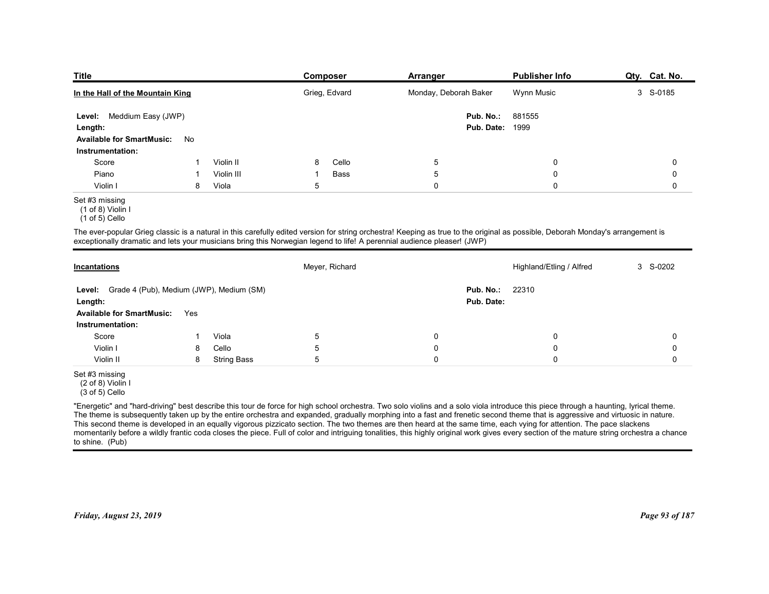| <b>Title</b>                                            |    |                    | <b>Composer</b>                                                                                                         | <b>Arranger</b>                                                                                                                                                                 | <b>Publisher Info</b>    | Qty. Cat. No. |
|---------------------------------------------------------|----|--------------------|-------------------------------------------------------------------------------------------------------------------------|---------------------------------------------------------------------------------------------------------------------------------------------------------------------------------|--------------------------|---------------|
| In the Hall of the Mountain King                        |    |                    | Grieg, Edvard                                                                                                           | Monday, Deborah Baker                                                                                                                                                           | Wynn Music               | 3 S-0185      |
|                                                         |    |                    |                                                                                                                         |                                                                                                                                                                                 |                          |               |
| Level: Meddium Easy (JWP)<br>Length:                    |    |                    |                                                                                                                         | Pub. No.:<br>Pub. Date:                                                                                                                                                         | 881555<br>1999           |               |
| <b>Available for SmartMusic:</b>                        | No |                    |                                                                                                                         |                                                                                                                                                                                 |                          |               |
| Instrumentation:                                        |    |                    |                                                                                                                         |                                                                                                                                                                                 |                          |               |
| Score                                                   |    | Violin II          | Cello<br>8                                                                                                              | $\overline{5}$                                                                                                                                                                  | 0                        | 0             |
| Piano                                                   | -1 | Violin III         | Bass<br>-1                                                                                                              | 5                                                                                                                                                                               | 0                        | 0             |
| Violin I                                                | 8  | Viola              | 5                                                                                                                       | $\mathbf 0$                                                                                                                                                                     | $\mathbf 0$              | 0             |
| Set #3 missing<br>(1 of 8) Violin I<br>$(1 of 5)$ Cello |    |                    |                                                                                                                         |                                                                                                                                                                                 |                          |               |
|                                                         |    |                    | exceptionally dramatic and lets your musicians bring this Norwegian legend to life! A perennial audience pleaser! (JWP) | The ever-popular Grieg classic is a natural in this carefully edited version for string orchestra! Keeping as true to the original as possible, Deborah Monday's arrangement is |                          |               |
|                                                         |    |                    | Meyer, Richard                                                                                                          |                                                                                                                                                                                 | Highland/Etling / Alfred | 3 S-0202      |
| <b>Incantations</b>                                     |    |                    |                                                                                                                         | Pub. No.:                                                                                                                                                                       | 22310                    |               |
| Level: Grade 4 (Pub), Medium (JWP), Medium (SM)         |    |                    |                                                                                                                         | Pub. Date:                                                                                                                                                                      |                          |               |
| Length:                                                 |    |                    |                                                                                                                         |                                                                                                                                                                                 |                          |               |
| Available for SmartMusic: Yes<br>Instrumentation:       |    |                    |                                                                                                                         |                                                                                                                                                                                 |                          |               |
| Score                                                   | -1 | Viola              | $\sqrt{5}$                                                                                                              | $\overline{0}$                                                                                                                                                                  | $\mathbf 0$              | 0             |
| Violin I                                                | 8  | Cello              | $5\phantom{.0}$                                                                                                         | $\boldsymbol{0}$                                                                                                                                                                | $\mathbf 0$              | 0             |
| Violin II                                               | 8  | <b>String Bass</b> | $5\overline{)}$                                                                                                         | $\mathbf 0$                                                                                                                                                                     | $\mathbf 0$              | 0             |

### Set #3 missing

| 881555<br>Level: Meddium Easy (JWP)<br>Pub. No.:<br><b>Pub. Date: 1999</b><br>Length:<br><b>Available for SmartMusic:</b><br>No<br>Instrumentation:<br>Violin II<br>Cello<br>$\sqrt{5}$<br>$\mathbf 0$<br>0<br>Score<br>-1<br>8<br>$\,$ 5 $\,$<br>$\mathbf 0$<br>Piano<br>Violin III<br>Bass<br>0<br>$\mathbf{1}$<br>-1<br>$\pmb{0}$<br>Viola<br>5<br>Violin I<br>8<br>$\mathbf 0$<br>0<br>Set #3 missing<br>$(1 of 8)$ Violin I<br>$(1 of 5)$ Cello<br>The ever-popular Grieg classic is a natural in this carefully edited version for string orchestra! Keeping as true to the original as possible, Deborah Monday's arrangement is<br>exceptionally dramatic and lets your musicians bring this Norwegian legend to life! A perennial audience pleaser! (JWP)<br>3 S-0202<br>Meyer, Richard<br>Highland/Etling / Alfred<br><b>Incantations</b><br>22310<br>Grade 4 (Pub), Medium (JWP), Medium (SM)<br>Pub. No.:<br>Level:<br>Pub. Date:<br>Length:<br><b>Available for SmartMusic:</b><br>Yes |
|-----------------------------------------------------------------------------------------------------------------------------------------------------------------------------------------------------------------------------------------------------------------------------------------------------------------------------------------------------------------------------------------------------------------------------------------------------------------------------------------------------------------------------------------------------------------------------------------------------------------------------------------------------------------------------------------------------------------------------------------------------------------------------------------------------------------------------------------------------------------------------------------------------------------------------------------------------------------------------------------------------|
|                                                                                                                                                                                                                                                                                                                                                                                                                                                                                                                                                                                                                                                                                                                                                                                                                                                                                                                                                                                                     |
|                                                                                                                                                                                                                                                                                                                                                                                                                                                                                                                                                                                                                                                                                                                                                                                                                                                                                                                                                                                                     |
|                                                                                                                                                                                                                                                                                                                                                                                                                                                                                                                                                                                                                                                                                                                                                                                                                                                                                                                                                                                                     |
|                                                                                                                                                                                                                                                                                                                                                                                                                                                                                                                                                                                                                                                                                                                                                                                                                                                                                                                                                                                                     |
|                                                                                                                                                                                                                                                                                                                                                                                                                                                                                                                                                                                                                                                                                                                                                                                                                                                                                                                                                                                                     |
|                                                                                                                                                                                                                                                                                                                                                                                                                                                                                                                                                                                                                                                                                                                                                                                                                                                                                                                                                                                                     |
|                                                                                                                                                                                                                                                                                                                                                                                                                                                                                                                                                                                                                                                                                                                                                                                                                                                                                                                                                                                                     |
|                                                                                                                                                                                                                                                                                                                                                                                                                                                                                                                                                                                                                                                                                                                                                                                                                                                                                                                                                                                                     |
|                                                                                                                                                                                                                                                                                                                                                                                                                                                                                                                                                                                                                                                                                                                                                                                                                                                                                                                                                                                                     |
|                                                                                                                                                                                                                                                                                                                                                                                                                                                                                                                                                                                                                                                                                                                                                                                                                                                                                                                                                                                                     |
| Instrumentation:                                                                                                                                                                                                                                                                                                                                                                                                                                                                                                                                                                                                                                                                                                                                                                                                                                                                                                                                                                                    |
| Viola<br>5<br>$\mathbf 0$<br>0<br>0<br>Score<br>-1                                                                                                                                                                                                                                                                                                                                                                                                                                                                                                                                                                                                                                                                                                                                                                                                                                                                                                                                                  |
| Cello<br>5<br>$\mathbf 0$<br>$\mathbf 0$<br>$\mathbf 0$<br>Violin I<br>8                                                                                                                                                                                                                                                                                                                                                                                                                                                                                                                                                                                                                                                                                                                                                                                                                                                                                                                            |
| 5<br>$\mathbf 0$<br>$\mathbf 0$<br>Violin II<br><b>String Bass</b><br>0<br>8                                                                                                                                                                                                                                                                                                                                                                                                                                                                                                                                                                                                                                                                                                                                                                                                                                                                                                                        |
| Set #3 missing<br>(2 of 8) Violin I<br>$(3 of 5)$ Cello                                                                                                                                                                                                                                                                                                                                                                                                                                                                                                                                                                                                                                                                                                                                                                                                                                                                                                                                             |
| "Energetic" and "hard-driving" best describe this tour de force for high school orchestra. Two solo violins and a solo viola introduce this piece through a haunting, lyrical theme.<br>The theme is subsequently taken up by the entire orchestra and expanded, gradually morphing into a fast and frenetic second theme that is aggressive and virtuosic in nature.<br>This second theme is developed in an equally vigorous pizzicato section. The two themes are then heard at the same time, each vying for attention. The pace slackens<br>momentarily before a wildly frantic coda closes the piece. Full of color and intriguing tonalities, this highly original work gives every section of the mature string orchestra a chance<br>to shine. (Pub)                                                                                                                                                                                                                                       |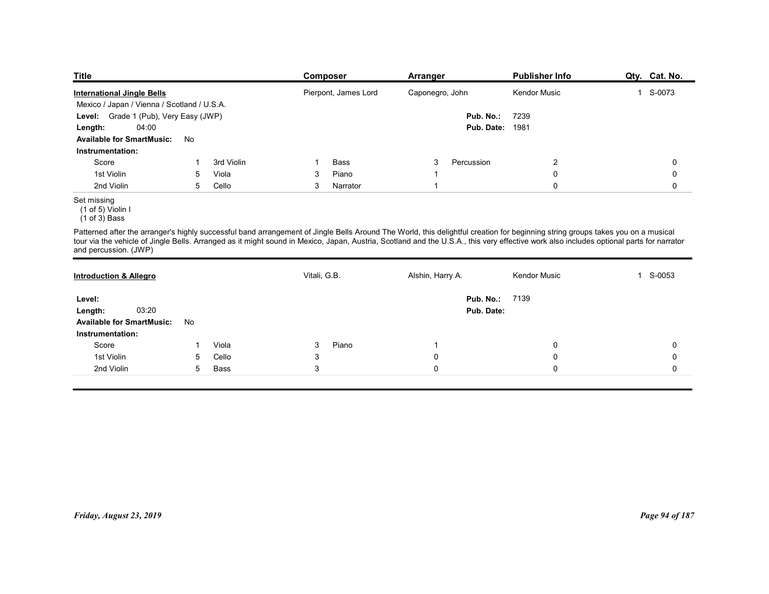| <b>Title</b>                                                                                                                                                                                             |    |            | Composer          |                      | <b>Arranger</b>  |                                     | <b>Publisher Info</b> | Qty. Cat. No.                                                                                                                                                                           |
|----------------------------------------------------------------------------------------------------------------------------------------------------------------------------------------------------------|----|------------|-------------------|----------------------|------------------|-------------------------------------|-----------------------|-----------------------------------------------------------------------------------------------------------------------------------------------------------------------------------------|
| <b>International Jingle Bells</b>                                                                                                                                                                        |    |            |                   | Pierpont, James Lord |                  | Caponegro, John                     | <b>Kendor Music</b>   | 1 S-0073                                                                                                                                                                                |
| Mexico / Japan / Vienna / Scotland / U.S.A.<br>Level: Grade 1 (Pub), Very Easy (JWP)                                                                                                                     |    |            | 7239<br>Pub. No.: |                      |                  |                                     |                       |                                                                                                                                                                                         |
| 04:00<br>Length:                                                                                                                                                                                         |    |            |                   |                      |                  | <b>Pub. Date: 1981</b>              |                       |                                                                                                                                                                                         |
| <b>Available for SmartMusic:</b>                                                                                                                                                                         | No |            |                   |                      |                  |                                     |                       |                                                                                                                                                                                         |
| Instrumentation:                                                                                                                                                                                         |    |            |                   |                      |                  |                                     |                       |                                                                                                                                                                                         |
| Score                                                                                                                                                                                                    |    | 3rd Violin |                   | Bass                 | 3                | Percussion                          | $\overline{2}$        | 0                                                                                                                                                                                       |
| 1st Violin                                                                                                                                                                                               | 5  | Viola      | 3                 | Piano                |                  |                                     | 0                     | 0                                                                                                                                                                                       |
| 2nd Violin                                                                                                                                                                                               | 5  | Cello      | 3                 | Narrator             | -1               |                                     | $\mathbf 0$           | 0                                                                                                                                                                                       |
| Set missing<br>(1 of 5) Violin I<br>$(1 of 3)$ Bass                                                                                                                                                      |    |            |                   |                      |                  |                                     |                       |                                                                                                                                                                                         |
| Patterned after the arranger's highly successful band arrangement of Jingle Bells Around The World, this delightful creation for beginning string groups takes you on a musical<br>and percussion. (JWP) |    |            |                   |                      |                  |                                     |                       | tour via the vehicle of Jingle Bells. Arranged as it might sound in Mexico, Japan, Austria, Scotland and the U.S.A., this very effective work also includes optional parts for narrator |
| <b>Introduction &amp; Allegro</b>                                                                                                                                                                        |    |            | Vitali, G.B.      |                      | Alshin, Harry A. |                                     | <b>Kendor Music</b>   | S-0053<br>$\mathbf{1}$                                                                                                                                                                  |
|                                                                                                                                                                                                          |    |            |                   |                      |                  |                                     |                       |                                                                                                                                                                                         |
|                                                                                                                                                                                                          |    |            |                   |                      |                  |                                     |                       |                                                                                                                                                                                         |
| Level:<br>03:20<br>Length:                                                                                                                                                                               |    |            |                   |                      |                  | <b>Pub. No.: 7139</b><br>Pub. Date: |                       |                                                                                                                                                                                         |

## Set missing

| Mexico / Japan / Vienna / Scotland / U.S.A.                                                                                                                                                                                                                                                                                                                                                         |                |
|-----------------------------------------------------------------------------------------------------------------------------------------------------------------------------------------------------------------------------------------------------------------------------------------------------------------------------------------------------------------------------------------------------|----------------|
|                                                                                                                                                                                                                                                                                                                                                                                                     |                |
| Level: Grade 1 (Pub), Very Easy (JWP)<br>Pub. No.:<br>7239                                                                                                                                                                                                                                                                                                                                          |                |
| <b>Pub. Date: 1981</b><br>04:00<br>Length:                                                                                                                                                                                                                                                                                                                                                          |                |
| <b>Available for SmartMusic:</b><br>No                                                                                                                                                                                                                                                                                                                                                              |                |
| Instrumentation:                                                                                                                                                                                                                                                                                                                                                                                    |                |
| $\overline{2}$<br>Score<br>3rd Violin<br>Bass<br>3<br>Percussion<br>-1<br>-1                                                                                                                                                                                                                                                                                                                        | $\mathbf 0$    |
| 1st Violin<br>Piano<br>5<br>Viola<br>$\mathbf 0$<br>3<br>$\overline{1}$                                                                                                                                                                                                                                                                                                                             | $\mathbf 0$    |
| 2nd Violin<br>5<br>Cello<br>$\mathbf 0$<br>3<br>Narrator<br>$\overline{1}$                                                                                                                                                                                                                                                                                                                          | $\mathbf 0$    |
| Set missing<br>(1 of 5) Violin I<br>$(1 \text{ of } 3)$ Bass                                                                                                                                                                                                                                                                                                                                        |                |
| Patterned after the arranger's highly successful band arrangement of Jingle Bells Around The World, this delightful creation for beginning string groups takes you on a musical<br>tour via the vehicle of Jingle Bells. Arranged as it might sound in Mexico, Japan, Austria, Scotland and the U.S.A., this very effective work also includes optional parts for narrator<br>and percussion. (JWP) |                |
| Vitali, G.B.<br>Alshin, Harry A.<br>Kendor Music<br><b>Introduction &amp; Allegro</b>                                                                                                                                                                                                                                                                                                               | 1 S-0053       |
| <b>Pub. No.: 7139</b><br>Level:                                                                                                                                                                                                                                                                                                                                                                     |                |
| 03:20<br>Pub. Date:<br>Length:                                                                                                                                                                                                                                                                                                                                                                      |                |
| <b>Available for SmartMusic:</b><br>No                                                                                                                                                                                                                                                                                                                                                              |                |
| Instrumentation:                                                                                                                                                                                                                                                                                                                                                                                    |                |
| Piano<br>Score<br>Viola<br>$\mathbf{3}$<br>$\mathsf{O}$<br>$\overline{1}$<br>-1                                                                                                                                                                                                                                                                                                                     | $\pmb{0}$      |
| 1st Violin<br>Cello<br>$\mathbf{3}$<br>$\pmb{0}$<br>$\mathbf 0$<br>5                                                                                                                                                                                                                                                                                                                                | 0              |
| 2nd Violin<br>$\mathbf{3}$<br>5<br>Bass<br>$\mathbf 0$<br>$\mathbf 0$                                                                                                                                                                                                                                                                                                                               | $\mathbf 0$    |
|                                                                                                                                                                                                                                                                                                                                                                                                     |                |
|                                                                                                                                                                                                                                                                                                                                                                                                     |                |
|                                                                                                                                                                                                                                                                                                                                                                                                     |                |
|                                                                                                                                                                                                                                                                                                                                                                                                     |                |
|                                                                                                                                                                                                                                                                                                                                                                                                     |                |
|                                                                                                                                                                                                                                                                                                                                                                                                     |                |
|                                                                                                                                                                                                                                                                                                                                                                                                     |                |
|                                                                                                                                                                                                                                                                                                                                                                                                     |                |
|                                                                                                                                                                                                                                                                                                                                                                                                     |                |
|                                                                                                                                                                                                                                                                                                                                                                                                     |                |
|                                                                                                                                                                                                                                                                                                                                                                                                     |                |
| Friday, August 23, 2019                                                                                                                                                                                                                                                                                                                                                                             | Page 94 of 187 |
|                                                                                                                                                                                                                                                                                                                                                                                                     |                |
|                                                                                                                                                                                                                                                                                                                                                                                                     |                |
|                                                                                                                                                                                                                                                                                                                                                                                                     |                |
|                                                                                                                                                                                                                                                                                                                                                                                                     |                |
|                                                                                                                                                                                                                                                                                                                                                                                                     |                |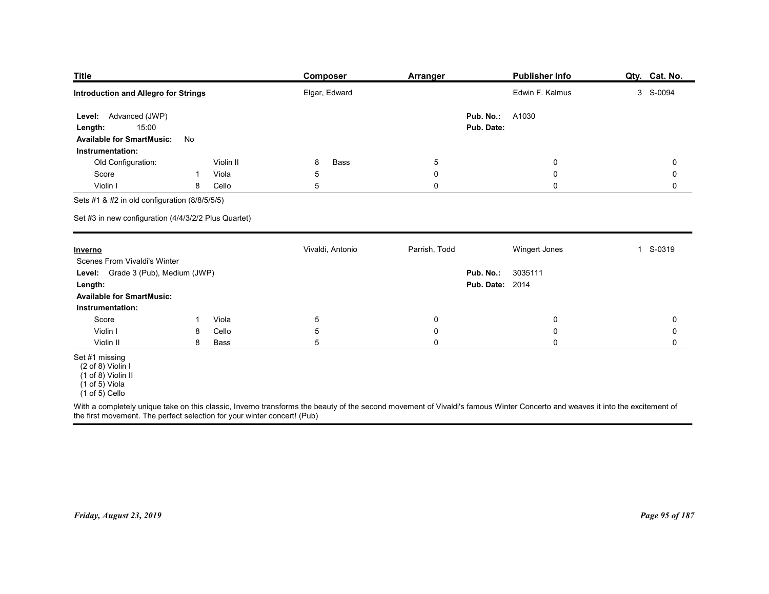| <b>Title</b>                                                                               |                |                | Composer                   | <b>Arranger</b>            |                        | <b>Publisher Info</b>      | Qty. Cat. No.                              |
|--------------------------------------------------------------------------------------------|----------------|----------------|----------------------------|----------------------------|------------------------|----------------------------|--------------------------------------------|
| <b>Introduction and Allegro for Strings</b>                                                |                |                | Elgar, Edward              |                            |                        | Edwin F. Kalmus            | 3 S-0094                                   |
| Level: Advanced (JWP)                                                                      |                |                |                            |                            | Pub. No.:              | A1030                      |                                            |
| 15:00<br>Length:                                                                           |                |                |                            |                            | Pub. Date:             |                            |                                            |
| <b>Available for SmartMusic:</b><br>Instrumentation:                                       | No             |                |                            |                            |                        |                            |                                            |
| Old Configuration:                                                                         |                | Violin II      | Bass<br>8                  | $\overline{5}$             |                        | $\mathbf 0$                | $\mathbf 0$                                |
| Score<br>Violin I                                                                          | -1<br>8        | Viola<br>Cello | 5<br>5                     | 0<br>$\mathbf 0$           |                        | $\mathbf 0$<br>$\mathbf 0$ | 0<br>0                                     |
| Sets #1 & #2 in old configuration (8/8/5/5/5)                                              |                |                |                            |                            |                        |                            |                                            |
| Set #3 in new configuration (4/4/3/2/2 Plus Quartet)                                       |                |                |                            |                            |                        |                            |                                            |
| <b>Inverno</b>                                                                             |                |                | Vivaldi, Antonio           | Parrish, Todd              |                        | Wingert Jones              | 1 S-0319                                   |
| Scenes From Vivaldi's Winter<br>Level: Grade 3 (Pub), Medium (JWP)                         |                |                |                            |                            | Pub. No.:              | 3035111                    |                                            |
| Length:                                                                                    |                |                |                            |                            | <b>Pub. Date: 2014</b> |                            |                                            |
| <b>Available for SmartMusic:</b><br>Instrumentation:                                       |                |                |                            |                            |                        |                            |                                            |
| Score                                                                                      | $\overline{1}$ | Viola          | $\overline{5}$             | $\mathbf 0$                |                        | 0                          | $\mathbf 0$                                |
| Violin I<br>Violin II                                                                      | 8<br>8         | Cello<br>Bass  | $\,$ 5 $\,$<br>$\,$ 5 $\,$ | $\mathbf 0$<br>$\mathbf 0$ |                        | $\pmb{0}$<br>$\pmb{0}$     | $\mathsf{O}\xspace$<br>$\mathsf{O}\xspace$ |
| Set #1 missing                                                                             |                |                |                            |                            |                        |                            |                                            |
| (2 of 8) Violin I<br>$(1 \text{ of } 8)$ Violin II<br>$(1 of 5)$ Viola<br>$(1 of 5)$ Cello |                |                |                            |                            |                        |                            |                                            |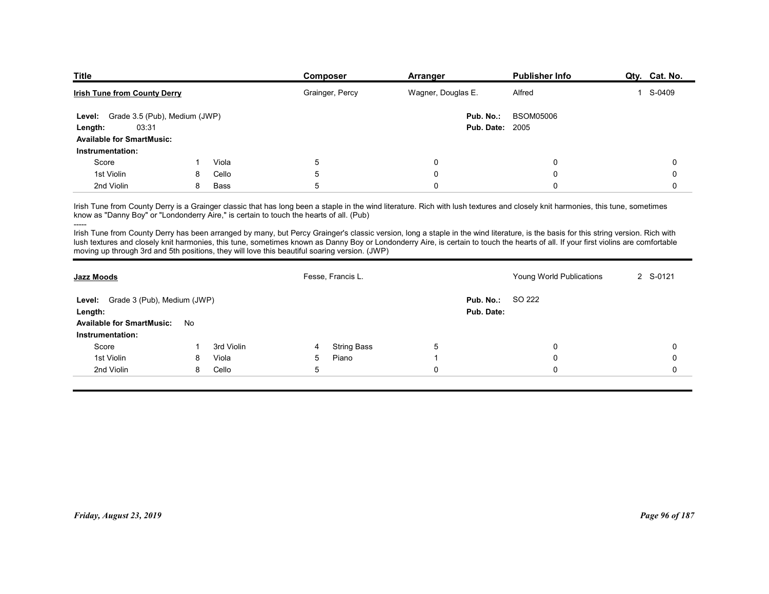| <b>Publisher Info</b><br>Composer<br>Arranger<br>Grainger, Percy<br>Wagner, Douglas E.<br>1 S-0409<br>Alfred | <b>Title</b><br>Qty. Cat. No.<br><b>Irish Tune from County Derry</b><br>Level: Grade 3.5 (Pub), Medium (JWP)<br>Pub. No.:<br><b>BSOM05006</b><br>03:31<br><b>Pub. Date: 2005</b><br>Length:<br><b>Available for SmartMusic:</b><br>Instrumentation:<br>Viola<br>5<br>0<br>0<br>Score<br>0<br>1st Violin<br>Cello<br>5<br>0<br>0<br>0<br>8<br>2nd Violin<br>5<br>8<br>Bass<br>0<br>$\Omega$<br>$\mathbf 0$<br>Irish Tune from County Derry is a Grainger classic that has long been a staple in the wind literature. Rich with lush textures and closely knit harmonies, this tune, sometimes<br>know as "Danny Boy" or "Londonderry Aire," is certain to touch the hearts of all. (Pub)<br>Irish Tune from County Derry has been arranged by many, but Percy Grainger's classic version, long a staple in the wind literature, is the basis for this string version. Rich with<br>lush textures and closely knit harmonies, this tune, sometimes known as Danny Boy or Londonderry Aire, is certain to touch the hearts of all. If your first violins are comfortable<br>moving up through 3rd and 5th positions, they will love this beautiful soaring version. (JWP) |  |                   |        |          |
|--------------------------------------------------------------------------------------------------------------|------------------------------------------------------------------------------------------------------------------------------------------------------------------------------------------------------------------------------------------------------------------------------------------------------------------------------------------------------------------------------------------------------------------------------------------------------------------------------------------------------------------------------------------------------------------------------------------------------------------------------------------------------------------------------------------------------------------------------------------------------------------------------------------------------------------------------------------------------------------------------------------------------------------------------------------------------------------------------------------------------------------------------------------------------------------------------------------------------------------------------------------------------------------------|--|-------------------|--------|----------|
|                                                                                                              |                                                                                                                                                                                                                                                                                                                                                                                                                                                                                                                                                                                                                                                                                                                                                                                                                                                                                                                                                                                                                                                                                                                                                                        |  |                   |        |          |
|                                                                                                              |                                                                                                                                                                                                                                                                                                                                                                                                                                                                                                                                                                                                                                                                                                                                                                                                                                                                                                                                                                                                                                                                                                                                                                        |  |                   |        |          |
|                                                                                                              |                                                                                                                                                                                                                                                                                                                                                                                                                                                                                                                                                                                                                                                                                                                                                                                                                                                                                                                                                                                                                                                                                                                                                                        |  |                   |        |          |
|                                                                                                              |                                                                                                                                                                                                                                                                                                                                                                                                                                                                                                                                                                                                                                                                                                                                                                                                                                                                                                                                                                                                                                                                                                                                                                        |  |                   |        |          |
|                                                                                                              |                                                                                                                                                                                                                                                                                                                                                                                                                                                                                                                                                                                                                                                                                                                                                                                                                                                                                                                                                                                                                                                                                                                                                                        |  |                   |        |          |
|                                                                                                              |                                                                                                                                                                                                                                                                                                                                                                                                                                                                                                                                                                                                                                                                                                                                                                                                                                                                                                                                                                                                                                                                                                                                                                        |  |                   |        |          |
|                                                                                                              |                                                                                                                                                                                                                                                                                                                                                                                                                                                                                                                                                                                                                                                                                                                                                                                                                                                                                                                                                                                                                                                                                                                                                                        |  |                   |        |          |
|                                                                                                              |                                                                                                                                                                                                                                                                                                                                                                                                                                                                                                                                                                                                                                                                                                                                                                                                                                                                                                                                                                                                                                                                                                                                                                        |  |                   |        |          |
|                                                                                                              |                                                                                                                                                                                                                                                                                                                                                                                                                                                                                                                                                                                                                                                                                                                                                                                                                                                                                                                                                                                                                                                                                                                                                                        |  |                   |        |          |
|                                                                                                              |                                                                                                                                                                                                                                                                                                                                                                                                                                                                                                                                                                                                                                                                                                                                                                                                                                                                                                                                                                                                                                                                                                                                                                        |  |                   |        |          |
|                                                                                                              |                                                                                                                                                                                                                                                                                                                                                                                                                                                                                                                                                                                                                                                                                                                                                                                                                                                                                                                                                                                                                                                                                                                                                                        |  |                   |        |          |
|                                                                                                              |                                                                                                                                                                                                                                                                                                                                                                                                                                                                                                                                                                                                                                                                                                                                                                                                                                                                                                                                                                                                                                                                                                                                                                        |  |                   |        |          |
|                                                                                                              |                                                                                                                                                                                                                                                                                                                                                                                                                                                                                                                                                                                                                                                                                                                                                                                                                                                                                                                                                                                                                                                                                                                                                                        |  |                   |        |          |
|                                                                                                              |                                                                                                                                                                                                                                                                                                                                                                                                                                                                                                                                                                                                                                                                                                                                                                                                                                                                                                                                                                                                                                                                                                                                                                        |  |                   |        |          |
|                                                                                                              |                                                                                                                                                                                                                                                                                                                                                                                                                                                                                                                                                                                                                                                                                                                                                                                                                                                                                                                                                                                                                                                                                                                                                                        |  |                   |        |          |
|                                                                                                              |                                                                                                                                                                                                                                                                                                                                                                                                                                                                                                                                                                                                                                                                                                                                                                                                                                                                                                                                                                                                                                                                                                                                                                        |  |                   |        |          |
|                                                                                                              |                                                                                                                                                                                                                                                                                                                                                                                                                                                                                                                                                                                                                                                                                                                                                                                                                                                                                                                                                                                                                                                                                                                                                                        |  |                   |        |          |
|                                                                                                              |                                                                                                                                                                                                                                                                                                                                                                                                                                                                                                                                                                                                                                                                                                                                                                                                                                                                                                                                                                                                                                                                                                                                                                        |  |                   |        |          |
|                                                                                                              |                                                                                                                                                                                                                                                                                                                                                                                                                                                                                                                                                                                                                                                                                                                                                                                                                                                                                                                                                                                                                                                                                                                                                                        |  |                   |        |          |
|                                                                                                              |                                                                                                                                                                                                                                                                                                                                                                                                                                                                                                                                                                                                                                                                                                                                                                                                                                                                                                                                                                                                                                                                                                                                                                        |  |                   |        |          |
|                                                                                                              |                                                                                                                                                                                                                                                                                                                                                                                                                                                                                                                                                                                                                                                                                                                                                                                                                                                                                                                                                                                                                                                                                                                                                                        |  | Fesse, Francis L. |        | 2 S-0121 |
|                                                                                                              | Young World Publications<br><b>Jazz Moods</b>                                                                                                                                                                                                                                                                                                                                                                                                                                                                                                                                                                                                                                                                                                                                                                                                                                                                                                                                                                                                                                                                                                                          |  |                   | SO 222 |          |
| Level: Grade 3 (Pub), Medium (JWP)<br>Pub. No.:                                                              |                                                                                                                                                                                                                                                                                                                                                                                                                                                                                                                                                                                                                                                                                                                                                                                                                                                                                                                                                                                                                                                                                                                                                                        |  |                   |        |          |
| Pub. Date:<br>Length:                                                                                        |                                                                                                                                                                                                                                                                                                                                                                                                                                                                                                                                                                                                                                                                                                                                                                                                                                                                                                                                                                                                                                                                                                                                                                        |  |                   |        |          |
| Available for SmartMusic: No                                                                                 |                                                                                                                                                                                                                                                                                                                                                                                                                                                                                                                                                                                                                                                                                                                                                                                                                                                                                                                                                                                                                                                                                                                                                                        |  |                   |        |          |

| <u>Irish Tune from County Derry</u>                                                           |              |            |             | Grainger, Percy    | wagner, Douglas E. |                        | Altrea                                                                                                                                                                                                                                                                                                                                                                     | $1 - 2 - 0409$ |
|-----------------------------------------------------------------------------------------------|--------------|------------|-------------|--------------------|--------------------|------------------------|----------------------------------------------------------------------------------------------------------------------------------------------------------------------------------------------------------------------------------------------------------------------------------------------------------------------------------------------------------------------------|----------------|
| Level: Grade 3.5 (Pub), Medium (JWP)                                                          |              |            |             |                    |                    | Pub. No.:              | <b>BSOM05006</b>                                                                                                                                                                                                                                                                                                                                                           |                |
| 03:31<br>Length:                                                                              |              |            |             |                    |                    | <b>Pub. Date: 2005</b> |                                                                                                                                                                                                                                                                                                                                                                            |                |
| <b>Available for SmartMusic:</b>                                                              |              |            |             |                    |                    |                        |                                                                                                                                                                                                                                                                                                                                                                            |                |
| Instrumentation:                                                                              |              |            |             |                    |                    |                        |                                                                                                                                                                                                                                                                                                                                                                            |                |
| Score                                                                                         | $\mathbf{1}$ | Viola      | 5           |                    | $\boldsymbol{0}$   |                        | 0                                                                                                                                                                                                                                                                                                                                                                          | $\mathbf 0$    |
| 1st Violin                                                                                    | 8            | Cello      | $\sqrt{5}$  |                    | $\pmb{0}$          |                        | $\mathbf 0$                                                                                                                                                                                                                                                                                                                                                                | 0              |
| 2nd Violin                                                                                    | 8            | Bass       | 5           |                    | $\pmb{0}$          |                        | $\mathbf 0$                                                                                                                                                                                                                                                                                                                                                                | $\Omega$       |
| know as "Danny Boy" or "Londonderry Aire," is certain to touch the hearts of all. (Pub)       |              |            |             |                    |                    |                        | Irish Tune from County Derry is a Grainger classic that has long been a staple in the wind literature. Rich with lush textures and closely knit harmonies, this tune, sometimes                                                                                                                                                                                            |                |
| moving up through 3rd and 5th positions, they will love this beautiful soaring version. (JWP) |              |            |             |                    |                    |                        | Irish Tune from County Derry has been arranged by many, but Percy Grainger's classic version, long a staple in the wind literature, is the basis for this string version. Rich with<br>lush textures and closely knit harmonies, this tune, sometimes known as Danny Boy or Londonderry Aire, is certain to touch the hearts of all. If your first violins are comfortable |                |
| <b>Jazz Moods</b>                                                                             |              |            |             | Fesse, Francis L.  |                    |                        | Young World Publications                                                                                                                                                                                                                                                                                                                                                   | 2 S-0121       |
| Level: Grade 3 (Pub), Medium (JWP)                                                            |              |            |             |                    |                    | Pub. No.:              | SO 222                                                                                                                                                                                                                                                                                                                                                                     |                |
| Length:                                                                                       |              |            |             |                    |                    | Pub. Date:             |                                                                                                                                                                                                                                                                                                                                                                            |                |
| <b>Available for SmartMusic:</b>                                                              | No           |            |             |                    |                    |                        |                                                                                                                                                                                                                                                                                                                                                                            |                |
| Instrumentation:                                                                              |              |            |             |                    |                    |                        |                                                                                                                                                                                                                                                                                                                                                                            |                |
| Score                                                                                         | -1           | 3rd Violin | 4           | <b>String Bass</b> | 5                  |                        | 0                                                                                                                                                                                                                                                                                                                                                                          | 0              |
| 1st Violin                                                                                    | 8            | Viola      | 5           | Piano              | $\overline{1}$     |                        | 0                                                                                                                                                                                                                                                                                                                                                                          | 0              |
| 2nd Violin                                                                                    | 8            | Cello      | $\,$ 5 $\,$ |                    | $\mathbf 0$        |                        | 0                                                                                                                                                                                                                                                                                                                                                                          | $\mathbf 0$    |
|                                                                                               |              |            |             |                    |                    |                        |                                                                                                                                                                                                                                                                                                                                                                            |                |
|                                                                                               |              |            |             |                    |                    |                        |                                                                                                                                                                                                                                                                                                                                                                            |                |
|                                                                                               |              |            |             |                    |                    |                        |                                                                                                                                                                                                                                                                                                                                                                            |                |
|                                                                                               |              |            |             |                    |                    |                        |                                                                                                                                                                                                                                                                                                                                                                            |                |
|                                                                                               |              |            |             |                    |                    |                        |                                                                                                                                                                                                                                                                                                                                                                            |                |
|                                                                                               |              |            |             |                    |                    |                        |                                                                                                                                                                                                                                                                                                                                                                            |                |
|                                                                                               |              |            |             |                    |                    |                        |                                                                                                                                                                                                                                                                                                                                                                            |                |
|                                                                                               |              |            |             |                    |                    |                        |                                                                                                                                                                                                                                                                                                                                                                            |                |
|                                                                                               |              |            |             |                    |                    |                        |                                                                                                                                                                                                                                                                                                                                                                            |                |
|                                                                                               |              |            |             |                    |                    |                        |                                                                                                                                                                                                                                                                                                                                                                            |                |
|                                                                                               |              |            |             |                    |                    |                        |                                                                                                                                                                                                                                                                                                                                                                            |                |
| Friday, August 23, 2019                                                                       |              |            |             |                    |                    |                        |                                                                                                                                                                                                                                                                                                                                                                            | Page 96 of 187 |
|                                                                                               |              |            |             |                    |                    |                        |                                                                                                                                                                                                                                                                                                                                                                            |                |
|                                                                                               |              |            |             |                    |                    |                        |                                                                                                                                                                                                                                                                                                                                                                            |                |
|                                                                                               |              |            |             |                    |                    |                        |                                                                                                                                                                                                                                                                                                                                                                            |                |
|                                                                                               |              |            |             |                    |                    |                        |                                                                                                                                                                                                                                                                                                                                                                            |                |
|                                                                                               |              |            |             |                    |                    |                        |                                                                                                                                                                                                                                                                                                                                                                            |                |
|                                                                                               |              |            |             |                    |                    |                        |                                                                                                                                                                                                                                                                                                                                                                            |                |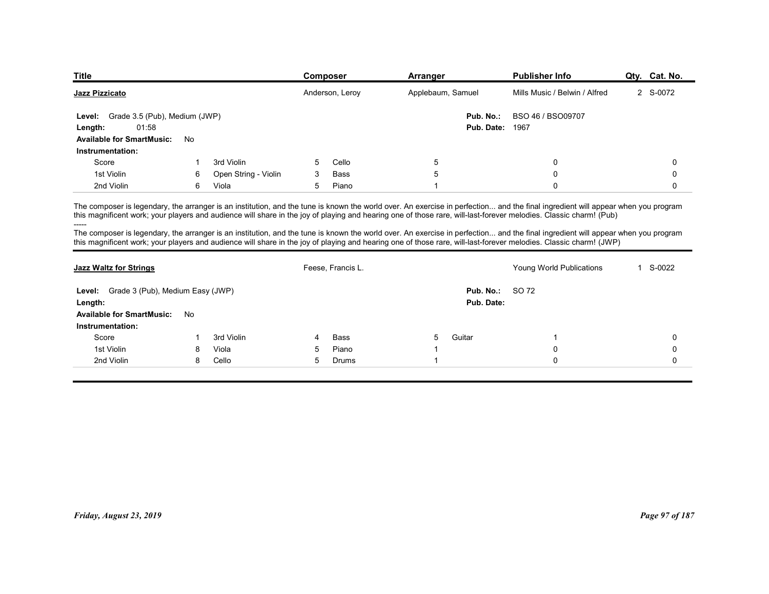| <b>Title</b>                                         |    |                      |   | <b>Composer</b>   | <b>Arranger</b>                                                                                                                                                                                                                                                                                                                                                                                                                                                                                                                                                                                                                                                                                                | <b>Publisher Info</b>         | Qty. Cat. No. |
|------------------------------------------------------|----|----------------------|---|-------------------|----------------------------------------------------------------------------------------------------------------------------------------------------------------------------------------------------------------------------------------------------------------------------------------------------------------------------------------------------------------------------------------------------------------------------------------------------------------------------------------------------------------------------------------------------------------------------------------------------------------------------------------------------------------------------------------------------------------|-------------------------------|---------------|
| Jazz Pizzicato                                       |    |                      |   | Anderson, Leroy   | Applebaum, Samuel                                                                                                                                                                                                                                                                                                                                                                                                                                                                                                                                                                                                                                                                                              | Mills Music / Belwin / Alfred | 2 S-0072      |
| Grade 3.5 (Pub), Medium (JWP)<br>Level:              |    |                      |   |                   | Pub. No.:                                                                                                                                                                                                                                                                                                                                                                                                                                                                                                                                                                                                                                                                                                      | BSO 46 / BSO09707             |               |
| 01:58<br>Length:                                     |    |                      |   |                   | Pub. Date:                                                                                                                                                                                                                                                                                                                                                                                                                                                                                                                                                                                                                                                                                                     | 1967                          |               |
| <b>Available for SmartMusic:</b><br>Instrumentation: | No |                      |   |                   |                                                                                                                                                                                                                                                                                                                                                                                                                                                                                                                                                                                                                                                                                                                |                               |               |
| Score                                                |    | 3rd Violin           | 5 | Cello             | 5                                                                                                                                                                                                                                                                                                                                                                                                                                                                                                                                                                                                                                                                                                              | $\mathbf 0$                   | $\mathbf 0$   |
| 1st Violin                                           | 6  | Open String - Violin | 3 | Bass              | 5                                                                                                                                                                                                                                                                                                                                                                                                                                                                                                                                                                                                                                                                                                              | $\mathbf 0$                   | $\mathbf 0$   |
| 2nd Violin                                           | 6  | Viola                | 5 | Piano             | $\overline{1}$                                                                                                                                                                                                                                                                                                                                                                                                                                                                                                                                                                                                                                                                                                 | $\mathbf{0}$                  | $\mathbf 0$   |
|                                                      |    |                      |   |                   | The composer is legendary, the arranger is an institution, and the tune is known the world over. An exercise in perfection and the final ingredient will appear when you program<br>this magnificent work; your players and audience will share in the joy of playing and hearing one of those rare, will-last-forever melodies. Classic charm! (Pub)<br>The composer is legendary, the arranger is an institution, and the tune is known the world over. An exercise in perfection and the final ingredient will appear when you program<br>this magnificent work; your players and audience will share in the joy of playing and hearing one of those rare, will-last-forever melodies. Classic charm! (JWP) |                               |               |
|                                                      |    |                      |   | Feese, Francis L. |                                                                                                                                                                                                                                                                                                                                                                                                                                                                                                                                                                                                                                                                                                                | Young World Publications      | 1 S-0022      |
| <b>Jazz Waltz for Strings</b>                        |    |                      |   |                   |                                                                                                                                                                                                                                                                                                                                                                                                                                                                                                                                                                                                                                                                                                                |                               |               |
|                                                      |    |                      |   |                   |                                                                                                                                                                                                                                                                                                                                                                                                                                                                                                                                                                                                                                                                                                                |                               |               |
| Level: Grade 3 (Pub), Medium Easy (JWP)<br>Length:   |    |                      |   |                   | Pub. No.:<br>Pub. Date:                                                                                                                                                                                                                                                                                                                                                                                                                                                                                                                                                                                                                                                                                        | SO 72                         |               |
| Available for SmartMusic: No                         |    |                      |   |                   |                                                                                                                                                                                                                                                                                                                                                                                                                                                                                                                                                                                                                                                                                                                |                               |               |

| Jazz Pizzicato                                                                                                   |              |                      |   | Anderson, Leroy   |                         | Applebaum, Samuel                   | Mills Music / Belwin / Alfred                                                                                                                                                                                                                                                                                                                                                                                                                                                                                                                                                                                                                                                                                  | 2 S-0072       |
|------------------------------------------------------------------------------------------------------------------|--------------|----------------------|---|-------------------|-------------------------|-------------------------------------|----------------------------------------------------------------------------------------------------------------------------------------------------------------------------------------------------------------------------------------------------------------------------------------------------------------------------------------------------------------------------------------------------------------------------------------------------------------------------------------------------------------------------------------------------------------------------------------------------------------------------------------------------------------------------------------------------------------|----------------|
| Level: Grade 3.5 (Pub), Medium (JWP)<br>01:58<br>Length:<br><b>Available for SmartMusic:</b><br>Instrumentation: | No           |                      |   |                   |                         | Pub. No.:<br><b>Pub. Date: 1967</b> | BSO 46 / BSO09707                                                                                                                                                                                                                                                                                                                                                                                                                                                                                                                                                                                                                                                                                              |                |
| Score                                                                                                            | $\mathbf{1}$ | 3rd Violin           | 5 | Cello             | $\overline{5}$          |                                     | $\mathbf 0$                                                                                                                                                                                                                                                                                                                                                                                                                                                                                                                                                                                                                                                                                                    | 0              |
| 1st Violin                                                                                                       | 6            | Open String - Violin | 3 | Bass              | 5                       |                                     | $\mathbf 0$                                                                                                                                                                                                                                                                                                                                                                                                                                                                                                                                                                                                                                                                                                    | 0              |
| 2nd Violin                                                                                                       | 6            | Viola                | 5 | Piano             | -1                      |                                     | $\mathbf 0$                                                                                                                                                                                                                                                                                                                                                                                                                                                                                                                                                                                                                                                                                                    | 0              |
|                                                                                                                  |              |                      |   |                   |                         |                                     | The composer is legendary, the arranger is an institution, and the tune is known the world over. An exercise in perfection and the final ingredient will appear when you program<br>this magnificent work; your players and audience will share in the joy of playing and hearing one of those rare, will-last-forever melodies. Classic charm! (Pub)<br>The composer is legendary, the arranger is an institution, and the tune is known the world over. An exercise in perfection and the final ingredient will appear when you program<br>this magnificent work; your players and audience will share in the joy of playing and hearing one of those rare, will-last-forever melodies. Classic charm! (JWP) |                |
| <b>Jazz Waltz for Strings</b>                                                                                    |              |                      |   | Feese, Francis L. |                         |                                     | Young World Publications                                                                                                                                                                                                                                                                                                                                                                                                                                                                                                                                                                                                                                                                                       | 1 S-0022       |
| Level: Grade 3 (Pub), Medium Easy (JWP)<br>Length:<br><b>Available for SmartMusic:</b><br>Instrumentation:       | No           |                      |   |                   |                         | Pub. No.:<br>Pub. Date:             | SO 72                                                                                                                                                                                                                                                                                                                                                                                                                                                                                                                                                                                                                                                                                                          |                |
| Score                                                                                                            | -1           | 3rd Violin           | 4 | Bass              | 5                       | Guitar                              | -1                                                                                                                                                                                                                                                                                                                                                                                                                                                                                                                                                                                                                                                                                                             | 0              |
| 1st Violin                                                                                                       | 8            | Viola                | 5 | Piano             | $\overline{\mathbf{1}}$ |                                     | $\mathbf 0$                                                                                                                                                                                                                                                                                                                                                                                                                                                                                                                                                                                                                                                                                                    | $\mathbf 0$    |
| 2nd Violin                                                                                                       | 8            | Cello                | 5 | <b>Drums</b>      | $\overline{1}$          |                                     | $\mathbf 0$                                                                                                                                                                                                                                                                                                                                                                                                                                                                                                                                                                                                                                                                                                    | $\mathbf 0$    |
|                                                                                                                  |              |                      |   |                   |                         |                                     |                                                                                                                                                                                                                                                                                                                                                                                                                                                                                                                                                                                                                                                                                                                |                |
| Friday, August 23, 2019                                                                                          |              |                      |   |                   |                         |                                     |                                                                                                                                                                                                                                                                                                                                                                                                                                                                                                                                                                                                                                                                                                                | Page 97 of 187 |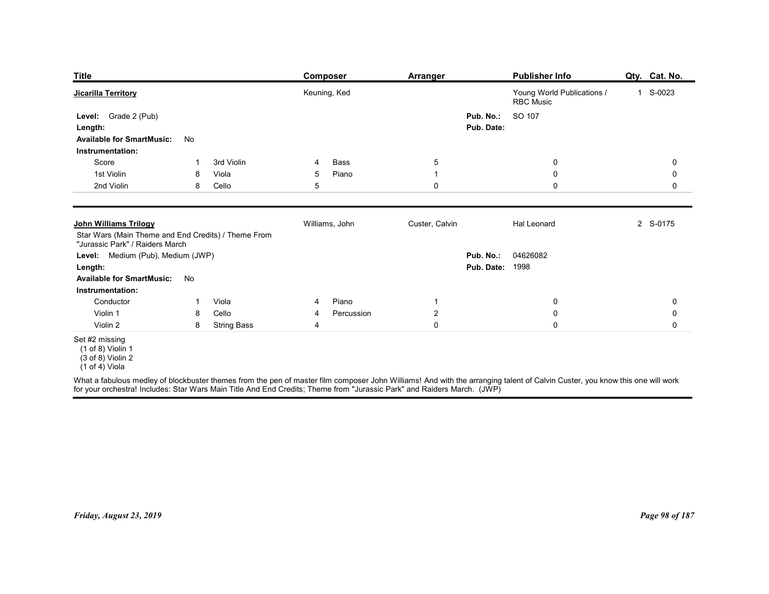| <b>Title</b>                                                                                                           |                |                             | <b>Composer</b>                                                                                                         | <b>Arranger</b>               | <b>Publisher Info</b>                                                                                                                                                        | Qty. Cat. No.    |
|------------------------------------------------------------------------------------------------------------------------|----------------|-----------------------------|-------------------------------------------------------------------------------------------------------------------------|-------------------------------|------------------------------------------------------------------------------------------------------------------------------------------------------------------------------|------------------|
| <b>Jicarilla Territory</b>                                                                                             |                |                             | Keuning, Ked                                                                                                            |                               | Young World Publications /<br><b>RBC</b> Music                                                                                                                               | 1 S-0023         |
| Level: Grade 2 (Pub)<br>Length:<br><b>Available for SmartMusic:</b>                                                    | No             |                             |                                                                                                                         | Pub. No.:<br>Pub. Date:       | SO 107                                                                                                                                                                       |                  |
| Instrumentation:                                                                                                       | -1             | 3rd Violin                  | 4                                                                                                                       |                               |                                                                                                                                                                              |                  |
| Score<br>1st Violin                                                                                                    | 8              | Viola                       | Bass<br>Piano<br>5                                                                                                      | $\sqrt{5}$<br>$\mathbf{1}$    | $\boldsymbol{0}$<br>$\boldsymbol{0}$                                                                                                                                         | 0<br>$\mathbf 0$ |
| 2nd Violin                                                                                                             | 8              | Cello                       | 5                                                                                                                       | 0                             | 0                                                                                                                                                                            | 0                |
| <b>John Williams Trilogy</b><br>Star Wars (Main Theme and End Credits) / Theme From<br>"Jurassic Park" / Raiders March |                |                             | Williams, John                                                                                                          | Custer, Calvin                | Hal Leonard                                                                                                                                                                  | 2 S-0175         |
| Level: Medium (Pub), Medium (JWP)<br>Length:<br><b>Available for SmartMusic:</b><br>Instrumentation:                   | No             |                             |                                                                                                                         |                               | Pub. No.: 04626082<br><b>Pub. Date: 1998</b>                                                                                                                                 |                  |
| Conductor                                                                                                              | $\overline{1}$ | Viola                       | Piano<br>-4                                                                                                             | $\mathbf{1}$                  | $\mathbf 0$                                                                                                                                                                  | 0                |
| Violin 1<br>Violin 2                                                                                                   | 8<br>8         | Cello<br><b>String Bass</b> | Percussion<br>4<br>4                                                                                                    | $\overline{2}$<br>$\mathbf 0$ | $\mathbf 0$<br>$\mathsf{O}\xspace$                                                                                                                                           | 0<br>0           |
| Set #2 missing<br>$(1 of 8)$ Violin 1<br>$(3 \text{ of } 8)$ Violin 2<br>$(1 of 4)$ Viola                              |                |                             | for your orchestra! Includes: Star Wars Main Title And End Credits; Theme from "Jurassic Park" and Raiders March. (JWP) |                               | What a fabulous medley of blockbuster themes from the pen of master film composer John Williams! And with the arranging talent of Calvin Custer, you know this one will work |                  |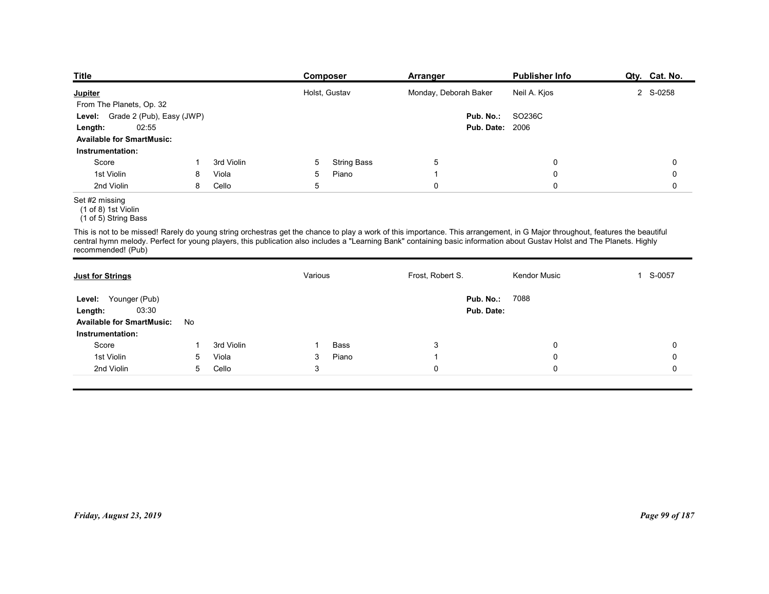| <b>Title</b>                                                  |    |            |         | <b>Composer</b>         | <b>Arranger</b>       | <b>Publisher Info</b>                                                                                                                                                                                                                                                                                                                                     | Qty. Cat. No.          |
|---------------------------------------------------------------|----|------------|---------|-------------------------|-----------------------|-----------------------------------------------------------------------------------------------------------------------------------------------------------------------------------------------------------------------------------------------------------------------------------------------------------------------------------------------------------|------------------------|
| <b>Jupiter</b>                                                |    |            |         | Holst, Gustav           | Monday, Deborah Baker | Neil A. Kjos                                                                                                                                                                                                                                                                                                                                              | 2 S-0258               |
| From The Planets, Op. 32                                      |    |            |         |                         |                       |                                                                                                                                                                                                                                                                                                                                                           |                        |
| Grade 2 (Pub), Easy (JWP)<br>Level:                           |    |            |         |                         | Pub. No.:             | SO236C                                                                                                                                                                                                                                                                                                                                                    |                        |
| 02:55<br>Length:                                              |    |            |         |                         |                       | <b>Pub. Date: 2006</b>                                                                                                                                                                                                                                                                                                                                    |                        |
| <b>Available for SmartMusic:</b>                              |    |            |         |                         |                       |                                                                                                                                                                                                                                                                                                                                                           |                        |
| Instrumentation:<br>Score                                     |    | 3rd Violin |         | 5<br><b>String Bass</b> | $\overline{5}$        | 0                                                                                                                                                                                                                                                                                                                                                         | 0                      |
| 1st Violin                                                    | 8  | Viola      |         | Piano<br>5              | $\mathbf{1}$          | 0                                                                                                                                                                                                                                                                                                                                                         | 0                      |
| 2nd Violin                                                    | 8  | Cello      |         | 5                       | 0                     | $\mathbf 0$                                                                                                                                                                                                                                                                                                                                               | 0                      |
| Set #2 missing<br>(1 of 8) 1st Violin<br>(1 of 5) String Bass |    |            |         |                         |                       |                                                                                                                                                                                                                                                                                                                                                           |                        |
| recommended! (Pub)                                            |    |            |         |                         |                       | This is not to be missed! Rarely do young string orchestras get the chance to play a work of this importance. This arrangement, in G Major throughout, features the beautiful<br>central hymn melody. Perfect for young players, this publication also includes a "Learning Bank" containing basic information about Gustav Holst and The Planets. Highly |                        |
| <b>Just for Strings</b>                                       |    |            | Various |                         | Frost, Robert S.      | <b>Kendor Music</b>                                                                                                                                                                                                                                                                                                                                       | S-0057<br>$\mathbf{1}$ |
|                                                               |    |            |         |                         |                       | <b>Pub. No.: 7088</b>                                                                                                                                                                                                                                                                                                                                     |                        |
|                                                               |    |            |         |                         |                       |                                                                                                                                                                                                                                                                                                                                                           |                        |
| Level: Younger (Pub)                                          |    |            |         |                         |                       |                                                                                                                                                                                                                                                                                                                                                           |                        |
| 03:30<br>Length:<br><b>Available for SmartMusic:</b>          | No |            |         |                         | Pub. Date:            |                                                                                                                                                                                                                                                                                                                                                           |                        |

| <u>Jupiter</u>                                                |              |            |              | Holst, Gustav      | Monday, Deborah Baker | Neil A. Kjos                                                                                                                                                                                                                                                                                                                                              | 2 S-0258       |
|---------------------------------------------------------------|--------------|------------|--------------|--------------------|-----------------------|-----------------------------------------------------------------------------------------------------------------------------------------------------------------------------------------------------------------------------------------------------------------------------------------------------------------------------------------------------------|----------------|
| From The Planets, Op. 32                                      |              |            |              |                    |                       |                                                                                                                                                                                                                                                                                                                                                           |                |
| Level: Grade 2 (Pub), Easy (JWP)                              |              |            |              |                    | Pub. No.:             | SO236C                                                                                                                                                                                                                                                                                                                                                    |                |
| 02:55<br>Length:                                              |              |            |              |                    |                       | <b>Pub. Date: 2006</b>                                                                                                                                                                                                                                                                                                                                    |                |
| <b>Available for SmartMusic:</b>                              |              |            |              |                    |                       |                                                                                                                                                                                                                                                                                                                                                           |                |
| Instrumentation:                                              |              |            |              |                    |                       |                                                                                                                                                                                                                                                                                                                                                           |                |
| Score                                                         | $\mathbf{1}$ | 3rd Violin | 5            | <b>String Bass</b> | $\overline{5}$        | $\mathbf 0$                                                                                                                                                                                                                                                                                                                                               | $\mathbf 0$    |
| 1st Violin                                                    | 8            | Viola      | $\sqrt{5}$   | Piano              | $\overline{1}$        | $\mathbf 0$                                                                                                                                                                                                                                                                                                                                               | $\mathbf 0$    |
| 2nd Violin                                                    | 8            | Cello      | $\sqrt{5}$   |                    | $\mathsf 0$           | $\mathbf 0$                                                                                                                                                                                                                                                                                                                                               | $\mathbf 0$    |
| Set #2 missing<br>(1 of 8) 1st Violin<br>(1 of 5) String Bass |              |            |              |                    |                       |                                                                                                                                                                                                                                                                                                                                                           |                |
| recommended! (Pub)                                            |              |            |              |                    |                       | This is not to be missed! Rarely do young string orchestras get the chance to play a work of this importance. This arrangement, in G Major throughout, features the beautiful<br>central hymn melody. Perfect for young players, this publication also includes a "Learning Bank" containing basic information about Gustav Holst and The Planets. Highly |                |
| <b>Just for Strings</b>                                       |              |            | Various      |                    | Frost, Robert S.      | Kendor Music                                                                                                                                                                                                                                                                                                                                              | 1 S-0057       |
| Level: Younger (Pub)                                          |              |            |              |                    |                       | Pub. No.: 7088                                                                                                                                                                                                                                                                                                                                            |                |
| 03:30<br>Length:                                              |              |            |              |                    | Pub. Date:            |                                                                                                                                                                                                                                                                                                                                                           |                |
| <b>Available for SmartMusic:</b>                              | No           |            |              |                    |                       |                                                                                                                                                                                                                                                                                                                                                           |                |
| Instrumentation:                                              |              |            |              |                    |                       |                                                                                                                                                                                                                                                                                                                                                           |                |
| Score                                                         | -1           | 3rd Violin | -1           | Bass               | $\mathbf{3}$          | $\mathbf 0$                                                                                                                                                                                                                                                                                                                                               | $\mathbf 0$    |
| 1st Violin                                                    | 5            | Viola      | 3            | Piano              | $\overline{1}$        | $\mathbf 0$                                                                                                                                                                                                                                                                                                                                               | 0              |
| 2nd Violin                                                    | 5            | Cello      | $\mathbf{3}$ |                    | $\mathsf 0$           | $\mathbf 0$                                                                                                                                                                                                                                                                                                                                               | $\mathbf 0$    |
|                                                               |              |            |              |                    |                       |                                                                                                                                                                                                                                                                                                                                                           |                |
|                                                               |              |            |              |                    |                       |                                                                                                                                                                                                                                                                                                                                                           |                |
|                                                               |              |            |              |                    |                       |                                                                                                                                                                                                                                                                                                                                                           |                |
|                                                               |              |            |              |                    |                       |                                                                                                                                                                                                                                                                                                                                                           |                |
|                                                               |              |            |              |                    |                       |                                                                                                                                                                                                                                                                                                                                                           |                |
|                                                               |              |            |              |                    |                       |                                                                                                                                                                                                                                                                                                                                                           |                |
|                                                               |              |            |              |                    |                       |                                                                                                                                                                                                                                                                                                                                                           |                |
|                                                               |              |            |              |                    |                       |                                                                                                                                                                                                                                                                                                                                                           |                |
|                                                               |              |            |              |                    |                       |                                                                                                                                                                                                                                                                                                                                                           |                |
|                                                               |              |            |              |                    |                       |                                                                                                                                                                                                                                                                                                                                                           |                |
|                                                               |              |            |              |                    |                       |                                                                                                                                                                                                                                                                                                                                                           |                |
|                                                               |              |            |              |                    |                       |                                                                                                                                                                                                                                                                                                                                                           |                |
| Friday, August 23, 2019                                       |              |            |              |                    |                       |                                                                                                                                                                                                                                                                                                                                                           | Page 99 of 187 |
|                                                               |              |            |              |                    |                       |                                                                                                                                                                                                                                                                                                                                                           |                |
|                                                               |              |            |              |                    |                       |                                                                                                                                                                                                                                                                                                                                                           |                |
|                                                               |              |            |              |                    |                       |                                                                                                                                                                                                                                                                                                                                                           |                |
|                                                               |              |            |              |                    |                       |                                                                                                                                                                                                                                                                                                                                                           |                |
|                                                               |              |            |              |                    |                       |                                                                                                                                                                                                                                                                                                                                                           |                |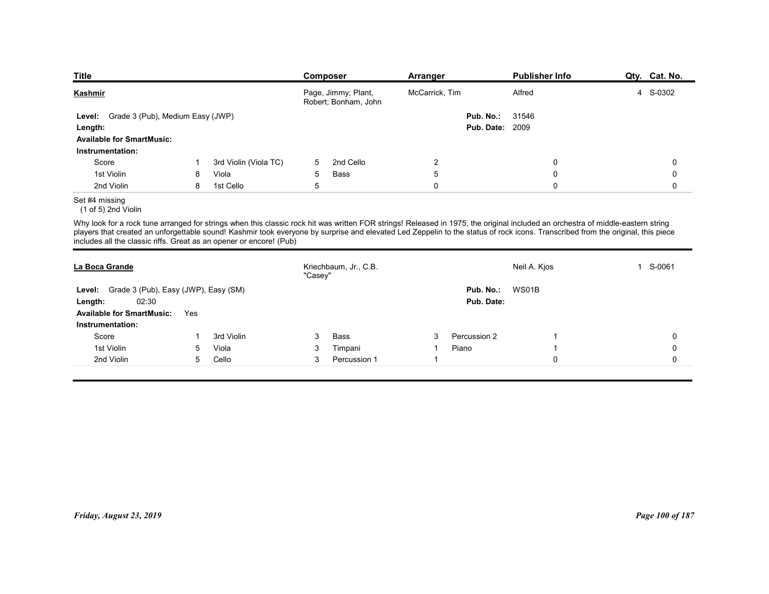| <b>Title</b>                                                                                                                                                                                                                                                                                                                                                                                                                              |    |                                | <b>Composer</b> |                                             | Arranger                      |                                     | <b>Publisher Info</b> | Qty. Cat. No. |
|-------------------------------------------------------------------------------------------------------------------------------------------------------------------------------------------------------------------------------------------------------------------------------------------------------------------------------------------------------------------------------------------------------------------------------------------|----|--------------------------------|-----------------|---------------------------------------------|-------------------------------|-------------------------------------|-----------------------|---------------|
| <u>Kashmir</u>                                                                                                                                                                                                                                                                                                                                                                                                                            |    |                                |                 | Page, Jimmy; Plant,<br>Robert; Bonham, John | McCarrick, Tim                |                                     | Alfred                | 4 S-0302      |
| Level: Grade 3 (Pub), Medium Easy (JWP)                                                                                                                                                                                                                                                                                                                                                                                                   |    |                                |                 |                                             |                               | Pub. No.:<br><b>Pub. Date: 2009</b> | 31546                 |               |
| Length:<br><b>Available for SmartMusic:</b>                                                                                                                                                                                                                                                                                                                                                                                               |    |                                |                 |                                             |                               |                                     |                       |               |
| Instrumentation:<br>Score                                                                                                                                                                                                                                                                                                                                                                                                                 | -1 |                                | 5               | 2nd Cello                                   |                               |                                     | $\mathbf 0$           | 0             |
| 1st Violin                                                                                                                                                                                                                                                                                                                                                                                                                                | 8  | 3rd Violin (Viola TC)<br>Viola | $5\phantom{.0}$ | Bass                                        | $\overline{2}$<br>$\,$ 5 $\,$ |                                     | $\mathbf 0$           | 0             |
| 2nd Violin                                                                                                                                                                                                                                                                                                                                                                                                                                | 8  | 1st Cello                      | $\overline{5}$  |                                             | $\mathsf 0$                   |                                     | $\mathsf 0$           | 0             |
|                                                                                                                                                                                                                                                                                                                                                                                                                                           |    |                                |                 |                                             |                               |                                     |                       |               |
| Set #4 missing<br>(1 of 5) 2nd Violin                                                                                                                                                                                                                                                                                                                                                                                                     |    |                                |                 |                                             |                               |                                     |                       |               |
| Why look for a rock tune arranged for strings when this classic rock hit was written FOR strings! Released in 1975, the original included an orchestra of middle-eastern string<br>players that created an unforgettable sound! Kashmir took everyone by surprise and elevated Led Zeppelin to the status of rock icons. Transcribed from the original, this piece<br>includes all the classic riffs. Great as an opener or encore! (Pub) |    |                                |                 |                                             |                               |                                     |                       |               |
| La Boca Grande                                                                                                                                                                                                                                                                                                                                                                                                                            |    |                                | "Casey"         | Kriechbaum, Jr., C.B.                       |                               |                                     | Neil A. Kjos          | 1 S-0061      |

| <b>Kashmir</b>                                                                                                                                                                                                                                                                                                                                                                                                                            |              |                       |            | Page, Jimmy; Plant,<br>Robert; Bonham, John | McCarrick, Tim |                                     | Alfred       | 4 S-0302        |
|-------------------------------------------------------------------------------------------------------------------------------------------------------------------------------------------------------------------------------------------------------------------------------------------------------------------------------------------------------------------------------------------------------------------------------------------|--------------|-----------------------|------------|---------------------------------------------|----------------|-------------------------------------|--------------|-----------------|
| Grade 3 (Pub), Medium Easy (JWP)<br>Level:<br>Length:<br><b>Available for SmartMusic:</b>                                                                                                                                                                                                                                                                                                                                                 |              |                       |            |                                             |                | Pub. No.:<br><b>Pub. Date: 2009</b> | 31546        |                 |
| Instrumentation:                                                                                                                                                                                                                                                                                                                                                                                                                          |              |                       |            |                                             |                |                                     |              |                 |
| Score                                                                                                                                                                                                                                                                                                                                                                                                                                     | $\mathbf{1}$ | 3rd Violin (Viola TC) | 5          | 2nd Cello                                   | $\sqrt{2}$     |                                     | 0            | $\pmb{0}$       |
| 1st Violin                                                                                                                                                                                                                                                                                                                                                                                                                                | 8            | Viola                 | $\sqrt{5}$ | Bass                                        | $\mathbf 5$    |                                     | $\pmb{0}$    | $\mathbf 0$     |
| 2nd Violin                                                                                                                                                                                                                                                                                                                                                                                                                                | 8            | 1st Cello             | $\sqrt{5}$ |                                             | $\mathbf 0$    |                                     | $\mathbf 0$  | 0               |
| Set #4 missing<br>$(1 of 5)$ 2nd Violin                                                                                                                                                                                                                                                                                                                                                                                                   |              |                       |            |                                             |                |                                     |              |                 |
| Why look for a rock tune arranged for strings when this classic rock hit was written FOR strings! Released in 1975, the original included an orchestra of middle-eastern string<br>players that created an unforgettable sound! Kashmir took everyone by surprise and elevated Led Zeppelin to the status of rock icons. Transcribed from the original, this piece<br>includes all the classic riffs. Great as an opener or encore! (Pub) |              |                       |            |                                             |                |                                     |              |                 |
| La Boca Grande                                                                                                                                                                                                                                                                                                                                                                                                                            |              |                       | "Casey"    | Kriechbaum, Jr., C.B.                       |                |                                     | Neil A. Kjos | 1 S-0061        |
| Level: Grade 3 (Pub), Easy (JWP), Easy (SM)<br>02:30<br>Length:<br><b>Available for SmartMusic:</b><br>Instrumentation:                                                                                                                                                                                                                                                                                                                   | Yes          |                       |            |                                             |                | Pub. No.:<br>Pub. Date:             | WS01B        |                 |
| Score                                                                                                                                                                                                                                                                                                                                                                                                                                     | 1            | 3rd Violin            | 3          | Bass                                        | 3              | Percussion 2                        | -1           | 0               |
| 1st Violin                                                                                                                                                                                                                                                                                                                                                                                                                                | 5            | Viola                 | 3          | Timpani                                     | $\mathbf{1}$   | Piano                               | 1            | $\mathbf 0$     |
| 2nd Violin                                                                                                                                                                                                                                                                                                                                                                                                                                | 5            | Cello                 | 3          | Percussion 1                                | $\mathbf{1}$   |                                     | $\mathbf 0$  | 0               |
|                                                                                                                                                                                                                                                                                                                                                                                                                                           |              |                       |            |                                             |                |                                     |              |                 |
| Friday, August 23, 2019                                                                                                                                                                                                                                                                                                                                                                                                                   |              |                       |            |                                             |                |                                     |              | Page 100 of 187 |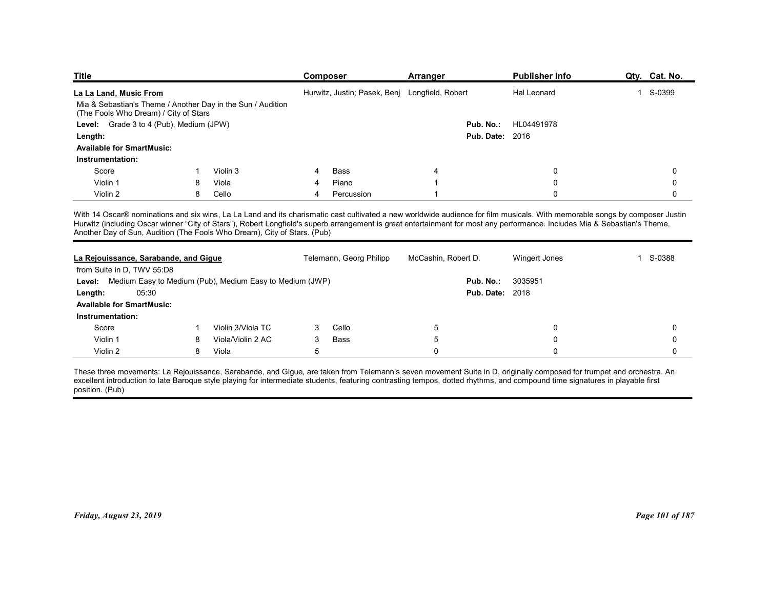| <b>Title</b>                                                                                         |        |                            | Composer                                                                                                                                                                    | Arranger               | <b>Publisher Info</b>      | Qty. Cat. No.    |
|------------------------------------------------------------------------------------------------------|--------|----------------------------|-----------------------------------------------------------------------------------------------------------------------------------------------------------------------------|------------------------|----------------------------|------------------|
| La La Land, Music From                                                                               |        |                            | Hurwitz, Justin; Pasek, Benj Longfield, Robert                                                                                                                              |                        | Hal Leonard                | 1 S-0399         |
| Mia & Sebastian's Theme / Another Day in the Sun / Audition<br>(The Fools Who Dream) / City of Stars |        |                            |                                                                                                                                                                             |                        |                            |                  |
| Level: Grade 3 to 4 (Pub), Medium (JPW)                                                              |        |                            |                                                                                                                                                                             | Pub. No.:              | HL04491978                 |                  |
| Length:                                                                                              |        |                            |                                                                                                                                                                             | <b>Pub. Date: 2016</b> |                            |                  |
| <b>Available for SmartMusic:</b>                                                                     |        |                            |                                                                                                                                                                             |                        |                            |                  |
| Instrumentation:                                                                                     |        |                            |                                                                                                                                                                             |                        |                            |                  |
| Score                                                                                                |        | Violin 3                   | Bass                                                                                                                                                                        |                        | 0                          | 0                |
| Violin 1<br>Violin 2                                                                                 | 8<br>8 | Viola<br>Cello             | Piano<br>Percussion<br>4                                                                                                                                                    |                        | 0<br>$\mathbf 0$           | $\Omega$         |
|                                                                                                      |        |                            |                                                                                                                                                                             |                        |                            |                  |
|                                                                                                      |        |                            | With 14 Oscar® nominations and six wins, La La Land and its charismatic cast cultivated a new worldwide audience for film musicals. With memorable songs by composer Justin |                        |                            |                  |
|                                                                                                      |        |                            | Hurwitz (including Oscar winner "City of Stars"), Robert Longfield's superb arrangement is great entertainment for most any performance. Includes Mia & Sebastian's Theme,  |                        |                            |                  |
|                                                                                                      |        |                            |                                                                                                                                                                             |                        |                            |                  |
| Another Day of Sun, Audition (The Fools Who Dream), City of Stars. (Pub)                             |        |                            | Telemann, Georg Philipp                                                                                                                                                     | McCashin, Robert D.    | Wingert Jones              | 1 S-0388         |
| La Rejouissance, Sarabande, and Gigue                                                                |        |                            |                                                                                                                                                                             |                        |                            |                  |
| from Suite in D, TWV 55:D8                                                                           |        |                            |                                                                                                                                                                             |                        |                            |                  |
| Level: Medium Easy to Medium (Pub), Medium Easy to Medium (JWP)                                      |        |                            |                                                                                                                                                                             | Pub. No.: 3035951      |                            |                  |
| 05:30<br>Length:                                                                                     |        |                            |                                                                                                                                                                             | <b>Pub. Date: 2018</b> |                            |                  |
| <b>Available for SmartMusic:</b>                                                                     |        |                            |                                                                                                                                                                             |                        |                            |                  |
| Instrumentation:                                                                                     |        |                            |                                                                                                                                                                             |                        |                            |                  |
| Score                                                                                                | -1     | Violin 3/Viola TC          | Cello<br>3                                                                                                                                                                  | 5                      | 0                          | 0                |
| Violin 1<br>Violin 2                                                                                 | 8<br>8 | Viola/Violin 2 AC<br>Viola | Bass<br>3<br>$5\phantom{.0}$                                                                                                                                                | 5<br>$\boldsymbol{0}$  | $\mathbf 0$<br>$\mathbf 0$ | $\mathbf 0$<br>0 |

| (The Fools Who Dream) / City of Stars                                                                                                                                                                                                                                                                                                                                                                                                 |    | Mia & Sebastian's Theme / Another Day in the Sun / Audition |                |                         |                     |                        |             |
|---------------------------------------------------------------------------------------------------------------------------------------------------------------------------------------------------------------------------------------------------------------------------------------------------------------------------------------------------------------------------------------------------------------------------------------|----|-------------------------------------------------------------|----------------|-------------------------|---------------------|------------------------|-------------|
| Level: Grade 3 to 4 (Pub), Medium (JPW)                                                                                                                                                                                                                                                                                                                                                                                               |    |                                                             |                |                         |                     | Pub. No.: HL04491978   |             |
| Length:                                                                                                                                                                                                                                                                                                                                                                                                                               |    |                                                             |                |                         |                     | <b>Pub. Date: 2016</b> |             |
| <b>Available for SmartMusic:</b>                                                                                                                                                                                                                                                                                                                                                                                                      |    |                                                             |                |                         |                     |                        |             |
| Instrumentation:                                                                                                                                                                                                                                                                                                                                                                                                                      |    |                                                             |                |                         |                     |                        |             |
| Score                                                                                                                                                                                                                                                                                                                                                                                                                                 | -1 | Violin 3                                                    | 4              | Bass                    | 4                   | 0                      | 0           |
| Violin 1                                                                                                                                                                                                                                                                                                                                                                                                                              | -8 | Viola                                                       |                | Piano                   |                     | 0                      | $\Omega$    |
| Violin 2                                                                                                                                                                                                                                                                                                                                                                                                                              | 8  | Cello                                                       | 4              | Percussion              | -1                  | $\mathbf 0$            | $\mathbf 0$ |
| With 14 Oscar® nominations and six wins, La La Land and its charismatic cast cultivated a new worldwide audience for film musicals. With memorable songs by composer Justin<br>Hurwitz (including Oscar winner "City of Stars"), Robert Longfield's superb arrangement is great entertainment for most any performance. Includes Mia & Sebastian's Theme,<br>Another Day of Sun, Audition (The Fools Who Dream), City of Stars. (Pub) |    |                                                             |                |                         |                     |                        |             |
| La Rejouissance, Sarabande, and Gigue<br>from Suite in D. TWV 55:D8                                                                                                                                                                                                                                                                                                                                                                   |    |                                                             |                | Telemann, Georg Philipp | McCashin, Robert D. | <b>Wingert Jones</b>   | 1 S-0388    |
| Level: Medium Easy to Medium (Pub), Medium Easy to Medium (JWP)                                                                                                                                                                                                                                                                                                                                                                       |    |                                                             |                |                         | Pub. No.:           | 3035951                |             |
| 05:30<br>Length:                                                                                                                                                                                                                                                                                                                                                                                                                      |    |                                                             |                |                         |                     | <b>Pub. Date: 2018</b> |             |
| <b>Available for SmartMusic:</b>                                                                                                                                                                                                                                                                                                                                                                                                      |    |                                                             |                |                         |                     |                        |             |
| Instrumentation:                                                                                                                                                                                                                                                                                                                                                                                                                      |    |                                                             |                |                         |                     |                        |             |
| Score                                                                                                                                                                                                                                                                                                                                                                                                                                 | -1 | Violin 3/Viola TC                                           | 3              | Cello                   | 5                   | 0                      | 0           |
| Violin 1                                                                                                                                                                                                                                                                                                                                                                                                                              | 8  | Viola/Violin 2 AC                                           | 3              | Bass                    | 5                   | 0                      | $\Omega$    |
| Violin 2                                                                                                                                                                                                                                                                                                                                                                                                                              | 8  | Viola                                                       | $\overline{5}$ |                         | $\mathbf 0$         | $\mathbf 0$            | $\Omega$    |
| These three movements: La Rejouissance, Sarabande, and Gigue, are taken from Telemann's seven movement Suite in D, originally composed for trumpet and orchestra. An<br>excellent introduction to late Baroque style playing for intermediate students, featuring contrasting tempos, dotted rhythms, and compound time signatures in playable first<br>position. (Pub)                                                               |    |                                                             |                |                         |                     |                        |             |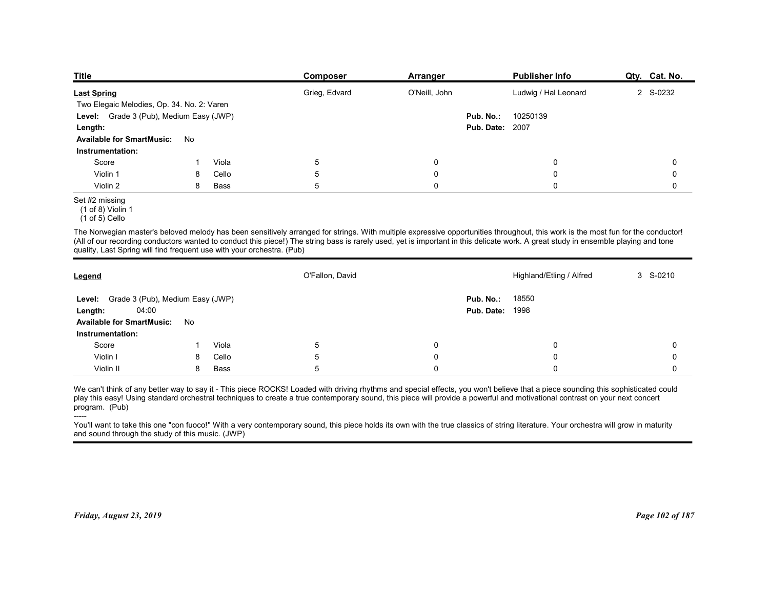| <b>Title</b>                                                           |    |       | Composer                                                                                                                                                                                                                                                                                                                                                               | Arranger      |                                     | <b>Publisher Info</b>    | Qty. Cat. No. |
|------------------------------------------------------------------------|----|-------|------------------------------------------------------------------------------------------------------------------------------------------------------------------------------------------------------------------------------------------------------------------------------------------------------------------------------------------------------------------------|---------------|-------------------------------------|--------------------------|---------------|
| <b>Last Spring</b>                                                     |    |       | Grieg, Edvard                                                                                                                                                                                                                                                                                                                                                          | O'Neill, John |                                     | Ludwig / Hal Leonard     | 2 S-0232      |
| Two Elegaic Melodies, Op. 34. No. 2: Varen                             |    |       |                                                                                                                                                                                                                                                                                                                                                                        |               |                                     |                          |               |
| Level: Grade 3 (Pub), Medium Easy (JWP)                                |    |       |                                                                                                                                                                                                                                                                                                                                                                        |               | Pub. No.:<br><b>Pub. Date: 2007</b> | 10250139                 |               |
| Length:<br><b>Available for SmartMusic:</b>                            | No |       |                                                                                                                                                                                                                                                                                                                                                                        |               |                                     |                          |               |
| Instrumentation:                                                       |    |       |                                                                                                                                                                                                                                                                                                                                                                        |               |                                     |                          |               |
| Score                                                                  |    | Viola | 5                                                                                                                                                                                                                                                                                                                                                                      | 0             |                                     | 0                        | 0             |
| Violin 1                                                               | 8  | Cello | $5\phantom{.0}$                                                                                                                                                                                                                                                                                                                                                        | 0             |                                     | 0                        | 0             |
| Violin 2                                                               | 8  | Bass  | $5\phantom{.0}$                                                                                                                                                                                                                                                                                                                                                        | 0             |                                     | $\mathbf 0$              | $\mathbf 0$   |
| Set #2 missing<br>$(1 of 8)$ Violin 1<br>$(1 of 5)$ Cello              |    |       |                                                                                                                                                                                                                                                                                                                                                                        |               |                                     |                          |               |
| quality, Last Spring will find frequent use with your orchestra. (Pub) |    |       | The Norwegian master's beloved melody has been sensitively arranged for strings. With multiple expressive opportunities throughout, this work is the most fun for the conductor!<br>(All of our recording conductors wanted to conduct this piece!) The string bass is rarely used, yet is important in this delicate work. A great study in ensemble playing and tone |               |                                     |                          |               |
| Legend                                                                 |    |       | O'Fallon, David                                                                                                                                                                                                                                                                                                                                                        |               |                                     | Highland/Etling / Alfred | 3 S-0210      |
|                                                                        |    |       |                                                                                                                                                                                                                                                                                                                                                                        |               | Pub. No.:                           | 18550                    |               |
|                                                                        |    |       |                                                                                                                                                                                                                                                                                                                                                                        |               | <b>Pub. Date: 1998</b>              |                          |               |
| Level: Grade 3 (Pub), Medium Easy (JWP)                                |    |       |                                                                                                                                                                                                                                                                                                                                                                        |               |                                     |                          |               |
| 04:00<br>Length:<br>Available for SmartMusic: No                       |    |       |                                                                                                                                                                                                                                                                                                                                                                        |               |                                     |                          |               |

## Set #2 missing

| Two Elegaic Melodies, Op. 34. No. 2: Varen<br>Level: Grade 3 (Pub), Medium Easy (JWP) |    |             |                 |             | Ludwig / Hal Leonard                                                                                                                                                                                                                                                                                                                                                                                                                                                                                                                                    | 2 S-0232    |
|---------------------------------------------------------------------------------------|----|-------------|-----------------|-------------|---------------------------------------------------------------------------------------------------------------------------------------------------------------------------------------------------------------------------------------------------------------------------------------------------------------------------------------------------------------------------------------------------------------------------------------------------------------------------------------------------------------------------------------------------------|-------------|
|                                                                                       |    |             |                 |             |                                                                                                                                                                                                                                                                                                                                                                                                                                                                                                                                                         |             |
|                                                                                       |    |             |                 | Pub. No.:   | 10250139                                                                                                                                                                                                                                                                                                                                                                                                                                                                                                                                                |             |
| Length:                                                                               |    |             |                 |             | <b>Pub. Date: 2007</b>                                                                                                                                                                                                                                                                                                                                                                                                                                                                                                                                  |             |
| <b>Available for SmartMusic:</b>                                                      | No |             |                 |             |                                                                                                                                                                                                                                                                                                                                                                                                                                                                                                                                                         |             |
| Instrumentation:                                                                      |    |             |                 |             |                                                                                                                                                                                                                                                                                                                                                                                                                                                                                                                                                         |             |
| Score                                                                                 | -1 | Viola       | $\overline{5}$  | $\mathbf 0$ | 0                                                                                                                                                                                                                                                                                                                                                                                                                                                                                                                                                       | $\mathbf 0$ |
| Violin 1                                                                              | 8  | Cello       | $\sqrt{5}$      | 0           | 0                                                                                                                                                                                                                                                                                                                                                                                                                                                                                                                                                       | 0           |
| Violin 2                                                                              | 8  | <b>Bass</b> | 5               | $\Omega$    | $\Omega$                                                                                                                                                                                                                                                                                                                                                                                                                                                                                                                                                | $\mathbf 0$ |
| Set #2 missing<br>$(1 of 8)$ Violin 1<br>$(1 of 5)$ Cello                             |    |             |                 |             |                                                                                                                                                                                                                                                                                                                                                                                                                                                                                                                                                         |             |
| quality, Last Spring will find frequent use with your orchestra. (Pub)                |    |             |                 |             | The Norwegian master's beloved melody has been sensitively arranged for strings. With multiple expressive opportunities throughout, this work is the most fun for the conductor!<br>(All of our recording conductors wanted to conduct this piece!) The string bass is rarely used, yet is important in this delicate work. A great study in ensemble playing and tone                                                                                                                                                                                  |             |
| <u>Legend</u>                                                                         |    |             | O'Fallon, David |             | Highland/Etling / Alfred                                                                                                                                                                                                                                                                                                                                                                                                                                                                                                                                | 3 S-0210    |
| Grade 3 (Pub), Medium Easy (JWP)<br>Level:                                            |    |             |                 | Pub. No.:   | 18550                                                                                                                                                                                                                                                                                                                                                                                                                                                                                                                                                   |             |
| 04:00<br>Length:                                                                      |    |             |                 |             | <b>Pub. Date: 1998</b>                                                                                                                                                                                                                                                                                                                                                                                                                                                                                                                                  |             |
| <b>Available for SmartMusic:</b>                                                      | No |             |                 |             |                                                                                                                                                                                                                                                                                                                                                                                                                                                                                                                                                         |             |
| Instrumentation:                                                                      |    |             |                 |             |                                                                                                                                                                                                                                                                                                                                                                                                                                                                                                                                                         |             |
| Score                                                                                 | -1 | Viola       | $\mathbf 5$     | $\mathbf 0$ | 0                                                                                                                                                                                                                                                                                                                                                                                                                                                                                                                                                       | $\Omega$    |
| Violin I                                                                              | 8  | Cello       | $\sqrt{5}$      | $\mathbf 0$ | 0                                                                                                                                                                                                                                                                                                                                                                                                                                                                                                                                                       | $\mathbf 0$ |
| Violin II                                                                             | 8  | <b>Bass</b> | 5               | $\Omega$    | $\mathbf{0}$                                                                                                                                                                                                                                                                                                                                                                                                                                                                                                                                            | $\Omega$    |
| program. (Pub)<br>and sound through the study of this music. (JWP)                    |    |             |                 |             | We can't think of any better way to say it - This piece ROCKS! Loaded with driving rhythms and special effects, you won't believe that a piece sounding this sophisticated could<br>play this easy! Using standard orchestral techniques to create a true contemporary sound, this piece will provide a powerful and motivational contrast on your next concert<br>You'll want to take this one "con fuoco!" With a very contemporary sound, this piece holds its own with the true classics of string literature. Your orchestra will grow in maturity |             |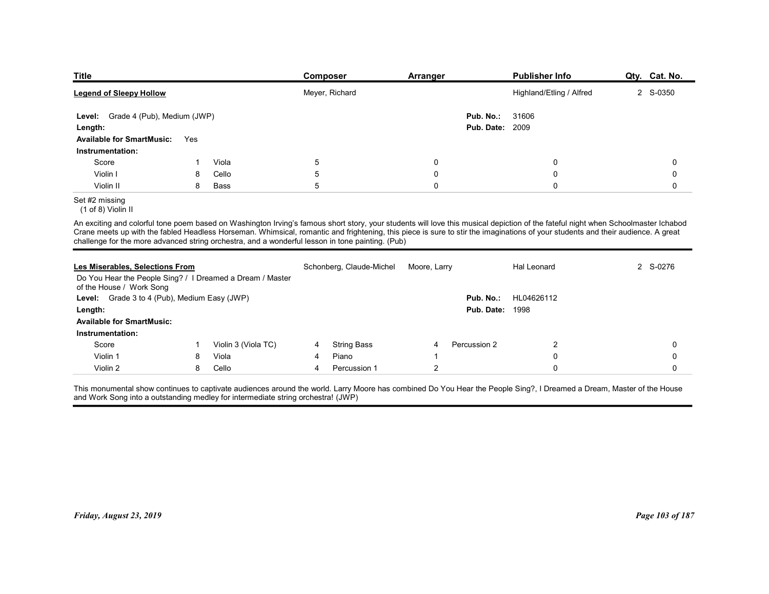| Title                                                                                            |     |       | <b>Composer</b>                                                                                                                                                                                                                                                                                                                                                      | <b>Arranger</b>  |                                     | <b>Publisher Info</b>    | Qty. Cat. No. |
|--------------------------------------------------------------------------------------------------|-----|-------|----------------------------------------------------------------------------------------------------------------------------------------------------------------------------------------------------------------------------------------------------------------------------------------------------------------------------------------------------------------------|------------------|-------------------------------------|--------------------------|---------------|
| <b>Legend of Sleepy Hollow</b>                                                                   |     |       | Meyer, Richard                                                                                                                                                                                                                                                                                                                                                       |                  |                                     | Highland/Etling / Alfred | 2 S-0350      |
| Level: Grade 4 (Pub), Medium (JWP)                                                               |     |       |                                                                                                                                                                                                                                                                                                                                                                      |                  | Pub. No.:                           | 31606                    |               |
| Length:<br><b>Available for SmartMusic:</b>                                                      | Yes |       |                                                                                                                                                                                                                                                                                                                                                                      |                  | <b>Pub. Date: 2009</b>              |                          |               |
| Instrumentation:                                                                                 |     |       |                                                                                                                                                                                                                                                                                                                                                                      |                  |                                     |                          |               |
| Score                                                                                            | -1  | Viola | 5                                                                                                                                                                                                                                                                                                                                                                    | 0                |                                     | $\mathbf 0$              | 0             |
| Violin I                                                                                         | 8   | Cello | 5                                                                                                                                                                                                                                                                                                                                                                    | $\boldsymbol{0}$ |                                     | $\pmb{0}$                | 0             |
| Violin II                                                                                        | 8   | Bass  | 5                                                                                                                                                                                                                                                                                                                                                                    | $\pmb{0}$        |                                     | $\pmb{0}$                | 0             |
| Set #2 missing                                                                                   |     |       |                                                                                                                                                                                                                                                                                                                                                                      |                  |                                     |                          |               |
| (1 of 8) Violin II                                                                               |     |       | An exciting and colorful tone poem based on Washington Irving's famous short story, your students will love this musical depiction of the fateful night when Schoolmaster Ichabod<br>Crane meets up with the fabled Headless Horseman. Whimsical, romantic and frightening, this piece is sure to stir the imaginations of your students and their audience. A great |                  |                                     |                          |               |
| challenge for the more advanced string orchestra, and a wonderful lesson in tone painting. (Pub) |     |       |                                                                                                                                                                                                                                                                                                                                                                      |                  |                                     |                          |               |
|                                                                                                  |     |       |                                                                                                                                                                                                                                                                                                                                                                      |                  |                                     | <b>Hal Leonard</b>       |               |
| Les Miserables, Selections From<br>Do You Hear the People Sing? / I Dreamed a Dream / Master     |     |       | Schonberg, Claude-Michel                                                                                                                                                                                                                                                                                                                                             | Moore, Larry     |                                     |                          | 2 S-0276      |
| of the House / Work Song<br>Level: Grade 3 to 4 (Pub), Medium Easy (JWP)<br>Length:              |     |       |                                                                                                                                                                                                                                                                                                                                                                      |                  | Pub. No.:<br><b>Pub. Date: 1998</b> | HL04626112               |               |

# Set #2 missing

|                                                                                                  |     |                     | Meyer, Richard |                          |                |                                     | Highland/Etling / Alfred                                                                                                                                                                                                                                                                                                                                             | 2 S-0350    |
|--------------------------------------------------------------------------------------------------|-----|---------------------|----------------|--------------------------|----------------|-------------------------------------|----------------------------------------------------------------------------------------------------------------------------------------------------------------------------------------------------------------------------------------------------------------------------------------------------------------------------------------------------------------------|-------------|
| Level: Grade 4 (Pub), Medium (JWP)<br>Length:                                                    |     |                     |                |                          |                | Pub. No.:<br><b>Pub. Date: 2009</b> | 31606                                                                                                                                                                                                                                                                                                                                                                |             |
| <b>Available for SmartMusic:</b>                                                                 | Yes |                     |                |                          |                |                                     |                                                                                                                                                                                                                                                                                                                                                                      |             |
| Instrumentation:                                                                                 |     |                     |                |                          |                |                                     |                                                                                                                                                                                                                                                                                                                                                                      |             |
| Score                                                                                            | -1  | Viola               | $\sqrt{5}$     |                          | $\mathbf 0$    |                                     | $\mathbf 0$                                                                                                                                                                                                                                                                                                                                                          | 0           |
| Violin I                                                                                         | 8   | Cello               | 5              |                          | $\Omega$       |                                     | $\Omega$                                                                                                                                                                                                                                                                                                                                                             | $\mathbf 0$ |
| Violin II                                                                                        | 8   | Bass                | 5              |                          | $\mathbf 0$    |                                     | 0                                                                                                                                                                                                                                                                                                                                                                    | $\mathbf 0$ |
| Set #2 missing<br>(1 of 8) Violin II                                                             |     |                     |                |                          |                |                                     |                                                                                                                                                                                                                                                                                                                                                                      |             |
| challenge for the more advanced string orchestra, and a wonderful lesson in tone painting. (Pub) |     |                     |                |                          |                |                                     | An exciting and colorful tone poem based on Washington Irving's famous short story, your students will love this musical depiction of the fateful night when Schoolmaster Ichabod<br>Crane meets up with the fabled Headless Horseman. Whimsical, romantic and frightening, this piece is sure to stir the imaginations of your students and their audience. A great |             |
| Les Miserables, Selections From<br>Do You Hear the People Sing? / I Dreamed a Dream / Master     |     |                     |                | Schonberg, Claude-Michel | Moore, Larry   |                                     | Hal Leonard                                                                                                                                                                                                                                                                                                                                                          | 2 S-0276    |
| of the House / Work Song                                                                         |     |                     |                |                          |                |                                     |                                                                                                                                                                                                                                                                                                                                                                      |             |
| Level: Grade 3 to 4 (Pub), Medium Easy (JWP)                                                     |     |                     |                |                          |                | Pub. No.:                           | HL04626112                                                                                                                                                                                                                                                                                                                                                           |             |
| Length:                                                                                          |     |                     |                |                          |                | <b>Pub. Date: 1998</b>              |                                                                                                                                                                                                                                                                                                                                                                      |             |
| <b>Available for SmartMusic:</b>                                                                 |     |                     |                |                          |                |                                     |                                                                                                                                                                                                                                                                                                                                                                      |             |
| Instrumentation:                                                                                 |     |                     |                |                          |                |                                     |                                                                                                                                                                                                                                                                                                                                                                      |             |
| Score                                                                                            | -1  | Violin 3 (Viola TC) | 4              | <b>String Bass</b>       | 4              | Percussion 2                        | $\overline{c}$                                                                                                                                                                                                                                                                                                                                                       | $\mathbf 0$ |
| Violin 1                                                                                         | 8   | Viola               | 4              | Piano                    | -1             |                                     | $\mathbf 0$                                                                                                                                                                                                                                                                                                                                                          | 0           |
| Violin 2                                                                                         | 8   | Cello               | 4              | Percussion 1             | $\overline{2}$ |                                     | 0                                                                                                                                                                                                                                                                                                                                                                    | 0           |
| and Work Song into a outstanding medley for intermediate string orchestra! (JWP)                 |     |                     |                |                          |                |                                     | This monumental show continues to captivate audiences around the world. Larry Moore has combined Do You Hear the People Sing?, I Dreamed a Dream, Master of the House                                                                                                                                                                                                |             |
|                                                                                                  |     |                     |                |                          |                |                                     |                                                                                                                                                                                                                                                                                                                                                                      |             |
|                                                                                                  |     |                     |                |                          |                |                                     |                                                                                                                                                                                                                                                                                                                                                                      |             |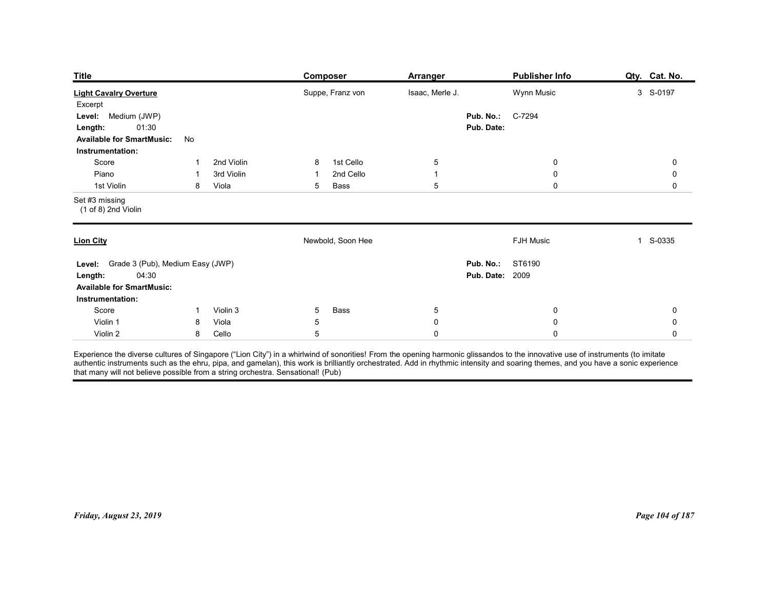| <b>Title</b><br><b>Publisher Info</b><br>Composer<br><b>Arranger</b>                                                                                                                                                                       | Qty. Cat. No.                   |
|--------------------------------------------------------------------------------------------------------------------------------------------------------------------------------------------------------------------------------------------|---------------------------------|
| <b>Light Cavalry Overture</b><br>Suppe, Franz von<br>Isaac, Merle J.<br>Wynn Music<br>Excerpt                                                                                                                                              | 3 S-0197                        |
| Medium (JWP)<br>C-7294<br>Pub. No.:<br>Level:<br>01:30<br>Pub. Date:<br>Length:<br><b>Available for SmartMusic:</b><br>No<br>Instrumentation:                                                                                              |                                 |
| 2nd Violin<br>1st Cello<br>Score<br>$\sqrt{5}$<br>$\boldsymbol{0}$<br>8<br>-1<br>Piano<br>3rd Violin<br>2nd Cello<br>$\boldsymbol{0}$<br>$\overline{1}$<br>-1<br>-1<br>$\,$ 5 $\,$<br>$\mathbf 0$<br>1st Violin<br>8<br>Viola<br>5<br>Bass | $\mathbf 0$<br>0<br>$\mathbf 0$ |
| Set #3 missing<br>$(1 of 8)$ 2nd Violin                                                                                                                                                                                                    |                                 |
| Newbold, Soon Hee<br><b>FJH Music</b><br><b>Lion City</b>                                                                                                                                                                                  | S-0335<br>$\mathbf{1}$          |
| Level: Grade 3 (Pub), Medium Easy (JWP)<br><b>Pub. No.: ST6190</b><br><b>Pub. Date: 2009</b><br>04:30<br>Length:<br><b>Available for SmartMusic:</b><br>Instrumentation:                                                                   |                                 |
| Score<br>Violin 3<br>Bass<br>$\mathbf 0$<br>$5\overline{)}$<br>$5\phantom{.0}$<br>$\overline{1}$                                                                                                                                           | 0                               |
| Violin 1<br>Viola<br>5<br>$\pmb{0}$<br>$\mathbf 0$<br>8<br>Cello<br>5<br>Violin 2<br>8<br>$\pmb{0}$<br>$\mathbf 0$                                                                                                                         | 0<br>$\mathbf 0$                |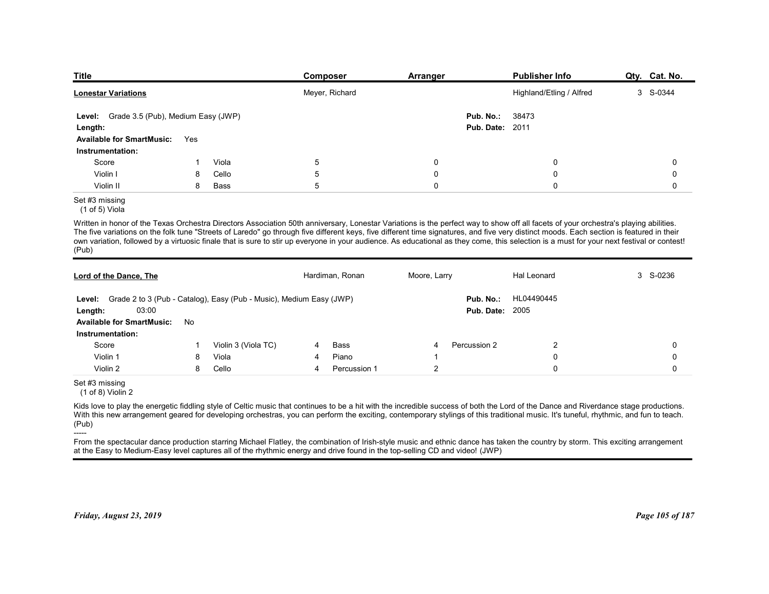| <b>Title</b>                                         |     |       | Composer                                                                                                                                                                                                                                                                                                                                                                                                                                                                                                                                                                      | <b>Arranger</b> |                                     | <b>Publisher Info</b>    | Qty. Cat. No. |
|------------------------------------------------------|-----|-------|-------------------------------------------------------------------------------------------------------------------------------------------------------------------------------------------------------------------------------------------------------------------------------------------------------------------------------------------------------------------------------------------------------------------------------------------------------------------------------------------------------------------------------------------------------------------------------|-----------------|-------------------------------------|--------------------------|---------------|
| <b>Lonestar Variations</b>                           |     |       | Meyer, Richard                                                                                                                                                                                                                                                                                                                                                                                                                                                                                                                                                                |                 |                                     | Highland/Etling / Alfred | 3 S-0344      |
| Level: Grade 3.5 (Pub), Medium Easy (JWP)<br>Length: |     |       |                                                                                                                                                                                                                                                                                                                                                                                                                                                                                                                                                                               |                 | Pub. No.:<br><b>Pub. Date: 2011</b> | 38473                    |               |
| <b>Available for SmartMusic:</b>                     | Yes |       |                                                                                                                                                                                                                                                                                                                                                                                                                                                                                                                                                                               |                 |                                     |                          |               |
| Instrumentation:                                     |     |       |                                                                                                                                                                                                                                                                                                                                                                                                                                                                                                                                                                               |                 |                                     |                          |               |
| Score                                                | 1   | Viola | 5                                                                                                                                                                                                                                                                                                                                                                                                                                                                                                                                                                             | 0               |                                     | 0                        | 0             |
| Violin I                                             | 8   | Cello | 5                                                                                                                                                                                                                                                                                                                                                                                                                                                                                                                                                                             | 0               |                                     | 0                        | 0             |
| Violin II                                            | 8   | Bass  | 5                                                                                                                                                                                                                                                                                                                                                                                                                                                                                                                                                                             | $\mathbf 0$     |                                     | $\mathbf 0$              | 0             |
| Set #3 missing<br>(1 of 5) Viola                     |     |       |                                                                                                                                                                                                                                                                                                                                                                                                                                                                                                                                                                               |                 |                                     |                          |               |
| (Pub)                                                |     |       | Written in honor of the Texas Orchestra Directors Association 50th anniversary, Lonestar Variations is the perfect way to show off all facets of your orchestra's playing abilities.<br>The five variations on the folk tune "Streets of Laredo" go through five different keys, five different time signatures, and five very distinct moods. Each section is featured in their<br>own variation, followed by a virtuosic finale that is sure to stir up everyone in your audience. As educational as they come, this selection is a must for your next festival or contest! |                 |                                     |                          |               |
|                                                      |     |       |                                                                                                                                                                                                                                                                                                                                                                                                                                                                                                                                                                               |                 |                                     |                          |               |
| Lord of the Dance, The                               |     |       | Hardiman, Ronan                                                                                                                                                                                                                                                                                                                                                                                                                                                                                                                                                               | Moore, Larry    |                                     | Hal Leonard              | 3 S-0236      |
|                                                      |     |       | Level: Grade 2 to 3 (Pub - Catalog), Easy (Pub - Music), Medium Easy (JWP)                                                                                                                                                                                                                                                                                                                                                                                                                                                                                                    |                 |                                     | Pub. No.: HL04490445     |               |
|                                                      |     |       |                                                                                                                                                                                                                                                                                                                                                                                                                                                                                                                                                                               |                 | <b>Pub. Date: 2005</b>              |                          |               |
| 03:00<br>Length:                                     |     |       |                                                                                                                                                                                                                                                                                                                                                                                                                                                                                                                                                                               |                 |                                     |                          |               |
| Available for SmartMusic: No                         |     |       |                                                                                                                                                                                                                                                                                                                                                                                                                                                                                                                                                                               |                 |                                     |                          |               |

## Set #3 missing

| <u> Lonestar Variations</u>                                                                                                                                                                                                                                                                                                                                                                                                                                                                                                                                                            |     |                     |   | Meyer, Richard  |                |                                     | Highland/Etling / Alfred | 3 S-0344        |
|----------------------------------------------------------------------------------------------------------------------------------------------------------------------------------------------------------------------------------------------------------------------------------------------------------------------------------------------------------------------------------------------------------------------------------------------------------------------------------------------------------------------------------------------------------------------------------------|-----|---------------------|---|-----------------|----------------|-------------------------------------|--------------------------|-----------------|
| Level: Grade 3.5 (Pub), Medium Easy (JWP)                                                                                                                                                                                                                                                                                                                                                                                                                                                                                                                                              |     |                     |   |                 |                | Pub. No.:                           | 38473                    |                 |
| Length:                                                                                                                                                                                                                                                                                                                                                                                                                                                                                                                                                                                |     |                     |   |                 |                | <b>Pub. Date: 2011</b>              |                          |                 |
| <b>Available for SmartMusic:</b>                                                                                                                                                                                                                                                                                                                                                                                                                                                                                                                                                       | Yes |                     |   |                 |                |                                     |                          |                 |
| Instrumentation:                                                                                                                                                                                                                                                                                                                                                                                                                                                                                                                                                                       |     |                     |   |                 |                |                                     |                          |                 |
| Score                                                                                                                                                                                                                                                                                                                                                                                                                                                                                                                                                                                  | -1  | Viola               | 5 |                 | 0              |                                     | $\mathbf{0}$             | $\Omega$        |
| Violin I                                                                                                                                                                                                                                                                                                                                                                                                                                                                                                                                                                               | 8   | Cello               | 5 |                 | 0              |                                     | 0                        | $\Omega$        |
| Violin II                                                                                                                                                                                                                                                                                                                                                                                                                                                                                                                                                                              | 8   | Bass                | 5 |                 | $\Omega$       |                                     | $\Omega$                 | $\mathbf 0$     |
| Set #3 missing<br>(1 of 5) Viola                                                                                                                                                                                                                                                                                                                                                                                                                                                                                                                                                       |     |                     |   |                 |                |                                     |                          |                 |
| Written in honor of the Texas Orchestra Directors Association 50th anniversary, Lonestar Variations is the perfect way to show off all facets of your orchestra's playing abilities.<br>The five variations on the folk tune "Streets of Laredo" go through five different keys, five different time signatures, and five very distinct moods. Each section is featured in their<br>own variation, followed by a virtuosic finale that is sure to stir up everyone in your audience. As educational as they come, this selection is a must for your next festival or contest!<br>(Pub) |     |                     |   |                 |                |                                     |                          |                 |
| <b>Lord of the Dance, The</b>                                                                                                                                                                                                                                                                                                                                                                                                                                                                                                                                                          |     |                     |   | Hardiman, Ronan | Moore, Larry   |                                     | Hal Leonard              | 3 S-0236        |
| Level: Grade 2 to 3 (Pub - Catalog), Easy (Pub - Music), Medium Easy (JWP)<br>03:00<br>Length:                                                                                                                                                                                                                                                                                                                                                                                                                                                                                         |     |                     |   |                 |                | Pub. No.:<br><b>Pub. Date: 2005</b> | HL04490445               |                 |
| <b>Available for SmartMusic: No</b>                                                                                                                                                                                                                                                                                                                                                                                                                                                                                                                                                    |     |                     |   |                 |                |                                     |                          |                 |
| Instrumentation:                                                                                                                                                                                                                                                                                                                                                                                                                                                                                                                                                                       |     |                     |   |                 |                |                                     |                          |                 |
| Score                                                                                                                                                                                                                                                                                                                                                                                                                                                                                                                                                                                  |     | Violin 3 (Viola TC) | 4 | <b>Bass</b>     | 4              | Percussion 2                        | $\overline{2}$           | $\Omega$        |
| Violin 1                                                                                                                                                                                                                                                                                                                                                                                                                                                                                                                                                                               | 8   | Viola               | 4 | Piano           | -1             |                                     | $\mathbf 0$              | $\Omega$        |
| Violin 2                                                                                                                                                                                                                                                                                                                                                                                                                                                                                                                                                                               | 8   | Cello               | 4 | Percussion 1    | $\overline{2}$ |                                     | $\Omega$                 | $\Omega$        |
| Set #3 missing<br>$(1 of 8)$ Violin 2                                                                                                                                                                                                                                                                                                                                                                                                                                                                                                                                                  |     |                     |   |                 |                |                                     |                          |                 |
| Kids love to play the energetic fiddling style of Celtic music that continues to be a hit with the incredible success of both the Lord of the Dance and Riverdance stage productions.<br>With this new arrangement geared for developing orchestras, you can perform the exciting, contemporary stylings of this traditional music. It's tuneful, rhythmic, and fun to teach.<br>(Pub)                                                                                                                                                                                                 |     |                     |   |                 |                |                                     |                          |                 |
| -----<br>From the spectacular dance production starring Michael Flatley, the combination of Irish-style music and ethnic dance has taken the country by storm. This exciting arrangement<br>at the Easy to Medium-Easy level captures all of the rhythmic energy and drive found in the top-selling CD and video! (JWP)                                                                                                                                                                                                                                                                |     |                     |   |                 |                |                                     |                          |                 |
| Friday, August 23, 2019                                                                                                                                                                                                                                                                                                                                                                                                                                                                                                                                                                |     |                     |   |                 |                |                                     |                          | Page 105 of 187 |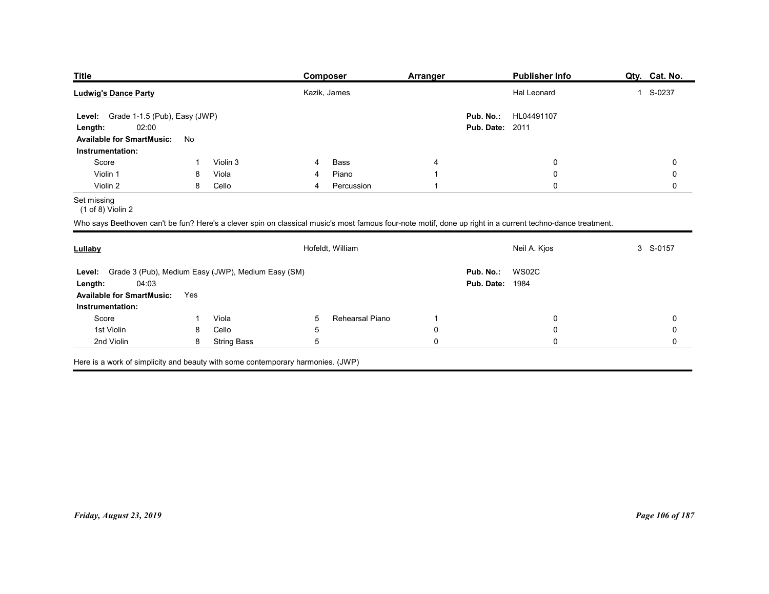| <b>Title</b>                                              |                   |                | Composer                     | <b>Arranger</b>      | <b>Publisher Info</b>                                                                                                                                      | Qty. Cat. No. |
|-----------------------------------------------------------|-------------------|----------------|------------------------------|----------------------|------------------------------------------------------------------------------------------------------------------------------------------------------------|---------------|
| <b>Ludwig's Dance Party</b>                               |                   |                | Kazik, James                 |                      | Hal Leonard                                                                                                                                                | 1 S-0237      |
| Grade 1-1.5 (Pub), Easy (JWP)<br>Level:                   |                   |                |                              |                      | Pub. No.:<br>HL04491107                                                                                                                                    |               |
| 02:00<br>Length:                                          |                   |                |                              |                      | <b>Pub. Date: 2011</b>                                                                                                                                     |               |
| <b>Available for SmartMusic:</b><br>Instrumentation:      | No                |                |                              |                      |                                                                                                                                                            |               |
| Score                                                     | -1                | Violin 3       | Bass<br>4                    | 4                    | 0                                                                                                                                                          | 0             |
| Violin 1                                                  | 8                 | Viola          | Piano<br>4                   | -1                   | $\boldsymbol{0}$                                                                                                                                           | 0             |
| Violin 2                                                  | 8                 | Cello          | Percussion<br>$\overline{4}$ |                      | $\mathbf 0$                                                                                                                                                | $\mathbf 0$   |
| Set missing<br>$(1 of 8)$ Violin 2                        |                   |                |                              |                      |                                                                                                                                                            |               |
|                                                           |                   |                |                              |                      | Who says Beethoven can't be fun? Here's a clever spin on classical music's most famous four-note motif, done up right in a current techno-dance treatment. |               |
|                                                           |                   |                |                              |                      |                                                                                                                                                            |               |
|                                                           |                   |                | Hofeldt, William             |                      | Neil A. Kjos                                                                                                                                               | 3 S-0157      |
| Lullaby                                                   |                   |                |                              |                      | Pub. No.: WS02C                                                                                                                                            |               |
| Level: Grade 3 (Pub), Medium Easy (JWP), Medium Easy (SM) |                   |                |                              |                      | <b>Pub. Date: 1984</b>                                                                                                                                     |               |
| 04:03<br>Length:                                          |                   |                |                              |                      |                                                                                                                                                            |               |
| <b>Available for SmartMusic:</b>                          | Yes               |                |                              |                      |                                                                                                                                                            |               |
| Instrumentation:                                          |                   |                |                              |                      |                                                                                                                                                            |               |
| Score<br>1st Violin                                       | $\mathbf{1}$<br>8 | Viola<br>Cello | $5\overline{)}$<br>5         | Rehearsal Piano<br>0 | 0<br>0                                                                                                                                                     | 0<br>0        |

| <u><b>Litie</b></u>                                                                                                                                        |                |                    |                | <u>Composer</u>  | <u>Arranger</u>                  |                                     | <u>Publisher Info</u> | <u>uty. cat.no.</u>      |
|------------------------------------------------------------------------------------------------------------------------------------------------------------|----------------|--------------------|----------------|------------------|----------------------------------|-------------------------------------|-----------------------|--------------------------|
| <b>Ludwig's Dance Party</b>                                                                                                                                |                |                    |                | Kazik, James     |                                  |                                     | Hal Leonard           | 1 S-0237                 |
| Level: Grade 1-1.5 (Pub), Easy (JWP)<br>02:00<br>Length:<br><b>Available for SmartMusic:</b>                                                               | No             |                    |                |                  |                                  | Pub. No.:<br><b>Pub. Date: 2011</b> | HL04491107            |                          |
| Instrumentation:                                                                                                                                           |                |                    |                |                  |                                  |                                     |                       |                          |
| Score                                                                                                                                                      | $\overline{1}$ | Violin 3           | 4              | Bass             | 4                                |                                     | $\pmb{0}$             | $\pmb{0}$                |
| Violin 1                                                                                                                                                   | 8              | Viola              | 4              | Piano            | $\overline{1}$<br>$\overline{1}$ |                                     | 0<br>0                | $\pmb{0}$<br>$\mathbf 0$ |
| Violin 2<br>Set missing<br>$(1 of 8)$ Violin 2                                                                                                             | 8              | Cello              | $\overline{4}$ | Percussion       |                                  |                                     |                       |                          |
| Who says Beethoven can't be fun? Here's a clever spin on classical music's most famous four-note motif, done up right in a current techno-dance treatment. |                |                    |                |                  |                                  |                                     |                       |                          |
| Lullaby                                                                                                                                                    |                |                    |                | Hofeldt, William |                                  |                                     | Neil A. Kjos          | 3 S-0157                 |
| Grade 3 (Pub), Medium Easy (JWP), Medium Easy (SM)<br>Level:<br>04:03<br>Length:<br><b>Available for SmartMusic:</b><br>Instrumentation:                   | Yes            |                    |                |                  |                                  | Pub. No.:<br><b>Pub. Date: 1984</b> | <b>WS02C</b>          |                          |
| Score                                                                                                                                                      | $\mathbf{1}$   | Viola              | 5              | Rehearsal Piano  | $\overline{\phantom{a}}$         |                                     | 0                     | 0                        |
| 1st Violin                                                                                                                                                 | 8              | Cello              | $\sqrt{5}$     |                  | $\mathbf 0$                      |                                     | $\pmb{0}$             | $\pmb{0}$                |
| 2nd Violin                                                                                                                                                 | 8              | <b>String Bass</b> | $\,$ 5 $\,$    |                  | $\mathsf{O}$                     |                                     | 0                     | $\mathsf 0$              |
| Here is a work of simplicity and beauty with some contemporary harmonies. (JWP)                                                                            |                |                    |                |                  |                                  |                                     |                       |                          |
| Friday, August 23, 2019                                                                                                                                    |                |                    |                |                  |                                  |                                     |                       | Page 106 of 187          |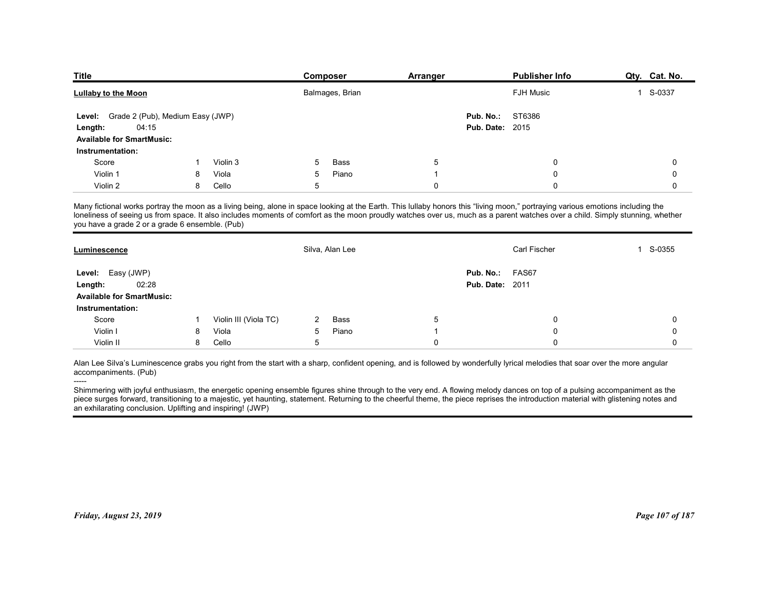| <b>Title</b>                                         |   |                       | Composer        | <b>Arranger</b>                                                                                                                                                                 | <b>Publisher Info</b>  | Qty. Cat. No. |
|------------------------------------------------------|---|-----------------------|-----------------|---------------------------------------------------------------------------------------------------------------------------------------------------------------------------------|------------------------|---------------|
| <b>Lullaby to the Moon</b>                           |   |                       | Balmages, Brian |                                                                                                                                                                                 | <b>FJH Music</b>       | 1 S-0337      |
| Grade 2 (Pub), Medium Easy (JWP)<br>Level:           |   |                       |                 | Pub. No.:                                                                                                                                                                       | ST6386                 |               |
| 04:15<br>Length:                                     |   |                       |                 |                                                                                                                                                                                 | <b>Pub. Date: 2015</b> |               |
| <b>Available for SmartMusic:</b>                     |   |                       |                 |                                                                                                                                                                                 |                        |               |
| Instrumentation:                                     |   |                       |                 |                                                                                                                                                                                 |                        |               |
| Score                                                |   | Violin 3              | Bass<br>5       | 5                                                                                                                                                                               | 0                      | 0             |
| Violin 1                                             | 8 | Viola                 | 5<br>Piano<br>5 | -1                                                                                                                                                                              | $\Omega$<br>$\Omega$   | 0             |
| Violin 2                                             | 8 | Cello                 |                 | 0                                                                                                                                                                               |                        | 0             |
|                                                      |   |                       |                 | Many fictional works portray the moon as a living being, alone in space looking at the Earth. This lullaby honors this "living moon," portraying various emotions including the |                        |               |
| you have a grade 2 or a grade 6 ensemble. (Pub)      |   |                       |                 | loneliness of seeing us from space. It also includes moments of comfort as the moon proudly watches over us, much as a parent watches over a child. Simply stunning, whether    |                        |               |
|                                                      |   |                       |                 |                                                                                                                                                                                 |                        |               |
| Luminescence                                         |   |                       | Silva, Alan Lee |                                                                                                                                                                                 | Carl Fischer           | 1 S-0355      |
|                                                      |   |                       |                 | Pub. No.:                                                                                                                                                                       | FAS67                  |               |
|                                                      |   |                       |                 |                                                                                                                                                                                 | <b>Pub. Date: 2011</b> |               |
| Level: Easy (JWP)                                    |   |                       |                 |                                                                                                                                                                                 |                        |               |
| 02:28<br>Length:                                     |   |                       |                 |                                                                                                                                                                                 |                        |               |
| <b>Available for SmartMusic:</b><br>Instrumentation: |   |                       |                 |                                                                                                                                                                                 |                        |               |
| Score                                                |   | Violin III (Viola TC) | Bass<br>2       | 5                                                                                                                                                                               | 0                      | 0             |
| Violin I                                             | 8 | Viola                 | Piano<br>5      |                                                                                                                                                                                 | 0                      | 0             |

| <b>Lullaby to the Moon</b>                                                                                                                                                                                                                                                                                                                                                                |    |                       |                | Balmages, Brian |                | FJH Music                                                                                                                                                                                                                                                                                                                                                       | 1 S-0337    |
|-------------------------------------------------------------------------------------------------------------------------------------------------------------------------------------------------------------------------------------------------------------------------------------------------------------------------------------------------------------------------------------------|----|-----------------------|----------------|-----------------|----------------|-----------------------------------------------------------------------------------------------------------------------------------------------------------------------------------------------------------------------------------------------------------------------------------------------------------------------------------------------------------------|-------------|
| Level: Grade 2 (Pub), Medium Easy (JWP)<br>04:15<br>Length:<br><b>Available for SmartMusic:</b>                                                                                                                                                                                                                                                                                           |    |                       |                |                 |                | ST6386<br>Pub. No.:<br><b>Pub. Date: 2015</b>                                                                                                                                                                                                                                                                                                                   |             |
| Instrumentation:                                                                                                                                                                                                                                                                                                                                                                          |    |                       |                |                 |                |                                                                                                                                                                                                                                                                                                                                                                 |             |
| Score                                                                                                                                                                                                                                                                                                                                                                                     | -1 | Violin 3              | 5              | Bass            | 5              | 0                                                                                                                                                                                                                                                                                                                                                               | 0           |
| Violin 1                                                                                                                                                                                                                                                                                                                                                                                  | 8  | Viola                 | 5              | Piano           | $\overline{1}$ | 0                                                                                                                                                                                                                                                                                                                                                               | 0           |
| Violin 2                                                                                                                                                                                                                                                                                                                                                                                  | 8  | Cello                 | $\sqrt{5}$     |                 | $\mathbf 0$    | $\Omega$                                                                                                                                                                                                                                                                                                                                                        | $\mathbf 0$ |
| you have a grade 2 or a grade 6 ensemble. (Pub)                                                                                                                                                                                                                                                                                                                                           |    |                       |                |                 |                | Many fictional works portray the moon as a living being, alone in space looking at the Earth. This lullaby honors this "living moon," portraying various emotions including the<br>loneliness of seeing us from space. It also includes moments of comfort as the moon proudly watches over us, much as a parent watches over a child. Simply stunning, whether |             |
| <u>Luminescence</u>                                                                                                                                                                                                                                                                                                                                                                       |    |                       |                | Silva, Alan Lee |                | Carl Fischer                                                                                                                                                                                                                                                                                                                                                    | 1 S-0355    |
| Level: Easy (JWP)                                                                                                                                                                                                                                                                                                                                                                         |    |                       |                |                 |                | Pub. No.:<br>FAS67                                                                                                                                                                                                                                                                                                                                              |             |
| 02:28<br>Length:                                                                                                                                                                                                                                                                                                                                                                          |    |                       |                |                 |                | <b>Pub. Date: 2011</b>                                                                                                                                                                                                                                                                                                                                          |             |
| <b>Available for SmartMusic:</b>                                                                                                                                                                                                                                                                                                                                                          |    |                       |                |                 |                |                                                                                                                                                                                                                                                                                                                                                                 |             |
| Instrumentation:                                                                                                                                                                                                                                                                                                                                                                          |    |                       |                |                 |                |                                                                                                                                                                                                                                                                                                                                                                 |             |
| Score                                                                                                                                                                                                                                                                                                                                                                                     | -1 | Violin III (Viola TC) | $\overline{2}$ | Bass            | 5              | $\mathbf 0$                                                                                                                                                                                                                                                                                                                                                     | $\mathbf 0$ |
| Violin I                                                                                                                                                                                                                                                                                                                                                                                  | 8  | Viola                 | $\sqrt{5}$     | Piano           | $\mathbf{1}$   | $\mathbf 0$                                                                                                                                                                                                                                                                                                                                                     | $\mathbf 0$ |
| Violin II                                                                                                                                                                                                                                                                                                                                                                                 | 8  | Cello                 | $\sqrt{5}$     |                 | $\pmb{0}$      | $\mathbf 0$                                                                                                                                                                                                                                                                                                                                                     | 0           |
| accompaniments. (Pub)<br>Shimmering with joyful enthusiasm, the energetic opening ensemble figures shine through to the very end. A flowing melody dances on top of a pulsing accompaniment as the<br>piece surges forward, transitioning to a majestic, yet haunting, statement. Returning to the cheerful theme, the piece reprises the introduction material with glistening notes and |    |                       |                |                 |                | Alan Lee Silva's Luminescence grabs you right from the start with a sharp, confident opening, and is followed by wonderfully lyrical melodies that soar over the more angular                                                                                                                                                                                   |             |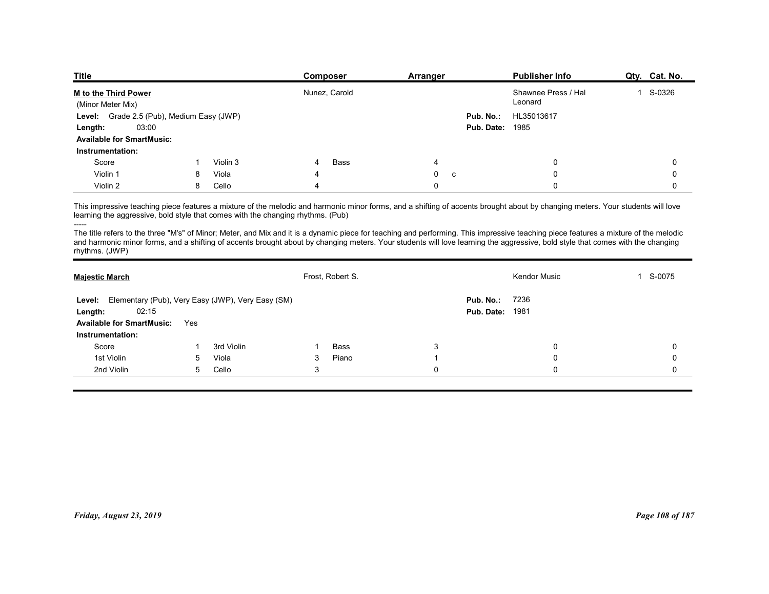| <b>Title</b><br><b>Publisher Info</b><br>Qty. Cat. No.<br>Composer<br>Arranger                           |
|----------------------------------------------------------------------------------------------------------|
|                                                                                                          |
|                                                                                                          |
|                                                                                                          |
|                                                                                                          |
|                                                                                                          |
|                                                                                                          |
|                                                                                                          |
|                                                                                                          |
|                                                                                                          |
|                                                                                                          |
|                                                                                                          |
|                                                                                                          |
|                                                                                                          |
| M to the Third Power<br>Nunez, Carold<br>Shawnee Press / Hal<br>1 S-0326<br>Leonard<br>(Minor Meter Mix) |
| Level: Grade 2.5 (Pub), Medium Easy (JWP)<br>Pub. No.:<br>HL35013617                                     |
| 03:00<br>Pub. Date:<br>1985<br>Length:<br><b>Available for SmartMusic:</b>                               |
| Instrumentation:                                                                                         |
| Score<br>Violin 3<br>Bass<br>$\mathbf 0$<br>0<br>4                                                       |
| Violin 1<br>Viola<br>0<br>0<br>8<br>$\Omega$<br>C                                                        |
| Violin 2<br>8<br>Cello<br>0<br>$\Omega$<br>0                                                             |

| <u>M to the Third Power</u><br>(Minor Meter Mix)                                                                 |     |            |              | Nunez, Carold    |                             | Shawnee Press / Hai<br>Leonard                                                                                                                                                                                                                                                                                                                                         | Т.<br>S-0326    |
|------------------------------------------------------------------------------------------------------------------|-----|------------|--------------|------------------|-----------------------------|------------------------------------------------------------------------------------------------------------------------------------------------------------------------------------------------------------------------------------------------------------------------------------------------------------------------------------------------------------------------|-----------------|
| Level: Grade 2.5 (Pub), Medium Easy (JWP)                                                                        |     |            |              |                  |                             | Pub. No.:<br>HL35013617                                                                                                                                                                                                                                                                                                                                                |                 |
| 03:00<br>Length:                                                                                                 |     |            |              |                  |                             | <b>Pub. Date: 1985</b>                                                                                                                                                                                                                                                                                                                                                 |                 |
| <b>Available for SmartMusic:</b>                                                                                 |     |            |              |                  |                             |                                                                                                                                                                                                                                                                                                                                                                        |                 |
| Instrumentation:                                                                                                 |     |            |              |                  |                             |                                                                                                                                                                                                                                                                                                                                                                        |                 |
| Score                                                                                                            | -1  | Violin 3   | 4            | Bass             | 4                           | 0                                                                                                                                                                                                                                                                                                                                                                      | $\mathbf 0$     |
| Violin 1                                                                                                         | 8   | Viola      |              |                  | $\mathbf 0$<br>$\mathtt{C}$ | 0                                                                                                                                                                                                                                                                                                                                                                      | 0               |
| Violin 2                                                                                                         | 8   | Cello      | 4            |                  | $\mathbf 0$                 | $\Omega$                                                                                                                                                                                                                                                                                                                                                               | $\mathbf{0}$    |
| learning the aggressive, bold style that comes with the changing rhythms. (Pub)<br>-----                         |     |            |              |                  |                             | This impressive teaching piece features a mixture of the melodic and harmonic minor forms, and a shifting of accents brought about by changing meters. Your students will love<br>The title refers to the three "M's" of Minor; Meter, and Mix and it is a dynamic piece for teaching and performing. This impressive teaching piece features a mixture of the melodic |                 |
| rhythms. (JWP)                                                                                                   |     |            |              |                  |                             | and harmonic minor forms, and a shifting of accents brought about by changing meters. Your students will love learning the aggressive, bold style that comes with the changing                                                                                                                                                                                         |                 |
| <b>Majestic March</b>                                                                                            |     |            |              | Frost, Robert S. |                             | <b>Kendor Music</b>                                                                                                                                                                                                                                                                                                                                                    | 1 S-0075        |
| Level: Elementary (Pub), Very Easy (JWP), Very Easy (SM)<br>02:15<br>Length:<br><b>Available for SmartMusic:</b> | Yes |            |              |                  |                             | Pub. No.:<br>7236<br><b>Pub. Date: 1981</b>                                                                                                                                                                                                                                                                                                                            |                 |
| Instrumentation:                                                                                                 |     |            |              |                  |                             |                                                                                                                                                                                                                                                                                                                                                                        |                 |
| Score                                                                                                            | -1  | 3rd Violin | -1           | Bass             | 3                           | 0                                                                                                                                                                                                                                                                                                                                                                      | 0               |
| 1st Violin                                                                                                       | 5   | Viola      | 3            | Piano            | -1                          | 0                                                                                                                                                                                                                                                                                                                                                                      | $\mathbf 0$     |
| 2nd Violin                                                                                                       | 5   | Cello      | $\mathbf{3}$ |                  | $\mathbf 0$                 | 0                                                                                                                                                                                                                                                                                                                                                                      | 0               |
|                                                                                                                  |     |            |              |                  |                             |                                                                                                                                                                                                                                                                                                                                                                        |                 |
| Friday, August 23, 2019                                                                                          |     |            |              |                  |                             |                                                                                                                                                                                                                                                                                                                                                                        | Page 108 of 187 |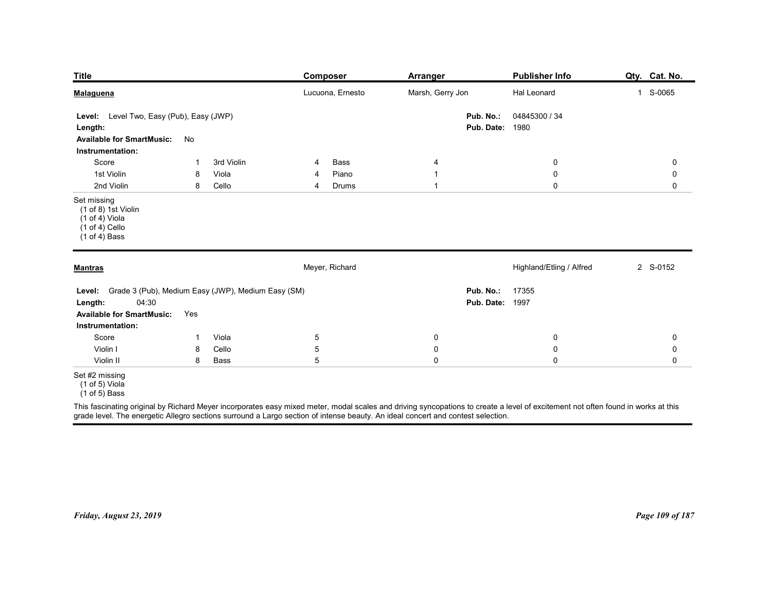| <b>Title</b>                                                                                                                       |                |                | Composer                                                                                                                                                                                                                                                                                                            | <b>Arranger</b>          |                                     | Publisher Info                  | Qty. Cat. No.              |
|------------------------------------------------------------------------------------------------------------------------------------|----------------|----------------|---------------------------------------------------------------------------------------------------------------------------------------------------------------------------------------------------------------------------------------------------------------------------------------------------------------------|--------------------------|-------------------------------------|---------------------------------|----------------------------|
| <b>Malaguena</b>                                                                                                                   |                |                | Lucuona, Ernesto                                                                                                                                                                                                                                                                                                    | Marsh, Gerry Jon         |                                     | Hal Leonard                     | 1 S-0065                   |
| Level: Level Two, Easy (Pub), Easy (JWP)<br>Length:<br><b>Available for SmartMusic:</b>                                            | No             |                |                                                                                                                                                                                                                                                                                                                     |                          | Pub. No.:<br><b>Pub. Date: 1980</b> | 04845300 / 34                   |                            |
| Instrumentation:<br>Score                                                                                                          | $\overline{1}$ | 3rd Violin     | Bass<br>4                                                                                                                                                                                                                                                                                                           | 4                        |                                     | $\boldsymbol{0}$                | $\mathbf 0$                |
| 1st Violin<br>2nd Violin                                                                                                           | 8<br>8         | Viola<br>Cello | Piano<br>4<br>Drums<br>4                                                                                                                                                                                                                                                                                            | -1<br>1                  |                                     | $\boldsymbol{0}$<br>$\mathbf 0$ | 0<br>$\mathbf 0$           |
| Set missing<br>(1 of 8) 1st Violin<br>$(1 of 4)$ Viola<br>$(1 of 4)$ Cello<br>$(1 of 4)$ Bass                                      |                |                |                                                                                                                                                                                                                                                                                                                     |                          |                                     |                                 |                            |
| <b>Mantras</b>                                                                                                                     |                |                | Meyer, Richard                                                                                                                                                                                                                                                                                                      |                          |                                     | Highland/Etling / Alfred        | 2 S-0152                   |
| Level: Grade 3 (Pub), Medium Easy (JWP), Medium Easy (SM)<br>04:30<br>Length:<br>Available for SmartMusic: Yes<br>Instrumentation: |                |                |                                                                                                                                                                                                                                                                                                                     |                          | Pub. No.:<br><b>Pub. Date: 1997</b> | 17355                           |                            |
| Score<br>Violin I                                                                                                                  | $\mathbf{1}$   | Viola<br>Cello | $\overline{5}$<br>$\sqrt{5}$                                                                                                                                                                                                                                                                                        | $\mathbf 0$              |                                     | $\boldsymbol{0}$<br>$\mathbf 0$ | 0                          |
| Violin II                                                                                                                          | 8<br>8         | Bass           | $5\phantom{.0}$                                                                                                                                                                                                                                                                                                     | $\mathbf 0$<br>$\pmb{0}$ |                                     | $\mathsf 0$                     | $\mathbf 0$<br>$\mathbf 0$ |
| Set #2 missing<br>(1 of 5) Viola<br>$(1 of 5)$ Bass                                                                                |                |                |                                                                                                                                                                                                                                                                                                                     |                          |                                     |                                 |                            |
|                                                                                                                                    |                |                | This fascinating original by Richard Meyer incorporates easy mixed meter, modal scales and driving syncopations to create a level of excitement not often found in works at this<br>grade level. The energetic Allegro sections surround a Largo section of intense beauty. An ideal concert and contest selection. |                          |                                     |                                 |                            |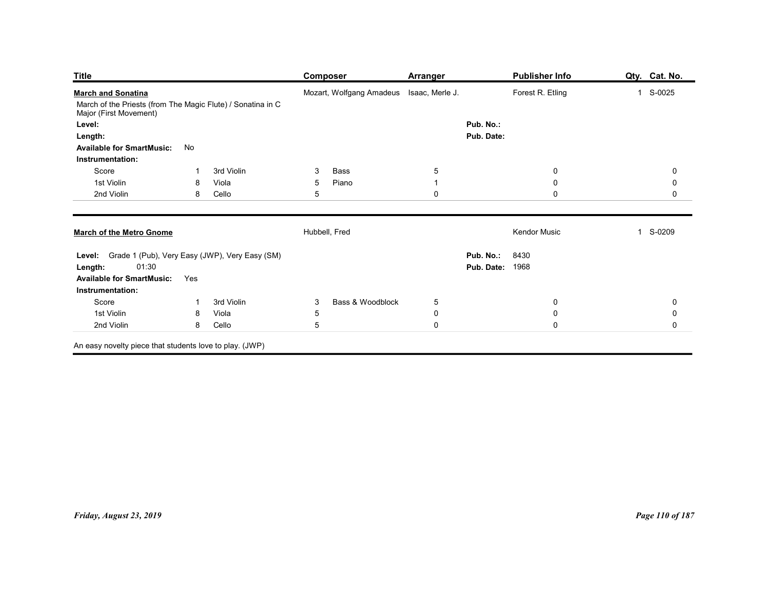|                                                                                       |              |                | <b>Composer</b>                          | <b>Arranger</b>             |                        | <b>Publisher Info</b>      | Qty. Cat. No.                      |
|---------------------------------------------------------------------------------------|--------------|----------------|------------------------------------------|-----------------------------|------------------------|----------------------------|------------------------------------|
| <b>Title</b><br><b>March and Sonatina</b>                                             |              |                | Mozart, Wolfgang Amadeus Isaac, Merle J. |                             |                        | Forest R. Etling           | 1 S-0025                           |
| March of the Priests (from The Magic Flute) / Sonatina in C<br>Major (First Movement) |              |                |                                          |                             |                        |                            |                                    |
| Level:                                                                                |              |                |                                          |                             | Pub. No.:              |                            |                                    |
| Length:<br><b>Available for SmartMusic:</b>                                           | No           |                |                                          |                             | Pub. Date:             |                            |                                    |
| Instrumentation:                                                                      |              |                |                                          |                             |                        |                            |                                    |
| Score                                                                                 |              | 3rd Violin     | 3<br>Bass                                | $\,$ 5 $\,$                 |                        | $\mathbf 0$                | $\mathsf{O}\xspace$                |
| 1st Violin<br>2nd Violin                                                              | 8<br>8       | Viola<br>Cello | Piano<br>5 <sub>5</sub><br>$\mathbf 5$   | $\mathbf{1}$<br>$\mathbf 0$ |                        | $\mathbf 0$<br>$\mathsf 0$ | $\mathsf{O}\xspace$<br>$\mathbf 0$ |
|                                                                                       |              |                |                                          |                             |                        |                            |                                    |
| <b>March of the Metro Gnome</b>                                                       |              |                | Hubbell, Fred                            |                             |                        | Kendor Music               | 1 S-0209                           |
| Level: Grade 1 (Pub), Very Easy (JWP), Very Easy (SM)                                 |              |                |                                          |                             | <b>Pub. No.: 8430</b>  |                            |                                    |
| 01:30<br>Length:                                                                      |              |                |                                          |                             | <b>Pub. Date: 1968</b> |                            |                                    |
| Available for SmartMusic: Yes<br>Instrumentation:                                     |              |                |                                          |                             |                        |                            |                                    |
| Score                                                                                 | $\mathbf{1}$ | 3rd Violin     | Bass & Woodblock<br>$\mathbf{3}$         | $\sqrt{5}$                  |                        | $\mathbf 0$                | $\pmb{0}$                          |
| 1st Violin                                                                            | 8            | Viola          | $\sqrt{5}$                               | $\pmb{0}$                   |                        | $\mathbf 0$                | $\mathbf 0$                        |
| 2nd Violin                                                                            |              | 8 Cello        | $\sqrt{5}$                               | $\mathbf 0$                 |                        | $\mathbf 0$                | $\mathbf 0$                        |
| An easy novelty piece that students love to play. (JWP)                               |              |                |                                          |                             |                        |                            |                                    |
|                                                                                       |              |                |                                          |                             |                        |                            |                                    |
|                                                                                       |              |                |                                          |                             |                        |                            |                                    |
|                                                                                       |              |                |                                          |                             |                        |                            |                                    |
|                                                                                       |              |                |                                          |                             |                        |                            |                                    |
|                                                                                       |              |                |                                          |                             |                        |                            |                                    |
|                                                                                       |              |                |                                          |                             |                        |                            |                                    |
|                                                                                       |              |                |                                          |                             |                        |                            |                                    |
|                                                                                       |              |                |                                          |                             |                        |                            |                                    |
|                                                                                       |              |                |                                          |                             |                        |                            |                                    |
|                                                                                       |              |                |                                          |                             |                        |                            |                                    |
|                                                                                       |              |                |                                          |                             |                        |                            |                                    |
| Friday, August 23, 2019                                                               |              |                |                                          |                             |                        |                            | Page 110 of 187                    |
|                                                                                       |              |                |                                          |                             |                        |                            |                                    |
|                                                                                       |              |                |                                          |                             |                        |                            |                                    |
|                                                                                       |              |                |                                          |                             |                        |                            |                                    |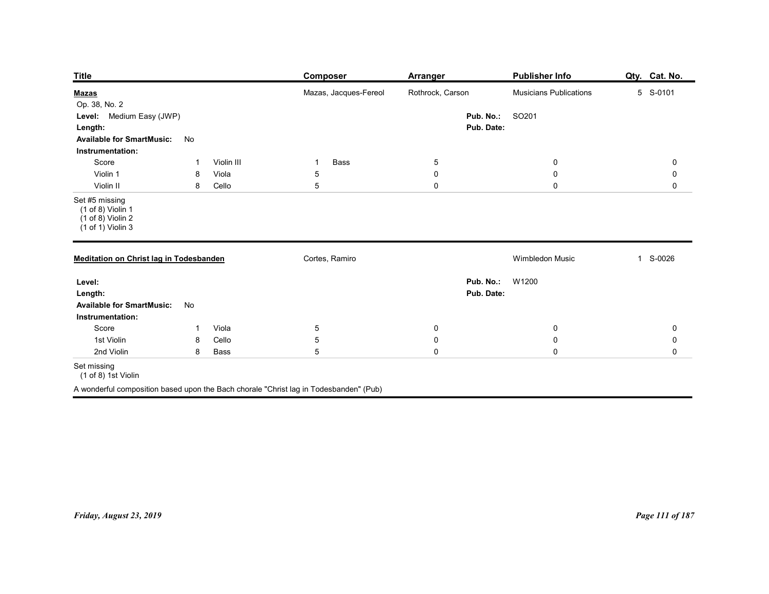| <b>Publisher Info</b><br>Qty. Cat. No.<br><b>Composer</b><br><b>Arranger</b><br>Mazas, Jacques-Fereol<br>Rothrock, Carson<br>Musicians Publications<br>5 S-0101<br><u>Mazas</u><br>SO201<br>Level: Medium Easy (JWP)<br>Pub. No.:<br>Pub. Date:<br>Length:<br><b>Available for SmartMusic:</b><br>No<br>Instrumentation:<br>Violin III<br>Bass<br>Score<br>$5\phantom{.0}$<br>$\mathbf 0$<br>$\mathbf 0$<br>$\mathbf{1}$<br>-1<br>Violin 1<br>Viola<br>$\overline{5}$<br>$\mathbf 0$<br>$\boldsymbol{0}$<br>0<br>8<br>$5\phantom{.0}$<br>$\mathbf 0$<br>$\mathbf 0$<br>Violin II<br>$\mathbf 0$<br>8<br>Cello<br>$(1 of 8)$ Violin 1<br>$(1 \text{ of } 8)$ Violin 2<br>$(1 of 1)$ Violin 3<br>Cortes, Ramiro<br>Wimbledon Music<br>1 S-0026<br><b>Meditation on Christ lag in Todesbanden</b><br><b>Pub. No.: W1200</b><br>Pub. Date:<br>Available for SmartMusic: No<br>Instrumentation:<br>Score<br>Viola<br>$\overline{5}$<br>$\mathbf 0$<br>$\mathbf 0$<br>$\mathbf 0$<br>$\mathbf{1}$<br>$\sqrt{5}$<br>1st Violin<br>$\mathbf 0$<br>$\pmb{0}$<br>$\pmb{0}$<br>Cello<br>8<br>$\sqrt{5}$<br>$\mathbf 0$<br>$\pmb{0}$<br>$\mathbf 0$<br>2nd Violin<br>Bass<br>8<br>(1 of 8) 1st Violin<br>A wonderful composition based upon the Bach chorale "Christ lag in Todesbanden" (Pub) |                         |  |  |                 |
|------------------------------------------------------------------------------------------------------------------------------------------------------------------------------------------------------------------------------------------------------------------------------------------------------------------------------------------------------------------------------------------------------------------------------------------------------------------------------------------------------------------------------------------------------------------------------------------------------------------------------------------------------------------------------------------------------------------------------------------------------------------------------------------------------------------------------------------------------------------------------------------------------------------------------------------------------------------------------------------------------------------------------------------------------------------------------------------------------------------------------------------------------------------------------------------------------------------------------------------------------------------------------------|-------------------------|--|--|-----------------|
|                                                                                                                                                                                                                                                                                                                                                                                                                                                                                                                                                                                                                                                                                                                                                                                                                                                                                                                                                                                                                                                                                                                                                                                                                                                                                    |                         |  |  |                 |
|                                                                                                                                                                                                                                                                                                                                                                                                                                                                                                                                                                                                                                                                                                                                                                                                                                                                                                                                                                                                                                                                                                                                                                                                                                                                                    |                         |  |  |                 |
|                                                                                                                                                                                                                                                                                                                                                                                                                                                                                                                                                                                                                                                                                                                                                                                                                                                                                                                                                                                                                                                                                                                                                                                                                                                                                    |                         |  |  |                 |
|                                                                                                                                                                                                                                                                                                                                                                                                                                                                                                                                                                                                                                                                                                                                                                                                                                                                                                                                                                                                                                                                                                                                                                                                                                                                                    | <b>Title</b>            |  |  |                 |
|                                                                                                                                                                                                                                                                                                                                                                                                                                                                                                                                                                                                                                                                                                                                                                                                                                                                                                                                                                                                                                                                                                                                                                                                                                                                                    | Op. 38, No. 2           |  |  |                 |
|                                                                                                                                                                                                                                                                                                                                                                                                                                                                                                                                                                                                                                                                                                                                                                                                                                                                                                                                                                                                                                                                                                                                                                                                                                                                                    |                         |  |  |                 |
|                                                                                                                                                                                                                                                                                                                                                                                                                                                                                                                                                                                                                                                                                                                                                                                                                                                                                                                                                                                                                                                                                                                                                                                                                                                                                    |                         |  |  |                 |
|                                                                                                                                                                                                                                                                                                                                                                                                                                                                                                                                                                                                                                                                                                                                                                                                                                                                                                                                                                                                                                                                                                                                                                                                                                                                                    |                         |  |  |                 |
|                                                                                                                                                                                                                                                                                                                                                                                                                                                                                                                                                                                                                                                                                                                                                                                                                                                                                                                                                                                                                                                                                                                                                                                                                                                                                    | Set #5 missing          |  |  |                 |
|                                                                                                                                                                                                                                                                                                                                                                                                                                                                                                                                                                                                                                                                                                                                                                                                                                                                                                                                                                                                                                                                                                                                                                                                                                                                                    |                         |  |  |                 |
|                                                                                                                                                                                                                                                                                                                                                                                                                                                                                                                                                                                                                                                                                                                                                                                                                                                                                                                                                                                                                                                                                                                                                                                                                                                                                    | Level:<br>Length:       |  |  |                 |
|                                                                                                                                                                                                                                                                                                                                                                                                                                                                                                                                                                                                                                                                                                                                                                                                                                                                                                                                                                                                                                                                                                                                                                                                                                                                                    |                         |  |  |                 |
|                                                                                                                                                                                                                                                                                                                                                                                                                                                                                                                                                                                                                                                                                                                                                                                                                                                                                                                                                                                                                                                                                                                                                                                                                                                                                    |                         |  |  |                 |
|                                                                                                                                                                                                                                                                                                                                                                                                                                                                                                                                                                                                                                                                                                                                                                                                                                                                                                                                                                                                                                                                                                                                                                                                                                                                                    |                         |  |  |                 |
|                                                                                                                                                                                                                                                                                                                                                                                                                                                                                                                                                                                                                                                                                                                                                                                                                                                                                                                                                                                                                                                                                                                                                                                                                                                                                    | Set missing             |  |  |                 |
|                                                                                                                                                                                                                                                                                                                                                                                                                                                                                                                                                                                                                                                                                                                                                                                                                                                                                                                                                                                                                                                                                                                                                                                                                                                                                    |                         |  |  |                 |
|                                                                                                                                                                                                                                                                                                                                                                                                                                                                                                                                                                                                                                                                                                                                                                                                                                                                                                                                                                                                                                                                                                                                                                                                                                                                                    |                         |  |  |                 |
|                                                                                                                                                                                                                                                                                                                                                                                                                                                                                                                                                                                                                                                                                                                                                                                                                                                                                                                                                                                                                                                                                                                                                                                                                                                                                    |                         |  |  |                 |
|                                                                                                                                                                                                                                                                                                                                                                                                                                                                                                                                                                                                                                                                                                                                                                                                                                                                                                                                                                                                                                                                                                                                                                                                                                                                                    |                         |  |  |                 |
|                                                                                                                                                                                                                                                                                                                                                                                                                                                                                                                                                                                                                                                                                                                                                                                                                                                                                                                                                                                                                                                                                                                                                                                                                                                                                    |                         |  |  |                 |
|                                                                                                                                                                                                                                                                                                                                                                                                                                                                                                                                                                                                                                                                                                                                                                                                                                                                                                                                                                                                                                                                                                                                                                                                                                                                                    |                         |  |  |                 |
|                                                                                                                                                                                                                                                                                                                                                                                                                                                                                                                                                                                                                                                                                                                                                                                                                                                                                                                                                                                                                                                                                                                                                                                                                                                                                    |                         |  |  |                 |
|                                                                                                                                                                                                                                                                                                                                                                                                                                                                                                                                                                                                                                                                                                                                                                                                                                                                                                                                                                                                                                                                                                                                                                                                                                                                                    | Friday, August 23, 2019 |  |  | Page 111 of 187 |
|                                                                                                                                                                                                                                                                                                                                                                                                                                                                                                                                                                                                                                                                                                                                                                                                                                                                                                                                                                                                                                                                                                                                                                                                                                                                                    |                         |  |  |                 |
|                                                                                                                                                                                                                                                                                                                                                                                                                                                                                                                                                                                                                                                                                                                                                                                                                                                                                                                                                                                                                                                                                                                                                                                                                                                                                    |                         |  |  |                 |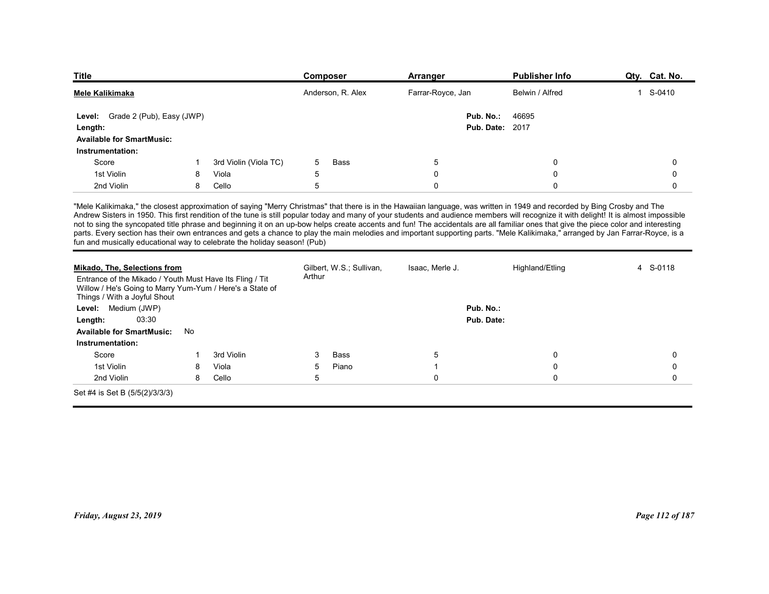| <b>Title</b>                                                                                                                                                                                                                                               |   |                       | Composer                           | <b>Arranger</b>                                                                                                                                                                                                                                                                                                                                                                                                                                                                                                                                           | <b>Publisher Info</b> | Qty. Cat. No.          |
|------------------------------------------------------------------------------------------------------------------------------------------------------------------------------------------------------------------------------------------------------------|---|-----------------------|------------------------------------|-----------------------------------------------------------------------------------------------------------------------------------------------------------------------------------------------------------------------------------------------------------------------------------------------------------------------------------------------------------------------------------------------------------------------------------------------------------------------------------------------------------------------------------------------------------|-----------------------|------------------------|
| <b>Mele Kalikimaka</b>                                                                                                                                                                                                                                     |   |                       | Anderson, R. Alex                  | Farrar-Royce, Jan                                                                                                                                                                                                                                                                                                                                                                                                                                                                                                                                         | Belwin / Alfred       | S-0410<br>$\mathbf{1}$ |
| Level: Grade 2 (Pub), Easy (JWP)                                                                                                                                                                                                                           |   |                       |                                    | Pub. No.:                                                                                                                                                                                                                                                                                                                                                                                                                                                                                                                                                 | 46695                 |                        |
| Length:                                                                                                                                                                                                                                                    |   |                       |                                    | <b>Pub. Date: 2017</b>                                                                                                                                                                                                                                                                                                                                                                                                                                                                                                                                    |                       |                        |
| <b>Available for SmartMusic:</b>                                                                                                                                                                                                                           |   |                       |                                    |                                                                                                                                                                                                                                                                                                                                                                                                                                                                                                                                                           |                       |                        |
| Instrumentation:<br>Score                                                                                                                                                                                                                                  |   | 3rd Violin (Viola TC) | 5<br><b>Bass</b>                   | 5                                                                                                                                                                                                                                                                                                                                                                                                                                                                                                                                                         | $\mathbf 0$           | $\mathbf 0$            |
| 1st Violin                                                                                                                                                                                                                                                 | 8 | Viola                 | 5                                  | $\mathbf 0$                                                                                                                                                                                                                                                                                                                                                                                                                                                                                                                                               | $\mathbf 0$           | $\Omega$               |
| 2nd Violin                                                                                                                                                                                                                                                 | 8 | Cello                 | 5                                  | $\mathbf 0$                                                                                                                                                                                                                                                                                                                                                                                                                                                                                                                                               | $\mathbf 0$           | $\mathbf 0$            |
|                                                                                                                                                                                                                                                            |   |                       |                                    | "Mele Kalikimaka," the closest approximation of saying "Merry Christmas" that there is in the Hawaiian language, was written in 1949 and recorded by Bing Crosby and The<br>Andrew Sisters in 1950. This first rendition of the tune is still popular today and many of your students and audience members will recognize it with delight! It is almost impossible<br>not to sing the syncopated title phrase and beginning it on an up-bow helps create accents and fun! The accidentals are all familiar ones that give the piece color and interesting |                       |                        |
| parts. Every section has their own entrances and gets a chance to play the main melodies and important supporting parts. "Mele Kalikimaka," arranged by Jan Farrar-Royce, is a<br>fun and musically educational way to celebrate the holiday season! (Pub) |   |                       |                                    |                                                                                                                                                                                                                                                                                                                                                                                                                                                                                                                                                           |                       |                        |
|                                                                                                                                                                                                                                                            |   |                       |                                    |                                                                                                                                                                                                                                                                                                                                                                                                                                                                                                                                                           |                       |                        |
| <b>Mikado, The, Selections from</b><br>Entrance of the Mikado / Youth Must Have Its Fling / Tit<br>Willow / He's Going to Marry Yum-Yum / Here's a State of                                                                                                |   |                       | Gilbert, W.S.; Sullivan,<br>Arthur | Isaac, Merle J.                                                                                                                                                                                                                                                                                                                                                                                                                                                                                                                                           | Highland/Etling       | 4 S-0118               |
| Things / With a Joyful Shout<br>Medium (JWP)<br>Level:                                                                                                                                                                                                     |   |                       |                                    | Pub. No.:                                                                                                                                                                                                                                                                                                                                                                                                                                                                                                                                                 |                       |                        |
| 03:30<br>Length:                                                                                                                                                                                                                                           |   |                       |                                    | Pub. Date:                                                                                                                                                                                                                                                                                                                                                                                                                                                                                                                                                |                       |                        |

| Level: Grade 2 (Pub), Easy (JWP)                                                                                                                                                     |    |                       |        |                          |                          | Pub. No.:<br>46695                                                                                                                                                                                                                                                                                                                                                                                                                                                                                                                                                                                                                                                                                                                          |                      |
|--------------------------------------------------------------------------------------------------------------------------------------------------------------------------------------|----|-----------------------|--------|--------------------------|--------------------------|---------------------------------------------------------------------------------------------------------------------------------------------------------------------------------------------------------------------------------------------------------------------------------------------------------------------------------------------------------------------------------------------------------------------------------------------------------------------------------------------------------------------------------------------------------------------------------------------------------------------------------------------------------------------------------------------------------------------------------------------|----------------------|
| Length:                                                                                                                                                                              |    |                       |        |                          |                          | <b>Pub. Date: 2017</b>                                                                                                                                                                                                                                                                                                                                                                                                                                                                                                                                                                                                                                                                                                                      |                      |
| <b>Available for SmartMusic:</b>                                                                                                                                                     |    |                       |        |                          |                          |                                                                                                                                                                                                                                                                                                                                                                                                                                                                                                                                                                                                                                                                                                                                             |                      |
| Instrumentation:                                                                                                                                                                     |    |                       |        |                          |                          |                                                                                                                                                                                                                                                                                                                                                                                                                                                                                                                                                                                                                                                                                                                                             |                      |
| Score                                                                                                                                                                                | -1 | 3rd Violin (Viola TC) | 5      | Bass                     | 5                        | 0                                                                                                                                                                                                                                                                                                                                                                                                                                                                                                                                                                                                                                                                                                                                           | $\Omega$             |
| 1st Violin                                                                                                                                                                           | 8  | Viola                 | 5      |                          | $\Omega$<br>$\mathbf{0}$ | $\Omega$                                                                                                                                                                                                                                                                                                                                                                                                                                                                                                                                                                                                                                                                                                                                    | $\Omega$<br>$\Omega$ |
| 2nd Violin                                                                                                                                                                           | 8  | Cello                 | 5      |                          |                          | $\mathbf 0$                                                                                                                                                                                                                                                                                                                                                                                                                                                                                                                                                                                                                                                                                                                                 |                      |
| fun and musically educational way to celebrate the holiday season! (Pub)                                                                                                             |    |                       |        |                          |                          | "Mele Kalikimaka," the closest approximation of saying "Merry Christmas" that there is in the Hawaiian language, was written in 1949 and recorded by Bing Crosby and The<br>Andrew Sisters in 1950. This first rendition of the tune is still popular today and many of your students and audience members will recognize it with delight! It is almost impossible<br>not to sing the syncopated title phrase and beginning it on an up-bow helps create accents and fun! The accidentals are all familiar ones that give the piece color and interesting<br>parts. Every section has their own entrances and gets a chance to play the main melodies and important supporting parts. "Mele Kalikimaka," arranged by Jan Farrar-Royce, is a |                      |
| Mikado, The, Selections from<br>Entrance of the Mikado / Youth Must Have Its Fling / Tit<br>Willow / He's Going to Marry Yum-Yum / Here's a State of<br>Things / With a Joyful Shout |    |                       | Arthur | Gilbert, W.S.; Sullivan, | Isaac, Merle J.          | Highland/Etling                                                                                                                                                                                                                                                                                                                                                                                                                                                                                                                                                                                                                                                                                                                             | 4 S-0118             |
| Level: Medium (JWP)                                                                                                                                                                  |    |                       |        |                          |                          | Pub. No.:                                                                                                                                                                                                                                                                                                                                                                                                                                                                                                                                                                                                                                                                                                                                   |                      |
| 03:30<br>Length:                                                                                                                                                                     |    |                       |        |                          |                          | Pub. Date:                                                                                                                                                                                                                                                                                                                                                                                                                                                                                                                                                                                                                                                                                                                                  |                      |
| <b>Available for SmartMusic:</b>                                                                                                                                                     | No |                       |        |                          |                          |                                                                                                                                                                                                                                                                                                                                                                                                                                                                                                                                                                                                                                                                                                                                             |                      |
| Instrumentation:                                                                                                                                                                     |    |                       |        |                          |                          |                                                                                                                                                                                                                                                                                                                                                                                                                                                                                                                                                                                                                                                                                                                                             |                      |
| Score                                                                                                                                                                                |    | 3rd Violin            | 3      | <b>Bass</b>              | 5                        | 0                                                                                                                                                                                                                                                                                                                                                                                                                                                                                                                                                                                                                                                                                                                                           | $\mathbf 0$          |
| 1st Violin                                                                                                                                                                           | 8  | Viola                 | 5      | Piano                    |                          | $\Omega$                                                                                                                                                                                                                                                                                                                                                                                                                                                                                                                                                                                                                                                                                                                                    | $\Omega$             |
| 2nd Violin                                                                                                                                                                           | 8  | Cello                 | 5      |                          | $\mathbf 0$              | $\mathbf 0$                                                                                                                                                                                                                                                                                                                                                                                                                                                                                                                                                                                                                                                                                                                                 | $\Omega$             |
| Set #4 is Set B (5/5(2)/3/3/3)                                                                                                                                                       |    |                       |        |                          |                          |                                                                                                                                                                                                                                                                                                                                                                                                                                                                                                                                                                                                                                                                                                                                             |                      |
|                                                                                                                                                                                      |    |                       |        |                          |                          |                                                                                                                                                                                                                                                                                                                                                                                                                                                                                                                                                                                                                                                                                                                                             |                      |
|                                                                                                                                                                                      |    |                       |        |                          |                          |                                                                                                                                                                                                                                                                                                                                                                                                                                                                                                                                                                                                                                                                                                                                             |                      |
| Friday, August 23, 2019                                                                                                                                                              |    |                       |        |                          |                          |                                                                                                                                                                                                                                                                                                                                                                                                                                                                                                                                                                                                                                                                                                                                             | Page 112 of 187      |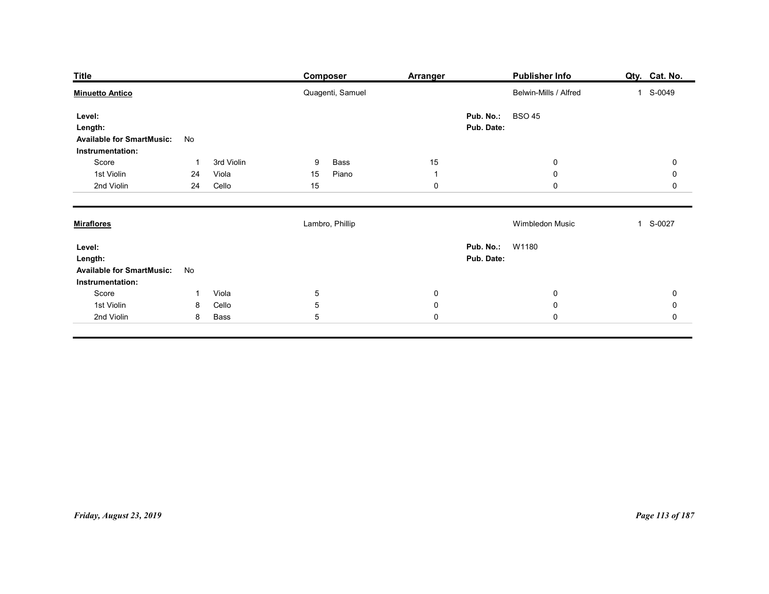| <b>Minuetto Antico</b><br>Quagenti, Samuel<br>Belwin-Mills / Alfred<br>1 S-0049<br><b>BSO 45</b><br>Pub. No.:<br>Level:<br>Pub. Date:<br>Length:<br><b>Available for SmartMusic:</b><br>No<br>Instrumentation:<br>$15\,$<br>Score<br>3rd Violin<br>Bass<br>9<br>$\bf{0}$<br>$\mathbf 0$<br>-1<br>1st Violin<br>Piano<br>$\mathsf{O}\xspace$<br>24<br>Viola<br>15<br>$\mathbf 0$<br>$\overline{1}$<br>15<br>2nd Violin<br>24<br>Cello<br>$\boldsymbol{0}$<br>$\mathbf 0$<br>$\mathbf 0$<br>Lambro, Phillip<br>Wimbledon Music<br>1 S-0027<br>Pub. No.: W1180<br>Level:<br>Pub. Date:<br>Length:<br><b>Available for SmartMusic:</b><br>No<br>Instrumentation:<br>Score<br>Viola<br>$\overline{5}$<br>$\mathbf 0$<br>$\mathbf 0$<br>$\pmb{0}$<br>$\mathbf{1}$<br>$\sqrt{5}$<br>$\pmb{0}$<br>Cello<br>$\pmb{0}$<br>1st Violin<br>$\pmb{0}$<br>8 | $\overline{5}$<br>$\mathbf 0$<br>$\mathbf 0$<br>2nd Violin<br>Bass<br>8 |           |
|----------------------------------------------------------------------------------------------------------------------------------------------------------------------------------------------------------------------------------------------------------------------------------------------------------------------------------------------------------------------------------------------------------------------------------------------------------------------------------------------------------------------------------------------------------------------------------------------------------------------------------------------------------------------------------------------------------------------------------------------------------------------------------------------------------------------------------------------|-------------------------------------------------------------------------|-----------|
| <b>Miraflores</b>                                                                                                                                                                                                                                                                                                                                                                                                                                                                                                                                                                                                                                                                                                                                                                                                                            |                                                                         |           |
|                                                                                                                                                                                                                                                                                                                                                                                                                                                                                                                                                                                                                                                                                                                                                                                                                                              |                                                                         |           |
|                                                                                                                                                                                                                                                                                                                                                                                                                                                                                                                                                                                                                                                                                                                                                                                                                                              |                                                                         |           |
|                                                                                                                                                                                                                                                                                                                                                                                                                                                                                                                                                                                                                                                                                                                                                                                                                                              |                                                                         |           |
|                                                                                                                                                                                                                                                                                                                                                                                                                                                                                                                                                                                                                                                                                                                                                                                                                                              |                                                                         |           |
|                                                                                                                                                                                                                                                                                                                                                                                                                                                                                                                                                                                                                                                                                                                                                                                                                                              |                                                                         | $\pmb{0}$ |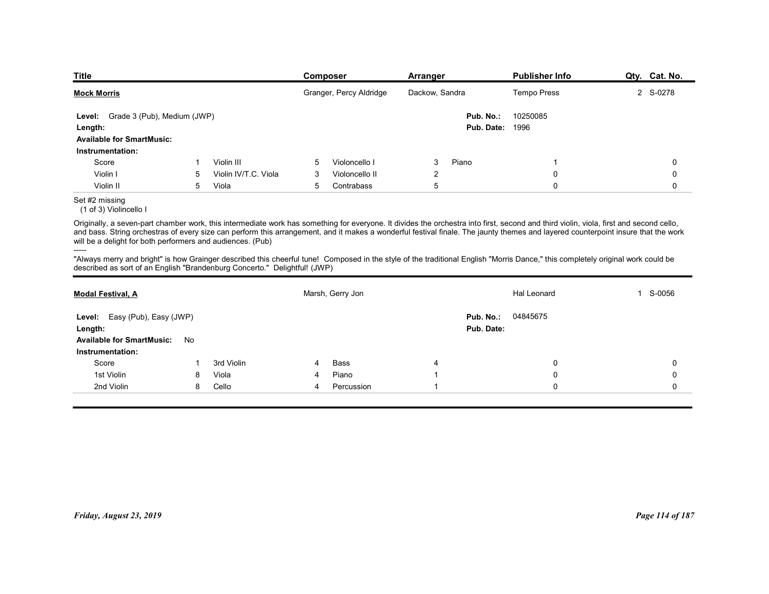| Publisher Info<br><b>Composer</b><br><b>Arranger</b><br>Granger, Percy Aldridge<br>Dackow, Sandra<br>Tempo Press<br>Level: Grade 3 (Pub), Medium (JWP)<br>Pub. No.:<br>10250085<br><b>Pub. Date: 1996</b><br>Length:<br><b>Available for SmartMusic:</b><br>Instrumentation:<br>Violin III<br>Piano<br>Score<br>5<br>Violoncello I<br>3<br>-1<br>Violin I<br>Violin IV/T.C. Viola<br>Violoncello II<br>2<br>0<br>5<br>3<br>5<br>$\mathbf 0$<br>Violin II<br>5<br>Viola<br>Contrabass<br>5<br>(1 of 3) Violincello I<br>-----<br>Marsh, Gerry Jon<br>Hal Leonard                                                                                                                                                                                                                               |               |
|-----------------------------------------------------------------------------------------------------------------------------------------------------------------------------------------------------------------------------------------------------------------------------------------------------------------------------------------------------------------------------------------------------------------------------------------------------------------------------------------------------------------------------------------------------------------------------------------------------------------------------------------------------------------------------------------------------------------------------------------------------------------------------------------------|---------------|
| <b>Title</b><br><b>Mock Morris</b><br>Set #2 missing<br>Originally, a seven-part chamber work, this intermediate work has something for everyone. It divides the orchestra into first, second and third violin, viola, first and second cello,<br>and bass. String orchestras of every size can perform this arrangement, and it makes a wonderful festival finale. The jaunty themes and layered counterpoint insure that the work<br>will be a delight for both performers and audiences. (Pub)<br>"Always merry and bright" is how Grainger described this cheerful tune! Composed in the style of the traditional English "Morris Dance," this completely original work could be<br>described as sort of an English "Brandenburg Concerto." Delightful! (JWP)<br><b>Modal Festival, A</b> |               |
|                                                                                                                                                                                                                                                                                                                                                                                                                                                                                                                                                                                                                                                                                                                                                                                               |               |
|                                                                                                                                                                                                                                                                                                                                                                                                                                                                                                                                                                                                                                                                                                                                                                                               |               |
|                                                                                                                                                                                                                                                                                                                                                                                                                                                                                                                                                                                                                                                                                                                                                                                               |               |
|                                                                                                                                                                                                                                                                                                                                                                                                                                                                                                                                                                                                                                                                                                                                                                                               |               |
|                                                                                                                                                                                                                                                                                                                                                                                                                                                                                                                                                                                                                                                                                                                                                                                               |               |
|                                                                                                                                                                                                                                                                                                                                                                                                                                                                                                                                                                                                                                                                                                                                                                                               |               |
|                                                                                                                                                                                                                                                                                                                                                                                                                                                                                                                                                                                                                                                                                                                                                                                               |               |
|                                                                                                                                                                                                                                                                                                                                                                                                                                                                                                                                                                                                                                                                                                                                                                                               |               |
|                                                                                                                                                                                                                                                                                                                                                                                                                                                                                                                                                                                                                                                                                                                                                                                               |               |
|                                                                                                                                                                                                                                                                                                                                                                                                                                                                                                                                                                                                                                                                                                                                                                                               | Qty. Cat. No. |
|                                                                                                                                                                                                                                                                                                                                                                                                                                                                                                                                                                                                                                                                                                                                                                                               | 2 S-0278      |
|                                                                                                                                                                                                                                                                                                                                                                                                                                                                                                                                                                                                                                                                                                                                                                                               |               |
|                                                                                                                                                                                                                                                                                                                                                                                                                                                                                                                                                                                                                                                                                                                                                                                               |               |
|                                                                                                                                                                                                                                                                                                                                                                                                                                                                                                                                                                                                                                                                                                                                                                                               |               |
|                                                                                                                                                                                                                                                                                                                                                                                                                                                                                                                                                                                                                                                                                                                                                                                               | 0             |
|                                                                                                                                                                                                                                                                                                                                                                                                                                                                                                                                                                                                                                                                                                                                                                                               | 0<br>0        |
|                                                                                                                                                                                                                                                                                                                                                                                                                                                                                                                                                                                                                                                                                                                                                                                               |               |
|                                                                                                                                                                                                                                                                                                                                                                                                                                                                                                                                                                                                                                                                                                                                                                                               |               |
|                                                                                                                                                                                                                                                                                                                                                                                                                                                                                                                                                                                                                                                                                                                                                                                               |               |
|                                                                                                                                                                                                                                                                                                                                                                                                                                                                                                                                                                                                                                                                                                                                                                                               | 1 S-0056      |
| 04845675<br>Level: Easy (Pub), Easy (JWP)<br>Pub. No.:                                                                                                                                                                                                                                                                                                                                                                                                                                                                                                                                                                                                                                                                                                                                        |               |
| Pub. Date:<br>Length:                                                                                                                                                                                                                                                                                                                                                                                                                                                                                                                                                                                                                                                                                                                                                                         |               |
| Available for SmartMusic: No<br>Instrumentation:                                                                                                                                                                                                                                                                                                                                                                                                                                                                                                                                                                                                                                                                                                                                              |               |

# Set #2 missing

### -----

| Level: Grade 3 (Pub), Medium (JWP)                                                                                                                                                                                                                                                                                                                                                                                                        |              |                      |                |                  |                | Pub. No.:              | 10250085    |                 |
|-------------------------------------------------------------------------------------------------------------------------------------------------------------------------------------------------------------------------------------------------------------------------------------------------------------------------------------------------------------------------------------------------------------------------------------------|--------------|----------------------|----------------|------------------|----------------|------------------------|-------------|-----------------|
| Length:                                                                                                                                                                                                                                                                                                                                                                                                                                   |              |                      |                |                  |                | <b>Pub. Date: 1996</b> |             |                 |
| <b>Available for SmartMusic:</b>                                                                                                                                                                                                                                                                                                                                                                                                          |              |                      |                |                  |                |                        |             |                 |
| Instrumentation:                                                                                                                                                                                                                                                                                                                                                                                                                          |              |                      |                |                  |                |                        |             |                 |
| Score                                                                                                                                                                                                                                                                                                                                                                                                                                     | $\mathbf{1}$ | Violin III           | 5              | Violoncello I    | 3              | Piano                  |             | 0               |
| Violin I                                                                                                                                                                                                                                                                                                                                                                                                                                  | 5            | Violin IV/T.C. Viola | 3              | Violoncello II   | $\overline{2}$ |                        | 0           | $\mathbf 0$     |
| Violin II                                                                                                                                                                                                                                                                                                                                                                                                                                 | 5            | Viola                | 5              | Contrabass       | 5              |                        | $\Omega$    | $\mathbf 0$     |
| Set #2 missing<br>(1 of 3) Violincello I                                                                                                                                                                                                                                                                                                                                                                                                  |              |                      |                |                  |                |                        |             |                 |
| Originally, a seven-part chamber work, this intermediate work has something for everyone. It divides the orchestra into first, second and third violin, viola, first and second cello,<br>and bass. String orchestras of every size can perform this arrangement, and it makes a wonderful festival finale. The jaunty themes and layered counterpoint insure that the work<br>will be a delight for both performers and audiences. (Pub) |              |                      |                |                  |                |                        |             |                 |
| -----<br>"Always merry and bright" is how Grainger described this cheerful tune! Composed in the style of the traditional English "Morris Dance," this completely original work could be<br>described as sort of an English "Brandenburg Concerto." Delightful! (JWP)                                                                                                                                                                     |              |                      |                |                  |                |                        |             |                 |
| <b>Modal Festival, A</b>                                                                                                                                                                                                                                                                                                                                                                                                                  |              |                      |                | Marsh, Gerry Jon |                |                        | Hal Leonard | 1 S-0056        |
| Level: Easy (Pub), Easy (JWP)                                                                                                                                                                                                                                                                                                                                                                                                             |              |                      |                |                  |                | Pub. No.:              | 04845675    |                 |
| Length:                                                                                                                                                                                                                                                                                                                                                                                                                                   |              |                      |                |                  |                | Pub. Date:             |             |                 |
| <b>Available for SmartMusic:</b>                                                                                                                                                                                                                                                                                                                                                                                                          | No           |                      |                |                  |                |                        |             |                 |
| Instrumentation:                                                                                                                                                                                                                                                                                                                                                                                                                          |              |                      |                |                  |                |                        |             |                 |
| Score                                                                                                                                                                                                                                                                                                                                                                                                                                     | -1           | 3rd Violin           |                | Bass             | 4              |                        | 0           | $\mathbf 0$     |
| 1st Violin                                                                                                                                                                                                                                                                                                                                                                                                                                | 8            | Viola                | 4              | Piano            | -1             |                        | 0           | $\mathbf 0$     |
| 2nd Violin                                                                                                                                                                                                                                                                                                                                                                                                                                | 8            | Cello                | $\overline{4}$ | Percussion       | -1             |                        | 0           | $\mathbf 0$     |
|                                                                                                                                                                                                                                                                                                                                                                                                                                           |              |                      |                |                  |                |                        |             |                 |
| Friday, August 23, 2019                                                                                                                                                                                                                                                                                                                                                                                                                   |              |                      |                |                  |                |                        |             | Page 114 of 187 |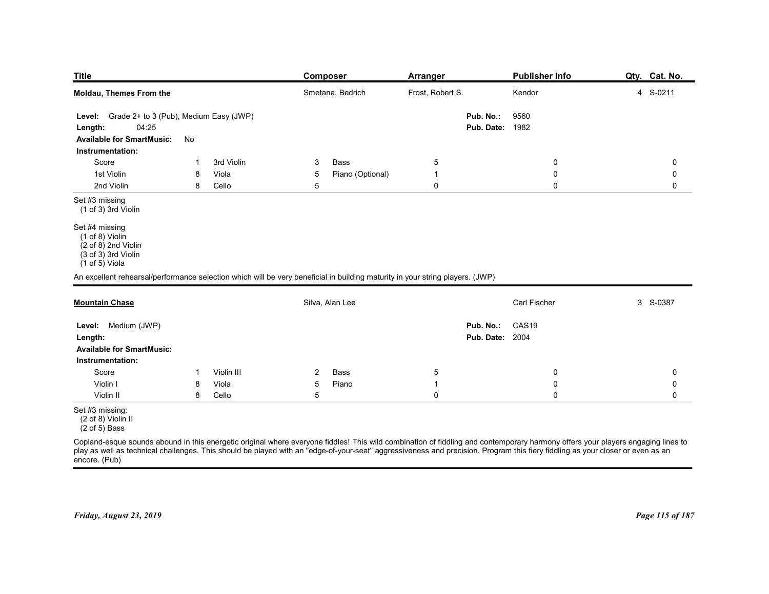| <b>Title</b>                                                                                                                  |    |            |                | <b>Composer</b>  | Arranger            |                        | <b>Publisher Info</b> | Qty. Cat. No. |
|-------------------------------------------------------------------------------------------------------------------------------|----|------------|----------------|------------------|---------------------|------------------------|-----------------------|---------------|
|                                                                                                                               |    |            |                |                  |                     |                        |                       |               |
| <b>Moldau, Themes From the</b>                                                                                                |    |            |                | Smetana, Bedrich | Frost, Robert S.    |                        | Kendor                | 4 S-0211      |
| Level: Grade 2+ to 3 (Pub), Medium Easy (JWP)                                                                                 |    |            |                |                  |                     | Pub. No.:              | 9560                  |               |
| 04:25<br>Length:                                                                                                              |    |            |                |                  |                     | Pub. Date:             | 1982                  |               |
| <b>Available for SmartMusic:</b><br>Instrumentation:                                                                          | No |            |                |                  |                     |                        |                       |               |
| Score                                                                                                                         | 1  | 3rd Violin | 3              | Bass             | $\overline{5}$      |                        | 0                     | 0             |
| 1st Violin                                                                                                                    | 8  | Viola      | 5              | Piano (Optional) | $\mathbf{1}$        |                        | 0                     | 0             |
| 2nd Violin                                                                                                                    | 8  | Cello      | 5              |                  | $\boldsymbol{0}$    |                        | $\mathbf 0$           | 0             |
| Set #3 missing<br>$(1 of 3)$ 3rd Violin                                                                                       |    |            |                |                  |                     |                        |                       |               |
| Set #4 missing                                                                                                                |    |            |                |                  |                     |                        |                       |               |
| (1 of 8) Violin<br>$(2 \text{ of } 8)$ 2nd Violin                                                                             |    |            |                |                  |                     |                        |                       |               |
| (3 of 3) 3rd Violin                                                                                                           |    |            |                |                  |                     |                        |                       |               |
| $(1 of 5)$ Viola                                                                                                              |    |            |                |                  |                     |                        |                       |               |
| An excellent rehearsal/performance selection which will be very beneficial in building maturity in your string players. (JWP) |    |            |                |                  |                     |                        |                       |               |
| <b>Mountain Chase</b>                                                                                                         |    |            |                | Silva, Alan Lee  |                     |                        | Carl Fischer          | 3 S-0387      |
| Level: Medium (JWP)                                                                                                           |    |            |                |                  |                     | Pub. No.:              | CAS19                 |               |
| Length:                                                                                                                       |    |            |                |                  |                     | <b>Pub. Date: 2004</b> |                       |               |
| <b>Available for SmartMusic:</b>                                                                                              |    |            |                |                  |                     |                        |                       |               |
| Instrumentation:                                                                                                              |    |            |                |                  |                     |                        |                       |               |
| Score                                                                                                                         | -1 | Violin III | $\overline{2}$ | Bass             | $5\overline{)}$     |                        | 0                     | 0             |
| Violin I                                                                                                                      | 8  | Viola      | 5              | Piano            | $\overline{1}$      |                        | $\mathbf 0$           | 0             |
| Violin II                                                                                                                     | 8  | Cello      | 5              |                  | $\mathsf{O}\xspace$ |                        | $\mathbf 0$           | 0             |
| Set #3 missing:<br>(2 of 8) Violin II                                                                                         |    |            |                |                  |                     |                        |                       |               |

|                                                                   |   |            |                | Silva, Alan Lee |           | Carl Fischer                                                                                                                                                                                                                                                                                                                                                      | 3 S-0387        |
|-------------------------------------------------------------------|---|------------|----------------|-----------------|-----------|-------------------------------------------------------------------------------------------------------------------------------------------------------------------------------------------------------------------------------------------------------------------------------------------------------------------------------------------------------------------|-----------------|
| Medium (JWP)<br>Level:                                            |   |            |                |                 | Pub. No.: | CAS <sub>19</sub>                                                                                                                                                                                                                                                                                                                                                 |                 |
| Length:                                                           |   |            |                |                 |           | <b>Pub. Date: 2004</b>                                                                                                                                                                                                                                                                                                                                            |                 |
| <b>Available for SmartMusic:</b>                                  |   |            |                |                 |           |                                                                                                                                                                                                                                                                                                                                                                   |                 |
| Instrumentation:                                                  |   |            |                |                 |           |                                                                                                                                                                                                                                                                                                                                                                   |                 |
| Score                                                             |   | Violin III | $\overline{2}$ | Bass            | 5         |                                                                                                                                                                                                                                                                                                                                                                   | $\Omega$        |
| Violin I                                                          | 8 | Viola      | 5              | Piano           |           |                                                                                                                                                                                                                                                                                                                                                                   |                 |
| Violin II                                                         | 8 | Cello      | 5              |                 |           |                                                                                                                                                                                                                                                                                                                                                                   |                 |
| Set #3 missing:<br>(2 of 8) Violin II<br>$(2 \text{ of } 5)$ Bass |   |            |                |                 |           |                                                                                                                                                                                                                                                                                                                                                                   |                 |
|                                                                   |   |            |                |                 |           | Copland-esque sounds abound in this energetic original where everyone fiddles! This wild combination of fiddling and contemporary harmony offers your players engaging lines to<br>play as well as technical challenges. This should be played with an "edge-of-your-seat" aggressiveness and precision. Program this fiery fiddling as your closer or even as an |                 |
| encore. (Pub)                                                     |   |            |                |                 |           |                                                                                                                                                                                                                                                                                                                                                                   |                 |
|                                                                   |   |            |                |                 |           |                                                                                                                                                                                                                                                                                                                                                                   |                 |
| Friday, August 23, 2019                                           |   |            |                |                 |           |                                                                                                                                                                                                                                                                                                                                                                   | Page 115 of 187 |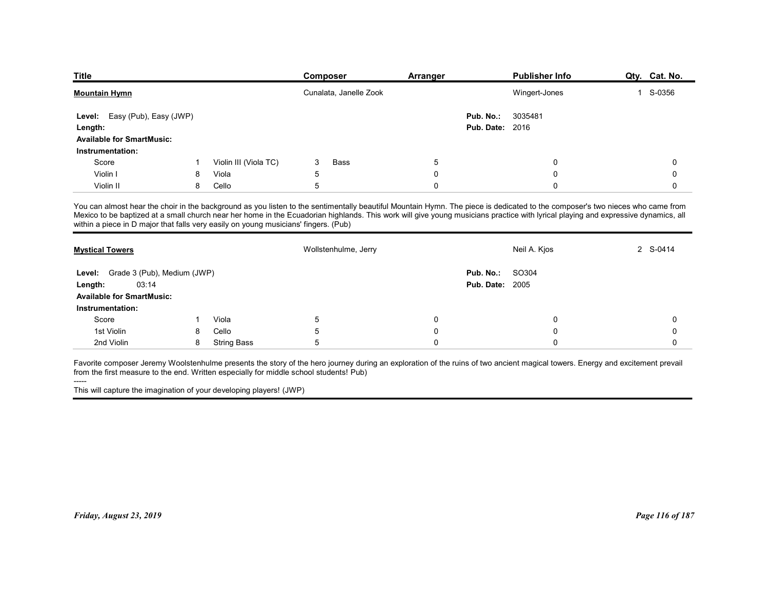| <b>Title</b>                                |    |                                                                                     |                        |                                                                                                                                                                                                                                                                                                                                                                    | <b>Publisher Info</b> |               |
|---------------------------------------------|----|-------------------------------------------------------------------------------------|------------------------|--------------------------------------------------------------------------------------------------------------------------------------------------------------------------------------------------------------------------------------------------------------------------------------------------------------------------------------------------------------------|-----------------------|---------------|
|                                             |    |                                                                                     | Composer               | <b>Arranger</b>                                                                                                                                                                                                                                                                                                                                                    |                       | Qty. Cat. No. |
| <b>Mountain Hymn</b>                        |    |                                                                                     | Cunalata, Janelle Zook |                                                                                                                                                                                                                                                                                                                                                                    | Wingert-Jones         | 1 S-0356      |
| Easy (Pub), Easy (JWP)<br>Level:            |    |                                                                                     |                        | Pub. No.:                                                                                                                                                                                                                                                                                                                                                          | 3035481               |               |
| Length:                                     |    |                                                                                     |                        | <b>Pub. Date: 2016</b>                                                                                                                                                                                                                                                                                                                                             |                       |               |
| <b>Available for SmartMusic:</b>            |    |                                                                                     |                        |                                                                                                                                                                                                                                                                                                                                                                    |                       |               |
| Instrumentation:                            |    |                                                                                     |                        |                                                                                                                                                                                                                                                                                                                                                                    |                       |               |
| Score                                       |    | Violin III (Viola TC)                                                               | 3<br>Bass              | 5                                                                                                                                                                                                                                                                                                                                                                  | 0                     | 0             |
| Violin I                                    | 8  | Viola                                                                               | 5                      | 0                                                                                                                                                                                                                                                                                                                                                                  | 0                     | 0             |
| Violin II                                   | 8  | Cello                                                                               | 5                      | 0                                                                                                                                                                                                                                                                                                                                                                  | 0                     | $\mathbf 0$   |
|                                             |    | within a piece in D major that falls very easily on young musicians' fingers. (Pub) |                        | You can almost hear the choir in the background as you listen to the sentimentally beautiful Mountain Hymn. The piece is dedicated to the composer's two nieces who came from<br>Mexico to be baptized at a small church near her home in the Ecuadorian highlands. This work will give young musicians practice with lyrical playing and expressive dynamics, all |                       |               |
|                                             |    |                                                                                     | Wollstenhulme, Jerry   |                                                                                                                                                                                                                                                                                                                                                                    | Neil A. Kjos          | 2 S-0414      |
| <b>Mystical Towers</b>                      |    |                                                                                     |                        |                                                                                                                                                                                                                                                                                                                                                                    |                       |               |
| Level: Grade 3 (Pub), Medium (JWP)          |    |                                                                                     |                        | Pub. No.: SO304                                                                                                                                                                                                                                                                                                                                                    |                       |               |
| 03:14                                       |    |                                                                                     |                        | <b>Pub. Date: 2005</b>                                                                                                                                                                                                                                                                                                                                             |                       |               |
| Length:<br><b>Available for SmartMusic:</b> |    |                                                                                     |                        |                                                                                                                                                                                                                                                                                                                                                                    |                       |               |
| Instrumentation:                            |    |                                                                                     |                        |                                                                                                                                                                                                                                                                                                                                                                    |                       |               |
| Score                                       | -1 | Viola                                                                               | 5                      | 0                                                                                                                                                                                                                                                                                                                                                                  | 0                     | 0             |
| 1st Violin                                  | 8  | Cello                                                                               | 5                      | 0                                                                                                                                                                                                                                                                                                                                                                  | 0                     | 0             |

| Level: Easy (Pub), Easy (JWP)<br>Length:<br><b>Available for SmartMusic:</b><br>Instrumentation:<br>Score<br>Violin III (Viola TC)<br>3<br>Bass<br>-1<br>$\overline{5}$<br>Violin I<br>Viola<br>8<br>5<br>Violin II<br>8<br>Cello                                                                                                                                                                                                                         | Pub. No.:<br>5<br>$\mathbf 0$ | 3035481<br><b>Pub. Date: 2016</b><br>0 |             |
|-----------------------------------------------------------------------------------------------------------------------------------------------------------------------------------------------------------------------------------------------------------------------------------------------------------------------------------------------------------------------------------------------------------------------------------------------------------|-------------------------------|----------------------------------------|-------------|
|                                                                                                                                                                                                                                                                                                                                                                                                                                                           |                               |                                        |             |
|                                                                                                                                                                                                                                                                                                                                                                                                                                                           |                               |                                        |             |
|                                                                                                                                                                                                                                                                                                                                                                                                                                                           |                               |                                        | 0           |
|                                                                                                                                                                                                                                                                                                                                                                                                                                                           |                               | 0                                      | 0           |
|                                                                                                                                                                                                                                                                                                                                                                                                                                                           | $\mathbf 0$                   | $\mathbf 0$                            | $\mathbf 0$ |
| You can almost hear the choir in the background as you listen to the sentimentally beautiful Mountain Hymn. The piece is dedicated to the composer's two nieces who came from<br>Mexico to be baptized at a small church near her home in the Ecuadorian highlands. This work will give young musicians practice with lyrical playing and expressive dynamics, all<br>within a piece in D major that falls very easily on young musicians' fingers. (Pub) |                               |                                        |             |
| Wollstenhulme, Jerry<br><b>Mystical Towers</b>                                                                                                                                                                                                                                                                                                                                                                                                            |                               | Neil A. Kjos                           | 2 S-0414    |
| Grade 3 (Pub), Medium (JWP)<br>Level:                                                                                                                                                                                                                                                                                                                                                                                                                     | Pub. No.:                     | SO304                                  |             |
| 03:14<br>Length:                                                                                                                                                                                                                                                                                                                                                                                                                                          |                               | <b>Pub. Date: 2005</b>                 |             |
| <b>Available for SmartMusic:</b>                                                                                                                                                                                                                                                                                                                                                                                                                          |                               |                                        |             |
| Instrumentation:                                                                                                                                                                                                                                                                                                                                                                                                                                          |                               |                                        |             |
| Viola<br>$\sqrt{5}$<br>Score<br>1                                                                                                                                                                                                                                                                                                                                                                                                                         | $\mathbf 0$                   | $\mathbf 0$                            | 0           |
| 1st Violin<br>Cello<br>$\sqrt{5}$<br>8                                                                                                                                                                                                                                                                                                                                                                                                                    | $\mathbf 0$                   | $\mathbf 0$                            | $\mathbf 0$ |
| 5<br>2nd Violin<br>8<br><b>String Bass</b>                                                                                                                                                                                                                                                                                                                                                                                                                | $\mathbf 0$                   | $\mathbf 0$                            | 0           |
| Favorite composer Jeremy Woolstenhulme presents the story of the hero journey during an exploration of the ruins of two ancient magical towers. Energy and excitement prevail<br>from the first measure to the end. Written especially for middle school students! Pub)<br>This will capture the imagination of your developing players! (JWP)                                                                                                            |                               |                                        |             |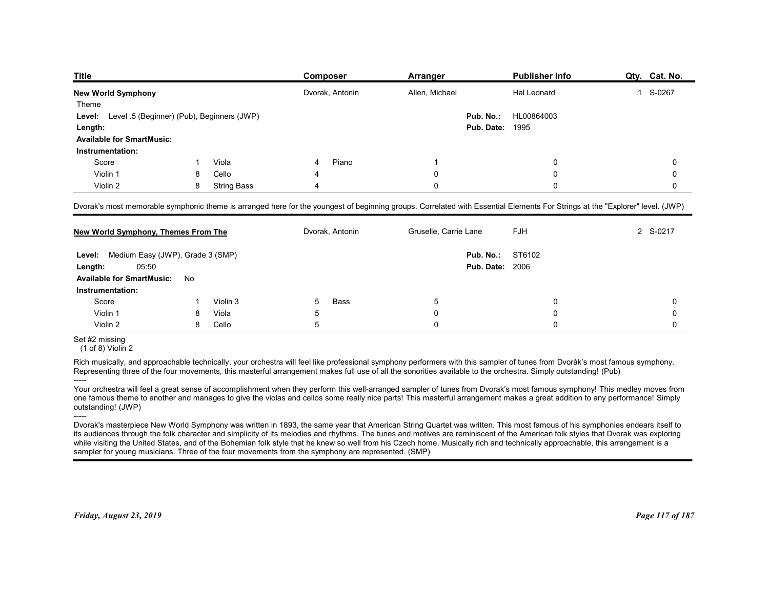| <b>Title</b>                                         |    |                    | <b>Composer</b> | <b>Arranger</b>                                                                                                                                                              | <b>Publisher Info</b> | Qty. Cat. No. |
|------------------------------------------------------|----|--------------------|-----------------|------------------------------------------------------------------------------------------------------------------------------------------------------------------------------|-----------------------|---------------|
| <b>New World Symphony</b>                            |    |                    | Dvorak, Antonin | Allen, Michael                                                                                                                                                               | Hal Leonard           | 1 S-0267      |
| Theme                                                |    |                    |                 |                                                                                                                                                                              |                       |               |
| Level .5 (Beginner) (Pub), Beginners (JWP)<br>Level: |    |                    |                 | Pub. No.:                                                                                                                                                                    | HL00864003            |               |
| Length:                                              |    |                    |                 | <b>Pub. Date: 1995</b>                                                                                                                                                       |                       |               |
| <b>Available for SmartMusic:</b><br>Instrumentation: |    |                    |                 |                                                                                                                                                                              |                       |               |
| Score                                                |    | Viola              | Piano           |                                                                                                                                                                              | 0                     | 0             |
| Violin 1                                             | 8  | Cello              |                 | 0                                                                                                                                                                            | 0                     | 0             |
| Violin 2                                             | 8  | <b>String Bass</b> |                 | 0                                                                                                                                                                            | 0                     | 0             |
|                                                      |    |                    |                 |                                                                                                                                                                              |                       |               |
|                                                      |    |                    |                 | Dvorak's most memorable symphonic theme is arranged here for the youngest of beginning groups. Correlated with Essential Elements For Strings at the "Explorer" level. (JWP) |                       |               |
| <b>New World Symphony, Themes From The</b>           |    |                    | Dvorak, Antonin | Gruselle, Carrie Lane                                                                                                                                                        | <b>FJH</b>            | 2 S-0217      |
|                                                      |    |                    |                 |                                                                                                                                                                              |                       |               |
|                                                      |    |                    |                 | Pub. No.:                                                                                                                                                                    | ST6102                |               |
| Level: Medium Easy (JWP), Grade 3 (SMP)              |    |                    |                 | <b>Pub. Date: 2006</b>                                                                                                                                                       |                       |               |
| 05:50<br>Length:                                     |    |                    |                 |                                                                                                                                                                              |                       |               |
| <b>Available for SmartMusic:</b>                     | No |                    |                 |                                                                                                                                                                              |                       |               |
| Instrumentation:                                     |    |                    | Bass<br>5       | $\sqrt{5}$<br>$\mathbf 0$                                                                                                                                                    | 0<br>$\mathbf 0$      | 0<br>0        |
| Score                                                |    | Violin 3           |                 |                                                                                                                                                                              |                       |               |
| Violin 1                                             | 8  | Viola              | 5               |                                                                                                                                                                              |                       |               |
| Violin 2<br>Set #2 missing<br>$(1 of 8)$ Violin 2    | 8  | Cello              | $5\phantom{.0}$ | $\mathbf 0$                                                                                                                                                                  | $\mathsf 0$           | 0             |

| New World Symphony, Themes From The                         |    |          | Dvorak, Antonin                                                                                                                                                                                                                                                                                                                                                                                                                                                                                                                                                                                                                                     | Gruselle, Carrie Lane               | <b>FJH</b> | 2 S-0217        |
|-------------------------------------------------------------|----|----------|-----------------------------------------------------------------------------------------------------------------------------------------------------------------------------------------------------------------------------------------------------------------------------------------------------------------------------------------------------------------------------------------------------------------------------------------------------------------------------------------------------------------------------------------------------------------------------------------------------------------------------------------------------|-------------------------------------|------------|-----------------|
| Level: Medium Easy (JWP), Grade 3 (SMP)<br>05:50<br>Length: |    |          |                                                                                                                                                                                                                                                                                                                                                                                                                                                                                                                                                                                                                                                     | Pub. No.:<br><b>Pub. Date: 2006</b> | ST6102     |                 |
| <b>Available for SmartMusic:</b>                            | No |          |                                                                                                                                                                                                                                                                                                                                                                                                                                                                                                                                                                                                                                                     |                                     |            |                 |
| Instrumentation:                                            |    |          |                                                                                                                                                                                                                                                                                                                                                                                                                                                                                                                                                                                                                                                     |                                     |            |                 |
| Score                                                       |    | Violin 3 | <b>Bass</b>                                                                                                                                                                                                                                                                                                                                                                                                                                                                                                                                                                                                                                         | 5                                   | $\Omega$   | 0               |
| Violin 1                                                    |    | Viola    | 5                                                                                                                                                                                                                                                                                                                                                                                                                                                                                                                                                                                                                                                   | $\mathbf 0$                         | $\Omega$   | $\Omega$        |
| Violin 2                                                    | 8  | Cello    | .5                                                                                                                                                                                                                                                                                                                                                                                                                                                                                                                                                                                                                                                  | $\Omega$                            | $\Omega$   | $\Omega$        |
| Set #2 missing<br>$(1$ of 8) Violin 2                       |    |          |                                                                                                                                                                                                                                                                                                                                                                                                                                                                                                                                                                                                                                                     |                                     |            |                 |
|                                                             |    |          | Rich musically, and approachable technically, your orchestra will feel like professional symphony performers with this sampler of tunes from Dvorák's most famous symphony.<br>Representing three of the four movements, this masterful arrangement makes full use of all the sonorities available to the orchestra. Simply outstanding! (Pub)                                                                                                                                                                                                                                                                                                      |                                     |            |                 |
| outstanding! (JWP)                                          |    |          | Your orchestra will feel a great sense of accomplishment when they perform this well-arranged sampler of tunes from Dvorak's most famous symphony! This medley moves from<br>one famous theme to another and manages to give the violas and cellos some really nice parts! This masterful arrangement makes a great addition to any performance! Simply                                                                                                                                                                                                                                                                                             |                                     |            |                 |
|                                                             |    |          | Dvorak's masterpiece New World Symphony was written in 1893, the same year that American String Quartet was written. This most famous of his symphonies endears itself to<br>its audiences through the folk character and simplicity of its melodies and rhythms. The tunes and motives are reminiscent of the American folk styles that Dvorak was exploring<br>while visiting the United States, and of the Bohemian folk style that he knew so well from his Czech home. Musically rich and technically approachable, this arrangement is a<br>sampler for young musicians. Three of the four movements from the symphony are represented. (SMP) |                                     |            |                 |
|                                                             |    |          |                                                                                                                                                                                                                                                                                                                                                                                                                                                                                                                                                                                                                                                     |                                     |            |                 |
| Friday, August 23, 2019                                     |    |          |                                                                                                                                                                                                                                                                                                                                                                                                                                                                                                                                                                                                                                                     |                                     |            | Page 117 of 187 |
|                                                             |    |          |                                                                                                                                                                                                                                                                                                                                                                                                                                                                                                                                                                                                                                                     |                                     |            |                 |
|                                                             |    |          |                                                                                                                                                                                                                                                                                                                                                                                                                                                                                                                                                                                                                                                     |                                     |            |                 |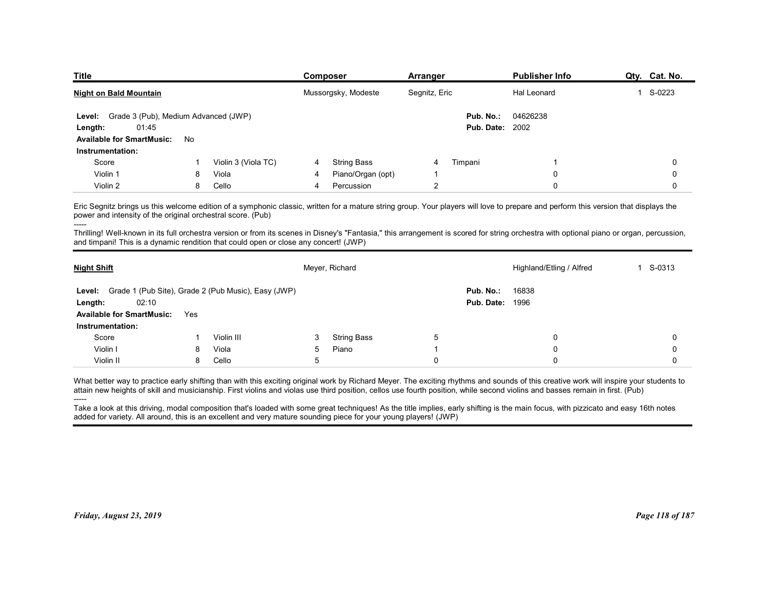| <b>Title</b>                                                                                                                                                                                                                                                                     |    |                                                     |                | <b>Composer</b>     | Arranger       |                        | <b>Publisher Info</b>    | Qty. Cat. No.          |
|----------------------------------------------------------------------------------------------------------------------------------------------------------------------------------------------------------------------------------------------------------------------------------|----|-----------------------------------------------------|----------------|---------------------|----------------|------------------------|--------------------------|------------------------|
| <b>Night on Bald Mountain</b>                                                                                                                                                                                                                                                    |    |                                                     |                | Mussorgsky, Modeste | Segnitz, Eric  |                        | Hal Leonard              | S-0223<br>$\mathbf{1}$ |
| Grade 3 (Pub), Medium Advanced (JWP)<br>Level:                                                                                                                                                                                                                                   |    |                                                     |                |                     |                | Pub. No.:              | 04626238                 |                        |
| 01:45<br>Length:                                                                                                                                                                                                                                                                 |    |                                                     |                |                     |                | <b>Pub. Date: 2002</b> |                          |                        |
| <b>Available for SmartMusic:</b>                                                                                                                                                                                                                                                 | No |                                                     |                |                     |                |                        |                          |                        |
| Instrumentation:<br>Score                                                                                                                                                                                                                                                        |    | Violin 3 (Viola TC)                                 | 4              | <b>String Bass</b>  | 4              | Timpani                | -1                       | 0                      |
| Violin 1                                                                                                                                                                                                                                                                         | 8  | Viola                                               | 4              | Piano/Organ (opt)   | -1             |                        | $\mathbf 0$              | 0                      |
| Violin 2                                                                                                                                                                                                                                                                         | 8  | Cello                                               | $\overline{4}$ | Percussion          | $\overline{2}$ |                        | $\mathbf 0$              | $\mathbf 0$            |
| Eric Segnitz brings us this welcome edition of a symphonic classic, written for a mature string group. Your players will love to prepare and perform this version that displays the<br>power and intensity of the original orchestral score. (Pub)                               |    |                                                     |                |                     |                |                        |                          |                        |
|                                                                                                                                                                                                                                                                                  |    |                                                     |                |                     |                |                        |                          |                        |
| Thrilling! Well-known in its full orchestra version or from its scenes in Disney's "Fantasia," this arrangement is scored for string orchestra with optional piano or organ, percussion,<br>and timpani! This is a dynamic rendition that could open or close any concert! (JWP) |    |                                                     |                |                     |                |                        | Highland/Etling / Alfred | 1 S-0313               |
| <b>Night Shift</b>                                                                                                                                                                                                                                                               |    |                                                     |                | Meyer, Richard      |                |                        |                          |                        |
| Level:                                                                                                                                                                                                                                                                           |    | Grade 1 (Pub Site), Grade 2 (Pub Music), Easy (JWP) |                |                     |                | Pub. No.:              | 16838                    |                        |

|                                                                                                                                                                                                                                                                                                                                                                                                                                                                                                                                                                                                                                                                                    |     |                     |   | Mussorgsky, Modeste | Segnitz, Eric  |                                     | Hal Leonard                                                                                                                                                                                                                                                                                                                                                                     | 1 S-0223     |
|------------------------------------------------------------------------------------------------------------------------------------------------------------------------------------------------------------------------------------------------------------------------------------------------------------------------------------------------------------------------------------------------------------------------------------------------------------------------------------------------------------------------------------------------------------------------------------------------------------------------------------------------------------------------------------|-----|---------------------|---|---------------------|----------------|-------------------------------------|---------------------------------------------------------------------------------------------------------------------------------------------------------------------------------------------------------------------------------------------------------------------------------------------------------------------------------------------------------------------------------|--------------|
| Grade 3 (Pub), Medium Advanced (JWP)<br>Level:<br>01:45<br>Length:<br><b>Available for SmartMusic:</b><br>Instrumentation:                                                                                                                                                                                                                                                                                                                                                                                                                                                                                                                                                         | No  |                     |   |                     |                | Pub. No.:<br><b>Pub. Date: 2002</b> | 04626238                                                                                                                                                                                                                                                                                                                                                                        |              |
| Score                                                                                                                                                                                                                                                                                                                                                                                                                                                                                                                                                                                                                                                                              | -1  | Violin 3 (Viola TC) | 4 | <b>String Bass</b>  | 4              | Timpani                             |                                                                                                                                                                                                                                                                                                                                                                                 | 0            |
| Violin 1                                                                                                                                                                                                                                                                                                                                                                                                                                                                                                                                                                                                                                                                           | 8   | Viola               | 4 | Piano/Organ (opt)   | -1             |                                     | 0                                                                                                                                                                                                                                                                                                                                                                               | $\Omega$     |
| Violin 2                                                                                                                                                                                                                                                                                                                                                                                                                                                                                                                                                                                                                                                                           | 8   | Cello               | 4 | Percussion          | $\overline{2}$ |                                     | 0                                                                                                                                                                                                                                                                                                                                                                               | 0            |
| power and intensity of the original orchestral score. (Pub)<br>and timpani! This is a dynamic rendition that could open or close any concert! (JWP)                                                                                                                                                                                                                                                                                                                                                                                                                                                                                                                                |     |                     |   |                     |                |                                     | Eric Segnitz brings us this welcome edition of a symphonic classic, written for a mature string group. Your players will love to prepare and perform this version that displays the<br>Thrilling! Well-known in its full orchestra version or from its scenes in Disney's "Fantasia," this arrangement is scored for string orchestra with optional piano or organ, percussion, |              |
| <b>Night Shift</b>                                                                                                                                                                                                                                                                                                                                                                                                                                                                                                                                                                                                                                                                 |     |                     |   | Meyer, Richard      |                |                                     | Highland/Etling / Alfred                                                                                                                                                                                                                                                                                                                                                        | 1 S-0313     |
| Level: Grade 1 (Pub Site), Grade 2 (Pub Music), Easy (JWP)<br>02:10<br>Length:<br><b>Available for SmartMusic:</b><br>Instrumentation:                                                                                                                                                                                                                                                                                                                                                                                                                                                                                                                                             | Yes |                     |   |                     |                | Pub. No.:<br><b>Pub. Date: 1996</b> | 16838                                                                                                                                                                                                                                                                                                                                                                           |              |
| Score                                                                                                                                                                                                                                                                                                                                                                                                                                                                                                                                                                                                                                                                              |     | Violin III          | 3 | <b>String Bass</b>  | 5              |                                     | $\mathbf{0}$                                                                                                                                                                                                                                                                                                                                                                    | $\Omega$     |
| Violin I                                                                                                                                                                                                                                                                                                                                                                                                                                                                                                                                                                                                                                                                           | 8   | Viola               | 5 | Piano               |                |                                     | $\mathbf{0}$                                                                                                                                                                                                                                                                                                                                                                    | $\Omega$     |
| Violin II                                                                                                                                                                                                                                                                                                                                                                                                                                                                                                                                                                                                                                                                          | 8   | Cello               | 5 |                     | $\Omega$       |                                     | $\Omega$                                                                                                                                                                                                                                                                                                                                                                        | $\mathbf{0}$ |
| What better way to practice early shifting than with this exciting original work by Richard Meyer. The exciting rhythms and sounds of this creative work will inspire your students to<br>attain new heights of skill and musicianship. First violins and violas use third position, cellos use fourth position, while second violins and basses remain in first. (Pub)<br>Take a look at this driving, modal composition that's loaded with some great techniques! As the title implies, early shifting is the main focus, with pizzicato and easy 16th notes<br>added for variety. All around, this is an excellent and very mature sounding piece for your young players! (JWP) |     |                     |   |                     |                |                                     |                                                                                                                                                                                                                                                                                                                                                                                 |              |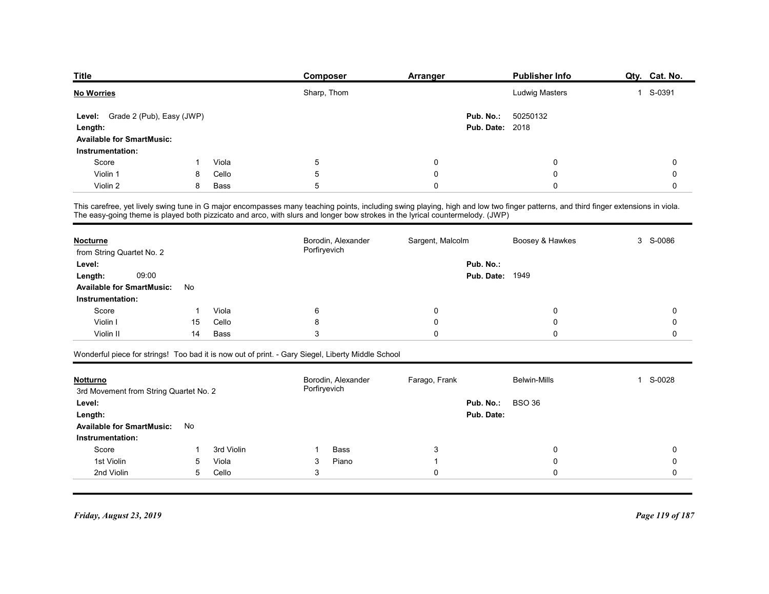| <b>Title</b>                                         |    |       | Composer                                                                                                                                                                                                                          | <b>Arranger</b>  | Publisher Info         | Qty. Cat. No.       |
|------------------------------------------------------|----|-------|-----------------------------------------------------------------------------------------------------------------------------------------------------------------------------------------------------------------------------------|------------------|------------------------|---------------------|
| <b>No Worries</b>                                    |    |       | Sharp, Thom                                                                                                                                                                                                                       |                  | Ludwig Masters         | 1 S-0391            |
| Grade 2 (Pub), Easy (JWP)<br>Level:                  |    |       |                                                                                                                                                                                                                                   | Pub. No.:        | 50250132               |                     |
| Length:                                              |    |       |                                                                                                                                                                                                                                   |                  | <b>Pub. Date: 2018</b> |                     |
| <b>Available for SmartMusic:</b><br>Instrumentation: |    |       |                                                                                                                                                                                                                                   |                  |                        |                     |
| Score                                                |    | Viola | $5\phantom{.0}$                                                                                                                                                                                                                   | 0                | 0                      | 0                   |
| Violin 1                                             | 8  | Cello | 5                                                                                                                                                                                                                                 | 0                | 0                      | 0                   |
| Violin 2                                             | 8  | Bass  | 5                                                                                                                                                                                                                                 | $\mathbf 0$      | 0                      | 0                   |
|                                                      |    |       | This carefree, yet lively swing tune in G major encompasses many teaching points, including swing playing, high and low two finger patterns, and third finger extensions in viola.<br>The easy-going theme is played both pizzica |                  |                        |                     |
| <b>Nocturne</b><br>from String Quartet No. 2         |    |       | Borodin, Alexander<br>Porfiryevich                                                                                                                                                                                                | Sargent, Malcolm | Boosey & Hawkes        | 3 S-0086            |
| Level:                                               |    |       |                                                                                                                                                                                                                                   | Pub. No.:        |                        |                     |
| 09:00<br>Length:                                     |    |       |                                                                                                                                                                                                                                   |                  | <b>Pub. Date: 1949</b> |                     |
| <b>Available for SmartMusic:</b><br>Instrumentation: | No |       |                                                                                                                                                                                                                                   |                  |                        |                     |
| Score                                                | -1 | Viola | $\,6\,$                                                                                                                                                                                                                           | $\pmb{0}$        | 0                      | $\mathbf 0$         |
| Violin I                                             | 15 | Cello | 8                                                                                                                                                                                                                                 | $\pmb{0}$        | 0                      | $\mathsf{O}\xspace$ |
|                                                      | 14 | Bass  | $\ensuremath{\mathsf{3}}$                                                                                                                                                                                                         | $\pmb{0}$        | $\mathsf 0$            | $\mathsf{O}\xspace$ |
| Violin II                                            |    |       |                                                                                                                                                                                                                                   |                  |                        |                     |
|                                                      |    |       | Wonderful piece for strings! Too bad it is now out of print. - Gary Siegel, Liberty Middle School                                                                                                                                 |                  |                        |                     |

| Length:                                |    |             |                                                                                                                                                                                                                                                                                                                     |                  | <b>Pub. Date: 2018</b>     |             |
|----------------------------------------|----|-------------|---------------------------------------------------------------------------------------------------------------------------------------------------------------------------------------------------------------------------------------------------------------------------------------------------------------------|------------------|----------------------------|-------------|
| <b>Available for SmartMusic:</b>       |    |             |                                                                                                                                                                                                                                                                                                                     |                  |                            |             |
| Instrumentation:                       |    |             |                                                                                                                                                                                                                                                                                                                     |                  |                            |             |
| Score                                  |    | Viola       | 5                                                                                                                                                                                                                                                                                                                   | 0                | 0                          | 0           |
| Violin 1                               | 8  | Cello       | 5                                                                                                                                                                                                                                                                                                                   | $\mathbf 0$      | $\mathbf 0$                | 0           |
| Violin 2                               | 8  | <b>Bass</b> | 5                                                                                                                                                                                                                                                                                                                   | $\Omega$         | $\mathbf 0$                | $\Omega$    |
|                                        |    |             | This carefree, yet lively swing tune in G major encompasses many teaching points, including swing playing, high and low two finger patterns, and third finger extensions in viola.<br>The easy-going theme is played both pizzicato and arco, with slurs and longer bow strokes in the lyrical countermelody. (JWP) |                  |                            |             |
| <b>Nocturne</b>                        |    |             | Borodin, Alexander                                                                                                                                                                                                                                                                                                  | Sargent, Malcolm | Boosey & Hawkes            | S-0086<br>3 |
| from String Quartet No. 2              |    |             | Porfiryevich                                                                                                                                                                                                                                                                                                        |                  |                            |             |
| Level:                                 |    |             |                                                                                                                                                                                                                                                                                                                     |                  | Pub. No.:                  |             |
| 09:00<br>Length:                       |    |             |                                                                                                                                                                                                                                                                                                                     |                  | Pub. Date:<br>1949         |             |
| <b>Available for SmartMusic:</b>       | No |             |                                                                                                                                                                                                                                                                                                                     |                  |                            |             |
| Instrumentation:                       |    |             |                                                                                                                                                                                                                                                                                                                     |                  |                            |             |
| Score                                  |    | Viola       | 6                                                                                                                                                                                                                                                                                                                   | 0                | 0                          | 0           |
| Violin I                               | 15 | Cello       | 8                                                                                                                                                                                                                                                                                                                   | 0                | 0                          | 0           |
| Violin II                              | 14 | <b>Bass</b> | 3                                                                                                                                                                                                                                                                                                                   | $\Omega$         | $\Omega$                   | $\Omega$    |
|                                        |    |             | Wonderful piece for strings! Too bad it is now out of print. - Gary Siegel, Liberty Middle School                                                                                                                                                                                                                   |                  |                            |             |
| <b>Notturno</b>                        |    |             | Borodin, Alexander                                                                                                                                                                                                                                                                                                  | Farago, Frank    | <b>Belwin-Mills</b>        | S-0028      |
| 3rd Movement from String Quartet No. 2 |    |             | Porfiryevich                                                                                                                                                                                                                                                                                                        |                  |                            |             |
| Level:                                 |    |             |                                                                                                                                                                                                                                                                                                                     |                  | Pub. No.:<br><b>BSO 36</b> |             |
| Length:                                |    |             |                                                                                                                                                                                                                                                                                                                     |                  | Pub. Date:                 |             |
| <b>Available for SmartMusic:</b>       | No |             |                                                                                                                                                                                                                                                                                                                     |                  |                            |             |
| Instrumentation:                       |    |             |                                                                                                                                                                                                                                                                                                                     |                  |                            |             |

| from String Quartet No. 2                                 |    |            | Borodin, Alexander<br>Porfiryevich | Sargent, Malcolm | Boosey & Hawkes        | 3 S-0086    |
|-----------------------------------------------------------|----|------------|------------------------------------|------------------|------------------------|-------------|
| Level:                                                    |    |            |                                    | Pub. No.:        |                        |             |
| 09:00<br>Length:                                          |    |            |                                    |                  | <b>Pub. Date: 1949</b> |             |
| <b>Available for SmartMusic:</b>                          | No |            |                                    |                  |                        |             |
| Instrumentation:                                          |    |            |                                    |                  |                        |             |
| Score                                                     |    | Viola      | $6\phantom{1}6$                    | $\mathbf 0$      | 0                      | 0           |
| Violin I                                                  | 15 | Cello      | 8                                  | $\Omega$         | $\Omega$               | 0           |
| Violin II                                                 | 14 | Bass       | 3                                  | $\mathbf 0$      | 0                      | 0           |
|                                                           |    |            |                                    |                  |                        |             |
| <b>Notturno</b><br>3rd Movement from String Quartet No. 2 |    |            | Borodin, Alexander<br>Porfiryevich | Farago, Frank    | <b>Belwin-Mills</b>    | 1 S-0028    |
| Level:                                                    |    |            |                                    | Pub. No.:        | <b>BSO 36</b>          |             |
| Length:<br><b>Available for SmartMusic:</b>               | No |            |                                    | Pub. Date:       |                        |             |
| Instrumentation:                                          |    |            |                                    |                  |                        |             |
| Score                                                     |    | 3rd Violin | <b>Bass</b>                        | 3                | 0                      | 0           |
| 1st Violin                                                | 5  | Viola      | Piano<br>3                         | -1               | $\Omega$               | $\mathbf 0$ |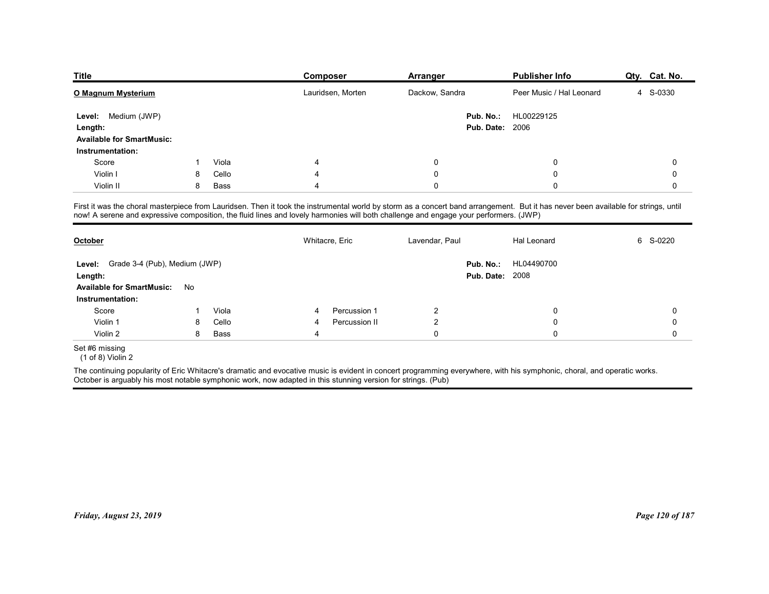| <b>Title</b>                                                                                                                         |   |       | Composer       |                   | Arranger       |                        | <b>Publisher Info</b>                                                                                                                                                              | Qty. Cat. No. |
|--------------------------------------------------------------------------------------------------------------------------------------|---|-------|----------------|-------------------|----------------|------------------------|------------------------------------------------------------------------------------------------------------------------------------------------------------------------------------|---------------|
| O Magnum Mysterium                                                                                                                   |   |       |                | Lauridsen, Morten | Dackow, Sandra |                        | Peer Music / Hal Leonard                                                                                                                                                           | 4 S-0330      |
| Level: Medium (JWP)                                                                                                                  |   |       |                |                   |                | Pub. No.:              | HL00229125                                                                                                                                                                         |               |
| Length:                                                                                                                              |   |       |                |                   |                | <b>Pub. Date: 2006</b> |                                                                                                                                                                                    |               |
| <b>Available for SmartMusic:</b>                                                                                                     |   |       |                |                   |                |                        |                                                                                                                                                                                    |               |
| Instrumentation:                                                                                                                     |   |       |                |                   |                |                        |                                                                                                                                                                                    |               |
| Score                                                                                                                                |   | Viola | 4              |                   | 0              |                        | 0                                                                                                                                                                                  | 0             |
| Violin I                                                                                                                             | 8 | Cello |                |                   | 0              |                        | $\Omega$                                                                                                                                                                           | 0             |
| Violin II                                                                                                                            | 8 | Bass  |                |                   | 0              |                        | $\Omega$                                                                                                                                                                           | 0             |
| now! A serene and expressive composition, the fluid lines and lovely harmonies will both challenge and engage your performers. (JWP) |   |       |                |                   |                |                        | First it was the choral masterpiece from Lauridsen. Then it took the instrumental world by storm as a concert band arrangement. But it has never been available for strings, until |               |
| October                                                                                                                              |   |       | Whitacre, Eric |                   | Lavendar, Paul |                        | Hal Leonard                                                                                                                                                                        | 6<br>S-0220   |
|                                                                                                                                      |   |       |                |                   |                | Pub. No.:              | HL04490700                                                                                                                                                                         |               |
|                                                                                                                                      |   |       |                |                   |                | <b>Pub. Date: 2008</b> |                                                                                                                                                                                    |               |
| Level: Grade 3-4 (Pub), Medium (JWP)<br>Length:                                                                                      |   |       |                |                   |                |                        |                                                                                                                                                                                    |               |
| Available for SmartMusic: No                                                                                                         |   |       |                |                   |                |                        |                                                                                                                                                                                    |               |
| Instrumentation:                                                                                                                     |   |       |                |                   |                |                        | 0                                                                                                                                                                                  | $\mathbf 0$   |
| Score                                                                                                                                |   | Viola |                | Percussion 1      | $\overline{a}$ |                        |                                                                                                                                                                                    |               |
| Violin 1                                                                                                                             | 8 | Cello |                | Percussion II     | $\overline{2}$ |                        | 0                                                                                                                                                                                  | 0             |
| Violin 2                                                                                                                             | 8 | Bass  | 4              |                   | $\mathbf 0$    |                        | $\pmb{0}$                                                                                                                                                                          | 0             |
| Set #6 missing<br>$(1 of 8)$ Violin 2                                                                                                |   |       |                |                   |                |                        |                                                                                                                                                                                    |               |

|                                                                                                              |    |       | Whitacre, Eric |               | Lavendar, Paul | Hal Leonard                                                                                                                                                             | 6 S-0220        |
|--------------------------------------------------------------------------------------------------------------|----|-------|----------------|---------------|----------------|-------------------------------------------------------------------------------------------------------------------------------------------------------------------------|-----------------|
| Grade 3-4 (Pub), Medium (JWP)<br>Level:<br>Length:<br><b>Available for SmartMusic:</b>                       |    |       |                |               |                | HL04490700<br>Pub. No.:<br><b>Pub. Date: 2008</b>                                                                                                                       |                 |
| Instrumentation:                                                                                             | No |       |                |               |                |                                                                                                                                                                         |                 |
| Score                                                                                                        |    | Viola | 4              | Percussion 1  | $\overline{2}$ | 0                                                                                                                                                                       | 0               |
| Violin 1                                                                                                     | 8  | Cello | 4              | Percussion II | $\overline{2}$ | 0                                                                                                                                                                       | 0               |
| Violin 2                                                                                                     | 8  | Bass  | 4              |               | $\mathbf 0$    | 0                                                                                                                                                                       | $\mathbf 0$     |
| Set #6 missing<br>$(1 of 8)$ Violin 2                                                                        |    |       |                |               |                |                                                                                                                                                                         |                 |
|                                                                                                              |    |       |                |               |                | The continuing popularity of Eric Whitacre's dramatic and evocative music is evident in concert programming everywhere, with his symphonic, choral, and operatic works. |                 |
| October is arguably his most notable symphonic work, now adapted in this stunning version for strings. (Pub) |    |       |                |               |                |                                                                                                                                                                         |                 |
|                                                                                                              |    |       |                |               |                |                                                                                                                                                                         |                 |
|                                                                                                              |    |       |                |               |                |                                                                                                                                                                         |                 |
| Friday, August 23, 2019                                                                                      |    |       |                |               |                |                                                                                                                                                                         | Page 120 of 187 |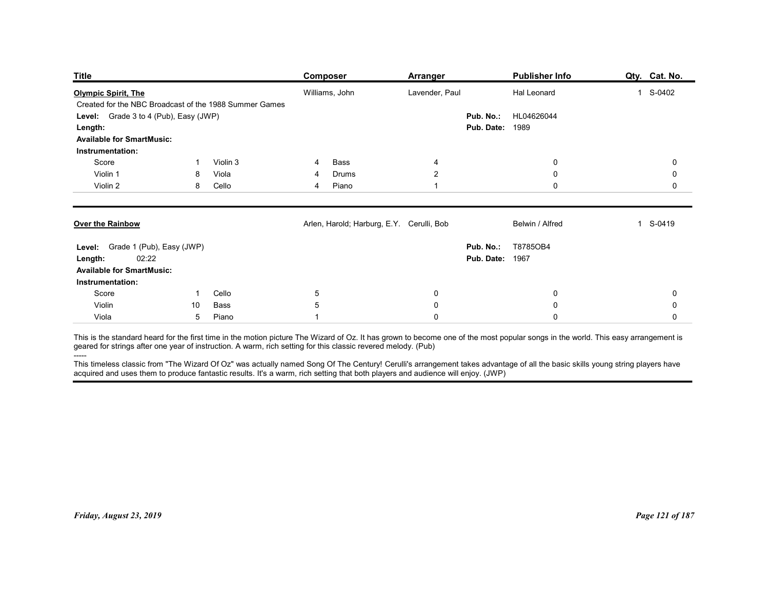| <b>Title</b>                                                                                                                                                                                                                                                                                                                                                                                                                                                                                                                                                |                  |                | <b>Composer</b>                           | <b>Arranger</b>          |                                              | <b>Publisher Info</b>      | Qty. Cat. No. |
|-------------------------------------------------------------------------------------------------------------------------------------------------------------------------------------------------------------------------------------------------------------------------------------------------------------------------------------------------------------------------------------------------------------------------------------------------------------------------------------------------------------------------------------------------------------|------------------|----------------|-------------------------------------------|--------------------------|----------------------------------------------|----------------------------|---------------|
| <b>Olympic Spirit, The</b>                                                                                                                                                                                                                                                                                                                                                                                                                                                                                                                                  |                  |                | Williams, John                            | Lavender, Paul           |                                              | Hal Leonard                | 1 S-0402      |
| Created for the NBC Broadcast of the 1988 Summer Games<br>Level: Grade 3 to 4 (Pub), Easy (JWP)<br>Length:<br><b>Available for SmartMusic:</b>                                                                                                                                                                                                                                                                                                                                                                                                              |                  |                |                                           |                          | Pub. No.:<br><b>Pub. Date: 1989</b>          | HL04626044                 |               |
| Instrumentation:                                                                                                                                                                                                                                                                                                                                                                                                                                                                                                                                            |                  |                |                                           |                          |                                              |                            |               |
| Score                                                                                                                                                                                                                                                                                                                                                                                                                                                                                                                                                       |                  | Violin 3       | Bass<br>4                                 | $\overline{4}$           |                                              | 0                          | 0             |
| Violin 1<br>Violin 2                                                                                                                                                                                                                                                                                                                                                                                                                                                                                                                                        | 8<br>8           | Viola<br>Cello | Drums<br>4<br>Piano<br>4                  | $\overline{2}$<br>1      |                                              | 0<br>$\mathbf 0$           | 0<br>0        |
| Over the Rainbow                                                                                                                                                                                                                                                                                                                                                                                                                                                                                                                                            |                  |                | Arlen, Harold; Harburg, E.Y. Cerulli, Bob |                          |                                              | Belwin / Alfred            | 1 S-0419      |
| Level: Grade 1 (Pub), Easy (JWP)<br>02:22<br>Length:<br><b>Available for SmartMusic:</b><br>Instrumentation:                                                                                                                                                                                                                                                                                                                                                                                                                                                |                  |                |                                           |                          | Pub. No.: T8785OB4<br><b>Pub. Date: 1967</b> |                            |               |
| Score                                                                                                                                                                                                                                                                                                                                                                                                                                                                                                                                                       | $\overline{1}$   | Cello          | $\overline{5}$                            | $\bf{0}$                 |                                              | $\mathbf 0$                | 0             |
| Violin<br>Viola                                                                                                                                                                                                                                                                                                                                                                                                                                                                                                                                             | 10<br>$\sqrt{5}$ | Bass<br>Piano  | $5\,$<br>1                                | $\mathbf 0$<br>$\pmb{0}$ |                                              | $\mathbf 0$<br>$\mathbf 0$ | 0<br>0        |
| This is the standard heard for the first time in the motion picture The Wizard of Oz. It has grown to become one of the most popular songs in the world. This easy arrangement is geared for strings after one year of instruc<br>-----<br>This timeless classic from "The Wizard Of Oz" was actually named Song Of The Century! Cerulli's arrangement takes advantage of all the basic skills young string players have<br>acquired and uses them to produce fantastic results. It's a warm, rich setting that both players and audience will enjoy. (JWP) |                  |                |                                           |                          |                                              |                            |               |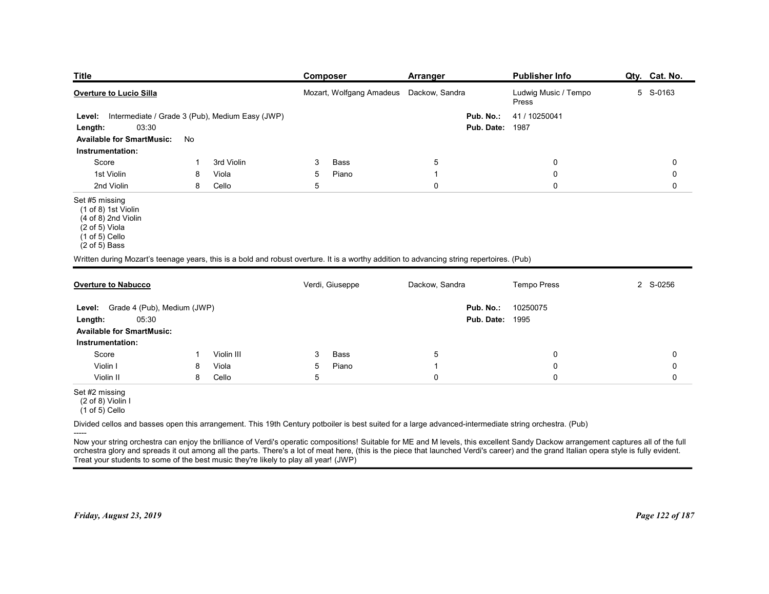| <b>Title</b>                                                                                                                                          |        |                                                 |                 | <b>Composer</b>                         | <b>Arranger</b>   |                        | <b>Publisher Info</b>         | Qty. Cat. No. |
|-------------------------------------------------------------------------------------------------------------------------------------------------------|--------|-------------------------------------------------|-----------------|-----------------------------------------|-------------------|------------------------|-------------------------------|---------------|
| Overture to Lucio Silla                                                                                                                               |        |                                                 |                 | Mozart, Wolfgang Amadeus Dackow, Sandra |                   |                        | Ludwig Music / Tempo<br>Press | 5 S-0163      |
| Level:                                                                                                                                                |        | Intermediate / Grade 3 (Pub), Medium Easy (JWP) |                 |                                         |                   | Pub. No.:              | 41 / 10250041                 |               |
| 03:30<br>Length:                                                                                                                                      |        |                                                 |                 |                                         |                   | <b>Pub. Date: 1987</b> |                               |               |
| <b>Available for SmartMusic:</b><br>Instrumentation:                                                                                                  | No     |                                                 |                 |                                         |                   |                        |                               |               |
| Score                                                                                                                                                 |        | 3rd Violin                                      | 3               | Bass                                    | $\sqrt{5}$        |                        | 0                             | 0             |
| 1st Violin<br>2nd Violin                                                                                                                              | 8<br>8 | Viola<br>Cello                                  | 5<br>5          | Piano                                   | -1<br>$\mathbf 0$ |                        | 0<br>$\mathbf 0$              | 0<br>0        |
| Set #5 missing<br>(1 of 8) 1st Violin<br>(4 of 8) 2nd Violin<br>(2 of 5) Viola<br>$(1 of 5)$ Cello<br>$(2 of 5)$ Bass                                 |        |                                                 |                 |                                         |                   |                        |                               |               |
| Written during Mozart's teenage years, this is a bold and robust overture. It is a worthy addition to advancing string repertoires. (Pub)             |        |                                                 |                 |                                         |                   |                        |                               |               |
| <b>Overture to Nabucco</b>                                                                                                                            |        |                                                 |                 | Verdi, Giuseppe                         | Dackow, Sandra    |                        | <b>Tempo Press</b>            | 2 S-0256      |
| Level: Grade 4 (Pub), Medium (JWP)                                                                                                                    |        |                                                 |                 |                                         |                   | Pub. No.:              | 10250075                      |               |
| 05:30<br>Length:                                                                                                                                      |        |                                                 |                 |                                         |                   | <b>Pub. Date: 1995</b> |                               |               |
| <b>Available for SmartMusic:</b>                                                                                                                      |        |                                                 |                 |                                         |                   |                        |                               |               |
| Instrumentation:<br>Score                                                                                                                             | -1     | Violin III                                      | 3               | Bass                                    | $\overline{5}$    |                        | 0                             | 0             |
| Violin I                                                                                                                                              | 8      | Viola                                           | $5\phantom{.0}$ | Piano                                   | -1                |                        | 0                             | 0             |
| Violin II                                                                                                                                             | 8      | Cello                                           | $5\,$           |                                         | $\pmb{0}$         |                        | 0                             | $\mathbf 0$   |
| Set #2 missing<br>(2 of 8) Violin I<br>$(1 \text{ of } 5)$ Cello                                                                                      |        |                                                 |                 |                                         |                   |                        |                               |               |
|                                                                                                                                                       |        |                                                 |                 |                                         |                   |                        |                               |               |
| Divided cellos and basses open this arrangement. This 19th Century potboiler is best suited for a large advanced-intermediate string orchestra. (Pub) |        |                                                 |                 |                                         |                   |                        |                               |               |

| Overture to Nabucco                                                                           |   |            | Verdi, Giuseppe | Dackow, Sandra                                                                                                                                                                                                                                                                                                                                                                  | <b>Tempo Press</b>     | 2 S-0256        |
|-----------------------------------------------------------------------------------------------|---|------------|-----------------|---------------------------------------------------------------------------------------------------------------------------------------------------------------------------------------------------------------------------------------------------------------------------------------------------------------------------------------------------------------------------------|------------------------|-----------------|
| Grade 4 (Pub), Medium (JWP)<br>Level:                                                         |   |            |                 | Pub. No.:                                                                                                                                                                                                                                                                                                                                                                       | 10250075               |                 |
| 05:30<br>Length:                                                                              |   |            |                 |                                                                                                                                                                                                                                                                                                                                                                                 | <b>Pub. Date: 1995</b> |                 |
| <b>Available for SmartMusic:</b>                                                              |   |            |                 |                                                                                                                                                                                                                                                                                                                                                                                 |                        |                 |
| Instrumentation:                                                                              |   |            |                 |                                                                                                                                                                                                                                                                                                                                                                                 |                        |                 |
| Score                                                                                         |   | Violin III | Bass<br>3       | 5                                                                                                                                                                                                                                                                                                                                                                               |                        |                 |
| Violin I                                                                                      |   | Viola      | Piano<br>5      |                                                                                                                                                                                                                                                                                                                                                                                 |                        |                 |
| Violin II                                                                                     | 8 | Cello      | 5               |                                                                                                                                                                                                                                                                                                                                                                                 |                        |                 |
| Set #2 missing<br>(2 of 8) Violin I<br>$(1 of 5)$ Cello                                       |   |            |                 |                                                                                                                                                                                                                                                                                                                                                                                 |                        |                 |
|                                                                                               |   |            |                 | Divided cellos and basses open this arrangement. This 19th Century potboiler is best suited for a large advanced-intermediate string orchestra. (Pub)                                                                                                                                                                                                                           |                        |                 |
| -----<br>Treat your students to some of the best music they're likely to play all year! (JWP) |   |            |                 | Now your string orchestra can enjoy the brilliance of Verdi's operatic compositions! Suitable for ME and M levels, this excellent Sandy Dackow arrangement captures all of the full<br>orchestra glory and spreads it out among all the parts. There's a lot of meat here, (this is the piece that launched Verdi's career) and the grand Italian opera style is fully evident. |                        |                 |
| Friday, August 23, 2019                                                                       |   |            |                 |                                                                                                                                                                                                                                                                                                                                                                                 |                        | Page 122 of 187 |
|                                                                                               |   |            |                 |                                                                                                                                                                                                                                                                                                                                                                                 |                        |                 |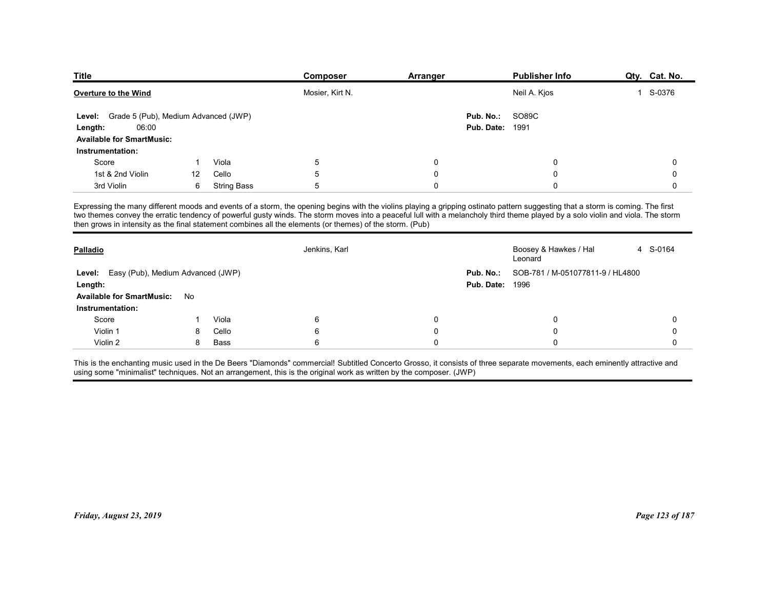| <b>Title</b>                                   |        |                    | Composer                                                                                                 |                  | Publisher Info                                                                                                                                                                  |                        |
|------------------------------------------------|--------|--------------------|----------------------------------------------------------------------------------------------------------|------------------|---------------------------------------------------------------------------------------------------------------------------------------------------------------------------------|------------------------|
|                                                |        |                    |                                                                                                          | Arranger         |                                                                                                                                                                                 | Qty. Cat. No.          |
| Overture to the Wind                           |        |                    | Mosier, Kirt N.                                                                                          |                  | Neil A. Kjos                                                                                                                                                                    | S-0376<br>$\mathbf{1}$ |
| Grade 5 (Pub), Medium Advanced (JWP)<br>Level: |        |                    |                                                                                                          | Pub. No.:        | SO89C                                                                                                                                                                           |                        |
| 06:00<br>Length:                               |        |                    |                                                                                                          | Pub. Date:       | 1991                                                                                                                                                                            |                        |
| <b>Available for SmartMusic:</b>               |        |                    |                                                                                                          |                  |                                                                                                                                                                                 |                        |
| Instrumentation:                               |        |                    |                                                                                                          |                  |                                                                                                                                                                                 |                        |
| Score                                          | -1     | Viola              | 5                                                                                                        | 0                | $\Omega$                                                                                                                                                                        | 0                      |
| 1st & 2nd Violin                               | 12     | Cello              | 5                                                                                                        | $\Omega$         | $\Omega$                                                                                                                                                                        | 0                      |
| 3rd Violin                                     | 6      | <b>String Bass</b> | 5                                                                                                        | $\Omega$         | $\Omega$                                                                                                                                                                        | 0                      |
|                                                |        |                    |                                                                                                          |                  | Expressing the many different moods and events of a storm, the opening begins with the violins playing a gripping ostinato pattern suggesting that a storm is coming. The first |                        |
|                                                |        |                    | then grows in intensity as the final statement combines all the elements (or themes) of the storm. (Pub) |                  | two themes convey the erratic tendency of powerful gusty winds. The storm moves into a peaceful lull with a melancholy third theme played by a solo violin and viola. The storm |                        |
|                                                |        |                    |                                                                                                          |                  |                                                                                                                                                                                 |                        |
| Palladio                                       |        |                    | Jenkins, Karl                                                                                            |                  | Boosey & Hawkes / Hal<br>Leonard                                                                                                                                                | 4 S-0164               |
| Level: Easy (Pub), Medium Advanced (JWP)       |        |                    |                                                                                                          | Pub. No.:        | SOB-781 / M-051077811-9 / HL4800                                                                                                                                                |                        |
|                                                |        |                    |                                                                                                          |                  | <b>Pub. Date: 1996</b>                                                                                                                                                          |                        |
| Length:                                        | No     |                    |                                                                                                          |                  |                                                                                                                                                                                 |                        |
| <b>Available for SmartMusic:</b>               |        |                    |                                                                                                          |                  |                                                                                                                                                                                 |                        |
| Instrumentation:                               |        |                    | 6                                                                                                        | 0                | 0                                                                                                                                                                               | 0                      |
| Score                                          | -1     | Viola              |                                                                                                          |                  | 0                                                                                                                                                                               | 0                      |
| Violin 1<br>Violin 2                           | 8<br>8 | Cello<br>Bass      | 6<br>6                                                                                                   | 0<br>$\mathbf 0$ | $\Omega$                                                                                                                                                                        | 0                      |

| Grade 5 (Pub), Medium Advanced (JWP)<br>Level:<br>06:00<br>Length: |              |                    |                                                                                                                     |              |                                                                                                                                                                                                                                                                                                                                                                    |             |
|--------------------------------------------------------------------|--------------|--------------------|---------------------------------------------------------------------------------------------------------------------|--------------|--------------------------------------------------------------------------------------------------------------------------------------------------------------------------------------------------------------------------------------------------------------------------------------------------------------------------------------------------------------------|-------------|
| <b>Available for SmartMusic:</b>                                   |              |                    |                                                                                                                     |              | SO89C<br>Pub. No.:<br><b>Pub. Date: 1991</b>                                                                                                                                                                                                                                                                                                                       |             |
| Instrumentation:<br>Score                                          | $\mathbf{1}$ | Viola              | 5                                                                                                                   | $\mathbf 0$  | 0                                                                                                                                                                                                                                                                                                                                                                  | 0           |
| 1st & 2nd Violin                                                   | 12           | Cello              | 5                                                                                                                   | $\Omega$     | 0                                                                                                                                                                                                                                                                                                                                                                  | 0           |
| 3rd Violin                                                         | 6            | <b>String Bass</b> | 5                                                                                                                   | $\Omega$     | $\mathbf 0$                                                                                                                                                                                                                                                                                                                                                        | $\mathbf 0$ |
|                                                                    |              |                    |                                                                                                                     |              |                                                                                                                                                                                                                                                                                                                                                                    |             |
|                                                                    |              |                    | then grows in intensity as the final statement combines all the elements (or themes) of the storm. (Pub)            |              | Expressing the many different moods and events of a storm, the opening begins with the violins playing a gripping ostinato pattern suggesting that a storm is coming. The first<br>two themes convey the erratic tendency of powerful gusty winds. The storm moves into a peaceful lull with a melancholy third theme played by a solo violin and viola. The storm |             |
| Palladio                                                           |              |                    | Jenkins, Karl                                                                                                       |              | Boosey & Hawkes / Hal<br>Leonard                                                                                                                                                                                                                                                                                                                                   | 4 S-0164    |
| Level: Easy (Pub), Medium Advanced (JWP)                           |              |                    |                                                                                                                     |              | Pub. No.:<br>SOB-781 / M-051077811-9 / HL4800                                                                                                                                                                                                                                                                                                                      |             |
| Length:                                                            |              |                    |                                                                                                                     |              | <b>Pub. Date: 1996</b>                                                                                                                                                                                                                                                                                                                                             |             |
| <b>Available for SmartMusic:</b>                                   | No           |                    |                                                                                                                     |              |                                                                                                                                                                                                                                                                                                                                                                    |             |
| Instrumentation:                                                   |              |                    |                                                                                                                     |              |                                                                                                                                                                                                                                                                                                                                                                    |             |
| Score                                                              | -1           | Viola              | $\,6\,$                                                                                                             | $\mathbf 0$  | $\mathbf 0$                                                                                                                                                                                                                                                                                                                                                        | 0           |
| Violin 1                                                           | 8            | Cello              | $6\phantom{1}6$                                                                                                     | $\mathbf 0$  | $\mathbf 0$                                                                                                                                                                                                                                                                                                                                                        | $\mathbf 0$ |
| Violin 2                                                           | 8            | Bass               | $\,6\,$                                                                                                             | $\mathbf{0}$ | 0                                                                                                                                                                                                                                                                                                                                                                  | 0           |
|                                                                    |              |                    |                                                                                                                     |              | This is the enchanting music used in the De Beers "Diamonds" commercial! Subtitled Concerto Grosso, it consists of three separate movements, each eminently attractive and                                                                                                                                                                                         |             |
|                                                                    |              |                    | using some "minimalist" techniques. Not an arrangement, this is the original work as written by the composer. (JWP) |              |                                                                                                                                                                                                                                                                                                                                                                    |             |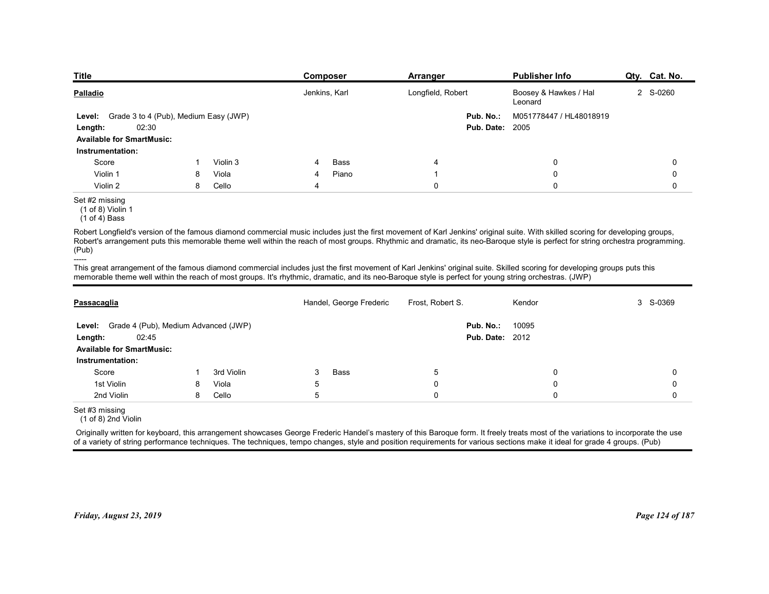| <b>Title</b>                                                                                            |   |          | <b>Composer</b>                                                                                                                                                                                                                                                                                                                                                   | <b>Arranger</b>   |                                     | Publisher Info                   | Qty. Cat. No. |
|---------------------------------------------------------------------------------------------------------|---|----------|-------------------------------------------------------------------------------------------------------------------------------------------------------------------------------------------------------------------------------------------------------------------------------------------------------------------------------------------------------------------|-------------------|-------------------------------------|----------------------------------|---------------|
| <b>Palladio</b>                                                                                         |   |          | Jenkins, Karl                                                                                                                                                                                                                                                                                                                                                     | Longfield, Robert |                                     | Boosey & Hawkes / Hal<br>Leonard | 2 S-0260      |
| Grade 3 to 4 (Pub), Medium Easy (JWP)<br>Level:<br>02:30<br>Length:<br><b>Available for SmartMusic:</b> |   |          |                                                                                                                                                                                                                                                                                                                                                                   |                   | Pub. No.:<br><b>Pub. Date: 2005</b> | M051778447 / HL48018919          |               |
| Instrumentation:                                                                                        |   |          |                                                                                                                                                                                                                                                                                                                                                                   |                   |                                     |                                  |               |
| Score                                                                                                   |   | Violin 3 | Bass                                                                                                                                                                                                                                                                                                                                                              | 4                 |                                     | 0                                | 0             |
| Violin 1                                                                                                | 8 | Viola    | Piano<br>4                                                                                                                                                                                                                                                                                                                                                        | $\overline{1}$    |                                     | 0                                | 0             |
| Violin 2                                                                                                | 8 | Cello    | 4                                                                                                                                                                                                                                                                                                                                                                 | $\mathbf 0$       |                                     | $\mathbf 0$                      | 0             |
| Set #2 missing<br>(1 of 8) Violin 1<br>$(1 of 4)$ Bass                                                  |   |          |                                                                                                                                                                                                                                                                                                                                                                   |                   |                                     |                                  |               |
| (Pub)                                                                                                   |   |          | Robert Longfield's version of the famous diamond commercial music includes just the first movement of Karl Jenkins' original suite. With skilled scoring for developing groups,<br>Robert's arrangement puts this memorable theme well within the reach of most groups. Rhythmic and dramatic, its neo-Baroque style is perfect for string orchestra programming. |                   |                                     |                                  |               |
| -----                                                                                                   |   |          | This great arrangement of the famous diamond commercial includes just the first movement of Karl Jenkins' original suite. Skilled scoring for developing groups puts this                                                                                                                                                                                         |                   |                                     |                                  |               |
|                                                                                                         |   |          | memorable theme well within the reach of most groups. It's rhythmic, dramatic, and its neo-Baroque style is perfect for young string orchestras. (JWP)                                                                                                                                                                                                            |                   |                                     |                                  |               |
|                                                                                                         |   |          |                                                                                                                                                                                                                                                                                                                                                                   |                   |                                     |                                  |               |
| Passacaglia                                                                                             |   |          | Handel, George Frederic                                                                                                                                                                                                                                                                                                                                           | Frost, Robert S.  |                                     | Kendor                           | 3 S-0369      |
|                                                                                                         |   |          |                                                                                                                                                                                                                                                                                                                                                                   |                   | Pub. No.:                           | 10095                            |               |
| Level: Grade 4 (Pub), Medium Advanced (JWP)                                                             |   |          |                                                                                                                                                                                                                                                                                                                                                                   |                   | <b>Pub. Date: 2012</b>              |                                  |               |
| 02:45<br>Length:                                                                                        |   |          |                                                                                                                                                                                                                                                                                                                                                                   |                   |                                     |                                  |               |
| <b>Available for SmartMusic:</b>                                                                        |   |          |                                                                                                                                                                                                                                                                                                                                                                   |                   |                                     |                                  |               |

| Create $\sigma$ to $\tau$ (r ap), ividentificately (by $\tau$ ) |                                                                                                                                                                |                                                                                                |                              |                              |                                                                                                                                                                                                                                                                                                                                                                                                                                                                                                                                                                                                                                                                                                                                                                                                                                                                                                                                                                                                                                                                                                                                                                       |
|-----------------------------------------------------------------|----------------------------------------------------------------------------------------------------------------------------------------------------------------|------------------------------------------------------------------------------------------------|------------------------------|------------------------------|-----------------------------------------------------------------------------------------------------------------------------------------------------------------------------------------------------------------------------------------------------------------------------------------------------------------------------------------------------------------------------------------------------------------------------------------------------------------------------------------------------------------------------------------------------------------------------------------------------------------------------------------------------------------------------------------------------------------------------------------------------------------------------------------------------------------------------------------------------------------------------------------------------------------------------------------------------------------------------------------------------------------------------------------------------------------------------------------------------------------------------------------------------------------------|
| 02:30                                                           |                                                                                                                                                                |                                                                                                |                              |                              |                                                                                                                                                                                                                                                                                                                                                                                                                                                                                                                                                                                                                                                                                                                                                                                                                                                                                                                                                                                                                                                                                                                                                                       |
|                                                                 |                                                                                                                                                                |                                                                                                |                              |                              |                                                                                                                                                                                                                                                                                                                                                                                                                                                                                                                                                                                                                                                                                                                                                                                                                                                                                                                                                                                                                                                                                                                                                                       |
|                                                                 |                                                                                                                                                                |                                                                                                |                              |                              |                                                                                                                                                                                                                                                                                                                                                                                                                                                                                                                                                                                                                                                                                                                                                                                                                                                                                                                                                                                                                                                                                                                                                                       |
|                                                                 | Violin 3                                                                                                                                                       | Bass<br>4                                                                                      | 4                            | 0                            | 0                                                                                                                                                                                                                                                                                                                                                                                                                                                                                                                                                                                                                                                                                                                                                                                                                                                                                                                                                                                                                                                                                                                                                                     |
|                                                                 | Viola                                                                                                                                                          |                                                                                                | -1                           | $\mathbf 0$                  | 0                                                                                                                                                                                                                                                                                                                                                                                                                                                                                                                                                                                                                                                                                                                                                                                                                                                                                                                                                                                                                                                                                                                                                                     |
|                                                                 | Cello                                                                                                                                                          | $\overline{4}$                                                                                 | $\mathbf 0$                  | $\mathbf 0$                  | $\mathbf 0$                                                                                                                                                                                                                                                                                                                                                                                                                                                                                                                                                                                                                                                                                                                                                                                                                                                                                                                                                                                                                                                                                                                                                           |
|                                                                 |                                                                                                                                                                |                                                                                                |                              |                              |                                                                                                                                                                                                                                                                                                                                                                                                                                                                                                                                                                                                                                                                                                                                                                                                                                                                                                                                                                                                                                                                                                                                                                       |
|                                                                 |                                                                                                                                                                |                                                                                                |                              |                              |                                                                                                                                                                                                                                                                                                                                                                                                                                                                                                                                                                                                                                                                                                                                                                                                                                                                                                                                                                                                                                                                                                                                                                       |
|                                                                 |                                                                                                                                                                |                                                                                                |                              |                              |                                                                                                                                                                                                                                                                                                                                                                                                                                                                                                                                                                                                                                                                                                                                                                                                                                                                                                                                                                                                                                                                                                                                                                       |
|                                                                 |                                                                                                                                                                | Handel, George Frederic                                                                        | Frost, Robert S.             | Kendor                       | 3 S-0369                                                                                                                                                                                                                                                                                                                                                                                                                                                                                                                                                                                                                                                                                                                                                                                                                                                                                                                                                                                                                                                                                                                                                              |
| 02:45                                                           |                                                                                                                                                                |                                                                                                |                              | 10095                        |                                                                                                                                                                                                                                                                                                                                                                                                                                                                                                                                                                                                                                                                                                                                                                                                                                                                                                                                                                                                                                                                                                                                                                       |
|                                                                 |                                                                                                                                                                |                                                                                                |                              |                              |                                                                                                                                                                                                                                                                                                                                                                                                                                                                                                                                                                                                                                                                                                                                                                                                                                                                                                                                                                                                                                                                                                                                                                       |
|                                                                 |                                                                                                                                                                |                                                                                                |                              |                              | 0                                                                                                                                                                                                                                                                                                                                                                                                                                                                                                                                                                                                                                                                                                                                                                                                                                                                                                                                                                                                                                                                                                                                                                     |
|                                                                 |                                                                                                                                                                |                                                                                                |                              |                              | 0                                                                                                                                                                                                                                                                                                                                                                                                                                                                                                                                                                                                                                                                                                                                                                                                                                                                                                                                                                                                                                                                                                                                                                     |
|                                                                 |                                                                                                                                                                |                                                                                                |                              |                              | $\mathbf 0$                                                                                                                                                                                                                                                                                                                                                                                                                                                                                                                                                                                                                                                                                                                                                                                                                                                                                                                                                                                                                                                                                                                                                           |
|                                                                 |                                                                                                                                                                |                                                                                                |                              |                              |                                                                                                                                                                                                                                                                                                                                                                                                                                                                                                                                                                                                                                                                                                                                                                                                                                                                                                                                                                                                                                                                                                                                                                       |
|                                                                 |                                                                                                                                                                |                                                                                                |                              |                              |                                                                                                                                                                                                                                                                                                                                                                                                                                                                                                                                                                                                                                                                                                                                                                                                                                                                                                                                                                                                                                                                                                                                                                       |
|                                                                 |                                                                                                                                                                |                                                                                                |                              |                              | Page 124 of 187                                                                                                                                                                                                                                                                                                                                                                                                                                                                                                                                                                                                                                                                                                                                                                                                                                                                                                                                                                                                                                                                                                                                                       |
| (1 of 8) Violin 1                                               | <b>Available for SmartMusic:</b><br>Instrumentation:<br><b>Available for SmartMusic:</b><br>Instrumentation:<br>(1 of 8) 2nd Violin<br>Friday, August 23, 2019 | -1<br>8<br>8<br>Grade 4 (Pub), Medium Advanced (JWP)<br>3rd Violin<br>Viola<br>8<br>Cello<br>8 | Piano<br>Bass<br>3<br>5<br>5 | 5<br>$\Omega$<br>$\mathbf 0$ | <b>Pub. Date: 2005</b><br>Robert Longfield's version of the famous diamond commercial music includes just the first movement of Karl Jenkins' original suite. With skilled scoring for developing groups,<br>Robert's arrangement puts this memorable theme well within the reach of most groups. Rhythmic and dramatic, its neo-Baroque style is perfect for string orchestra programming.<br>This great arrangement of the famous diamond commercial includes just the first movement of Karl Jenkins' original suite. Skilled scoring for developing groups puts this<br>memorable theme well within the reach of most groups. It's rhythmic, dramatic, and its neo-Baroque style is perfect for young string orchestras. (JWP)<br>Pub. No.:<br><b>Pub. Date: 2012</b><br>0<br>0<br>$\mathbf 0$<br>Originally written for keyboard, this arrangement showcases George Frederic Handel's mastery of this Baroque form. It freely treats most of the variations to incorporate the use<br>of a variety of string performance techniques. The techniques, tempo changes, style and position requirements for various sections make it ideal for grade 4 groups. (Pub) |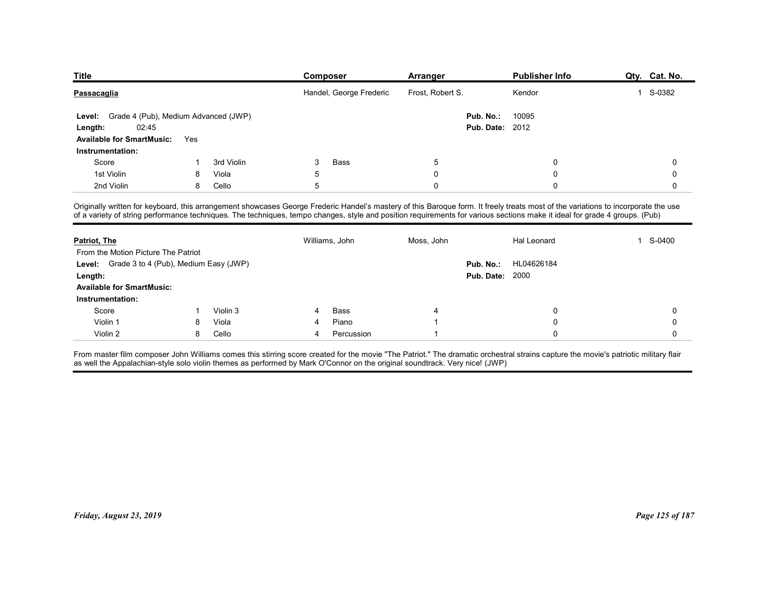| <b>Title</b>                                                                                                                                                                                                                                                                                                                                                    |        |                |   | Composer                | Arranger         |                        | <b>Publisher Info</b> | Qty. Cat. No.            |
|-----------------------------------------------------------------------------------------------------------------------------------------------------------------------------------------------------------------------------------------------------------------------------------------------------------------------------------------------------------------|--------|----------------|---|-------------------------|------------------|------------------------|-----------------------|--------------------------|
| Passacaglia                                                                                                                                                                                                                                                                                                                                                     |        |                |   | Handel, George Frederic | Frost, Robert S. |                        | Kendor                | S-0382<br>$\overline{1}$ |
| Grade 4 (Pub), Medium Advanced (JWP)                                                                                                                                                                                                                                                                                                                            |        |                |   |                         |                  | Pub. No.:              | 10095                 |                          |
| <b>Level:</b><br>02:45<br>Length:                                                                                                                                                                                                                                                                                                                               |        |                |   |                         |                  | <b>Pub. Date: 2012</b> |                       |                          |
| <b>Available for SmartMusic:</b>                                                                                                                                                                                                                                                                                                                                | Yes    |                |   |                         |                  |                        |                       |                          |
| Instrumentation:                                                                                                                                                                                                                                                                                                                                                |        |                |   |                         |                  |                        |                       |                          |
| Score                                                                                                                                                                                                                                                                                                                                                           |        | 3rd Violin     | 3 | Bass                    | 5                |                        | $\Omega$              |                          |
| 1st Violin                                                                                                                                                                                                                                                                                                                                                      | 8      | Viola          | 5 |                         | $\mathbf 0$      |                        | $\Omega$              |                          |
| 2nd Violin                                                                                                                                                                                                                                                                                                                                                      | 8      | Cello          | 5 |                         | $\mathbf 0$      |                        | $\mathbf 0$           |                          |
| Originally written for keyboard, this arrangement showcases George Frederic Handel's mastery of this Baroque form. It freely treats most of the variations to incorporate the use<br>of a variety of string performance techniques. The techniques, tempo changes, style and position requirements for various sections make it ideal for grade 4 groups. (Pub) |        |                |   |                         |                  |                        |                       |                          |
| Patriot, The                                                                                                                                                                                                                                                                                                                                                    |        |                |   | Williams, John          | Moss, John       |                        | Hal Leonard           | S-0400<br>1              |
| From the Motion Picture The Patriot                                                                                                                                                                                                                                                                                                                             |        |                |   |                         |                  |                        |                       |                          |
| Level: Grade 3 to 4 (Pub), Medium Easy (JWP)                                                                                                                                                                                                                                                                                                                    |        |                |   |                         |                  |                        | Pub. No.: HL04626184  |                          |
| Length:                                                                                                                                                                                                                                                                                                                                                         |        |                |   |                         |                  | <b>Pub. Date: 2000</b> |                       |                          |
|                                                                                                                                                                                                                                                                                                                                                                 |        |                |   |                         |                  |                        |                       |                          |
| <b>Available for SmartMusic:</b>                                                                                                                                                                                                                                                                                                                                |        |                |   |                         |                  |                        |                       |                          |
| Instrumentation:                                                                                                                                                                                                                                                                                                                                                |        |                | 4 | Bass                    |                  |                        | 0                     |                          |
| Score                                                                                                                                                                                                                                                                                                                                                           | -1     | Violin 3       |   |                         |                  |                        |                       |                          |
| Violin 1<br>Violin 2                                                                                                                                                                                                                                                                                                                                            | 8<br>8 | Viola<br>Cello | 4 | Piano<br>Percussion     |                  |                        |                       |                          |

| <b>Patriot, The</b><br>From the Motion Picture The Patriot |   |          |   | Williams, John | Moss, John | <b>Hal Leonard</b>      | 1 S-0400        |
|------------------------------------------------------------|---|----------|---|----------------|------------|-------------------------|-----------------|
| Level: Grade 3 to 4 (Pub), Medium Easy (JWP)               |   |          |   |                |            | HL04626184<br>Pub. No.: |                 |
| Length:                                                    |   |          |   |                |            | <b>Pub. Date: 2000</b>  |                 |
| <b>Available for SmartMusic:</b>                           |   |          |   |                |            |                         |                 |
| Instrumentation:                                           |   |          |   |                |            |                         |                 |
| Score                                                      |   | Violin 3 |   | Bass           |            | 0                       | 0               |
| Violin 1                                                   | 8 | Viola    |   | Piano          |            |                         |                 |
| Violin 2                                                   | 8 | Cello    | 4 | Percussion     |            | 0                       | $\Omega$        |
|                                                            |   |          |   |                |            |                         |                 |
|                                                            |   |          |   |                |            |                         |                 |
|                                                            |   |          |   |                |            |                         |                 |
|                                                            |   |          |   |                |            |                         |                 |
|                                                            |   |          |   |                |            |                         |                 |
|                                                            |   |          |   |                |            |                         |                 |
|                                                            |   |          |   |                |            |                         |                 |
|                                                            |   |          |   |                |            |                         |                 |
| Friday, August 23, 2019                                    |   |          |   |                |            |                         | Page 125 of 187 |
|                                                            |   |          |   |                |            |                         |                 |
|                                                            |   |          |   |                |            |                         |                 |
|                                                            |   |          |   |                |            |                         |                 |
|                                                            |   |          |   |                |            |                         |                 |
|                                                            |   |          |   |                |            |                         |                 |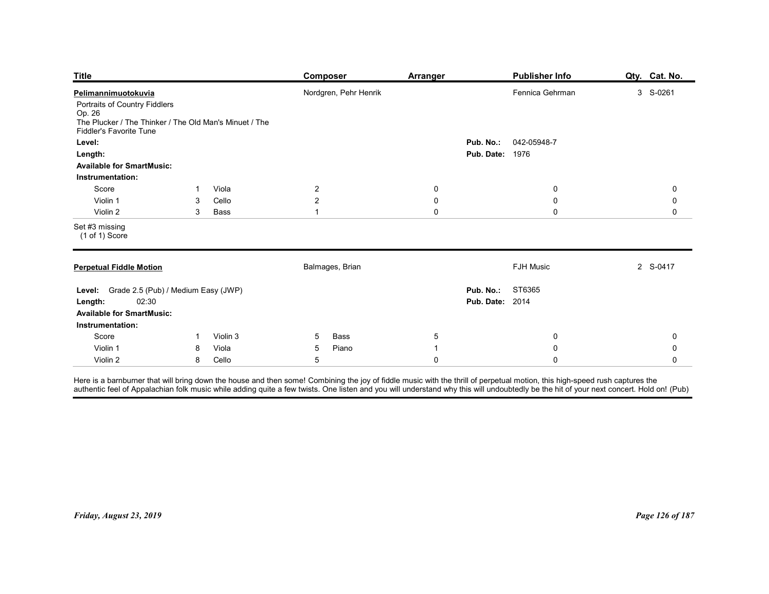| <b>Title</b>                                                                                                                 |              |                | <b>Composer</b>                  | <b>Arranger</b>  |                                                   | <b>Publisher Info</b> | Qty. Cat. No.    |
|------------------------------------------------------------------------------------------------------------------------------|--------------|----------------|----------------------------------|------------------|---------------------------------------------------|-----------------------|------------------|
| Pelimannimuotokuvia                                                                                                          |              |                | Nordgren, Pehr Henrik            |                  |                                                   | Fennica Gehrman       | 3 S-0261         |
| Portraits of Country Fiddlers<br>Op. 26<br>The Plucker / The Thinker / The Old Man's Minuet / The<br>Fiddler's Favorite Tune |              |                |                                  |                  |                                                   |                       |                  |
| Level:                                                                                                                       |              |                |                                  |                  | Pub. No.:<br><b>Pub. Date: 1976</b>               | 042-05948-7           |                  |
| Length:<br><b>Available for SmartMusic:</b>                                                                                  |              |                |                                  |                  |                                                   |                       |                  |
| Instrumentation:                                                                                                             |              |                |                                  |                  |                                                   |                       |                  |
| Score<br>Violin 1                                                                                                            | -1<br>3      | Viola<br>Cello | $\overline{2}$<br>$\overline{2}$ | $\mathbf 0$<br>0 |                                                   | $\mathbf 0$<br>0      | $\mathbf 0$<br>0 |
| Violin 2                                                                                                                     | 3            | Bass           | $\overline{1}$                   | $\mathbf 0$      |                                                   | $\mathbf 0$           | $\mathbf 0$      |
| Set #3 missing<br>(1 of 1) Score                                                                                             |              |                |                                  |                  |                                                   |                       |                  |
| <b>Perpetual Fiddle Motion</b>                                                                                               |              |                | Balmages, Brian                  |                  |                                                   | <b>FJH Music</b>      | 2 S-0417         |
| Level: Grade 2.5 (Pub) / Medium Easy (JWP)<br>02:30<br>Length:<br><b>Available for SmartMusic:</b>                           |              |                |                                  |                  | <b>Pub. No.: ST6365</b><br><b>Pub. Date: 2014</b> |                       |                  |
| Instrumentation:<br>Score                                                                                                    | $\mathbf{1}$ | Violin 3       | Bass<br>$5\overline{)}$          | $\sqrt{5}$       |                                                   | $\mathsf{0}$          | 0                |
|                                                                                                                              | 8            | Viola          | Piano<br>$5\phantom{.0}$         | $\overline{1}$   |                                                   | $\mathbf 0$           | $\mathbf 0$      |
| Violin 1                                                                                                                     |              | Cello          | $5\phantom{.0}$                  | $\mathbf 0$      |                                                   | $\mathbf 0$           | 0                |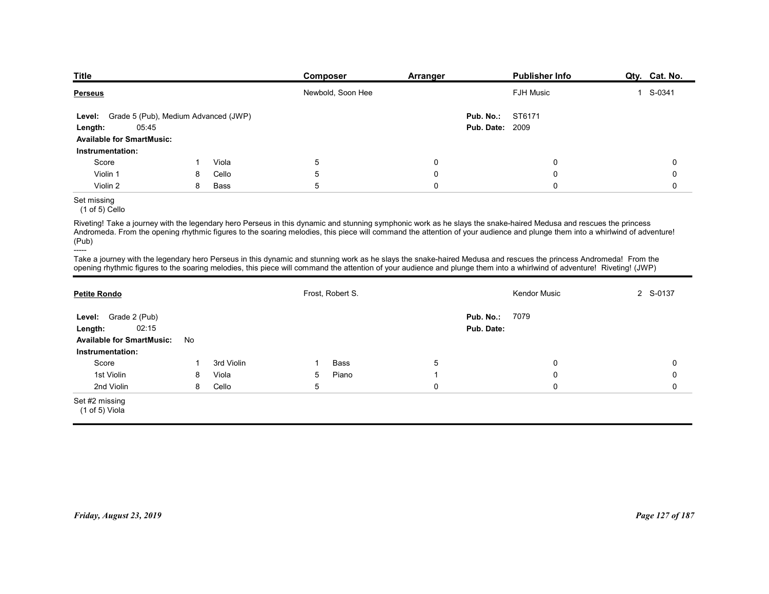| <b>Publisher Info</b><br>Composer<br>Arranger<br>Newbold, Soon Hee<br><b>FJH Music</b><br>ST6171<br>Grade 5 (Pub), Medium Advanced (JWP)<br>Pub. No.:<br>05:45<br><b>Pub. Date: 2009</b><br><b>Available for SmartMusic:</b><br>Instrumentation:<br>Score<br>Viola<br>5<br>0<br>0<br>Violin 1<br>Cello<br>5<br>0<br>0<br>8<br>5<br>$\mathbf 0$<br>$\mathbf 0$<br>Violin 2<br>8<br>Bass<br>Set missing<br>$(1 of 5)$ Cello<br>Riveting! Take a journey with the legendary hero Perseus in this dynamic and stunning symphonic work as he slays the snake-haired Medusa and rescues the princess<br>Andromeda. From the opening rhythmic figures to the soaring melodies, this piece will command the attention of your audience and plunge them into a whirlwind of adventure!<br>Take a journey with the legendary hero Perseus in this dynamic and stunning work as he slays the snake-haired Medusa and rescues the princess Andromeda! From the<br>opening rhythmic figures to the soaring melodies, this piece will command the attention of your audience and plunge them into a whirlwind of adventure! Riveting! (JWP)<br>Frost, Robert S.<br>Kendor Music<br>Pub. No.: 7079<br>Level: Grade 2 (Pub)<br>Pub. Date:<br>02:15<br><b>Available for SmartMusic:</b><br>No |                     |  |  |               |
|------------------------------------------------------------------------------------------------------------------------------------------------------------------------------------------------------------------------------------------------------------------------------------------------------------------------------------------------------------------------------------------------------------------------------------------------------------------------------------------------------------------------------------------------------------------------------------------------------------------------------------------------------------------------------------------------------------------------------------------------------------------------------------------------------------------------------------------------------------------------------------------------------------------------------------------------------------------------------------------------------------------------------------------------------------------------------------------------------------------------------------------------------------------------------------------------------------------------------------------------------------------------------|---------------------|--|--|---------------|
|                                                                                                                                                                                                                                                                                                                                                                                                                                                                                                                                                                                                                                                                                                                                                                                                                                                                                                                                                                                                                                                                                                                                                                                                                                                                              |                     |  |  |               |
|                                                                                                                                                                                                                                                                                                                                                                                                                                                                                                                                                                                                                                                                                                                                                                                                                                                                                                                                                                                                                                                                                                                                                                                                                                                                              |                     |  |  |               |
|                                                                                                                                                                                                                                                                                                                                                                                                                                                                                                                                                                                                                                                                                                                                                                                                                                                                                                                                                                                                                                                                                                                                                                                                                                                                              |                     |  |  |               |
|                                                                                                                                                                                                                                                                                                                                                                                                                                                                                                                                                                                                                                                                                                                                                                                                                                                                                                                                                                                                                                                                                                                                                                                                                                                                              |                     |  |  |               |
|                                                                                                                                                                                                                                                                                                                                                                                                                                                                                                                                                                                                                                                                                                                                                                                                                                                                                                                                                                                                                                                                                                                                                                                                                                                                              |                     |  |  |               |
|                                                                                                                                                                                                                                                                                                                                                                                                                                                                                                                                                                                                                                                                                                                                                                                                                                                                                                                                                                                                                                                                                                                                                                                                                                                                              |                     |  |  |               |
|                                                                                                                                                                                                                                                                                                                                                                                                                                                                                                                                                                                                                                                                                                                                                                                                                                                                                                                                                                                                                                                                                                                                                                                                                                                                              |                     |  |  |               |
|                                                                                                                                                                                                                                                                                                                                                                                                                                                                                                                                                                                                                                                                                                                                                                                                                                                                                                                                                                                                                                                                                                                                                                                                                                                                              |                     |  |  |               |
|                                                                                                                                                                                                                                                                                                                                                                                                                                                                                                                                                                                                                                                                                                                                                                                                                                                                                                                                                                                                                                                                                                                                                                                                                                                                              |                     |  |  |               |
|                                                                                                                                                                                                                                                                                                                                                                                                                                                                                                                                                                                                                                                                                                                                                                                                                                                                                                                                                                                                                                                                                                                                                                                                                                                                              |                     |  |  |               |
|                                                                                                                                                                                                                                                                                                                                                                                                                                                                                                                                                                                                                                                                                                                                                                                                                                                                                                                                                                                                                                                                                                                                                                                                                                                                              | <b>Title</b>        |  |  | Qty. Cat. No. |
|                                                                                                                                                                                                                                                                                                                                                                                                                                                                                                                                                                                                                                                                                                                                                                                                                                                                                                                                                                                                                                                                                                                                                                                                                                                                              | <b>Perseus</b>      |  |  | 1 S-0341      |
|                                                                                                                                                                                                                                                                                                                                                                                                                                                                                                                                                                                                                                                                                                                                                                                                                                                                                                                                                                                                                                                                                                                                                                                                                                                                              | Level:              |  |  |               |
|                                                                                                                                                                                                                                                                                                                                                                                                                                                                                                                                                                                                                                                                                                                                                                                                                                                                                                                                                                                                                                                                                                                                                                                                                                                                              | Length:             |  |  |               |
|                                                                                                                                                                                                                                                                                                                                                                                                                                                                                                                                                                                                                                                                                                                                                                                                                                                                                                                                                                                                                                                                                                                                                                                                                                                                              |                     |  |  |               |
|                                                                                                                                                                                                                                                                                                                                                                                                                                                                                                                                                                                                                                                                                                                                                                                                                                                                                                                                                                                                                                                                                                                                                                                                                                                                              |                     |  |  | 0             |
|                                                                                                                                                                                                                                                                                                                                                                                                                                                                                                                                                                                                                                                                                                                                                                                                                                                                                                                                                                                                                                                                                                                                                                                                                                                                              |                     |  |  | 0             |
|                                                                                                                                                                                                                                                                                                                                                                                                                                                                                                                                                                                                                                                                                                                                                                                                                                                                                                                                                                                                                                                                                                                                                                                                                                                                              |                     |  |  | 0             |
|                                                                                                                                                                                                                                                                                                                                                                                                                                                                                                                                                                                                                                                                                                                                                                                                                                                                                                                                                                                                                                                                                                                                                                                                                                                                              |                     |  |  |               |
|                                                                                                                                                                                                                                                                                                                                                                                                                                                                                                                                                                                                                                                                                                                                                                                                                                                                                                                                                                                                                                                                                                                                                                                                                                                                              | (Pub)               |  |  |               |
|                                                                                                                                                                                                                                                                                                                                                                                                                                                                                                                                                                                                                                                                                                                                                                                                                                                                                                                                                                                                                                                                                                                                                                                                                                                                              | -----               |  |  |               |
|                                                                                                                                                                                                                                                                                                                                                                                                                                                                                                                                                                                                                                                                                                                                                                                                                                                                                                                                                                                                                                                                                                                                                                                                                                                                              | <b>Petite Rondo</b> |  |  | 2 S-0137      |
|                                                                                                                                                                                                                                                                                                                                                                                                                                                                                                                                                                                                                                                                                                                                                                                                                                                                                                                                                                                                                                                                                                                                                                                                                                                                              |                     |  |  |               |
|                                                                                                                                                                                                                                                                                                                                                                                                                                                                                                                                                                                                                                                                                                                                                                                                                                                                                                                                                                                                                                                                                                                                                                                                                                                                              | Length:             |  |  |               |
| Instrumentation:                                                                                                                                                                                                                                                                                                                                                                                                                                                                                                                                                                                                                                                                                                                                                                                                                                                                                                                                                                                                                                                                                                                                                                                                                                                             |                     |  |  |               |

| Level: Grade 5 (Pub), Medium Advanced (JWP)<br>05:45<br>Length:                                                                                                                                                                                                                                                                                           |              |            |                  |             | Pub. No.: ST6171<br><b>Pub. Date: 2009</b> |              |                 |
|-----------------------------------------------------------------------------------------------------------------------------------------------------------------------------------------------------------------------------------------------------------------------------------------------------------------------------------------------------------|--------------|------------|------------------|-------------|--------------------------------------------|--------------|-----------------|
| <b>Available for SmartMusic:</b><br>Instrumentation:                                                                                                                                                                                                                                                                                                      |              |            |                  |             |                                            |              |                 |
| Score                                                                                                                                                                                                                                                                                                                                                     | $\mathbf{1}$ | Viola      | $\,$ 5 $\,$      | $\mathbf 0$ |                                            | 0            | 0               |
| Violin 1                                                                                                                                                                                                                                                                                                                                                  | 8            | Cello      | 5                | $\mathbf 0$ |                                            | $\mathbf 0$  | $\mathbf 0$     |
| Violin 2                                                                                                                                                                                                                                                                                                                                                  | 8            | Bass       | 5                | $\mathbf 0$ |                                            | 0            | $\mathbf 0$     |
| Set missing<br>$(1 of 5)$ Cello                                                                                                                                                                                                                                                                                                                           |              |            |                  |             |                                            |              |                 |
| Riveting! Take a journey with the legendary hero Perseus in this dynamic and stunning symphonic work as he slays the snake-haired Medusa and rescues the princess<br>Andromeda. From the opening rhythmic figures to the soaring melodies, this piece will command the attention of your audience and plunge them into a whirlwind of adventure!<br>(Pub) |              |            |                  |             |                                            |              |                 |
| -----<br>Take a journey with the legendary hero Perseus in this dynamic and stunning work as he slays the snake-haired Medusa and rescues the princess Andromeda! From the<br>opening rhythmic figures to the soaring melodies, this piece will command the attention of your audience and plunge them into a whirlwind of adventure! Riveting! (JWP)     |              |            |                  |             |                                            |              |                 |
| <b>Petite Rondo</b>                                                                                                                                                                                                                                                                                                                                       |              |            | Frost, Robert S. |             |                                            | Kendor Music | 2 S-0137        |
| Level: Grade 2 (Pub)<br>02:15<br>Length:<br><b>Available for SmartMusic:</b>                                                                                                                                                                                                                                                                              | No           |            |                  |             | 7079<br>Pub. No.:<br>Pub. Date:            |              |                 |
| Instrumentation:                                                                                                                                                                                                                                                                                                                                          |              |            |                  |             |                                            |              |                 |
| Score                                                                                                                                                                                                                                                                                                                                                     |              | 3rd Violin | Bass             | 5           |                                            | 0            | 0               |
| 1st Violin                                                                                                                                                                                                                                                                                                                                                | 8            | Viola      | Piano<br>5       |             |                                            | 0            | $\mathbf 0$     |
| 2nd Violin                                                                                                                                                                                                                                                                                                                                                | 8            | Cello      | $\mathbf 5$      | $\mathbf 0$ |                                            | 0            | $\mathbf 0$     |
| Set #2 missing<br>$(1 of 5)$ Viola                                                                                                                                                                                                                                                                                                                        |              |            |                  |             |                                            |              |                 |
|                                                                                                                                                                                                                                                                                                                                                           |              |            |                  |             |                                            |              |                 |
| Friday, August 23, 2019                                                                                                                                                                                                                                                                                                                                   |              |            |                  |             |                                            |              | Page 127 of 187 |
|                                                                                                                                                                                                                                                                                                                                                           |              |            |                  |             |                                            |              |                 |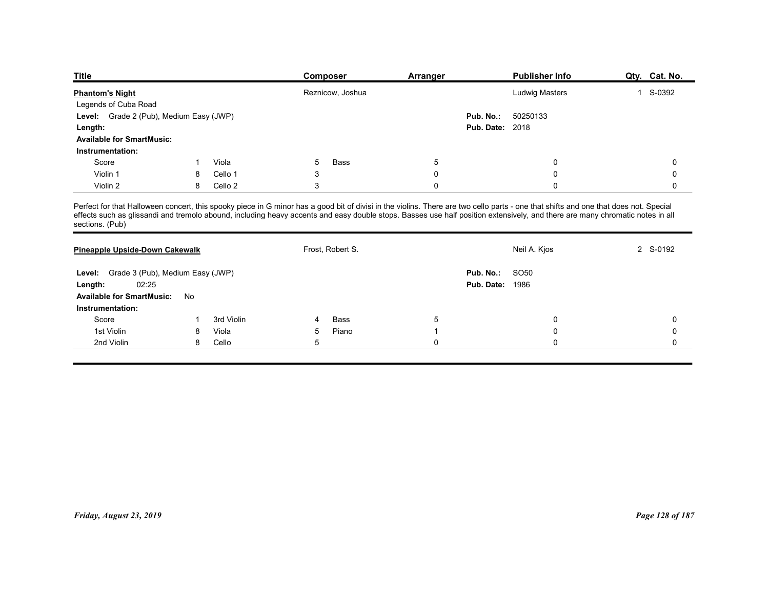| <b>Title</b>                                     |        |                    | Composer              |                  | <b>Arranger</b>  |                        | <b>Publisher Info</b>                                                                                                                                                                | Qty. Cat. No. |
|--------------------------------------------------|--------|--------------------|-----------------------|------------------|------------------|------------------------|--------------------------------------------------------------------------------------------------------------------------------------------------------------------------------------|---------------|
| <b>Phantom's Night</b>                           |        |                    |                       | Reznicow, Joshua |                  |                        | Ludwig Masters                                                                                                                                                                       | 1 S-0392      |
| Legends of Cuba Road                             |        |                    |                       |                  |                  |                        |                                                                                                                                                                                      |               |
| Level: Grade 2 (Pub), Medium Easy (JWP)          |        |                    |                       |                  |                  | Pub. No.:              | 50250133                                                                                                                                                                             |               |
| Length:                                          |        |                    |                       |                  |                  | <b>Pub. Date: 2018</b> |                                                                                                                                                                                      |               |
| <b>Available for SmartMusic:</b>                 |        |                    |                       |                  |                  |                        |                                                                                                                                                                                      |               |
| Instrumentation:                                 |        |                    |                       |                  |                  |                        |                                                                                                                                                                                      |               |
| Score<br>Violin 1                                |        | Viola              | 5                     | Bass             | $\sqrt{5}$       |                        | 0                                                                                                                                                                                    | 0             |
| Violin 2                                         | 8<br>8 | Cello 1<br>Cello 2 | 3<br>3                |                  | $\mathbf 0$<br>0 |                        | $\mathbf 0$<br>$\mathbf 0$                                                                                                                                                           | 0<br>0        |
|                                                  |        |                    |                       |                  |                  |                        |                                                                                                                                                                                      |               |
|                                                  |        |                    |                       |                  |                  |                        | Perfect for that Halloween concert, this spooky piece in G minor has a good bit of divisi in the violins. There are two cello parts - one that shifts and one that does not. Special |               |
| sections. (Pub)                                  |        |                    |                       |                  |                  |                        | effects such as glissandi and tremolo abound, including heavy accents and easy double stops. Basses use half position extensively, and there are many chromatic notes in all         |               |
|                                                  |        |                    |                       |                  |                  |                        |                                                                                                                                                                                      |               |
| Pineapple Upside-Down Cakewalk                   |        |                    | Frost, Robert S.      |                  |                  |                        | Neil A. Kjos                                                                                                                                                                         | 2 S-0192      |
|                                                  |        |                    |                       |                  |                  |                        |                                                                                                                                                                                      |               |
| Level: Grade 3 (Pub), Medium Easy (JWP)          |        |                    |                       |                  |                  | <b>Pub. No.: SO50</b>  |                                                                                                                                                                                      |               |
| 02:25<br>Length:                                 |        |                    |                       |                  |                  | <b>Pub. Date: 1986</b> |                                                                                                                                                                                      |               |
| Available for SmartMusic: No<br>Instrumentation: |        |                    |                       |                  |                  |                        |                                                                                                                                                                                      |               |
|                                                  | -1     | 3rd Violin         | $\boldsymbol{\Delta}$ | Bass             | 5                |                        | 0                                                                                                                                                                                    | 0             |
|                                                  | 8      | Viola              | 5                     | Piano            |                  |                        | 0                                                                                                                                                                                    | 0             |
| Score                                            |        | Cello              | $\,$ 5 $\,$           |                  | 0                |                        | 0                                                                                                                                                                                    | $\mathbf 0$   |
| 1st Violin<br>2nd Violin                         | 8      |                    |                       |                  |                  |                        |                                                                                                                                                                                      |               |

|                                                                                                                                                                                                                                                   |              |            | <b>COMPOSE</b> |                  | Allallyel       |                                     | <b>L'ANNISTIEI IIIIO</b> | Qiy. Cai. NO.   |
|---------------------------------------------------------------------------------------------------------------------------------------------------------------------------------------------------------------------------------------------------|--------------|------------|----------------|------------------|-----------------|-------------------------------------|--------------------------|-----------------|
| <b>Phantom's Night</b><br>Legends of Cuba Road                                                                                                                                                                                                    |              |            |                | Reznicow, Joshua |                 |                                     | <b>Ludwig Masters</b>    | 1 S-0392        |
| Level: Grade 2 (Pub), Medium Easy (JWP)                                                                                                                                                                                                           |              |            |                |                  |                 | Pub. No.:                           | 50250133                 |                 |
| Length:                                                                                                                                                                                                                                           |              |            |                |                  |                 | <b>Pub. Date: 2018</b>              |                          |                 |
| <b>Available for SmartMusic:</b>                                                                                                                                                                                                                  |              |            |                |                  |                 |                                     |                          |                 |
| Instrumentation:                                                                                                                                                                                                                                  |              |            |                |                  |                 |                                     |                          |                 |
| Score                                                                                                                                                                                                                                             | $\mathbf{1}$ | Viola      | 5              | Bass             | $5\phantom{.0}$ |                                     | 0                        | 0               |
| Violin 1                                                                                                                                                                                                                                          | 8            | Cello 1    | 3              |                  | $\mathbf 0$     |                                     | 0                        | $\mathsf 0$     |
| Violin 2                                                                                                                                                                                                                                          | 8            | Cello 2    | $\mathbf{3}$   |                  | $\mathbf 0$     |                                     | 0                        | $\mathbf 0$     |
| Perfect for that Halloween concert, this spooky piece in G minor has a good bit of divisi in the violins. There are two cello parts - one that shifts and one that does not. Special effects such as glissandi and tremolo abo<br>sections. (Pub) |              |            |                |                  |                 |                                     |                          |                 |
| Pineapple Upside-Down Cakewalk                                                                                                                                                                                                                    |              |            |                | Frost, Robert S. |                 |                                     | Neil A. Kjos             | 2 S-0192        |
| Level: Grade 3 (Pub), Medium Easy (JWP)<br>02:25<br>Length:<br><b>Available for SmartMusic:</b>                                                                                                                                                   | No           |            |                |                  |                 | Pub. No.:<br><b>Pub. Date: 1986</b> | SO50                     |                 |
| Instrumentation:                                                                                                                                                                                                                                  |              |            |                |                  |                 |                                     |                          |                 |
| Score                                                                                                                                                                                                                                             | $\mathbf{1}$ | 3rd Violin | 4              | Bass             | $5\phantom{.0}$ |                                     | 0                        | 0               |
| 1st Violin                                                                                                                                                                                                                                        | 8            | Viola      | 5              | Piano            | $\overline{1}$  |                                     | 0                        | $\mathbf 0$     |
| 2nd Violin                                                                                                                                                                                                                                        | 8            | Cello      | 5              |                  | $\mathbf 0$     |                                     | 0                        | $\mathbf 0$     |
|                                                                                                                                                                                                                                                   |              |            |                |                  |                 |                                     |                          |                 |
|                                                                                                                                                                                                                                                   |              |            |                |                  |                 |                                     |                          |                 |
|                                                                                                                                                                                                                                                   |              |            |                |                  |                 |                                     |                          |                 |
|                                                                                                                                                                                                                                                   |              |            |                |                  |                 |                                     |                          |                 |
| Friday, August 23, 2019                                                                                                                                                                                                                           |              |            |                |                  |                 |                                     |                          | Page 128 of 187 |
|                                                                                                                                                                                                                                                   |              |            |                |                  |                 |                                     |                          |                 |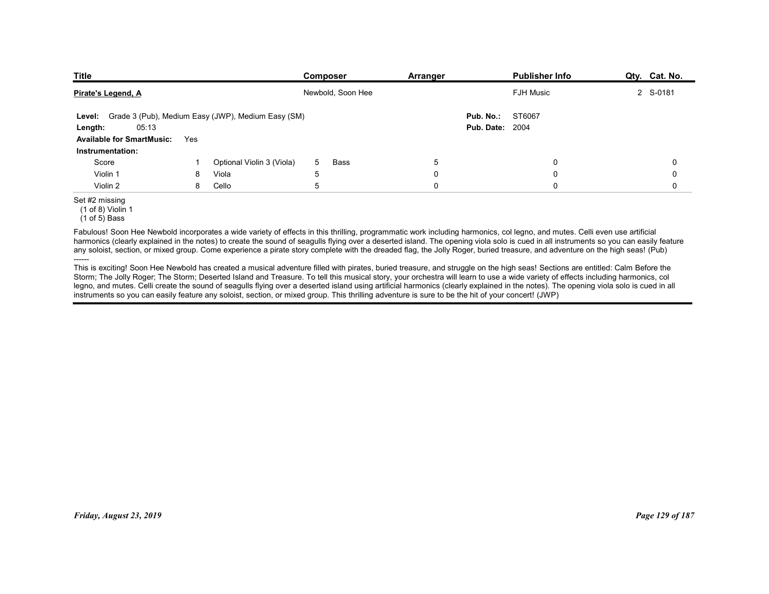| <b>Publisher Info</b><br>Composer<br>Arranger<br>2 S-0181<br>Newbold, Soon Hee<br><b>FJH Music</b><br>Pirate's Legend, A | Grade 3 (Pub), Medium Easy (JWP), Medium Easy (SM)<br>ST6067<br>Pub. No.:<br>Level:<br><b>Pub. Date: 2004</b><br>05:13<br>Length:<br><b>Available for SmartMusic:</b><br>Yes<br>Instrumentation:<br>$\sqrt{5}$<br>Score<br>Optional Violin 3 (Viola)<br>0<br>0<br>$5\overline{)}$<br>Bass<br>Violin 1<br>Viola<br>$\mathbf 0$<br>$\mathsf 0$<br>$\mathbf 0$<br>8<br>5 | Cello<br>5<br>$\mathsf 0$<br>$\mathbf 0$<br>Violin 2<br>8<br>$\mathbf 0$<br>$(1 of 8)$ Violin 1 | $(1 of 5)$ Bass<br>Fabulous! Soon Hee Newbold incorporates a wide variety of effects in this thrilling, programmatic work including harmonics, col legno, and mutes. Celli even use artificial |  |  |  |  |
|--------------------------------------------------------------------------------------------------------------------------|-----------------------------------------------------------------------------------------------------------------------------------------------------------------------------------------------------------------------------------------------------------------------------------------------------------------------------------------------------------------------|-------------------------------------------------------------------------------------------------|------------------------------------------------------------------------------------------------------------------------------------------------------------------------------------------------|--|--|--|--|
| <b>Title</b><br>Qty. Cat. No.                                                                                            |                                                                                                                                                                                                                                                                                                                                                                       |                                                                                                 | Set #2 missing                                                                                                                                                                                 |  |  |  |  |
|                                                                                                                          |                                                                                                                                                                                                                                                                                                                                                                       |                                                                                                 |                                                                                                                                                                                                |  |  |  |  |
|                                                                                                                          |                                                                                                                                                                                                                                                                                                                                                                       |                                                                                                 |                                                                                                                                                                                                |  |  |  |  |
|                                                                                                                          |                                                                                                                                                                                                                                                                                                                                                                       |                                                                                                 |                                                                                                                                                                                                |  |  |  |  |
|                                                                                                                          |                                                                                                                                                                                                                                                                                                                                                                       |                                                                                                 |                                                                                                                                                                                                |  |  |  |  |
|                                                                                                                          |                                                                                                                                                                                                                                                                                                                                                                       |                                                                                                 |                                                                                                                                                                                                |  |  |  |  |
|                                                                                                                          |                                                                                                                                                                                                                                                                                                                                                                       |                                                                                                 |                                                                                                                                                                                                |  |  |  |  |
|                                                                                                                          |                                                                                                                                                                                                                                                                                                                                                                       |                                                                                                 |                                                                                                                                                                                                |  |  |  |  |
|                                                                                                                          |                                                                                                                                                                                                                                                                                                                                                                       |                                                                                                 |                                                                                                                                                                                                |  |  |  |  |
|                                                                                                                          |                                                                                                                                                                                                                                                                                                                                                                       |                                                                                                 |                                                                                                                                                                                                |  |  |  |  |
|                                                                                                                          |                                                                                                                                                                                                                                                                                                                                                                       |                                                                                                 |                                                                                                                                                                                                |  |  |  |  |
|                                                                                                                          |                                                                                                                                                                                                                                                                                                                                                                       |                                                                                                 |                                                                                                                                                                                                |  |  |  |  |
|                                                                                                                          |                                                                                                                                                                                                                                                                                                                                                                       |                                                                                                 |                                                                                                                                                                                                |  |  |  |  |
|                                                                                                                          |                                                                                                                                                                                                                                                                                                                                                                       |                                                                                                 |                                                                                                                                                                                                |  |  |  |  |
|                                                                                                                          |                                                                                                                                                                                                                                                                                                                                                                       |                                                                                                 |                                                                                                                                                                                                |  |  |  |  |
|                                                                                                                          |                                                                                                                                                                                                                                                                                                                                                                       |                                                                                                 |                                                                                                                                                                                                |  |  |  |  |
|                                                                                                                          |                                                                                                                                                                                                                                                                                                                                                                       |                                                                                                 |                                                                                                                                                                                                |  |  |  |  |
|                                                                                                                          |                                                                                                                                                                                                                                                                                                                                                                       |                                                                                                 |                                                                                                                                                                                                |  |  |  |  |
|                                                                                                                          |                                                                                                                                                                                                                                                                                                                                                                       |                                                                                                 |                                                                                                                                                                                                |  |  |  |  |
|                                                                                                                          |                                                                                                                                                                                                                                                                                                                                                                       |                                                                                                 |                                                                                                                                                                                                |  |  |  |  |
|                                                                                                                          |                                                                                                                                                                                                                                                                                                                                                                       |                                                                                                 |                                                                                                                                                                                                |  |  |  |  |
|                                                                                                                          |                                                                                                                                                                                                                                                                                                                                                                       |                                                                                                 |                                                                                                                                                                                                |  |  |  |  |
|                                                                                                                          |                                                                                                                                                                                                                                                                                                                                                                       |                                                                                                 |                                                                                                                                                                                                |  |  |  |  |
|                                                                                                                          |                                                                                                                                                                                                                                                                                                                                                                       |                                                                                                 |                                                                                                                                                                                                |  |  |  |  |

# Set #2 missing

Fabulous! Soon Hee Newbold incorporates a wide variety of effects in this thrilling, programmatic work including harmonics, col legno, and mutes. Celli even use artificial harmonics (clearly explained in the notes) to create the sound of seagulls flying over a deserted island. The opening viola solo is cued in all instruments so you can easily feature any soloist, section, or mixed group. Come experience a pirate story complete with the dreaded flag, the Jolly Roger, buried treasure, and adventure on the high seas! (Pub) ------

This is exciting! Soon Hee Newbold has created a musical adventure filled with pirates, buried treasure, and struggle on the high seas! Sections are entitled: Calm Before the Storm; The Jolly Roger; The Storm; Deserted Island and Treasure. To tell this musical story, your orchestra will learn to use a wide variety of effects including harmonics, col legno, and mutes. Celli create the sound of seagulls flying over a deserted island using artificial harmonics (clearly explained in the notes). The opening viola solo is cued in all instruments so you can easily feature any soloist, section, or mixed group. This thrilling adventure is sure to be the hit of your concert! (JWP) This is excluding Boom the Nederland including filed with plates. United the main and stories of the high season. The older for the main of the filed of the first of the filed of the first of the filed of the filed of the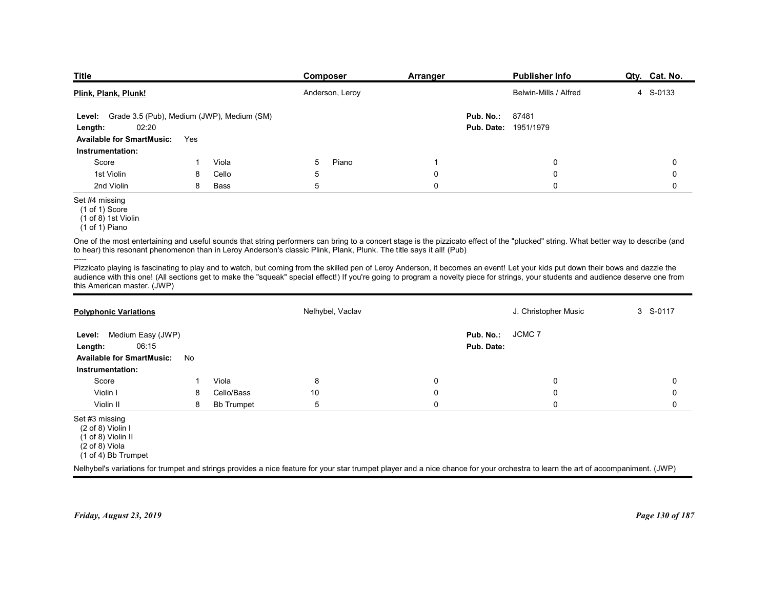| <b>Title</b><br>Plink, Plank, Plunk!<br>Grade 3.5 (Pub), Medium (JWP), Medium (SM)<br>Level:<br>02:20<br>Length: |     |       |                                                                                                                                                                                                                                                                                                                                                                        |             |                      |                       |               |
|------------------------------------------------------------------------------------------------------------------|-----|-------|------------------------------------------------------------------------------------------------------------------------------------------------------------------------------------------------------------------------------------------------------------------------------------------------------------------------------------------------------------------------|-------------|----------------------|-----------------------|---------------|
|                                                                                                                  |     |       |                                                                                                                                                                                                                                                                                                                                                                        |             |                      |                       |               |
|                                                                                                                  |     |       |                                                                                                                                                                                                                                                                                                                                                                        |             |                      |                       |               |
|                                                                                                                  |     |       |                                                                                                                                                                                                                                                                                                                                                                        |             |                      |                       |               |
|                                                                                                                  |     |       |                                                                                                                                                                                                                                                                                                                                                                        |             |                      |                       |               |
|                                                                                                                  |     |       |                                                                                                                                                                                                                                                                                                                                                                        |             |                      |                       |               |
|                                                                                                                  |     |       |                                                                                                                                                                                                                                                                                                                                                                        |             |                      |                       |               |
|                                                                                                                  |     |       |                                                                                                                                                                                                                                                                                                                                                                        |             |                      |                       |               |
|                                                                                                                  |     |       |                                                                                                                                                                                                                                                                                                                                                                        |             |                      |                       |               |
|                                                                                                                  |     |       |                                                                                                                                                                                                                                                                                                                                                                        |             |                      |                       |               |
|                                                                                                                  |     |       |                                                                                                                                                                                                                                                                                                                                                                        |             |                      |                       |               |
|                                                                                                                  |     |       | Composer                                                                                                                                                                                                                                                                                                                                                               | Arranger    |                      | <b>Publisher Info</b> | Qty. Cat. No. |
|                                                                                                                  |     |       | Anderson, Leroy                                                                                                                                                                                                                                                                                                                                                        |             |                      | Belwin-Mills / Alfred | 4 S-0133      |
|                                                                                                                  |     |       |                                                                                                                                                                                                                                                                                                                                                                        |             | Pub. No.:            | 87481                 |               |
| <b>Available for SmartMusic:</b>                                                                                 | Yes |       |                                                                                                                                                                                                                                                                                                                                                                        |             | Pub. Date: 1951/1979 |                       |               |
| Instrumentation:                                                                                                 |     |       |                                                                                                                                                                                                                                                                                                                                                                        |             |                      |                       |               |
| Score                                                                                                            |     | Viola | 5<br>Piano                                                                                                                                                                                                                                                                                                                                                             | -1          |                      | 0                     | 0             |
| 1st Violin                                                                                                       | 8   | Cello | 5                                                                                                                                                                                                                                                                                                                                                                      | 0           |                      | 0                     | 0             |
| 2nd Violin<br>Set #4 missing<br>$(1 \text{ of } 1)$ Score<br>(1 of 8) 1st Violin                                 | 8   | Bass  | 5                                                                                                                                                                                                                                                                                                                                                                      | $\mathbf 0$ |                      | $\mathbf 0$           | 0             |
| (1 of 1) Piano                                                                                                   |     |       | One of the most entertaining and useful sounds that string performers can bring to a concert stage is the pizzicato effect of the "plucked" string. What better way to describe (and                                                                                                                                                                                   |             |                      |                       |               |
| -----                                                                                                            |     |       | to hear) this resonant phenomenon than in Leroy Anderson's classic Plink, Plank, Plunk. The title says it all! (Pub)                                                                                                                                                                                                                                                   |             |                      |                       |               |
| this American master. (JWP)                                                                                      |     |       | Pizzicato playing is fascinating to play and to watch, but coming from the skilled pen of Leroy Anderson, it becomes an event! Let your kids put down their bows and dazzle the<br>audience with this one! (All sections get to make the "squeak" special effect!) If you're going to program a novelty piece for strings, your students and audience deserve one from |             |                      |                       |               |
| <b>Polyphonic Variations</b>                                                                                     |     |       | Nelhybel, Vaclav                                                                                                                                                                                                                                                                                                                                                       |             |                      | J. Christopher Music  | 3 S-0117      |
| Level: Medium Easy (JWP)                                                                                         |     |       |                                                                                                                                                                                                                                                                                                                                                                        |             | Pub. No.:            | JCMC <sub>7</sub>     |               |
| 06:15<br>Length:                                                                                                 |     |       |                                                                                                                                                                                                                                                                                                                                                                        |             | Pub. Date:           |                       |               |
| <b>Available for SmartMusic:</b><br>No<br>Instrumentation:                                                       |     |       |                                                                                                                                                                                                                                                                                                                                                                        |             |                      |                       |               |

# Set #4 missing

| <b>Available for SmartMusic:</b><br>Yes<br>Instrumentation:<br>Score<br>Viola<br>5<br>Piano<br>$\mathbf 0$<br>-1<br>1st Violin<br>5<br>$\mathbf 0$<br>$\mathbf 0$<br>Cello<br>8<br>5<br>2nd Violin<br><b>Bass</b><br>$\mathbf{0}$<br>0<br>8<br>$(1 of 1)$ Score<br>$(1 of 8)$ 1st Violin<br>$(1 of 1)$ Piano<br>Nelhybel, Vaclav<br>J. Christopher Music<br>JCMC 7<br>Level: Medium Easy (JWP)<br>Pub. No.:<br>06:15<br>Pub. Date:<br>Length:<br><b>Available for SmartMusic:</b><br>No<br>Instrumentation:<br>Viola<br>8<br>Score<br>0<br>0<br>-1<br>Cello/Bass<br>$10$<br>$\mathbf 0$<br>Violin I<br>$\Omega$<br>8<br>5<br>Violin II<br><b>Bb Trumpet</b><br>$\mathbf{0}$<br>$\mathbf{0}$<br>8<br>$(2 of 8)$ Violin I<br>$(1 \text{ of } 8)$ Violin II<br>$(2 \text{ of } 8)$ Viola |             |
|---------------------------------------------------------------------------------------------------------------------------------------------------------------------------------------------------------------------------------------------------------------------------------------------------------------------------------------------------------------------------------------------------------------------------------------------------------------------------------------------------------------------------------------------------------------------------------------------------------------------------------------------------------------------------------------------------------------------------------------------------------------------------------------|-------------|
|                                                                                                                                                                                                                                                                                                                                                                                                                                                                                                                                                                                                                                                                                                                                                                                       |             |
|                                                                                                                                                                                                                                                                                                                                                                                                                                                                                                                                                                                                                                                                                                                                                                                       |             |
| Set #4 missing<br>One of the most entertaining and useful sounds that string performers can bring to a concert stage is the pizzicato effect of the "plucked" string. What better way to describe (and<br>to hear) this resonant phenomenon than in Leroy Anderson's classic Plink, Plank, Plunk. The title says it all! (Pub)<br>audience with this one! (All sections get to make the "squeak" special effect!) If you're going to program a novelty piece for strings, your students and audience deserve one from<br>this American master. (JWP)<br><b>Polyphonic Variations</b><br>Set #3 missing                                                                                                                                                                                | $\Omega$    |
| Pizzicato playing is fascinating to play and to watch, but coming from the skilled pen of Leroy Anderson, it becomes an event! Let your kids put down their bows and dazzle the                                                                                                                                                                                                                                                                                                                                                                                                                                                                                                                                                                                                       | $\mathbf 0$ |
|                                                                                                                                                                                                                                                                                                                                                                                                                                                                                                                                                                                                                                                                                                                                                                                       | $\Omega$    |
|                                                                                                                                                                                                                                                                                                                                                                                                                                                                                                                                                                                                                                                                                                                                                                                       |             |
|                                                                                                                                                                                                                                                                                                                                                                                                                                                                                                                                                                                                                                                                                                                                                                                       |             |
|                                                                                                                                                                                                                                                                                                                                                                                                                                                                                                                                                                                                                                                                                                                                                                                       |             |
|                                                                                                                                                                                                                                                                                                                                                                                                                                                                                                                                                                                                                                                                                                                                                                                       | 3 S-0117    |
|                                                                                                                                                                                                                                                                                                                                                                                                                                                                                                                                                                                                                                                                                                                                                                                       |             |
|                                                                                                                                                                                                                                                                                                                                                                                                                                                                                                                                                                                                                                                                                                                                                                                       |             |
|                                                                                                                                                                                                                                                                                                                                                                                                                                                                                                                                                                                                                                                                                                                                                                                       | 0           |
|                                                                                                                                                                                                                                                                                                                                                                                                                                                                                                                                                                                                                                                                                                                                                                                       | $\Omega$    |
|                                                                                                                                                                                                                                                                                                                                                                                                                                                                                                                                                                                                                                                                                                                                                                                       | $\Omega$    |
| (1 of 4) Bb Trumpet                                                                                                                                                                                                                                                                                                                                                                                                                                                                                                                                                                                                                                                                                                                                                                   |             |
| Nelhybel's variations for trumpet and strings provides a nice feature for your star trumpet player and a nice chance for your orchestra to learn the art of accompaniment. (JWP)                                                                                                                                                                                                                                                                                                                                                                                                                                                                                                                                                                                                      |             |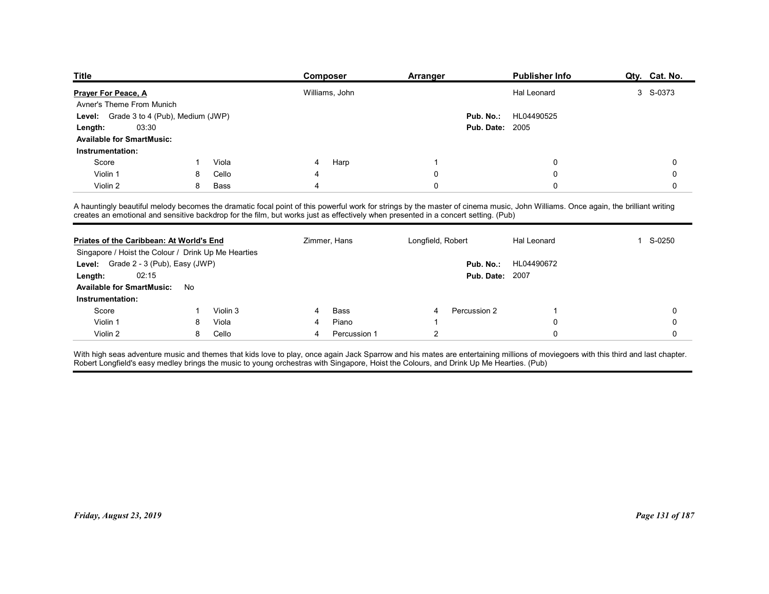| <b>Title</b>                                                                                                                                                                     |        |                   |   | Composer       | Arranger          |                        | <b>Publisher Info</b> | Qty. Cat. No.              |
|----------------------------------------------------------------------------------------------------------------------------------------------------------------------------------|--------|-------------------|---|----------------|-------------------|------------------------|-----------------------|----------------------------|
| <b>Prayer For Peace, A</b>                                                                                                                                                       |        |                   |   | Williams, John |                   |                        | Hal Leonard           | 3 S-0373                   |
| Avner's Theme From Munich                                                                                                                                                        |        |                   |   |                |                   |                        |                       |                            |
| Grade 3 to 4 (Pub), Medium (JWP)<br>Level:                                                                                                                                       |        |                   |   |                |                   | Pub. No.:              | HL04490525            |                            |
| 03:30<br>Length:                                                                                                                                                                 |        |                   |   |                |                   | <b>Pub. Date: 2005</b> |                       |                            |
| <b>Available for SmartMusic:</b>                                                                                                                                                 |        |                   |   |                |                   |                        |                       |                            |
| Instrumentation:                                                                                                                                                                 |        |                   |   |                |                   |                        |                       |                            |
| Score                                                                                                                                                                            |        | Viola             |   | Harp           |                   |                        | 0                     | 0                          |
| Violin 1<br>Violin 2                                                                                                                                                             | 8<br>8 | Cello<br>Bass     |   |                | 0<br>0            |                        | 0<br>$\Omega$         | 0<br>0                     |
|                                                                                                                                                                                  |        |                   |   |                |                   |                        |                       |                            |
| A hauntingly beautiful melody becomes the dramatic focal point of this powerful work for strings by the master of cinema music, John Williams. Once again, the brilliant writing |        |                   |   |                |                   |                        |                       |                            |
| creates an emotional and sensitive backdrop for the film, but works just as effectively when presented in a concert setting. (Pub)                                               |        |                   |   |                |                   |                        |                       |                            |
|                                                                                                                                                                                  |        |                   |   |                |                   |                        |                       |                            |
| Priates of the Caribbean: At World's End                                                                                                                                         |        |                   |   | Zimmer, Hans   | Longfield, Robert |                        | Hal Leonard           | S-0250<br>1                |
|                                                                                                                                                                                  |        |                   |   |                |                   |                        | Pub. No.: HL04490672  |                            |
| Singapore / Hoist the Colour / Drink Up Me Hearties                                                                                                                              |        |                   |   |                |                   | <b>Pub. Date: 2007</b> |                       |                            |
| Level: Grade 2 - 3 (Pub), Easy (JWP)                                                                                                                                             |        |                   |   |                |                   |                        |                       |                            |
| 02:15<br>Length:                                                                                                                                                                 |        |                   |   |                |                   |                        |                       |                            |
| Available for SmartMusic: No                                                                                                                                                     |        |                   |   |                |                   |                        |                       |                            |
| Instrumentation:                                                                                                                                                                 |        |                   | 4 |                |                   |                        |                       |                            |
| Score<br>Violin 1                                                                                                                                                                | 8      | Violin 3<br>Viola | 4 | Bass<br>Piano  |                   | Percussion 2           | 0                     | $\mathbf 0$<br>$\mathbf 0$ |

| Priates of the Caribbean: At World's End<br>Singapore / Hoist the Colour / Drink Up Me Hearties |    |          |   | Zimmer, Hans | Longfield, Robert |                        | Hal Leonard | 1 S-0250        |
|-------------------------------------------------------------------------------------------------|----|----------|---|--------------|-------------------|------------------------|-------------|-----------------|
| Level: Grade 2 - 3 (Pub), Easy (JWP)                                                            |    |          |   |              |                   | Pub. No.:              | HL04490672  |                 |
| 02:15                                                                                           |    |          |   |              |                   | <b>Pub. Date: 2007</b> |             |                 |
| Length:<br><b>Available for SmartMusic:</b>                                                     | No |          |   |              |                   |                        |             |                 |
| Instrumentation:                                                                                |    |          |   |              |                   |                        |             |                 |
| Score                                                                                           |    | Violin 3 |   | Bass         | 4                 | Percussion 2           |             | $\mathbf 0$     |
| Violin 1                                                                                        | 8  | Viola    |   | Piano        |                   |                        | 0           | 0               |
| Violin 2                                                                                        | 8  | Cello    | 4 | Percussion 1 | $\overline{2}$    |                        | $\mathbf 0$ | $\mathbf 0$     |
|                                                                                                 |    |          |   |              |                   |                        |             |                 |
|                                                                                                 |    |          |   |              |                   |                        |             |                 |
|                                                                                                 |    |          |   |              |                   |                        |             |                 |
|                                                                                                 |    |          |   |              |                   |                        |             |                 |
|                                                                                                 |    |          |   |              |                   |                        |             |                 |
|                                                                                                 |    |          |   |              |                   |                        |             |                 |
|                                                                                                 |    |          |   |              |                   |                        |             |                 |
| Friday, August 23, 2019                                                                         |    |          |   |              |                   |                        |             | Page 131 of 187 |
|                                                                                                 |    |          |   |              |                   |                        |             |                 |
|                                                                                                 |    |          |   |              |                   |                        |             |                 |
|                                                                                                 |    |          |   |              |                   |                        |             |                 |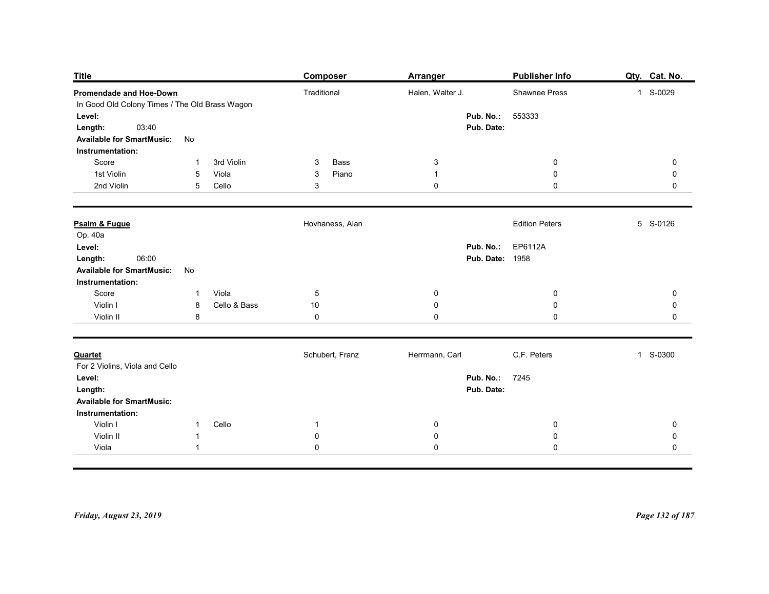| <b>Title</b>                                   |                          | <b>Composer</b>         | Arranger                     | <b>Publisher Info</b>                       | Qty. Cat. No.            |
|------------------------------------------------|--------------------------|-------------------------|------------------------------|---------------------------------------------|--------------------------|
| <b>Promendade and Hoe-Down</b>                 |                          | Traditional             | Halen, Walter J.             | Shawnee Press                               | 1 S-0029                 |
| In Good Old Colony Times / The Old Brass Wagon |                          |                         |                              |                                             |                          |
| Level:<br>03:40<br>Length:                     |                          |                         | Pub. No.:<br>Pub. Date:      | 553333                                      |                          |
| <b>Available for SmartMusic:</b>               | No                       |                         |                              |                                             |                          |
| Instrumentation:                               | -1                       |                         |                              |                                             |                          |
| Score<br>1st Violin                            | 3rd Violin<br>Viola<br>5 | Bass<br>3<br>Piano<br>3 | $\mathbf{3}$<br>$\mathbf{1}$ | $\overline{0}$<br>$\boldsymbol{0}$          | $\mathbf 0$<br>0         |
| 2nd Violin                                     | Cello<br>5               | 3                       | 0                            | $\mathbf 0$                                 | $\mathbf 0$              |
| Psalm & Fugue                                  |                          | Hovhaness, Alan         |                              | <b>Edition Peters</b>                       | 5 S-0126                 |
| Op. 40a                                        |                          |                         |                              |                                             |                          |
| Level:<br>06:00                                |                          |                         |                              | Pub. No.: EP6112A<br><b>Pub. Date: 1958</b> |                          |
| Length:<br><b>Available for SmartMusic:</b>    | No                       |                         |                              |                                             |                          |
| Instrumentation:                               |                          |                         |                              |                                             |                          |
| Score                                          | Viola<br>$\overline{1}$  | $\sqrt{5}$              | $\bf{0}$                     | $\mathbf 0$                                 | $\mathbf 0$              |
| Violin I<br>Violin II                          | Cello & Bass<br>8<br>8   | 10<br>$\pmb{0}$         | $\pmb{0}$<br>$\pmb{0}$       | $\pmb{0}$<br>$\pmb{0}$                      | $\mathbf 0$<br>$\pmb{0}$ |
|                                                |                          |                         |                              |                                             |                          |
| <b>Quartet</b>                                 |                          | Schubert, Franz         | Herrmann, Carl               | C.F. Peters                                 | 1 S-0300                 |
| For 2 Violins, Viola and Cello<br>Level:       |                          |                         | Pub. No.:                    | 7245                                        |                          |
| Length:                                        |                          |                         | Pub. Date:                   |                                             |                          |
| <b>Available for SmartMusic:</b>               |                          |                         |                              |                                             |                          |
| Instrumentation:<br>Violin I                   | Cello<br>$\overline{1}$  |                         |                              |                                             |                          |
| Violin II                                      |                          | 1<br>0                  | $\mathbf 0$<br>$\pmb{0}$     | $\overline{0}$<br>$\pmb{0}$                 | 0<br>$\mathbf 0$         |
| Viola                                          |                          | $\mathsf{O}\xspace$     | $\mathbf 0$                  | $\mathbf 0$                                 | $\mathbf 0$              |
|                                                |                          |                         |                              |                                             |                          |
|                                                |                          |                         |                              |                                             |                          |
|                                                |                          |                         |                              |                                             |                          |
| Friday, August 23, 2019                        |                          |                         |                              |                                             | Page 132 of 187          |
|                                                |                          |                         |                              |                                             |                          |
|                                                |                          |                         |                              |                                             |                          |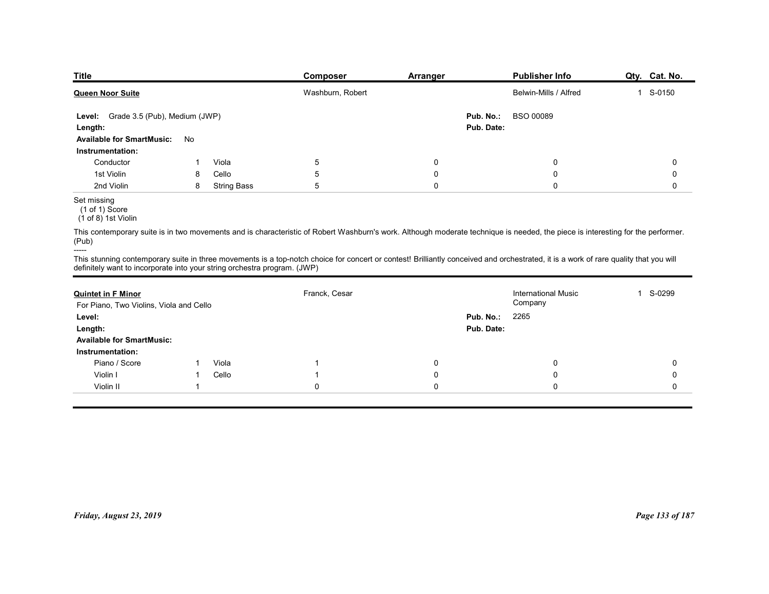| <b>Title</b>                                                                      |    |                    | Composer                                                                                                                                                                             | <b>Arranger</b> |            | Publisher Info             | Qty. Cat. No. |
|-----------------------------------------------------------------------------------|----|--------------------|--------------------------------------------------------------------------------------------------------------------------------------------------------------------------------------|-----------------|------------|----------------------------|---------------|
| <b>Queen Noor Suite</b>                                                           |    |                    | Washburn, Robert                                                                                                                                                                     |                 |            | Belwin-Mills / Alfred      | 1 S-0150      |
| Level: Grade 3.5 (Pub), Medium (JWP)                                              |    |                    |                                                                                                                                                                                      |                 | Pub. No.:  | BSO 00089                  |               |
| Length:                                                                           |    |                    |                                                                                                                                                                                      |                 | Pub. Date: |                            |               |
| <b>Available for SmartMusic:</b>                                                  | No |                    |                                                                                                                                                                                      |                 |            |                            |               |
| Instrumentation:<br>Conductor                                                     |    | Viola              | 5                                                                                                                                                                                    | 0               |            | 0                          | 0             |
| 1st Violin                                                                        | 8  | Cello              | 5                                                                                                                                                                                    | 0               |            | 0                          | 0             |
| 2nd Violin                                                                        | 8  | <b>String Bass</b> | 5                                                                                                                                                                                    | $\mathbf 0$     |            | $\mathbf 0$                | 0             |
| Set missing<br>$(1 of 1)$ Score<br>(1 of 8) 1st Violin                            |    |                    |                                                                                                                                                                                      |                 |            |                            |               |
| (Pub)                                                                             |    |                    | This contemporary suite is in two movements and is characteristic of Robert Washburn's work. Although moderate technique is needed, the piece is interesting for the performer.      |                 |            |                            |               |
| -----<br>definitely want to incorporate into your string orchestra program. (JWP) |    |                    | This stunning contemporary suite in three movements is a top-notch choice for concert or contest! Brilliantly conceived and orchestrated, it is a work of rare quality that you will |                 |            |                            |               |
|                                                                                   |    |                    | Franck, Cesar                                                                                                                                                                        |                 |            | <b>International Music</b> | 1 S-0299      |
| <b>Quintet in F Minor</b><br>For Piano, Two Violins, Viola and Cello              |    |                    |                                                                                                                                                                                      |                 |            | Company                    |               |
| Level:                                                                            |    |                    |                                                                                                                                                                                      |                 | Pub. No.:  | 2265                       |               |
|                                                                                   |    |                    |                                                                                                                                                                                      |                 | Pub. Date: |                            |               |
| Length:                                                                           |    |                    |                                                                                                                                                                                      |                 |            |                            |               |
| <b>Available for SmartMusic:</b>                                                  |    |                    |                                                                                                                                                                                      |                 |            |                            |               |

| Level: Grade 3.5 (Pub), Medium (JWP)<br>Length:                                   |                |                    |                | Pub. Date:   | Pub. No.: BSO 00089                                                                                                                                                                  |                 |
|-----------------------------------------------------------------------------------|----------------|--------------------|----------------|--------------|--------------------------------------------------------------------------------------------------------------------------------------------------------------------------------------|-----------------|
| Available for SmartMusic: No<br>Instrumentation:                                  |                |                    |                |              |                                                                                                                                                                                      |                 |
| Conductor                                                                         | $\overline{1}$ | Viola              | $\sqrt{5}$     | 0            | 0                                                                                                                                                                                    | 0               |
| 1st Violin                                                                        | 8              | Cello              | $\,$ 5 $\,$    | $\mathbf 0$  | $\mathbf 0$                                                                                                                                                                          | $\mathbf 0$     |
| 2nd Violin                                                                        | 8              | <b>String Bass</b> | 5              | $\mathbf 0$  | $\mathbf 0$                                                                                                                                                                          | $\mathbf 0$     |
| Set missing<br>$(1 \text{ of } 1)$ Score<br>$(1 of 8)$ 1st Violin                 |                |                    |                |              |                                                                                                                                                                                      |                 |
| (Pub)                                                                             |                |                    |                |              | This contemporary suite is in two movements and is characteristic of Robert Washburn's work. Although moderate technique is needed, the piece is interesting for the performer.      |                 |
| -----<br>definitely want to incorporate into your string orchestra program. (JWP) |                |                    |                |              | This stunning contemporary suite in three movements is a top-notch choice for concert or contest! Brilliantly conceived and orchestrated, it is a work of rare quality that you will |                 |
| <b>Quintet in F Minor</b>                                                         |                |                    | Franck, Cesar  |              | <b>International Music</b>                                                                                                                                                           | 1 S-0299        |
| For Piano, Two Violins, Viola and Cello                                           |                |                    |                |              | Company                                                                                                                                                                              |                 |
| Level:                                                                            |                |                    |                | Pub. No.:    | 2265                                                                                                                                                                                 |                 |
| Length:                                                                           |                |                    |                | Pub. Date:   |                                                                                                                                                                                      |                 |
| <b>Available for SmartMusic:</b>                                                  |                |                    |                |              |                                                                                                                                                                                      |                 |
| Instrumentation:                                                                  |                |                    |                |              |                                                                                                                                                                                      |                 |
| Piano / Score                                                                     | $\mathbf{1}$   | Viola              | $\overline{1}$ | $\mathsf{O}$ | $\mathbf 0$                                                                                                                                                                          | $\mathbf 0$     |
| Violin I                                                                          | 1              | Cello              | $\overline{1}$ | 0            | 0                                                                                                                                                                                    | $\mathbf 0$     |
| Violin II                                                                         | $\overline{1}$ |                    | $\pmb{0}$      | $\pmb{0}$    | 0                                                                                                                                                                                    | $\mathbf 0$     |
|                                                                                   |                |                    |                |              |                                                                                                                                                                                      |                 |
|                                                                                   |                |                    |                |              |                                                                                                                                                                                      |                 |
|                                                                                   |                |                    |                |              |                                                                                                                                                                                      |                 |
|                                                                                   |                |                    |                |              |                                                                                                                                                                                      |                 |
| Friday, August 23, 2019                                                           |                |                    |                |              |                                                                                                                                                                                      | Page 133 of 187 |
|                                                                                   |                |                    |                |              |                                                                                                                                                                                      |                 |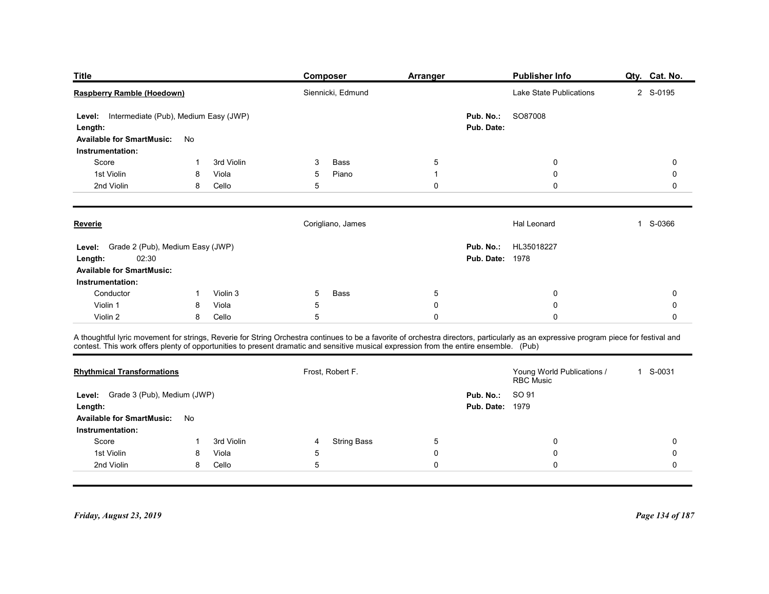| <b>Title</b>                                         |              |            | Composer                                                                                                                                                                                                                                                                                                                        | <b>Arranger</b> |                        | <b>Publisher Info</b>                   | Qty. Cat. No. |
|------------------------------------------------------|--------------|------------|---------------------------------------------------------------------------------------------------------------------------------------------------------------------------------------------------------------------------------------------------------------------------------------------------------------------------------|-----------------|------------------------|-----------------------------------------|---------------|
| Raspberry Ramble (Hoedown)                           |              |            | Siennicki, Edmund                                                                                                                                                                                                                                                                                                               |                 |                        | Lake State Publications                 | 2 S-0195      |
| Intermediate (Pub), Medium Easy (JWP)<br>Level:      |              |            |                                                                                                                                                                                                                                                                                                                                 |                 | Pub. No.:              | SO87008                                 |               |
| Length:                                              |              |            |                                                                                                                                                                                                                                                                                                                                 |                 | Pub. Date:             |                                         |               |
| <b>Available for SmartMusic:</b><br>Instrumentation: | No           |            |                                                                                                                                                                                                                                                                                                                                 |                 |                        |                                         |               |
| Score                                                |              | 3rd Violin | Bass<br>3                                                                                                                                                                                                                                                                                                                       | 5               |                        | 0                                       | 0             |
| 1st Violin                                           | 8            | Viola      | 5<br>Piano                                                                                                                                                                                                                                                                                                                      | $\mathbf 1$     |                        | 0                                       | 0             |
| 2nd Violin                                           | 8            | Cello      | 5                                                                                                                                                                                                                                                                                                                               | 0               |                        | $\mathbf 0$                             | 0             |
| <b>Reverie</b>                                       |              |            | Corigliano, James                                                                                                                                                                                                                                                                                                               |                 |                        | Hal Leonard                             | 1 S-0366      |
| Level: Grade 2 (Pub), Medium Easy (JWP)              |              |            |                                                                                                                                                                                                                                                                                                                                 |                 |                        | Pub. No.: HL35018227                    |               |
| 02:30<br>Length:                                     |              |            |                                                                                                                                                                                                                                                                                                                                 |                 | <b>Pub. Date: 1978</b> |                                         |               |
| <b>Available for SmartMusic:</b><br>Instrumentation: |              |            |                                                                                                                                                                                                                                                                                                                                 |                 |                        |                                         |               |
| Conductor                                            | $\mathbf{1}$ | Violin 3   | 5<br>Bass                                                                                                                                                                                                                                                                                                                       | $5\phantom{.0}$ |                        | 0                                       | 0             |
| Violin 1                                             | 8            | Viola      | 5                                                                                                                                                                                                                                                                                                                               | 0               |                        | $\boldsymbol{0}$                        | 0             |
| Violin 2                                             | 8            | Cello      | 5                                                                                                                                                                                                                                                                                                                               | 0               |                        | $\mathbf 0$                             | 0             |
|                                                      |              |            | A thoughtful lyric movement for strings, Reverie for String Orchestra continues to be a favorite of orchestra directors, particularly as an expressive program piece for festival and<br>contest. This work offers plenty of opportunities to present dramatic and sensitive musical expression from the entire ensemble. (Pub) |                 |                        |                                         |               |
| <b>Rhythmical Transformations</b>                    |              |            | Frost, Robert F.                                                                                                                                                                                                                                                                                                                |                 |                        | Young World Publications /<br>RBC Music | 1 S-0031      |
| Level: Grade 3 (Pub), Medium (JWP)                   |              |            |                                                                                                                                                                                                                                                                                                                                 |                 | Pub. No.:              | SO 91                                   |               |
| Length:                                              |              |            |                                                                                                                                                                                                                                                                                                                                 |                 | <b>Pub. Date: 1979</b> |                                         |               |
| <b>Available for SmartMusic:</b>                     | No           |            |                                                                                                                                                                                                                                                                                                                                 |                 |                        |                                         |               |
|                                                      | -1           | 3rd Violin | <b>String Bass</b><br>$\overline{4}$                                                                                                                                                                                                                                                                                            | 5               |                        | $\boldsymbol{0}$                        | $\mathbf 0$   |
| Instrumentation:                                     | 8            | Viola      | 5                                                                                                                                                                                                                                                                                                                               | 0               |                        | $\boldsymbol{0}$                        | 0             |
| Score<br>1st Violin                                  |              | Cello      | $5\phantom{.0}$                                                                                                                                                                                                                                                                                                                 | $\mathsf{O}$    |                        | $\mathbf 0$                             |               |

| Reverie                                                                                         |    |                | Corigliano, James                                                                                                                                                                                                                                                                                                               |               | Hal Leonard                                       | S-0366<br>$\mathbf{1}$ |
|-------------------------------------------------------------------------------------------------|----|----------------|---------------------------------------------------------------------------------------------------------------------------------------------------------------------------------------------------------------------------------------------------------------------------------------------------------------------------------|---------------|---------------------------------------------------|------------------------|
| Level: Grade 2 (Pub), Medium Easy (JWP)<br>02:30<br>Length:<br><b>Available for SmartMusic:</b> |    |                |                                                                                                                                                                                                                                                                                                                                 |               | HL35018227<br>Pub. No.:<br><b>Pub. Date: 1978</b> |                        |
| Instrumentation:                                                                                |    |                |                                                                                                                                                                                                                                                                                                                                 |               |                                                   |                        |
| Conductor                                                                                       |    | Violin 3       | Bass<br>5                                                                                                                                                                                                                                                                                                                       | 5             | 0                                                 | $\mathbf 0$            |
| Violin 1<br>Violin 2                                                                            | 8  | Viola<br>Cello | 5<br>5                                                                                                                                                                                                                                                                                                                          | 0<br>$\Omega$ | 0                                                 |                        |
|                                                                                                 | 8  |                |                                                                                                                                                                                                                                                                                                                                 |               |                                                   |                        |
|                                                                                                 |    |                | A thoughtful lyric movement for strings, Reverie for String Orchestra continues to be a favorite of orchestra directors, particularly as an expressive program piece for festival and<br>contest. This work offers plenty of opportunities to present dramatic and sensitive musical expression from the entire ensemble. (Pub) |               |                                                   |                        |
| <b>Rhythmical Transformations</b>                                                               |    |                | Frost, Robert F.                                                                                                                                                                                                                                                                                                                |               | Young World Publications /<br><b>RBC Music</b>    | 1 S-0031               |
| Level: Grade 3 (Pub), Medium (JWP)                                                              |    |                |                                                                                                                                                                                                                                                                                                                                 |               | SO 91<br>Pub. No.:                                |                        |
| Length:                                                                                         |    |                |                                                                                                                                                                                                                                                                                                                                 |               | <b>Pub. Date: 1979</b>                            |                        |
| <b>Available for SmartMusic:</b>                                                                | No |                |                                                                                                                                                                                                                                                                                                                                 |               |                                                   |                        |
| Instrumentation:                                                                                |    |                |                                                                                                                                                                                                                                                                                                                                 |               |                                                   |                        |
| Score                                                                                           |    | 3rd Violin     | <b>String Bass</b><br>4                                                                                                                                                                                                                                                                                                         | 5             | 0                                                 | $\Omega$               |
| 1st Violin                                                                                      | 8  | Viola          | 5                                                                                                                                                                                                                                                                                                                               | 0             |                                                   |                        |
| 2nd Violin                                                                                      | 8  | Cello          | 5                                                                                                                                                                                                                                                                                                                               | $\Omega$      |                                                   |                        |
| Friday, August 23, 2019                                                                         |    |                |                                                                                                                                                                                                                                                                                                                                 |               |                                                   | Page 134 of 187        |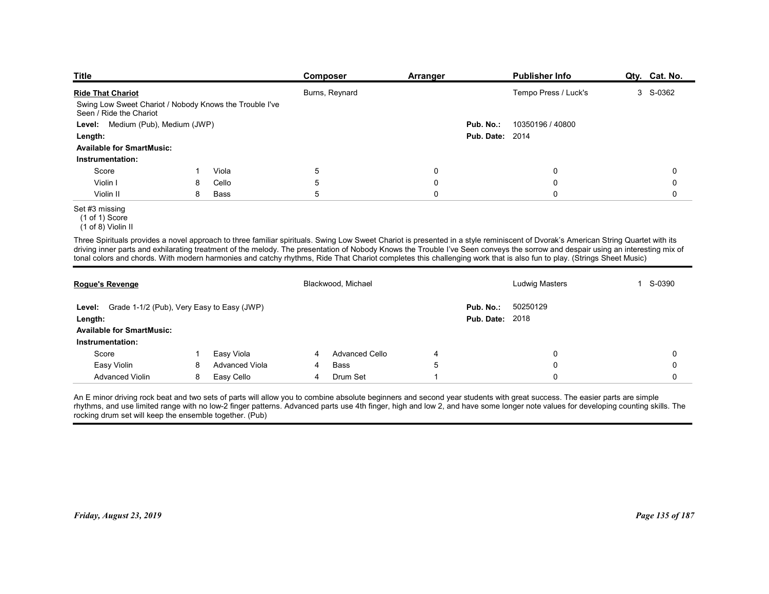| <b>Title</b>                                                                                                                                                                                                                                                                                                                                                                                                                                                                                                                                 |       | Composer           | <b>Arranger</b> |                        | <b>Publisher Info</b> | Qty. Cat. No. |
|----------------------------------------------------------------------------------------------------------------------------------------------------------------------------------------------------------------------------------------------------------------------------------------------------------------------------------------------------------------------------------------------------------------------------------------------------------------------------------------------------------------------------------------------|-------|--------------------|-----------------|------------------------|-----------------------|---------------|
| <b>Ride That Chariot</b>                                                                                                                                                                                                                                                                                                                                                                                                                                                                                                                     |       | Burns, Reynard     |                 |                        | Tempo Press / Luck's  | 3 S-0362      |
| Swing Low Sweet Chariot / Nobody Knows the Trouble I've<br>Seen / Ride the Chariot                                                                                                                                                                                                                                                                                                                                                                                                                                                           |       |                    |                 |                        |                       |               |
| Level: Medium (Pub), Medium (JWP)                                                                                                                                                                                                                                                                                                                                                                                                                                                                                                            |       |                    |                 | Pub. No.:              | 10350196 / 40800      |               |
| Length:<br><b>Available for SmartMusic:</b>                                                                                                                                                                                                                                                                                                                                                                                                                                                                                                  |       |                    |                 | <b>Pub. Date: 2014</b> |                       |               |
| Instrumentation:                                                                                                                                                                                                                                                                                                                                                                                                                                                                                                                             |       |                    |                 |                        |                       |               |
| Score                                                                                                                                                                                                                                                                                                                                                                                                                                                                                                                                        | Viola | $\sqrt{5}$         | 0               |                        | 0                     | 0             |
| Violin I<br>8                                                                                                                                                                                                                                                                                                                                                                                                                                                                                                                                | Cello | 5                  | $\mathbf 0$     |                        | $\boldsymbol{0}$      | 0             |
| Violin II<br>8                                                                                                                                                                                                                                                                                                                                                                                                                                                                                                                               | Bass  | 5                  | $\mathbf 0$     |                        | $\mathbf 0$           | $\mathbf 0$   |
| Set #3 missing<br>$(1 \text{ of } 1)$ Score<br>(1 of 8) Violin II                                                                                                                                                                                                                                                                                                                                                                                                                                                                            |       |                    |                 |                        |                       |               |
| Three Spirituals provides a novel approach to three familiar spirituals. Swing Low Sweet Chariot is presented in a style reminiscent of Dvorak's American String Quartet with its<br>driving inner parts and exhilarating treatment of the melody. The presentation of Nobody Knows the Trouble I've Seen conveys the sorrow and despair using an interesting mix of<br>tonal colors and chords. With modern harmonies and catchy rhythms, Ride That Chariot completes this challenging work that is also fun to play. (Strings Sheet Music) |       |                    |                 |                        |                       |               |
|                                                                                                                                                                                                                                                                                                                                                                                                                                                                                                                                              |       | Blackwood, Michael |                 |                        | <b>Ludwig Masters</b> | 1 S-0390      |
| Rogue's Revenge                                                                                                                                                                                                                                                                                                                                                                                                                                                                                                                              |       |                    |                 | Pub. No.:<br>50250129  |                       |               |
|                                                                                                                                                                                                                                                                                                                                                                                                                                                                                                                                              |       |                    |                 |                        |                       |               |
| Level: Grade 1-1/2 (Pub), Very Easy to Easy (JWP)                                                                                                                                                                                                                                                                                                                                                                                                                                                                                            |       |                    |                 |                        |                       |               |
| Length:<br><b>Available for SmartMusic:</b>                                                                                                                                                                                                                                                                                                                                                                                                                                                                                                  |       |                    |                 | <b>Pub. Date: 2018</b> |                       |               |

Set #3 missing

| Seen / Ride the Chariot<br>Level: Medium (Pub), Medium (JWP)                                     |    | Swing Low Sweet Chariot / Nobody Knows the Trouble I've |                       |                |                                                                                                                                                                                                                                                                                                                                                                                                                                                                                                                                              |             |
|--------------------------------------------------------------------------------------------------|----|---------------------------------------------------------|-----------------------|----------------|----------------------------------------------------------------------------------------------------------------------------------------------------------------------------------------------------------------------------------------------------------------------------------------------------------------------------------------------------------------------------------------------------------------------------------------------------------------------------------------------------------------------------------------------|-------------|
|                                                                                                  |    |                                                         |                       |                | 10350196 / 40800<br>Pub. No.:                                                                                                                                                                                                                                                                                                                                                                                                                                                                                                                |             |
| Length:                                                                                          |    |                                                         |                       |                | <b>Pub. Date: 2014</b>                                                                                                                                                                                                                                                                                                                                                                                                                                                                                                                       |             |
| <b>Available for SmartMusic:</b>                                                                 |    |                                                         |                       |                |                                                                                                                                                                                                                                                                                                                                                                                                                                                                                                                                              |             |
| Instrumentation:                                                                                 |    |                                                         |                       |                |                                                                                                                                                                                                                                                                                                                                                                                                                                                                                                                                              |             |
| Score                                                                                            | -1 | Viola                                                   | $\overline{5}$        | $\mathbf 0$    | 0                                                                                                                                                                                                                                                                                                                                                                                                                                                                                                                                            | $\mathbf 0$ |
| Violin I                                                                                         | 8  | Cello                                                   | 5                     | $\mathbf 0$    | 0                                                                                                                                                                                                                                                                                                                                                                                                                                                                                                                                            | $\Omega$    |
| Violin II                                                                                        | 8  | <b>Bass</b>                                             | 5                     | $\mathbf 0$    | $\Omega$                                                                                                                                                                                                                                                                                                                                                                                                                                                                                                                                     | $\mathbf 0$ |
| Set #3 missing<br>(1 of 1) Score<br>(1 of 8) Violin II                                           |    |                                                         |                       |                |                                                                                                                                                                                                                                                                                                                                                                                                                                                                                                                                              |             |
|                                                                                                  |    |                                                         |                       |                | Three Spirituals provides a novel approach to three familiar spirituals. Swing Low Sweet Chariot is presented in a style reminiscent of Dvorak's American String Quartet with its<br>driving inner parts and exhilarating treatment of the melody. The presentation of Nobody Knows the Trouble I've Seen conveys the sorrow and despair using an interesting mix of<br>tonal colors and chords. With modern harmonies and catchy rhythms, Ride That Chariot completes this challenging work that is also fun to play. (Strings Sheet Music) |             |
| Rogue's Revenge                                                                                  |    |                                                         | Blackwood, Michael    |                | <b>Ludwig Masters</b>                                                                                                                                                                                                                                                                                                                                                                                                                                                                                                                        | 1 S-0390    |
| Level: Grade 1-1/2 (Pub), Very Easy to Easy (JWP)<br>Length:<br><b>Available for SmartMusic:</b> |    |                                                         |                       |                | Pub. No.:<br>50250129<br><b>Pub. Date: 2018</b>                                                                                                                                                                                                                                                                                                                                                                                                                                                                                              |             |
| Instrumentation:                                                                                 |    |                                                         |                       |                |                                                                                                                                                                                                                                                                                                                                                                                                                                                                                                                                              |             |
| Score                                                                                            | 1  | Easy Viola                                              | <b>Advanced Cello</b> | 4              | 0                                                                                                                                                                                                                                                                                                                                                                                                                                                                                                                                            | $\Omega$    |
| Easy Violin                                                                                      | 8  | <b>Advanced Viola</b>                                   | Bass                  | 5              | $\mathbf{0}$                                                                                                                                                                                                                                                                                                                                                                                                                                                                                                                                 | $\Omega$    |
| <b>Advanced Violin</b>                                                                           | 8  | Easy Cello                                              | Drum Set<br>4         | $\overline{1}$ | $\Omega$                                                                                                                                                                                                                                                                                                                                                                                                                                                                                                                                     | $\Omega$    |
| rocking drum set will keep the ensemble together. (Pub)                                          |    |                                                         |                       |                | An E minor driving rock beat and two sets of parts will allow you to combine absolute beginners and second year students with great success. The easier parts are simple<br>rhythms, and use limited range with no low-2 finger patterns. Advanced parts use 4th finger, high and low 2, and have some longer note values for developing counting skills. The                                                                                                                                                                                |             |

 <sup>(1</sup> of 1) Score

 <sup>(1</sup> of 8) Violin II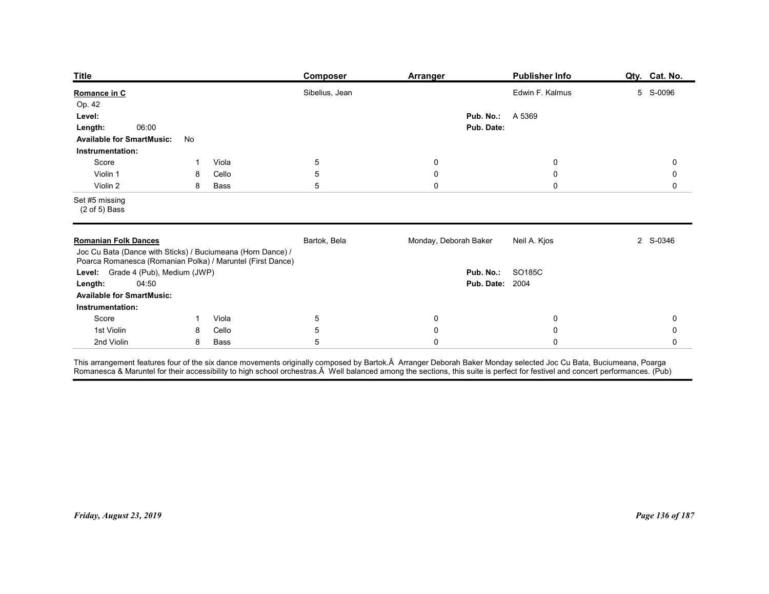| <b>Title</b><br><b>Publisher Info</b><br>Qty. Cat. No.<br>Composer<br><b>Arranger</b><br>Sibelius, Jean<br>Edwin F. Kalmus<br>5 S-0096<br>Op. 42<br>Pub. No.:<br>A 5369<br>Level:<br>06:00<br>Pub. Date:<br>Length:<br><b>Available for SmartMusic:</b><br>No<br>Instrumentation:<br>Score<br>Viola<br>5<br>$\boldsymbol{0}$<br>$\mathbf 0$<br>0<br>-1<br>5<br>Violin 1<br>Cello<br>0<br>$\boldsymbol{0}$<br>0<br>8<br>5<br>$\pmb{0}$<br>$\mathbf 0$<br>Violin 2<br>Bass<br>0<br>8<br>$(2 \text{ of } 5)$ Bass<br>Bartok, Bela<br>Monday, Deborah Baker<br>Neil A. Kjos<br>2 S-0346<br>Joc Cu Bata (Dance with Sticks) / Buciumeana (Horn Dance) /<br>Poarca Romanesca (Romanian Polka) / Maruntel (First Dance)<br>Level: Grade 4 (Pub), Medium (JWP)<br>Pub. No.: SO185C<br><b>Pub. Date: 2004</b><br>04:50<br>Length:<br><b>Available for SmartMusic:</b><br>Instrumentation:<br>Score<br>1 Viola<br>$5\phantom{.0}$<br>$\overline{0}$<br>$\mathbf 0$<br>0<br>$5\phantom{.0}$<br>1st Violin<br>Cello<br>$\mathbf 0$<br>8<br>$\mathbf 0$<br>0 |                                                                            |
|-------------------------------------------------------------------------------------------------------------------------------------------------------------------------------------------------------------------------------------------------------------------------------------------------------------------------------------------------------------------------------------------------------------------------------------------------------------------------------------------------------------------------------------------------------------------------------------------------------------------------------------------------------------------------------------------------------------------------------------------------------------------------------------------------------------------------------------------------------------------------------------------------------------------------------------------------------------------------------------------------------------------------------------------------|----------------------------------------------------------------------------|
| Romance in C<br>Set #5 missing<br><b>Romanian Folk Dances</b>                                                                                                                                                                                                                                                                                                                                                                                                                                                                                                                                                                                                                                                                                                                                                                                                                                                                                                                                                                                   |                                                                            |
|                                                                                                                                                                                                                                                                                                                                                                                                                                                                                                                                                                                                                                                                                                                                                                                                                                                                                                                                                                                                                                                 |                                                                            |
|                                                                                                                                                                                                                                                                                                                                                                                                                                                                                                                                                                                                                                                                                                                                                                                                                                                                                                                                                                                                                                                 |                                                                            |
|                                                                                                                                                                                                                                                                                                                                                                                                                                                                                                                                                                                                                                                                                                                                                                                                                                                                                                                                                                                                                                                 |                                                                            |
|                                                                                                                                                                                                                                                                                                                                                                                                                                                                                                                                                                                                                                                                                                                                                                                                                                                                                                                                                                                                                                                 |                                                                            |
|                                                                                                                                                                                                                                                                                                                                                                                                                                                                                                                                                                                                                                                                                                                                                                                                                                                                                                                                                                                                                                                 |                                                                            |
|                                                                                                                                                                                                                                                                                                                                                                                                                                                                                                                                                                                                                                                                                                                                                                                                                                                                                                                                                                                                                                                 |                                                                            |
|                                                                                                                                                                                                                                                                                                                                                                                                                                                                                                                                                                                                                                                                                                                                                                                                                                                                                                                                                                                                                                                 |                                                                            |
|                                                                                                                                                                                                                                                                                                                                                                                                                                                                                                                                                                                                                                                                                                                                                                                                                                                                                                                                                                                                                                                 |                                                                            |
|                                                                                                                                                                                                                                                                                                                                                                                                                                                                                                                                                                                                                                                                                                                                                                                                                                                                                                                                                                                                                                                 | 2nd Violin<br>$5\phantom{.0}$<br>8 Bass<br>$\mathbf 0$<br>$\mathbf 0$<br>0 |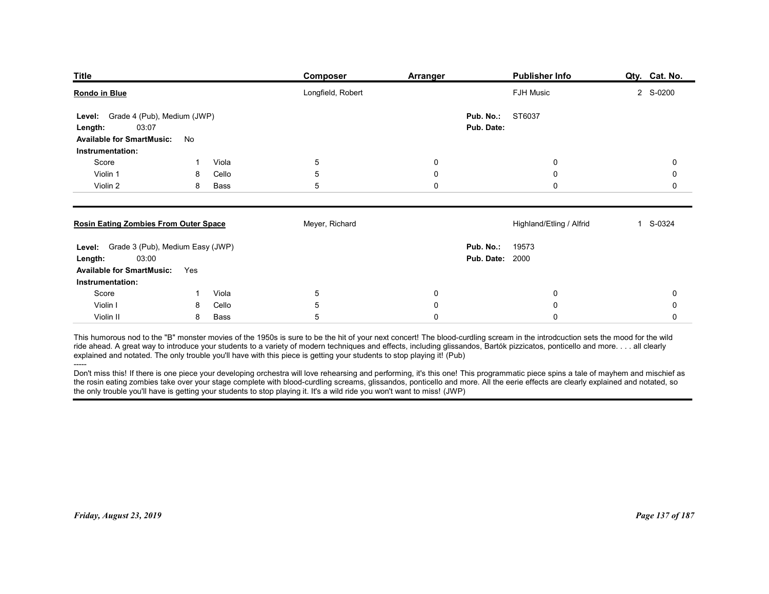| <b>Title</b>                                         |             |               | <b>Composer</b>                                                                                                                                                                                                                                                                                                                                                                                                                                                                                     | Arranger         | <b>Publisher Info</b>    | Qty. Cat. No.   |
|------------------------------------------------------|-------------|---------------|-----------------------------------------------------------------------------------------------------------------------------------------------------------------------------------------------------------------------------------------------------------------------------------------------------------------------------------------------------------------------------------------------------------------------------------------------------------------------------------------------------|------------------|--------------------------|-----------------|
| Rondo in Blue                                        |             |               | Longfield, Robert                                                                                                                                                                                                                                                                                                                                                                                                                                                                                   |                  | <b>FJH Music</b>         | 2 S-0200        |
| Grade 4 (Pub), Medium (JWP)<br>Level:                |             |               |                                                                                                                                                                                                                                                                                                                                                                                                                                                                                                     | Pub. No.:        | ST6037                   |                 |
| 03:07<br>Length:<br><b>Available for SmartMusic:</b> | No          |               |                                                                                                                                                                                                                                                                                                                                                                                                                                                                                                     | Pub. Date:       |                          |                 |
| Instrumentation:                                     |             |               |                                                                                                                                                                                                                                                                                                                                                                                                                                                                                                     |                  |                          |                 |
| Score                                                |             | Viola         | 5                                                                                                                                                                                                                                                                                                                                                                                                                                                                                                   | 0                | 0                        | 0               |
| Violin 1<br>Violin 2                                 | 8<br>8      | Cello<br>Bass | 5<br>5                                                                                                                                                                                                                                                                                                                                                                                                                                                                                              | 0<br>$\mathbf 0$ | 0<br>$\mathbf 0$         | 0<br>0          |
| <b>Rosin Eating Zombies From Outer Space</b>         |             |               | Meyer, Richard                                                                                                                                                                                                                                                                                                                                                                                                                                                                                      |                  | Highland/Etling / Alfrid | 1 S-0324        |
| Level: Grade 3 (Pub), Medium Easy (JWP)              |             |               |                                                                                                                                                                                                                                                                                                                                                                                                                                                                                                     | Pub. No.:        | 19573                    |                 |
| 03:00<br>Length:<br><b>Available for SmartMusic:</b> | Yes         |               |                                                                                                                                                                                                                                                                                                                                                                                                                                                                                                     |                  | <b>Pub. Date: 2000</b>   |                 |
| Instrumentation:<br>Score                            | $\mathbf 1$ | Viola         | $5\phantom{.0}$                                                                                                                                                                                                                                                                                                                                                                                                                                                                                     | $\bf{0}$         | $\mathbf 0$              | 0               |
| Violin I                                             | 8           | Cello         | $\sqrt{5}$                                                                                                                                                                                                                                                                                                                                                                                                                                                                                          | $\pmb{0}$        | $\mathbf 0$              | 0               |
| Violin II                                            | 8           | Bass          | 5                                                                                                                                                                                                                                                                                                                                                                                                                                                                                                   | $\pmb{0}$        | $\mathsf{O}\xspace$      | 0               |
|                                                      |             |               | This humorous nod to the "B" monster movies of the 1950s is sure to be the hit of your next concert! The blood-curdling scream in the introdcuction sets the mood for the wild<br>ride ahead. A great way to introduce your students to a variety of modern techniques and effects, including glissandos, Bartók pizzicatos, ponticello and moreall clearly<br>explained and notated. The only trouble you'll h                                                                                     |                  |                          |                 |
| $-----$                                              |             |               | Don't miss this! If there is one piece your developing orchestra will love rehearsing and performing, it's this one! This programmatic piece spins a tale of mayhem and mischief as<br>the rosin eating zombies take over your stage complete with blood-curdling screams, glissandos, ponticello and more. All the eerie effects are clearly explained and notated, so<br>the only trouble you'll have is getting your students to stop playing it. It's a wild ride you won't want to miss! (JWP) |                  |                          |                 |
|                                                      |             |               |                                                                                                                                                                                                                                                                                                                                                                                                                                                                                                     |                  |                          |                 |
|                                                      |             |               |                                                                                                                                                                                                                                                                                                                                                                                                                                                                                                     |                  |                          |                 |
|                                                      |             |               |                                                                                                                                                                                                                                                                                                                                                                                                                                                                                                     |                  |                          |                 |
|                                                      |             |               |                                                                                                                                                                                                                                                                                                                                                                                                                                                                                                     |                  |                          |                 |
|                                                      |             |               |                                                                                                                                                                                                                                                                                                                                                                                                                                                                                                     |                  |                          |                 |
|                                                      |             |               |                                                                                                                                                                                                                                                                                                                                                                                                                                                                                                     |                  |                          |                 |
|                                                      |             |               |                                                                                                                                                                                                                                                                                                                                                                                                                                                                                                     |                  |                          |                 |
|                                                      |             |               |                                                                                                                                                                                                                                                                                                                                                                                                                                                                                                     |                  |                          |                 |
| Friday, August 23, 2019                              |             |               |                                                                                                                                                                                                                                                                                                                                                                                                                                                                                                     |                  |                          |                 |
|                                                      |             |               |                                                                                                                                                                                                                                                                                                                                                                                                                                                                                                     |                  |                          |                 |
|                                                      |             |               |                                                                                                                                                                                                                                                                                                                                                                                                                                                                                                     |                  |                          |                 |
|                                                      |             |               |                                                                                                                                                                                                                                                                                                                                                                                                                                                                                                     |                  |                          | Page 137 of 187 |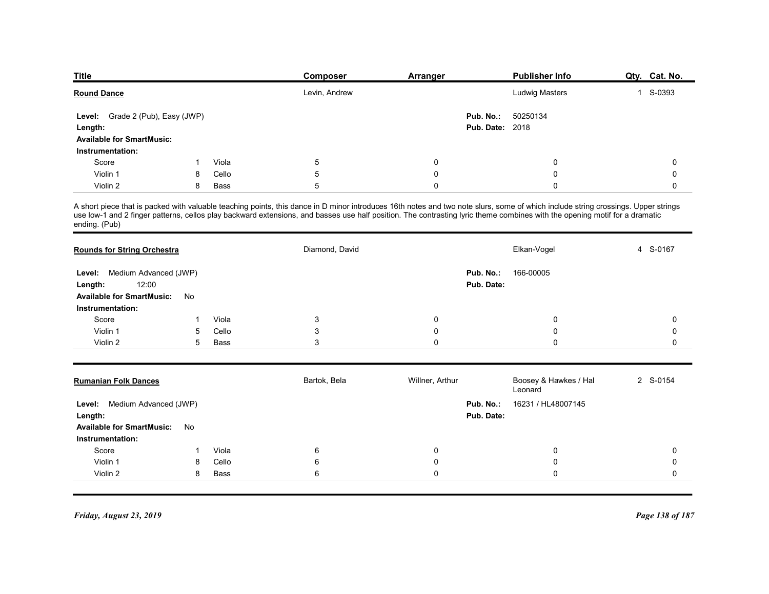| <b>Title</b>                       |                             |                | <b>Composer</b>                                                                                                                                                                                                                                                                                                                                                 | <b>Arranger</b> |                        | <b>Publisher Info</b>            | Qty. Cat. No.                      |
|------------------------------------|-----------------------------|----------------|-----------------------------------------------------------------------------------------------------------------------------------------------------------------------------------------------------------------------------------------------------------------------------------------------------------------------------------------------------------------|-----------------|------------------------|----------------------------------|------------------------------------|
| <b>Round Dance</b>                 |                             |                | Levin, Andrew                                                                                                                                                                                                                                                                                                                                                   |                 |                        | Ludwig Masters                   | 1 S-0393                           |
| Level: Grade 2 (Pub), Easy (JWP)   |                             |                |                                                                                                                                                                                                                                                                                                                                                                 |                 | Pub. No.:              | 50250134                         |                                    |
| Length:                            |                             |                |                                                                                                                                                                                                                                                                                                                                                                 |                 | <b>Pub. Date: 2018</b> |                                  |                                    |
| <b>Available for SmartMusic:</b>   |                             |                |                                                                                                                                                                                                                                                                                                                                                                 |                 |                        |                                  |                                    |
| Instrumentation:<br>Score          |                             | Viola          | 5                                                                                                                                                                                                                                                                                                                                                               | 0               |                        | 0                                | 0                                  |
| Violin 1                           | 8                           | Cello          | 5                                                                                                                                                                                                                                                                                                                                                               | $\mathbf 0$     |                        | 0                                | 0                                  |
| Violin 2                           | 8                           | Bass           | 5                                                                                                                                                                                                                                                                                                                                                               | 0               |                        | 0                                | 0                                  |
| ending. (Pub)                      |                             |                | A short piece that is packed with valuable teaching points, this dance in D minor introduces 16th notes and two note slurs, some of which include string crossings. Upper strings<br>use low-1 and 2 finger patterns, cellos play backward extensions, and basses use half position. The contrasting lyric theme combines with the opening motif for a dramatic |                 |                        |                                  |                                    |
| <b>Rounds for String Orchestra</b> |                             |                | Diamond, David                                                                                                                                                                                                                                                                                                                                                  |                 |                        | Elkan-Vogel                      | 4 S-0167                           |
| Level: Medium Advanced (JWP)       |                             |                |                                                                                                                                                                                                                                                                                                                                                                 |                 | Pub. No.:              | 166-00005                        |                                    |
| 12:00<br>Length:                   |                             |                |                                                                                                                                                                                                                                                                                                                                                                 |                 | Pub. Date:             |                                  |                                    |
| Available for SmartMusic: No       |                             |                |                                                                                                                                                                                                                                                                                                                                                                 |                 |                        |                                  |                                    |
| Instrumentation:                   |                             |                |                                                                                                                                                                                                                                                                                                                                                                 |                 |                        |                                  |                                    |
| Score<br>Violin 1                  | $\mathbf 1$<br>5            | Viola<br>Cello | $\sqrt{3}$<br>$\mathsf 3$                                                                                                                                                                                                                                                                                                                                       | 0<br>0          |                        | 0<br>0                           | $\mathbf 0$<br>$\mathsf{O}\xspace$ |
| Violin 2                           | $5^{\circ}$                 | Bass           | $\mathsf 3$                                                                                                                                                                                                                                                                                                                                                     | $\mathsf 0$     |                        | 0                                | $\mathbf 0$                        |
|                                    |                             |                |                                                                                                                                                                                                                                                                                                                                                                 |                 |                        |                                  |                                    |
|                                    | <b>Rumanian Folk Dances</b> |                | Bartok, Bela                                                                                                                                                                                                                                                                                                                                                    | Willner, Arthur |                        | Boosey & Hawkes / Hal<br>Leonard | 2 S-0154                           |

| <b>Round Dance</b>                                                              |    |               | Levin, Andrew  |                 |                                     | Ludwig Masters                   | S-0393      |
|---------------------------------------------------------------------------------|----|---------------|----------------|-----------------|-------------------------------------|----------------------------------|-------------|
| Level: Grade 2 (Pub), Easy (JWP)<br>Length:<br><b>Available for SmartMusic:</b> |    |               |                |                 | Pub. No.:<br><b>Pub. Date: 2018</b> | 50250134                         |             |
| Instrumentation:                                                                |    |               |                |                 |                                     |                                  |             |
| Score                                                                           |    | Viola         | 5              | $\Omega$        |                                     | $\Omega$                         | 0           |
| Violin 1                                                                        | 8  | Cello         | 5              | 0               |                                     | 0                                | 0           |
| Violin 2                                                                        | 8  | <b>Bass</b>   | 5              | $\Omega$        |                                     | $\Omega$                         | $\Omega$    |
| ending. (Pub)<br><b>Rounds for String Orchestra</b>                             |    |               | Diamond, David |                 |                                     | Elkan-Vogel                      | S-0167<br>4 |
|                                                                                 |    |               |                |                 |                                     |                                  |             |
| Medium Advanced (JWP)<br>Level:                                                 |    |               |                |                 | Pub. No.:                           | 166-00005                        |             |
| 12:00<br>Length:                                                                |    |               |                |                 | Pub. Date:                          |                                  |             |
| <b>Available for SmartMusic:</b>                                                | No |               |                |                 |                                     |                                  |             |
| Instrumentation:                                                                |    |               |                |                 |                                     |                                  |             |
| Score<br>Violin 1                                                               | 5  | Viola         | 3              | 0               |                                     | 0                                | 0           |
| Violin 2                                                                        | 5  | Cello<br>Bass | 3<br>3         | 0<br>0          |                                     | 0<br>0                           | 0<br>0      |
|                                                                                 |    |               |                |                 |                                     |                                  |             |
| <b>Rumanian Folk Dances</b>                                                     |    |               | Bartok, Bela   | Willner, Arthur |                                     | Boosey & Hawkes / Hal<br>Leonard | 2 S-0154    |
| Medium Advanced (JWP)<br>Level:                                                 |    |               |                |                 | Pub. No.:                           | 16231 / HL48007145               |             |
| Length:                                                                         |    |               |                |                 | Pub. Date:                          |                                  |             |
| <b>Available for SmartMusic:</b>                                                | No |               |                |                 |                                     |                                  |             |
| Instrumentation:                                                                |    |               |                |                 |                                     |                                  |             |

| <b>Rounds for String Orchestra</b> |    |                | Diamond, David  |                 |            | Elkan-Vogel                      | 4 S-0167        |
|------------------------------------|----|----------------|-----------------|-----------------|------------|----------------------------------|-----------------|
| Level: Medium Advanced (JWP)       |    |                |                 |                 | Pub. No.:  | 166-00005                        |                 |
| 12:00<br>Length:                   |    |                |                 |                 | Pub. Date: |                                  |                 |
| <b>Available for SmartMusic:</b>   | No |                |                 |                 |            |                                  |                 |
| Instrumentation:                   |    |                |                 |                 |            |                                  | $\Omega$        |
| Score<br>Violin 1                  | 5  | Viola<br>Cello | $\sqrt{3}$<br>3 | 0<br>$\Omega$   |            | 0<br>O                           |                 |
| Violin 2                           | 5  | Bass           | 3               | $\mathbf 0$     |            | U                                | $\cap$          |
|                                    |    |                |                 |                 |            |                                  |                 |
| <b>Rumanian Folk Dances</b>        |    |                | Bartok, Bela    | Willner, Arthur |            | Boosey & Hawkes / Hal<br>Leonard | 2 S-0154        |
| Medium Advanced (JWP)<br>Level:    |    |                |                 |                 | Pub. No.:  | 16231 / HL48007145               |                 |
| Length:                            |    |                |                 |                 | Pub. Date: |                                  |                 |
| <b>Available for SmartMusic:</b>   | No |                |                 |                 |            |                                  |                 |
| Instrumentation:                   |    |                |                 |                 |            |                                  |                 |
| Score                              |    | Viola          | 6               | 0               |            | 0                                | $\Omega$        |
| Violin 1                           | 8  | Cello          | 6               | $\Omega$        |            | 0                                |                 |
| Violin 2                           | 8  | <b>Bass</b>    | $6\phantom{1}6$ | $\mathbf 0$     |            | 0                                | $\Omega$        |
|                                    |    |                |                 |                 |            |                                  |                 |
| Friday, August 23, 2019            |    |                |                 |                 |            |                                  | Page 138 of 187 |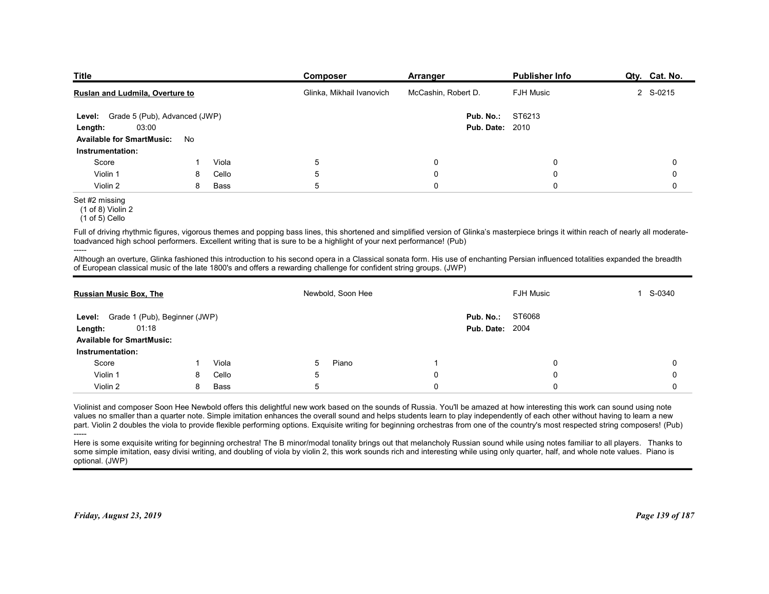| <b>Title</b>                                              |    |       | <b>Composer</b>                                                                                                                                                                                                                                                                                               | <b>Arranger</b>        | <b>Publisher Info</b> | Qty. Cat. No. |  |
|-----------------------------------------------------------|----|-------|---------------------------------------------------------------------------------------------------------------------------------------------------------------------------------------------------------------------------------------------------------------------------------------------------------------|------------------------|-----------------------|---------------|--|
| Ruslan and Ludmila, Overture to                           |    |       | Glinka, Mikhail Ivanovich                                                                                                                                                                                                                                                                                     | McCashin, Robert D.    | <b>FJH Music</b>      | 2 S-0215      |  |
| Level: Grade 5 (Pub), Advanced (JWP)                      |    |       |                                                                                                                                                                                                                                                                                                               | Pub. No.:              | ST6213                |               |  |
| 03:00<br>Length:                                          |    |       |                                                                                                                                                                                                                                                                                                               | <b>Pub. Date: 2010</b> |                       |               |  |
| <b>Available for SmartMusic:</b><br>Instrumentation:      | No |       |                                                                                                                                                                                                                                                                                                               |                        |                       |               |  |
| Score                                                     |    | Viola | 5                                                                                                                                                                                                                                                                                                             | 0                      | 0                     | 0             |  |
| Violin 1                                                  | 8  | Cello | 5                                                                                                                                                                                                                                                                                                             | 0                      | 0                     | 0             |  |
| Violin 2                                                  | 8  | Bass  | 5                                                                                                                                                                                                                                                                                                             | $\mathbf 0$            | 0                     | 0             |  |
| Set #2 missing<br>$(1 of 8)$ Violin 2<br>$(1 of 5)$ Cello |    |       |                                                                                                                                                                                                                                                                                                               |                        |                       |               |  |
|                                                           |    |       | Full of driving rhythmic figures, vigorous themes and popping bass lines, this shortened and simplified version of Glinka's masterpiece brings it within reach of nearly all moderate-<br>toadvanced high school performers. Excellent writing that is sure to be a highlight of your next performance! (Pub) |                        |                       |               |  |
| -----                                                     |    |       | Although an overture, Glinka fashioned this introduction to his second opera in a Classical sonata form. His use of enchanting Persian influenced totalities expanded the breadth<br>of European classical music of the late 1800's and offers a rewarding challenge for confident string groups. (JWP)       |                        |                       |               |  |
| <b>Russian Music Box, The</b>                             |    |       | Newbold, Soon Hee                                                                                                                                                                                                                                                                                             |                        | FJH Music             | 1 S-0340      |  |
| Level: Grade 1 (Pub), Beginner (JWP)                      |    |       |                                                                                                                                                                                                                                                                                                               | Pub. No.: ST6068       |                       |               |  |
| 01:18<br>Length:                                          |    |       |                                                                                                                                                                                                                                                                                                               | <b>Pub. Date: 2004</b> |                       |               |  |
|                                                           |    |       |                                                                                                                                                                                                                                                                                                               |                        |                       |               |  |
| <b>Available for SmartMusic:</b>                          |    |       |                                                                                                                                                                                                                                                                                                               |                        |                       |               |  |

### Set #2 missing

| <b>Pub. Date: 2010</b><br>03:00<br>Length:<br><b>Available for SmartMusic:</b><br>No<br>Instrumentation:<br>5<br>Score<br>Viola<br>0<br>0<br>0<br>1<br>5<br>$\Omega$<br>$\mathbf 0$<br>Violin 1<br>Cello<br>$\Omega$<br>8<br>Violin 2<br>Bass<br>5<br>$\Omega$<br>$\mathbf 0$<br>8<br>$\Omega$<br>Set #2 missing<br>$(1$ of 8) Violin 2<br>$(1 of 5)$ Cello<br>Full of driving rhythmic figures, vigorous themes and popping bass lines, this shortened and simplified version of Glinka's masterpiece brings it within reach of nearly all moderate-<br>toadvanced high school performers. Excellent writing that is sure to be a highlight of your next performance! (Pub)<br>-----<br>Although an overture, Glinka fashioned this introduction to his second opera in a Classical sonata form. His use of enchanting Persian influenced totalities expanded the breadth<br>of European classical music of the late 1800's and offers a rewarding challenge for confident string groups. (JWP)<br>Newbold, Soon Hee<br><b>FJH Music</b><br>1 S-0340<br><b>Russian Music Box, The</b> |
|----------------------------------------------------------------------------------------------------------------------------------------------------------------------------------------------------------------------------------------------------------------------------------------------------------------------------------------------------------------------------------------------------------------------------------------------------------------------------------------------------------------------------------------------------------------------------------------------------------------------------------------------------------------------------------------------------------------------------------------------------------------------------------------------------------------------------------------------------------------------------------------------------------------------------------------------------------------------------------------------------------------------------------------------------------------------------------------|
|                                                                                                                                                                                                                                                                                                                                                                                                                                                                                                                                                                                                                                                                                                                                                                                                                                                                                                                                                                                                                                                                                        |
|                                                                                                                                                                                                                                                                                                                                                                                                                                                                                                                                                                                                                                                                                                                                                                                                                                                                                                                                                                                                                                                                                        |
|                                                                                                                                                                                                                                                                                                                                                                                                                                                                                                                                                                                                                                                                                                                                                                                                                                                                                                                                                                                                                                                                                        |
|                                                                                                                                                                                                                                                                                                                                                                                                                                                                                                                                                                                                                                                                                                                                                                                                                                                                                                                                                                                                                                                                                        |
|                                                                                                                                                                                                                                                                                                                                                                                                                                                                                                                                                                                                                                                                                                                                                                                                                                                                                                                                                                                                                                                                                        |
|                                                                                                                                                                                                                                                                                                                                                                                                                                                                                                                                                                                                                                                                                                                                                                                                                                                                                                                                                                                                                                                                                        |
|                                                                                                                                                                                                                                                                                                                                                                                                                                                                                                                                                                                                                                                                                                                                                                                                                                                                                                                                                                                                                                                                                        |
|                                                                                                                                                                                                                                                                                                                                                                                                                                                                                                                                                                                                                                                                                                                                                                                                                                                                                                                                                                                                                                                                                        |
|                                                                                                                                                                                                                                                                                                                                                                                                                                                                                                                                                                                                                                                                                                                                                                                                                                                                                                                                                                                                                                                                                        |
|                                                                                                                                                                                                                                                                                                                                                                                                                                                                                                                                                                                                                                                                                                                                                                                                                                                                                                                                                                                                                                                                                        |
| ST6068<br>Pub. No.:                                                                                                                                                                                                                                                                                                                                                                                                                                                                                                                                                                                                                                                                                                                                                                                                                                                                                                                                                                                                                                                                    |
| Level: Grade 1 (Pub), Beginner (JWP)<br><b>Pub. Date: 2004</b><br>01:18                                                                                                                                                                                                                                                                                                                                                                                                                                                                                                                                                                                                                                                                                                                                                                                                                                                                                                                                                                                                                |
| Length:<br><b>Available for SmartMusic:</b>                                                                                                                                                                                                                                                                                                                                                                                                                                                                                                                                                                                                                                                                                                                                                                                                                                                                                                                                                                                                                                            |
|                                                                                                                                                                                                                                                                                                                                                                                                                                                                                                                                                                                                                                                                                                                                                                                                                                                                                                                                                                                                                                                                                        |
| Instrumentation:                                                                                                                                                                                                                                                                                                                                                                                                                                                                                                                                                                                                                                                                                                                                                                                                                                                                                                                                                                                                                                                                       |
| Piano<br>$\mathbf 0$<br>$\mathbf 0$<br>Score<br>Viola<br>5<br>-1                                                                                                                                                                                                                                                                                                                                                                                                                                                                                                                                                                                                                                                                                                                                                                                                                                                                                                                                                                                                                       |
| $\mathbf 0$<br>Violin 1<br>Cello<br>5<br>$\Omega$<br>$\Omega$<br>8                                                                                                                                                                                                                                                                                                                                                                                                                                                                                                                                                                                                                                                                                                                                                                                                                                                                                                                                                                                                                     |
| Bass<br>5<br>$\mathbf 0$<br>Violin 2<br>8<br>$\mathbf 0$<br>$\mathbf 0$                                                                                                                                                                                                                                                                                                                                                                                                                                                                                                                                                                                                                                                                                                                                                                                                                                                                                                                                                                                                                |
| Violinist and composer Soon Hee Newbold offers this delightful new work based on the sounds of Russia. You'll be amazed at how interesting this work can sound using note<br>values no smaller than a quarter note. Simple imitation enhances the overall sound and helps students learn to play independently of each other without having to learn a new<br>part. Violin 2 doubles the viola to provide flexible performing options. Exquisite writing for beginning orchestras from one of the country's most respected string composers! (Pub)<br>Here is some exquisite writing for beginning orchestra! The B minor/modal tonality brings out that melancholy Russian sound while using notes familiar to all players. Thanks to<br>some simple imitation, easy divisi writing, and doubling of viola by violin 2, this work sounds rich and interesting while using only quarter, half, and whole note values. Piano is<br>optional. (JWP)                                                                                                                                      |

<sup>-----</sup>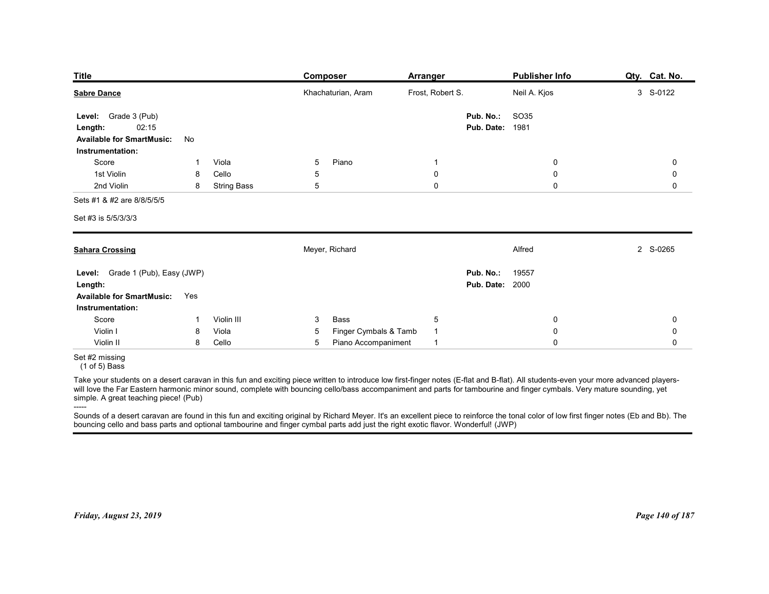| <b>Title</b>                                                                                                                                                                                                                                                                                                                                                                                                               | <b>Composer</b>                          | <b>Arranger</b>  | <b>Publisher Info</b>                          | Qty. Cat. No. |
|----------------------------------------------------------------------------------------------------------------------------------------------------------------------------------------------------------------------------------------------------------------------------------------------------------------------------------------------------------------------------------------------------------------------------|------------------------------------------|------------------|------------------------------------------------|---------------|
| <b>Sabre Dance</b>                                                                                                                                                                                                                                                                                                                                                                                                         | Khachaturian, Aram                       | Frost, Robert S. | Neil A. Kjos                                   | 3 S-0122      |
| Grade 3 (Pub)<br>Level:<br>02:15<br>Length:<br><b>Available for SmartMusic:</b><br>No<br>Instrumentation:                                                                                                                                                                                                                                                                                                                  |                                          |                  | <b>SO35</b><br>Pub. No.:<br>1981<br>Pub. Date: |               |
| Score<br>Viola                                                                                                                                                                                                                                                                                                                                                                                                             | Piano<br>5                               | -1               | 0                                              | 0             |
| 1st Violin<br>Cello<br>8                                                                                                                                                                                                                                                                                                                                                                                                   | 5                                        | 0                | $\mathbf 0$                                    | 0             |
| 2nd Violin<br>8<br><b>String Bass</b><br>Sets #1 & #2 are 8/8/5/5/5                                                                                                                                                                                                                                                                                                                                                        | 5                                        | $\mathbf 0$      | $\mathbf 0$                                    | 0             |
| Set #3 is 5/5/3/3/3                                                                                                                                                                                                                                                                                                                                                                                                        |                                          |                  |                                                |               |
| <b>Sahara Crossing</b>                                                                                                                                                                                                                                                                                                                                                                                                     | Meyer, Richard                           |                  | Alfred                                         | 2 S-0265      |
| Level: Grade 1 (Pub), Easy (JWP)                                                                                                                                                                                                                                                                                                                                                                                           |                                          |                  | Pub. No.:<br>19557<br><b>Pub. Date: 2000</b>   |               |
| Length:<br>Available for SmartMusic: Yes<br>Instrumentation:                                                                                                                                                                                                                                                                                                                                                               |                                          |                  |                                                |               |
| Score<br>Violin III<br>$\mathbf 1$                                                                                                                                                                                                                                                                                                                                                                                         | Bass<br>$\mathbf{3}$                     | $\sqrt{5}$       | $\mathbf 0$                                    | 0             |
| Violin I<br>Viola<br>8                                                                                                                                                                                                                                                                                                                                                                                                     | Finger Cymbals & Tamb<br>$5\phantom{.0}$ | $\mathbf{1}$     | $\pmb{0}$                                      | 0             |
| Violin II<br>Cello<br>8<br>Set #2 missing                                                                                                                                                                                                                                                                                                                                                                                  | Piano Accompaniment<br>$5\phantom{.0}$   | $\mathbf{1}$     | $\mathsf 0$                                    | 0             |
| $(1 of 5)$ Bass<br>Take your students on a desert caravan in this fun and exciting piece written to introduce low first-finger notes (E-flat and B-flat). All students-even your more advanced players-<br>will love the Far Eastern harmonic minor sound, complete with bouncing cello/bass accompaniment and parts for tambourine and finger cymbals. Very mature sounding, yet<br>simple. A great teaching piece! (Pub) |                                          |                  |                                                |               |
| -----<br>Sounds of a desert caravan are found in this fun and exciting original by Richard Meyer. It's an excellent piece to reinforce the tonal color of low first finger notes (Eb and Bb). The                                                                                                                                                                                                                          |                                          |                  |                                                |               |
| bouncing cello and bass parts and optional tambourine and finger cymbal parts add just the right exotic flavor. Wonderful! (JWP)                                                                                                                                                                                                                                                                                           |                                          |                  |                                                |               |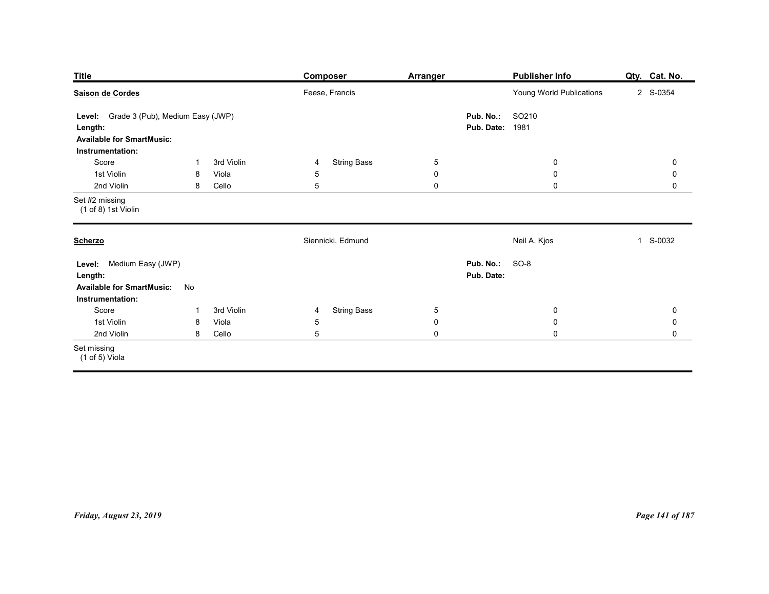| <b>Title</b>                                                                                                                         |                                                  | Composer                                                           | <b>Arranger</b>                                     |                                     | <b>Publisher Info</b>                      | Qty. Cat. No.                                      |
|--------------------------------------------------------------------------------------------------------------------------------------|--------------------------------------------------|--------------------------------------------------------------------|-----------------------------------------------------|-------------------------------------|--------------------------------------------|----------------------------------------------------|
| Saison de Cordes<br>Level: Grade 3 (Pub), Medium Easy (JWP)<br>Length:<br><b>Available for SmartMusic:</b>                           |                                                  | Feese, Francis                                                     |                                                     | Pub. No.:<br><b>Pub. Date: 1981</b> | Young World Publications<br>SO210          | 2 S-0354                                           |
| Instrumentation:<br>Score<br>1st Violin<br>2nd Violin                                                                                | 3rd Violin<br>-1<br>Viola<br>8<br>Cello<br>8     | <b>String Bass</b><br>4<br>$\sqrt{5}$<br>$5\phantom{.0}$           | $5\phantom{.0}$<br>$\pmb{0}$<br>$\mathsf{O}\xspace$ |                                     | $\bf{0}$<br>$\mathbf 0$<br>$\mathbf 0$     | 0<br>$\pmb{0}$<br>$\mathsf{O}$                     |
| Set #2 missing<br>(1 of 8) 1st Violin                                                                                                |                                                  |                                                                    |                                                     |                                     |                                            |                                                    |
| <b>Scherzo</b><br>Level: Medium Easy (JWP)<br>Length:<br><b>Available for SmartMusic:</b><br>Instrumentation:<br>Score<br>1st Violin | No<br>3rd Violin<br>$\overline{1}$<br>Viola<br>8 | Siennicki, Edmund<br><b>String Bass</b><br>$\overline{4}$<br>$5\,$ | $\overline{5}$<br>$\pmb{0}$                         | <b>Pub. No.: SO-8</b><br>Pub. Date: | Neil A. Kjos<br>$\mathbf 0$<br>$\mathbf 0$ | S-0032<br>$\mathbf{1}$<br>$\mathbf 0$<br>$\pmb{0}$ |
| 2nd Violin<br>Set missing<br>$(1 of 5)$ Viola                                                                                        | 8 Cello                                          | $5\phantom{.0}$                                                    | $\mathbf 0$                                         |                                     | $\mathbf 0$                                | $\mathsf{O}\xspace$                                |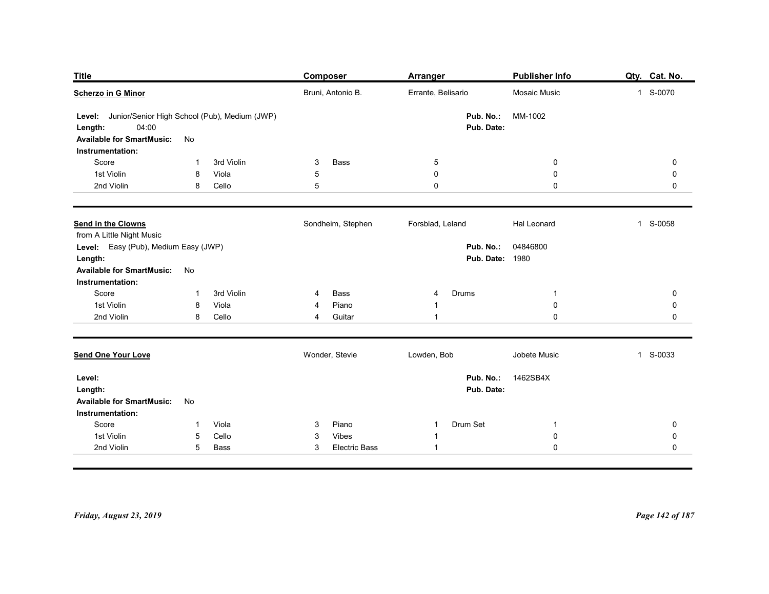| <b>Title</b>                                |                                                 | Composer                             | <b>Arranger</b>                  | Publisher Info             | Qty. Cat. No.          |
|---------------------------------------------|-------------------------------------------------|--------------------------------------|----------------------------------|----------------------------|------------------------|
| <b>Scherzo in G Minor</b>                   |                                                 | Bruni, Antonio B.                    | Errante, Belisario               | Mosaic Music               | 1 S-0070               |
| Level:                                      | Junior/Senior High School (Pub), Medium (JWP)   |                                      | Pub. No.:                        | MM-1002                    |                        |
| 04:00<br>Length:                            |                                                 |                                      | Pub. Date:                       |                            |                        |
| <b>Available for SmartMusic:</b>            | No                                              |                                      |                                  |                            |                        |
| Instrumentation:<br>Score                   | 3rd Violin<br>1                                 | Bass<br>3                            | $\overline{5}$                   | 0                          | 0                      |
| 1st Violin                                  | Viola<br>8                                      | $\sqrt{5}$                           | $\boldsymbol{0}$                 | $\mathbf 0$                | 0                      |
| 2nd Violin                                  | Cello<br>8                                      | 5                                    | $\boldsymbol{0}$                 | $\mathbf 0$                | 0                      |
| Send in the Clowns                          |                                                 | Sondheim, Stephen                    | Forsblad, Leland                 | Hal Leonard                | 1 S-0058               |
| from A Little Night Music                   |                                                 |                                      |                                  |                            |                        |
| Level: Easy (Pub), Medium Easy (JWP)        |                                                 |                                      |                                  | Pub. No.: 04846800         |                        |
| Length:<br><b>Available for SmartMusic:</b> | No                                              |                                      | <b>Pub. Date: 1980</b>           |                            |                        |
| Instrumentation:                            |                                                 |                                      |                                  |                            |                        |
| Score                                       | 3rd Violin<br>1                                 | Bass<br>4                            | Drums<br>4                       | -1                         | $\pmb{0}$              |
| 1st Violin<br>2nd Violin                    | Viola<br>8<br>Cello<br>8                        | Piano<br>4<br>Guitar<br>4            | 1<br>$\overline{1}$              | $\pmb{0}$<br>$\mathbf 0$   | $\pmb{0}$<br>$\pmb{0}$ |
|                                             |                                                 |                                      |                                  |                            |                        |
| <b>Send One Your Love</b>                   |                                                 | Wonder, Stevie                       | Lowden, Bob                      | Jobete Music               | 1 S-0033               |
| Level:                                      |                                                 |                                      | Pub. No.:                        | 1462SB4X                   |                        |
| Length:                                     |                                                 |                                      | Pub. Date:                       |                            |                        |
| <b>Available for SmartMusic:</b>            | No                                              |                                      |                                  |                            |                        |
| Instrumentation:                            |                                                 |                                      |                                  |                            |                        |
| Score<br>1st Violin                         | Viola<br>$\mathbf 1$<br>Cello<br>$\overline{5}$ | Piano<br>3<br>Vibes<br>3             | Drum Set<br>$\overline{1}$<br>-1 | $\overline{1}$<br>$\bf{0}$ | 0<br>$\pmb{0}$         |
| 2nd Violin                                  | $5\phantom{.0}$<br>Bass                         | <b>Electric Bass</b><br>$\mathbf{3}$ | $\overline{1}$                   | $\mathbf 0$                | $\mathsf{O}\xspace$    |
|                                             |                                                 |                                      |                                  |                            |                        |
|                                             |                                                 |                                      |                                  |                            |                        |
|                                             |                                                 |                                      |                                  |                            |                        |
|                                             |                                                 |                                      |                                  |                            | Page 142 of 187        |
|                                             |                                                 |                                      |                                  |                            |                        |
| Friday, August 23, 2019                     |                                                 |                                      |                                  |                            |                        |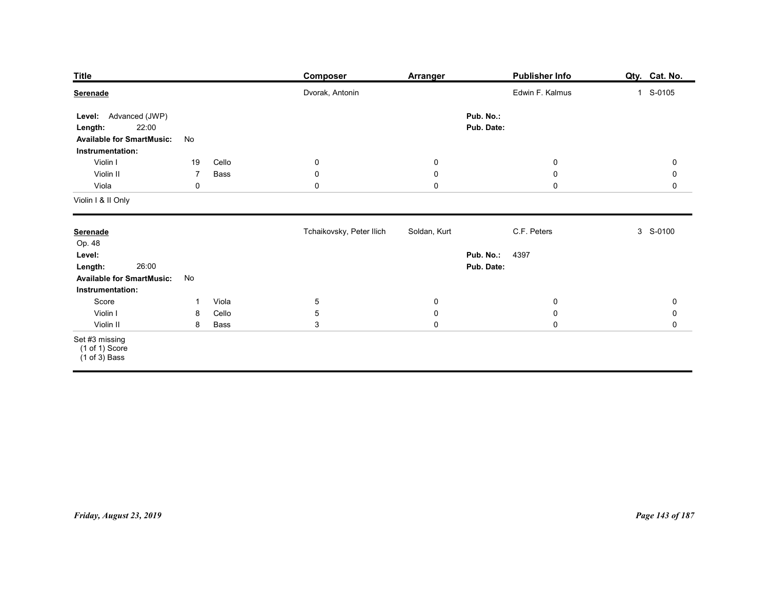| <b>Title</b>                                                                                                                  |                                             | <b>Composer</b>                                          | Arranger                                          | <b>Publisher Info</b>                                                        | Qty. Cat. No.                                  |
|-------------------------------------------------------------------------------------------------------------------------------|---------------------------------------------|----------------------------------------------------------|---------------------------------------------------|------------------------------------------------------------------------------|------------------------------------------------|
| Serenade<br>Level: Advanced (JWP)<br>22:00<br>Length:<br><b>Available for SmartMusic:</b>                                     | No                                          | Dvorak, Antonin                                          |                                                   | Edwin F. Kalmus<br>Pub. No.:<br>Pub. Date:                                   | 1 S-0105                                       |
| Instrumentation:<br>Violin I<br>Violin II<br>Viola<br>Violin I & II Only                                                      | Cello<br>19<br>Bass<br>$\overline{7}$<br>0  | $\overline{0}$<br>$\overline{0}$<br>$\mathbf 0$          | $\overline{0}$<br>$\boldsymbol{0}$<br>$\mathbf 0$ | $\bf{0}$<br>$\mathbf 0$<br>$\mathbf 0$                                       | $\pmb{0}$<br>$\pmb{0}$<br>$\mathbf 0$          |
| Serenade<br>Op. 48<br>Level:<br>26:00<br>Length:<br><b>Available for SmartMusic:</b><br>Instrumentation:<br>Score<br>Violin I | No<br>Viola<br>$\overline{1}$<br>Cello<br>8 | Tchaikovsky, Peter Ilich<br>$\overline{5}$<br>$\sqrt{5}$ | Soldan, Kurt<br>$\mathbf 0$<br>$\mathbf 0$        | C.F. Peters<br>4397<br>Pub. No.:<br>Pub. Date:<br>$\mathbf 0$<br>$\mathbf 0$ | 3 S-0100<br>$\mathbf 0$<br>$\mathsf{O}\xspace$ |
| Violin II<br>Set #3 missing<br>(1 of 1) Score<br>$(1 \text{ of } 3)$ Bass                                                     | Bass<br>8                                   | $\mathbf{3}$                                             | $\mathbf 0$                                       | $\mathbf 0$                                                                  | $\mathbf 0$                                    |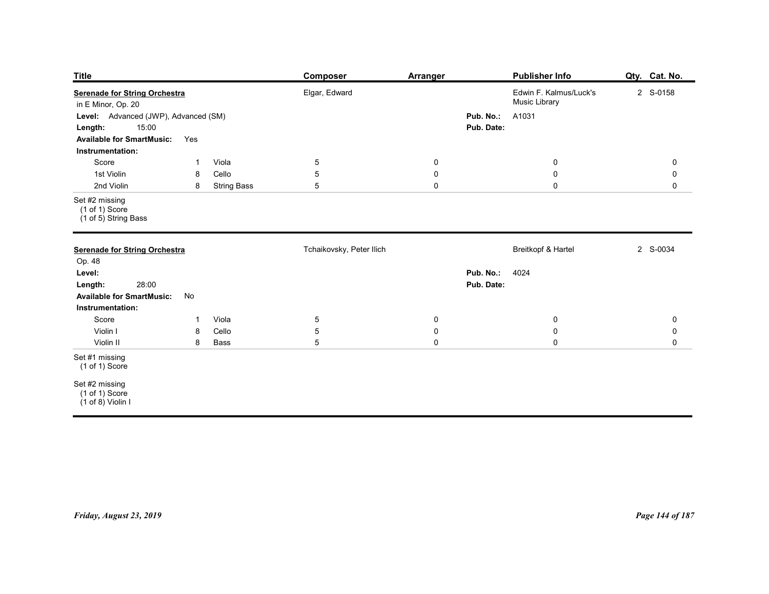| <b>Title</b><br><b>Serenade for String Orchestra</b><br>in E Minor, Op. 20<br>Level: Advanced (JWP), Advanced (SM)<br>15:00<br>Length: |                                                      | <b>Composer</b><br>Elgar, Edward | Arranger                                  | Pub. No.:<br>Pub. Date: | <b>Publisher Info</b><br>Edwin F. Kalmus/Luck's<br>Music Library<br>A1031 | Qty. Cat. No.<br>2 S-0158                  |
|----------------------------------------------------------------------------------------------------------------------------------------|------------------------------------------------------|----------------------------------|-------------------------------------------|-------------------------|---------------------------------------------------------------------------|--------------------------------------------|
| <b>Available for SmartMusic:</b><br>Instrumentation:                                                                                   | Yes                                                  |                                  |                                           |                         |                                                                           |                                            |
| Score<br>1st Violin<br>2nd Violin                                                                                                      | Viola<br>-1<br>Cello<br>8<br>8<br><b>String Bass</b> | $5\phantom{.0}$<br>5<br>5        | $\mathbf 0$<br>$\mathbf 0$<br>$\mathbf 0$ |                         | $\overline{0}$<br>$\mathbf 0$<br>$\mathbf 0$                              | $\mathbf 0$<br>$\mathbf 0$<br>$\mathsf{O}$ |
| Set #2 missing<br>$(1 of 1)$ Score<br>(1 of 5) String Bass                                                                             |                                                      |                                  |                                           |                         |                                                                           |                                            |
| <b>Serenade for String Orchestra</b><br>Op. 48                                                                                         |                                                      | Tchaikovsky, Peter Ilich         |                                           |                         | Breitkopf & Hartel                                                        | 2 S-0034                                   |
| Level:<br>28:00<br>Length:<br><b>Available for SmartMusic:</b><br>Instrumentation:                                                     | No                                                   |                                  |                                           | Pub. No.:<br>Pub. Date: | 4024                                                                      |                                            |
| Score<br>Violin I                                                                                                                      | Viola<br>$\overline{1}$<br>Cello<br>8                | $\overline{5}$<br>$\sqrt{5}$     | $\mathbf 0$<br>$\mathbf 0$                |                         | $\mathbf 0$<br>${\bf 0}$                                                  | $\mathbf 0$<br>$\mathbf 0$                 |
| Violin II                                                                                                                              | Bass<br>8                                            | $\sqrt{5}$                       | $\mathbf 0$                               |                         | $\mathbf 0$                                                               | $\mathbf 0$                                |
| Set #1 missing<br>$(1 of 1)$ Score                                                                                                     |                                                      |                                  |                                           |                         |                                                                           |                                            |
| Set #2 missing<br>(1 of 1) Score<br>$(1 \text{ of } 8)$ Violin I                                                                       |                                                      |                                  |                                           |                         |                                                                           |                                            |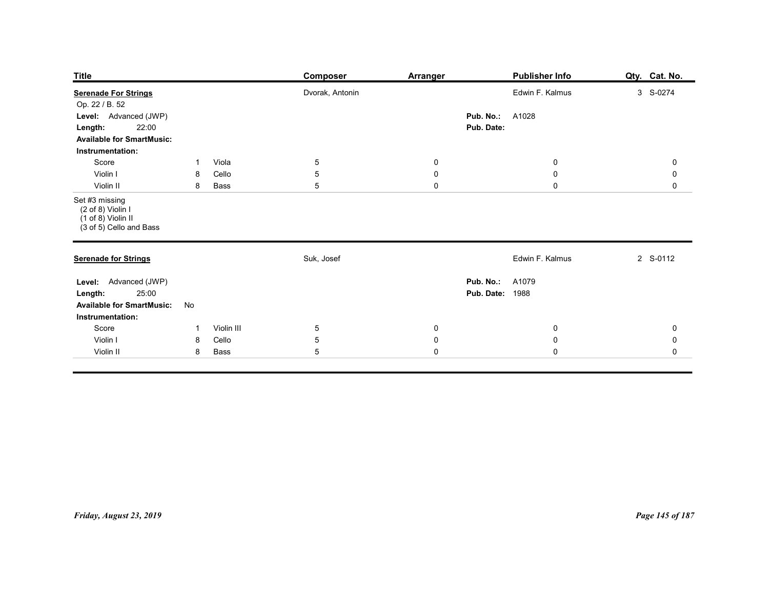| <b>Title</b>                                                                                                        |                     |                     | <b>Composer</b>               | <b>Arranger</b>                  | <b>Publisher Info</b>                            | Qty. Cat. No.          |
|---------------------------------------------------------------------------------------------------------------------|---------------------|---------------------|-------------------------------|----------------------------------|--------------------------------------------------|------------------------|
| <b>Serenade For Strings</b>                                                                                         |                     |                     | Dvorak, Antonin               |                                  | Edwin F. Kalmus                                  | 3 S-0274               |
| Op. 22 / B. 52<br>Level: Advanced (JWP)<br>22:00<br>Length:<br><b>Available for SmartMusic:</b><br>Instrumentation: |                     |                     |                               |                                  | Pub. No.:<br>A1028<br>Pub. Date:                 |                        |
| Score<br>Violin I                                                                                                   | -1<br>8             | Viola<br>Cello      | $\overline{5}$<br>$5\,$       | $\overline{0}$<br>$\overline{0}$ | $\bf{0}$<br>$\mathbf 0$                          | 0<br>0                 |
| Violin II<br>Set #3 missing<br>$(2 \text{ of } 8)$ Violin I<br>(1 of 8) Violin II<br>(3 of 5) Cello and Bass        | 8                   | Bass                | $5\phantom{.0}$               | $\mathbf 0$                      | $\mathbf 0$                                      | $\mathsf{O}$           |
| <b>Serenade for Strings</b>                                                                                         |                     |                     | Suk, Josef                    |                                  | Edwin F. Kalmus                                  | 2 S-0112               |
| Level: Advanced (JWP)<br>25:00<br>Length:<br><b>Available for SmartMusic:</b><br>Instrumentation:                   | No                  |                     |                               |                                  | <b>Pub. No.: A1079</b><br><b>Pub. Date: 1988</b> |                        |
| Score<br>Violin I                                                                                                   | $\overline{1}$<br>8 | Violin III<br>Cello | $5\phantom{.0}$<br>$\sqrt{5}$ | $\mathbf 0$<br>$\pmb{0}$         | $\mathbf 0$<br>$\mathbf 0$                       | $\pmb{0}$<br>$\pmb{0}$ |
| Violin II                                                                                                           | 8                   | Bass                | $\overline{5}$                | $\pmb{0}$                        | $\pmb{0}$                                        | $\mathsf{O}\xspace$    |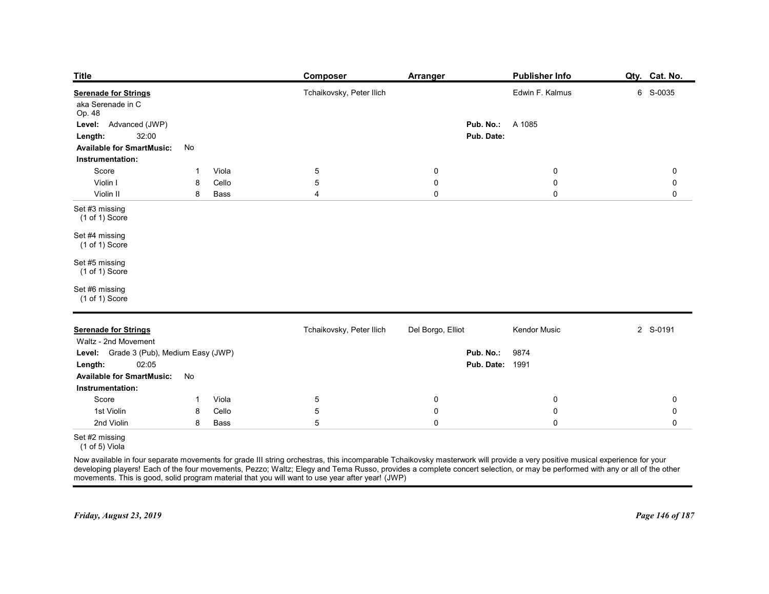| <b>Title</b>                                                                                                                                                                                                                                                                                                                          | Composer                 | <b>Arranger</b>        | <b>Publisher Info</b>          | Qty. Cat. No.    |
|---------------------------------------------------------------------------------------------------------------------------------------------------------------------------------------------------------------------------------------------------------------------------------------------------------------------------------------|--------------------------|------------------------|--------------------------------|------------------|
| <b>Serenade for Strings</b>                                                                                                                                                                                                                                                                                                           | Tchaikovsky, Peter Ilich |                        | Edwin F. Kalmus                | 6 S-0035         |
| aka Serenade in C<br>Op. 48<br>Advanced (JWP)                                                                                                                                                                                                                                                                                         |                          | Pub. No.:              | A 1085                         |                  |
| Level:<br>32:00<br>Length:<br><b>Available for SmartMusic:</b>                                                                                                                                                                                                                                                                        |                          | Pub. Date:             |                                |                  |
| No<br>Instrumentation:                                                                                                                                                                                                                                                                                                                |                          |                        |                                |                  |
| Viola<br>Score<br>-1<br>Cello<br>Violin I<br>8                                                                                                                                                                                                                                                                                        | 5<br>5                   | 0<br>$\pmb{0}$         | $\mathbf 0$<br>$\pmb{0}$       | 0<br>0           |
| Violin II<br>Bass<br>8<br>Set #3 missing                                                                                                                                                                                                                                                                                              | $\overline{4}$           | $\pmb{0}$              | $\mathbf 0$                    | $\mathbf 0$      |
| (1 of 1) Score                                                                                                                                                                                                                                                                                                                        |                          |                        |                                |                  |
| Set #4 missing<br>(1 of 1) Score                                                                                                                                                                                                                                                                                                      |                          |                        |                                |                  |
| Set #5 missing<br>$(1 of 1)$ Score                                                                                                                                                                                                                                                                                                    |                          |                        |                                |                  |
| Set #6 missing<br>(1 of 1) Score                                                                                                                                                                                                                                                                                                      |                          |                        |                                |                  |
|                                                                                                                                                                                                                                                                                                                                       |                          |                        |                                |                  |
| <b>Serenade for Strings</b><br>Waltz - 2nd Movement                                                                                                                                                                                                                                                                                   | Tchaikovsky, Peter Ilich | Del Borgo, Elliot      | Kendor Music                   | 2 S-0191         |
| Level: Grade 3 (Pub), Medium Easy (JWP)<br>02:05<br>Length:                                                                                                                                                                                                                                                                           |                          | Pub. No.:              | 9874<br><b>Pub. Date: 1991</b> |                  |
| No<br><b>Available for SmartMusic:</b><br>Instrumentation:                                                                                                                                                                                                                                                                            |                          |                        |                                |                  |
| Score<br>Viola<br>$\overline{1}$                                                                                                                                                                                                                                                                                                      | $5\phantom{.0}$          | $\overline{0}$         | $\mathbf 0$                    | 0                |
| 1st Violin<br>Cello<br>8<br>2nd Violin<br>Bass<br>8                                                                                                                                                                                                                                                                                   | 5<br>5                   | $\pmb{0}$<br>$\pmb{0}$ | $\pmb{0}$<br>$\mathbf 0$       | 0<br>$\mathbf 0$ |
| Set #2 missing                                                                                                                                                                                                                                                                                                                        |                          |                        |                                |                  |
| (1 of 5) Viola                                                                                                                                                                                                                                                                                                                        |                          |                        |                                |                  |
| Now available in four separate movements for grade III string orchestras, this incomparable Tchaikovsky masterwork will provide a very positive musical experience for your<br>developing players! Each of the four movements, Pe<br>movements. This is good, solid program material that you will want to use year after year! (JWP) |                          |                        |                                |                  |
|                                                                                                                                                                                                                                                                                                                                       |                          |                        |                                |                  |
| Friday, August 23, 2019                                                                                                                                                                                                                                                                                                               |                          |                        |                                |                  |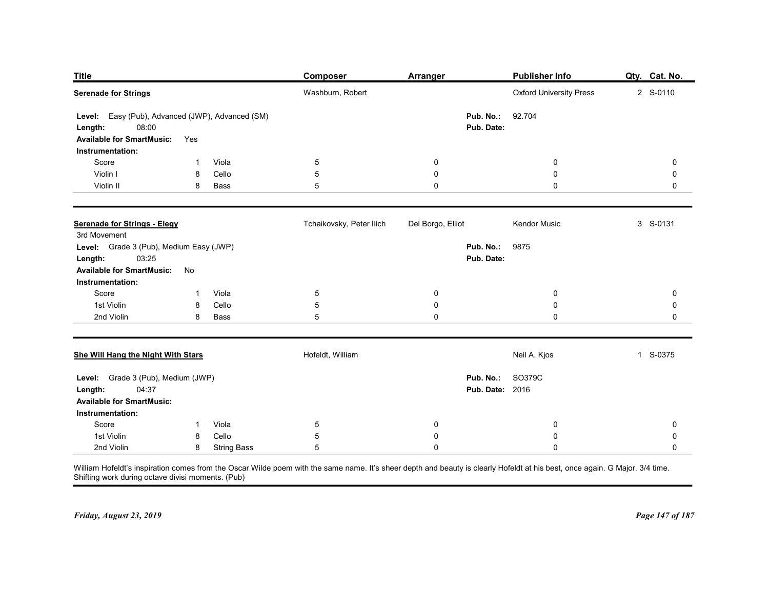| <b>Title</b>                                                         |                                     | <b>Composer</b>          | <b>Arranger</b>         | Publisher Info                                                                                                                                                               | Qty. Cat. No.   |
|----------------------------------------------------------------------|-------------------------------------|--------------------------|-------------------------|------------------------------------------------------------------------------------------------------------------------------------------------------------------------------|-----------------|
| <b>Serenade for Strings</b>                                          |                                     | Washburn, Robert         |                         | <b>Oxford University Press</b>                                                                                                                                               | 2 S-0110        |
|                                                                      |                                     |                          |                         |                                                                                                                                                                              |                 |
| Level: Easy (Pub), Advanced (JWP), Advanced (SM)<br>08:00<br>Length: |                                     |                          | Pub. No.:<br>Pub. Date: | 92.704                                                                                                                                                                       |                 |
| <b>Available for SmartMusic:</b>                                     | Yes                                 |                          |                         |                                                                                                                                                                              |                 |
| Instrumentation:                                                     |                                     |                          |                         |                                                                                                                                                                              |                 |
| Score                                                                | Viola<br>-1                         | 5                        | 0                       | 0                                                                                                                                                                            | 0               |
| Violin I<br>Violin II                                                | Cello<br>8<br>8<br>Bass             | 5<br>5                   | 0<br>0                  | 0<br>0                                                                                                                                                                       | 0<br>0          |
|                                                                      |                                     |                          |                         |                                                                                                                                                                              |                 |
|                                                                      |                                     |                          |                         |                                                                                                                                                                              |                 |
| <b>Serenade for Strings - Elegy</b><br>3rd Movement                  |                                     | Tchaikovsky, Peter Ilich | Del Borgo, Elliot       | Kendor Music                                                                                                                                                                 | 3 S-0131        |
| Level: Grade 3 (Pub), Medium Easy (JWP)                              |                                     |                          |                         | Pub. No.: 9875                                                                                                                                                               |                 |
| <b>Length:</b> 03:25                                                 |                                     |                          |                         | Pub. Date:                                                                                                                                                                   |                 |
| <b>Available for SmartMusic:</b>                                     | No                                  |                          |                         |                                                                                                                                                                              |                 |
| Instrumentation:<br>Score                                            | Viola<br>$\overline{1}$             | $\,$ 5 $\,$              | 0                       | $\mathbf 0$                                                                                                                                                                  | 0               |
| 1st Violin                                                           | Cello<br>8                          | 5                        | $\pmb{0}$               | $\pmb{0}$                                                                                                                                                                    | 0               |
| 2nd Violin                                                           | Bass<br>8                           | 5                        | $\pmb{0}$               | $\pmb{0}$                                                                                                                                                                    | 0               |
|                                                                      |                                     |                          |                         |                                                                                                                                                                              |                 |
| She Will Hang the Night With Stars                                   |                                     | Hofeldt, William         |                         | Neil A. Kjos                                                                                                                                                                 | 1 S-0375        |
| Level: Grade 3 (Pub), Medium (JWP)                                   |                                     |                          | Pub. No.:               | SO379C                                                                                                                                                                       |                 |
| 04:37<br>Length:                                                     |                                     |                          |                         | <b>Pub. Date: 2016</b>                                                                                                                                                       |                 |
| <b>Available for SmartMusic:</b>                                     |                                     |                          |                         |                                                                                                                                                                              |                 |
| Instrumentation:                                                     |                                     |                          |                         |                                                                                                                                                                              |                 |
| Score<br>1st Violin                                                  | Viola<br>$\mathbf{1}$<br>Cello<br>8 | $\,$ 5 $\,$<br>5         | $\mathbf 0$<br>0        | $\boldsymbol{0}$<br>$\boldsymbol{0}$                                                                                                                                         | 0<br>0          |
| 2nd Violin                                                           | 8<br><b>String Bass</b>             | 5                        | $\pmb{0}$               | $\mathbf 0$                                                                                                                                                                  | 0               |
| Shifting work during octave divisi moments. (Pub)                    |                                     |                          |                         | William Hofeldt's inspiration comes from the Oscar Wilde poem with the same name. It's sheer depth and beauty is clearly Hofeldt at his best, once again. G Major. 3/4 time. |                 |
|                                                                      |                                     |                          |                         |                                                                                                                                                                              |                 |
|                                                                      |                                     |                          |                         |                                                                                                                                                                              |                 |
| Friday, August 23, 2019                                              |                                     |                          |                         |                                                                                                                                                                              | Page 147 of 187 |
|                                                                      |                                     |                          |                         |                                                                                                                                                                              |                 |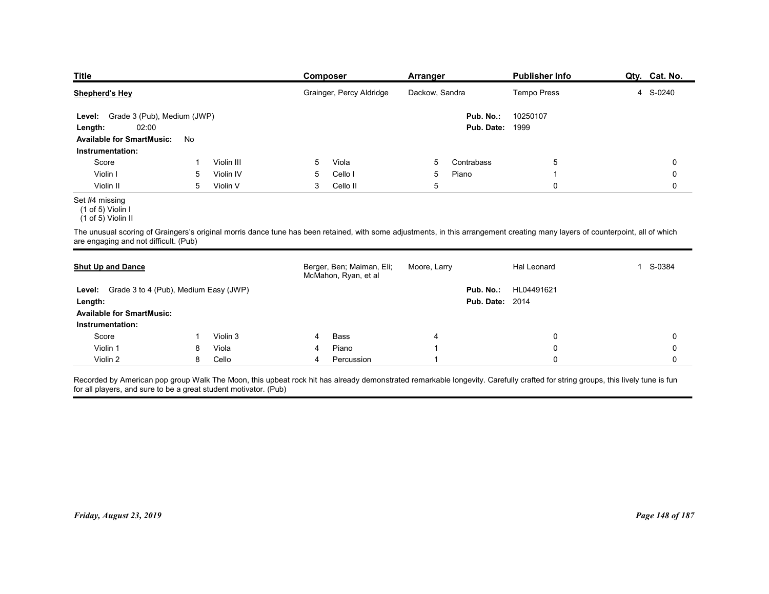| <b>Title</b>                                                                                                                                                                                                            |        |                       | Composer                 |                           | <b>Arranger</b> |                        | <b>Publisher Info</b>      | Qty. Cat. No.            |
|-------------------------------------------------------------------------------------------------------------------------------------------------------------------------------------------------------------------------|--------|-----------------------|--------------------------|---------------------------|-----------------|------------------------|----------------------------|--------------------------|
| <b>Shepherd's Hey</b>                                                                                                                                                                                                   |        |                       |                          | Grainger, Percy Aldridge  | Dackow, Sandra  |                        | Tempo Press                | S-0240<br>$\overline{4}$ |
| Grade 3 (Pub), Medium (JWP)<br>Level:                                                                                                                                                                                   |        |                       |                          |                           |                 | Pub. No.:              | 10250107                   |                          |
| 02:00<br>Length:                                                                                                                                                                                                        |        |                       |                          |                           |                 | Pub. Date:             | 1999                       |                          |
| <b>Available for SmartMusic:</b>                                                                                                                                                                                        | No     |                       |                          |                           |                 |                        |                            |                          |
| Instrumentation:                                                                                                                                                                                                        |        |                       |                          |                           |                 |                        |                            |                          |
| Score                                                                                                                                                                                                                   |        | Violin III            | Viola<br>5               |                           | 5               | Contrabass             | 5                          | 0                        |
| Violin I<br>Violin II                                                                                                                                                                                                   | 5<br>5 | Violin IV<br>Violin V | Cello I<br>5<br>3        | Cello II                  | 5<br>5          | Piano                  | -1<br>$\mathbf 0$          | 0<br>0                   |
| Set #4 missing<br>(1 of 5) Violin I                                                                                                                                                                                     |        |                       |                          |                           |                 |                        |                            |                          |
| (1 of 5) Violin II                                                                                                                                                                                                      |        |                       |                          |                           |                 |                        |                            |                          |
| The unusual scoring of Graingers's original morris dance tune has been retained, with some adjustments, in this arrangement creating many layers of counterpoint, all of which<br>are engaging and not difficult. (Pub) |        |                       |                          |                           |                 |                        |                            |                          |
|                                                                                                                                                                                                                         |        |                       |                          |                           |                 |                        |                            |                          |
| <b>Shut Up and Dance</b>                                                                                                                                                                                                |        |                       | McMahon, Ryan, et al     | Berger, Ben; Maiman, Eli; | Moore, Larry    |                        | Hal Leonard                | 1 S-0384                 |
| Level: Grade 3 to 4 (Pub), Medium Easy (JWP)                                                                                                                                                                            |        |                       |                          |                           |                 | Pub. No.:              | HL04491621                 |                          |
| Length:                                                                                                                                                                                                                 |        |                       |                          |                           |                 | <b>Pub. Date: 2014</b> |                            |                          |
| <b>Available for SmartMusic:</b>                                                                                                                                                                                        |        |                       |                          |                           |                 |                        |                            |                          |
|                                                                                                                                                                                                                         |        |                       |                          |                           |                 |                        |                            |                          |
| Instrumentation:                                                                                                                                                                                                        |        | Violin 3              | Bass                     |                           |                 |                        | 0                          | 0                        |
| Score<br>Violin 1                                                                                                                                                                                                       | 8      | Viola                 | Piano<br>Percussion<br>4 |                           |                 |                        | $\mathbf 0$<br>$\mathbf 0$ | 0                        |

### Set #4 missing

| Level: Grade 3 (Pub), Medium (JWP)<br>02:00<br>Length:                                                                                                                                                                                             |              |            |   |                                                   |                         | Pub. No.:<br><b>Pub. Date: 1999</b> | 10250107    |             |
|----------------------------------------------------------------------------------------------------------------------------------------------------------------------------------------------------------------------------------------------------|--------------|------------|---|---------------------------------------------------|-------------------------|-------------------------------------|-------------|-------------|
| <b>Available for SmartMusic:</b>                                                                                                                                                                                                                   | No           |            |   |                                                   |                         |                                     |             |             |
| Instrumentation:                                                                                                                                                                                                                                   |              |            |   |                                                   |                         |                                     |             |             |
| Score                                                                                                                                                                                                                                              | -1           | Violin III | 5 | Viola                                             | 5                       | Contrabass                          | 5           | 0           |
| Violin I                                                                                                                                                                                                                                           | 5            | Violin IV  | 5 | Cello I                                           | 5                       | Piano                               |             | $\mathbf 0$ |
| Violin II                                                                                                                                                                                                                                          | 5            | Violin V   | 3 | Cello II                                          | 5                       |                                     | 0           | $\mathsf 0$ |
| Set #4 missing<br>$(1 of 5)$ Violin I<br>(1 of 5) Violin II                                                                                                                                                                                        |              |            |   |                                                   |                         |                                     |             |             |
| The unusual scoring of Graingers's original morris dance tune has been retained, with some adjustments, in this arrangement creating many layers of counterpoint, all of which<br>are engaging and not difficult. (Pub)                            |              |            |   |                                                   |                         |                                     |             |             |
| <b>Shut Up and Dance</b>                                                                                                                                                                                                                           |              |            |   | Berger, Ben; Maiman, Eli;<br>McMahon, Ryan, et al | Moore, Larry            |                                     | Hal Leonard | 1 S-0384    |
| Level: Grade 3 to 4 (Pub), Medium Easy (JWP)                                                                                                                                                                                                       |              |            |   |                                                   |                         | Pub. No.:                           | HL04491621  |             |
| Length:                                                                                                                                                                                                                                            |              |            |   |                                                   |                         | <b>Pub. Date: 2014</b>              |             |             |
| <b>Available for SmartMusic:</b>                                                                                                                                                                                                                   |              |            |   |                                                   |                         |                                     |             |             |
| Instrumentation:                                                                                                                                                                                                                                   |              |            |   |                                                   |                         |                                     |             |             |
| Score                                                                                                                                                                                                                                              | $\mathbf{1}$ | Violin 3   | 4 | Bass                                              | 4                       |                                     | 0           | 0           |
|                                                                                                                                                                                                                                                    |              |            |   | Piano                                             | $\overline{\mathbf{1}}$ |                                     | 0           | $\mathbf 0$ |
| Violin 1                                                                                                                                                                                                                                           | 8            | Viola      | 4 |                                                   |                         |                                     |             |             |
| Violin 2                                                                                                                                                                                                                                           | 8            | Cello      | 4 | Percussion                                        | -1                      |                                     | $\Omega$    | $\mathbf 0$ |
| Recorded by American pop group Walk The Moon, this upbeat rock hit has already demonstrated remarkable longevity. Carefully crafted for string groups, this lively tune is fun<br>for all players, and sure to be a great student motivator. (Pub) |              |            |   |                                                   |                         |                                     |             |             |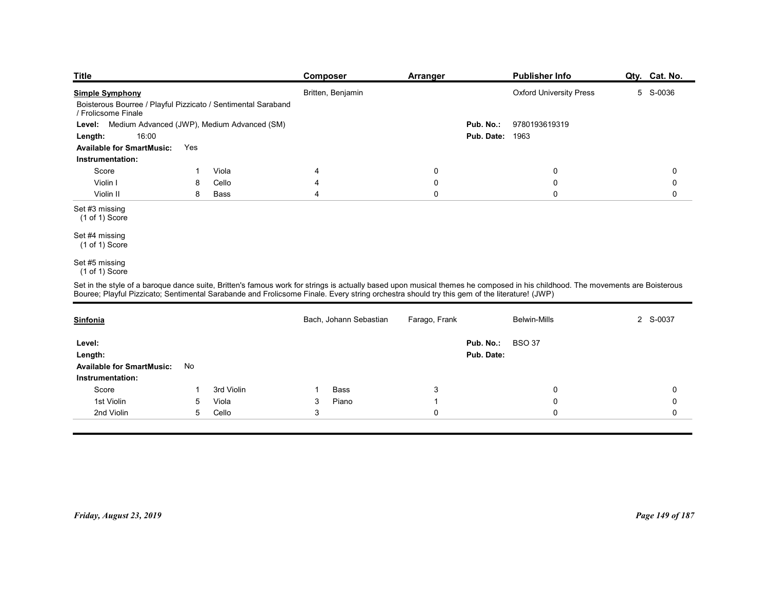| <b>Title</b>                                                                         |     |                                             | <b>Composer</b>                                                                                                                                                               | <b>Arranger</b>  |                        | <b>Publisher Info</b>          | Qty. Cat. No. |
|--------------------------------------------------------------------------------------|-----|---------------------------------------------|-------------------------------------------------------------------------------------------------------------------------------------------------------------------------------|------------------|------------------------|--------------------------------|---------------|
| <b>Simple Symphony</b>                                                               |     |                                             | Britten, Benjamin                                                                                                                                                             |                  |                        | <b>Oxford University Press</b> | 5 S-0036      |
| Boisterous Bourree / Playful Pizzicato / Sentimental Saraband<br>/ Frolicsome Finale |     |                                             |                                                                                                                                                                               |                  |                        |                                |               |
| Level:                                                                               |     | Medium Advanced (JWP), Medium Advanced (SM) |                                                                                                                                                                               |                  | Pub. No.:              | 9780193619319                  |               |
| 16:00<br>Length:                                                                     |     |                                             |                                                                                                                                                                               |                  | <b>Pub. Date: 1963</b> |                                |               |
| <b>Available for SmartMusic:</b>                                                     | Yes |                                             |                                                                                                                                                                               |                  |                        |                                |               |
| Instrumentation:<br>Score                                                            | -1  | Viola                                       | 4                                                                                                                                                                             | $\boldsymbol{0}$ |                        | 0                              | 0             |
| Violin I                                                                             | 8   | Cello                                       | 4                                                                                                                                                                             | $\mathbf 0$      |                        | $\boldsymbol{0}$               | 0             |
| Violin II                                                                            | 8   | Bass                                        | $\overline{4}$                                                                                                                                                                | $\mathbf 0$      |                        | $\mathbf 0$                    | $\mathbf 0$   |
| Set #3 missing<br>(1 of 1) Score                                                     |     |                                             |                                                                                                                                                                               |                  |                        |                                |               |
| Set #4 missing<br>(1 of 1) Score                                                     |     |                                             |                                                                                                                                                                               |                  |                        |                                |               |
| Set #5 missing<br>(1 of 1) Score                                                     |     |                                             |                                                                                                                                                                               |                  |                        |                                |               |
|                                                                                      |     |                                             | Set in the style of a baroque dance suite, Britten's famous work for strings is actually based upon musical themes he composed in his childhood. The movements are Boisterous |                  |                        |                                |               |
|                                                                                      |     |                                             | Bouree; Playful Pizzicato; Sentimental Sarabande and Frolicsome Finale. Every string orchestra should try this gem of the literature! (JWP)                                   |                  |                        |                                |               |
| <b>Sinfonia</b>                                                                      |     |                                             | Bach, Johann Sebastian                                                                                                                                                        | Farago, Frank    |                        | Belwin-Mills                   | 2 S-0037      |
| Level:                                                                               |     |                                             |                                                                                                                                                                               |                  | Pub. No.:              | <b>BSO 37</b>                  |               |
| Length:                                                                              |     |                                             |                                                                                                                                                                               |                  | Pub. Date:             |                                |               |
| <b>Available for SmartMusic:</b>                                                     | No  |                                             |                                                                                                                                                                               |                  |                        |                                |               |
| Instrumentation:                                                                     |     |                                             |                                                                                                                                                                               |                  |                        |                                |               |

# Set #5 missing

|     |                                                                      |                         |                | <b>Pub. Date: 1963</b> |                                                                                                                                                                                                                                                                                                                                                         |
|-----|----------------------------------------------------------------------|-------------------------|----------------|------------------------|---------------------------------------------------------------------------------------------------------------------------------------------------------------------------------------------------------------------------------------------------------------------------------------------------------------------------------------------------------|
| Yes |                                                                      |                         |                |                        |                                                                                                                                                                                                                                                                                                                                                         |
|     |                                                                      |                         |                |                        |                                                                                                                                                                                                                                                                                                                                                         |
| -1  | Viola                                                                | 4                       | 0              | 0                      | 0                                                                                                                                                                                                                                                                                                                                                       |
| 8   | Cello                                                                | $\overline{4}$          | $\pmb{0}$      | $\pmb{0}$              | $\pmb{0}$                                                                                                                                                                                                                                                                                                                                               |
| 8   | Bass                                                                 | $\overline{\mathbf{4}}$ | $\mathbf 0$    | $\mathsf{O}$           | $\mathsf 0$                                                                                                                                                                                                                                                                                                                                             |
|     |                                                                      |                         |                |                        |                                                                                                                                                                                                                                                                                                                                                         |
|     |                                                                      |                         |                |                        |                                                                                                                                                                                                                                                                                                                                                         |
|     |                                                                      |                         |                |                        |                                                                                                                                                                                                                                                                                                                                                         |
|     |                                                                      |                         |                |                        |                                                                                                                                                                                                                                                                                                                                                         |
|     |                                                                      | Bach, Johann Sebastian  | Farago, Frank  | Belwin-Mills           | 2 S-0037                                                                                                                                                                                                                                                                                                                                                |
|     |                                                                      |                         |                | <b>BSO 37</b>          |                                                                                                                                                                                                                                                                                                                                                         |
|     |                                                                      |                         |                |                        |                                                                                                                                                                                                                                                                                                                                                         |
| No  |                                                                      |                         |                |                        |                                                                                                                                                                                                                                                                                                                                                         |
|     |                                                                      |                         |                |                        |                                                                                                                                                                                                                                                                                                                                                         |
| -1  | 3rd Violin                                                           | Bass<br>$\mathbf{1}$    | 3              | 0                      | 0                                                                                                                                                                                                                                                                                                                                                       |
| 5   | Viola                                                                | Piano<br>$\mathbf{3}$   | $\overline{1}$ | $\mathbf 0$            | $\mathbf 0$                                                                                                                                                                                                                                                                                                                                             |
| 5   | Cello                                                                | $\mathbf{3}$            | $\mathbf 0$    | $\mathbf 0$            | $\mathbf 0$                                                                                                                                                                                                                                                                                                                                             |
|     |                                                                      |                         |                |                        |                                                                                                                                                                                                                                                                                                                                                         |
|     | <b>Available for SmartMusic:</b><br><b>Available for SmartMusic:</b> |                         |                |                        | Set in the style of a baroque dance suite, Britten's famous work for strings is actually based upon musical themes he composed in his childhood. The movements are Boisterous<br>Bouree; Playful Pizzicato; Sentimental Sarabande and Frolicsome Finale. Every string orchestra should try this gem of the literature! (JWP)<br>Pub. No.:<br>Pub. Date: |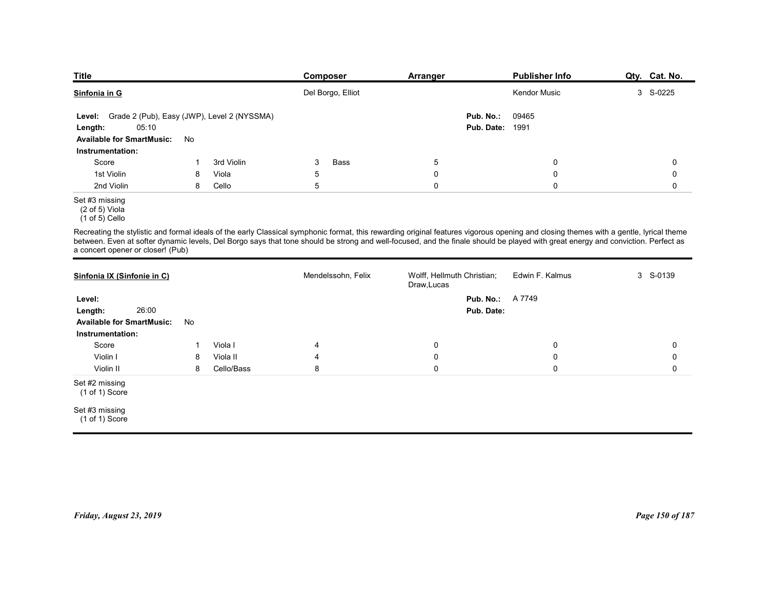| <b>Title</b>                                                                                                                                                                                                                                                                                                                                                                                                   |    |            | Composer           | Arranger                                  |                         | <b>Publisher Info</b> | Qty. Cat. No. |
|----------------------------------------------------------------------------------------------------------------------------------------------------------------------------------------------------------------------------------------------------------------------------------------------------------------------------------------------------------------------------------------------------------------|----|------------|--------------------|-------------------------------------------|-------------------------|-----------------------|---------------|
| Sinfonia in G                                                                                                                                                                                                                                                                                                                                                                                                  |    |            | Del Borgo, Elliot  |                                           |                         | Kendor Music          | 3 S-0225      |
| Grade 2 (Pub), Easy (JWP), Level 2 (NYSSMA)<br>Level:                                                                                                                                                                                                                                                                                                                                                          |    |            |                    |                                           | Pub. No.:               | 09465                 |               |
| 05:10<br>Length:<br><b>Available for SmartMusic:</b>                                                                                                                                                                                                                                                                                                                                                           | No |            |                    |                                           | Pub. Date:              | 1991                  |               |
| Instrumentation:                                                                                                                                                                                                                                                                                                                                                                                               |    |            |                    |                                           |                         |                       |               |
| Score                                                                                                                                                                                                                                                                                                                                                                                                          |    | 3rd Violin | Bass<br>3          | $\sqrt{5}$                                |                         | 0                     | 0             |
| 1st Violin                                                                                                                                                                                                                                                                                                                                                                                                     | 8  | Viola      | 5                  | $\mathbf 0$                               |                         | $\mathbf 0$           | 0             |
| 2nd Violin                                                                                                                                                                                                                                                                                                                                                                                                     | 8  | Cello      | 5                  | $\mathbf 0$                               |                         | $\mathbf 0$           | 0             |
| Set #3 missing<br>(2 of 5) Viola<br>$(1 of 5)$ Cello                                                                                                                                                                                                                                                                                                                                                           |    |            |                    |                                           |                         |                       |               |
| Recreating the stylistic and formal ideals of the early Classical symphonic format, this rewarding original features vigorous opening and closing themes with a gentle, lyrical theme<br>between. Even at softer dynamic levels, Del Borgo says that tone should be strong and well-focused, and the finale should be played with great energy and conviction. Perfect as<br>a concert opener or closer! (Pub) |    |            |                    |                                           |                         |                       |               |
| Sinfonia IX (Sinfonie in C)                                                                                                                                                                                                                                                                                                                                                                                    |    |            | Mendelssohn, Felix | Wolff, Hellmuth Christian;<br>Draw, Lucas |                         | Edwin F. Kalmus       | 3 S-0139      |
| Level:                                                                                                                                                                                                                                                                                                                                                                                                         |    |            |                    |                                           | <b>Pub. No.: A 7749</b> |                       |               |
| 26:00<br>Length:                                                                                                                                                                                                                                                                                                                                                                                               |    |            |                    |                                           | Pub. Date:              |                       |               |

### Set #3 missing

| Sinfonia in G                                                 |                |            | Del Borgo, Elliot                                                                                                                                                                                                                |                                           | Kendor Music    | 3 S-0225        |
|---------------------------------------------------------------|----------------|------------|----------------------------------------------------------------------------------------------------------------------------------------------------------------------------------------------------------------------------------|-------------------------------------------|-----------------|-----------------|
| Level: Grade 2 (Pub), Easy (JWP), Level 2 (NYSSMA)            |                |            |                                                                                                                                                                                                                                  | Pub. No.:                                 | 09465           |                 |
| 05:10<br>Length:                                              |                |            |                                                                                                                                                                                                                                  | <b>Pub. Date: 1991</b>                    |                 |                 |
| Available for SmartMusic: No                                  |                |            |                                                                                                                                                                                                                                  |                                           |                 |                 |
| Instrumentation:                                              |                |            |                                                                                                                                                                                                                                  |                                           |                 |                 |
| Score                                                         | -1             | 3rd Violin | <b>Bass</b><br>3                                                                                                                                                                                                                 | $\overline{5}$                            | $\mathbf 0$     | $\pmb{0}$       |
| 1st Violin                                                    | 8              | Viola      | 5                                                                                                                                                                                                                                | $\mathbf 0$                               | 0               | $\pmb{0}$       |
| 2nd Violin                                                    | 8              | Cello      | $5\phantom{.0}$                                                                                                                                                                                                                  | $\mathbf 0$                               | $\mathbf 0$     | $\mathsf 0$     |
| Set #3 missing<br>(2 of 5) Viola<br>$(1 \text{ of } 5)$ Cello |                |            |                                                                                                                                                                                                                                  |                                           |                 |                 |
| a concert opener or closer! (Pub)                             |                |            | Recreating the stylistic and formal ideals of the early Classical symphonic format, this rewarding original features vigorous opening and closing themes with a gentle, lyrical theme<br>between. Even at softer dynamic levels, |                                           |                 |                 |
| Sinfonia IX (Sinfonie in C)                                   |                |            | Mendelssohn, Felix                                                                                                                                                                                                               | Wolff, Hellmuth Christian;<br>Draw, Lucas | Edwin F. Kalmus | 3 S-0139        |
| Level:                                                        |                |            |                                                                                                                                                                                                                                  | Pub. No.:                                 | A 7749          |                 |
| 26:00<br>Length:                                              |                |            |                                                                                                                                                                                                                                  | Pub. Date:                                |                 |                 |
| <b>Available for SmartMusic:</b>                              | No             |            |                                                                                                                                                                                                                                  |                                           |                 |                 |
| Instrumentation:                                              |                |            |                                                                                                                                                                                                                                  |                                           |                 |                 |
| Score                                                         | $\overline{1}$ | Viola I    | 4                                                                                                                                                                                                                                | $\mathbf 0$                               | $\mathbf 0$     | $\pmb{0}$       |
| Violin I                                                      | 8              | Viola II   | 4                                                                                                                                                                                                                                | $\mathbf 0$                               | $\mathbf 0$     | $\pmb{0}$       |
| Violin II                                                     | 8              | Cello/Bass | 8                                                                                                                                                                                                                                | $\mathbf 0$                               | $\mathbf 0$     | $\mathsf 0$     |
| Set #2 missing<br>(1 of 1) Score                              |                |            |                                                                                                                                                                                                                                  |                                           |                 |                 |
| Set #3 missing<br>$(1 of 1)$ Score                            |                |            |                                                                                                                                                                                                                                  |                                           |                 |                 |
| Friday, August 23, 2019                                       |                |            |                                                                                                                                                                                                                                  |                                           |                 | Page 150 of 187 |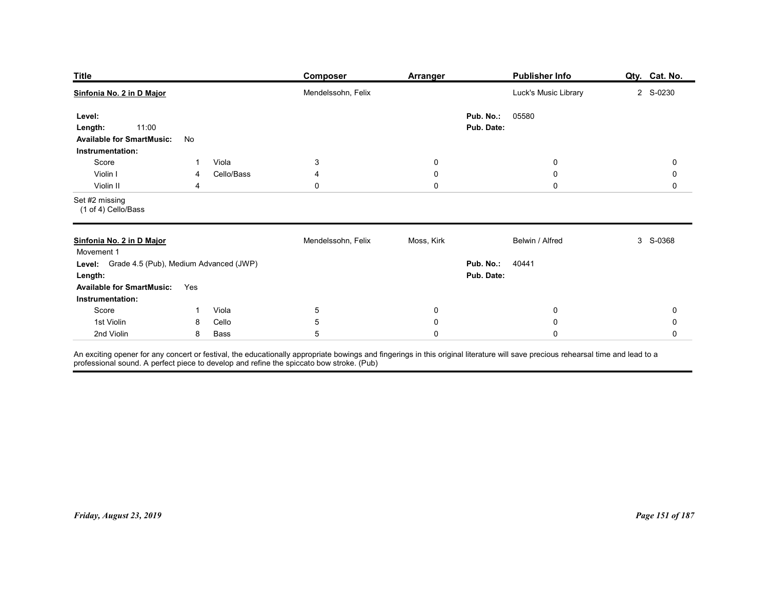| <b>Publisher Info</b><br><b>Title</b><br>Composer<br><b>Arranger</b><br>Luck's Music Library<br>2 S-0230<br>Mendelssohn, Felix<br>Pub. No.:<br>05580<br>Level:<br>11:00<br>Pub. Date:<br>Length:<br><b>Available for SmartMusic:</b><br>No<br>Instrumentation:<br>Viola<br>$\ensuremath{\mathsf{3}}$<br>Score<br>$\bf{0}$<br>$\mathbf 0$<br>0<br>1<br>Violin I<br>Cello/Bass<br>$\mathbf 0$<br>$\mathbf 0$<br>4<br>$\mathbf 0$<br>4<br>$\pmb{0}$<br>Violin II<br>$\mathbf 0$<br>$\mathbf 0$<br>0<br>4<br>(1 of 4) Cello/Bass<br>Mendelssohn, Felix<br>Moss, Kirk<br>Belwin / Alfred<br>3 S-0368<br>Movement 1<br>Level: Grade 4.5 (Pub), Medium Advanced (JWP)<br><b>Pub. No.: 40441</b><br>Pub. Date:<br>Length:<br>Available for SmartMusic: Yes<br>Instrumentation:<br>Score<br>Viola<br>$5\phantom{.0}$<br>$\boldsymbol{0}$<br>$\pmb{0}$<br>$\pmb{0}$<br>$\overline{1}$ |            |   |       |            |           |           |               |
|-----------------------------------------------------------------------------------------------------------------------------------------------------------------------------------------------------------------------------------------------------------------------------------------------------------------------------------------------------------------------------------------------------------------------------------------------------------------------------------------------------------------------------------------------------------------------------------------------------------------------------------------------------------------------------------------------------------------------------------------------------------------------------------------------------------------------------------------------------------------------------|------------|---|-------|------------|-----------|-----------|---------------|
| Sinfonia No. 2 in D Major<br>Set #2 missing<br>Sinfonia No. 2 in D Major                                                                                                                                                                                                                                                                                                                                                                                                                                                                                                                                                                                                                                                                                                                                                                                                    |            |   |       |            |           |           | Qty. Cat. No. |
|                                                                                                                                                                                                                                                                                                                                                                                                                                                                                                                                                                                                                                                                                                                                                                                                                                                                             |            |   |       |            |           |           |               |
|                                                                                                                                                                                                                                                                                                                                                                                                                                                                                                                                                                                                                                                                                                                                                                                                                                                                             |            |   |       |            |           |           |               |
|                                                                                                                                                                                                                                                                                                                                                                                                                                                                                                                                                                                                                                                                                                                                                                                                                                                                             |            |   |       |            |           |           |               |
|                                                                                                                                                                                                                                                                                                                                                                                                                                                                                                                                                                                                                                                                                                                                                                                                                                                                             |            |   |       |            |           |           |               |
|                                                                                                                                                                                                                                                                                                                                                                                                                                                                                                                                                                                                                                                                                                                                                                                                                                                                             |            |   |       |            |           |           |               |
|                                                                                                                                                                                                                                                                                                                                                                                                                                                                                                                                                                                                                                                                                                                                                                                                                                                                             |            |   |       |            |           |           |               |
|                                                                                                                                                                                                                                                                                                                                                                                                                                                                                                                                                                                                                                                                                                                                                                                                                                                                             |            |   |       |            |           |           |               |
|                                                                                                                                                                                                                                                                                                                                                                                                                                                                                                                                                                                                                                                                                                                                                                                                                                                                             | 1st Violin | 8 | Cello | $\sqrt{5}$ | $\pmb{0}$ | $\pmb{0}$ | $\pmb{0}$     |
| 5 <sub>5</sub><br>2nd Violin<br><b>Bass</b><br>$\pmb{0}$<br>$\mathbf 0$<br>8<br>An exciting opener for any concert or festival, the educationally appropriate bowings and fingerings in this original literature will save precious rehearsal time and lead to a<br>professional sound. A perfect piece to develo                                                                                                                                                                                                                                                                                                                                                                                                                                                                                                                                                           |            |   |       |            |           |           | $\mathbf 0$   |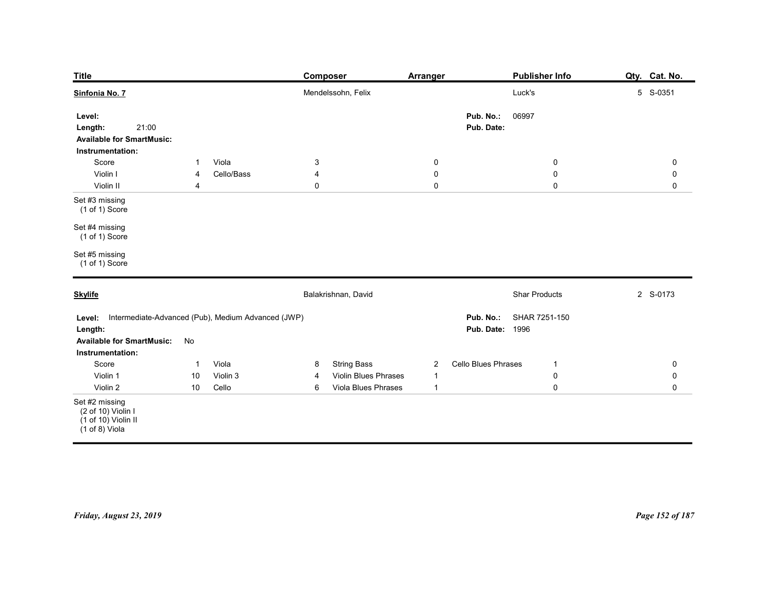| <b>Title</b>                                                                       |                                                                 | <b>Composer</b>                                 | <b>Arranger</b>                           | <b>Publisher Info</b>                                | Qty. Cat. No.              |
|------------------------------------------------------------------------------------|-----------------------------------------------------------------|-------------------------------------------------|-------------------------------------------|------------------------------------------------------|----------------------------|
| Sinfonia No. 7                                                                     |                                                                 | Mendelssohn, Felix                              |                                           | Luck's                                               | 5 S-0351                   |
| Level:<br>21:00<br>Length:<br><b>Available for SmartMusic:</b><br>Instrumentation: |                                                                 |                                                 |                                           | Pub. No.:<br>06997<br>Pub. Date:                     |                            |
| Score<br>Violin I                                                                  | Viola<br>$\mathbf{1}$<br>Cello/Bass<br>4                        | $\mathbf{3}$<br>4                               | $\mathbf 0$<br>$\pmb{0}$                  | $\bf{0}$<br>$\pmb{0}$                                | $\mathbf 0$<br>$\mathbf 0$ |
| Violin II                                                                          | 4                                                               | 0                                               | $\mathbf 0$                               | $\pmb{0}$                                            | $\mathbf 0$                |
| Set #3 missing<br>(1 of 1) Score                                                   |                                                                 |                                                 |                                           |                                                      |                            |
| Set #4 missing<br>(1 of 1) Score                                                   |                                                                 |                                                 |                                           |                                                      |                            |
| Set #5 missing<br>$(1 of 1)$ Score                                                 |                                                                 |                                                 |                                           |                                                      |                            |
| <b>Skylife</b>                                                                     |                                                                 | Balakrishnan, David                             |                                           | <b>Shar Products</b>                                 | 2 S-0173                   |
| Length:<br><b>Available for SmartMusic:</b><br>Instrumentation:                    | Level: Intermediate-Advanced (Pub), Medium Advanced (JWP)<br>No |                                                 |                                           | Pub. No.:<br>SHAR 7251-150<br><b>Pub. Date: 1996</b> |                            |
| Score                                                                              | Viola<br>$\mathbf{1}$<br>Violin 3                               | <b>String Bass</b><br>8<br>Violin Blues Phrases | $\overline{2}$                            | Cello Blues Phrases<br>$\mathbf{1}$                  | $\mathbf 0$                |
| Violin 1<br>Violin 2                                                               | 10<br>Cello<br>10                                               | 4<br>Viola Blues Phrases<br>6                   | $\overline{1}$<br>$\overline{\mathbf{1}}$ | $\mathbf 0$<br>$\pmb{0}$                             | $\mathbf 0$<br>$\mathbf 0$ |
| Set #2 missing<br>(2 of 10) Violin I<br>(1 of 10) Violin II<br>(1 of 8) Viola      |                                                                 |                                                 |                                           |                                                      |                            |
|                                                                                    |                                                                 |                                                 |                                           |                                                      |                            |
|                                                                                    |                                                                 |                                                 |                                           |                                                      |                            |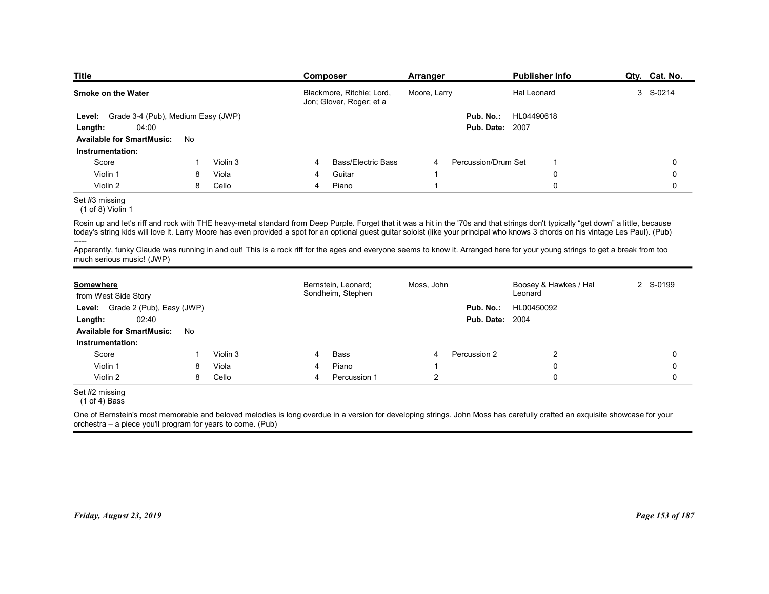| <b>Title</b>                                                                                                                                                                                                                                                                                                                                                               |    |          |   | Composer                                              | <b>Arranger</b> |                        | <b>Publisher Info</b>            | Qty. Cat. No. |
|----------------------------------------------------------------------------------------------------------------------------------------------------------------------------------------------------------------------------------------------------------------------------------------------------------------------------------------------------------------------------|----|----------|---|-------------------------------------------------------|-----------------|------------------------|----------------------------------|---------------|
| <b>Smoke on the Water</b>                                                                                                                                                                                                                                                                                                                                                  |    |          |   | Blackmore, Ritchie; Lord,<br>Jon; Glover, Roger; et a | Moore, Larry    |                        | Hal Leonard                      | 3 S-0214      |
| Grade 3-4 (Pub), Medium Easy (JWP)<br>Level:                                                                                                                                                                                                                                                                                                                               |    |          |   |                                                       |                 | Pub. No.:              | HL04490618                       |               |
| 04:00<br>Length:<br><b>Available for SmartMusic:</b>                                                                                                                                                                                                                                                                                                                       | No |          |   |                                                       |                 | <b>Pub. Date: 2007</b> |                                  |               |
| Instrumentation:                                                                                                                                                                                                                                                                                                                                                           |    |          |   |                                                       |                 |                        |                                  |               |
| Score                                                                                                                                                                                                                                                                                                                                                                      |    | Violin 3 | 4 | <b>Bass/Electric Bass</b>                             | 4               | Percussion/Drum Set    | $\overline{1}$                   | 0             |
| Violin 1                                                                                                                                                                                                                                                                                                                                                                   | 8  | Viola    | 4 | Guitar                                                |                 |                        | 0                                | 0             |
| Violin 2                                                                                                                                                                                                                                                                                                                                                                   | 8  | Cello    | 4 | Piano                                                 |                 |                        | $\mathbf 0$                      | 0             |
| Set #3 missing<br>(1 of 8) Violin 1                                                                                                                                                                                                                                                                                                                                        |    |          |   |                                                       |                 |                        |                                  |               |
| Rosin up and let's riff and rock with THE heavy-metal standard from Deep Purple. Forget that it was a hit in the '70s and that strings don't typically "get down" a little, because<br>today's string kids will love it. Larry Moore has even provided a spot for an optional guest guitar soloist (like your principal who knows 3 chords on his vintage Les Paul). (Pub) |    |          |   |                                                       |                 |                        |                                  |               |
| Apparently, funky Claude was running in and out! This is a rock riff for the ages and everyone seems to know it. Arranged here for your young strings to get a break from too<br>much serious music! (JWP)                                                                                                                                                                 |    |          |   |                                                       |                 |                        |                                  |               |
| Somewhere<br>from West Side Story                                                                                                                                                                                                                                                                                                                                          |    |          |   | Bernstein, Leonard;<br>Sondheim, Stephen              | Moss, John      |                        | Boosey & Hawkes / Hal<br>Leonard | 2 S-0199      |
| Level: Grade 2 (Pub), Easy (JWP)                                                                                                                                                                                                                                                                                                                                           |    |          |   |                                                       |                 | Pub. No.:              | HL00450092                       |               |
|                                                                                                                                                                                                                                                                                                                                                                            |    |          |   |                                                       |                 | <b>Pub. Date: 2004</b> |                                  |               |
| 02:40<br>Length:                                                                                                                                                                                                                                                                                                                                                           |    |          |   |                                                       |                 |                        |                                  |               |
| Available for SmartMusic: No                                                                                                                                                                                                                                                                                                                                               |    |          |   |                                                       |                 |                        |                                  |               |

## Set #3 missing

| Grade 3-4 (Pub), Medium Easy (JWP)<br>Level:                |    |          |                | Jon; Glover, Roger; et a  |            |                        |                                                                                                                                                                                                                                                                                                                                                                            |             |
|-------------------------------------------------------------|----|----------|----------------|---------------------------|------------|------------------------|----------------------------------------------------------------------------------------------------------------------------------------------------------------------------------------------------------------------------------------------------------------------------------------------------------------------------------------------------------------------------|-------------|
|                                                             |    |          |                |                           |            | Pub. No.:              | HL04490618                                                                                                                                                                                                                                                                                                                                                                 |             |
| 04:00<br>Length:                                            |    |          |                |                           |            | <b>Pub. Date: 2007</b> |                                                                                                                                                                                                                                                                                                                                                                            |             |
| <b>Available for SmartMusic:</b>                            | No |          |                |                           |            |                        |                                                                                                                                                                                                                                                                                                                                                                            |             |
| Instrumentation:                                            |    |          |                |                           |            |                        |                                                                                                                                                                                                                                                                                                                                                                            |             |
| Score                                                       | -1 | Violin 3 | $\overline{4}$ | <b>Bass/Electric Bass</b> | 4          | Percussion/Drum Set    | -1                                                                                                                                                                                                                                                                                                                                                                         | 0           |
| Violin 1                                                    | 8  | Viola    | 4              | Guitar                    | -1         |                        | $\pmb{0}$                                                                                                                                                                                                                                                                                                                                                                  | $\mathbf 0$ |
| Violin 2                                                    | 8  | Cello    | $\overline{4}$ | Piano                     | -1         |                        | $\mathbf 0$                                                                                                                                                                                                                                                                                                                                                                | $\mathbf 0$ |
| Set #3 missing<br>$(1 of 8)$ Violin 1                       |    |          |                |                           |            |                        |                                                                                                                                                                                                                                                                                                                                                                            |             |
|                                                             |    |          |                |                           |            |                        | Rosin up and let's riff and rock with THE heavy-metal standard from Deep Purple. Forget that it was a hit in the '70s and that strings don't typically "get down" a little, because<br>today's string kids will love it. Larry Moore has even provided a spot for an optional guest guitar soloist (like your principal who knows 3 chords on his vintage Les Paul). (Pub) |             |
| much serious music! (JWP)                                   |    |          |                |                           |            |                        | Apparently, funky Claude was running in and out! This is a rock riff for the ages and everyone seems to know it. Arranged here for your young strings to get a break from too                                                                                                                                                                                              |             |
| Somewhere                                                   |    |          |                | Bernstein, Leonard;       | Moss, John |                        | Boosey & Hawkes / Hal                                                                                                                                                                                                                                                                                                                                                      | 2 S-0199    |
| from West Side Story                                        |    |          |                | Sondheim, Stephen         |            |                        | Leonard                                                                                                                                                                                                                                                                                                                                                                    |             |
| Level: Grade 2 (Pub), Easy (JWP)                            |    |          |                |                           |            | Pub. No.:              | HL00450092                                                                                                                                                                                                                                                                                                                                                                 |             |
| 02:40<br>Length:                                            |    |          |                |                           |            | <b>Pub. Date: 2004</b> |                                                                                                                                                                                                                                                                                                                                                                            |             |
| <b>Available for SmartMusic:</b>                            | No |          |                |                           |            |                        |                                                                                                                                                                                                                                                                                                                                                                            |             |
| Instrumentation:                                            |    |          |                |                           |            |                        |                                                                                                                                                                                                                                                                                                                                                                            |             |
| Score                                                       | -1 | Violin 3 | 4              | <b>Bass</b>               | 4          | Percussion 2           | $\overline{2}$                                                                                                                                                                                                                                                                                                                                                             | $\mathbf 0$ |
| Violin 1                                                    | 8  | Viola    |                | Piano                     | -1         |                        | $\mathbf 0$                                                                                                                                                                                                                                                                                                                                                                | $\mathbf 0$ |
| Violin 2                                                    | 8  | Cello    | $\overline{4}$ | Percussion 1              | 2          |                        | $\mathbf 0$                                                                                                                                                                                                                                                                                                                                                                | $\mathbf 0$ |
| Set #2 missing<br>$(1 of 4)$ Bass                           |    |          |                |                           |            |                        |                                                                                                                                                                                                                                                                                                                                                                            |             |
| orchestra - a piece you'll program for years to come. (Pub) |    |          |                |                           |            |                        | One of Bernstein's most memorable and beloved melodies is long overdue in a version for developing strings. John Moss has carefully crafted an exquisite showcase for your                                                                                                                                                                                                 |             |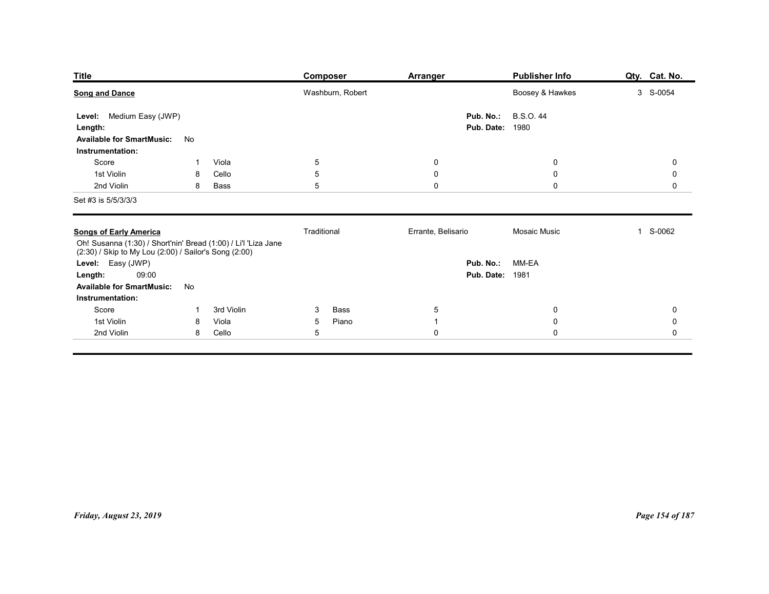| <b>Title</b>                                                                                                            |              |                | <b>Composer</b>                   | <b>Arranger</b>               | <b>Publisher Info</b>                                        | Qty. Cat. No.                      |
|-------------------------------------------------------------------------------------------------------------------------|--------------|----------------|-----------------------------------|-------------------------------|--------------------------------------------------------------|------------------------------------|
| <b>Song and Dance</b><br>Level: Medium Easy (JWP)<br>Length:                                                            |              |                | Washburn, Robert                  | Pub. No.:                     | Boosey & Hawkes<br><b>B.S.O.44</b><br><b>Pub. Date: 1980</b> | 3 S-0054                           |
| <b>Available for SmartMusic:</b><br>Instrumentation:                                                                    | No           |                |                                   |                               |                                                              |                                    |
| Score<br>1st Violin                                                                                                     | $\mathbf{1}$ | Viola          | $\overline{5}$                    | $\mathbf 0$                   | $\boldsymbol{0}$                                             | $\mathbf 0$                        |
| 2nd Violin                                                                                                              | 8<br>8       | Cello<br>Bass  | $5\phantom{.0}$<br>$\overline{5}$ | $\pmb{0}$<br>$\mathbf 0$      | $\mathbf 0$<br>$\mathbf 0$                                   | $\mathsf{O}\xspace$<br>$\mathbf 0$ |
| Set #3 is 5/5/3/3/3                                                                                                     |              |                |                                   |                               |                                                              |                                    |
| <b>Songs of Early America</b>                                                                                           |              |                | Traditional                       | Errante, Belisario            | Mosaic Music                                                 | 1 S-0062                           |
| Oh! Susanna (1:30) / Short'nin' Bread (1:00) / Li'l 'Liza Jane<br>(2:30) / Skip to My Lou (2:00) / Sailor's Song (2:00) |              |                |                                   |                               |                                                              |                                    |
| Level: Easy (JWP)<br>09:00<br>Length:                                                                                   |              |                |                                   |                               | Pub. No.: MM-EA<br><b>Pub. Date: 1981</b>                    |                                    |
| <b>Available for SmartMusic:</b>                                                                                        | No           |                |                                   |                               |                                                              |                                    |
| Instrumentation:<br>Score                                                                                               | $\mathbf{1}$ | 3rd Violin     | Bass<br>$\mathbf{3}$              | $\overline{5}$                | $\pmb{0}$                                                    | $\mathbf 0$                        |
| 1st Violin                                                                                                              | 8<br>8       | Viola<br>Cello | Piano<br>$\sqrt{5}$<br>$\sqrt{5}$ | $\overline{1}$<br>$\mathbf 0$ | $\pmb{0}$<br>$\mathbf 0$                                     | $\mathbf 0$<br>$\mathsf{O}\xspace$ |
| 2nd Violin                                                                                                              |              |                |                                   |                               |                                                              |                                    |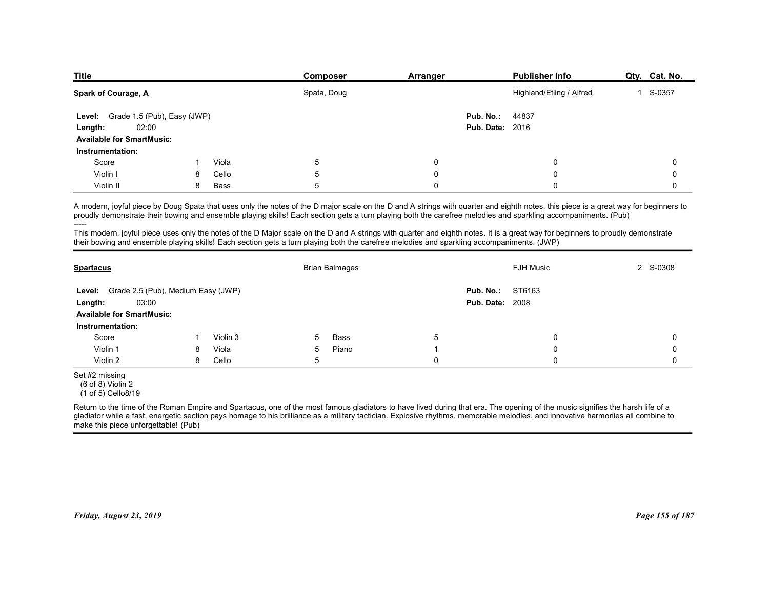| <b>Title</b>                                                                                                                                                                                                                                                                                                                                                                                                                                                                                                                                    |   |       | <b>Composer</b>                                                                                                                           | Arranger    |                        | <b>Publisher Info</b>    | Qty. Cat. No. |
|-------------------------------------------------------------------------------------------------------------------------------------------------------------------------------------------------------------------------------------------------------------------------------------------------------------------------------------------------------------------------------------------------------------------------------------------------------------------------------------------------------------------------------------------------|---|-------|-------------------------------------------------------------------------------------------------------------------------------------------|-------------|------------------------|--------------------------|---------------|
| Spark of Courage, A                                                                                                                                                                                                                                                                                                                                                                                                                                                                                                                             |   |       | Spata, Doug                                                                                                                               |             |                        | Highland/Etling / Alfred | 1 S-0357      |
| Grade 1.5 (Pub), Easy (JWP)<br>Level:                                                                                                                                                                                                                                                                                                                                                                                                                                                                                                           |   |       |                                                                                                                                           |             | Pub. No.:              | 44837                    |               |
| 02:00<br>Length:                                                                                                                                                                                                                                                                                                                                                                                                                                                                                                                                |   |       |                                                                                                                                           |             | <b>Pub. Date: 2016</b> |                          |               |
| <b>Available for SmartMusic:</b><br>Instrumentation:                                                                                                                                                                                                                                                                                                                                                                                                                                                                                            |   |       |                                                                                                                                           |             |                        |                          |               |
| Score                                                                                                                                                                                                                                                                                                                                                                                                                                                                                                                                           |   | Viola | $\,$ 5 $\,$                                                                                                                               | $\mathbf 0$ |                        | $\mathbf 0$              | $\mathbf 0$   |
| Violin I                                                                                                                                                                                                                                                                                                                                                                                                                                                                                                                                        | 8 | Cello | 5                                                                                                                                         | $\mathbf 0$ |                        | $\mathbf 0$              | $\mathbf 0$   |
| Violin II                                                                                                                                                                                                                                                                                                                                                                                                                                                                                                                                       | 8 | Bass  | 5                                                                                                                                         | $\mathbf 0$ |                        | $\mathbf 0$              | $\mathbf 0$   |
| A modern, joyful piece by Doug Spata that uses only the notes of the D major scale on the D and A strings with quarter and eighth notes, this piece is a great way for beginners to<br>proudly demonstrate their bowing and ensemble playing skills! Each section gets a turn playing both the carefree melodies and sparkling accompaniments. (Pub)<br>----<br>This modern, joyful piece uses only the notes of the D Major scale on the D and A strings with quarter and eighth notes. It is a great way for beginners to proudly demonstrate |   |       | their bowing and ensemble playing skills! Each section gets a turn playing both the carefree melodies and sparkling accompaniments. (JWP) |             |                        |                          |               |
|                                                                                                                                                                                                                                                                                                                                                                                                                                                                                                                                                 |   |       | <b>Brian Balmages</b>                                                                                                                     |             |                        | <b>FJH Music</b>         | 2 S-0308      |
| <b>Spartacus</b>                                                                                                                                                                                                                                                                                                                                                                                                                                                                                                                                |   |       |                                                                                                                                           |             | Pub. No.:              | ST6163                   |               |
|                                                                                                                                                                                                                                                                                                                                                                                                                                                                                                                                                 |   |       |                                                                                                                                           |             |                        |                          |               |
| Level: Grade 2.5 (Pub), Medium Easy (JWP)<br>03:00<br>Length:                                                                                                                                                                                                                                                                                                                                                                                                                                                                                   |   |       |                                                                                                                                           |             | <b>Pub. Date: 2008</b> |                          |               |
| <b>Available for SmartMusic:</b>                                                                                                                                                                                                                                                                                                                                                                                                                                                                                                                |   |       |                                                                                                                                           |             |                        |                          |               |

|                                                                                                                                           |    |          |            | Spata, Doug           |             | Highland/Etling / Alfred                                                                                                                                                                                                                                                                                                                                                                                                                                                                                                                | 1 S-0357    |
|-------------------------------------------------------------------------------------------------------------------------------------------|----|----------|------------|-----------------------|-------------|-----------------------------------------------------------------------------------------------------------------------------------------------------------------------------------------------------------------------------------------------------------------------------------------------------------------------------------------------------------------------------------------------------------------------------------------------------------------------------------------------------------------------------------------|-------------|
| Grade 1.5 (Pub), Easy (JWP)<br>Level:<br>02:00<br>Length:<br><b>Available for SmartMusic:</b><br>Instrumentation:                         |    |          |            |                       |             | Pub. No.:<br>44837<br><b>Pub. Date: 2016</b>                                                                                                                                                                                                                                                                                                                                                                                                                                                                                            |             |
| Score                                                                                                                                     | 1  | Viola    | 5          |                       | 0           | 0                                                                                                                                                                                                                                                                                                                                                                                                                                                                                                                                       | $\mathbf 0$ |
| Violin I                                                                                                                                  | 8  | Cello    | 5          |                       | $\mathbf 0$ | 0                                                                                                                                                                                                                                                                                                                                                                                                                                                                                                                                       | $\mathbf 0$ |
| Violin II                                                                                                                                 | 8  | Bass     | 5          |                       | $\Omega$    | 0                                                                                                                                                                                                                                                                                                                                                                                                                                                                                                                                       | 0           |
| their bowing and ensemble playing skills! Each section gets a turn playing both the carefree melodies and sparkling accompaniments. (JWP) |    |          |            |                       |             | A modern, joyful piece by Doug Spata that uses only the notes of the D major scale on the D and A strings with quarter and eighth notes, this piece is a great way for beginners to<br>proudly demonstrate their bowing and ensemble playing skills! Each section gets a turn playing both the carefree melodies and sparkling accompaniments. (Pub)<br>This modern, joyful piece uses only the notes of the D Major scale on the D and A strings with quarter and eighth notes. It is a great way for beginners to proudly demonstrate |             |
| <b>Spartacus</b>                                                                                                                          |    |          |            | <b>Brian Balmages</b> |             | <b>FJH Music</b>                                                                                                                                                                                                                                                                                                                                                                                                                                                                                                                        | 2 S-0308    |
| Level: Grade 2.5 (Pub), Medium Easy (JWP)<br>03:00<br>Length:<br><b>Available for SmartMusic:</b><br>Instrumentation:                     |    |          |            |                       |             | ST6163<br>Pub. No.:<br><b>Pub. Date: 2008</b>                                                                                                                                                                                                                                                                                                                                                                                                                                                                                           |             |
| Score                                                                                                                                     | -1 | Violin 3 | 5          | Bass                  | 5           | $\mathbf{0}$                                                                                                                                                                                                                                                                                                                                                                                                                                                                                                                            | $\Omega$    |
| Violin 1                                                                                                                                  | 8  | Viola    | $\sqrt{5}$ | Piano                 | -1          | $\mathbf{0}$                                                                                                                                                                                                                                                                                                                                                                                                                                                                                                                            | $\Omega$    |
| Violin 2                                                                                                                                  | 8  | Cello    | $\sqrt{5}$ |                       | $\mathbf 0$ | $\Omega$                                                                                                                                                                                                                                                                                                                                                                                                                                                                                                                                | $\Omega$    |
| Set #2 missing<br>(6 of 8) Violin 2<br>(1 of 5) Cello8/19<br>make this piece unforgettable! (Pub)                                         |    |          |            |                       |             | Return to the time of the Roman Empire and Spartacus, one of the most famous gladiators to have lived during that era. The opening of the music signifies the harsh life of a<br>gladiator while a fast, energetic section pays homage to his brilliance as a military tactician. Explosive rhythms, memorable melodies, and innovative harmonies all combine to                                                                                                                                                                        |             |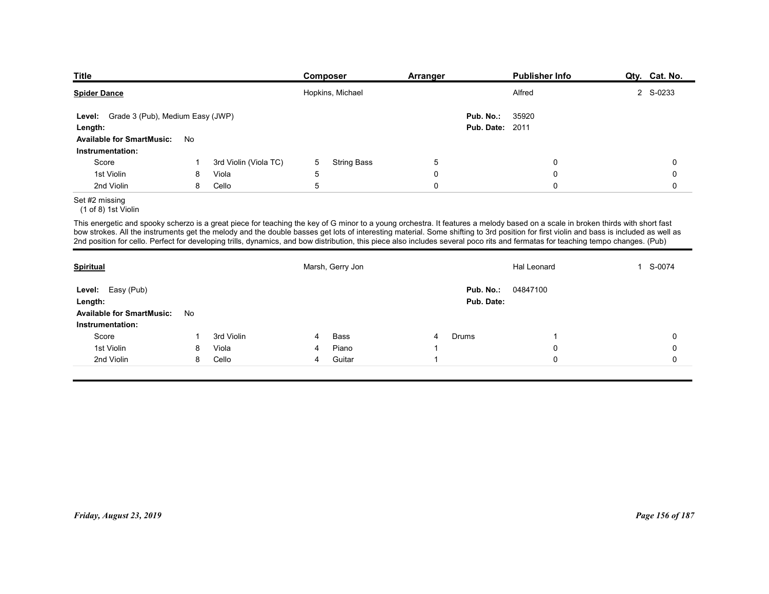| Title                                                                                                                                                                                                                                                                                                                                                                                                                                                                                                                                                         |         |                                |        | <b>Composer</b>    | <b>Arranger</b>  |                         | <b>Publisher Info</b>    | Qty. Cat. No. |
|---------------------------------------------------------------------------------------------------------------------------------------------------------------------------------------------------------------------------------------------------------------------------------------------------------------------------------------------------------------------------------------------------------------------------------------------------------------------------------------------------------------------------------------------------------------|---------|--------------------------------|--------|--------------------|------------------|-------------------------|--------------------------|---------------|
| <b>Spider Dance</b>                                                                                                                                                                                                                                                                                                                                                                                                                                                                                                                                           |         |                                |        | Hopkins, Michael   |                  |                         | Alfred                   | 2 S-0233      |
| Level: Grade 3 (Pub), Medium Easy (JWP)                                                                                                                                                                                                                                                                                                                                                                                                                                                                                                                       |         |                                |        |                    |                  | Pub. No.:               | 35920                    |               |
| Length:<br><b>Available for SmartMusic:</b>                                                                                                                                                                                                                                                                                                                                                                                                                                                                                                                   | No      |                                |        |                    |                  | <b>Pub. Date: 2011</b>  |                          |               |
| Instrumentation:                                                                                                                                                                                                                                                                                                                                                                                                                                                                                                                                              |         |                                |        |                    |                  |                         |                          |               |
| Score<br>1st Violin                                                                                                                                                                                                                                                                                                                                                                                                                                                                                                                                           | -1<br>8 | 3rd Violin (Viola TC)<br>Viola | 5<br>5 | <b>String Bass</b> | 5<br>$\mathbf 0$ |                         | $\mathbf 0$<br>$\pmb{0}$ | 0<br>0        |
| 2nd Violin                                                                                                                                                                                                                                                                                                                                                                                                                                                                                                                                                    | 8       | Cello                          | 5      |                    | $\mathsf 0$      |                         | $\mathsf{O}\xspace$      | 0             |
| Set #2 missing<br>(1 of 8) 1st Violin                                                                                                                                                                                                                                                                                                                                                                                                                                                                                                                         |         |                                |        |                    |                  |                         |                          |               |
| This energetic and spooky scherzo is a great piece for teaching the key of G minor to a young orchestra. It features a melody based on a scale in broken thirds with short fast<br>bow strokes. All the instruments get the melody and the double basses get lots of interesting material. Some shifting to 3rd position for first violin and bass is included as well as<br>2nd position for cello. Perfect for developing trills, dynamics, and bow distribution, this piece also includes several poco rits and fermatas for teaching tempo changes. (Pub) |         |                                |        |                    |                  |                         |                          |               |
| <b>Spiritual</b>                                                                                                                                                                                                                                                                                                                                                                                                                                                                                                                                              |         |                                |        | Marsh, Gerry Jon   |                  |                         | Hal Leonard              | 1 S-0074      |
| Level: Easy (Pub)                                                                                                                                                                                                                                                                                                                                                                                                                                                                                                                                             |         |                                |        |                    |                  | Pub. No.:<br>Pub. Date: | 04847100                 |               |
| Length:<br><b>Available for SmartMusic:</b>                                                                                                                                                                                                                                                                                                                                                                                                                                                                                                                   | No      |                                |        |                    |                  |                         |                          |               |

| <b>Spider Dance</b>                                                                                                                                                                                                                                                                                                                                                                                                                                                                                                                                           |              |                       |                 | Hopkins, Michael   |                |                                     | Alfred      | 2 S-0233        |
|---------------------------------------------------------------------------------------------------------------------------------------------------------------------------------------------------------------------------------------------------------------------------------------------------------------------------------------------------------------------------------------------------------------------------------------------------------------------------------------------------------------------------------------------------------------|--------------|-----------------------|-----------------|--------------------|----------------|-------------------------------------|-------------|-----------------|
| Level: Grade 3 (Pub), Medium Easy (JWP)<br>Length:<br><b>Available for SmartMusic:</b><br>Instrumentation:                                                                                                                                                                                                                                                                                                                                                                                                                                                    | No           |                       |                 |                    |                | Pub. No.:<br><b>Pub. Date: 2011</b> | 35920       |                 |
| Score                                                                                                                                                                                                                                                                                                                                                                                                                                                                                                                                                         | $\mathbf{1}$ | 3rd Violin (Viola TC) | $5\phantom{.0}$ | <b>String Bass</b> | 5              |                                     | 0           | $\mathbf 0$     |
| 1st Violin                                                                                                                                                                                                                                                                                                                                                                                                                                                                                                                                                    | 8            | Viola                 | $\sqrt{5}$      |                    | $\pmb{0}$      |                                     | $\mathbf 0$ | $\mathsf 0$     |
| 2nd Violin                                                                                                                                                                                                                                                                                                                                                                                                                                                                                                                                                    | 8            | Cello                 | $\sqrt{5}$      |                    | $\mathbf 0$    |                                     | 0           | $\mathbf 0$     |
| Set #2 missing<br>(1 of 8) 1st Violin                                                                                                                                                                                                                                                                                                                                                                                                                                                                                                                         |              |                       |                 |                    |                |                                     |             |                 |
| This energetic and spooky scherzo is a great piece for teaching the key of G minor to a young orchestra. It features a melody based on a scale in broken thirds with short fast<br>bow strokes. All the instruments get the melody and the double basses get lots of interesting material. Some shifting to 3rd position for first violin and bass is included as well as<br>2nd position for cello. Perfect for developing trills, dynamics, and bow distribution, this piece also includes several poco rits and fermatas for teaching tempo changes. (Pub) |              |                       |                 |                    |                |                                     |             |                 |
| <b>Spiritual</b>                                                                                                                                                                                                                                                                                                                                                                                                                                                                                                                                              |              |                       |                 | Marsh, Gerry Jon   |                |                                     | Hal Leonard | 1 S-0074        |
| Level: Easy (Pub)<br>Length:<br><b>Available for SmartMusic:</b><br>Instrumentation:                                                                                                                                                                                                                                                                                                                                                                                                                                                                          | No           |                       |                 |                    |                | Pub. No.:<br>Pub. Date:             | 04847100    |                 |
| Score                                                                                                                                                                                                                                                                                                                                                                                                                                                                                                                                                         | -1           | 3rd Violin            | 4               | Bass               | 4              | <b>Drums</b>                        | 1           | $\mathbf 0$     |
| 1st Violin                                                                                                                                                                                                                                                                                                                                                                                                                                                                                                                                                    | 8            | Viola                 | $\overline{4}$  | Piano              | -1             |                                     | $\mathbf 0$ | $\mathbf 0$     |
| 2nd Violin                                                                                                                                                                                                                                                                                                                                                                                                                                                                                                                                                    | 8            | Cello                 | $\overline{4}$  | Guitar             | $\overline{1}$ |                                     | 0           | 0               |
|                                                                                                                                                                                                                                                                                                                                                                                                                                                                                                                                                               |              |                       |                 |                    |                |                                     |             |                 |
| Friday, August 23, 2019                                                                                                                                                                                                                                                                                                                                                                                                                                                                                                                                       |              |                       |                 |                    |                |                                     |             | Page 156 of 187 |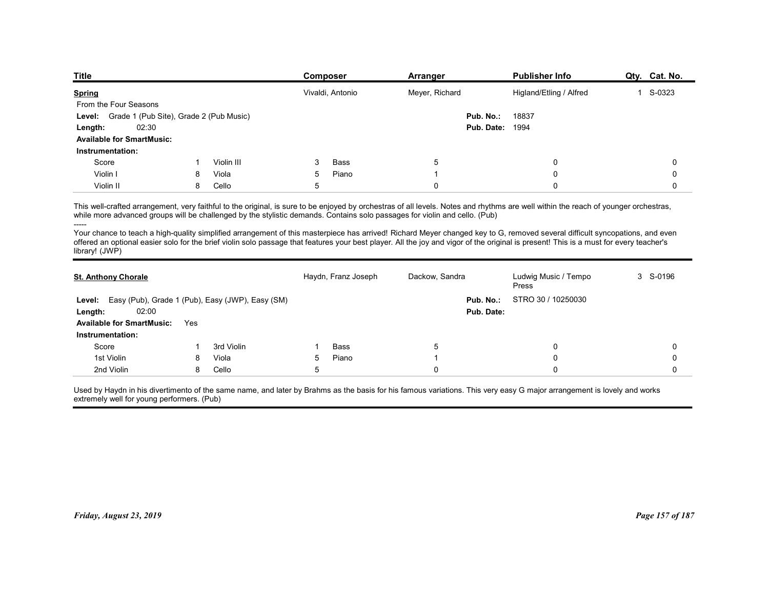| <b>Title</b>                                            |   |            | Composer            | Arranger                                                                                                                                                                                                                                                                                                                                                               | <b>Publisher Info</b>         | Qty. Cat. No. |
|---------------------------------------------------------|---|------------|---------------------|------------------------------------------------------------------------------------------------------------------------------------------------------------------------------------------------------------------------------------------------------------------------------------------------------------------------------------------------------------------------|-------------------------------|---------------|
| <b>Spring</b>                                           |   |            | Vivaldi, Antonio    | Meyer, Richard                                                                                                                                                                                                                                                                                                                                                         | Higland/Etling / Alfred       | 1 S-0323      |
| From the Four Seasons                                   |   |            |                     |                                                                                                                                                                                                                                                                                                                                                                        |                               |               |
| Grade 1 (Pub Site), Grade 2 (Pub Music)<br>Level:       |   |            |                     | Pub. No.:                                                                                                                                                                                                                                                                                                                                                              | 18837                         |               |
| 02:30<br>Length:                                        |   |            |                     | Pub. Date:                                                                                                                                                                                                                                                                                                                                                             | 1994                          |               |
| <b>Available for SmartMusic:</b>                        |   |            |                     |                                                                                                                                                                                                                                                                                                                                                                        |                               |               |
| Instrumentation:                                        |   | Violin III | Bass<br>3           |                                                                                                                                                                                                                                                                                                                                                                        | 0                             |               |
| Score<br>Violin I                                       | 8 | Viola      | 5<br>Piano          | 5                                                                                                                                                                                                                                                                                                                                                                      | 0                             | 0<br>0        |
| Violin II                                               | 8 | Cello      | 5                   | 0                                                                                                                                                                                                                                                                                                                                                                      | $\Omega$                      | 0             |
|                                                         |   |            |                     |                                                                                                                                                                                                                                                                                                                                                                        |                               |               |
|                                                         |   |            |                     | This well-crafted arrangement, very faithful to the original, is sure to be enjoyed by orchestras of all levels. Notes and rhythms are well within the reach of younger orchestras,<br>while more advanced groups will be challenged by the stylistic demands. Contains solo passages for violin and cello. (Pub)                                                      |                               |               |
| -----                                                   |   |            |                     | Your chance to teach a high-quality simplified arrangement of this masterpiece has arrived! Richard Meyer changed key to G, removed several difficult syncopations, and even<br>offered an optional easier solo for the brief violin solo passage that features your best player. All the joy and vigor of the original is present! This is a must for every teacher's |                               |               |
| library! (JWP)                                          |   |            |                     |                                                                                                                                                                                                                                                                                                                                                                        |                               |               |
|                                                         |   |            |                     |                                                                                                                                                                                                                                                                                                                                                                        |                               |               |
|                                                         |   |            | Haydn, Franz Joseph | Dackow, Sandra                                                                                                                                                                                                                                                                                                                                                         | Ludwig Music / Tempo<br>Press | 3 S-0196      |
| <b>St. Anthony Chorale</b>                              |   |            |                     | Pub. No.:                                                                                                                                                                                                                                                                                                                                                              | STRO 30 / 10250030            |               |
| Level: Easy (Pub), Grade 1 (Pub), Easy (JWP), Easy (SM) |   |            |                     |                                                                                                                                                                                                                                                                                                                                                                        |                               |               |
| 02:00<br>Length:                                        |   |            |                     | Pub. Date:                                                                                                                                                                                                                                                                                                                                                             |                               |               |
| Available for SmartMusic: Yes                           |   |            |                     |                                                                                                                                                                                                                                                                                                                                                                        |                               |               |

|                                                         |     |            |            |                     | Meyer, Richard                                                                                                             |                                                                                                                                                                                                                                                                                                                                                                                                                                                                                                                                                               |             |
|---------------------------------------------------------|-----|------------|------------|---------------------|----------------------------------------------------------------------------------------------------------------------------|---------------------------------------------------------------------------------------------------------------------------------------------------------------------------------------------------------------------------------------------------------------------------------------------------------------------------------------------------------------------------------------------------------------------------------------------------------------------------------------------------------------------------------------------------------------|-------------|
| From the Four Seasons                                   |     |            |            |                     |                                                                                                                            |                                                                                                                                                                                                                                                                                                                                                                                                                                                                                                                                                               |             |
| Level: Grade 1 (Pub Site), Grade 2 (Pub Music)          |     |            |            |                     | Pub. No.:                                                                                                                  | 18837                                                                                                                                                                                                                                                                                                                                                                                                                                                                                                                                                         |             |
| 02:30<br>Length:                                        |     |            |            |                     |                                                                                                                            | <b>Pub. Date: 1994</b>                                                                                                                                                                                                                                                                                                                                                                                                                                                                                                                                        |             |
| <b>Available for SmartMusic:</b>                        |     |            |            |                     |                                                                                                                            |                                                                                                                                                                                                                                                                                                                                                                                                                                                                                                                                                               |             |
| Instrumentation:                                        |     |            |            |                     |                                                                                                                            |                                                                                                                                                                                                                                                                                                                                                                                                                                                                                                                                                               |             |
| Score                                                   | -1  | Violin III | -3         | Bass                | 5                                                                                                                          | 0                                                                                                                                                                                                                                                                                                                                                                                                                                                                                                                                                             | 0           |
| Violin I                                                | 8   | Viola      | 5          | Piano               | -1                                                                                                                         | 0                                                                                                                                                                                                                                                                                                                                                                                                                                                                                                                                                             | 0           |
| Violin II                                               | 8   | Cello      | $\sqrt{5}$ |                     | $\mathbf 0$                                                                                                                | $\Omega$                                                                                                                                                                                                                                                                                                                                                                                                                                                                                                                                                      | $\Omega$    |
| -----<br>library! (JWP)                                 |     |            |            |                     | while more advanced groups will be challenged by the stylistic demands. Contains solo passages for violin and cello. (Pub) | This well-crafted arrangement, very faithful to the original, is sure to be enjoyed by orchestras of all levels. Notes and rhythms are well within the reach of younger orchestras,<br>Your chance to teach a high-quality simplified arrangement of this masterpiece has arrived! Richard Meyer changed key to G, removed several difficult syncopations, and even<br>offered an optional easier solo for the brief violin solo passage that features your best player. All the joy and vigor of the original is present! This is a must for every teacher's |             |
| <b>St. Anthony Chorale</b>                              |     |            |            | Haydn, Franz Joseph | Dackow, Sandra                                                                                                             | Ludwig Music / Tempo<br>Press                                                                                                                                                                                                                                                                                                                                                                                                                                                                                                                                 | 3 S-0196    |
| Level: Easy (Pub), Grade 1 (Pub), Easy (JWP), Easy (SM) |     |            |            |                     | Pub. No.:                                                                                                                  | STRO 30 / 10250030                                                                                                                                                                                                                                                                                                                                                                                                                                                                                                                                            |             |
| 02:00<br>Length:                                        |     |            |            |                     | Pub. Date:                                                                                                                 |                                                                                                                                                                                                                                                                                                                                                                                                                                                                                                                                                               |             |
| <b>Available for SmartMusic:</b>                        | Yes |            |            |                     |                                                                                                                            |                                                                                                                                                                                                                                                                                                                                                                                                                                                                                                                                                               |             |
| Instrumentation:                                        |     |            |            |                     |                                                                                                                            |                                                                                                                                                                                                                                                                                                                                                                                                                                                                                                                                                               |             |
| Score                                                   | -1  | 3rd Violin | -1         | Bass                | 5                                                                                                                          | 0                                                                                                                                                                                                                                                                                                                                                                                                                                                                                                                                                             | $\mathbf 0$ |
| 1st Violin                                              | 8   | Viola      | 5          | Piano               | -1                                                                                                                         | 0                                                                                                                                                                                                                                                                                                                                                                                                                                                                                                                                                             | $\mathbf 0$ |
| 2nd Violin                                              | 8   | Cello      | 5          |                     | $\mathbf 0$                                                                                                                | 0                                                                                                                                                                                                                                                                                                                                                                                                                                                                                                                                                             | $\mathbf 0$ |
| extremely well for young performers. (Pub)              |     |            |            |                     |                                                                                                                            | Used by Haydn in his divertimento of the same name, and later by Brahms as the basis for his famous variations. This very easy G major arrangement is lovely and works                                                                                                                                                                                                                                                                                                                                                                                        |             |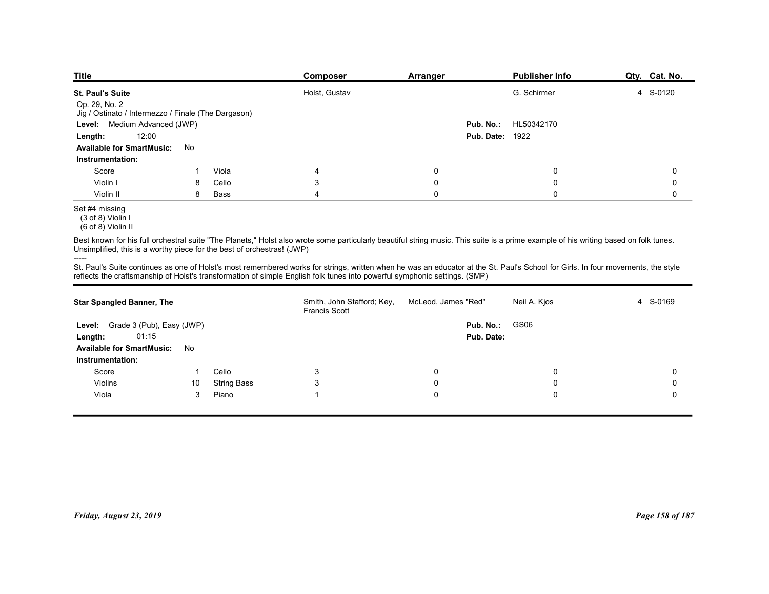| <b>Title</b>                                                           |    |       | Composer                                                                                                                                                                                                                                                                                                      | Arranger            |            | <b>Publisher Info</b> | Qty. Cat. No. |
|------------------------------------------------------------------------|----|-------|---------------------------------------------------------------------------------------------------------------------------------------------------------------------------------------------------------------------------------------------------------------------------------------------------------------|---------------------|------------|-----------------------|---------------|
| <b>St. Paul's Suite</b>                                                |    |       | Holst, Gustav                                                                                                                                                                                                                                                                                                 |                     |            | G. Schirmer           | 4 S-0120      |
| Op. 29, No. 2<br>Jig / Ostinato / Intermezzo / Finale (The Dargason)   |    |       |                                                                                                                                                                                                                                                                                                               |                     |            |                       |               |
| Level: Medium Advanced (JWP)                                           |    |       |                                                                                                                                                                                                                                                                                                               |                     | Pub. No.:  | HL50342170            |               |
| 12:00<br>Length:                                                       |    |       |                                                                                                                                                                                                                                                                                                               |                     | Pub. Date: | 1922                  |               |
| <b>Available for SmartMusic:</b><br>Instrumentation:                   | No |       |                                                                                                                                                                                                                                                                                                               |                     |            |                       |               |
| Score                                                                  |    | Viola | 4                                                                                                                                                                                                                                                                                                             | 0                   |            | 0                     | 0             |
| Violin I                                                               | 8  | Cello | 3                                                                                                                                                                                                                                                                                                             | 0                   |            | 0                     | 0             |
| Violin II                                                              | 8  | Bass  | Δ                                                                                                                                                                                                                                                                                                             | $\mathbf 0$         |            | $\mathbf 0$           | $\mathbf 0$   |
| Set #4 missing<br>$(3 of 8)$ Violin I<br>(6 of 8) Violin II            |    |       |                                                                                                                                                                                                                                                                                                               |                     |            |                       |               |
| Unsimplified, this is a worthy piece for the best of orchestras! (JWP) |    |       | Best known for his full orchestral suite "The Planets," Holst also wrote some particularly beautiful string music. This suite is a prime example of his writing based on folk tunes.                                                                                                                          |                     |            |                       |               |
|                                                                        |    |       | St. Paul's Suite continues as one of Holst's most remembered works for strings, written when he was an educator at the St. Paul's School for Girls. In four movements, the style<br>reflects the craftsmanship of Holst's transformation of simple English folk tunes into powerful symphonic settings. (SMP) |                     |            |                       |               |
|                                                                        |    |       |                                                                                                                                                                                                                                                                                                               |                     |            |                       |               |
| <b>Star Spangled Banner, The</b>                                       |    |       | Smith, John Stafford; Key,<br><b>Francis Scott</b>                                                                                                                                                                                                                                                            | McLeod, James "Red" |            | Neil A. Kjos          | 4 S-0169      |
| Level: Grade 3 (Pub), Easy (JWP)                                       |    |       |                                                                                                                                                                                                                                                                                                               |                     | Pub. No.:  | GS06                  |               |
| 01:15<br>Length:                                                       |    |       |                                                                                                                                                                                                                                                                                                               |                     | Pub. Date: |                       |               |
| Available for SmartMusic: No                                           |    |       |                                                                                                                                                                                                                                                                                                               |                     |            |                       |               |
| Instrumentation:                                                       |    |       |                                                                                                                                                                                                                                                                                                               |                     |            |                       |               |

Set #4 missing

| Level: Medium Advanced (JWP)                                           |    |                    |                                                                                                                                                                                                                                                                                                               | Pub. No.:              | HL50342170   |                 |
|------------------------------------------------------------------------|----|--------------------|---------------------------------------------------------------------------------------------------------------------------------------------------------------------------------------------------------------------------------------------------------------------------------------------------------------|------------------------|--------------|-----------------|
| 12:00<br>Length:                                                       |    |                    |                                                                                                                                                                                                                                                                                                               | <b>Pub. Date: 1922</b> |              |                 |
| <b>Available for SmartMusic:</b>                                       | No |                    |                                                                                                                                                                                                                                                                                                               |                        |              |                 |
| Instrumentation:                                                       |    |                    |                                                                                                                                                                                                                                                                                                               |                        |              |                 |
| Score                                                                  | -1 | Viola              | $\overline{4}$                                                                                                                                                                                                                                                                                                | 0                      | 0            | 0               |
| Violin I                                                               | 8  | Cello              | 3                                                                                                                                                                                                                                                                                                             | 0                      | 0            | 0               |
| Violin II                                                              | 8  | Bass               | $\overline{4}$                                                                                                                                                                                                                                                                                                | $\mathbf 0$            | $\mathbf 0$  | $\mathbf 0$     |
| Set #4 missing<br>$(3 of 8)$ Violin I<br>(6 of 8) Violin II            |    |                    |                                                                                                                                                                                                                                                                                                               |                        |              |                 |
| Unsimplified, this is a worthy piece for the best of orchestras! (JWP) |    |                    | Best known for his full orchestral suite "The Planets," Holst also wrote some particularly beautiful string music. This suite is a prime example of his writing based on folk tunes.                                                                                                                          |                        |              |                 |
|                                                                        |    |                    | St. Paul's Suite continues as one of Holst's most remembered works for strings, written when he was an educator at the St. Paul's School for Girls. In four movements, the style<br>reflects the craftsmanship of Holst's transformation of simple English folk tunes into powerful symphonic settings. (SMP) |                        |              |                 |
| <b>Star Spangled Banner, The</b>                                       |    |                    | Smith, John Stafford; Key,<br>Francis Scott                                                                                                                                                                                                                                                                   | McLeod, James "Red"    | Neil A. Kjos | 4 S-0169        |
| Level: Grade 3 (Pub), Easy (JWP)                                       |    |                    |                                                                                                                                                                                                                                                                                                               | Pub. No.:              | GS06         |                 |
| 01:15<br>Length:                                                       |    |                    |                                                                                                                                                                                                                                                                                                               | Pub. Date:             |              |                 |
| Available for SmartMusic: No                                           |    |                    |                                                                                                                                                                                                                                                                                                               |                        |              |                 |
| Instrumentation:                                                       |    |                    |                                                                                                                                                                                                                                                                                                               |                        |              |                 |
| Score                                                                  | -1 | Cello              | 3                                                                                                                                                                                                                                                                                                             | 0                      | 0            | 0               |
| Violins                                                                | 10 | <b>String Bass</b> | 3                                                                                                                                                                                                                                                                                                             | 0                      | $\mathbf 0$  | 0               |
| Viola                                                                  | 3  | Piano              | $\overline{1}$                                                                                                                                                                                                                                                                                                | $\mathbf 0$            | 0            | $\mathbf{0}$    |
|                                                                        |    |                    |                                                                                                                                                                                                                                                                                                               |                        |              |                 |
| Friday, August 23, 2019                                                |    |                    |                                                                                                                                                                                                                                                                                                               |                        |              | Page 158 of 187 |

 $(3 \text{ of } 8)$  Violin I

 <sup>(6</sup> of 8) Violin II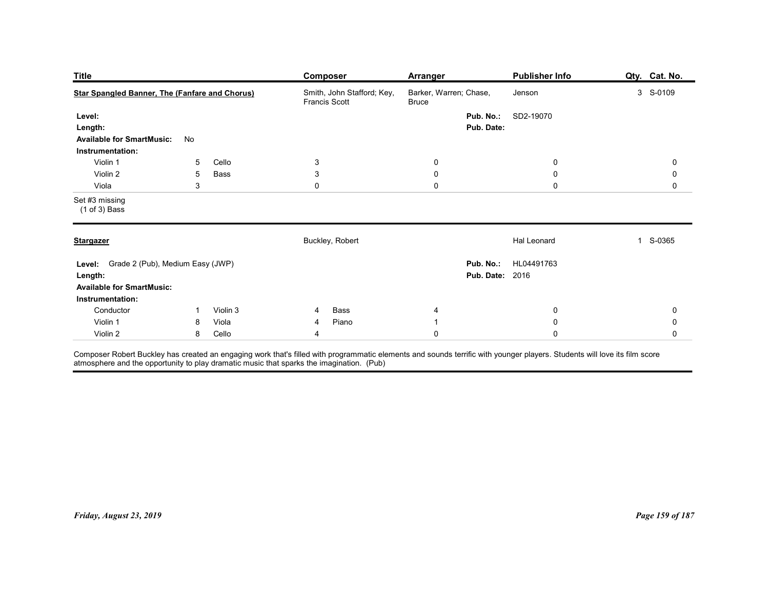| <b>Title</b>                                                                           |                 |          | <b>Composer</b>                                                                                                                                                                                                                                | <b>Arranger</b>                        | <b>Publisher Info</b>                          | Qty. Cat. No.          |
|----------------------------------------------------------------------------------------|-----------------|----------|------------------------------------------------------------------------------------------------------------------------------------------------------------------------------------------------------------------------------------------------|----------------------------------------|------------------------------------------------|------------------------|
| <b>Star Spangled Banner, The (Fanfare and Chorus)</b>                                  |                 |          | Smith, John Stafford; Key,<br>Francis Scott                                                                                                                                                                                                    | Barker, Warren; Chase,<br><b>Bruce</b> | Jenson                                         | 3 S-0109               |
| Level:<br>Length:<br><b>Available for SmartMusic:</b>                                  | No              |          |                                                                                                                                                                                                                                                | Pub. No.:<br>Pub. Date:                | SD2-19070                                      |                        |
| Instrumentation:<br>Violin 1                                                           | 5               | Cello    | $\ensuremath{\mathsf{3}}$                                                                                                                                                                                                                      | $\mathbf 0$                            | $\mathbf 0$                                    | 0                      |
| Violin 2                                                                               | $5\phantom{.0}$ | Bass     | $\mathsf 3$                                                                                                                                                                                                                                    | $\mathbf 0$                            | $\mathbf 0$                                    | $\mathbf 0$            |
| Viola<br>Set #3 missing                                                                | $\mathfrak{S}$  |          | $\mathsf{O}\xspace$                                                                                                                                                                                                                            | $\pmb{0}$                              | $\mathbf 0$                                    | $\mathsf{O}$           |
| $(1 of 3)$ Bass                                                                        |                 |          |                                                                                                                                                                                                                                                |                                        |                                                |                        |
| <b>Stargazer</b>                                                                       |                 |          | Buckley, Robert                                                                                                                                                                                                                                |                                        | Hal Leonard                                    | S-0365<br>$\mathbf{1}$ |
| Level: Grade 2 (Pub), Medium Easy (JWP)<br>Length:<br><b>Available for SmartMusic:</b> |                 |          |                                                                                                                                                                                                                                                |                                        | Pub. No.: HL04491763<br><b>Pub. Date: 2016</b> |                        |
|                                                                                        |                 |          |                                                                                                                                                                                                                                                |                                        |                                                |                        |
| Violin 1                                                                               | 8               | Viola    | Piano<br>4                                                                                                                                                                                                                                     | $\mathbf{1}$                           | $\pmb{0}$                                      | $\pmb{0}$              |
| Violin 2                                                                               |                 | 8 Cello  | $\overline{4}$                                                                                                                                                                                                                                 | $\pmb{0}$                              | $\mathbf 0$                                    | $\mathbf 0$            |
| Instrumentation:<br>Conductor                                                          | $\overline{1}$  | Violin 3 | Bass<br>4<br>Composer Robert Buckley has created an engaging work that's filled with programmatic elements and sounds terrific with younger players. Students will love its film score<br>atmosphere and the opportunity to play dramatic musi | 4                                      | $\mathbf 0$                                    | $\pmb{0}$              |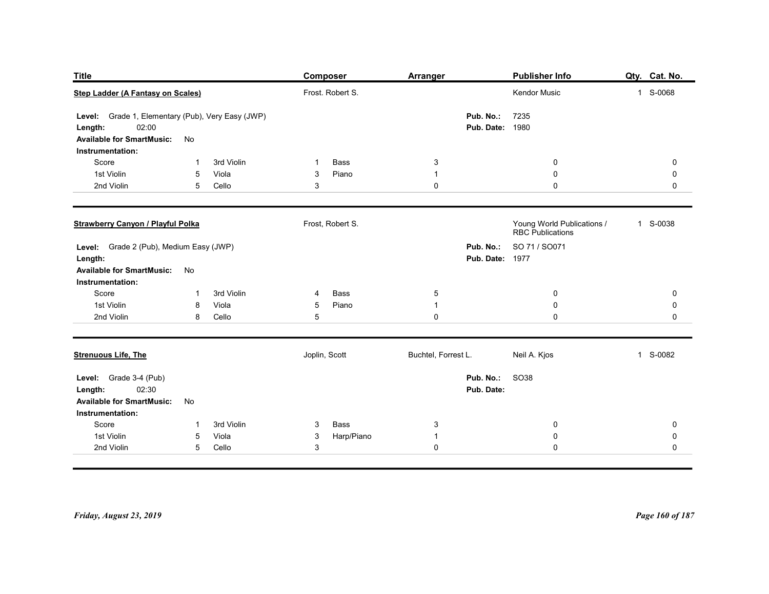| Publisher Info<br>Qty. Cat. No.<br><b>Title</b><br><b>Composer</b><br><b>Arranger</b><br>Step Ladder (A Fantasy on Scales)<br>Frost. Robert S.<br>Kendor Music<br>1 S-0068<br>7235<br>Level: Grade 1, Elementary (Pub), Very Easy (JWP)<br>Pub. No.:<br>02:00<br><b>Pub. Date: 1980</b><br>Length:<br><b>Available for SmartMusic:</b><br>No<br>Instrumentation: |
|------------------------------------------------------------------------------------------------------------------------------------------------------------------------------------------------------------------------------------------------------------------------------------------------------------------------------------------------------------------|
|                                                                                                                                                                                                                                                                                                                                                                  |
|                                                                                                                                                                                                                                                                                                                                                                  |
|                                                                                                                                                                                                                                                                                                                                                                  |
|                                                                                                                                                                                                                                                                                                                                                                  |
|                                                                                                                                                                                                                                                                                                                                                                  |
|                                                                                                                                                                                                                                                                                                                                                                  |
|                                                                                                                                                                                                                                                                                                                                                                  |
|                                                                                                                                                                                                                                                                                                                                                                  |
|                                                                                                                                                                                                                                                                                                                                                                  |
|                                                                                                                                                                                                                                                                                                                                                                  |
|                                                                                                                                                                                                                                                                                                                                                                  |
| 3rd Violin<br>Bass<br>$\mathbf{3}$<br>Score<br>0<br>0<br>-1<br>-1                                                                                                                                                                                                                                                                                                |
| 1st Violin<br>Piano<br>$\boldsymbol{0}$<br>0<br>5<br>Viola<br>3<br>$\mathbf 1$                                                                                                                                                                                                                                                                                   |
| 2nd Violin<br>3<br>0<br>$\mathbf 0$<br>5<br>Cello<br>0                                                                                                                                                                                                                                                                                                           |
| Young World Publications /<br>RBC Publications<br><b>Strawberry Canyon / Playful Polka</b><br>Frost, Robert S.<br>1 S-0038                                                                                                                                                                                                                                       |
|                                                                                                                                                                                                                                                                                                                                                                  |
| Level: Grade 2 (Pub), Medium Easy (JWP)<br>Pub. No.: SO 71 / SO071<br><b>Pub. Date: 1977</b><br>Length:                                                                                                                                                                                                                                                          |
| <b>Available for SmartMusic:</b><br>No                                                                                                                                                                                                                                                                                                                           |
| Instrumentation:                                                                                                                                                                                                                                                                                                                                                 |
| 3rd Violin<br>Score<br>Bass<br>$\sqrt{5}$<br>$\overline{0}$<br>$\mathbf 0$<br>4<br>-1                                                                                                                                                                                                                                                                            |
| Piano<br>$\pmb{0}$<br>1st Violin<br>Viola<br>$\mathbf{1}$<br>$\mathbf 0$<br>8<br>$5\phantom{.0}$<br>2nd Violin<br>Cello<br>5<br>$\pmb{0}$<br>$\pmb{0}$<br>$\mathbf 0$<br>8                                                                                                                                                                                       |
|                                                                                                                                                                                                                                                                                                                                                                  |
| Joplin, Scott<br>Buchtel, Forrest L.<br>Neil A. Kjos<br>1 S-0082<br><b>Strenuous Life, The</b>                                                                                                                                                                                                                                                                   |
| Pub. No.:<br>SO38<br>Level: Grade 3-4 (Pub)                                                                                                                                                                                                                                                                                                                      |
| 02:30<br>Pub. Date:<br>Length:                                                                                                                                                                                                                                                                                                                                   |
| <b>Available for SmartMusic:</b><br>No                                                                                                                                                                                                                                                                                                                           |
| Instrumentation:<br>Score<br>3rd Violin<br>Bass<br>$\mathbf{3}$<br>$\mathbf{3}$<br>$\overline{0}$<br>$\mathbf 0$<br>-1                                                                                                                                                                                                                                           |
| 1st Violin<br>Harp/Piano<br>Viola<br>$\boldsymbol{0}$<br>5<br>$\mathbf{3}$<br>$\mathbf 0$<br>$\mathbf{1}$                                                                                                                                                                                                                                                        |
| 2nd Violin<br>$\mathfrak{S}$<br>$\mathbf 0$<br>5 <sub>5</sub><br>Cello<br>$\mathbf 0$<br>$\mathbf 0$                                                                                                                                                                                                                                                             |
|                                                                                                                                                                                                                                                                                                                                                                  |
|                                                                                                                                                                                                                                                                                                                                                                  |
|                                                                                                                                                                                                                                                                                                                                                                  |
| Page 160 of 187<br>Friday, August 23, 2019                                                                                                                                                                                                                                                                                                                       |
|                                                                                                                                                                                                                                                                                                                                                                  |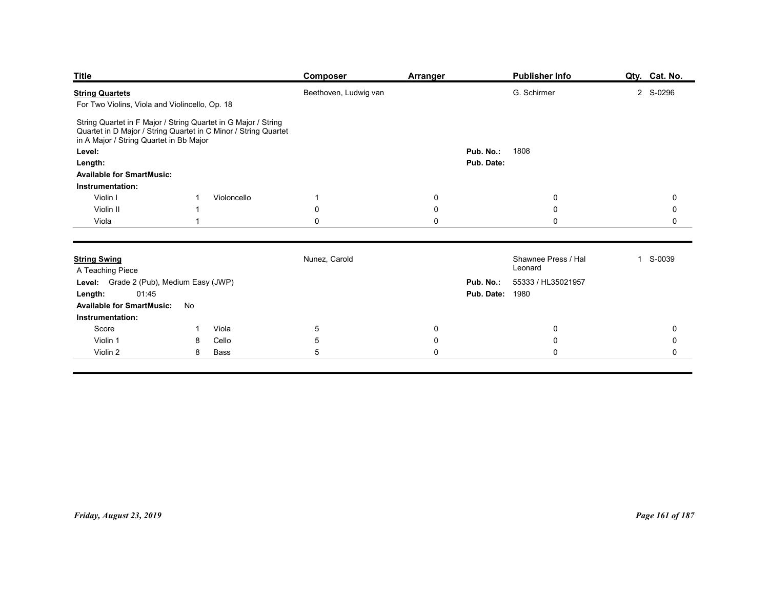| <b>Title</b>                                                                                                                                                                                                                                                          |                                       | Composer                     | <b>Arranger</b>      |                                     | <b>Publisher Info</b>                                | Qty. Cat. No.            |
|-----------------------------------------------------------------------------------------------------------------------------------------------------------------------------------------------------------------------------------------------------------------------|---------------------------------------|------------------------------|----------------------|-------------------------------------|------------------------------------------------------|--------------------------|
| <b>String Quartets</b>                                                                                                                                                                                                                                                |                                       | Beethoven, Ludwig van        |                      |                                     | G. Schirmer                                          | 2 S-0296                 |
| String Quartet in F Major / String Quartet in G Major / String<br>Quartet in D Major / String Quartet in C Minor / String Quartet<br>in A Major / String Quartet in Bb Major<br>Level:<br>Length:<br><b>Available for SmartMusic:</b><br>Instrumentation:<br>Violin I | Violoncello<br>-1                     | $\overline{1}$               | $\mathbf 0$          | Pub. No.:<br>Pub. Date:             | 1808<br>0                                            | 0                        |
| Violin II                                                                                                                                                                                                                                                             |                                       | 0                            | 0                    |                                     | $\mathbf 0$                                          | 0                        |
| Viola                                                                                                                                                                                                                                                                 |                                       | $\mathsf 0$                  | $\mathbf 0$          |                                     | $\mathbf 0$                                          | 0                        |
| <b>String Swing</b><br>A Teaching Piece<br>Level: Grade 2 (Pub), Medium Easy (JWP)<br>01:45<br>Length:<br>Available for SmartMusic: No<br>Instrumentation:                                                                                                            |                                       | Nunez, Carold                |                      | Pub. No.:<br><b>Pub. Date: 1980</b> | Shawnee Press / Hal<br>Leonard<br>55333 / HL35021957 | 1 S-0039                 |
| Score<br>Violin 1                                                                                                                                                                                                                                                     | Viola<br>$\overline{1}$<br>Cello<br>8 | $\overline{5}$<br>$\sqrt{5}$ | $\bf{0}$<br>$\bf{0}$ |                                     | $\mathbf 0$<br>$\pmb{0}$                             | $\mathbf 0$<br>$\pmb{0}$ |
| Violin 2                                                                                                                                                                                                                                                              | Bass<br>8                             | $\sqrt{5}$                   | $\mathbf 0$          |                                     | $\pmb{0}$                                            | $\mathsf{O}\xspace$      |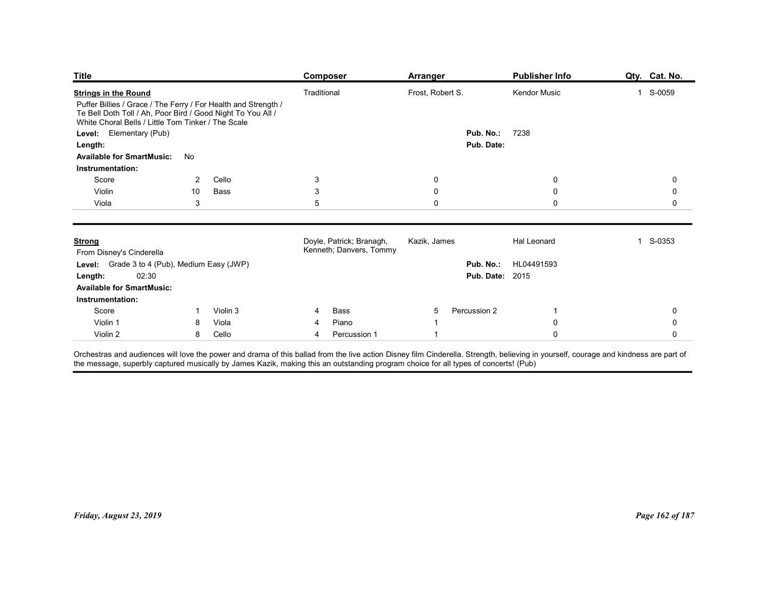| <b>Title</b>                                                                                                                                                                                                                     |                     |                   | <b>Composer</b>          | <b>Arranger</b>            |                        | <b>Publisher Info</b>            | Qty. Cat. No.              |
|----------------------------------------------------------------------------------------------------------------------------------------------------------------------------------------------------------------------------------|---------------------|-------------------|--------------------------|----------------------------|------------------------|----------------------------------|----------------------------|
| <b>Strings in the Round</b><br>Puffer Billies / Grace / The Ferry / For Health and Strength /<br>Te Bell Doth Toll / Ah, Poor Bird / Good Night To You All /<br>White Choral Bells / Little Tom Tinker / The Scale               |                     |                   | Traditional              | Frost, Robert S.           |                        | Kendor Music                     | S-0059<br>$\mathbf{1}$     |
| Level: Elementary (Pub)                                                                                                                                                                                                          |                     |                   |                          |                            | Pub. No.:              | 7238                             |                            |
| Length:<br><b>Available for SmartMusic:</b><br>No                                                                                                                                                                                |                     |                   |                          |                            | Pub. Date:             |                                  |                            |
| Instrumentation:                                                                                                                                                                                                                 |                     |                   |                          |                            |                        |                                  |                            |
| Score                                                                                                                                                                                                                            | 2                   | Cello             | $\mathbf{3}$             | 0                          |                        | $\mathbf 0$                      | 0                          |
| Violin<br>Viola                                                                                                                                                                                                                  | 10<br>$\mathbf{3}$  | Bass              | 3<br>$\sqrt{5}$          | $\mathbf 0$<br>$\mathbf 0$ |                        | $\mathbf 0$<br>$\Omega$          | $\mathbf 0$<br>$\mathbf 0$ |
|                                                                                                                                                                                                                                  |                     |                   |                          |                            |                        |                                  |                            |
| <b>Strong</b>                                                                                                                                                                                                                    |                     |                   | Doyle, Patrick; Branagh, | Kazik, James               |                        | Hal Leonard                      | S-0353<br>$\mathbf{1}$     |
| From Disney's Cinderella                                                                                                                                                                                                         |                     |                   | Kenneth; Danvers, Tommy  |                            |                        |                                  |                            |
| Level: Grade 3 to 4 (Pub), Medium Easy (JWP)<br>02:30<br>Length:                                                                                                                                                                 |                     |                   |                          |                            | <b>Pub. Date: 2015</b> | Pub. No.: HL04491593             |                            |
| <b>Available for SmartMusic:</b>                                                                                                                                                                                                 |                     |                   |                          |                            |                        |                                  |                            |
| Instrumentation:                                                                                                                                                                                                                 |                     |                   |                          |                            |                        |                                  |                            |
| Score<br>Violin 1                                                                                                                                                                                                                | $\overline{1}$<br>8 | Violin 3<br>Viola | Bass<br>4<br>Piano<br>4  | 5                          | Percussion 2           | $\mathbf{1}$<br>$\boldsymbol{0}$ | 0<br>0                     |
| Violin 2                                                                                                                                                                                                                         | 8                   | Cello             | Percussion 1<br>4        | $\mathbf{1}$               |                        | $\mathbf 0$                      | 0                          |
|                                                                                                                                                                                                                                  |                     |                   |                          |                            |                        |                                  |                            |
| Orchestras and audiences will love the power and drama of this ballad from the live action Disney film Cinderella. Strength, believing in yourself, courage and kindness are part of<br>the message, superbly captured musically |                     |                   |                          |                            |                        |                                  |                            |
|                                                                                                                                                                                                                                  |                     |                   |                          |                            |                        |                                  |                            |
|                                                                                                                                                                                                                                  |                     |                   |                          |                            |                        |                                  |                            |
|                                                                                                                                                                                                                                  |                     |                   |                          |                            |                        |                                  |                            |
|                                                                                                                                                                                                                                  |                     |                   |                          |                            |                        |                                  |                            |
|                                                                                                                                                                                                                                  |                     |                   |                          |                            |                        |                                  |                            |
|                                                                                                                                                                                                                                  |                     |                   |                          |                            |                        |                                  |                            |
|                                                                                                                                                                                                                                  |                     |                   |                          |                            |                        |                                  |                            |
|                                                                                                                                                                                                                                  |                     |                   |                          |                            |                        |                                  |                            |
|                                                                                                                                                                                                                                  |                     |                   |                          |                            |                        |                                  |                            |
|                                                                                                                                                                                                                                  |                     |                   |                          |                            |                        |                                  |                            |
|                                                                                                                                                                                                                                  |                     |                   |                          |                            |                        |                                  |                            |
|                                                                                                                                                                                                                                  |                     |                   |                          |                            |                        |                                  | Page 162 of 187            |
| Friday, August 23, 2019                                                                                                                                                                                                          |                     |                   |                          |                            |                        |                                  |                            |
|                                                                                                                                                                                                                                  |                     |                   |                          |                            |                        |                                  |                            |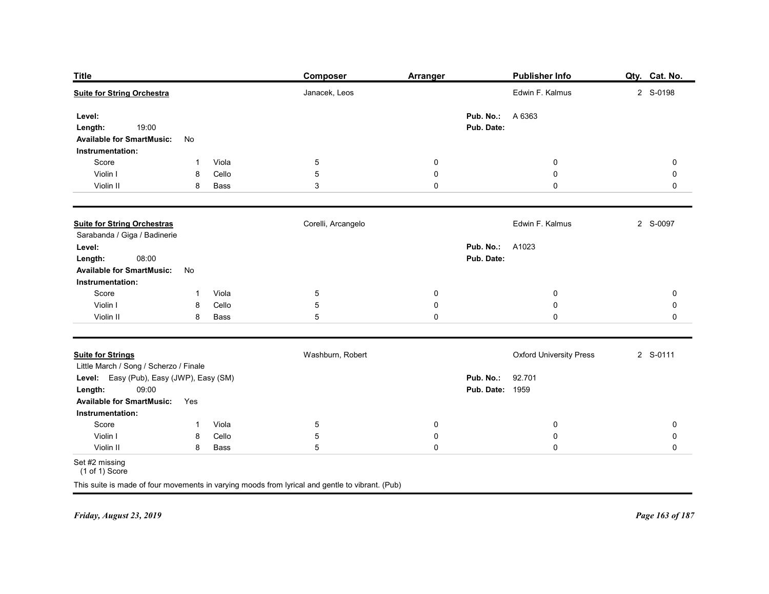| <b>Title</b>                                                                       |                   |                | <b>Composer</b>                                                                                 | <b>Arranger</b>          |                                      | <b>Publisher Info</b>          | Qty. Cat. No.          |
|------------------------------------------------------------------------------------|-------------------|----------------|-------------------------------------------------------------------------------------------------|--------------------------|--------------------------------------|--------------------------------|------------------------|
| <b>Suite for String Orchestra</b>                                                  |                   |                | Janacek, Leos                                                                                   |                          |                                      | Edwin F. Kalmus                | 2 S-0198               |
| Level:                                                                             |                   |                |                                                                                                 |                          | Pub. No.:                            | A 6363                         |                        |
| 19:00<br>Length:                                                                   |                   |                |                                                                                                 |                          | Pub. Date:                           |                                |                        |
| <b>Available for SmartMusic:</b><br>Instrumentation:                               | No                |                |                                                                                                 |                          |                                      |                                |                        |
| Score                                                                              | 1                 | Viola          | $\overline{5}$                                                                                  | 0                        |                                      | 0                              | 0                      |
| Violin I                                                                           | 8                 | Cello          | $\sqrt{5}$                                                                                      | $\boldsymbol{0}$         |                                      | $\mathbf 0$                    | 0                      |
| Violin II                                                                          | 8                 | Bass           | 3                                                                                               | 0                        |                                      | $\mathbf 0$                    | 0                      |
| <b>Suite for String Orchestras</b>                                                 |                   |                | Corelli, Arcangelo                                                                              |                          |                                      | Edwin F. Kalmus                | 2 S-0097               |
| Sarabanda / Giga / Badinerie                                                       |                   |                |                                                                                                 |                          |                                      |                                |                        |
| Level:<br>08:00<br>Length:                                                         |                   |                |                                                                                                 |                          | <b>Pub. No.: A1023</b><br>Pub. Date: |                                |                        |
| <b>Available for SmartMusic:</b>                                                   | No                |                |                                                                                                 |                          |                                      |                                |                        |
| Instrumentation:                                                                   |                   |                |                                                                                                 |                          |                                      |                                |                        |
| Score<br>Violin I                                                                  | $\mathbf{1}$<br>8 | Viola<br>Cello | $\overline{5}$<br>$\sqrt{5}$                                                                    | $\mathbf 0$<br>$\pmb{0}$ |                                      | $\bf{0}$<br>${\bf 0}$          | $\pmb{0}$<br>$\pmb{0}$ |
| Violin II                                                                          | 8                 | Bass           | $\sqrt{5}$                                                                                      | $\pmb{0}$                |                                      | $\mathbf 0$                    | $\pmb{0}$              |
|                                                                                    |                   |                |                                                                                                 |                          |                                      |                                |                        |
| <b>Suite for Strings</b>                                                           |                   |                | Washburn, Robert                                                                                |                          |                                      | <b>Oxford University Press</b> | 2 S-0111               |
| Little March / Song / Scherzo / Finale<br>Level: Easy (Pub), Easy (JWP), Easy (SM) |                   |                |                                                                                                 |                          | Pub. No.:                            | 92.701                         |                        |
| 09:00<br>Length:                                                                   |                   |                |                                                                                                 |                          | <b>Pub. Date: 1959</b>               |                                |                        |
| <b>Available for SmartMusic:</b>                                                   | Yes               |                |                                                                                                 |                          |                                      |                                |                        |
| Instrumentation:<br>Score                                                          | $\mathbf 1$       | Viola          | $5\phantom{.0}$                                                                                 | $\overline{0}$           |                                      | $\mathbf 0$                    | 0                      |
| Violin I                                                                           | 8                 | Cello          | $\overline{5}$                                                                                  | $\mathbf 0$              |                                      | $\bf{0}$                       | 0                      |
| Violin II                                                                          | 8                 | Bass           | $5\phantom{.0}$                                                                                 | $\mathsf{O}\xspace$      |                                      | $\mathbf 0$                    | $\mathbf 0$            |
| Set #2 missing<br>$(1 of 1)$ Score                                                 |                   |                |                                                                                                 |                          |                                      |                                |                        |
|                                                                                    |                   |                | This suite is made of four movements in varying moods from lyrical and gentle to vibrant. (Pub) |                          |                                      |                                |                        |
|                                                                                    |                   |                |                                                                                                 |                          |                                      |                                |                        |
| Friday, August 23, 2019                                                            |                   |                |                                                                                                 |                          |                                      |                                | Page 163 of 187        |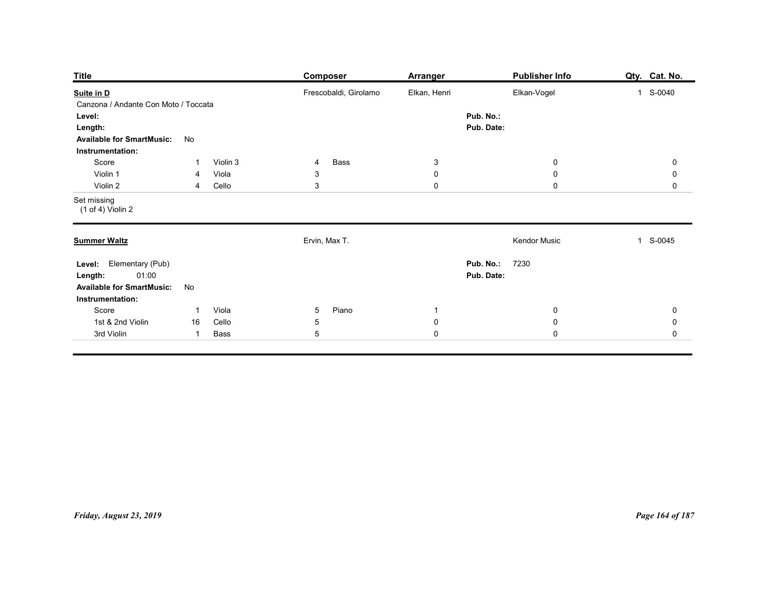| Frescobaldi, Girolamo<br>Elkan, Henri<br>Elkan-Vogel<br>1 S-0040<br>Suite in D<br>Canzona / Andante Con Moto / Toccata<br>Pub. No.:<br>Level:<br>Pub. Date:<br>Length:<br><b>Available for SmartMusic:</b><br>No<br>Instrumentation:<br>Score<br>Violin 3<br>Bass<br>$\mathbf{3}$<br>$\overline{0}$<br>$\overline{4}$<br>-1<br>Violin 1<br>$\mathbf 0$<br>$\mathbf 0$<br>Viola<br>3<br>4<br>$\mathbf{3}$<br>$\mathbf 0$<br>$\mathbf 0$<br>Violin 2<br>Cello<br>4<br>$(1 of 4)$ Violin 2<br>Ervin, Max T.<br>Kendor Music<br>1 S-0045<br><b>Pub. No.: 7230</b><br>Level: Elementary (Pub)<br>01:00<br>Pub. Date:<br>Length: |
|----------------------------------------------------------------------------------------------------------------------------------------------------------------------------------------------------------------------------------------------------------------------------------------------------------------------------------------------------------------------------------------------------------------------------------------------------------------------------------------------------------------------------------------------------------------------------------------------------------------------------|
| Set missing<br><b>Summer Waltz</b>                                                                                                                                                                                                                                                                                                                                                                                                                                                                                                                                                                                         |
|                                                                                                                                                                                                                                                                                                                                                                                                                                                                                                                                                                                                                            |
|                                                                                                                                                                                                                                                                                                                                                                                                                                                                                                                                                                                                                            |
|                                                                                                                                                                                                                                                                                                                                                                                                                                                                                                                                                                                                                            |
|                                                                                                                                                                                                                                                                                                                                                                                                                                                                                                                                                                                                                            |
|                                                                                                                                                                                                                                                                                                                                                                                                                                                                                                                                                                                                                            |
|                                                                                                                                                                                                                                                                                                                                                                                                                                                                                                                                                                                                                            |
| <b>Available for SmartMusic:</b><br>No                                                                                                                                                                                                                                                                                                                                                                                                                                                                                                                                                                                     |
| Instrumentation:<br>Score<br>Viola<br>5 <sub>5</sub><br>Piano<br>$\overline{0}$<br>$\overline{1}$<br>$\overline{1}$                                                                                                                                                                                                                                                                                                                                                                                                                                                                                                        |
| 1st & 2nd Violin<br>Cello<br>$\sqrt{5}$<br>$\pmb{0}$<br>${\bf 0}$<br>16<br>$\mathbf 0$<br>$\mathbf 0$<br>Bass<br>$\sqrt{5}$<br>3rd Violin<br>$\overline{1}$                                                                                                                                                                                                                                                                                                                                                                                                                                                                |
|                                                                                                                                                                                                                                                                                                                                                                                                                                                                                                                                                                                                                            |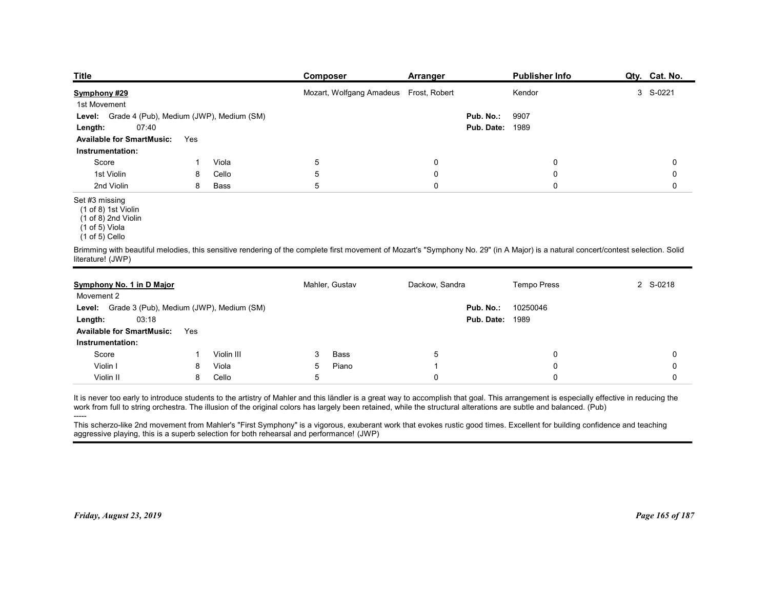| <b>Title</b>                                                                                       |     |       | <b>Composer</b>                                                                                                                                                                    | <b>Arranger</b> |                        | Publisher Info     | Qty. Cat. No. |
|----------------------------------------------------------------------------------------------------|-----|-------|------------------------------------------------------------------------------------------------------------------------------------------------------------------------------------|-----------------|------------------------|--------------------|---------------|
| Symphony #29                                                                                       |     |       | Mozart, Wolfgang Amadeus Frost, Robert                                                                                                                                             |                 |                        | Kendor             | 3 S-0221      |
| 1st Movement                                                                                       |     |       |                                                                                                                                                                                    |                 |                        |                    |               |
| Grade 4 (Pub), Medium (JWP), Medium (SM)<br>Level:                                                 |     |       |                                                                                                                                                                                    |                 | Pub. No.:              | 9907               |               |
| 07:40<br>Length:<br><b>Available for SmartMusic:</b>                                               | Yes |       |                                                                                                                                                                                    |                 | <b>Pub. Date: 1989</b> |                    |               |
| Instrumentation:                                                                                   |     |       |                                                                                                                                                                                    |                 |                        |                    |               |
| Score                                                                                              |     | Viola | $\overline{5}$                                                                                                                                                                     | 0               |                        | 0                  | 0             |
| 1st Violin                                                                                         | 8   | Cello | $\mathbf 5$                                                                                                                                                                        | 0               |                        | $\mathbf 0$        | 0             |
| 2nd Violin                                                                                         | 8   | Bass  | $5\,$                                                                                                                                                                              | 0               |                        | $\mathbf 0$        | 0             |
| Set #3 missing<br>(1 of 8) 1st Violin<br>(1 of 8) 2nd Violin<br>(1 of 5) Viola<br>$(1 of 5)$ Cello |     |       |                                                                                                                                                                                    |                 |                        |                    |               |
| literature! (JWP)                                                                                  |     |       | Brimming with beautiful melodies, this sensitive rendering of the complete first movement of Mozart's "Symphony No. 29" (in A Major) is a natural concert/contest selection. Solid |                 |                        |                    |               |
|                                                                                                    |     |       | Mahler, Gustav                                                                                                                                                                     | Dackow, Sandra  |                        | <b>Tempo Press</b> | 2 S-0218      |
| Symphony No. 1 in D Major<br>Movement 2                                                            |     |       |                                                                                                                                                                                    |                 |                        |                    |               |
| Level: Grade 3 (Pub), Medium (JWP), Medium (SM)                                                    |     |       |                                                                                                                                                                                    |                 | Pub. No.:              | 10250046           |               |
|                                                                                                    |     |       |                                                                                                                                                                                    |                 |                        |                    |               |
|                                                                                                    |     |       |                                                                                                                                                                                    |                 |                        |                    |               |
| 03:18<br>Length:<br>Available for SmartMusic: Yes                                                  |     |       |                                                                                                                                                                                    |                 | <b>Pub. Date: 1989</b> |                    |               |

#### Set #3 missing

| Grade 4 (Pub), Medium (JWP), Medium (SM)<br>Pub. No.:<br>9907<br>Level:<br>1989<br>07:40<br>Pub. Date:<br>Length:<br><b>Available for SmartMusic:</b><br>Yes<br>Instrumentation:<br>Score<br>Viola<br>5<br>$\mathbf 0$<br>0<br>0<br>1<br>1st Violin<br>5<br>Cello<br>$\mathbf 0$<br>0<br>0<br>8<br>2nd Violin<br>5<br>0<br>$\mathbf 0$<br>8<br>$\mathbf 0$<br>Bass<br>Set #3 missing<br>(1 of 8) 1st Violin<br>$(1 of 8)$ 2nd Violin<br>$(1 of 5)$ Viola<br>$(1 of 5)$ Cello<br>Brimming with beautiful melodies, this sensitive rendering of the complete first movement of Mozart's "Symphony No. 29" (in A Major) is a natural concert/contest selection. Solid<br>literature! (JWP)<br>Mahler, Gustav<br>Dackow, Sandra<br><b>Tempo Press</b><br>2 S-0218<br>Symphony No. 1 in D Major<br>Movement 2<br>Level: Grade 3 (Pub), Medium (JWP), Medium (SM)<br>Pub. No.:<br>10250046<br><b>Pub. Date: 1989</b><br>Length:<br>03:18<br><b>Available for SmartMusic:</b><br>Yes<br>Instrumentation:<br>Score<br>Violin III<br>Bass<br>5<br>0<br>$\mathbf 0$<br>3<br>-1<br>Violin I<br>$\mathbf 0$<br>8<br>Viola<br>5<br>$\mathbf 0$<br>Piano<br>Violin II<br>Cello<br>5<br>$\mathbf 0$<br>8<br>$\mathbf 0$<br>$\Omega$<br>It is never too early to introduce students to the artistry of Mahler and this ländler is a great way to accomplish that goal. This arrangement is especially effective in reducing the<br>work from full to string orchestra. The illusion of the original colors has largely been retained, while the structural alterations are subtle and balanced. (Pub) |
|---------------------------------------------------------------------------------------------------------------------------------------------------------------------------------------------------------------------------------------------------------------------------------------------------------------------------------------------------------------------------------------------------------------------------------------------------------------------------------------------------------------------------------------------------------------------------------------------------------------------------------------------------------------------------------------------------------------------------------------------------------------------------------------------------------------------------------------------------------------------------------------------------------------------------------------------------------------------------------------------------------------------------------------------------------------------------------------------------------------------------------------------------------------------------------------------------------------------------------------------------------------------------------------------------------------------------------------------------------------------------------------------------------------------------------------------------------------------------------------------------------------------------------------------------------------------------------------|
|                                                                                                                                                                                                                                                                                                                                                                                                                                                                                                                                                                                                                                                                                                                                                                                                                                                                                                                                                                                                                                                                                                                                                                                                                                                                                                                                                                                                                                                                                                                                                                                       |
|                                                                                                                                                                                                                                                                                                                                                                                                                                                                                                                                                                                                                                                                                                                                                                                                                                                                                                                                                                                                                                                                                                                                                                                                                                                                                                                                                                                                                                                                                                                                                                                       |
|                                                                                                                                                                                                                                                                                                                                                                                                                                                                                                                                                                                                                                                                                                                                                                                                                                                                                                                                                                                                                                                                                                                                                                                                                                                                                                                                                                                                                                                                                                                                                                                       |
|                                                                                                                                                                                                                                                                                                                                                                                                                                                                                                                                                                                                                                                                                                                                                                                                                                                                                                                                                                                                                                                                                                                                                                                                                                                                                                                                                                                                                                                                                                                                                                                       |
|                                                                                                                                                                                                                                                                                                                                                                                                                                                                                                                                                                                                                                                                                                                                                                                                                                                                                                                                                                                                                                                                                                                                                                                                                                                                                                                                                                                                                                                                                                                                                                                       |
|                                                                                                                                                                                                                                                                                                                                                                                                                                                                                                                                                                                                                                                                                                                                                                                                                                                                                                                                                                                                                                                                                                                                                                                                                                                                                                                                                                                                                                                                                                                                                                                       |
|                                                                                                                                                                                                                                                                                                                                                                                                                                                                                                                                                                                                                                                                                                                                                                                                                                                                                                                                                                                                                                                                                                                                                                                                                                                                                                                                                                                                                                                                                                                                                                                       |
|                                                                                                                                                                                                                                                                                                                                                                                                                                                                                                                                                                                                                                                                                                                                                                                                                                                                                                                                                                                                                                                                                                                                                                                                                                                                                                                                                                                                                                                                                                                                                                                       |
|                                                                                                                                                                                                                                                                                                                                                                                                                                                                                                                                                                                                                                                                                                                                                                                                                                                                                                                                                                                                                                                                                                                                                                                                                                                                                                                                                                                                                                                                                                                                                                                       |
|                                                                                                                                                                                                                                                                                                                                                                                                                                                                                                                                                                                                                                                                                                                                                                                                                                                                                                                                                                                                                                                                                                                                                                                                                                                                                                                                                                                                                                                                                                                                                                                       |
|                                                                                                                                                                                                                                                                                                                                                                                                                                                                                                                                                                                                                                                                                                                                                                                                                                                                                                                                                                                                                                                                                                                                                                                                                                                                                                                                                                                                                                                                                                                                                                                       |
|                                                                                                                                                                                                                                                                                                                                                                                                                                                                                                                                                                                                                                                                                                                                                                                                                                                                                                                                                                                                                                                                                                                                                                                                                                                                                                                                                                                                                                                                                                                                                                                       |
|                                                                                                                                                                                                                                                                                                                                                                                                                                                                                                                                                                                                                                                                                                                                                                                                                                                                                                                                                                                                                                                                                                                                                                                                                                                                                                                                                                                                                                                                                                                                                                                       |
|                                                                                                                                                                                                                                                                                                                                                                                                                                                                                                                                                                                                                                                                                                                                                                                                                                                                                                                                                                                                                                                                                                                                                                                                                                                                                                                                                                                                                                                                                                                                                                                       |
|                                                                                                                                                                                                                                                                                                                                                                                                                                                                                                                                                                                                                                                                                                                                                                                                                                                                                                                                                                                                                                                                                                                                                                                                                                                                                                                                                                                                                                                                                                                                                                                       |
|                                                                                                                                                                                                                                                                                                                                                                                                                                                                                                                                                                                                                                                                                                                                                                                                                                                                                                                                                                                                                                                                                                                                                                                                                                                                                                                                                                                                                                                                                                                                                                                       |
|                                                                                                                                                                                                                                                                                                                                                                                                                                                                                                                                                                                                                                                                                                                                                                                                                                                                                                                                                                                                                                                                                                                                                                                                                                                                                                                                                                                                                                                                                                                                                                                       |
|                                                                                                                                                                                                                                                                                                                                                                                                                                                                                                                                                                                                                                                                                                                                                                                                                                                                                                                                                                                                                                                                                                                                                                                                                                                                                                                                                                                                                                                                                                                                                                                       |
| This scherzo-like 2nd movement from Mahler's "First Symphony" is a vigorous, exuberant work that evokes rustic good times. Excellent for building confidence and teaching<br>aggressive playing, this is a superb selection for both rehearsal and performance! (JWP)                                                                                                                                                                                                                                                                                                                                                                                                                                                                                                                                                                                                                                                                                                                                                                                                                                                                                                                                                                                                                                                                                                                                                                                                                                                                                                                 |

 $(1 \text{ of } 5)$  Cello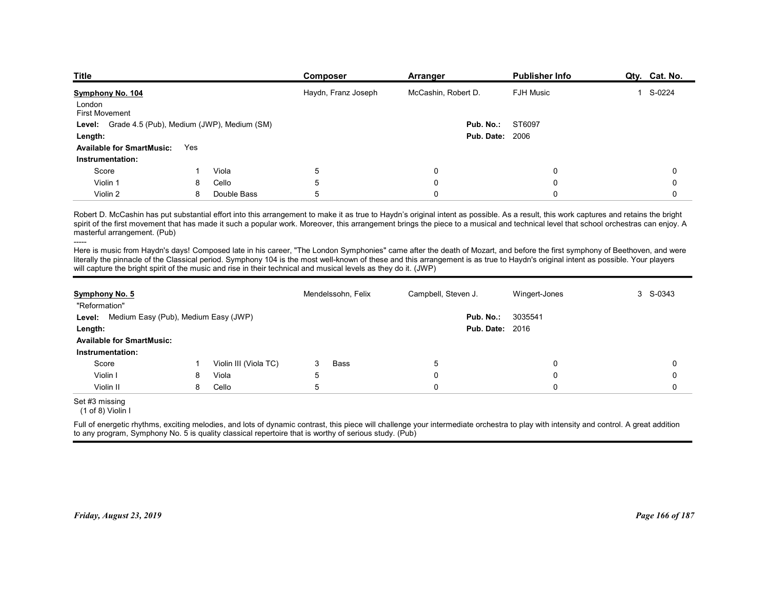| <b>Title</b>                                                                                                                                                               |     |             | <b>Composer</b>                                                                                                 | Arranger                                                                                                                                                                                                                                                                                                                                                                     | <b>Publisher Info</b> | Qty. Cat. No.            |
|----------------------------------------------------------------------------------------------------------------------------------------------------------------------------|-----|-------------|-----------------------------------------------------------------------------------------------------------------|------------------------------------------------------------------------------------------------------------------------------------------------------------------------------------------------------------------------------------------------------------------------------------------------------------------------------------------------------------------------------|-----------------------|--------------------------|
| Symphony No. 104                                                                                                                                                           |     |             | Haydn, Franz Joseph                                                                                             | McCashin, Robert D.                                                                                                                                                                                                                                                                                                                                                          | <b>FJH Music</b>      | S-0224<br>$\overline{1}$ |
| London<br><b>First Movement</b>                                                                                                                                            |     |             |                                                                                                                 |                                                                                                                                                                                                                                                                                                                                                                              |                       |                          |
| Level: Grade 4.5 (Pub), Medium (JWP), Medium (SM)                                                                                                                          |     |             |                                                                                                                 | Pub. No.:                                                                                                                                                                                                                                                                                                                                                                    | ST6097                |                          |
| Length:                                                                                                                                                                    |     |             |                                                                                                                 | <b>Pub. Date: 2006</b>                                                                                                                                                                                                                                                                                                                                                       |                       |                          |
| <b>Available for SmartMusic:</b>                                                                                                                                           | Yes |             |                                                                                                                 |                                                                                                                                                                                                                                                                                                                                                                              |                       |                          |
| Instrumentation:                                                                                                                                                           |     |             |                                                                                                                 |                                                                                                                                                                                                                                                                                                                                                                              |                       |                          |
| Score                                                                                                                                                                      |     | Viola       | 5                                                                                                               | 0                                                                                                                                                                                                                                                                                                                                                                            | $\Omega$              | 0                        |
| Violin 1                                                                                                                                                                   | 8   | Cello       | 5<br>5                                                                                                          | 0                                                                                                                                                                                                                                                                                                                                                                            |                       | 0                        |
| Violin 2                                                                                                                                                                   | 8   | Double Bass |                                                                                                                 | 0                                                                                                                                                                                                                                                                                                                                                                            | $\Omega$              | 0                        |
|                                                                                                                                                                            |     |             |                                                                                                                 | Robert D. McCashin has put substantial effort into this arrangement to make it as true to Haydn's original intent as possible. As a result, this work captures and retains the bright<br>spirit of the first movement that has made it such a popular work. Moreover, this arrangement brings the piece to a musical and technical level that school orchestras can enjoy. A |                       |                          |
| masterful arrangement. (Pub)                                                                                                                                               |     |             |                                                                                                                 |                                                                                                                                                                                                                                                                                                                                                                              |                       |                          |
|                                                                                                                                                                            |     |             |                                                                                                                 | literally the pinnacle of the Classical period. Symphony 104 is the most well-known of these and this arrangement is as true to Haydn's original intent as possible. Your players                                                                                                                                                                                            |                       |                          |
| Here is music from Haydn's days! Composed late in his career, "The London Symphonies" came after the death of Mozart, and before the first symphony of Beethoven, and were |     |             | will capture the bright spirit of the music and rise in their technical and musical levels as they do it. (JWP) |                                                                                                                                                                                                                                                                                                                                                                              |                       |                          |
|                                                                                                                                                                            |     |             |                                                                                                                 |                                                                                                                                                                                                                                                                                                                                                                              |                       |                          |
| Symphony No. 5<br>"Reformation"                                                                                                                                            |     |             | Mendelssohn, Felix                                                                                              | Campbell, Steven J.                                                                                                                                                                                                                                                                                                                                                          | Wingert-Jones         | 3 S-0343                 |
| Level: Medium Easy (Pub), Medium Easy (JWP)                                                                                                                                |     |             |                                                                                                                 | Pub. No.:                                                                                                                                                                                                                                                                                                                                                                    | 3035541               |                          |
| Length:                                                                                                                                                                    |     |             |                                                                                                                 | <b>Pub. Date: 2016</b>                                                                                                                                                                                                                                                                                                                                                       |                       |                          |
| <b>Available for SmartMusic:</b>                                                                                                                                           |     |             |                                                                                                                 |                                                                                                                                                                                                                                                                                                                                                                              |                       |                          |

| Level: Grade 4.5 (Pub), Medium (JWP), Medium (SM)<br>Length:<br><b>Available for SmartMusic:</b><br>Yes                                                                                                                                                                                                                                                                                                                                                                            |    |                       |                    |                     |                        |          |
|------------------------------------------------------------------------------------------------------------------------------------------------------------------------------------------------------------------------------------------------------------------------------------------------------------------------------------------------------------------------------------------------------------------------------------------------------------------------------------|----|-----------------------|--------------------|---------------------|------------------------|----------|
|                                                                                                                                                                                                                                                                                                                                                                                                                                                                                    |    |                       |                    | Pub. No.:           | ST6097                 |          |
|                                                                                                                                                                                                                                                                                                                                                                                                                                                                                    |    |                       |                    |                     | <b>Pub. Date: 2006</b> |          |
|                                                                                                                                                                                                                                                                                                                                                                                                                                                                                    |    |                       |                    |                     |                        |          |
| Instrumentation:                                                                                                                                                                                                                                                                                                                                                                                                                                                                   |    |                       |                    |                     |                        |          |
| Score                                                                                                                                                                                                                                                                                                                                                                                                                                                                              | -1 | Viola                 | 5                  | 0                   | 0                      | $\Omega$ |
| Violin 1                                                                                                                                                                                                                                                                                                                                                                                                                                                                           | 8  | Cello                 | 5                  | $\Omega$            | $\mathbf{0}$           | $\Omega$ |
| Violin 2                                                                                                                                                                                                                                                                                                                                                                                                                                                                           | 8  | Double Bass           | 5                  | $\Omega$            | 0                      | 0        |
| Robert D. McCashin has put substantial effort into this arrangement to make it as true to Haydn's original intent as possible. As a result, this work captures and retains the bright<br>spirit of the first movement that has made it such a popular work. Moreover, this arrangement brings the piece to a musical and technical level that school orchestras can enjoy. A<br>masterful arrangement. (Pub)                                                                       |    |                       |                    |                     |                        |          |
| Here is music from Haydn's days! Composed late in his career, "The London Symphonies" came after the death of Mozart, and before the first symphony of Beethoven, and were<br>literally the pinnacle of the Classical period. Symphony 104 is the most well-known of these and this arrangement is as true to Haydn's original intent as possible. Your players<br>will capture the bright spirit of the music and rise in their technical and musical levels as they do it. (JWP) |    |                       |                    |                     |                        |          |
| Symphony No. 5                                                                                                                                                                                                                                                                                                                                                                                                                                                                     |    |                       | Mendelssohn, Felix | Campbell, Steven J. | Wingert-Jones          | 3 S-0343 |
| "Reformation"                                                                                                                                                                                                                                                                                                                                                                                                                                                                      |    |                       |                    |                     |                        |          |
| Level: Medium Easy (Pub), Medium Easy (JWP)                                                                                                                                                                                                                                                                                                                                                                                                                                        |    |                       |                    | Pub. No.:           | 3035541                |          |
| Length:                                                                                                                                                                                                                                                                                                                                                                                                                                                                            |    |                       |                    |                     | <b>Pub. Date: 2016</b> |          |
| <b>Available for SmartMusic:</b>                                                                                                                                                                                                                                                                                                                                                                                                                                                   |    |                       |                    |                     |                        |          |
| Instrumentation:                                                                                                                                                                                                                                                                                                                                                                                                                                                                   |    |                       |                    |                     |                        |          |
| Score                                                                                                                                                                                                                                                                                                                                                                                                                                                                              | -1 | Violin III (Viola TC) | <b>Bass</b><br>3   | 5                   | $\Omega$               | $\Omega$ |
| Violin I                                                                                                                                                                                                                                                                                                                                                                                                                                                                           | 8  | Viola                 | 5                  | $\Omega$            | $\Omega$               | $\Omega$ |
| Violin II                                                                                                                                                                                                                                                                                                                                                                                                                                                                          | 8  | Cello                 | 5                  | $\Omega$            | $\Omega$               | $\Omega$ |
| Set #3 missing<br>(1 of 8) Violin I                                                                                                                                                                                                                                                                                                                                                                                                                                                |    |                       |                    |                     |                        |          |
| Full of energetic rhythms, exciting melodies, and lots of dynamic contrast, this piece will challenge your intermediate orchestra to play with intensity and control. A great addition<br>to any program, Symphony No. 5 is quality classical repertoire that is worthy of serious study. (Pub)                                                                                                                                                                                    |    |                       |                    |                     |                        |          |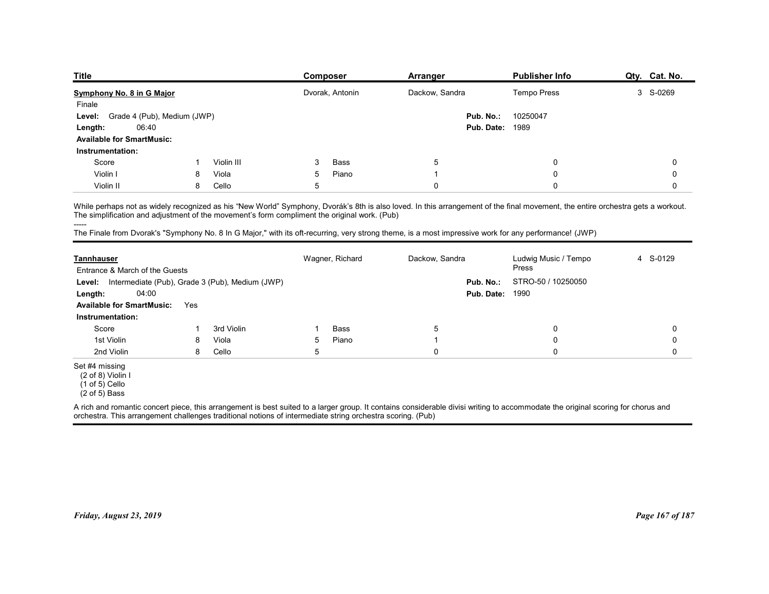| <b>Title</b>                                                                                                                                                                    |                             |            | <b>Composer</b>                                                                                                                                       | Arranger       |            | <b>Publisher Info</b>         | Qty. Cat. No. |
|---------------------------------------------------------------------------------------------------------------------------------------------------------------------------------|-----------------------------|------------|-------------------------------------------------------------------------------------------------------------------------------------------------------|----------------|------------|-------------------------------|---------------|
| Symphony No. 8 in G Major                                                                                                                                                       |                             |            | Dvorak, Antonin                                                                                                                                       | Dackow, Sandra |            | Tempo Press                   | 3 S-0269      |
| Finale                                                                                                                                                                          | Grade 4 (Pub), Medium (JWP) |            |                                                                                                                                                       |                | Pub. No.:  | 10250047                      |               |
| Level:<br>06:40<br>Length:                                                                                                                                                      |                             |            |                                                                                                                                                       |                | Pub. Date: | 1989                          |               |
| <b>Available for SmartMusic:</b>                                                                                                                                                |                             |            |                                                                                                                                                       |                |            |                               |               |
| Instrumentation:                                                                                                                                                                |                             |            |                                                                                                                                                       |                |            |                               |               |
| Score                                                                                                                                                                           | -1                          | Violin III | Bass<br>3                                                                                                                                             | 5              |            | $\mathbf 0$                   | 0             |
| Violin I                                                                                                                                                                        | 8                           | Viola      | 5<br>Piano                                                                                                                                            | -1             |            | $\mathbf 0$                   | 0             |
|                                                                                                                                                                                 | 8                           | Cello      | 5                                                                                                                                                     | $\mathbf 0$    |            | $\mathbf 0$                   | $\mathbf 0$   |
| Violin II                                                                                                                                                                       |                             |            |                                                                                                                                                       |                |            |                               |               |
|                                                                                                                                                                                 |                             |            | The simplification and adjustment of the movement's form compliment the original work. (Pub)                                                          |                |            |                               |               |
| While perhaps not as widely recognized as his "New World" Symphony, Dvorák's 8th is also loved. In this arrangement of the final movement, the entire orchestra gets a workout. |                             |            |                                                                                                                                                       |                |            |                               |               |
| -----                                                                                                                                                                           |                             |            |                                                                                                                                                       |                |            |                               |               |
|                                                                                                                                                                                 |                             |            | The Finale from Dvorak's "Symphony No. 8 In G Major," with its oft-recurring, very strong theme, is a most impressive work for any performance! (JWP) |                |            |                               |               |
|                                                                                                                                                                                 |                             |            |                                                                                                                                                       |                |            |                               |               |
| <b>Tannhauser</b>                                                                                                                                                               |                             |            | Wagner, Richard                                                                                                                                       | Dackow, Sandra |            | Ludwig Music / Tempo<br>Press | 4 S-0129      |
| Entrance & March of the Guests                                                                                                                                                  |                             |            |                                                                                                                                                       |                | Pub. No.:  |                               |               |
| Level: Intermediate (Pub), Grade 3 (Pub), Medium (JWP)<br>Length:<br>04:00                                                                                                      |                             |            |                                                                                                                                                       |                | Pub. Date: | STRO-50 / 10250050<br>1990    |               |
| <b>Available for SmartMusic:</b> Yes                                                                                                                                            |                             |            |                                                                                                                                                       |                |            |                               |               |

| 3 S-0269<br>Dvorak, Antonin<br>Dackow, Sandra<br><b>Tempo Press</b><br>Finale<br>Grade 4 (Pub), Medium (JWP)<br>Pub. No.:<br>10250047<br>Level:<br><b>Pub. Date: 1989</b><br>06:40<br>Length:<br><b>Available for SmartMusic:</b><br>Instrumentation:<br>Violin III<br>Bass<br>0<br>Score<br>3<br>5<br>0<br>-1<br>Violin I<br>0<br>$\mathbf 0$<br>Viola<br>Piano<br>8<br>5<br>$\overline{1}$<br>Violin II<br>8<br>Cello<br>5<br>$\mathbf 0$<br>$\Omega$<br>$\mathbf 0$<br>While perhaps not as widely recognized as his "New World" Symphony, Dvorák's 8th is also loved. In this arrangement of the final movement, the entire orchestra gets a workout.<br>The simplification and adjustment of the movement's form compliment the original work. (Pub)<br>The Finale from Dvorak's "Symphony No. 8 In G Major," with its oft-recurring, very strong theme, is a most impressive work for any performance! (JWP)<br>Wagner, Richard<br>Dackow, Sandra<br>Ludwig Music / Tempo<br>4 S-0129<br>Press<br>Entrance & March of the Guests<br>Level: Intermediate (Pub), Grade 3 (Pub), Medium (JWP)<br>STRO-50 / 10250050<br>Pub. No.:<br>04:00<br><b>Pub. Date: 1990</b><br>Length:<br><b>Available for SmartMusic:</b><br>Yes<br>Instrumentation:<br>Score<br><b>Bass</b><br>3rd Violin<br>5<br>0<br>0<br>-1<br>-1<br>$\mathbf 0$<br>1st Violin<br>Viola<br>Piano<br>0<br>8<br>-5<br>$\overline{1}$<br>2nd Violin<br>Cello<br>5<br>$\mathbf 0$<br>0<br>$\mathbf 0$<br>8<br>Set #4 missing | Symphony No. 8 in G Major |  |                 |
|------------------------------------------------------------------------------------------------------------------------------------------------------------------------------------------------------------------------------------------------------------------------------------------------------------------------------------------------------------------------------------------------------------------------------------------------------------------------------------------------------------------------------------------------------------------------------------------------------------------------------------------------------------------------------------------------------------------------------------------------------------------------------------------------------------------------------------------------------------------------------------------------------------------------------------------------------------------------------------------------------------------------------------------------------------------------------------------------------------------------------------------------------------------------------------------------------------------------------------------------------------------------------------------------------------------------------------------------------------------------------------------------------------------------------------------------------------------------------------------|---------------------------|--|-----------------|
|                                                                                                                                                                                                                                                                                                                                                                                                                                                                                                                                                                                                                                                                                                                                                                                                                                                                                                                                                                                                                                                                                                                                                                                                                                                                                                                                                                                                                                                                                          |                           |  |                 |
|                                                                                                                                                                                                                                                                                                                                                                                                                                                                                                                                                                                                                                                                                                                                                                                                                                                                                                                                                                                                                                                                                                                                                                                                                                                                                                                                                                                                                                                                                          |                           |  |                 |
|                                                                                                                                                                                                                                                                                                                                                                                                                                                                                                                                                                                                                                                                                                                                                                                                                                                                                                                                                                                                                                                                                                                                                                                                                                                                                                                                                                                                                                                                                          |                           |  |                 |
|                                                                                                                                                                                                                                                                                                                                                                                                                                                                                                                                                                                                                                                                                                                                                                                                                                                                                                                                                                                                                                                                                                                                                                                                                                                                                                                                                                                                                                                                                          |                           |  |                 |
|                                                                                                                                                                                                                                                                                                                                                                                                                                                                                                                                                                                                                                                                                                                                                                                                                                                                                                                                                                                                                                                                                                                                                                                                                                                                                                                                                                                                                                                                                          |                           |  |                 |
|                                                                                                                                                                                                                                                                                                                                                                                                                                                                                                                                                                                                                                                                                                                                                                                                                                                                                                                                                                                                                                                                                                                                                                                                                                                                                                                                                                                                                                                                                          |                           |  |                 |
|                                                                                                                                                                                                                                                                                                                                                                                                                                                                                                                                                                                                                                                                                                                                                                                                                                                                                                                                                                                                                                                                                                                                                                                                                                                                                                                                                                                                                                                                                          |                           |  |                 |
|                                                                                                                                                                                                                                                                                                                                                                                                                                                                                                                                                                                                                                                                                                                                                                                                                                                                                                                                                                                                                                                                                                                                                                                                                                                                                                                                                                                                                                                                                          |                           |  |                 |
|                                                                                                                                                                                                                                                                                                                                                                                                                                                                                                                                                                                                                                                                                                                                                                                                                                                                                                                                                                                                                                                                                                                                                                                                                                                                                                                                                                                                                                                                                          | Tannhauser                |  |                 |
|                                                                                                                                                                                                                                                                                                                                                                                                                                                                                                                                                                                                                                                                                                                                                                                                                                                                                                                                                                                                                                                                                                                                                                                                                                                                                                                                                                                                                                                                                          |                           |  |                 |
|                                                                                                                                                                                                                                                                                                                                                                                                                                                                                                                                                                                                                                                                                                                                                                                                                                                                                                                                                                                                                                                                                                                                                                                                                                                                                                                                                                                                                                                                                          |                           |  |                 |
|                                                                                                                                                                                                                                                                                                                                                                                                                                                                                                                                                                                                                                                                                                                                                                                                                                                                                                                                                                                                                                                                                                                                                                                                                                                                                                                                                                                                                                                                                          |                           |  |                 |
|                                                                                                                                                                                                                                                                                                                                                                                                                                                                                                                                                                                                                                                                                                                                                                                                                                                                                                                                                                                                                                                                                                                                                                                                                                                                                                                                                                                                                                                                                          |                           |  |                 |
|                                                                                                                                                                                                                                                                                                                                                                                                                                                                                                                                                                                                                                                                                                                                                                                                                                                                                                                                                                                                                                                                                                                                                                                                                                                                                                                                                                                                                                                                                          |                           |  |                 |
|                                                                                                                                                                                                                                                                                                                                                                                                                                                                                                                                                                                                                                                                                                                                                                                                                                                                                                                                                                                                                                                                                                                                                                                                                                                                                                                                                                                                                                                                                          |                           |  |                 |
|                                                                                                                                                                                                                                                                                                                                                                                                                                                                                                                                                                                                                                                                                                                                                                                                                                                                                                                                                                                                                                                                                                                                                                                                                                                                                                                                                                                                                                                                                          |                           |  |                 |
| $(1 of 5)$ Cello<br>$(2 \text{ of } 5)$ Bass                                                                                                                                                                                                                                                                                                                                                                                                                                                                                                                                                                                                                                                                                                                                                                                                                                                                                                                                                                                                                                                                                                                                                                                                                                                                                                                                                                                                                                             | (2 of 8) Violin I         |  |                 |
| A rich and romantic concert piece, this arrangement is best suited to a larger group. It contains considerable divisi writing to accommodate the original scoring for chorus and<br>orchestra. This arrangement challenges traditional notions of intermediate string orchestra scoring. (Pub)                                                                                                                                                                                                                                                                                                                                                                                                                                                                                                                                                                                                                                                                                                                                                                                                                                                                                                                                                                                                                                                                                                                                                                                           |                           |  |                 |
|                                                                                                                                                                                                                                                                                                                                                                                                                                                                                                                                                                                                                                                                                                                                                                                                                                                                                                                                                                                                                                                                                                                                                                                                                                                                                                                                                                                                                                                                                          |                           |  | Page 167 of 187 |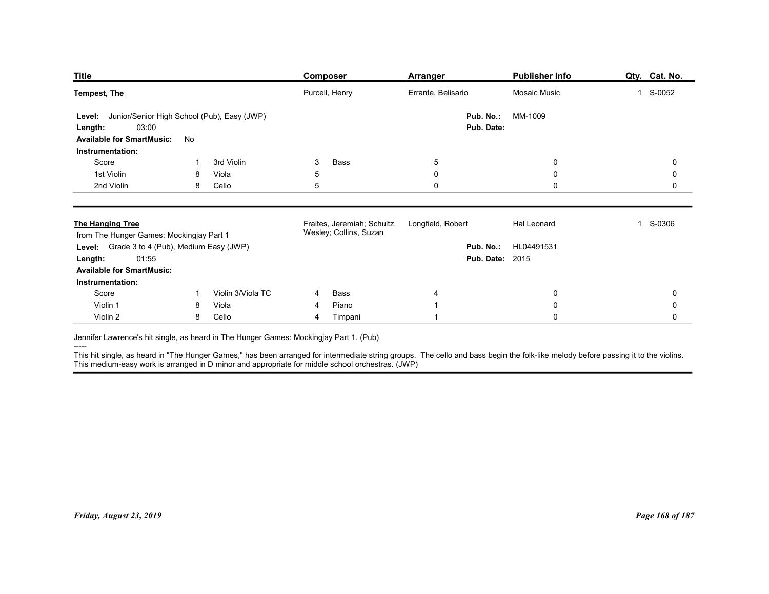| <b>Title</b><br>Publisher Info<br><b>Composer</b><br><b>Arranger</b><br>Purcell, Henry<br>Errante, Belisario<br>Mosaic Music<br>1 S-0052<br>Junior/Senior High School (Pub), Easy (JWP)<br>Pub. No.:<br>MM-1009<br>Level:<br>03:00<br>Pub. Date:<br>Length:<br><b>Available for SmartMusic:</b><br>No<br>Instrumentation:<br>Score<br>3rd Violin<br>Bass<br>$\overline{5}$<br>$\mathbf 0$<br>3<br>0<br>1st Violin<br>Viola<br>5<br>0<br>$\mathbf 0$<br>0<br>8<br>2nd Violin<br>Cello<br>5<br>0<br>$\mathbf 0$<br>0<br>8<br>Fraites, Jeremiah; Schultz,<br>Longfield, Robert<br>Hal Leonard<br>1 S-0306<br>Wesley; Collins, Suzan<br>from The Hunger Games: Mockingjay Part 1<br>Level: Grade 3 to 4 (Pub), Medium Easy (JWP)<br>Pub. No.: HL04491531<br>01:55<br><b>Pub. Date: 2015</b><br>Length:<br><b>Available for SmartMusic:</b><br>Instrumentation:<br>Violin 3/Viola TC<br>Score<br>$\bf{0}$<br>$\mathbf 0$<br>Bass<br>4<br>$\overline{1}$<br>4<br>Piano<br>Violin 1<br>Viola<br>$\pmb{0}$<br>$\mathsf{O}\xspace$<br>8<br>4<br>Violin 2<br>Cello<br>$\mathbf 0$<br>Timpani<br>$\mathsf{O}\xspace$<br>8<br>4 |  |  |  |               |
|---------------------------------------------------------------------------------------------------------------------------------------------------------------------------------------------------------------------------------------------------------------------------------------------------------------------------------------------------------------------------------------------------------------------------------------------------------------------------------------------------------------------------------------------------------------------------------------------------------------------------------------------------------------------------------------------------------------------------------------------------------------------------------------------------------------------------------------------------------------------------------------------------------------------------------------------------------------------------------------------------------------------------------------------------------------------------------------------------------------------|--|--|--|---------------|
| <b>Tempest, The</b><br><b>The Hanging Tree</b><br>Jennifer Lawrence's hit single, as heard in The Hunger Games: Mockingjay Part 1. (Pub)<br>This hit single, as heard in "The Hunger Games," has been arranged for intermediate string groups. The cello and bass begin the folk-like melody before passing it to the violins.<br>This medium-easy work is arranged in D mino                                                                                                                                                                                                                                                                                                                                                                                                                                                                                                                                                                                                                                                                                                                                       |  |  |  | Qty. Cat. No. |
|                                                                                                                                                                                                                                                                                                                                                                                                                                                                                                                                                                                                                                                                                                                                                                                                                                                                                                                                                                                                                                                                                                                     |  |  |  |               |
|                                                                                                                                                                                                                                                                                                                                                                                                                                                                                                                                                                                                                                                                                                                                                                                                                                                                                                                                                                                                                                                                                                                     |  |  |  |               |
|                                                                                                                                                                                                                                                                                                                                                                                                                                                                                                                                                                                                                                                                                                                                                                                                                                                                                                                                                                                                                                                                                                                     |  |  |  |               |
|                                                                                                                                                                                                                                                                                                                                                                                                                                                                                                                                                                                                                                                                                                                                                                                                                                                                                                                                                                                                                                                                                                                     |  |  |  |               |
|                                                                                                                                                                                                                                                                                                                                                                                                                                                                                                                                                                                                                                                                                                                                                                                                                                                                                                                                                                                                                                                                                                                     |  |  |  |               |
|                                                                                                                                                                                                                                                                                                                                                                                                                                                                                                                                                                                                                                                                                                                                                                                                                                                                                                                                                                                                                                                                                                                     |  |  |  |               |
|                                                                                                                                                                                                                                                                                                                                                                                                                                                                                                                                                                                                                                                                                                                                                                                                                                                                                                                                                                                                                                                                                                                     |  |  |  |               |
|                                                                                                                                                                                                                                                                                                                                                                                                                                                                                                                                                                                                                                                                                                                                                                                                                                                                                                                                                                                                                                                                                                                     |  |  |  |               |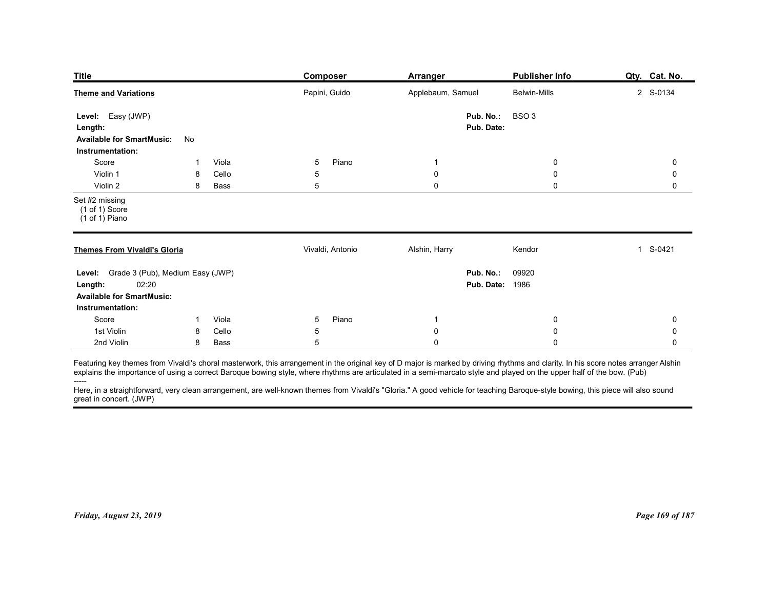| <b>Publisher Info</b><br>Qty. Cat. No.<br>Composer<br><b>Arranger</b><br><b>Theme and Variations</b><br>Applebaum, Samuel<br>2 S-0134<br>Papini, Guido<br><b>Belwin-Mills</b><br>BSO <sub>3</sub><br>Pub. No.:<br>Level: Easy (JWP)<br>Pub. Date:<br>Length:<br><b>Available for SmartMusic:</b><br>No<br>Instrumentation:<br>Score<br>Viola<br>5<br>Piano<br>0<br>0<br>$\overline{1}$<br>-1<br>Violin 1<br>Cello<br>5<br>$\boldsymbol{0}$<br>$\mathbf 0$<br>0<br>8<br>5<br>$\mathbf 0$<br>Violin 2<br>$\mathbf 0$<br>0<br>8<br>Bass<br>Set #2 missing<br>(1 of 1) Score<br>(1 of 1) Piano<br><b>Themes From Vivaldi's Gloria</b><br>Alshin, Harry<br>1 S-0421<br>Vivaldi, Antonio<br>Kendor<br>Level: Grade 3 (Pub), Medium Easy (JWP)<br>Pub. No.:<br>09920<br><b>Pub. Date: 1986</b><br>02:20<br>Length:<br><b>Available for SmartMusic:</b><br>Instrumentation:<br>Piano<br>Score<br>Viola<br>5<br>0<br>$\overline{1}$<br>$\overline{1}$<br>0<br>1st Violin<br>Cello<br>$\mathbf 0$<br>5<br>$\mathbf 0$<br>8<br>0<br>2nd Violin<br>$\sqrt{5}$<br>$\mathbf 0$<br>8<br>Bass<br>$\mathbf 0$<br>0<br>-----<br>Here, in a straightforward, very clean arrangement, are well-known themes from Vivaldi's "Gloria." A good vehicle for teaching Baroque-style bowing, this piece will also sound |  |  |                 |
|-----------------------------------------------------------------------------------------------------------------------------------------------------------------------------------------------------------------------------------------------------------------------------------------------------------------------------------------------------------------------------------------------------------------------------------------------------------------------------------------------------------------------------------------------------------------------------------------------------------------------------------------------------------------------------------------------------------------------------------------------------------------------------------------------------------------------------------------------------------------------------------------------------------------------------------------------------------------------------------------------------------------------------------------------------------------------------------------------------------------------------------------------------------------------------------------------------------------------------------------------------------------------------------------------|--|--|-----------------|
|                                                                                                                                                                                                                                                                                                                                                                                                                                                                                                                                                                                                                                                                                                                                                                                                                                                                                                                                                                                                                                                                                                                                                                                                                                                                                               |  |  |                 |
|                                                                                                                                                                                                                                                                                                                                                                                                                                                                                                                                                                                                                                                                                                                                                                                                                                                                                                                                                                                                                                                                                                                                                                                                                                                                                               |  |  |                 |
| <b>Title</b><br>Featuring key themes from Vivaldi's choral masterwork, this arrangement in the original key of D major is marked by driving rhythms and clarity. In his score notes arranger Alshin<br>explains the importance of using a correct<br>great in concert. (JWP)<br>Friday, August 23, 2019                                                                                                                                                                                                                                                                                                                                                                                                                                                                                                                                                                                                                                                                                                                                                                                                                                                                                                                                                                                       |  |  |                 |
|                                                                                                                                                                                                                                                                                                                                                                                                                                                                                                                                                                                                                                                                                                                                                                                                                                                                                                                                                                                                                                                                                                                                                                                                                                                                                               |  |  |                 |
|                                                                                                                                                                                                                                                                                                                                                                                                                                                                                                                                                                                                                                                                                                                                                                                                                                                                                                                                                                                                                                                                                                                                                                                                                                                                                               |  |  |                 |
|                                                                                                                                                                                                                                                                                                                                                                                                                                                                                                                                                                                                                                                                                                                                                                                                                                                                                                                                                                                                                                                                                                                                                                                                                                                                                               |  |  |                 |
|                                                                                                                                                                                                                                                                                                                                                                                                                                                                                                                                                                                                                                                                                                                                                                                                                                                                                                                                                                                                                                                                                                                                                                                                                                                                                               |  |  |                 |
|                                                                                                                                                                                                                                                                                                                                                                                                                                                                                                                                                                                                                                                                                                                                                                                                                                                                                                                                                                                                                                                                                                                                                                                                                                                                                               |  |  |                 |
|                                                                                                                                                                                                                                                                                                                                                                                                                                                                                                                                                                                                                                                                                                                                                                                                                                                                                                                                                                                                                                                                                                                                                                                                                                                                                               |  |  |                 |
|                                                                                                                                                                                                                                                                                                                                                                                                                                                                                                                                                                                                                                                                                                                                                                                                                                                                                                                                                                                                                                                                                                                                                                                                                                                                                               |  |  |                 |
|                                                                                                                                                                                                                                                                                                                                                                                                                                                                                                                                                                                                                                                                                                                                                                                                                                                                                                                                                                                                                                                                                                                                                                                                                                                                                               |  |  |                 |
|                                                                                                                                                                                                                                                                                                                                                                                                                                                                                                                                                                                                                                                                                                                                                                                                                                                                                                                                                                                                                                                                                                                                                                                                                                                                                               |  |  |                 |
|                                                                                                                                                                                                                                                                                                                                                                                                                                                                                                                                                                                                                                                                                                                                                                                                                                                                                                                                                                                                                                                                                                                                                                                                                                                                                               |  |  |                 |
|                                                                                                                                                                                                                                                                                                                                                                                                                                                                                                                                                                                                                                                                                                                                                                                                                                                                                                                                                                                                                                                                                                                                                                                                                                                                                               |  |  |                 |
|                                                                                                                                                                                                                                                                                                                                                                                                                                                                                                                                                                                                                                                                                                                                                                                                                                                                                                                                                                                                                                                                                                                                                                                                                                                                                               |  |  |                 |
|                                                                                                                                                                                                                                                                                                                                                                                                                                                                                                                                                                                                                                                                                                                                                                                                                                                                                                                                                                                                                                                                                                                                                                                                                                                                                               |  |  |                 |
|                                                                                                                                                                                                                                                                                                                                                                                                                                                                                                                                                                                                                                                                                                                                                                                                                                                                                                                                                                                                                                                                                                                                                                                                                                                                                               |  |  |                 |
|                                                                                                                                                                                                                                                                                                                                                                                                                                                                                                                                                                                                                                                                                                                                                                                                                                                                                                                                                                                                                                                                                                                                                                                                                                                                                               |  |  |                 |
|                                                                                                                                                                                                                                                                                                                                                                                                                                                                                                                                                                                                                                                                                                                                                                                                                                                                                                                                                                                                                                                                                                                                                                                                                                                                                               |  |  |                 |
|                                                                                                                                                                                                                                                                                                                                                                                                                                                                                                                                                                                                                                                                                                                                                                                                                                                                                                                                                                                                                                                                                                                                                                                                                                                                                               |  |  |                 |
|                                                                                                                                                                                                                                                                                                                                                                                                                                                                                                                                                                                                                                                                                                                                                                                                                                                                                                                                                                                                                                                                                                                                                                                                                                                                                               |  |  |                 |
|                                                                                                                                                                                                                                                                                                                                                                                                                                                                                                                                                                                                                                                                                                                                                                                                                                                                                                                                                                                                                                                                                                                                                                                                                                                                                               |  |  |                 |
|                                                                                                                                                                                                                                                                                                                                                                                                                                                                                                                                                                                                                                                                                                                                                                                                                                                                                                                                                                                                                                                                                                                                                                                                                                                                                               |  |  |                 |
|                                                                                                                                                                                                                                                                                                                                                                                                                                                                                                                                                                                                                                                                                                                                                                                                                                                                                                                                                                                                                                                                                                                                                                                                                                                                                               |  |  |                 |
|                                                                                                                                                                                                                                                                                                                                                                                                                                                                                                                                                                                                                                                                                                                                                                                                                                                                                                                                                                                                                                                                                                                                                                                                                                                                                               |  |  |                 |
|                                                                                                                                                                                                                                                                                                                                                                                                                                                                                                                                                                                                                                                                                                                                                                                                                                                                                                                                                                                                                                                                                                                                                                                                                                                                                               |  |  |                 |
|                                                                                                                                                                                                                                                                                                                                                                                                                                                                                                                                                                                                                                                                                                                                                                                                                                                                                                                                                                                                                                                                                                                                                                                                                                                                                               |  |  |                 |
|                                                                                                                                                                                                                                                                                                                                                                                                                                                                                                                                                                                                                                                                                                                                                                                                                                                                                                                                                                                                                                                                                                                                                                                                                                                                                               |  |  |                 |
|                                                                                                                                                                                                                                                                                                                                                                                                                                                                                                                                                                                                                                                                                                                                                                                                                                                                                                                                                                                                                                                                                                                                                                                                                                                                                               |  |  |                 |
|                                                                                                                                                                                                                                                                                                                                                                                                                                                                                                                                                                                                                                                                                                                                                                                                                                                                                                                                                                                                                                                                                                                                                                                                                                                                                               |  |  |                 |
|                                                                                                                                                                                                                                                                                                                                                                                                                                                                                                                                                                                                                                                                                                                                                                                                                                                                                                                                                                                                                                                                                                                                                                                                                                                                                               |  |  |                 |
|                                                                                                                                                                                                                                                                                                                                                                                                                                                                                                                                                                                                                                                                                                                                                                                                                                                                                                                                                                                                                                                                                                                                                                                                                                                                                               |  |  | Page 169 of 187 |
|                                                                                                                                                                                                                                                                                                                                                                                                                                                                                                                                                                                                                                                                                                                                                                                                                                                                                                                                                                                                                                                                                                                                                                                                                                                                                               |  |  |                 |
|                                                                                                                                                                                                                                                                                                                                                                                                                                                                                                                                                                                                                                                                                                                                                                                                                                                                                                                                                                                                                                                                                                                                                                                                                                                                                               |  |  |                 |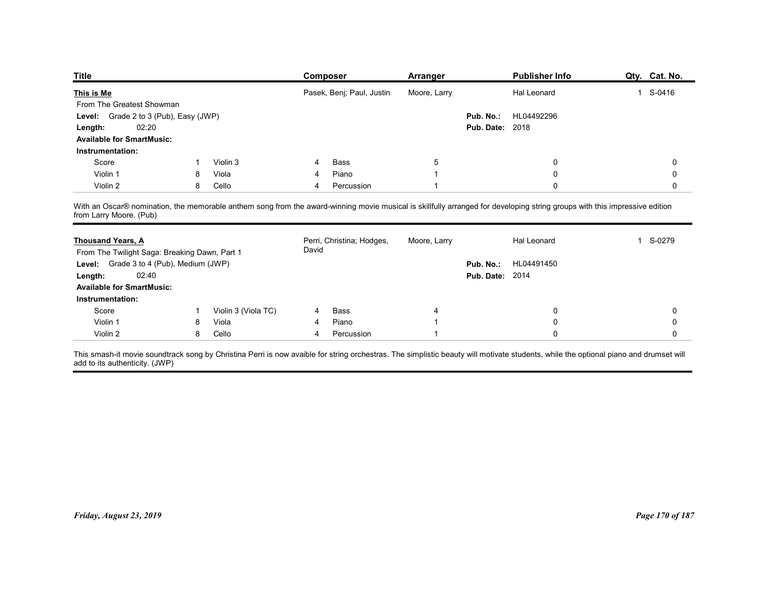| <b>Title</b>                                                                             |    |                     | <b>Composer</b>                                                                                                                                                            | <b>Arranger</b> |                        | <b>Publisher Info</b> | Qty. Cat. No.          |
|------------------------------------------------------------------------------------------|----|---------------------|----------------------------------------------------------------------------------------------------------------------------------------------------------------------------|-----------------|------------------------|-----------------------|------------------------|
| This is Me                                                                               |    |                     | Pasek, Benj; Paul, Justin                                                                                                                                                  | Moore, Larry    |                        | Hal Leonard           | 1 S-0416               |
| From The Greatest Showman                                                                |    |                     |                                                                                                                                                                            |                 |                        |                       |                        |
| Grade 2 to 3 (Pub), Easy (JWP)<br>Level:                                                 |    |                     |                                                                                                                                                                            |                 | Pub. No.:              | HL04492296            |                        |
| 02:20<br>Length:                                                                         |    |                     |                                                                                                                                                                            |                 | <b>Pub. Date: 2018</b> |                       |                        |
| <b>Available for SmartMusic:</b>                                                         |    |                     |                                                                                                                                                                            |                 |                        |                       |                        |
| Instrumentation:<br>Score                                                                |    | Violin 3            | Bass                                                                                                                                                                       | 5               |                        | 0                     | 0                      |
| Violin 1                                                                                 | 8  | Viola               | Piano                                                                                                                                                                      |                 |                        | 0                     | 0                      |
| Violin 2                                                                                 | 8  | Cello               | Percussion<br>4                                                                                                                                                            |                 |                        | 0                     | 0                      |
| from Larry Moore. (Pub)                                                                  |    |                     | With an Oscar® nomination, the memorable anthem song from the award-winning movie musical is skillfully arranged for developing string groups with this impressive edition |                 |                        |                       |                        |
| <b>Thousand Years, A</b>                                                                 |    |                     | Perri, Christina; Hodges,<br>David                                                                                                                                         | Moore, Larry    |                        | Hal Leonard           | S-0279<br>$\mathbf{1}$ |
|                                                                                          |    |                     |                                                                                                                                                                            |                 |                        | Pub. No.: HL04491450  |                        |
| From The Twilight Saga: Breaking Dawn, Part 1<br>Level: Grade 3 to 4 (Pub), Medium (JWP) |    |                     |                                                                                                                                                                            |                 | <b>Pub. Date: 2014</b> |                       |                        |
| 02:40<br>Length:                                                                         |    |                     |                                                                                                                                                                            |                 |                        |                       |                        |
| <b>Available for SmartMusic:</b><br>Instrumentation:                                     |    |                     |                                                                                                                                                                            |                 |                        |                       |                        |
| Score                                                                                    | -1 | Violin 3 (Viola TC) | Bass<br>4                                                                                                                                                                  |                 |                        | 0                     | 0                      |
| Violin 1<br>Violin 2                                                                     | 8  | Viola<br>Cello      | Piano<br>4<br>Percussion                                                                                                                                                   |                 |                        | 0<br>$\mathbf 0$      | 0<br>0                 |

| <b>Thousand Years, A</b><br>From The Twilight Saga: Breaking Dawn, Part 1 |    |                     | David          | Perri, Christina; Hodges, | Moore, Larry |                        | Hal Leonard | 1 S-0279        |
|---------------------------------------------------------------------------|----|---------------------|----------------|---------------------------|--------------|------------------------|-------------|-----------------|
| Level: Grade 3 to 4 (Pub), Medium (JWP)                                   |    |                     |                |                           |              | Pub. No.:              | HL04491450  |                 |
| 02:40<br>Length:                                                          |    |                     |                |                           |              | <b>Pub. Date: 2014</b> |             |                 |
| <b>Available for SmartMusic:</b>                                          |    |                     |                |                           |              |                        |             |                 |
| Instrumentation:                                                          |    |                     |                |                           |              |                        |             |                 |
| Score                                                                     | -1 | Violin 3 (Viola TC) | $\overline{4}$ | Bass                      | 4            |                        | 0           | 0               |
| Violin 1                                                                  | 8  | Viola               |                | Piano                     |              |                        | 0           | 0               |
| Violin 2                                                                  | 8  | Cello               | 4              | Percussion                |              |                        | $\Omega$    | $\mathbf 0$     |
|                                                                           |    |                     |                |                           |              |                        |             |                 |
|                                                                           |    |                     |                |                           |              |                        |             |                 |
|                                                                           |    |                     |                |                           |              |                        |             |                 |
|                                                                           |    |                     |                |                           |              |                        |             |                 |
|                                                                           |    |                     |                |                           |              |                        |             |                 |
|                                                                           |    |                     |                |                           |              |                        |             |                 |
|                                                                           |    |                     |                |                           |              |                        |             |                 |
|                                                                           |    |                     |                |                           |              |                        |             |                 |
|                                                                           |    |                     |                |                           |              |                        |             |                 |
| Friday, August 23, 2019                                                   |    |                     |                |                           |              |                        |             | Page 170 of 187 |
|                                                                           |    |                     |                |                           |              |                        |             |                 |
|                                                                           |    |                     |                |                           |              |                        |             |                 |
|                                                                           |    |                     |                |                           |              |                        |             |                 |
|                                                                           |    |                     |                |                           |              |                        |             |                 |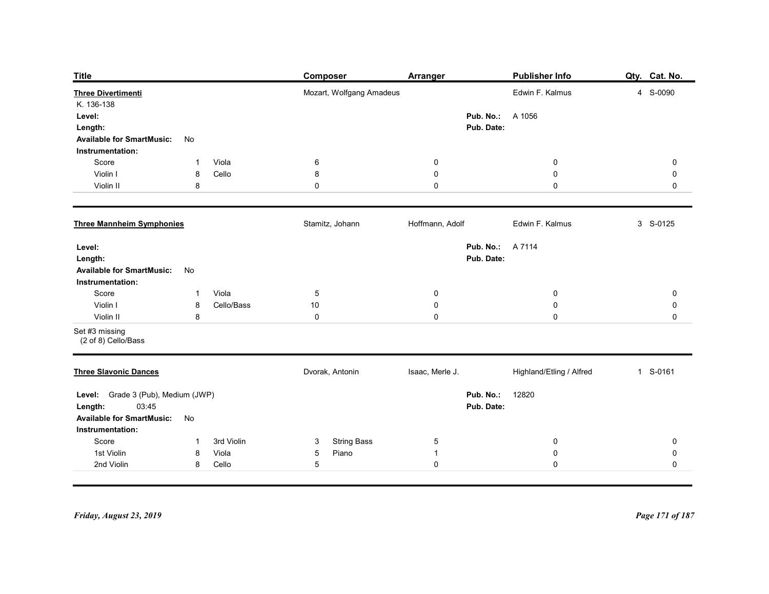| Publisher Info<br>Qty. Cat. No.<br><b>Title</b><br><b>Composer</b><br><b>Arranger</b><br>Mozart, Wolfgang Amadeus<br>Edwin F. Kalmus<br>4 S-0090<br><b>Three Divertimenti</b><br>K. 136-138<br>Pub. No.:<br>A 1056<br>Level:<br>Pub. Date:<br>Length:<br><b>Available for SmartMusic:</b><br>No<br>Instrumentation:<br>Viola<br>6<br>$\boldsymbol{0}$<br>$\mathbf 0$<br>Score<br>$\mathbf{0}$<br>$\mathbf{1}$<br>Violin I<br>Cello<br>8<br>$\mathbf 0$<br>$\boldsymbol{0}$<br>0<br>8<br>$\mathbf 0$<br>Violin II<br>8<br>0<br>$\mathbf 0$<br>$\mathbf 0$<br>Edwin F. Kalmus<br><b>Three Mannheim Symphonies</b><br>Stamitz, Johann<br>Hoffmann, Adolf<br>3 S-0125<br><b>Pub. No.: A 7114</b><br>Level:<br>Pub. Date:<br>Length:<br><b>Available for SmartMusic:</b><br>No<br>Instrumentation:<br>Viola<br>$\overline{5}$<br>Score<br>$\mathbf 0$<br>$\pmb{0}$<br>$\mathbf 0$<br>$\mathbf{1}$<br>$\mathbf 0$<br>$\pmb{0}$<br>Cello/Bass<br>10<br>$\pmb{0}$<br>Violin I<br>8<br>$\mathbf 0$<br>$\pmb{0}$<br>$\pmb{0}$<br>$\mathsf{O}\xspace$<br>Violin II<br>8<br>Set #3 missing<br>(2 of 8) Cello/Bass<br>Isaac, Merle J.<br>Highland/Etling / Alfred<br>1 S-0161<br><b>Three Slavonic Dances</b><br>Dvorak, Antonin<br>Level: Grade 3 (Pub), Medium (JWP)<br>Pub. No.:<br>12820<br>03:45<br>Pub. Date:<br>Length:<br><b>Available for SmartMusic:</b><br>No<br>Instrumentation:<br><b>String Bass</b><br>Score<br>3rd Violin<br>$\mathbf{3}$<br>$5\phantom{.0}$<br>$\mathbf 0$<br>$\mathsf{O}\xspace$<br>$\mathbf{1}$<br>Piano<br>1st Violin<br>Viola<br>$5\phantom{.0}$<br>$\boldsymbol{0}$<br>$\mathsf{O}\xspace$<br>8<br>$\overline{1}$ |                          |                 |             |           |             |
|--------------------------------------------------------------------------------------------------------------------------------------------------------------------------------------------------------------------------------------------------------------------------------------------------------------------------------------------------------------------------------------------------------------------------------------------------------------------------------------------------------------------------------------------------------------------------------------------------------------------------------------------------------------------------------------------------------------------------------------------------------------------------------------------------------------------------------------------------------------------------------------------------------------------------------------------------------------------------------------------------------------------------------------------------------------------------------------------------------------------------------------------------------------------------------------------------------------------------------------------------------------------------------------------------------------------------------------------------------------------------------------------------------------------------------------------------------------------------------------------------------------------------------------------------------------------------------------------------------------------------------------------|--------------------------|-----------------|-------------|-----------|-------------|
|                                                                                                                                                                                                                                                                                                                                                                                                                                                                                                                                                                                                                                                                                                                                                                                                                                                                                                                                                                                                                                                                                                                                                                                                                                                                                                                                                                                                                                                                                                                                                                                                                                            |                          |                 |             |           |             |
|                                                                                                                                                                                                                                                                                                                                                                                                                                                                                                                                                                                                                                                                                                                                                                                                                                                                                                                                                                                                                                                                                                                                                                                                                                                                                                                                                                                                                                                                                                                                                                                                                                            |                          |                 |             |           |             |
|                                                                                                                                                                                                                                                                                                                                                                                                                                                                                                                                                                                                                                                                                                                                                                                                                                                                                                                                                                                                                                                                                                                                                                                                                                                                                                                                                                                                                                                                                                                                                                                                                                            |                          |                 |             |           |             |
|                                                                                                                                                                                                                                                                                                                                                                                                                                                                                                                                                                                                                                                                                                                                                                                                                                                                                                                                                                                                                                                                                                                                                                                                                                                                                                                                                                                                                                                                                                                                                                                                                                            |                          |                 |             |           |             |
|                                                                                                                                                                                                                                                                                                                                                                                                                                                                                                                                                                                                                                                                                                                                                                                                                                                                                                                                                                                                                                                                                                                                                                                                                                                                                                                                                                                                                                                                                                                                                                                                                                            |                          |                 |             |           |             |
|                                                                                                                                                                                                                                                                                                                                                                                                                                                                                                                                                                                                                                                                                                                                                                                                                                                                                                                                                                                                                                                                                                                                                                                                                                                                                                                                                                                                                                                                                                                                                                                                                                            |                          |                 |             |           |             |
|                                                                                                                                                                                                                                                                                                                                                                                                                                                                                                                                                                                                                                                                                                                                                                                                                                                                                                                                                                                                                                                                                                                                                                                                                                                                                                                                                                                                                                                                                                                                                                                                                                            |                          |                 |             |           |             |
|                                                                                                                                                                                                                                                                                                                                                                                                                                                                                                                                                                                                                                                                                                                                                                                                                                                                                                                                                                                                                                                                                                                                                                                                                                                                                                                                                                                                                                                                                                                                                                                                                                            |                          |                 |             |           |             |
|                                                                                                                                                                                                                                                                                                                                                                                                                                                                                                                                                                                                                                                                                                                                                                                                                                                                                                                                                                                                                                                                                                                                                                                                                                                                                                                                                                                                                                                                                                                                                                                                                                            |                          |                 |             |           |             |
|                                                                                                                                                                                                                                                                                                                                                                                                                                                                                                                                                                                                                                                                                                                                                                                                                                                                                                                                                                                                                                                                                                                                                                                                                                                                                                                                                                                                                                                                                                                                                                                                                                            |                          |                 |             |           |             |
|                                                                                                                                                                                                                                                                                                                                                                                                                                                                                                                                                                                                                                                                                                                                                                                                                                                                                                                                                                                                                                                                                                                                                                                                                                                                                                                                                                                                                                                                                                                                                                                                                                            |                          |                 |             |           |             |
|                                                                                                                                                                                                                                                                                                                                                                                                                                                                                                                                                                                                                                                                                                                                                                                                                                                                                                                                                                                                                                                                                                                                                                                                                                                                                                                                                                                                                                                                                                                                                                                                                                            |                          |                 |             |           |             |
|                                                                                                                                                                                                                                                                                                                                                                                                                                                                                                                                                                                                                                                                                                                                                                                                                                                                                                                                                                                                                                                                                                                                                                                                                                                                                                                                                                                                                                                                                                                                                                                                                                            |                          |                 |             |           |             |
|                                                                                                                                                                                                                                                                                                                                                                                                                                                                                                                                                                                                                                                                                                                                                                                                                                                                                                                                                                                                                                                                                                                                                                                                                                                                                                                                                                                                                                                                                                                                                                                                                                            |                          |                 |             |           |             |
|                                                                                                                                                                                                                                                                                                                                                                                                                                                                                                                                                                                                                                                                                                                                                                                                                                                                                                                                                                                                                                                                                                                                                                                                                                                                                                                                                                                                                                                                                                                                                                                                                                            | 2nd Violin<br>Cello<br>8 | $5\overline{)}$ | $\mathbf 0$ | $\pmb{0}$ | $\mathbf 0$ |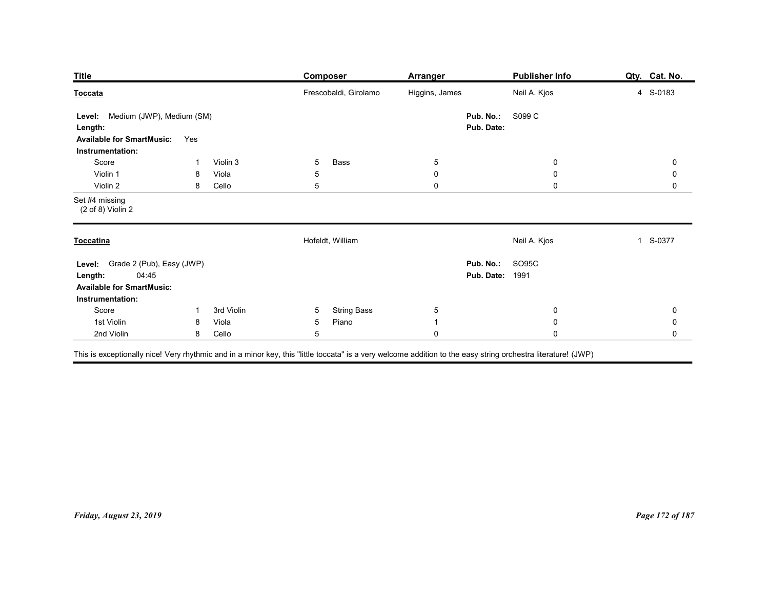| <b>Publisher Info</b><br><b>Title</b><br>Composer<br><b>Arranger</b>                                                                                      | Qty. Cat. No.                    |
|-----------------------------------------------------------------------------------------------------------------------------------------------------------|----------------------------------|
| Frescobaldi, Girolamo<br>Higgins, James<br>Neil A. Kjos<br>Toccata                                                                                        | 4 S-0183                         |
| Medium (JWP), Medium (SM)<br>Pub. No.:<br>S099 C<br>Level:<br>Pub. Date:<br>Length:<br><b>Available for SmartMusic:</b><br>Yes<br>Instrumentation:        |                                  |
| Score<br>Violin 3<br>5<br>Bass<br>$5\phantom{.0}$<br>$\overline{0}$<br>-1<br>Violin 1                                                                     | $\mathbf 0$                      |
| $\pmb{0}$<br>Viola<br>5<br>$\mathbf 0$<br>8<br>5<br>$\mathbf 0$<br>$\mathbf 0$<br>Violin 2<br>8<br>Cello                                                  | $\mathbf 0$<br>$\mathbf 0$       |
| Set #4 missing<br>$(2 of 8)$ Violin 2                                                                                                                     |                                  |
| Hofeldt, William<br>Neil A. Kjos<br>$\mathbf{1}$<br><b>Toccatina</b>                                                                                      | S-0377                           |
| Pub. No.: SO95C<br>Level: Grade 2 (Pub), Easy (JWP)<br>04:45<br><b>Pub. Date: 1991</b><br>Length:<br><b>Available for SmartMusic:</b><br>Instrumentation: |                                  |
| Score<br>3rd Violin<br>$5\overline{)}$<br><b>String Bass</b><br>$5\phantom{.0}$<br>$\boldsymbol{0}$<br>$\overline{1}$                                     | $\mathsf{O}\xspace$              |
| 1st Violin<br>Piano<br>$\pmb{0}$<br>Viola<br>5<br>8<br>$\mathbf{1}$<br>2nd Violin<br>8 Cello<br>5<br>${\bf 0}$<br>$\mathbf 0$                             | $\pmb{0}$<br>$\mathsf{O}\xspace$ |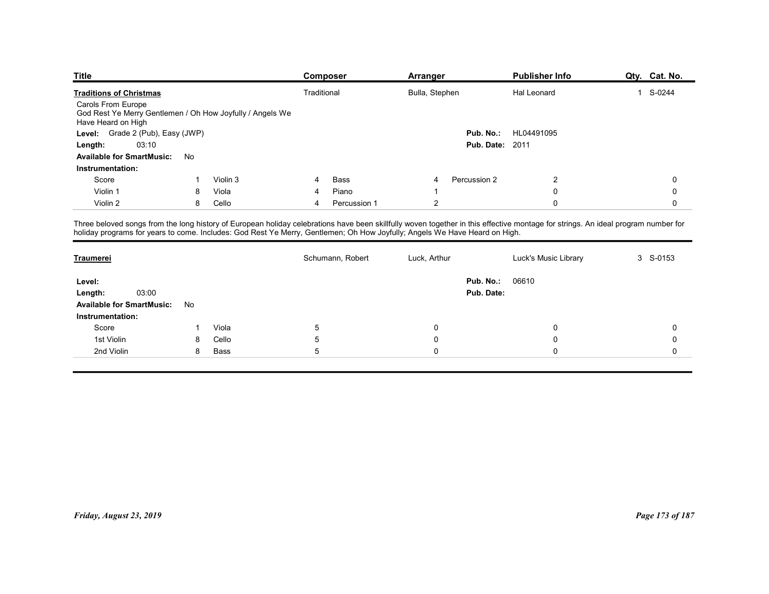| <b>Title</b>                                                                                                                                                                      |              |          | Composer                  | Arranger                                                                                                                   | <b>Publisher Info</b>   | Qty. Cat. No.       |
|-----------------------------------------------------------------------------------------------------------------------------------------------------------------------------------|--------------|----------|---------------------------|----------------------------------------------------------------------------------------------------------------------------|-------------------------|---------------------|
|                                                                                                                                                                                   |              |          |                           |                                                                                                                            |                         |                     |
| <b>Traditions of Christmas</b>                                                                                                                                                    |              |          | Traditional               | Bulla, Stephen                                                                                                             | Hal Leonard             | 1 S-0244            |
| Carols From Europe<br>God Rest Ye Merry Gentlemen / Oh How Joyfully / Angels We<br>Have Heard on High                                                                             |              |          |                           |                                                                                                                            |                         |                     |
| Level: Grade 2 (Pub), Easy (JWP)                                                                                                                                                  |              |          |                           |                                                                                                                            | HL04491095<br>Pub. No.: |                     |
| 03:10<br>Length:                                                                                                                                                                  |              |          |                           |                                                                                                                            | <b>Pub. Date: 2011</b>  |                     |
| Available for SmartMusic: No                                                                                                                                                      |              |          |                           |                                                                                                                            |                         |                     |
| Instrumentation:                                                                                                                                                                  |              |          |                           |                                                                                                                            |                         |                     |
| Score                                                                                                                                                                             |              | Violin 3 | Bass<br>4                 | Percussion 2<br>4                                                                                                          | 2                       | 0                   |
| Violin 1                                                                                                                                                                          | 8            | Viola    | Piano<br>4                |                                                                                                                            | $\mathbf 0$             | 0                   |
| Violin 2                                                                                                                                                                          | 8            | Cello    | Percussion 1<br>4         | $\overline{2}$                                                                                                             | $\mathbf 0$             | $\mathbf 0$         |
|                                                                                                                                                                                   |              |          |                           |                                                                                                                            |                         |                     |
| Three beloved songs from the long history of European holiday celebrations have been skillfully woven together in this effective montage for strings. An ideal program number for |              |          |                           | holiday programs for years to come. Includes: God Rest Ye Merry, Gentlemen; Oh How Joyfully; Angels We Have Heard on High. |                         |                     |
| <b>Traumerei</b>                                                                                                                                                                  |              |          | Schumann, Robert          | Luck, Arthur                                                                                                               | Luck's Music Library    | 3 S-0153            |
|                                                                                                                                                                                   |              |          |                           |                                                                                                                            |                         |                     |
| Level:                                                                                                                                                                            |              |          |                           |                                                                                                                            | <b>Pub. No.: 06610</b>  |                     |
| 03:00<br>Length:                                                                                                                                                                  |              |          |                           |                                                                                                                            | Pub. Date:              |                     |
| Available for SmartMusic: No                                                                                                                                                      |              |          |                           |                                                                                                                            |                         |                     |
| Instrumentation:<br>Score                                                                                                                                                         | $\mathbf{1}$ | Viola    |                           | 0                                                                                                                          | 0                       | $\mathbf 0$         |
| 1st Violin                                                                                                                                                                        | 8            | Cello    | $\sqrt{5}$<br>$\mathbf 5$ | $\mathbf 0$                                                                                                                | $\pmb{0}$               | $\mathsf{O}\xspace$ |

| Carols From Europe<br>God Rest Ye Merry Gentlemen / Oh How Joyfully / Angels We                                            |                |          |                |                  |                         |                        |                                                                                                                                                                                   |             |
|----------------------------------------------------------------------------------------------------------------------------|----------------|----------|----------------|------------------|-------------------------|------------------------|-----------------------------------------------------------------------------------------------------------------------------------------------------------------------------------|-------------|
| Have Heard on High                                                                                                         |                |          |                |                  |                         |                        |                                                                                                                                                                                   |             |
| Level: Grade 2 (Pub), Easy (JWP)                                                                                           |                |          |                |                  |                         |                        | Pub. No.: HL04491095                                                                                                                                                              |             |
| 03:10<br>Length:                                                                                                           |                |          |                |                  |                         | <b>Pub. Date: 2011</b> |                                                                                                                                                                                   |             |
| Available for SmartMusic: No                                                                                               |                |          |                |                  |                         |                        |                                                                                                                                                                                   |             |
| Instrumentation:                                                                                                           |                |          |                |                  |                         |                        |                                                                                                                                                                                   |             |
| Score                                                                                                                      | -1             | Violin 3 | 4              | Bass             | 4                       | Percussion 2           | $\overline{c}$                                                                                                                                                                    | $\mathbf 0$ |
| Violin 1                                                                                                                   | 8              | Viola    | 4              | Piano            | $\overline{\mathbf{1}}$ |                        | 0                                                                                                                                                                                 | $\mathbf 0$ |
| Violin 2                                                                                                                   | 8              | Cello    | $\overline{4}$ | Percussion 1     | $\overline{c}$          |                        | $\mathsf{O}\xspace$                                                                                                                                                               | $\mathbf 0$ |
| holiday programs for years to come. Includes: God Rest Ye Merry, Gentlemen; Oh How Joyfully; Angels We Have Heard on High. |                |          |                |                  |                         |                        | Three beloved songs from the long history of European holiday celebrations have been skillfully woven together in this effective montage for strings. An ideal program number for |             |
| Traumerei                                                                                                                  |                |          |                | Schumann, Robert | Luck, Arthur            |                        | Luck's Music Library                                                                                                                                                              | 3 S-0153    |
| Level:                                                                                                                     |                |          |                |                  |                         | Pub. No.:              | 06610                                                                                                                                                                             |             |
| 03:00<br>Length:                                                                                                           |                |          |                |                  |                         | Pub. Date:             |                                                                                                                                                                                   |             |
| <b>Available for SmartMusic:</b>                                                                                           | No             |          |                |                  |                         |                        |                                                                                                                                                                                   |             |
| Instrumentation:                                                                                                           |                |          |                |                  |                         |                        |                                                                                                                                                                                   |             |
| Score                                                                                                                      | $\overline{1}$ | Viola    | $\sqrt{5}$     |                  | 0                       |                        | 0                                                                                                                                                                                 | $\mathbf 0$ |
| 1st Violin                                                                                                                 | 8              | Cello    | $\overline{5}$ |                  | 0                       |                        | 0                                                                                                                                                                                 | $\mathbf 0$ |
| 2nd Violin                                                                                                                 | 8              | Bass     | $\overline{5}$ |                  | $\mathbf 0$             |                        | 0                                                                                                                                                                                 | $\mathbf 0$ |
|                                                                                                                            |                |          |                |                  |                         |                        |                                                                                                                                                                                   |             |
|                                                                                                                            |                |          |                |                  |                         |                        |                                                                                                                                                                                   |             |
|                                                                                                                            |                |          |                |                  |                         |                        |                                                                                                                                                                                   |             |
|                                                                                                                            |                |          |                |                  |                         |                        |                                                                                                                                                                                   |             |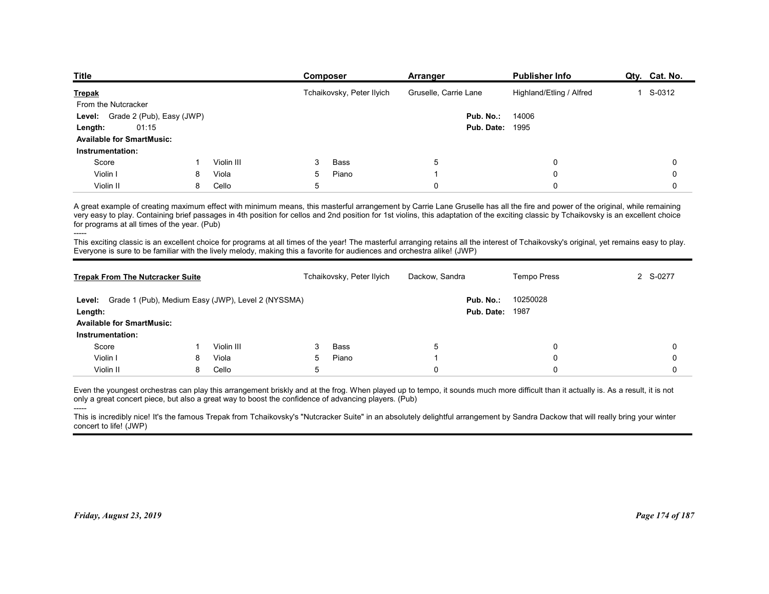| <b>Title</b><br><b>Publisher Info</b><br>Qty. Cat. No.<br><b>Composer</b><br>Arranger                       |
|-------------------------------------------------------------------------------------------------------------|
|                                                                                                             |
|                                                                                                             |
|                                                                                                             |
|                                                                                                             |
|                                                                                                             |
|                                                                                                             |
|                                                                                                             |
|                                                                                                             |
|                                                                                                             |
|                                                                                                             |
|                                                                                                             |
|                                                                                                             |
|                                                                                                             |
| Tchaikovsky, Peter Ilyich<br>Gruselle, Carrie Lane<br>Highland/Etling / Alfred<br>1 S-0312<br><b>Trepak</b> |
| From the Nutcracker                                                                                         |
| Grade 2 (Pub), Easy (JWP)<br>Pub. No.:<br>14006<br>Level:<br><b>Pub. Date: 1995</b>                         |
| 01:15<br>Length:<br><b>Available for SmartMusic:</b>                                                        |
| Instrumentation:                                                                                            |
| Score<br>Violin III<br>Bass<br>5<br>0<br>3<br>0                                                             |
| Violin I<br>Viola<br>5<br>Piano<br>0<br>0<br>8                                                              |
| 5<br>Violin II<br>8<br>Cello<br>0<br>0<br>$\mathbf 0$                                                       |

| <u>repak</u>                                                                                                                                                                                                                                                                                                                 |    |            |            | Tchalkovsky, Peter Hylch  | Gruselle, Carrie Lane | Highland/Etilng / Altred                                                                                                                                                                                                                                                                                                                                                                                                                                                                                                                                              | л.<br>5-0312 |
|------------------------------------------------------------------------------------------------------------------------------------------------------------------------------------------------------------------------------------------------------------------------------------------------------------------------------|----|------------|------------|---------------------------|-----------------------|-----------------------------------------------------------------------------------------------------------------------------------------------------------------------------------------------------------------------------------------------------------------------------------------------------------------------------------------------------------------------------------------------------------------------------------------------------------------------------------------------------------------------------------------------------------------------|--------------|
| From the Nutcracker                                                                                                                                                                                                                                                                                                          |    |            |            |                           |                       |                                                                                                                                                                                                                                                                                                                                                                                                                                                                                                                                                                       |              |
| Level: Grade 2 (Pub), Easy (JWP)                                                                                                                                                                                                                                                                                             |    |            |            |                           | Pub. No.:             | 14006                                                                                                                                                                                                                                                                                                                                                                                                                                                                                                                                                                 |              |
| 01:15<br>Length:                                                                                                                                                                                                                                                                                                             |    |            |            |                           |                       | <b>Pub. Date: 1995</b>                                                                                                                                                                                                                                                                                                                                                                                                                                                                                                                                                |              |
| <b>Available for SmartMusic:</b>                                                                                                                                                                                                                                                                                             |    |            |            |                           |                       |                                                                                                                                                                                                                                                                                                                                                                                                                                                                                                                                                                       |              |
| Instrumentation:                                                                                                                                                                                                                                                                                                             |    |            |            |                           |                       |                                                                                                                                                                                                                                                                                                                                                                                                                                                                                                                                                                       |              |
| Score                                                                                                                                                                                                                                                                                                                        | -1 | Violin III | -3         | Bass                      | 5                     | $\Omega$                                                                                                                                                                                                                                                                                                                                                                                                                                                                                                                                                              | $\Omega$     |
| Violin I                                                                                                                                                                                                                                                                                                                     | 8  | Viola      | -5         | Piano                     | -1                    | 0                                                                                                                                                                                                                                                                                                                                                                                                                                                                                                                                                                     | 0            |
| Violin II                                                                                                                                                                                                                                                                                                                    | 8  | Cello      | $\sqrt{5}$ |                           | $\mathbf{0}$          | $\Omega$                                                                                                                                                                                                                                                                                                                                                                                                                                                                                                                                                              | $\Omega$     |
| for programs at all times of the year. (Pub)<br>Everyone is sure to be familiar with the lively melody, making this a favorite for audiences and orchestra alike! (JWP)                                                                                                                                                      |    |            |            |                           |                       | A great example of creating maximum effect with minimum means, this masterful arrangement by Carrie Lane Gruselle has all the fire and power of the original, while remaining<br>very easy to play. Containing brief passages in 4th position for cellos and 2nd position for 1st violins, this adaptation of the exciting classic by Tchaikovsky is an excellent choice<br>This exciting classic is an excellent choice for programs at all times of the year! The masterful arranging retains all the interest of Tchaikovsky's original, yet remains easy to play. |              |
| <b>Trepak From The Nutcracker Suite</b>                                                                                                                                                                                                                                                                                      |    |            |            | Tchaikovsky, Peter Ilyich | Dackow, Sandra        | <b>Tempo Press</b>                                                                                                                                                                                                                                                                                                                                                                                                                                                                                                                                                    | 2 S-0277     |
| Level: Grade 1 (Pub), Medium Easy (JWP), Level 2 (NYSSMA)<br>Length:<br><b>Available for SmartMusic:</b><br>Instrumentation:                                                                                                                                                                                                 |    |            |            |                           | Pub. No.:             | 10250028<br><b>Pub. Date: 1987</b>                                                                                                                                                                                                                                                                                                                                                                                                                                                                                                                                    |              |
| Score                                                                                                                                                                                                                                                                                                                        | -1 | Violin III | -3         | Bass                      | 5                     | 0                                                                                                                                                                                                                                                                                                                                                                                                                                                                                                                                                                     | 0            |
| Violin I                                                                                                                                                                                                                                                                                                                     | 8  | Viola      | 5          | Piano                     | -1                    | 0                                                                                                                                                                                                                                                                                                                                                                                                                                                                                                                                                                     | $\Omega$     |
| Violin II                                                                                                                                                                                                                                                                                                                    | 8  | Cello      | 5          |                           | $\mathbf 0$           | 0                                                                                                                                                                                                                                                                                                                                                                                                                                                                                                                                                                     | $\Omega$     |
| only a great concert piece, but also a great way to boost the confidence of advancing players. (Pub)<br>-----<br>This is incredibly nice! It's the famous Trepak from Tchaikovsky's "Nutcracker Suite" in an absolutely delightful arrangement by Sandra Dackow that will really bring your winter<br>concert to life! (JWP) |    |            |            |                           |                       | Even the youngest orchestras can play this arrangement briskly and at the frog. When played up to tempo, it sounds much more difficult than it actually is. As a result, it is not                                                                                                                                                                                                                                                                                                                                                                                    |              |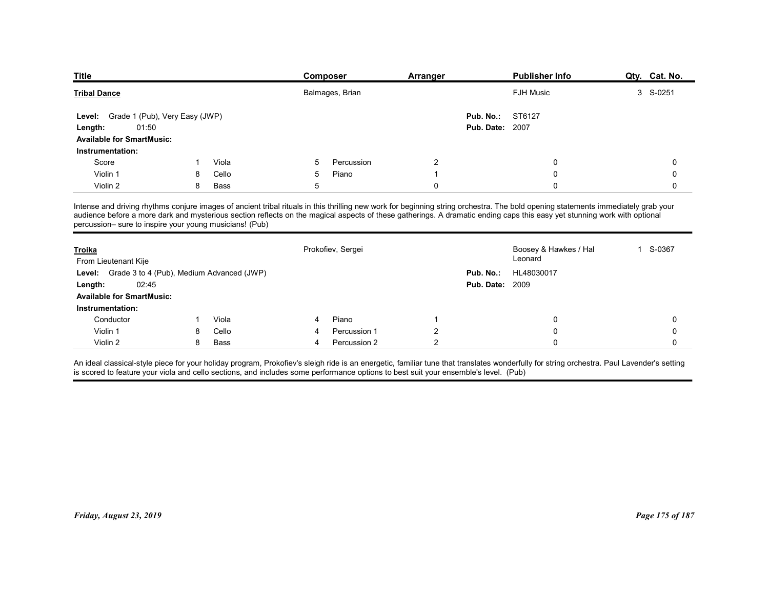| <b>Title</b>                                            |    |       | Composer          | Arranger       |                        | <b>Publisher Info</b>                                                                                                                                                                                                                                                                                                                                         | Qty. Cat. No. |
|---------------------------------------------------------|----|-------|-------------------|----------------|------------------------|---------------------------------------------------------------------------------------------------------------------------------------------------------------------------------------------------------------------------------------------------------------------------------------------------------------------------------------------------------------|---------------|
| <b>Tribal Dance</b>                                     |    |       | Balmages, Brian   |                |                        | <b>FJH Music</b>                                                                                                                                                                                                                                                                                                                                              | 3 S-0251      |
|                                                         |    |       |                   |                |                        |                                                                                                                                                                                                                                                                                                                                                               |               |
| Grade 1 (Pub), Very Easy (JWP)<br>Level:                |    |       |                   |                | Pub. No.:              | ST6127                                                                                                                                                                                                                                                                                                                                                        |               |
| 01:50<br>Length:                                        |    |       |                   |                | <b>Pub. Date: 2007</b> |                                                                                                                                                                                                                                                                                                                                                               |               |
| <b>Available for SmartMusic:</b>                        |    |       |                   |                |                        |                                                                                                                                                                                                                                                                                                                                                               |               |
| Instrumentation:                                        |    |       |                   |                |                        |                                                                                                                                                                                                                                                                                                                                                               |               |
| Score                                                   |    | Viola | Percussion<br>5   | 2              |                        | 0                                                                                                                                                                                                                                                                                                                                                             | 0             |
| Violin 1                                                | 8  | Cello | 5<br>Piano        | -1             |                        | $\Omega$                                                                                                                                                                                                                                                                                                                                                      | 0             |
| Violin 2                                                | 8  | Bass  | 5                 | 0              |                        | $\Omega$                                                                                                                                                                                                                                                                                                                                                      | 0             |
| percussion- sure to inspire your young musicians! (Pub) |    |       |                   |                |                        | Intense and driving rhythms conjure images of ancient tribal rituals in this thrilling new work for beginning string orchestra. The bold opening statements immediately grab your<br>audience before a more dark and mysterious section reflects on the magical aspects of these gatherings. A dramatic ending caps this easy yet stunning work with optional |               |
| <b>Troika</b><br>From Lieutenant Kije                   |    |       | Prokofiev, Sergei |                |                        | Boosey & Hawkes / Hal<br>Leonard                                                                                                                                                                                                                                                                                                                              | 1 S-0367      |
| Level: Grade 3 to 4 (Pub), Medium Advanced (JWP)        |    |       |                   |                | Pub. No.:              | HL48030017                                                                                                                                                                                                                                                                                                                                                    |               |
| 02:45<br>Length:                                        |    |       |                   |                | <b>Pub. Date: 2009</b> |                                                                                                                                                                                                                                                                                                                                                               |               |
|                                                         |    |       |                   |                |                        |                                                                                                                                                                                                                                                                                                                                                               |               |
|                                                         |    |       |                   |                |                        |                                                                                                                                                                                                                                                                                                                                                               |               |
| <b>Available for SmartMusic:</b><br>Instrumentation:    | -1 | Viola | Piano<br>4        |                |                        | 0                                                                                                                                                                                                                                                                                                                                                             | 0             |
| Conductor                                               |    | Cello | Percussion 1      | 2              |                        | 0                                                                                                                                                                                                                                                                                                                                                             | 0             |
| Violin 1                                                | 8  |       | Percussion 2<br>4 | $\overline{2}$ |                        | 0                                                                                                                                                                                                                                                                                                                                                             | 0             |

| <b>Tribal Dance</b>                                                                                                                                                                                                                                                                                                                                                                                                      |   |             |                | Balmages, Brian   |                |                                     | FJH Music                        | 3 S-0251         |
|--------------------------------------------------------------------------------------------------------------------------------------------------------------------------------------------------------------------------------------------------------------------------------------------------------------------------------------------------------------------------------------------------------------------------|---|-------------|----------------|-------------------|----------------|-------------------------------------|----------------------------------|------------------|
| Level: Grade 1 (Pub), Very Easy (JWP)<br>01:50<br>Length:<br><b>Available for SmartMusic:</b>                                                                                                                                                                                                                                                                                                                            |   |             |                |                   |                | Pub. No.:<br><b>Pub. Date: 2007</b> | ST6127                           |                  |
| Instrumentation:                                                                                                                                                                                                                                                                                                                                                                                                         |   |             |                |                   |                |                                     |                                  |                  |
| Score                                                                                                                                                                                                                                                                                                                                                                                                                    | 1 | Viola       | 5              | Percussion        | $\overline{c}$ |                                     | $\mathbf 0$                      | 0                |
| Violin 1                                                                                                                                                                                                                                                                                                                                                                                                                 | 8 | Cello       | 5              | Piano             | $\overline{1}$ |                                     | 0                                | 0                |
| Violin 2                                                                                                                                                                                                                                                                                                                                                                                                                 | 8 | <b>Bass</b> | 5              |                   | $\mathbf 0$    |                                     | $\mathbf 0$                      | $\mathbf 0$      |
| Intense and driving rhythms conjure images of ancient tribal rituals in this thrilling new work for beginning string orchestra. The bold opening statements immediately grab your<br>audience before a more dark and mysterious section reflects on the magical aspects of these gatherings. A dramatic ending caps this easy yet stunning work with optional<br>percussion- sure to inspire your young musicians! (Pub) |   |             |                |                   |                |                                     |                                  |                  |
| Troika<br>From Lieutenant Kije                                                                                                                                                                                                                                                                                                                                                                                           |   |             |                | Prokofiev, Sergei |                |                                     | Boosey & Hawkes / Hal<br>Leonard | 1 S-0367         |
| Level: Grade 3 to 4 (Pub), Medium Advanced (JWP)                                                                                                                                                                                                                                                                                                                                                                         |   |             |                |                   |                | Pub. No.:                           | HL48030017                       |                  |
| 02:45<br>Length:                                                                                                                                                                                                                                                                                                                                                                                                         |   |             |                |                   |                | <b>Pub. Date: 2009</b>              |                                  |                  |
| <b>Available for SmartMusic:</b>                                                                                                                                                                                                                                                                                                                                                                                         |   |             |                |                   |                |                                     |                                  |                  |
| Instrumentation:                                                                                                                                                                                                                                                                                                                                                                                                         |   |             |                |                   |                |                                     |                                  |                  |
| Conductor                                                                                                                                                                                                                                                                                                                                                                                                                | 1 | Viola       | 4              | Piano             | $\overline{1}$ |                                     | $\mathbf 0$                      | $\boldsymbol{0}$ |
| Violin 1                                                                                                                                                                                                                                                                                                                                                                                                                 | 8 | Cello       | 4              | Percussion 1      | $\sqrt{2}$     |                                     | $\mathbf 0$                      | $\mathbf 0$      |
| Violin 2                                                                                                                                                                                                                                                                                                                                                                                                                 | 8 | <b>Bass</b> | $\overline{4}$ | Percussion 2      | $\sqrt{2}$     |                                     | $\Omega$                         | 0                |
| is scored to feature your viola and cello sections, and includes some performance options to best suit your ensemble's level. (Pub)                                                                                                                                                                                                                                                                                      |   |             |                |                   |                |                                     |                                  |                  |
| Friday, August 23, 2019                                                                                                                                                                                                                                                                                                                                                                                                  |   |             |                |                   |                |                                     |                                  | Page 175 of 187  |
|                                                                                                                                                                                                                                                                                                                                                                                                                          |   |             |                |                   |                |                                     |                                  |                  |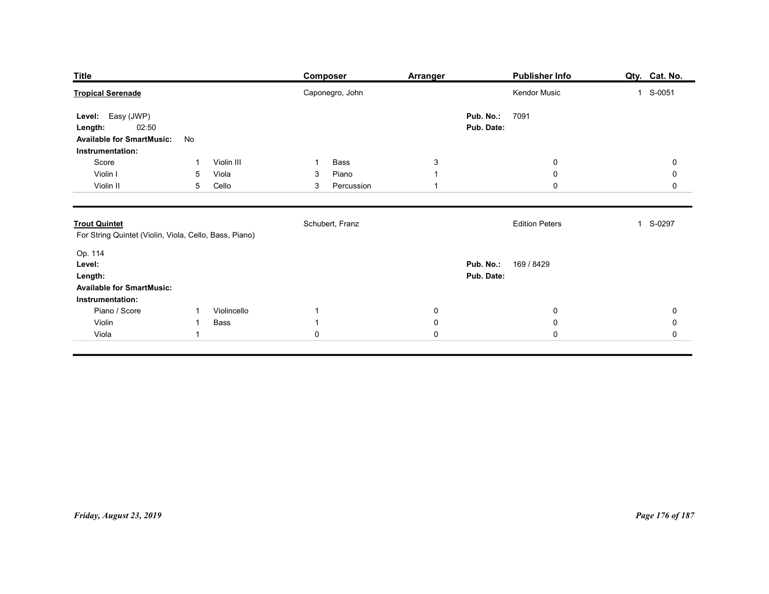| <b>Title</b>                                                                                  |                                                               | <b>Composer</b>                                      | <b>Arranger</b>                                | <b>Publisher Info</b>                        | Qty. Cat. No.                                   |
|-----------------------------------------------------------------------------------------------|---------------------------------------------------------------|------------------------------------------------------|------------------------------------------------|----------------------------------------------|-------------------------------------------------|
| <b>Tropical Serenade</b>                                                                      |                                                               | Caponegro, John                                      |                                                | Kendor Music                                 | 1 S-0051                                        |
| Level: Easy (JWP)<br>02:50<br>Length:<br><b>Available for SmartMusic:</b><br>Instrumentation: | No                                                            |                                                      |                                                | Pub. No.:<br>7091<br>Pub. Date:              |                                                 |
| Score<br>Violin I<br>Violin II                                                                | Violin III<br>-1<br>5<br>Viola<br>5<br>Cello                  | Bass<br>$\mathbf 1$<br>Piano<br>3<br>Percussion<br>3 | $\mathbf{3}$<br>$\mathbf{1}$<br>$\overline{1}$ | $\overline{0}$<br>$\mathbf 0$<br>$\mathbf 0$ | $\mathbf 0$<br>$\mathbf 0$<br>$\mathbf 0$       |
| <b>Trout Quintet</b><br>For String Quintet (Violin, Viola, Cello, Bass, Piano)                |                                                               | Schubert, Franz                                      |                                                | <b>Edition Peters</b>                        | 1 S-0297                                        |
| Op. 114<br>Level:<br>Length:<br><b>Available for SmartMusic:</b><br>Instrumentation:          |                                                               |                                                      |                                                | Pub. No.: 169 / 8429<br>Pub. Date:           |                                                 |
| Piano / Score<br>Violin<br>Viola                                                              | Violincello<br>$\overline{1}$<br>Bass<br>-1<br>$\overline{1}$ | $\mathbf{1}$<br>$\mathbf{1}$<br>$\mathbf 0$          | $\pmb{0}$<br>$\pmb{0}$<br>$\mathbf 0$          | $\overline{0}$<br>${\bf 0}$<br>$\mathbf 0$   | $\pmb{0}$<br>$\mathbf 0$<br>$\mathsf{O}\xspace$ |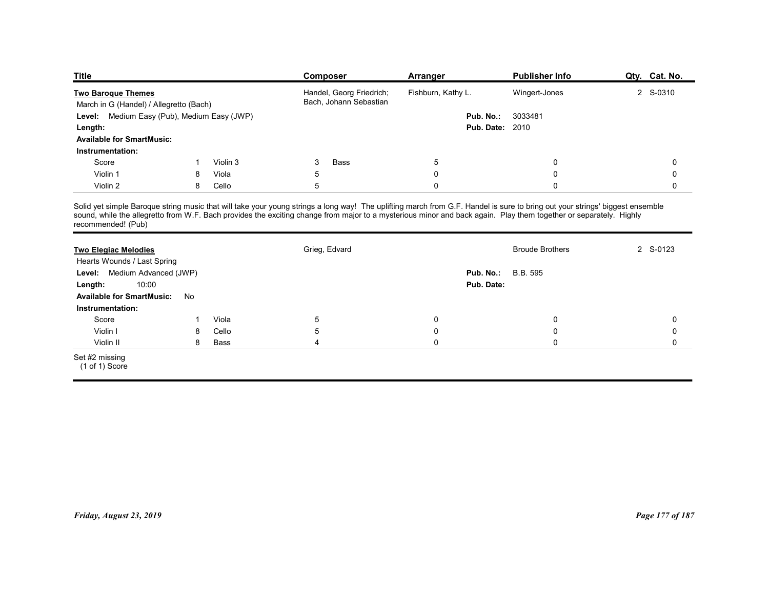| <b>Title</b>                                         |    |                   | Composer                                                                                                                                                                                                                                                                                                                                          | Arranger                | <b>Publisher Info</b>      | Qty. Cat. No.    |
|------------------------------------------------------|----|-------------------|---------------------------------------------------------------------------------------------------------------------------------------------------------------------------------------------------------------------------------------------------------------------------------------------------------------------------------------------------|-------------------------|----------------------------|------------------|
| <b>Two Baroque Themes</b>                            |    |                   | Handel, Georg Friedrich;                                                                                                                                                                                                                                                                                                                          | Fishburn, Kathy L.      | Wingert-Jones              | 2 S-0310         |
|                                                      |    |                   | Bach, Johann Sebastian                                                                                                                                                                                                                                                                                                                            |                         |                            |                  |
| March in G (Handel) / Allegretto (Bach)              |    |                   |                                                                                                                                                                                                                                                                                                                                                   |                         |                            |                  |
| Level: Medium Easy (Pub), Medium Easy (JWP)          |    |                   |                                                                                                                                                                                                                                                                                                                                                   | Pub. No.:               | 3033481                    |                  |
| Length:                                              |    |                   |                                                                                                                                                                                                                                                                                                                                                   |                         | <b>Pub. Date: 2010</b>     |                  |
| <b>Available for SmartMusic:</b>                     |    |                   |                                                                                                                                                                                                                                                                                                                                                   |                         |                            |                  |
| Instrumentation:                                     | -1 |                   |                                                                                                                                                                                                                                                                                                                                                   |                         |                            |                  |
| Score<br>Violin 1                                    | 8  | Violin 3<br>Viola | 3<br><b>Bass</b><br>5                                                                                                                                                                                                                                                                                                                             | $\sqrt{5}$<br>$\pmb{0}$ | $\mathbf 0$<br>$\mathbf 0$ | 0<br>$\mathbf 0$ |
| Violin 2                                             | 8  | Cello             | $5\phantom{.0}$                                                                                                                                                                                                                                                                                                                                   | $\mathbf 0$             | $\mathsf{O}$               | $\mathbf 0$      |
|                                                      |    |                   |                                                                                                                                                                                                                                                                                                                                                   |                         |                            |                  |
| recommended! (Pub)                                   |    |                   | Solid yet simple Baroque string music that will take your young strings a long way! The uplifting march from G.F. Handel is sure to bring out your strings' biggest ensemble<br>sound, while the allegretto from W.F. Bach provides the exciting change from major to a mysterious minor and back again. Play them together or separately. Highly |                         |                            |                  |
|                                                      |    |                   |                                                                                                                                                                                                                                                                                                                                                   |                         |                            |                  |
| <b>Two Elegiac Melodies</b>                          |    |                   | Grieg, Edvard                                                                                                                                                                                                                                                                                                                                     |                         | <b>Broude Brothers</b>     | 2 S-0123         |
| Hearts Wounds / Last Spring                          |    |                   |                                                                                                                                                                                                                                                                                                                                                   |                         |                            |                  |
| Level: Medium Advanced (JWP)                         |    |                   |                                                                                                                                                                                                                                                                                                                                                   | Pub. No.:               | B.B. 595                   |                  |
| 10:00<br>Length:<br><b>Available for SmartMusic:</b> | No |                   |                                                                                                                                                                                                                                                                                                                                                   |                         | Pub. Date:                 |                  |

| <b>Title</b>                                                         |              |             | <b>Composer</b>                                                                                                                                                                                                                                                                                                                                   | <b>Arranger</b>        | <b>Publisher Info</b>  | Qty. Cat. No.   |
|----------------------------------------------------------------------|--------------|-------------|---------------------------------------------------------------------------------------------------------------------------------------------------------------------------------------------------------------------------------------------------------------------------------------------------------------------------------------------------|------------------------|------------------------|-----------------|
| <b>Two Baroque Themes</b><br>March in G (Handel) / Allegretto (Bach) |              |             | Handel, Georg Friedrich;<br>Bach, Johann Sebastian                                                                                                                                                                                                                                                                                                | Fishburn, Kathy L.     | Wingert-Jones          | 2 S-0310        |
| Level: Medium Easy (Pub), Medium Easy (JWP)                          |              |             |                                                                                                                                                                                                                                                                                                                                                   | Pub. No.:              | 3033481                |                 |
| Length:                                                              |              |             |                                                                                                                                                                                                                                                                                                                                                   | <b>Pub. Date: 2010</b> |                        |                 |
| <b>Available for SmartMusic:</b>                                     |              |             |                                                                                                                                                                                                                                                                                                                                                   |                        |                        |                 |
| Instrumentation:                                                     |              |             |                                                                                                                                                                                                                                                                                                                                                   |                        |                        |                 |
| Score                                                                | $\mathbf{1}$ | Violin 3    | Bass<br>3                                                                                                                                                                                                                                                                                                                                         | $5\phantom{.0}$        | 0                      | 0               |
| Violin 1                                                             | 8            | Viola       | 5                                                                                                                                                                                                                                                                                                                                                 | $\mathbf 0$            | 0                      | $\Omega$        |
| Violin 2                                                             | 8            | Cello       | 5                                                                                                                                                                                                                                                                                                                                                 | $\mathbf 0$            | $\Omega$               | $\mathbf 0$     |
| recommended! (Pub)                                                   |              |             | Solid yet simple Baroque string music that will take your young strings a long way! The uplifting march from G.F. Handel is sure to bring out your strings' biggest ensemble<br>sound, while the allegretto from W.F. Bach provides the exciting change from major to a mysterious minor and back again. Play them together or separately. Highly |                        |                        |                 |
| <b>Two Elegiac Melodies</b><br>Hearts Wounds / Last Spring           |              |             | Grieg, Edvard                                                                                                                                                                                                                                                                                                                                     |                        | <b>Broude Brothers</b> | 2 S-0123        |
| Level: Medium Advanced (JWP)                                         |              |             |                                                                                                                                                                                                                                                                                                                                                   | Pub. No.:              | B.B. 595               |                 |
| 10:00<br>Length:                                                     |              |             |                                                                                                                                                                                                                                                                                                                                                   | Pub. Date:             |                        |                 |
| <b>Available for SmartMusic:</b>                                     | No           |             |                                                                                                                                                                                                                                                                                                                                                   |                        |                        |                 |
| Instrumentation:                                                     |              |             |                                                                                                                                                                                                                                                                                                                                                   |                        |                        |                 |
| Score                                                                | -1           | Viola       | $\overline{5}$                                                                                                                                                                                                                                                                                                                                    | 0                      | 0                      | 0               |
| Violin I                                                             | 8            | Cello       | $\mathbf 5$                                                                                                                                                                                                                                                                                                                                       | $\mathbf 0$            | 0                      | 0               |
| Violin II                                                            | 8            | <b>Bass</b> | $\overline{4}$                                                                                                                                                                                                                                                                                                                                    | $\mathbf 0$            | 0                      | $\mathbf 0$     |
| Set #2 missing<br>(1 of 1) Score                                     |              |             |                                                                                                                                                                                                                                                                                                                                                   |                        |                        |                 |
|                                                                      |              |             |                                                                                                                                                                                                                                                                                                                                                   |                        |                        |                 |
|                                                                      |              |             |                                                                                                                                                                                                                                                                                                                                                   |                        |                        |                 |
|                                                                      |              |             |                                                                                                                                                                                                                                                                                                                                                   |                        |                        |                 |
|                                                                      |              |             |                                                                                                                                                                                                                                                                                                                                                   |                        |                        |                 |
| Friday, August 23, 2019                                              |              |             |                                                                                                                                                                                                                                                                                                                                                   |                        |                        | Page 177 of 187 |
|                                                                      |              |             |                                                                                                                                                                                                                                                                                                                                                   |                        |                        |                 |
|                                                                      |              |             |                                                                                                                                                                                                                                                                                                                                                   |                        |                        |                 |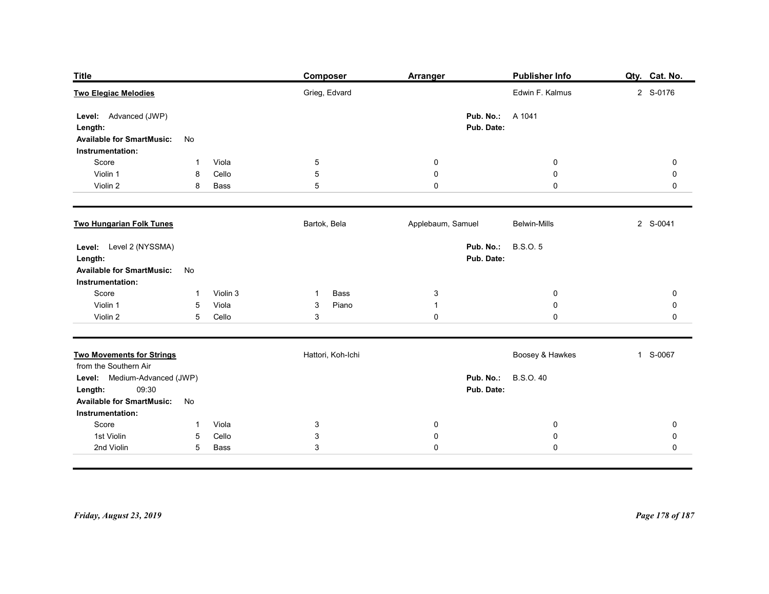| <b>Title</b><br><b>Two Elegiac Melodies</b>           |                                    |               | <b>Composer</b><br>Grieg, Edvard | <b>Arranger</b>         | Publisher Info<br>Edwin F. Kalmus | Qty. Cat. No.<br>2 S-0176  |
|-------------------------------------------------------|------------------------------------|---------------|----------------------------------|-------------------------|-----------------------------------|----------------------------|
|                                                       |                                    |               |                                  |                         |                                   |                            |
| Level: Advanced (JWP)<br>Length:                      |                                    |               |                                  | Pub. No.:<br>Pub. Date: | A 1041                            |                            |
| <b>Available for SmartMusic:</b>                      | No                                 |               |                                  |                         |                                   |                            |
| Instrumentation:<br>Score                             | -1                                 | Viola         | $\overline{5}$                   | 0                       | $\mathbf 0$                       | $\mathbf 0$                |
| Violin 1<br>Violin 2                                  | 8<br>8                             | Cello<br>Bass | $\overline{5}$<br>$\overline{5}$ | 0<br>0                  | 0<br>$\pmb{0}$                    | 0<br>0                     |
|                                                       |                                    |               |                                  |                         |                                   |                            |
| <b>Two Hungarian Folk Tunes</b>                       |                                    |               | Bartok, Bela                     | Applebaum, Samuel       | <b>Belwin-Mills</b>               | 2 S-0041                   |
| Level: Level 2 (NYSSMA)                               |                                    |               |                                  |                         | Pub. No.: B.S.O. 5                |                            |
| Length:<br><b>Available for SmartMusic:</b>           | No                                 |               |                                  | Pub. Date:              |                                   |                            |
| Instrumentation:<br>Score                             | $\mathbf{1}$                       | Violin 3      | Bass<br>$\mathbf{1}$             | $\mathbf{3}$            | $\mathbf 0$                       | $\mathbf 0$                |
| Violin 1                                              | $5\phantom{.0}$                    | Viola         | Piano<br>$\mathbf{3}$            | $\mathbf{1}$            | $\mathbf 0$                       | $\mathbf 0$                |
| Violin 2                                              | $5\phantom{.0}$                    | Cello         | $\mathsf 3$                      | $\pmb{0}$               | $\pmb{0}$                         | $\pmb{0}$                  |
| <b>Two Movements for Strings</b>                      |                                    |               | Hattori, Koh-Ichi                |                         | Boosey & Hawkes                   | 1 S-0067                   |
| from the Southern Air<br>Level: Medium-Advanced (JWP) |                                    |               |                                  |                         | <b>Pub. No.:</b> B.S.O. 40        |                            |
| 09:30<br>Length:                                      |                                    |               |                                  | Pub. Date:              |                                   |                            |
| <b>Available for SmartMusic:</b><br>Instrumentation:  | No                                 |               |                                  |                         |                                   |                            |
| Score                                                 | $\mathbf{1}$                       | Viola         | $\mathbf{3}$                     | $\mathbf 0$             | $\bf{0}$                          | $\mathbf 0$                |
| 1st Violin<br>2nd Violin                              | $5\phantom{.0}$<br>$5\overline{)}$ | Cello<br>Bass | $\mathsf 3$<br>$\mathbf{3}$      | 0<br>$\mathbf 0$        | $\mathbf 0$<br>$\pmb{0}$          | $\mathbf 0$<br>$\mathbf 0$ |
|                                                       |                                    |               |                                  |                         |                                   |                            |
|                                                       |                                    |               |                                  |                         |                                   |                            |
|                                                       |                                    |               |                                  |                         |                                   |                            |
|                                                       |                                    |               |                                  |                         |                                   |                            |
| Friday, August 23, 2019                               |                                    |               |                                  |                         |                                   | Page 178 of 187            |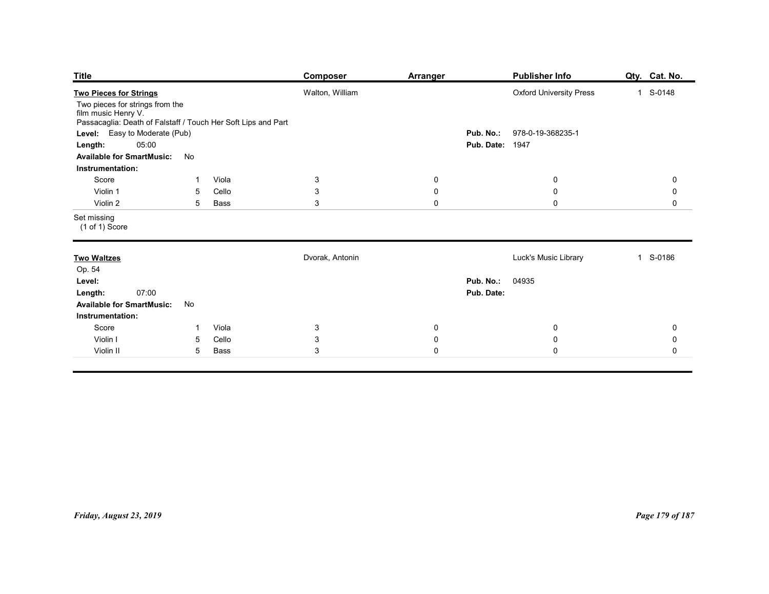| Publisher Info<br><b>Title</b><br>Qty. Cat. No.<br><b>Composer</b><br><b>Arranger</b><br>Walton, William<br><b>Oxford University Press</b><br>1 S-0148<br>Two pieces for strings from the<br>film music Henry V.<br>Passacaglia: Death of Falstaff / Touch Her Soft Lips and Part<br>Level: Easy to Moderate (Pub)<br>978-0-19-368235-1<br>Pub. No.:<br>05:00<br><b>Pub. Date: 1947</b><br>Length:<br><b>Available for SmartMusic:</b><br>No<br>Instrumentation:<br>Score<br>$\mathbf{3}$<br>Viola<br>$\mathbf 0$<br>$\mathbf 0$<br>$\mathbf 0$<br>-1<br>$\ensuremath{\mathsf{3}}$<br>Violin 1<br>Cello<br>$\mathbf 0$<br>$\boldsymbol{0}$<br>$\mathbf 0$<br>5<br>$\mathbf{3}$<br>Violin 2<br>$\mathbf 0$<br>$\mathbf 0$<br>$5\overline{)}$<br>Bass<br>$\mathsf{O}$<br>$(1 of 1)$ Score |
|-----------------------------------------------------------------------------------------------------------------------------------------------------------------------------------------------------------------------------------------------------------------------------------------------------------------------------------------------------------------------------------------------------------------------------------------------------------------------------------------------------------------------------------------------------------------------------------------------------------------------------------------------------------------------------------------------------------------------------------------------------------------------------------------|
| <b>Two Pieces for Strings</b>                                                                                                                                                                                                                                                                                                                                                                                                                                                                                                                                                                                                                                                                                                                                                           |
| Set missing                                                                                                                                                                                                                                                                                                                                                                                                                                                                                                                                                                                                                                                                                                                                                                             |
|                                                                                                                                                                                                                                                                                                                                                                                                                                                                                                                                                                                                                                                                                                                                                                                         |
|                                                                                                                                                                                                                                                                                                                                                                                                                                                                                                                                                                                                                                                                                                                                                                                         |
|                                                                                                                                                                                                                                                                                                                                                                                                                                                                                                                                                                                                                                                                                                                                                                                         |
| <b>Two Waltzes</b><br>Dvorak, Antonin<br>Luck's Music Library<br>1 S-0186                                                                                                                                                                                                                                                                                                                                                                                                                                                                                                                                                                                                                                                                                                               |
| Op. 54<br>04935<br>Pub. No.:<br>Level:<br>Pub. Date:<br>07:00<br>Length:<br><b>Available for SmartMusic:</b><br>No<br>Instrumentation:                                                                                                                                                                                                                                                                                                                                                                                                                                                                                                                                                                                                                                                  |
| Score<br>Viola<br>$\mathbf{3}$<br>$\mathbf 0$<br>$\mathbf 0$<br>$\pmb{0}$<br>$\mathbf{1}$                                                                                                                                                                                                                                                                                                                                                                                                                                                                                                                                                                                                                                                                                               |
| $\mathsf 3$<br>Cello<br>$\mathbf 0$<br>$\pmb{0}$<br>Violin I<br>$5\phantom{.0}$<br>${\bf 0}$<br>$\mathbf{3}$<br>$\mathbf 0$<br>$\mathbf 0$<br>Violin II<br>5 <sub>5</sub><br>Bass<br>$\mathbf 0$                                                                                                                                                                                                                                                                                                                                                                                                                                                                                                                                                                                        |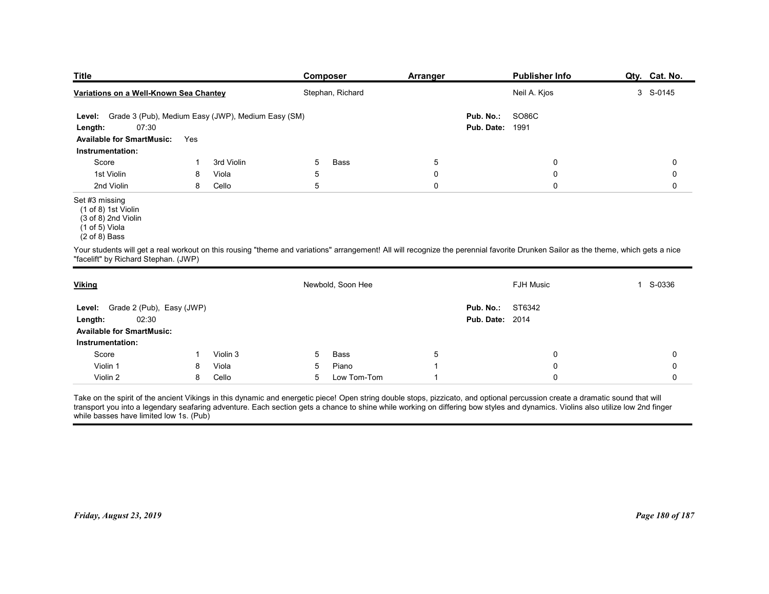| <b>Title</b>                                                                                                                                                                       |     |            |   | <b>Composer</b>   | Arranger       |                         | <b>Publisher Info</b> | Qty. Cat. No. |
|------------------------------------------------------------------------------------------------------------------------------------------------------------------------------------|-----|------------|---|-------------------|----------------|-------------------------|-----------------------|---------------|
| Variations on a Well-Known Sea Chantey                                                                                                                                             |     |            |   | Stephan, Richard  |                |                         | Neil A. Kjos          | 3 S-0145      |
| Level: Grade 3 (Pub), Medium Easy (JWP), Medium Easy (SM)                                                                                                                          |     |            |   |                   |                | Pub. No.:               | <b>SO86C</b>          |               |
| 07:30<br>Length:                                                                                                                                                                   |     |            |   |                   |                | Pub. Date:              | 1991                  |               |
| <b>Available for SmartMusic:</b>                                                                                                                                                   | Yes |            |   |                   |                |                         |                       |               |
| Instrumentation:<br>Score                                                                                                                                                          |     | 3rd Violin | 5 | Bass              | $\overline{5}$ |                         | $\mathbf 0$           | $\mathbf 0$   |
| 1st Violin                                                                                                                                                                         | 8   | Viola      | 5 |                   | 0              |                         | $\mathbf 0$           | 0             |
| 2nd Violin                                                                                                                                                                         | 8   | Cello      | 5 |                   | 0              |                         | $\mathbf 0$           | 0             |
| Set #3 missing<br>(1 of 8) 1st Violin<br>(3 of 8) 2nd Violin<br>(1 of 5) Viola<br>$(2 \text{ of } 8)$ Bass                                                                         |     |            |   |                   |                |                         |                       |               |
| Your students will get a real workout on this rousing "theme and variations" arrangement! All will recognize the perennial favorite Drunken Sailor as the theme, which gets a nice |     |            |   |                   |                |                         |                       |               |
| "facelift" by Richard Stephan. (JWP)                                                                                                                                               |     |            |   |                   |                |                         |                       |               |
| <b>Viking</b>                                                                                                                                                                      |     |            |   | Newbold, Soon Hee |                |                         | FJH Music             | 1 S-0336      |
|                                                                                                                                                                                    |     |            |   |                   |                | <b>Pub. No.: ST6342</b> |                       |               |
|                                                                                                                                                                                    |     |            |   |                   |                |                         |                       |               |
| Level: Grade 2 (Pub), Easy (JWP)<br>02:30<br>Length:                                                                                                                               |     |            |   |                   |                | <b>Pub. Date: 2014</b>  |                       |               |
| <b>Available for SmartMusic:</b><br>Instrumentation:                                                                                                                               |     |            |   |                   |                |                         |                       |               |

| <b>Pub. Date: 1991</b><br>Length:<br><b>Available for SmartMusic:</b><br>Yes<br>Instrumentation:<br>Score<br>3rd Violin<br>5<br><b>Bass</b><br>5<br>0<br>0<br>$\mathbf{1}$<br>1st Violin<br>5<br>$\mathbf 0$<br>8<br>Viola<br>$\mathbf 0$<br>0<br>2nd Violin<br>8<br>$\overline{5}$<br>$\mathsf{O}$<br>0<br>$\mathbf 0$<br>Cello<br>$(1 of 8)$ 1st Violin<br>$(3 of 8)$ 2nd Violin<br>$(1 of 5)$ Viola<br>$(2 of 8)$ Bass<br>Newbold, Soon Hee<br>FJH Music<br>1 S-0336<br>ST6342<br>Grade 2 (Pub), Easy (JWP)<br>Pub. No.:<br>Level:<br><b>Pub. Date: 2014</b><br>02:30<br>Length:<br><b>Available for SmartMusic:</b><br>Instrumentation:<br>Score<br>Violin 3<br>5<br>Bass<br>5<br>0<br>0<br>-1 | Level: Grade 3 (Pub), Medium Easy (JWP), Medium Easy (SM)<br>07:30 |   |       |   |       |                          | Pub. No.:<br><b>SO86C</b> |                 |
|----------------------------------------------------------------------------------------------------------------------------------------------------------------------------------------------------------------------------------------------------------------------------------------------------------------------------------------------------------------------------------------------------------------------------------------------------------------------------------------------------------------------------------------------------------------------------------------------------------------------------------------------------------------------------------------------------|--------------------------------------------------------------------|---|-------|---|-------|--------------------------|---------------------------|-----------------|
| Your students will get a real workout on this rousing "theme and variations" arrangement! All will recognize the perennial favorite Drunken Sailor as the theme, which gets a nice<br>"facelift" by Richard Stephan. (JWP)                                                                                                                                                                                                                                                                                                                                                                                                                                                                         |                                                                    |   |       |   |       |                          |                           |                 |
|                                                                                                                                                                                                                                                                                                                                                                                                                                                                                                                                                                                                                                                                                                    |                                                                    |   |       |   |       |                          |                           |                 |
|                                                                                                                                                                                                                                                                                                                                                                                                                                                                                                                                                                                                                                                                                                    |                                                                    |   |       |   |       |                          |                           |                 |
|                                                                                                                                                                                                                                                                                                                                                                                                                                                                                                                                                                                                                                                                                                    |                                                                    |   |       |   |       |                          |                           |                 |
| Set #3 missing                                                                                                                                                                                                                                                                                                                                                                                                                                                                                                                                                                                                                                                                                     |                                                                    |   |       |   |       |                          |                           |                 |
| <b>Viking</b>                                                                                                                                                                                                                                                                                                                                                                                                                                                                                                                                                                                                                                                                                      |                                                                    |   |       |   |       |                          |                           |                 |
|                                                                                                                                                                                                                                                                                                                                                                                                                                                                                                                                                                                                                                                                                                    |                                                                    |   |       |   |       |                          |                           |                 |
|                                                                                                                                                                                                                                                                                                                                                                                                                                                                                                                                                                                                                                                                                                    |                                                                    |   |       |   |       |                          |                           |                 |
|                                                                                                                                                                                                                                                                                                                                                                                                                                                                                                                                                                                                                                                                                                    |                                                                    |   |       |   |       |                          |                           |                 |
|                                                                                                                                                                                                                                                                                                                                                                                                                                                                                                                                                                                                                                                                                                    |                                                                    |   |       |   |       |                          |                           |                 |
|                                                                                                                                                                                                                                                                                                                                                                                                                                                                                                                                                                                                                                                                                                    |                                                                    |   |       |   |       |                          |                           |                 |
|                                                                                                                                                                                                                                                                                                                                                                                                                                                                                                                                                                                                                                                                                                    |                                                                    |   |       |   |       |                          |                           |                 |
|                                                                                                                                                                                                                                                                                                                                                                                                                                                                                                                                                                                                                                                                                                    |                                                                    |   |       |   |       |                          |                           |                 |
|                                                                                                                                                                                                                                                                                                                                                                                                                                                                                                                                                                                                                                                                                                    | Violin 1                                                           | 8 | Viola | 5 | Piano | $\overline{\phantom{a}}$ | 0                         | $\mathbf 0$     |
| Violin 2<br>Cello<br>Low Tom-Tom<br>0<br>$\mathbf 0$<br>8<br>5<br>$\overline{1}$                                                                                                                                                                                                                                                                                                                                                                                                                                                                                                                                                                                                                   |                                                                    |   |       |   |       |                          |                           |                 |
| Take on the spirit of the ancient Vikings in this dynamic and energetic piece! Open string double stops, pizzicato, and optional percussion create a dramatic sound that will<br>transport you into a legendary seafaring adventure. Each section gets a chance to shine while working on differing bow styles and dynamics. Violins also utilize low 2nd finger<br>while basses have limited low 1s. (Pub)                                                                                                                                                                                                                                                                                        |                                                                    |   |       |   |       |                          |                           |                 |
|                                                                                                                                                                                                                                                                                                                                                                                                                                                                                                                                                                                                                                                                                                    | Friday, August 23, 2019                                            |   |       |   |       |                          |                           | Page 180 of 187 |

 $(2 \text{ of } 8)$  Bass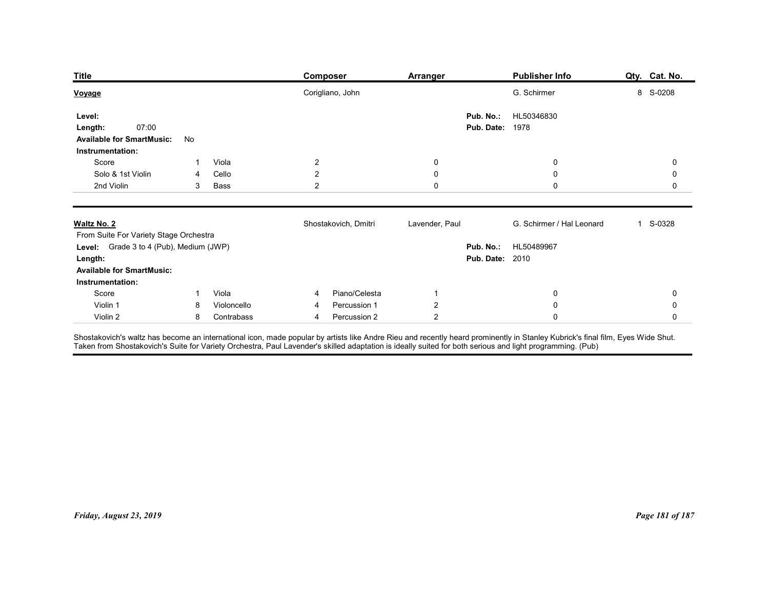| <b>Title</b>                                                                                               |              |                           | <b>Composer</b>                                                                                                                                                                                                                   | <b>Arranger</b>                  | <b>Publisher Info</b>      | Qty. Cat. No.          |
|------------------------------------------------------------------------------------------------------------|--------------|---------------------------|-----------------------------------------------------------------------------------------------------------------------------------------------------------------------------------------------------------------------------------|----------------------------------|----------------------------|------------------------|
| Voyage<br>Level:                                                                                           |              |                           | Corigliano, John                                                                                                                                                                                                                  | Pub. No.:                        | G. Schirmer<br>HL50346830  | 8 S-0208               |
| 07:00<br>Length:<br><b>Available for SmartMusic:</b><br>Instrumentation:                                   | No           |                           |                                                                                                                                                                                                                                   | <b>Pub. Date: 1978</b>           |                            |                        |
| Score                                                                                                      | 1            | Viola                     | $\overline{a}$                                                                                                                                                                                                                    | 0                                | 0                          | 0                      |
| Solo & 1st Violin<br>2nd Violin                                                                            | 4<br>3       | Cello<br>Bass             | $\overline{c}$<br>$\overline{a}$                                                                                                                                                                                                  | $\boldsymbol{0}$<br>$\mathbf 0$  | $\mathbf 0$<br>$\mathbf 0$ | 0<br>0                 |
| Waltz No. 2<br>From Suite For Variety Stage Orchestra                                                      |              |                           | Shostakovich, Dmitri                                                                                                                                                                                                              | Lavender, Paul                   | G. Schirmer / Hal Leonard  | 1 S-0328               |
| Level: Grade 3 to 4 (Pub), Medium (JWP)<br>Length:<br><b>Available for SmartMusic:</b><br>Instrumentation: |              |                           |                                                                                                                                                                                                                                   | <b>Pub. Date: 2010</b>           | Pub. No.: HL50489967       |                        |
| Score                                                                                                      | $\mathbf{1}$ | Viola                     | Piano/Celesta<br>4                                                                                                                                                                                                                | $\mathbf{1}$                     | $\bf{0}$                   | 0                      |
| Violin 1<br>Violin 2                                                                                       | 8<br>8       | Violoncello<br>Contrabass | Percussion 1<br>4<br>Percussion 2<br>4                                                                                                                                                                                            | $\overline{2}$<br>$\overline{2}$ | ${\bf 0}$<br>$\mathbf 0$   | $\pmb{0}$<br>$\pmb{0}$ |
|                                                                                                            |              |                           | Shostakovich's waltz has become an international icon, made popular by artists like Andre Rieu and recently heard prominently in Stanley Kubrick's final film, Eyes Wide Shut.<br>Taken from Shostakovich's Suite for Variety Orc |                                  |                            |                        |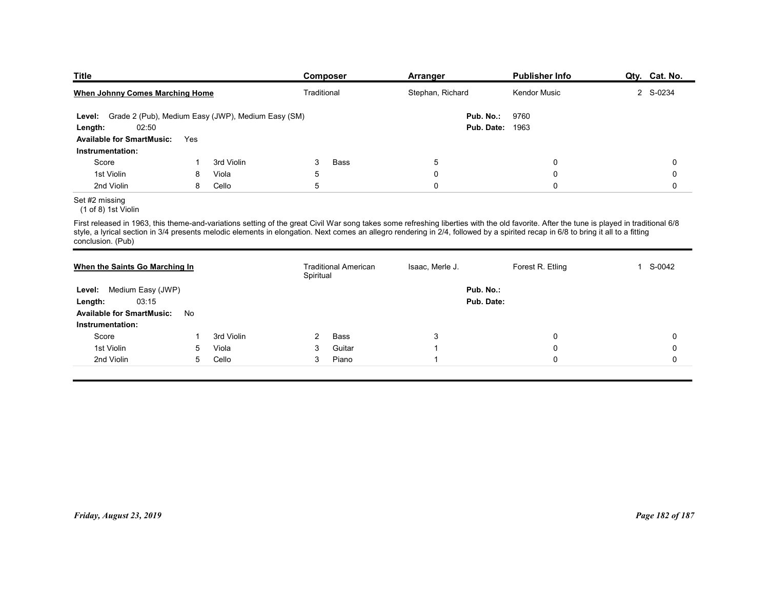| <b>Title</b>                                              |     |            | <b>Composer</b>                                                                                                                                                                                                                                                                                                                                                               | Arranger         | <b>Publisher Info</b>  | Qty. Cat. No.          |
|-----------------------------------------------------------|-----|------------|-------------------------------------------------------------------------------------------------------------------------------------------------------------------------------------------------------------------------------------------------------------------------------------------------------------------------------------------------------------------------------|------------------|------------------------|------------------------|
| <b>When Johnny Comes Marching Home</b>                    |     |            | Traditional                                                                                                                                                                                                                                                                                                                                                                   | Stephan, Richard | Kendor Music           | 2 S-0234               |
| Level: Grade 2 (Pub), Medium Easy (JWP), Medium Easy (SM) |     |            |                                                                                                                                                                                                                                                                                                                                                                               | Pub. No.:        | 9760                   |                        |
| 02:50<br>Length:                                          |     |            |                                                                                                                                                                                                                                                                                                                                                                               |                  | <b>Pub. Date: 1963</b> |                        |
| <b>Available for SmartMusic:</b><br>Instrumentation:      | Yes |            |                                                                                                                                                                                                                                                                                                                                                                               |                  |                        |                        |
| Score                                                     | 1   | 3rd Violin | 3<br>Bass                                                                                                                                                                                                                                                                                                                                                                     | $5\,$            | $\mathbf 0$            | 0                      |
|                                                           |     | Viola      | 5                                                                                                                                                                                                                                                                                                                                                                             | $\mathbf 0$      | $\mathbf 0$            | 0                      |
| 1st Violin                                                | 8   |            | $\mathbf 5$                                                                                                                                                                                                                                                                                                                                                                   | $\mathsf 0$      | $\mathsf 0$            | 0                      |
| 2nd Violin                                                | 8   | Cello      |                                                                                                                                                                                                                                                                                                                                                                               |                  |                        |                        |
| Set #2 missing<br>(1 of 8) 1st Violin                     |     |            |                                                                                                                                                                                                                                                                                                                                                                               |                  |                        |                        |
| conclusion. (Pub)                                         |     |            | First released in 1963, this theme-and-variations setting of the great Civil War song takes some refreshing liberties with the old favorite. After the tune is played in traditional 6/8<br>style, a lyrical section in 3/4 presents melodic elements in elongation. Next comes an allegro rendering in 2/4, followed by a spirited recap in 6/8 to bring it all to a fitting |                  |                        |                        |
| When the Saints Go Marching In                            |     |            | <b>Traditional American</b><br>Spiritual                                                                                                                                                                                                                                                                                                                                      | Isaac, Merle J.  | Forest R. Etling       | S-0042<br>$\mathbf{1}$ |
| Level: Medium Easy (JWP)                                  |     |            |                                                                                                                                                                                                                                                                                                                                                                               | Pub. No.:        |                        |                        |
| 03:15<br>Length:<br>Available for SmartMusic: No          |     |            |                                                                                                                                                                                                                                                                                                                                                                               | Pub. Date:       |                        |                        |

## Set #2 missing

| Pub. No.:<br>9760<br>Level: Grade 2 (Pub), Medium Easy (JWP), Medium Easy (SM)<br>02:50<br><b>Pub. Date: 1963</b><br>Length:<br><b>Available for SmartMusic:</b><br>Yes<br>Instrumentation:<br>Score<br>3rd Violin<br>3<br>Bass<br>$\,$ 5 $\,$<br>0<br>$\pmb{0}$<br>-1<br>1st Violin<br>$\,$ 5 $\,$<br>$\mathsf 0$<br>0<br>$\pmb{0}$<br>8<br>Viola<br>2nd Violin<br>Cello<br>5<br>0<br>$\mathsf 0$<br>8<br>$\mathbf 0$<br>(1 of 8) 1st Violin<br>conclusion. (Pub)<br>Forest R. Etling<br>1 S-0042<br>When the Saints Go Marching In<br><b>Traditional American</b><br>Isaac, Merle J.<br>Spiritual<br>Pub. No.:<br>Level: Medium Easy (JWP)<br>03:15<br>Pub. Date:<br>Length:<br><b>Available for SmartMusic:</b><br>No<br>Instrumentation:<br>Score<br>3rd Violin<br>Bass<br>2<br>3<br>0<br>0<br>-1<br>1st Violin<br>0<br>$\mathbf 0$<br>5<br>Viola<br>3<br>Guitar<br>$\overline{1}$<br>2nd Violin<br>Cello<br>$\mathbf 0$<br>5<br>3<br>Piano<br>0<br>$\mathbf{1}$ |
|----------------------------------------------------------------------------------------------------------------------------------------------------------------------------------------------------------------------------------------------------------------------------------------------------------------------------------------------------------------------------------------------------------------------------------------------------------------------------------------------------------------------------------------------------------------------------------------------------------------------------------------------------------------------------------------------------------------------------------------------------------------------------------------------------------------------------------------------------------------------------------------------------------------------------------------------------------------------|
| Set #2 missing<br>First released in 1963, this theme-and-variations setting of the great Civil War song takes some refreshing liberties with the old favorite. After the tune is played in traditional 6/8<br>style, a lyrical section in 3/4 presents melodic elements in elongation. Next comes an allegro rendering in 2/4, followed by a spirited recap in 6/8 to bring it all to a fitting                                                                                                                                                                                                                                                                                                                                                                                                                                                                                                                                                                      |
|                                                                                                                                                                                                                                                                                                                                                                                                                                                                                                                                                                                                                                                                                                                                                                                                                                                                                                                                                                      |
|                                                                                                                                                                                                                                                                                                                                                                                                                                                                                                                                                                                                                                                                                                                                                                                                                                                                                                                                                                      |
|                                                                                                                                                                                                                                                                                                                                                                                                                                                                                                                                                                                                                                                                                                                                                                                                                                                                                                                                                                      |
|                                                                                                                                                                                                                                                                                                                                                                                                                                                                                                                                                                                                                                                                                                                                                                                                                                                                                                                                                                      |
|                                                                                                                                                                                                                                                                                                                                                                                                                                                                                                                                                                                                                                                                                                                                                                                                                                                                                                                                                                      |
|                                                                                                                                                                                                                                                                                                                                                                                                                                                                                                                                                                                                                                                                                                                                                                                                                                                                                                                                                                      |
|                                                                                                                                                                                                                                                                                                                                                                                                                                                                                                                                                                                                                                                                                                                                                                                                                                                                                                                                                                      |
|                                                                                                                                                                                                                                                                                                                                                                                                                                                                                                                                                                                                                                                                                                                                                                                                                                                                                                                                                                      |
|                                                                                                                                                                                                                                                                                                                                                                                                                                                                                                                                                                                                                                                                                                                                                                                                                                                                                                                                                                      |
|                                                                                                                                                                                                                                                                                                                                                                                                                                                                                                                                                                                                                                                                                                                                                                                                                                                                                                                                                                      |
|                                                                                                                                                                                                                                                                                                                                                                                                                                                                                                                                                                                                                                                                                                                                                                                                                                                                                                                                                                      |
| Page 182 of 187<br>Friday, August 23, 2019                                                                                                                                                                                                                                                                                                                                                                                                                                                                                                                                                                                                                                                                                                                                                                                                                                                                                                                           |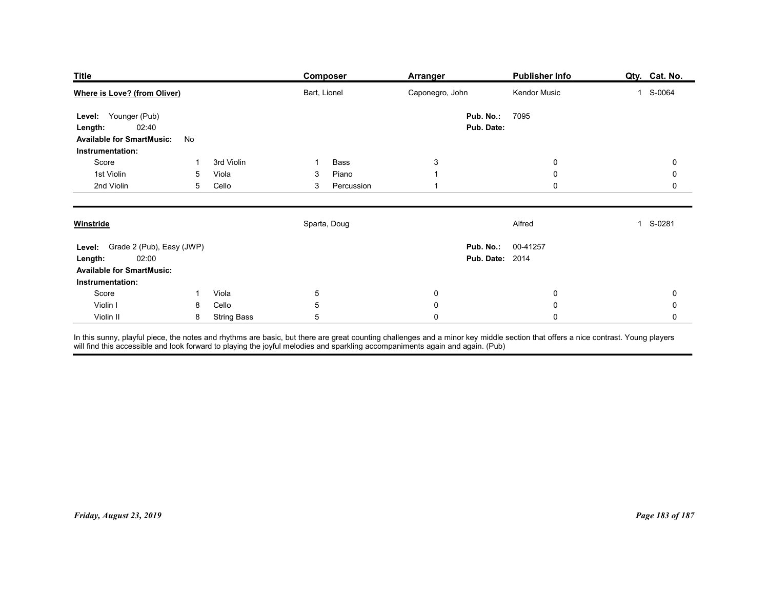| <b>Title</b><br><b>Where is Love? (from Oliver)</b><br>Bart, Lionel<br>Caponegro, John<br>Kendor Music<br>1 S-0064<br>Pub. No.:<br>7095<br>Level: Younger (Pub)<br>02:40<br>Pub. Date:<br>Length:<br><b>Available for SmartMusic:</b><br>No<br>Instrumentation:<br>$\mathbf{3}$<br>Score<br>3rd Violin<br>Bass<br>0<br>$\overline{0}$<br>-1<br>1st Violin<br>Piano<br>Viola<br>$\mathbf 0$<br>0<br>5<br>3<br>$\mathbf{1}$<br>2nd Violin<br>Cello<br>Percussion<br>$\mathbf 0$<br>5<br>3<br>$\mathbf{1}$<br>0<br>Sparta, Doug<br>Alfred<br>1 S-0281<br><b>Winstride</b><br>Level: Grade 2 (Pub), Easy (JWP)<br>Pub. No.: 00-41257<br><b>Pub. Date: 2014</b><br>02:00<br>Length:<br><b>Available for SmartMusic:</b><br>Instrumentation:<br>Score<br>1 Viola<br>$5\phantom{.0}$<br>$\mathbf 0$<br>$\bf{0}$<br>0<br>$\sqrt{5}$<br>Cello<br>$\mathbf 0$<br>Violin I<br>${\bf 0}$<br>8<br>$\pmb{0}$<br>$\sqrt{5}$<br>$\pmb{0}$<br>$\mathbf 0$<br>Violin II<br>8 String Bass<br>$\pmb{0}$ |  | <b>Composer</b> | <b>Arranger</b> | <b>Publisher Info</b> | Qty. Cat. No. |
|-------------------------------------------------------------------------------------------------------------------------------------------------------------------------------------------------------------------------------------------------------------------------------------------------------------------------------------------------------------------------------------------------------------------------------------------------------------------------------------------------------------------------------------------------------------------------------------------------------------------------------------------------------------------------------------------------------------------------------------------------------------------------------------------------------------------------------------------------------------------------------------------------------------------------------------------------------------------------------------|--|-----------------|-----------------|-----------------------|---------------|
| In this sunny, playful piece, the notes and rhythms are basic, but there are great counting challenges and a minor key middle section that offers a nice contrast. Young players<br>will find this accessible and look forward to                                                                                                                                                                                                                                                                                                                                                                                                                                                                                                                                                                                                                                                                                                                                                   |  |                 |                 |                       |               |
|                                                                                                                                                                                                                                                                                                                                                                                                                                                                                                                                                                                                                                                                                                                                                                                                                                                                                                                                                                                     |  |                 |                 |                       |               |
|                                                                                                                                                                                                                                                                                                                                                                                                                                                                                                                                                                                                                                                                                                                                                                                                                                                                                                                                                                                     |  |                 |                 |                       |               |
|                                                                                                                                                                                                                                                                                                                                                                                                                                                                                                                                                                                                                                                                                                                                                                                                                                                                                                                                                                                     |  |                 |                 |                       |               |
|                                                                                                                                                                                                                                                                                                                                                                                                                                                                                                                                                                                                                                                                                                                                                                                                                                                                                                                                                                                     |  |                 |                 |                       |               |
|                                                                                                                                                                                                                                                                                                                                                                                                                                                                                                                                                                                                                                                                                                                                                                                                                                                                                                                                                                                     |  |                 |                 |                       |               |
|                                                                                                                                                                                                                                                                                                                                                                                                                                                                                                                                                                                                                                                                                                                                                                                                                                                                                                                                                                                     |  |                 |                 |                       |               |
|                                                                                                                                                                                                                                                                                                                                                                                                                                                                                                                                                                                                                                                                                                                                                                                                                                                                                                                                                                                     |  |                 |                 |                       |               |
|                                                                                                                                                                                                                                                                                                                                                                                                                                                                                                                                                                                                                                                                                                                                                                                                                                                                                                                                                                                     |  |                 |                 |                       |               |
|                                                                                                                                                                                                                                                                                                                                                                                                                                                                                                                                                                                                                                                                                                                                                                                                                                                                                                                                                                                     |  |                 |                 |                       |               |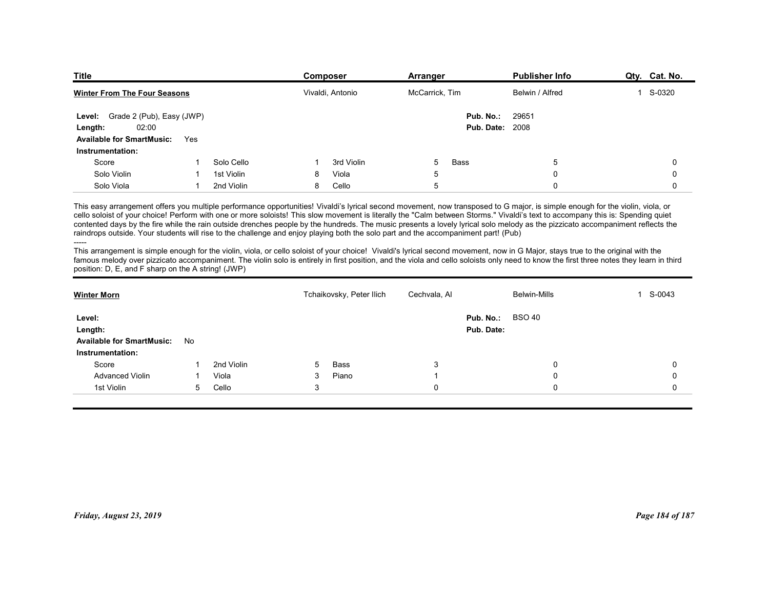| <b>Title</b>                                         |                |            | <b>Composer</b>                                                                                                                                                                                                                                                                                                                                                                                                                                                                                                                                                                                                                                                                                                                                                                                                                                                                                                                                                                                                                                                         | Arranger       |                         | <b>Publisher Info</b> | Qty. Cat. No. |
|------------------------------------------------------|----------------|------------|-------------------------------------------------------------------------------------------------------------------------------------------------------------------------------------------------------------------------------------------------------------------------------------------------------------------------------------------------------------------------------------------------------------------------------------------------------------------------------------------------------------------------------------------------------------------------------------------------------------------------------------------------------------------------------------------------------------------------------------------------------------------------------------------------------------------------------------------------------------------------------------------------------------------------------------------------------------------------------------------------------------------------------------------------------------------------|----------------|-------------------------|-----------------------|---------------|
| <b>Winter From The Four Seasons</b>                  |                |            | Vivaldi, Antonio                                                                                                                                                                                                                                                                                                                                                                                                                                                                                                                                                                                                                                                                                                                                                                                                                                                                                                                                                                                                                                                        | McCarrick, Tim |                         | Belwin / Alfred       | 1 S-0320      |
| Level: Grade 2 (Pub), Easy (JWP)                     |                |            |                                                                                                                                                                                                                                                                                                                                                                                                                                                                                                                                                                                                                                                                                                                                                                                                                                                                                                                                                                                                                                                                         |                | Pub. No.:               | 29651                 |               |
| 02:00<br>Length:                                     |                |            |                                                                                                                                                                                                                                                                                                                                                                                                                                                                                                                                                                                                                                                                                                                                                                                                                                                                                                                                                                                                                                                                         |                | <b>Pub. Date: 2008</b>  |                       |               |
| <b>Available for SmartMusic:</b><br>Instrumentation: | Yes            |            |                                                                                                                                                                                                                                                                                                                                                                                                                                                                                                                                                                                                                                                                                                                                                                                                                                                                                                                                                                                                                                                                         |                |                         |                       |               |
| Score                                                |                | Solo Cello | 3rd Violin                                                                                                                                                                                                                                                                                                                                                                                                                                                                                                                                                                                                                                                                                                                                                                                                                                                                                                                                                                                                                                                              | Bass<br>5      |                         | 5                     | 0             |
| Solo Violin                                          |                | 1st Violin | Viola<br>8                                                                                                                                                                                                                                                                                                                                                                                                                                                                                                                                                                                                                                                                                                                                                                                                                                                                                                                                                                                                                                                              | 5              |                         | $\Omega$              | 0             |
| Solo Viola                                           | $\overline{1}$ | 2nd Violin | 8<br>Cello                                                                                                                                                                                                                                                                                                                                                                                                                                                                                                                                                                                                                                                                                                                                                                                                                                                                                                                                                                                                                                                              | 5              |                         | $\Omega$              | $\mathbf 0$   |
| position: D, E, and F sharp on the A string! (JWP)   |                |            | This easy arrangement offers you multiple performance opportunities! Vivaldi's lyrical second movement, now transposed to G major, is simple enough for the violin, viola, or<br>cello soloist of your choice! Perform with one or more soloists! This slow movement is literally the "Calm between Storms." Vivaldi's text to accompany this is: Spending quiet<br>contented days by the fire while the rain outside drenches people by the hundreds. The music presents a lovely lyrical solo melody as the pizzicato accompaniment reflects the<br>raindrops outside. Your students will rise to the challenge and enjoy playing both the solo part and the accompaniment part! (Pub)<br>This arrangement is simple enough for the violin, viola, or cello soloist of your choice! Vivaldi's lyrical second movement, now in G Major, stays true to the original with the<br>famous melody over pizzicato accompaniment. The violin solo is entirely in first position, and the viola and cello soloists only need to know the first three notes they learn in third |                |                         |                       |               |
|                                                      |                |            | Tchaikovsky, Peter Ilich                                                                                                                                                                                                                                                                                                                                                                                                                                                                                                                                                                                                                                                                                                                                                                                                                                                                                                                                                                                                                                                | Cechvala, Al   |                         | <b>Belwin-Mills</b>   | 1 S-0043      |
| <b>Winter Morn</b>                                   |                |            |                                                                                                                                                                                                                                                                                                                                                                                                                                                                                                                                                                                                                                                                                                                                                                                                                                                                                                                                                                                                                                                                         |                |                         |                       |               |
|                                                      |                |            |                                                                                                                                                                                                                                                                                                                                                                                                                                                                                                                                                                                                                                                                                                                                                                                                                                                                                                                                                                                                                                                                         |                |                         |                       |               |
| Level:<br>Length:                                    |                |            |                                                                                                                                                                                                                                                                                                                                                                                                                                                                                                                                                                                                                                                                                                                                                                                                                                                                                                                                                                                                                                                                         |                | Pub. No.:<br>Pub. Date: | <b>BSO 40</b>         |               |
| Available for SmartMusic: No                         |                |            |                                                                                                                                                                                                                                                                                                                                                                                                                                                                                                                                                                                                                                                                                                                                                                                                                                                                                                                                                                                                                                                                         |                |                         |                       |               |

| Level: Grade 2 (Pub), Easy (JWP)                                                                                                                                                                                                                                                                                                                                                                                                                                                                                                                                                                                                                                                                                                                                                                                                                                                                                                                                                                                                                                                                                              |              |            |              |                          |              | Pub. No.:              | 29651               |                 |
|-------------------------------------------------------------------------------------------------------------------------------------------------------------------------------------------------------------------------------------------------------------------------------------------------------------------------------------------------------------------------------------------------------------------------------------------------------------------------------------------------------------------------------------------------------------------------------------------------------------------------------------------------------------------------------------------------------------------------------------------------------------------------------------------------------------------------------------------------------------------------------------------------------------------------------------------------------------------------------------------------------------------------------------------------------------------------------------------------------------------------------|--------------|------------|--------------|--------------------------|--------------|------------------------|---------------------|-----------------|
| 02:00<br>Length:                                                                                                                                                                                                                                                                                                                                                                                                                                                                                                                                                                                                                                                                                                                                                                                                                                                                                                                                                                                                                                                                                                              |              |            |              |                          |              | <b>Pub. Date: 2008</b> |                     |                 |
| <b>Available for SmartMusic:</b>                                                                                                                                                                                                                                                                                                                                                                                                                                                                                                                                                                                                                                                                                                                                                                                                                                                                                                                                                                                                                                                                                              | Yes          |            |              |                          |              |                        |                     |                 |
| Instrumentation:                                                                                                                                                                                                                                                                                                                                                                                                                                                                                                                                                                                                                                                                                                                                                                                                                                                                                                                                                                                                                                                                                                              |              |            |              |                          |              |                        |                     |                 |
| Score                                                                                                                                                                                                                                                                                                                                                                                                                                                                                                                                                                                                                                                                                                                                                                                                                                                                                                                                                                                                                                                                                                                         |              | Solo Cello |              | 3rd Violin               | 5            | Bass                   | 5                   | 0               |
| Solo Violin                                                                                                                                                                                                                                                                                                                                                                                                                                                                                                                                                                                                                                                                                                                                                                                                                                                                                                                                                                                                                                                                                                                   |              | 1st Violin | 8            | Viola                    | 5            |                        | $\mathbf{0}$        | $\mathbf 0$     |
| Solo Viola                                                                                                                                                                                                                                                                                                                                                                                                                                                                                                                                                                                                                                                                                                                                                                                                                                                                                                                                                                                                                                                                                                                    | $\mathbf{1}$ | 2nd Violin | 8            | Cello                    | 5            |                        | $\mathbf 0$         | $\mathbf 0$     |
| This easy arrangement offers you multiple performance opportunities! Vivaldi's lyrical second movement, now transposed to G major, is simple enough for the violin, viola, or<br>cello soloist of your choice! Perform with one or more soloists! This slow movement is literally the "Calm between Storms." Vivaldi's text to accompany this is: Spending quiet<br>contented days by the fire while the rain outside drenches people by the hundreds. The music presents a lovely lyrical solo melody as the pizzicato accompaniment reflects the<br>raindrops outside. Your students will rise to the challenge and enjoy playing both the solo part and the accompaniment part! (Pub)<br>This arrangement is simple enough for the violin, viola, or cello soloist of your choice! Vivaldi's lyrical second movement, now in G Major, stays true to the original with the<br>famous melody over pizzicato accompaniment. The violin solo is entirely in first position, and the viola and cello soloists only need to know the first three notes they learn in third<br>position: D, E, and F sharp on the A string! (JWP) |              |            |              |                          |              |                        |                     |                 |
| <b>Winter Morn</b>                                                                                                                                                                                                                                                                                                                                                                                                                                                                                                                                                                                                                                                                                                                                                                                                                                                                                                                                                                                                                                                                                                            |              |            |              | Tchaikovsky, Peter Ilich | Cechvala, Al |                        | <b>Belwin-Mills</b> | 1 S-0043        |
| Level:                                                                                                                                                                                                                                                                                                                                                                                                                                                                                                                                                                                                                                                                                                                                                                                                                                                                                                                                                                                                                                                                                                                        |              |            |              |                          |              | Pub. No.:              | <b>BSO 40</b>       |                 |
| Length:                                                                                                                                                                                                                                                                                                                                                                                                                                                                                                                                                                                                                                                                                                                                                                                                                                                                                                                                                                                                                                                                                                                       |              |            |              |                          |              | Pub. Date:             |                     |                 |
| <b>Available for SmartMusic:</b>                                                                                                                                                                                                                                                                                                                                                                                                                                                                                                                                                                                                                                                                                                                                                                                                                                                                                                                                                                                                                                                                                              | No           |            |              |                          |              |                        |                     |                 |
| Instrumentation:                                                                                                                                                                                                                                                                                                                                                                                                                                                                                                                                                                                                                                                                                                                                                                                                                                                                                                                                                                                                                                                                                                              |              |            |              |                          |              |                        |                     |                 |
| Score                                                                                                                                                                                                                                                                                                                                                                                                                                                                                                                                                                                                                                                                                                                                                                                                                                                                                                                                                                                                                                                                                                                         |              | 2nd Violin | 5            | Bass                     | 3            |                        | 0                   | 0               |
| <b>Advanced Violin</b>                                                                                                                                                                                                                                                                                                                                                                                                                                                                                                                                                                                                                                                                                                                                                                                                                                                                                                                                                                                                                                                                                                        |              | Viola      | 3            | Piano                    | -1           |                        | $\Omega$            | $\Omega$        |
| 1st Violin                                                                                                                                                                                                                                                                                                                                                                                                                                                                                                                                                                                                                                                                                                                                                                                                                                                                                                                                                                                                                                                                                                                    | 5            | Cello      | $\mathbf{3}$ |                          | 0            |                        | 0                   | 0               |
|                                                                                                                                                                                                                                                                                                                                                                                                                                                                                                                                                                                                                                                                                                                                                                                                                                                                                                                                                                                                                                                                                                                               |              |            |              |                          |              |                        |                     |                 |
| Friday, August 23, 2019                                                                                                                                                                                                                                                                                                                                                                                                                                                                                                                                                                                                                                                                                                                                                                                                                                                                                                                                                                                                                                                                                                       |              |            |              |                          |              |                        |                     | Page 184 of 187 |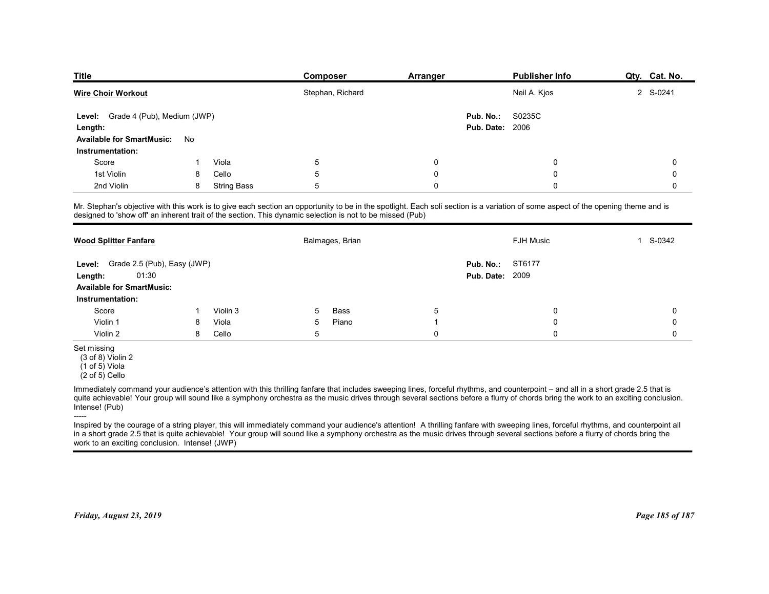| <b>Title</b>                                         |    |                    | Composer                                                                                                                                                                                                                      | <b>Arranger</b> |                                     | <b>Publisher Info</b> | Qty. Cat. No.          |
|------------------------------------------------------|----|--------------------|-------------------------------------------------------------------------------------------------------------------------------------------------------------------------------------------------------------------------------|-----------------|-------------------------------------|-----------------------|------------------------|
| <b>Wire Choir Workout</b>                            |    |                    | Stephan, Richard                                                                                                                                                                                                              |                 |                                     | Neil A. Kjos          | 2 S-0241               |
| Grade 4 (Pub), Medium (JWP)<br>Level:<br>Length:     |    |                    |                                                                                                                                                                                                                               |                 | Pub. No.:<br><b>Pub. Date: 2006</b> | S0235C                |                        |
| <b>Available for SmartMusic:</b><br>Instrumentation: | No |                    |                                                                                                                                                                                                                               |                 |                                     |                       |                        |
| Score                                                |    | Viola              | $5\phantom{.0}$                                                                                                                                                                                                               | 0               |                                     | 0                     | 0                      |
| 1st Violin                                           | 8  | Cello              | $\mathbf 5$                                                                                                                                                                                                                   | 0               |                                     | 0                     | 0                      |
| 2nd Violin                                           | 8  | <b>String Bass</b> | 5                                                                                                                                                                                                                             | 0               |                                     | 0                     | 0                      |
|                                                      |    |                    | Mr. Stephan's objective with this work is to give each section an opportunity to be in the spotlight. Each soli section is a variation of some aspect of the opening theme and is designed to 'show off' an inherent trait of |                 |                                     |                       |                        |
| <b>Wood Splitter Fanfare</b>                         |    |                    | Balmages, Brian                                                                                                                                                                                                               |                 |                                     | FJH Music             | S-0342<br>$\mathbf{1}$ |
| Level: Grade 2.5 (Pub), Easy (JWP)                   |    |                    |                                                                                                                                                                                                                               |                 | Pub. No.: ST6177                    |                       |                        |
| 01:30<br>Length:                                     |    |                    |                                                                                                                                                                                                                               |                 | <b>Pub. Date: 2009</b>              |                       |                        |
| <b>Available for SmartMusic:</b>                     |    |                    |                                                                                                                                                                                                                               |                 |                                     |                       |                        |
|                                                      |    |                    |                                                                                                                                                                                                                               |                 |                                     |                       |                        |
| Instrumentation:                                     | 1  | Violin 3           | Bass<br>5                                                                                                                                                                                                                     | $\,$ 5 $\,$     |                                     | 0                     | $\mathbf 0$            |
| Score                                                |    | Viola              | Piano<br>$5\overline{)}$<br>$\sqrt{5}$                                                                                                                                                                                        | $\mathbf{1}$    |                                     | 0                     | $\pmb{0}$              |
| Violin 1                                             | 8  |                    |                                                                                                                                                                                                                               | $\pmb{0}$       |                                     | $\mathbf 0$           | $\mathbf 0$            |
| Violin 2<br>Set missing                              | 8  | Cello              |                                                                                                                                                                                                                               |                 |                                     |                       |                        |

| Wire Choir Workout                                                                         |    |                    | Stephan, Richard                                                                                          |             | Neil A. Kjos                                                                                                                                                                                                                                                                                                                                                            | 2 S-0241        |
|--------------------------------------------------------------------------------------------|----|--------------------|-----------------------------------------------------------------------------------------------------------|-------------|-------------------------------------------------------------------------------------------------------------------------------------------------------------------------------------------------------------------------------------------------------------------------------------------------------------------------------------------------------------------------|-----------------|
| Level: Grade 4 (Pub), Medium (JWP)<br>Length:                                              |    |                    |                                                                                                           |             | Pub. No.:<br>S0235C<br><b>Pub. Date: 2006</b>                                                                                                                                                                                                                                                                                                                           |                 |
| <b>Available for SmartMusic:</b>                                                           | No |                    |                                                                                                           |             |                                                                                                                                                                                                                                                                                                                                                                         |                 |
| Instrumentation:                                                                           |    |                    |                                                                                                           |             |                                                                                                                                                                                                                                                                                                                                                                         |                 |
| Score                                                                                      | -1 | Viola              | $\sqrt{5}$                                                                                                | $\mathbf 0$ | 0                                                                                                                                                                                                                                                                                                                                                                       | $\mathbf 0$     |
| 1st Violin                                                                                 | 8  | Cello              | 5                                                                                                         | 0           | 0                                                                                                                                                                                                                                                                                                                                                                       | $\mathbf 0$     |
| 2nd Violin                                                                                 | 8  | <b>String Bass</b> | 5                                                                                                         | $\mathbf 0$ | 0                                                                                                                                                                                                                                                                                                                                                                       | $\Omega$        |
|                                                                                            |    |                    | designed to 'show off' an inherent trait of the section. This dynamic selection is not to be missed (Pub) |             | Mr. Stephan's objective with this work is to give each section an opportunity to be in the spotlight. Each soli section is a variation of some aspect of the opening theme and is                                                                                                                                                                                       |                 |
| <b>Wood Splitter Fanfare</b>                                                               |    |                    | Balmages, Brian                                                                                           |             | FJH Music                                                                                                                                                                                                                                                                                                                                                               | 1 S-0342        |
| Level: Grade 2.5 (Pub), Easy (JWP)                                                         |    |                    |                                                                                                           |             | ST6177<br>Pub. No.:                                                                                                                                                                                                                                                                                                                                                     |                 |
| 01:30<br>Length:                                                                           |    |                    |                                                                                                           |             | <b>Pub. Date: 2009</b>                                                                                                                                                                                                                                                                                                                                                  |                 |
| <b>Available for SmartMusic:</b>                                                           |    |                    |                                                                                                           |             |                                                                                                                                                                                                                                                                                                                                                                         |                 |
| Instrumentation:                                                                           |    |                    |                                                                                                           |             |                                                                                                                                                                                                                                                                                                                                                                         |                 |
| Score                                                                                      | 1  | Violin 3           | Bass<br>5                                                                                                 | 5           | 0                                                                                                                                                                                                                                                                                                                                                                       | 0               |
| Violin 1                                                                                   | 8  | Viola              | Piano<br>5                                                                                                | -1          | 0                                                                                                                                                                                                                                                                                                                                                                       | $\Omega$        |
| Violin 2                                                                                   | 8  | Cello              | 5                                                                                                         | $\mathbf 0$ | $\Omega$                                                                                                                                                                                                                                                                                                                                                                | $\mathbf 0$     |
| Set missing<br>(3 of 8) Violin 2<br>$(1 of 5)$ Viola<br>$(2 of 5)$ Cello<br>Intense! (Pub) |    |                    |                                                                                                           |             | Immediately command your audience's attention with this thrilling fanfare that includes sweeping lines, forceful rhythms, and counterpoint - and all in a short grade 2.5 that is<br>quite achievable! Your group will sound like a symphony orchestra as the music drives through several sections before a flurry of chords bring the work to an exciting conclusion. |                 |
| work to an exciting conclusion. Intense! (JWP)                                             |    |                    |                                                                                                           |             | Inspired by the courage of a string player, this will immediately command your audience's attention! A thrilling fanfare with sweeping lines, forceful rhythms, and counterpoint all<br>in a short grade 2.5 that is quite achievable! Your group will sound like a symphony orchestra as the music drives through several sections before a flurry of chords bring the |                 |
| Friday, August 23, 2019                                                                    |    |                    |                                                                                                           |             |                                                                                                                                                                                                                                                                                                                                                                         | Page 185 of 187 |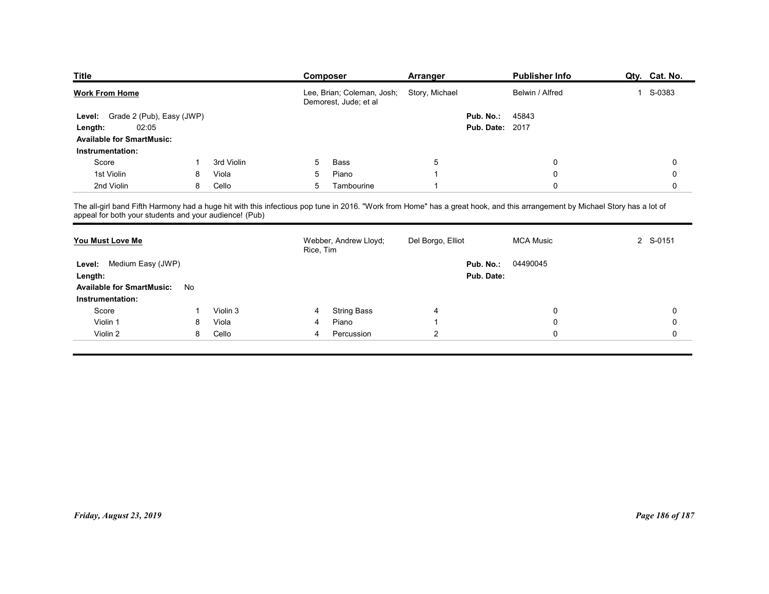| <b>Title</b>                                                                                                                                                                                                                          |        |                | <b>Composer</b> |                                                     | Arranger          |                        | <b>Publisher Info</b> |              | Qty. Cat. No.       |
|---------------------------------------------------------------------------------------------------------------------------------------------------------------------------------------------------------------------------------------|--------|----------------|-----------------|-----------------------------------------------------|-------------------|------------------------|-----------------------|--------------|---------------------|
| <b>Work From Home</b>                                                                                                                                                                                                                 |        |                |                 | Lee, Brian; Coleman, Josh;<br>Demorest, Jude; et al | Story, Michael    |                        | Belwin / Alfred       | $\mathbf{1}$ | S-0383              |
| Grade 2 (Pub), Easy (JWP)<br>Level:                                                                                                                                                                                                   |        |                |                 |                                                     |                   | Pub. No.:              | 45843                 |              |                     |
| 02:05<br>Length:                                                                                                                                                                                                                      |        |                |                 |                                                     |                   | <b>Pub. Date: 2017</b> |                       |              |                     |
| <b>Available for SmartMusic:</b>                                                                                                                                                                                                      |        |                |                 |                                                     |                   |                        |                       |              |                     |
| Instrumentation:                                                                                                                                                                                                                      |        |                |                 |                                                     |                   |                        |                       |              |                     |
| Score                                                                                                                                                                                                                                 |        | 3rd Violin     | 5               | Bass                                                | $\sqrt{5}$        |                        | $\mathbf 0$           |              | 0                   |
| 1st Violin<br>2nd Violin                                                                                                                                                                                                              | 8<br>8 | Viola<br>Cello | 5<br>5          | Piano<br>Tambourine                                 | -1<br>-1          |                        | $\mathbf 0$<br>0      |              | 0<br>0              |
|                                                                                                                                                                                                                                       |        |                |                 |                                                     |                   |                        |                       |              |                     |
| The all-girl band Fifth Harmony had a huge hit with this infectious pop tune in 2016. "Work from Home" has a great hook, and this arrangement by Michael Story has a lot of<br>appeal for both your students and your audience! (Pub) |        |                |                 |                                                     |                   |                        |                       |              |                     |
|                                                                                                                                                                                                                                       |        |                | Rice, Tim       | Webber, Andrew Lloyd;                               | Del Borgo, Elliot |                        | <b>MCA Music</b>      |              | 2 S-0151            |
| You Must Love Me                                                                                                                                                                                                                      |        |                |                 |                                                     |                   | Pub. No.: 04490045     |                       |              |                     |
|                                                                                                                                                                                                                                       |        |                |                 |                                                     |                   | Pub. Date:             |                       |              |                     |
| Level: Medium Easy (JWP)                                                                                                                                                                                                              |        |                |                 |                                                     |                   |                        |                       |              |                     |
| Length:<br>Available for SmartMusic: No                                                                                                                                                                                               |        |                |                 |                                                     |                   |                        |                       |              |                     |
| Instrumentation:                                                                                                                                                                                                                      |        |                |                 |                                                     |                   |                        |                       |              |                     |
| Score                                                                                                                                                                                                                                 |        | Violin 3       | 4               | <b>String Bass</b>                                  | 4                 |                        | 0                     |              | $\pmb{0}$           |
| Violin 1                                                                                                                                                                                                                              | 8      | Viola          |                 | Piano                                               |                   |                        | 0                     |              | $\mathsf{O}\xspace$ |

| <b>Work From Home</b>            |              |            |                 | Lee, Brian; Coleman, Josh; Story, Michael<br>Demorest, Jude; et al |                         | Belwin / Alfred                                                                                                                                                                                                                   | 1 S-0383        |
|----------------------------------|--------------|------------|-----------------|--------------------------------------------------------------------|-------------------------|-----------------------------------------------------------------------------------------------------------------------------------------------------------------------------------------------------------------------------------|-----------------|
| Level: Grade 2 (Pub), Easy (JWP) |              |            |                 |                                                                    | Pub. No.:               | 45843                                                                                                                                                                                                                             |                 |
| 02:05<br>Length:                 |              |            |                 |                                                                    |                         | <b>Pub. Date: 2017</b>                                                                                                                                                                                                            |                 |
| <b>Available for SmartMusic:</b> |              |            |                 |                                                                    |                         |                                                                                                                                                                                                                                   |                 |
| Instrumentation:                 |              |            |                 |                                                                    |                         |                                                                                                                                                                                                                                   |                 |
| Score                            | $\mathbf{1}$ | 3rd Violin | 5               | Bass                                                               | $5\phantom{.0}$         | $\pmb{0}$                                                                                                                                                                                                                         | $\mathbf 0$     |
| 1st Violin                       | 8            | Viola      | $\sqrt{5}$      | Piano                                                              | $\overline{1}$          | $\pmb{0}$                                                                                                                                                                                                                         | $\mathbf 0$     |
| 2nd Violin                       | 8            | Cello      | $5\phantom{.0}$ | Tambourine                                                         | $\overline{\mathbf{1}}$ | 0                                                                                                                                                                                                                                 | $\mathbf 0$     |
|                                  |              |            |                 |                                                                    |                         | The all-girl band Fifth Harmony had a huge hit with this infectious pop tune in 2016. "Work from Home" has a great hook, and this arrangement by Michael Story has a lot of<br>appeal for both your students and your audience! ( |                 |
| You Must Love Me                 |              |            | Rice, Tim       | Webber, Andrew Lloyd;                                              | Del Borgo, Elliot       | <b>MCA Music</b>                                                                                                                                                                                                                  | 2 S-0151        |
| Level: Medium Easy (JWP)         |              |            |                 |                                                                    | Pub. No.:               | 04490045                                                                                                                                                                                                                          |                 |
| Length:                          |              |            |                 |                                                                    |                         | Pub. Date:                                                                                                                                                                                                                        |                 |
| <b>Available for SmartMusic:</b> | No           |            |                 |                                                                    |                         |                                                                                                                                                                                                                                   |                 |
| Instrumentation:                 |              |            |                 |                                                                    |                         |                                                                                                                                                                                                                                   |                 |
| Score                            | -1           | Violin 3   | 4               | <b>String Bass</b>                                                 | 4                       | $\pmb{0}$                                                                                                                                                                                                                         | $\pmb{0}$       |
| Violin 1                         | 8            | Viola      | 4               | Piano                                                              | $\overline{1}$          | $\pmb{0}$                                                                                                                                                                                                                         | $\mathbf 0$     |
| Violin 2                         | 8            | Cello      | 4               | Percussion                                                         | $\overline{2}$          | $\mathsf{O}$                                                                                                                                                                                                                      | $\mathbf 0$     |
|                                  |              |            |                 |                                                                    |                         |                                                                                                                                                                                                                                   |                 |
|                                  |              |            |                 |                                                                    |                         |                                                                                                                                                                                                                                   |                 |
|                                  |              |            |                 |                                                                    |                         |                                                                                                                                                                                                                                   |                 |
|                                  |              |            |                 |                                                                    |                         |                                                                                                                                                                                                                                   |                 |
|                                  |              |            |                 |                                                                    |                         |                                                                                                                                                                                                                                   |                 |
|                                  |              |            |                 |                                                                    |                         |                                                                                                                                                                                                                                   |                 |
|                                  |              |            |                 |                                                                    |                         |                                                                                                                                                                                                                                   |                 |
|                                  |              |            |                 |                                                                    |                         |                                                                                                                                                                                                                                   |                 |
| Friday, August 23, 2019          |              |            |                 |                                                                    |                         |                                                                                                                                                                                                                                   | Page 186 of 187 |
|                                  |              |            |                 |                                                                    |                         |                                                                                                                                                                                                                                   |                 |
|                                  |              |            |                 |                                                                    |                         |                                                                                                                                                                                                                                   |                 |
|                                  |              |            |                 |                                                                    |                         |                                                                                                                                                                                                                                   |                 |